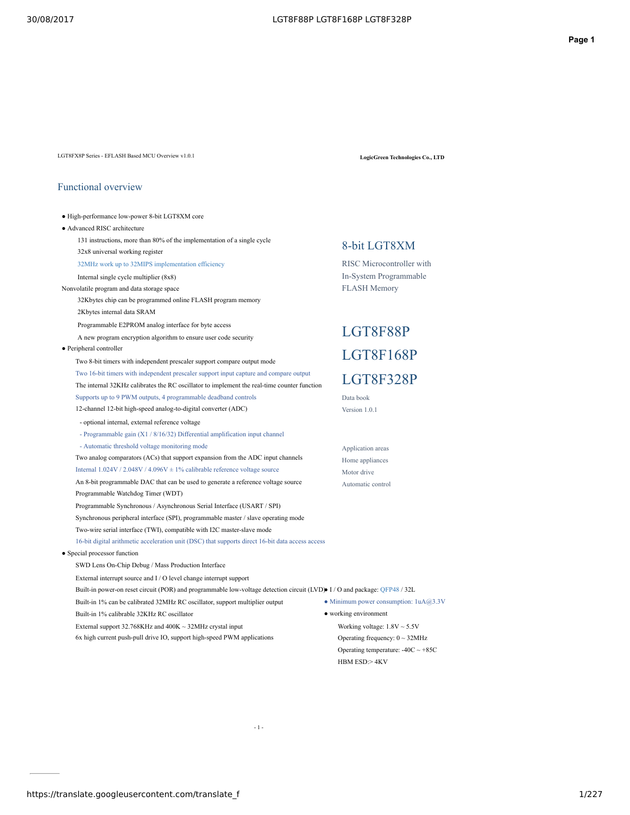LGT8FX8P Series - EFLASH Based MCU Overview v1.0.1 **LogicGreen Technologies Co., LTD**

● High-performance low-power 8-bit LGT8XM core

### Functional overview

- Advanced RISC architecture 131 instructions, more than 80% of the implementation of a single cycle 32x8 universal working register 32MHz work up to 32MIPS implementation efficiency Internal single cycle multiplier (8x8) Nonvolatile program and data storage space 32Kbytes chip can be programmed online FLASH program memory 2Kbytes internal data SRAM Programmable E2PROM analog interface for byte access A new program encryption algorithm to ensure user code security ● Peripheral controller Two 8-bit timers with independent prescaler support compare output mode Two 16-bit timers with independent prescaler support input capture and compare output The internal 32KHz calibrates the RC oscillator to implement the real-time counter function
	- Supports up to 9 PWM outputs, 4 programmable deadband controls 12-channel 12-bit high-speed analog-to-digital converter (ADC) - optional internal, external reference voltage - Programmable gain (X1 / 8/16/32) Differential amplification input channel - Automatic threshold voltage monitoring mode
	- Two analog comparators (ACs) that support expansion from the ADC input channels Internal 1.024V / 2.048V / 4.096V ± 1% calibrable reference voltage source An 8-bit programmable DAC that can be used to generate a reference voltage source
	- Programmable Watchdog Timer (WDT) Programmable Synchronous / Asynchronous Serial Interface (USART / SPI) Synchronous peripheral interface (SPI), programmable master / slave operating mode
	- Two-wire serial interface (TWI), compatible with I2C master-slave mode
	- 16-bit digital arithmetic acceleration unit (DSC) that supports direct 16-bit data access access
- Special processor function
	- SWD Lens On-Chip Debug / Mass Production Interface
	- External interrupt source and I / O level change interrupt support
	- Built-in power-on reset circuit (POR) and programmable low-voltage detection circuit (LVD) I/O and package: QFP48/32L

- 1 -

- Built-in 1% can be calibrated 32MHz RC oscillator, support multiplier output • Minimum power consumption:  $1uA@3.3V$
- Built-in 1% calibrable 32KHz RC oscillator
- External support 32.768KHz and 400K ~ 32MHz crystal input
- 6x high current push-pull drive IO, support high-speed PWM applications

## 8-bit LGT8XM

RISC Microcontroller with In-System Programmable FLASH Memory

# LGT8F88P LGT8F168P LGT8F328P

Data book Version 1.0.1

Application areas Home appliances Motor drive Automatic control

● working environment

HBM ESD:> 4KV

Working voltage: 1.8V ~ 5.5V Operating frequency:  $0 \sim 32$ MHz Operating temperature:  $-40C \sim +85C$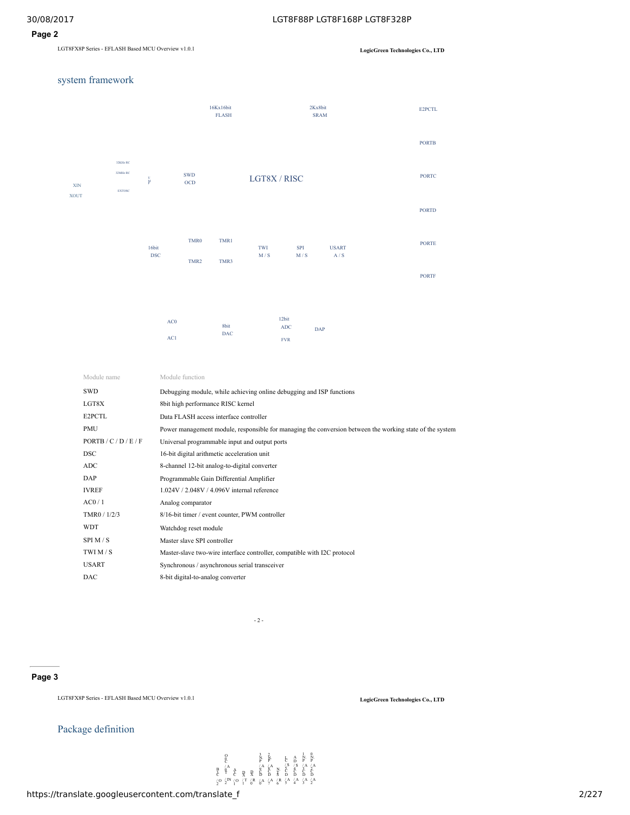### **Page 2**

LGT8FX8P Series - EFLASH Based MCU Overview v1.0.1 **LogicGreen Technologies Co., LTD**

### system framework



| Module name           | Module function                                                                                          |
|-----------------------|----------------------------------------------------------------------------------------------------------|
| SWD                   | Debugging module, while achieving online debugging and ISP functions                                     |
| LGT8X                 | 8bit high performance RISC kernel                                                                        |
| E2PCTL                | Data FLASH access interface controller                                                                   |
| <b>PMU</b>            | Power management module, responsible for managing the conversion between the working state of the system |
| PORTB / C / D / E / F | Universal programmable input and output ports                                                            |
| <b>DSC</b>            | 16-bit digital arithmetic acceleration unit                                                              |
| ADC                   | 8-channel 12-bit analog-to-digital converter                                                             |
| DAP                   | Programmable Gain Differential Amplifier                                                                 |
| <b>IVREF</b>          | 1.024V / 2.048V / 4.096V internal reference                                                              |
| AC0/1                 | Analog comparator                                                                                        |
| TMR0 / 1/2/3          | 8/16-bit timer / event counter, PWM controller                                                           |
| <b>WDT</b>            | Watchdog reset module                                                                                    |
| SPI M/S               | Master slave SPI controller                                                                              |
| TWI $M/S$             | Master-slave two-wire interface controller, compatible with I2C protocol                                 |
| <b>USART</b>          | Synchronous / asynchronous serial transceiver                                                            |
| DAC                   | 8-bit digital-to-analog converter                                                                        |

 $- 2 - 1$ 

### **Page 3**

LGT8FX8P Series - EFLASH Based MCU Overview v1.0.1 **LogicGreen Technologies Co., LTD**

### Package definition

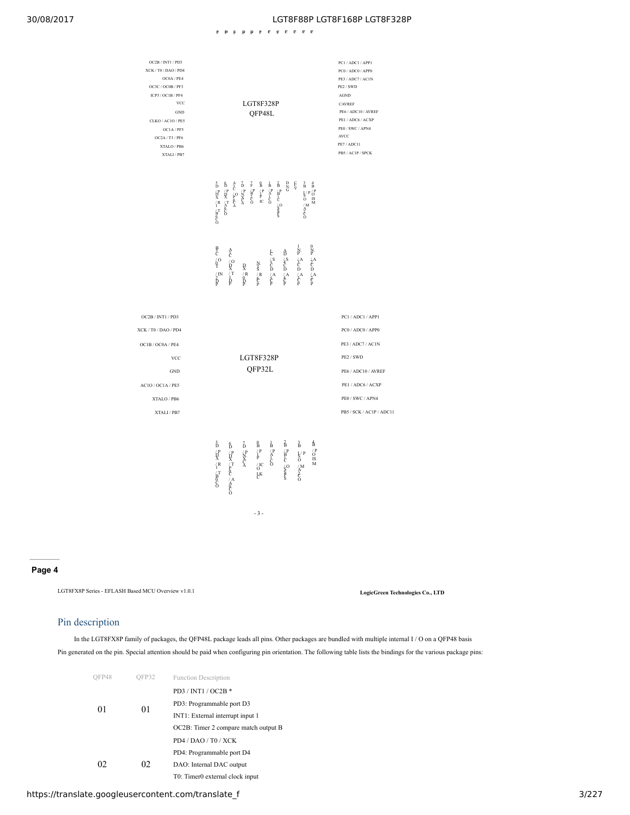PD PD PD PC PC PC PC PC PF PF PF PC

| OC2B / INT1 / PD3<br>XCK / T0 / DAO / PD4<br>OC0A / PE4<br>OC3C / OC0B / PF3<br>ICP3 / OC1B / PF4<br><b>VCC</b><br>$\operatorname{GND}$<br>CLKO / AC1O / PE5<br>OC1A / PF5<br>OC2A / T3 / PF6<br>XTALO / PB6<br>XTALI / PB7 | LGT8F328P<br>QFP48L                                                                                                                                                                                                                                                                                                                                                                                                                                                                                                                                                                                                                                                                                                                                                                                                                                                                                                                                                                                                                          | PC1 / ADC1 / APP1<br>PC0 / ADC0 / APP0<br>PE3 / ADC7 / AC1N<br>PE2 / SWD<br>AGND<br>CAVREF<br>PE6 / ADC10 / AVREF<br>PE1 / ADC6 / ACXP<br>PE0 / SWC / APN4<br>AVCC<br>PE7 / ADC11<br>PB5 / AC1P / SPCK |
|-----------------------------------------------------------------------------------------------------------------------------------------------------------------------------------------------------------------------------|----------------------------------------------------------------------------------------------------------------------------------------------------------------------------------------------------------------------------------------------------------------------------------------------------------------------------------------------------------------------------------------------------------------------------------------------------------------------------------------------------------------------------------------------------------------------------------------------------------------------------------------------------------------------------------------------------------------------------------------------------------------------------------------------------------------------------------------------------------------------------------------------------------------------------------------------------------------------------------------------------------------------------------------------|--------------------------------------------------------------------------------------------------------------------------------------------------------------------------------------------------------|
|                                                                                                                                                                                                                             | $D$ $\overline{R}$ $\overline{R}$ $\overline{R}$ $\overline{R}$ $\overline{R}$ $\overline{R}$ $\overline{R}$ $\overline{R}$ $\overline{R}$ $\overline{R}$ $\overline{R}$ $\overline{R}$ $\overline{R}$ $\overline{R}$ $\overline{R}$ $\overline{R}$ $\overline{R}$ $\overline{R}$ $\overline{R}$ $\overline{R}$ $\overline{R}$ $\overline{R}$ $\overline{R}$ $\overline{R}$<br>$\begin{array}{ccc} \mathbf{A} & \mathbf{B} \\ \mathbf{C} & \mathbf{A} \\ \mathbf{A}^{\mathbf{B}} & \mathbf{A} \\ \mathbf{B} & \mathbf{A} \\ \mathbf{A} & \mathbf{A} \end{array}$<br>$\vec{F}$ $\vec{B}$ $\vec{C}$ $\vec{C}$<br>$\begin{array}{c} 0 \\ \text{B}\\ / \text{P} \\ \text{P} \\ \text{IC} \end{array}$<br>$\begin{array}{c}\n1 \\ B \\ \uparrow P \\ C \\ O\n\end{array}$<br>$2B$<br>$C-B$<br>$C$<br>$D$<br>$S$<br>$_{\rm G}^{\rm D}$<br>ę<br>$5D$ $PQX$ $R$ $T$ $BQ$<br>$\begin{array}{cc} 3 & 4 \\ \text{B} & \text{P} \\ \text{S} & \text{PS} \\ \text{O} & \text{IS} \\ \text{M} \\ \text{A} \\ \text{A} \\ \text{C} \\ \text{O} \end{array}$ |                                                                                                                                                                                                        |
|                                                                                                                                                                                                                             | 용<br>C<br>- 0<br>- 1<br>$\begin{array}{ccc} 1 & 0 \\ \text{N.} & \text{N.} \\ \ell^A & \ell^A \\ \text{C.} & \text{C.} \\ \text{D.} & \text{A.} \\ \ell^A & \ell^A \\ \text{C.} & \text{C.} \\ \text{D.} & \ell^A \\ \text{C.} & \text{D.} \\ \text{D.} & \text{D.} \\ \text{E.} & \text{E.} \\ \end{array}$<br>A<br>$\frac{A}{C}$<br>$\frac{O}{R}$<br>$\frac{O}{T}$<br>$\frac{1}{R}$<br>$\begin{array}{l} \begin{array}{l} \text{A}\\ \text{D}\\ \text{A}\\ \text{C}\\ \text{D}\\ \text{A}\\ \text{A}\\ \text{C}\\ \text{P} \end{array} \end{array}$<br>$\frac{1}{2}$<br>$\frac{1}{2}$<br>$\frac{1}{2}$<br>$\frac{1}{2}$<br>$\frac{1}{2}$<br>$\frac{N}{5}$<br>$\frac{R}{C}$<br>$\begin{array}{c} R \\ R \\ 0 \\ P \end{array}$<br>$\frac{1}{p}$ IN                                                                                                                                                                                                                                                                                          |                                                                                                                                                                                                        |
| OC2B / INT1 / PD3<br>XCK / T0 / DAO / PD4<br>OC1B / OC0A / PE4<br><b>VCC</b><br><b>GND</b><br>AC1O / OC1A / PE5<br>XTALO / PB6<br>XTALI / PB7                                                                               | LGT8F328P<br>QFP32L                                                                                                                                                                                                                                                                                                                                                                                                                                                                                                                                                                                                                                                                                                                                                                                                                                                                                                                                                                                                                          | PC1 / ADC1 / APP1<br>PC0 / ADC0 / APP0<br>PE3 / ADC7 / AC1N<br>PE2 / SWD<br>PE6 / ADC10 / AVREF<br>PE1 / ADC6 / ACXP<br>PE0 / SWC / APN4<br>PB5 / SCK / AC1P / ADC11                                   |
|                                                                                                                                                                                                                             | å<br>$\overrightarrow{D}$ $\overrightarrow{P}$ $\overrightarrow{R}$ $\overrightarrow{R}$ $\overrightarrow{R}$ $\overrightarrow{S}$ $\overrightarrow{R}$<br>$\begin{array}{c}\n0 \\ \downarrow P \\ \downarrow P \\ \downarrow C \\ \downarrow C \\ \downarrow K\n\end{array}$<br>$\begin{array}{ccc} 1 & 2 \\ B & B \\ \wedge ^{P} & B \\ A \\ C & C \\ \end{array}$<br>$\begin{array}{c} \n\overrightarrow{D} \\ \overrightarrow{P} \\ \overrightarrow{N} \\ \overrightarrow{C} \\ \overrightarrow{A}\n\end{array}$<br>$D \nvert P$<br>$T$ $\vert T$<br>$\vert A$<br>$\vert C$<br>$\mathop{O}\limits^{\prime\,\mathbf{P}}_{\mathbf{I}\mathbf{S}}$ is $\mathbf{M}$<br>$\begin{array}{c}\n\bigcup\limits_{\Lambda}P\cr O\cr \bigwedge\limits_{\Lambda}M\cr O\cr O\end{array}$<br>$-3-$                                                                                                                                                                                                                                                        |                                                                                                                                                                                                        |

### **Page 4**

LGT8FX8P Series - EFLASH Based MCU Overview v1.0.1 **LogicGreen Technologies Co., LTD**

### Pin description

In the LGT8FX8P family of packages, the QFP48L package leads all pins. Other packages are bundled with multiple internal I / O on a QFP48 basis Pin generated on the pin. Special attention should be paid when configuring pin orientation. The following table lists the bindings for the various package pins:

| OFP48     | OFP32 | <b>Function Description</b>          |  |
|-----------|-------|--------------------------------------|--|
| 01<br>02. |       | PD3 / INT1 / OC2B *                  |  |
|           |       | PD3: Programmable port D3            |  |
|           | 01    | INT1: External interrupt input 1     |  |
|           |       | OC2B: Timer 2 compare match output B |  |
|           |       | PD4 / DAO / T0 / XCK                 |  |
|           |       | PD4: Programmable port D4            |  |
|           | 02    | DAO: Internal DAC output             |  |
|           |       | T0: Timer0 external clock input      |  |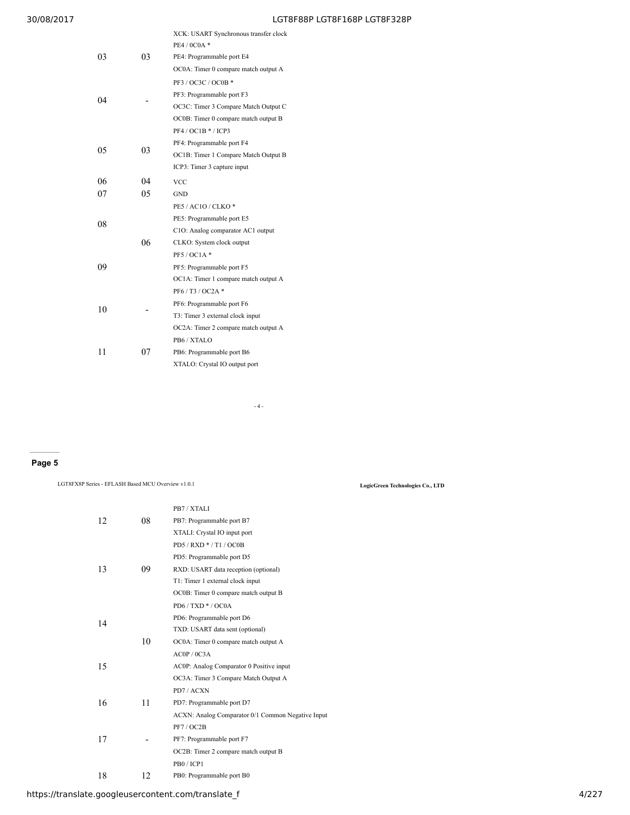|    |    | XCK: USART Synchronous transfer clock |
|----|----|---------------------------------------|
|    |    | PE4 / 0C0A *                          |
| 03 | 03 | PE4: Programmable port E4             |
|    |    | OC0A: Timer 0 compare match output A  |
|    |    | PF3 / OC3C / OC0B *                   |
| 04 |    | PF3: Programmable port F3             |
|    |    | OC3C: Timer 3 Compare Match Output C  |
|    |    | OC0B: Timer 0 compare match output B  |
|    |    | $PF4/OC1B*/ICP3$                      |
|    |    | PF4: Programmable port F4             |
| 05 | 03 | OC1B: Timer 1 Compare Match Output B  |
|    |    | ICP3: Timer 3 capture input           |
| 06 | 04 | <b>VCC</b>                            |
| 07 | 05 | GND                                   |
|    |    | PE5 / AC1O / CLKO *                   |
| 08 |    | PE5: Programmable port E5             |
|    |    | C1O: Analog comparator AC1 output     |
|    | 06 | CLKO: System clock output             |
|    |    | PF5 / OC1A *                          |
| 09 |    | PF5: Programmable port F5             |
|    |    | OC1A: Timer 1 compare match output A  |
|    |    | PF6/T3/OC2A*                          |
| 10 |    | PF6: Programmable port F6             |
|    |    | T3: Timer 3 external clock input      |
|    |    | OC2A: Timer 2 compare match output A  |
|    |    | PB6/XTALO                             |
| 11 | 07 | PB6: Programmable port B6             |
|    |    | XTALO: Crystal IO output port         |
|    |    |                                       |

 $-4-$ 

### **Page 5**

LGT8FX8P Series - EFLASH Based MCU Overview v1.0.1 **LogicGreen Technologies Co., LTD**

|    |    | PB7 / XTALI                                       |
|----|----|---------------------------------------------------|
| 12 | 08 | PB7: Programmable port B7                         |
|    |    | XTALI: Crystal IO input port                      |
|    |    | $PD5 / RXD * / T1 / OCOB$                         |
|    |    | PD5: Programmable port D5                         |
| 13 | 09 | RXD: USART data reception (optional)              |
|    |    | T1: Timer 1 external clock input                  |
|    |    | OC0B: Timer 0 compare match output B              |
|    |    | $PD6 / TXD * / OC0A$                              |
| 14 |    | PD6: Programmable port D6                         |
|    |    | TXD: USART data sent (optional)                   |
|    | 10 | OC0A: Timer 0 compare match output A              |
|    |    | ACOP / 0C3A                                       |
| 15 |    | AC0P: Analog Comparator 0 Positive input          |
|    |    | OC3A: Timer 3 Compare Match Output A              |
|    |    | PD7/ACXN                                          |
| 16 | 11 | PD7: Programmable port D7                         |
|    |    | ACXN: Analog Comparator 0/1 Common Negative Input |
|    |    | PF7/OC2B                                          |
| 17 |    | PF7: Programmable port F7                         |
|    |    | OC2B: Timer 2 compare match output B              |
|    |    | PB0/ICP1                                          |
| 18 | 12 | PB0: Programmable port B0                         |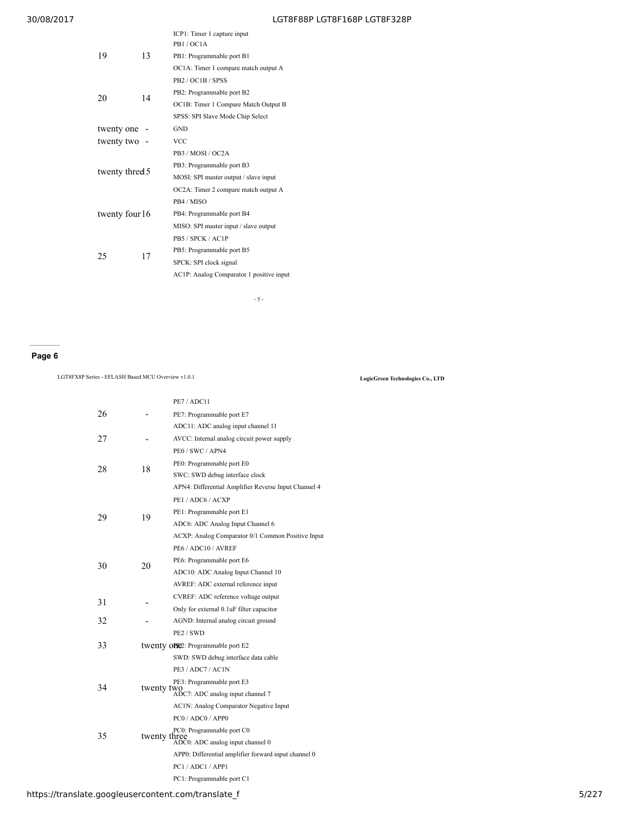| 19              | 13 | ICP1: Timer 1 capture input<br>PB1/OC1A<br>PB1: Programmable port B1 |
|-----------------|----|----------------------------------------------------------------------|
|                 |    | OC1A: Timer 1 compare match output A                                 |
|                 |    | PB <sub>2</sub> / OC <sub>1</sub> B / SPSS                           |
| 20              | 14 | PB2: Programmable port B2                                            |
|                 |    | OC1B: Timer 1 Compare Match Output B                                 |
|                 |    | SPSS: SPI Slave Mode Chip Select                                     |
| twenty one      |    | <b>GND</b>                                                           |
| twenty two -    |    | <b>VCC</b>                                                           |
|                 |    | PB3 / MOSI / OC2A                                                    |
|                 |    | PB3: Programmable port B3                                            |
| twenty threed 5 |    | MOSI: SPI master output / slave input                                |
|                 |    | OC2A: Timer 2 compare match output A                                 |
|                 |    | PB4 / MISO                                                           |
| twenty four 16  |    | PB4: Programmable port B4                                            |
|                 |    | MISO: SPI master input / slave output                                |
|                 |    | PB5 / SPCK / AC1P                                                    |
| 25              | 17 | PB5: Programmable port B5                                            |
|                 |    | SPCK: SPI clock signal                                               |
|                 |    | AC1P: Analog Comparator 1 positive input                             |
|                 |    |                                                                      |

- 5 -

### **Page 6**

LGT8FX8P Series - EFLASH Based MCU Overview v1.0.1 **LogicGreen Technologies Co., LTD**

|    |    | PE7/ADC11                                            |
|----|----|------------------------------------------------------|
| 26 |    | PE7: Programmable port E7                            |
|    |    | ADC11: ADC analog input channel 11                   |
| 27 |    | AVCC: Internal analog circuit power supply           |
|    |    | PE0/SWC/APN4                                         |
|    |    | PE0: Programmable port E0                            |
| 28 | 18 | SWC: SWD debug interface clock                       |
|    |    | APN4: Differential Amplifier Reverse Input Channel 4 |
|    |    | PE1 / ADC6 / ACXP                                    |
|    |    | PE1: Programmable port E1                            |
| 29 | 19 | ADC6: ADC Analog Input Channel 6                     |
|    |    | ACXP: Analog Comparator 0/1 Common Positive Input    |
|    |    | PE6 / ADC10 / AVREF                                  |
|    |    | PE6: Programmable port E6                            |
| 30 | 20 | ADC10: ADC Analog Input Channel 10                   |
|    |    | AVREF: ADC external reference input                  |
|    |    | CVREF: ADC reference voltage output                  |
| 31 |    | Only for external 0.1 uF filter capacitor            |
| 32 |    | AGND: Internal analog circuit ground                 |
|    |    | PE <sub>2</sub> / SWD                                |
| 33 |    | twenty one2: Programmable port E2                    |
|    |    | SWD: SWD debug interface data cable                  |
|    |    | PE3 / ADC7 / AC1N                                    |
|    |    | PE3: Programmable port E3                            |
| 34 |    | twenty two<br>ADC7: ADC analog input channel 7       |
|    |    | AC1N: Analog Comparator Negative Input               |
|    |    | PC0 / ADC0 / APPO                                    |
|    |    | PC0: Programmable port C0                            |
| 35 |    | twenty three<br>ADC0: ADC analog input channel 0     |
|    |    | APP0: Differential amplifier forward input channel 0 |
|    |    | PC1/ADC1/APP1                                        |
|    |    | PC1: Programmable port C1                            |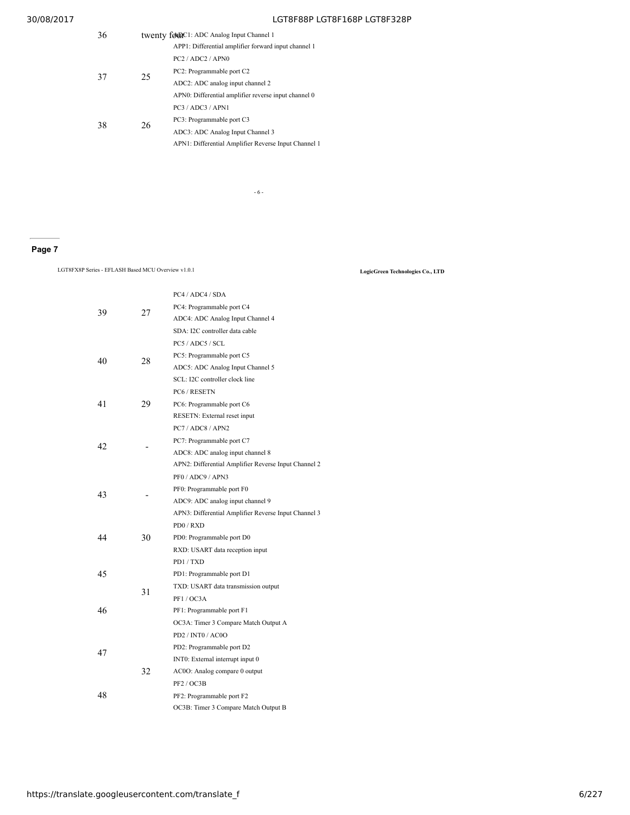| 36 | twenty founC1: ADC Analog Input Channel 1 |                                                      |  |  |
|----|-------------------------------------------|------------------------------------------------------|--|--|
|    |                                           | APP1: Differential amplifier forward input channel 1 |  |  |
|    |                                           | PC2 / ADC2 / APN0                                    |  |  |
| 37 | 25                                        | PC2: Programmable port C2                            |  |  |
|    |                                           | ADC2: ADC analog input channel 2                     |  |  |
|    |                                           | APN0: Differential amplifier reverse input channel 0 |  |  |
| 38 | 26                                        | PC3 / ADC3 / APN1                                    |  |  |
|    |                                           | PC3: Programmable port C3                            |  |  |
|    |                                           | ADC3: ADC Analog Input Channel 3                     |  |  |
|    |                                           | APN1: Differential Amplifier Reverse Input Channel 1 |  |  |

- 6 -

### **Page 7**

LGT8FX8P Series - EFLASH Based MCU Overview v1.0.1 **LogicGreen Technologies Co., LTD**

| 39 |    | PC4 / ADC4 / SDA                                     |
|----|----|------------------------------------------------------|
|    |    | PC4: Programmable port C4                            |
|    | 27 | ADC4: ADC Analog Input Channel 4                     |
|    |    | SDA: I2C controller data cable                       |
|    |    | PC5 / ADC5 / SCL                                     |
| 40 | 28 | PC5: Programmable port C5                            |
|    |    | ADC5: ADC Analog Input Channel 5                     |
|    |    | SCL: I2C controller clock line                       |
|    |    | PC6 / RESETN                                         |
| 41 | 29 | PC6: Programmable port C6                            |
|    |    | RESETN: External reset input                         |
|    |    | PC7 / ADC8 / APN2                                    |
| 42 |    | PC7: Programmable port C7                            |
|    |    | ADC8: ADC analog input channel 8                     |
|    |    | APN2: Differential Amplifier Reverse Input Channel 2 |
|    |    | PF0 / ADC9 / APN3                                    |
| 43 |    | PF0: Programmable port F0                            |
|    |    | ADC9: ADC analog input channel 9                     |
|    |    | APN3: Differential Amplifier Reverse Input Channel 3 |
|    |    | PDO / RXD                                            |
| 44 | 30 | PD0: Programmable port D0                            |
|    |    | RXD: USART data reception input                      |
|    |    | PD1/TXD                                              |
| 45 |    | PD1: Programmable port D1                            |
|    | 31 | TXD: USART data transmission output                  |
|    |    | PF1/OC3A                                             |
| 46 |    | PF1: Programmable port F1                            |
|    |    | OC3A: Timer 3 Compare Match Output A                 |
|    |    | PD2 / INT0 / AC0O                                    |
| 47 |    | PD2: Programmable port D2                            |
|    |    | INT0: External interrupt input 0                     |
|    | 32 | AC0O: Analog compare 0 output                        |
| 48 |    | PF2 / OC3B                                           |
|    |    | PF2: Programmable port F2                            |
|    |    | OC3B: Timer 3 Compare Match Output B                 |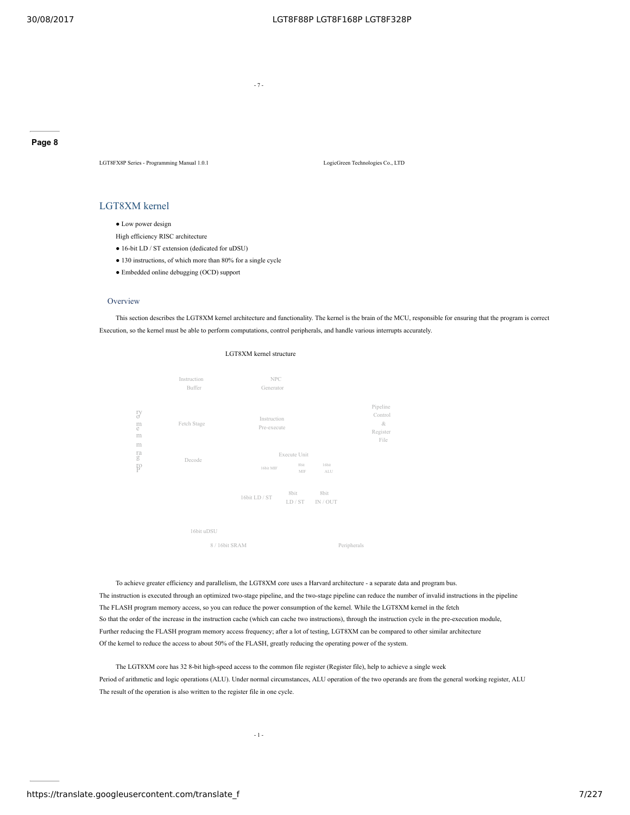- 7 -

**Page 8**

LGT8FX8P Series - Programming Manual 1.0.1 LogicGreen Technologies Co., LTD

### LGT8XM kernel

• Low power design

- High efficiency RISC architecture
- 16-bit LD / ST extension (dedicated for uDSU)
- 130 instructions, of which more than 80% for a single cycle
- Embedded online debugging (OCD) support

#### **Overview**

This section describes the LGT8XM kernel architecture and functionality. The kernel is the brain of the MCU, responsible for ensuring that the program is correct Execution, so the kernel must be able to perform computations, control peripherals, and handle various interrupts accurately.





To achieve greater efficiency and parallelism, the LGT8XM core uses a Harvard architecture - a separate data and program bus. The instruction is executed through an optimized two-stage pipeline, and the two-stage pipeline can reduce the number of invalid instructions in the pipeline The FLASH program memory access, so you can reduce the power consumption of the kernel. While the LGT8XM kernel in the fetch So that the order of the increase in the instruction cache (which can cache two instructions), through the instruction cycle in the pre-execution module, Further reducing the FLASH program memory access frequency; after a lot of testing, LGT8XM can be compared to other similar architecture Of the kernel to reduce the access to about 50% of the FLASH, greatly reducing the operating power of the system.

The LGT8XM core has 32 8-bit high-speed access to the common file register (Register file), help to achieve a single week Period of arithmetic and logic operations (ALU). Under normal circumstances, ALU operation of the two operands are from the general working register, ALU The result of the operation is also written to the register file in one cycle.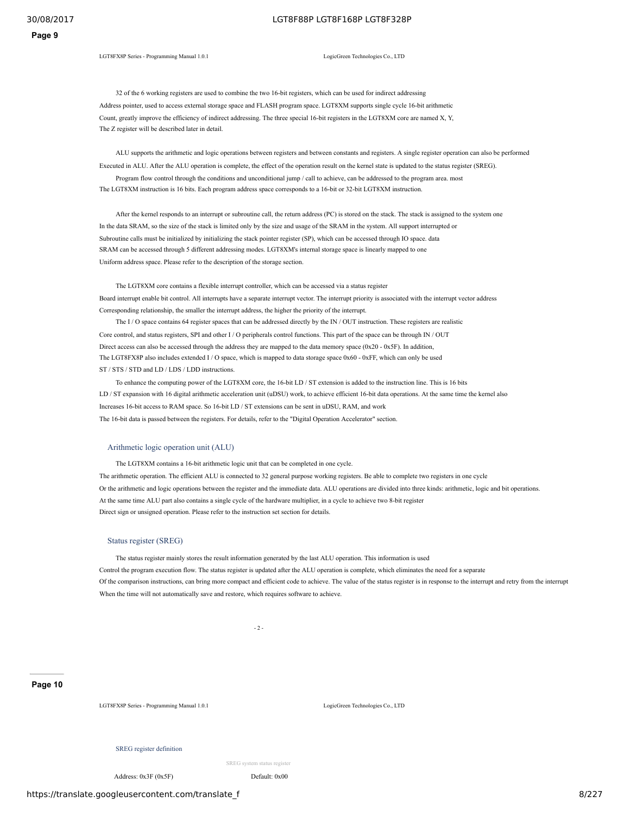LGT8FX8P Series - Programming Manual 1.0.1 LogicGreen Technologies Co., LTD

32 of the 6 working registers are used to combine the two 16-bit registers, which can be used for indirect addressing Address pointer, used to access external storage space and FLASH program space. LGT8XM supports single cycle 16-bit arithmetic Count, greatly improve the efficiency of indirect addressing. The three special 16-bit registers in the LGT8XM core are named X, Y, The Z register will be described later in detail.

ALU supports the arithmetic and logic operations between registers and between constants and registers. A single register operation can also be performed Executed in ALU. After the ALU operation is complete, the effect of the operation result on the kernel state is updated to the status register (SREG). Program flow control through the conditions and unconditional jump / call to achieve, can be addressed to the program area. most

The LGT8XM instruction is 16 bits. Each program address space corresponds to a 16-bit or 32-bit LGT8XM instruction.

After the kernel responds to an interrupt or subroutine call, the return address (PC) is stored on the stack. The stack is assigned to the system one In the data SRAM, so the size of the stack is limited only by the size and usage of the SRAM in the system. All support interrupted or Subroutine calls must be initialized by initializing the stack pointer register (SP), which can be accessed through IO space. data SRAM can be accessed through 5 different addressing modes. LGT8XM's internal storage space is linearly mapped to one Uniform address space. Please refer to the description of the storage section.

The LGT8XM core contains a flexible interrupt controller, which can be accessed via a status register Board interrupt enable bit control. All interrupts have a separate interrupt vector. The interrupt priority is associated with the interrupt vector address Corresponding relationship, the smaller the interrupt address, the higher the priority of the interrupt.

The I / O space contains 64 register spaces that can be addressed directly by the IN / OUT instruction. These registers are realistic Core control, and status registers, SPI and other I / O peripherals control functions. This part of the space can be through IN / OUT Direct access can also be accessed through the address they are mapped to the data memory space (0x20 - 0x5F). In addition, The LGT8FX8P also includes extended I / O space, which is mapped to data storage space 0x60 - 0xFF, which can only be used ST / STS / STD and LD / LDS / LDD instructions.

To enhance the computing power of the LGT8XM core, the 16-bit LD / ST extension is added to the instruction line. This is 16 bits LD / ST expansion with 16 digital arithmetic acceleration unit (uDSU) work, to achieve efficient 16-bit data operations. At the same time the kernel also Increases 16-bit access to RAM space. So 16-bit LD / ST extensions can be sent in uDSU, RAM, and work The 16-bit data is passed between the registers. For details, refer to the "Digital Operation Accelerator" section.

#### Arithmetic logic operation unit (ALU)

The LGT8XM contains a 16-bit arithmetic logic unit that can be completed in one cycle.

The arithmetic operation. The efficient ALU is connected to 32 general purpose working registers. Be able to complete two registers in one cycle Or the arithmetic and logic operations between the register and the immediate data. ALU operations are divided into three kinds: arithmetic, logic and bit operations. At the same time ALU part also contains a single cycle of the hardware multiplier, in a cycle to achieve two 8-bit register Direct sign or unsigned operation. Please refer to the instruction set section for details.

### Status register (SREG)

The status register mainly stores the result information generated by the last ALU operation. This information is used Control the program execution flow. The status register is updated after the ALU operation is complete, which eliminates the need for a separate Of the comparison instructions, can bring more compact and efficient code to achieve. The value of the status register is in response to the interrupt and retry from the interrupt When the time will not automatically save and restore, which requires software to achieve.

 $-2 -$ 

#### **Page 10**

LGT8FX8P Series - Programming Manual 1.0.1 LogicGreen Technologies Co., LTD

SREG register definition

SREG system status register

Address: 0x3F (0x5F) Default: 0x00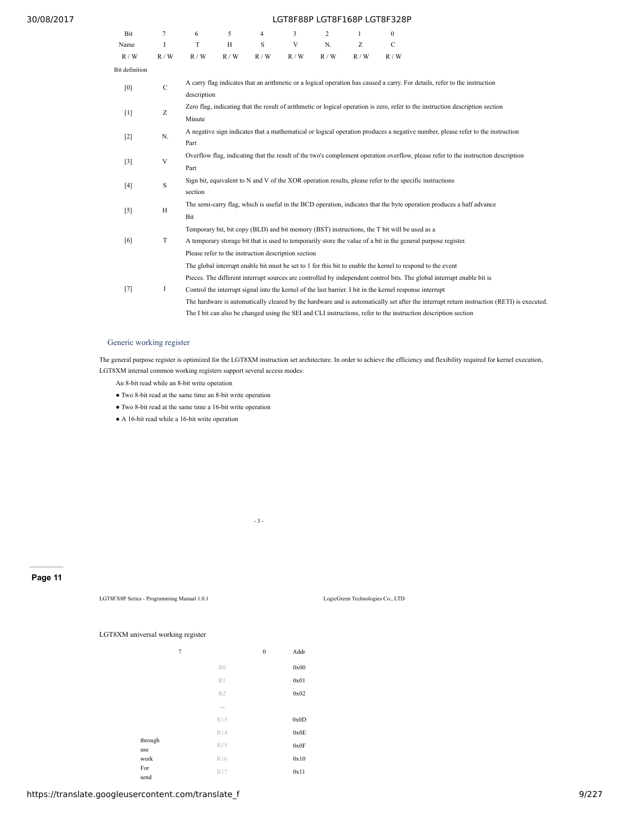| Bit            | $\tau$ | 6                                                                                                                           | 5                                                                                                                                         | $\overline{4}$ | $\overline{\mathcal{E}}$                            | $\overline{2}$ | $\mathbf{1}$ | $\theta$                                                                                                 |                                                                                                                                           |  |
|----------------|--------|-----------------------------------------------------------------------------------------------------------------------------|-------------------------------------------------------------------------------------------------------------------------------------------|----------------|-----------------------------------------------------|----------------|--------------|----------------------------------------------------------------------------------------------------------|-------------------------------------------------------------------------------------------------------------------------------------------|--|
| Name           | I      | T                                                                                                                           | Н                                                                                                                                         | S              | V                                                   | N.             | Z            | $\mathcal{C}$                                                                                            |                                                                                                                                           |  |
| R / W          | R/W    | R/W                                                                                                                         | R/W                                                                                                                                       | R / W          | R/W                                                 | R/W            | R / W        | R/W                                                                                                      |                                                                                                                                           |  |
| Bit definition |        |                                                                                                                             |                                                                                                                                           |                |                                                     |                |              |                                                                                                          |                                                                                                                                           |  |
| [0]            | C      |                                                                                                                             | A carry flag indicates that an arithmetic or a logical operation has caused a carry. For details, refer to the instruction<br>description |                |                                                     |                |              |                                                                                                          |                                                                                                                                           |  |
| $[1]$          | Ζ      | Minute                                                                                                                      | Zero flag, indicating that the result of arithmetic or logical operation is zero, refer to the instruction description section            |                |                                                     |                |              |                                                                                                          |                                                                                                                                           |  |
| $[2]$          | N.     | Part                                                                                                                        |                                                                                                                                           |                |                                                     |                |              |                                                                                                          | A negative sign indicates that a mathematical or logical operation produces a negative number, please refer to the instruction            |  |
| $[3]$          | V      | Part                                                                                                                        | Overflow flag, indicating that the result of the two's complement operation overflow, please refer to the instruction description         |                |                                                     |                |              |                                                                                                          |                                                                                                                                           |  |
| $[4]$          | S      | section                                                                                                                     | Sign bit, equivalent to N and V of the XOR operation results, please refer to the specific instructions                                   |                |                                                     |                |              |                                                                                                          |                                                                                                                                           |  |
| $[5]$          | H      | The semi-carry flag, which is useful in the BCD operation, indicates that the byte operation produces a half advance<br>Bit |                                                                                                                                           |                |                                                     |                |              |                                                                                                          |                                                                                                                                           |  |
|                |        |                                                                                                                             |                                                                                                                                           |                |                                                     |                |              | Temporary bit, bit copy (BLD) and bit memory (BST) instructions, the T bit will be used as a             |                                                                                                                                           |  |
| [6]            | T      |                                                                                                                             |                                                                                                                                           |                |                                                     |                |              |                                                                                                          | A temporary storage bit that is used to temporarily store the value of a bit in the general purpose register.                             |  |
|                |        |                                                                                                                             |                                                                                                                                           |                | Please refer to the instruction description section |                |              |                                                                                                          |                                                                                                                                           |  |
|                |        |                                                                                                                             |                                                                                                                                           |                |                                                     |                |              |                                                                                                          | The global interrupt enable bit must be set to 1 for this bit to enable the kernel to respond to the event                                |  |
|                |        |                                                                                                                             |                                                                                                                                           |                |                                                     |                |              |                                                                                                          | Pieces. The different interrupt sources are controlled by independent control bits. The global interrupt enable bit is                    |  |
| $[7]$          | Ι      |                                                                                                                             |                                                                                                                                           |                |                                                     |                |              | Control the interrupt signal into the kernel of the last barrier. I bit in the kernel response interrupt |                                                                                                                                           |  |
|                |        |                                                                                                                             |                                                                                                                                           |                |                                                     |                |              |                                                                                                          | The hardware is automatically cleared by the hardware and is automatically set after the interrupt return instruction (RETI) is executed. |  |
|                |        |                                                                                                                             |                                                                                                                                           |                |                                                     |                |              |                                                                                                          | The I bit can also be changed using the SEI and CLI instructions, refer to the instruction description section                            |  |

### Generic working register

The general purpose register is optimized for the LGT8XM instruction set architecture. In order to achieve the efficiency and flexibility required for kernel execution, LGT8XM internal common working registers support several access modes:

An 8-bit read while an 8-bit write operation

- Two 8-bit read at the same time an 8-bit write operation
- Two 8-bit read at the same time a 16-bit write operation
- A 16-bit read while a 16-bit write operation

- 3 -

### **Page 11**

LGT8FX8P Series - Programming Manual 1.0.1 LogicGreen Technologies Co., LTD

### LGT8XM universal working register

| Addr |
|------|
| 0x00 |
| 0x01 |
| 0x02 |
|      |
| 0x0D |
| 0x0E |
| 0x0F |
| 0x10 |
| 0x11 |
|      |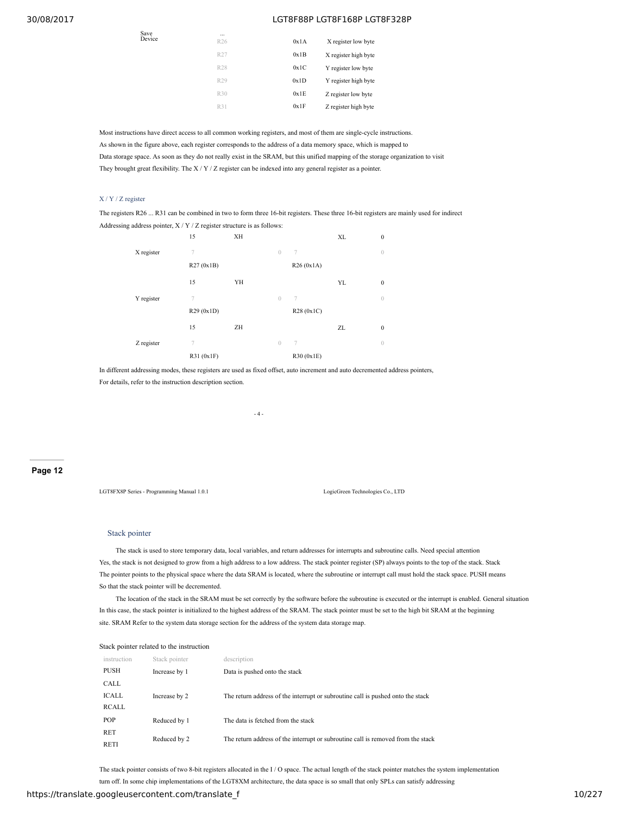| Save<br>Device | $\cdots$<br>R26 | 0x1A | X register low byte  |
|----------------|-----------------|------|----------------------|
|                | R27             | 0x1B | X register high byte |
|                | R28             | 0x1C | Y register low byte  |
|                | R29             | 0x1D | Y register high byte |
|                | R30             | 0x1E | Z register low byte  |
|                | R31             | 0x1F | Z register high byte |
|                |                 |      |                      |

Most instructions have direct access to all common working registers, and most of them are single-cycle instructions. As shown in the figure above, each register corresponds to the address of a data memory space, which is mapped to Data storage space. As soon as they do not really exist in the SRAM, but this unified mapping of the storage organization to visit They brought great flexibility. The X / Y / Z register can be indexed into any general register as a pointer.

### X / Y / Z register

The registers R26 ... R31 can be combined in two to form three 16-bit registers. These three 16-bit registers are mainly used for indirect Addressing address pointer, X / Y / Z register structure is as follows:

|            | 15         | XH |                          | <b>XL</b> | $\boldsymbol{0}$ |
|------------|------------|----|--------------------------|-----------|------------------|
| X register | 7          |    | $\overline{0}$<br>7      |           | $\overline{0}$   |
|            | R27(0x1B)  |    | R26 (0x1A)               |           |                  |
|            | 15         | YH |                          | YL        | $\boldsymbol{0}$ |
| Y register | 7          |    | $\overline{0}$<br>$\tau$ |           | $\overline{0}$   |
|            | R29(0x1D)  |    | R28 (0x1C)               |           |                  |
|            | 15         | ZH |                          | ZL        | $\boldsymbol{0}$ |
| Z register | 7          |    | $\overline{0}$<br>$\tau$ |           | $\overline{0}$   |
|            | R31 (0x1F) |    | R30 (0x1E)               |           |                  |

In different addressing modes, these registers are used as fixed offset, auto increment and auto decremented address pointers, For details, refer to the instruction description section.

- 4 -

#### **Page 12**

LGT8FX8P Series - Programming Manual 1.0.1 LogicGreen Technologies Co., LTD

#### Stack pointer

The stack is used to store temporary data, local variables, and return addresses for interrupts and subroutine calls. Need special attention Yes, the stack is not designed to grow from a high address to a low address. The stack pointer register (SP) always points to the top of the stack. Stack The pointer points to the physical space where the data SRAM is located, where the subroutine or interrupt call must hold the stack space. PUSH means So that the stack pointer will be decremented.

The location of the stack in the SRAM must be set correctly by the software before the subroutine is executed or the interrupt is enabled. General situation In this case, the stack pointer is initialized to the highest address of the SRAM. The stack pointer must be set to the high bit SRAM at the beginning site. SRAM Refer to the system data storage section for the address of the system data storage map.

| Stack pointer related to the instruction |               |                                                                                  |  |
|------------------------------------------|---------------|----------------------------------------------------------------------------------|--|
| instruction                              | Stack pointer | description                                                                      |  |
| <b>PUSH</b>                              | Increase by 1 | Data is pushed onto the stack                                                    |  |
| CALL                                     |               |                                                                                  |  |
| ICALL                                    | Increase by 2 | The return address of the interrupt or subroutine call is pushed onto the stack  |  |
| RCALL                                    |               |                                                                                  |  |
| <b>POP</b>                               | Reduced by 1  | The data is fetched from the stack                                               |  |
| <b>RET</b>                               |               |                                                                                  |  |
| <b>RETI</b>                              | Reduced by 2  | The return address of the interrupt or subroutine call is removed from the stack |  |

The stack pointer consists of two 8-bit registers allocated in the I/O space. The actual length of the stack pointer matches the system implementation

turn off. In some chip implementations of the LGT8XM architecture, the data space is so small that only SPLs can satisfy addressing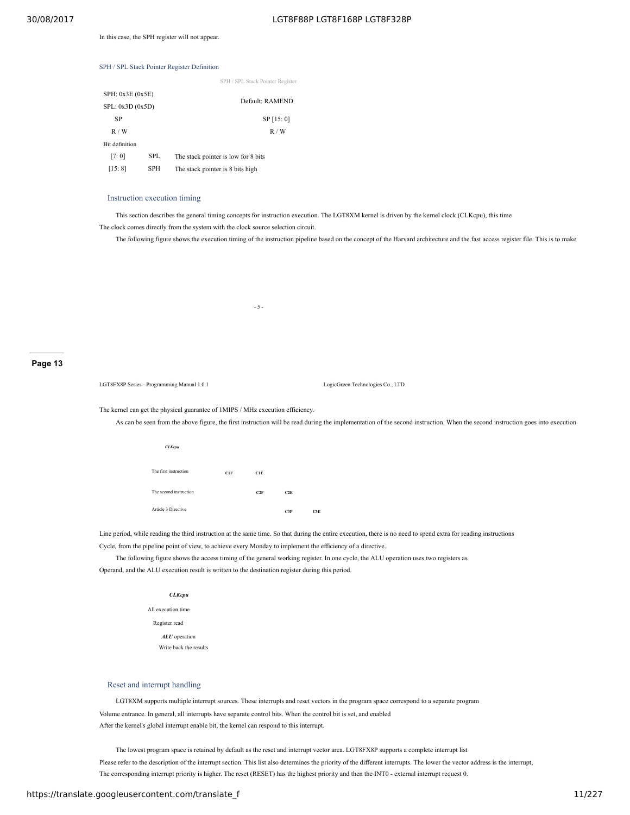In this case, the SPH register will not appear.

### SPH / SPL Stack Pointer Register Definition

|  | SPH / SPL Stack Pointer Register |  |
|--|----------------------------------|--|
|--|----------------------------------|--|

| SPH: 0x3E (0x5E) |            |                                     |  |
|------------------|------------|-------------------------------------|--|
| SPL: 0x3D (0x5D) |            | Default: RAMEND                     |  |
| SP               |            | SP [15:0]                           |  |
| R/W              |            | R/W                                 |  |
| Bit definition   |            |                                     |  |
| [7:0]            | <b>SPL</b> | The stack pointer is low for 8 bits |  |
| [15:8]           | <b>SPH</b> | The stack pointer is 8 bits high    |  |

#### Instruction execution timing

This section describes the general timing concepts for instruction execution. The LGT8XM kernel is driven by the kernel clock (CLKcpu), this time The clock comes directly from the system with the clock source selection circuit.

The following figure shows the execution timing of the instruction pipeline based on the concept of the Harvard architecture and the fast access register file. This is to make

- 5 -

#### **Page 13**

LGT8FX8P Series - Programming Manual 1.0.1 LogicGreen Technologies Co., LTD

The kernel can get the physical guarantee of 1MIPS / MHz execution efficiency.

As can be seen from the above figure, the first instruction will be read during the implementation of the second instruction. When the second instruction goes into execution

| <b>CLKcpu</b>          |     |     |     |
|------------------------|-----|-----|-----|
| The first instruction  | C1F | CIE |     |
| The second instruction |     | C2F | C2E |
| Article 3 Directive    |     |     | C3F |

Line period, while reading the third instruction at the same time. So that during the entire execution, there is no need to spend extra for reading instructions Cycle, from the pipeline point of view, to achieve every Monday to implement the efficiency of a directive.

**C3F C3E**

The following figure shows the access timing of the general working register. In one cycle, the ALU operation uses two registers as

Operand, and the ALU execution result is written to the destination register during this period.

#### *CLKcpu*

All execution time Register read *ALU* operation Write back the results

### Reset and interrupt handling

LGT8XM supports multiple interrupt sources. These interrupts and reset vectors in the program space correspond to a separate program Volume entrance. In general, all interrupts have separate control bits. When the control bit is set, and enabled After the kernel's global interrupt enable bit, the kernel can respond to this interrupt.

The lowest program space is retained by default as the reset and interrupt vector area. LGT8FX8P supports a complete interrupt list Please refer to the description of the interrupt section. This list also determines the priority of the different interrupts. The lower the vector address is the interrupt, The corresponding interrupt priority is higher. The reset (RESET) has the highest priority and then the INT0 - external interrupt request 0.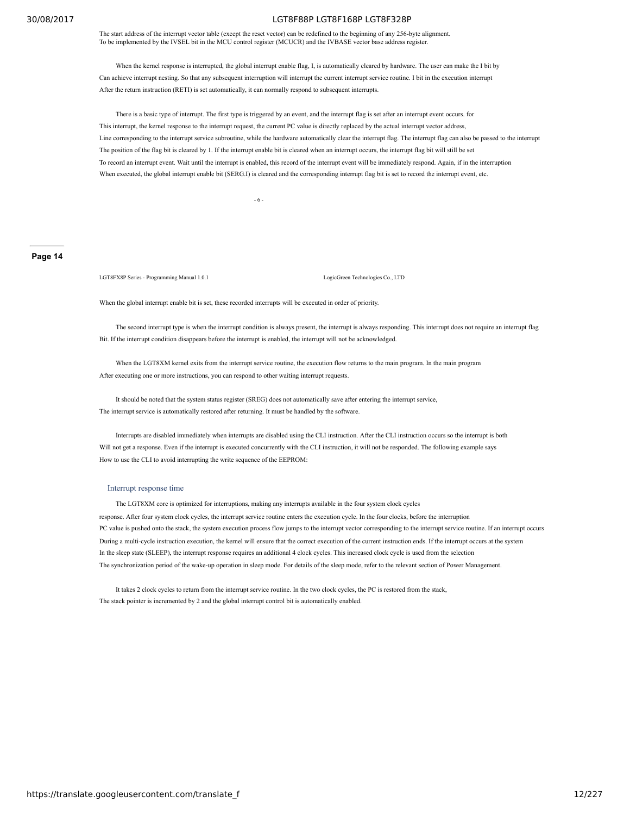The start address of the interrupt vector table (except the reset vector) can be redefined to the beginning of any 256-byte alignment. To be implemented by the IVSEL bit in the MCU control register (MCUCR) and the IVBASE vector base address register.

When the kernel response is interrupted, the global interrupt enable flag, I, is automatically cleared by hardware. The user can make the I bit by Can achieve interrupt nesting. So that any subsequent interruption will interrupt the current interrupt service routine. I bit in the execution interrupt After the return instruction (RETI) is set automatically, it can normally respond to subsequent interrupts.

There is a basic type of interrupt. The first type is triggered by an event, and the interrupt flag is set after an interrupt event occurs. for This interrupt, the kernel response to the interrupt request, the current PC value is directly replaced by the actual interrupt vector address, Line corresponding to the interrupt service subroutine, while the hardware automatically clear the interrupt flag. The interrupt flag can also be passed to the interrupt The position of the flag bit is cleared by 1. If the interrupt enable bit is cleared when an interrupt occurs, the interrupt flag bit will still be set To record an interrupt event. Wait until the interrupt is enabled, this record of the interrupt event will be immediately respond. Again, if in the interruption When executed, the global interrupt enable bit (SERG.I) is cleared and the corresponding interrupt flag bit is set to record the interrupt event, etc.

- 6 -

### **Page 14**

LGT8FX8P Series - Programming Manual 1.0.1 LogicGreen Technologies Co., LTD

When the global interrupt enable bit is set, these recorded interrupts will be executed in order of priority.

The second interrupt type is when the interrupt condition is always present, the interrupt is always responding. This interrupt does not require an interrupt flag Bit. If the interrupt condition disappears before the interrupt is enabled, the interrupt will not be acknowledged.

When the LGT8XM kernel exits from the interrupt service routine, the execution flow returns to the main program. In the main program After executing one or more instructions, you can respond to other waiting interrupt requests.

It should be noted that the system status register (SREG) does not automatically save after entering the interrupt service, The interrupt service is automatically restored after returning. It must be handled by the software.

Interrupts are disabled immediately when interrupts are disabled using the CLI instruction. After the CLI instruction occurs so the interrupt is both Will not get a response. Even if the interrupt is executed concurrently with the CLI instruction, it will not be responded. The following example says How to use the CLI to avoid interrupting the write sequence of the EEPROM:

#### Interrupt response time

The LGT8XM core is optimized for interruptions, making any interrupts available in the four system clock cycles response. After four system clock cycles, the interrupt service routine enters the execution cycle. In the four clocks, before the interruption PC value is pushed onto the stack, the system execution process flow jumps to the interrupt vector corresponding to the interrupt service routine. If an interrupt occurs During a multi-cycle instruction execution, the kernel will ensure that the correct execution of the current instruction ends. If the interrupt occurs at the system In the sleep state (SLEEP), the interrupt response requires an additional 4 clock cycles. This increased clock cycle is used from the selection The synchronization period of the wake-up operation in sleep mode. For details of the sleep mode, refer to the relevant section of Power Management.

It takes 2 clock cycles to return from the interrupt service routine. In the two clock cycles, the PC is restored from the stack, The stack pointer is incremented by 2 and the global interrupt control bit is automatically enabled.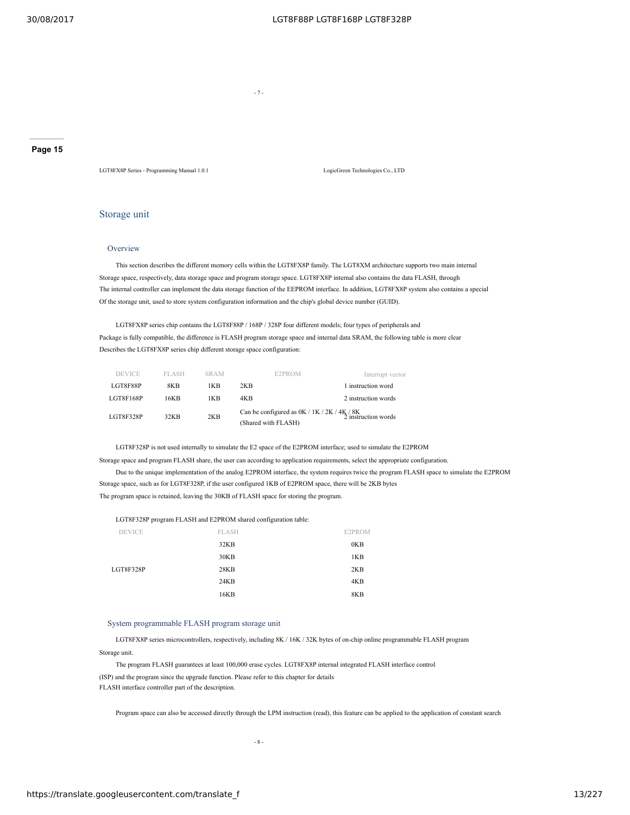- 7 -

**Page 15**

LGT8FX8P Series - Programming Manual 1.0.1 LogicGreen Technologies Co., LTD

### Storage unit

### **Overview**

This section describes the different memory cells within the LGT8FX8P family. The LGT8XM architecture supports two main internal Storage space, respectively, data storage space and program storage space. LGT8FX8P internal also contains the data FLASH, through The internal controller can implement the data storage function of the EEPROM interface. In addition, LGT8FX8P system also contains a special Of the storage unit, used to store system configuration information and the chip's global device number (GUID).

LGT8FX8P series chip contains the LGT8F88P / 168P / 328P four different models; four types of peripherals and Package is fully compatible, the difference is FLASH program storage space and internal data SRAM, the following table is more clear Describes the LGT8FX8P series chip different storage space configuration:

| <b>DEVICE</b> | <b>FLASH</b> | <b>SRAM</b> | E2PROM                                                                                      | Interrupt vector    |
|---------------|--------------|-------------|---------------------------------------------------------------------------------------------|---------------------|
| LGT8F88P      | 8KB          | 1KB         | 2KB                                                                                         | 1 instruction word  |
| LGT8F168P     | 16KB         | 1KB         | 4KB                                                                                         | 2 instruction words |
| LGT8F328P     | 32KB         | 2KB         | Can be configured as $0K / 1K / 2K / 4K / 8K$<br>2 instruction words<br>(Shared with FLASH) |                     |

LGT8F328P is not used internally to simulate the E2 space of the E2PROM interface; used to simulate the E2PROM Storage space and program FLASH share, the user can according to application requirements, select the appropriate configuration.

Due to the unique implementation of the analog E2PROM interface, the system requires twice the program FLASH space to simulate the E2PROM Storage space, such as for LGT8F328P, if the user configured 1KB of E2PROM space, there will be 2KB bytes The program space is retained, leaving the 30KB of FLASH space for storing the program.

LGT8F328P program FLASH and E2PROM shared configuration table:

| <b>DEVICE</b> | <b>FLASH</b> | E2PROM |
|---------------|--------------|--------|
|               | 32KB         | 0KB    |
|               | 30KB         | 1KB    |
| LGT8F328P     | 28KB         | 2KB    |
|               | 24KB         | 4KB    |
|               | 16KB         | 8KB    |

### System programmable FLASH program storage unit

LGT8FX8P series microcontrollers, respectively, including 8K / 16K / 32K bytes of on-chip online programmable FLASH program

#### Storage unit.

The program FLASH guarantees at least 100,000 erase cycles. LGT8FX8P internal integrated FLASH interface control (ISP) and the program since the upgrade function. Please refer to this chapter for details FLASH interface controller part of the description.

Program space can also be accessed directly through the LPM instruction (read), this feature can be applied to the application of constant search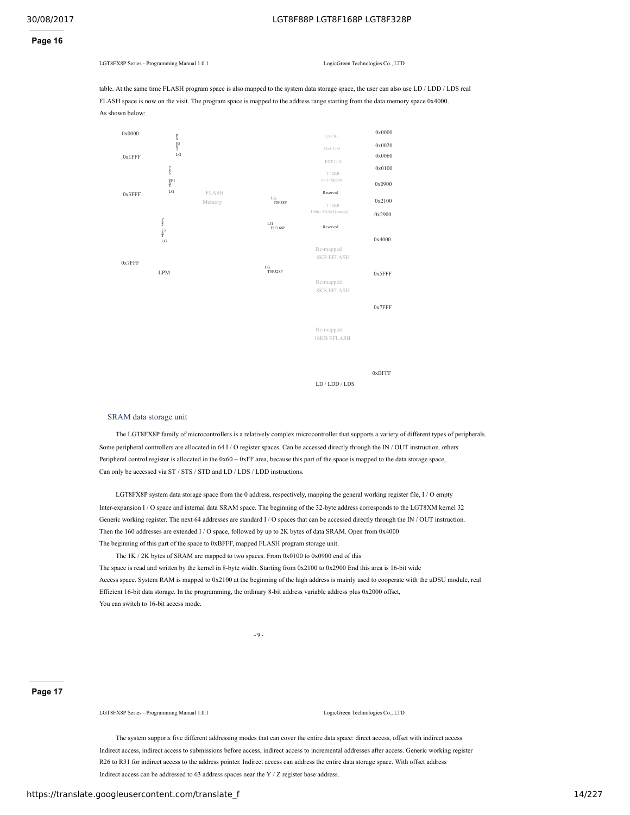### **Page 16**

LGT8FX8P Series - Programming Manual 1.0.1 LogicGreen Technologies Co., LTD

table. At the same time FLASH program space is also mapped to the system data storage space, the user can also use LD / LDD / LDS real FLASH space is now on the visit. The program space is mapped to the address range starting from the data memory space 0x4000. As shown below:



0xBFFF

LD / LDD / LDS

### SRAM data storage unit

The LGT8FX8P family of microcontrollers is a relatively complex microcontroller that supports a variety of different types of peripherals. Some peripheral controllers are allocated in 64 I / O register spaces. Can be accessed directly through the IN / OUT instruction. others Peripheral control register is allocated in the  $0x60 - 0xFF$  area, because this part of the space is mapped to the data storage space, Can only be accessed via ST / STS / STD and LD / LDS / LDD instructions.

LGT8FX8P system data storage space from the 0 address, respectively, mapping the general working register file, I / O empty Inter-expansion I / O space and internal data SRAM space. The beginning of the 32-byte address corresponds to the LGT8XM kernel 32 Generic working register. The next 64 addresses are standard I / O spaces that can be accessed directly through the IN / OUT instruction. Then the 160 addresses are extended I / O space, followed by up to 2K bytes of data SRAM. Open from 0x4000 The beginning of this part of the space to 0xBFFF, mapped FLASH program storage unit.

The 1K / 2K bytes of SRAM are mapped to two spaces. From 0x0100 to 0x0900 end of this The space is read and written by the kernel in 8-byte width. Starting from 0x2100 to 0x2900 End this area is 16-bit wide Access space. System RAM is mapped to 0x2100 at the beginning of the high address is mainly used to cooperate with the uDSU module, real Efficient 16-bit data storage. In the programming, the ordinary 8-bit address variable address plus 0x2000 offset, You can switch to 16-bit access mode.

 $-9 -$ 

### **Page 17**

LGT8FX8P Series - Programming Manual 1.0.1 LogicGreen Technologies Co., LTD

The system supports five different addressing modes that can cover the entire data space: direct access, offset with indirect access Indirect access, indirect access to submissions before access, indirect access to incremental addresses after access. Generic working register R26 to R31 for indirect access to the address pointer. Indirect access can address the entire data storage space. With offset address Indirect access can be addressed to 63 address spaces near the Y / Z register base address.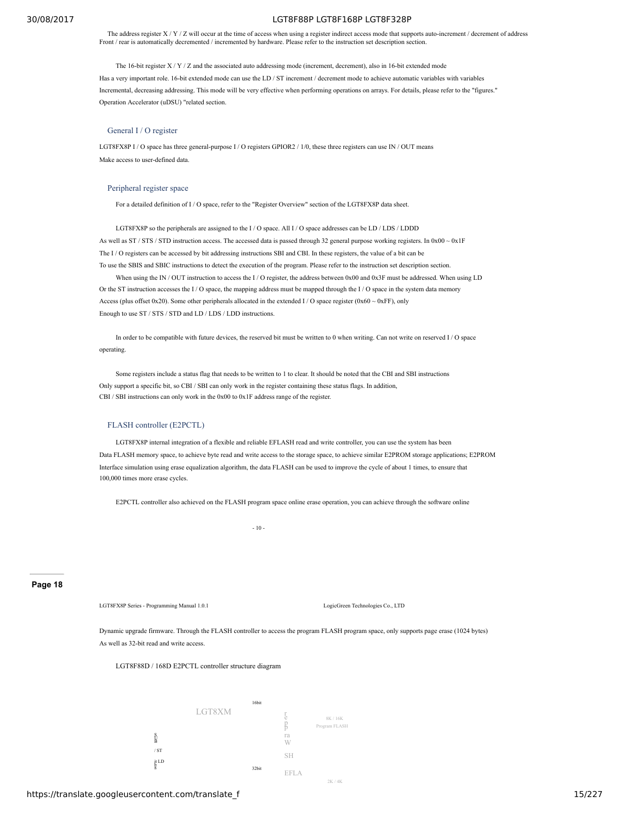The address register X / Y / Z will occur at the time of access when using a register indirect access mode that supports auto-increment / decrement of address Front / rear is automatically decremented / incremented by hardware. Please refer to the instruction set description section.

The 16-bit register  $X / Y / Z$  and the associated auto addressing mode (increment, decrement), also in 16-bit extended mode

Has a very important role. 16-bit extended mode can use the LD / ST increment / decrement mode to achieve automatic variables with variables Incremental, decreasing addressing. This mode will be very effective when performing operations on arrays. For details, please refer to the "figures." Operation Accelerator (uDSU) "related section.

### General I / O register

LGT8FX8P I / O space has three general-purpose I / O registers GPIOR2 / 1/0, these three registers can use IN / OUT means Make access to user-defined data.

#### Peripheral register space

For a detailed definition of I / O space, refer to the "Register Overview" section of the LGT8FX8P data sheet.

LGT8FX8P so the peripherals are assigned to the I / O space. All I / O space addresses can be LD / LDS / LDDD As well as ST / STS / STD instruction access. The accessed data is passed through 32 general purpose working registers. In 0x00 ~ 0x1F The I / O registers can be accessed by bit addressing instructions SBI and CBI. In these registers, the value of a bit can be To use the SBIS and SBIC instructions to detect the execution of the program. Please refer to the instruction set description section.

When using the IN / OUT instruction to access the I/O register, the address between 0x00 and 0x3F must be addressed. When using LD Or the ST instruction accesses the I / O space, the mapping address must be mapped through the I / O space in the system data memory Access (plus offset 0x20). Some other peripherals allocated in the extended I / O space register (0x60  $\sim$  0xFF), only Enough to use ST / STS / STD and LD / LDS / LDD instructions.

In order to be compatible with future devices, the reserved bit must be written to 0 when writing. Can not write on reserved I / O space operating.

Some registers include a status flag that needs to be written to 1 to clear. It should be noted that the CBI and SBI instructions Only support a specific bit, so CBI / SBI can only work in the register containing these status flags. In addition, CBI / SBI instructions can only work in the 0x00 to 0x1F address range of the register.

### FLASH controller (E2PCTL)

LGT8FX8P internal integration of a flexible and reliable EFLASH read and write controller, you can use the system has been Data FLASH memory space, to achieve byte read and write access to the storage space, to achieve similar E2PROM storage applications; E2PROM Interface simulation using erase equalization algorithm, the data FLASH can be used to improve the cycle of about 1 times, to ensure that 100,000 times more erase cycles.

E2PCTL controller also achieved on the FLASH program space online erase operation, you can achieve through the software online

 $-10-$ 

#### **Page 18**

LGT8FX8P Series - Programming Manual 1.0.1 LogicGreen Technologies Co., LTD

Dynamic upgrade firmware. Through the FLASH controller to access the program FLASH program space, only supports page erase (1024 bytes) As well as 32-bit read and write access.

LGT8F88D / 168D E2PCTL controller structure diagram

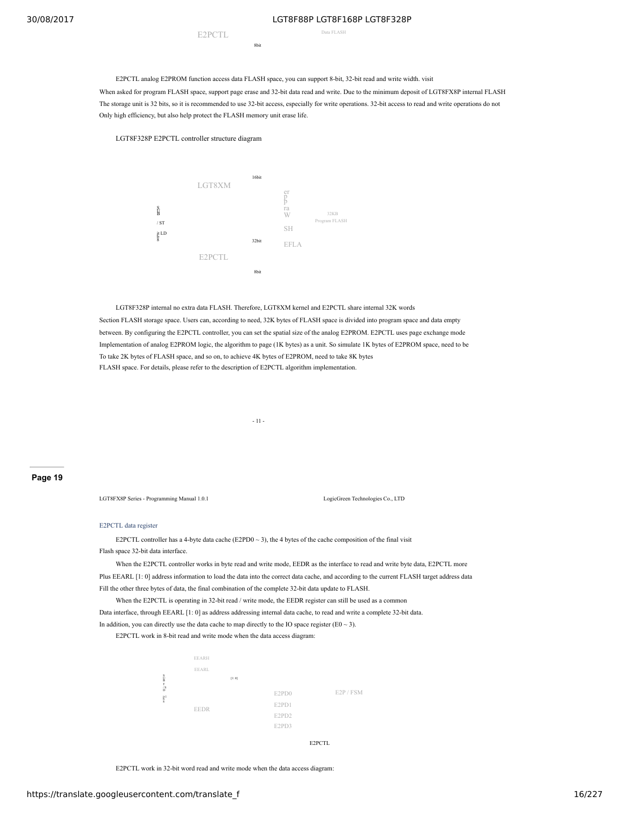E2PCTL Data FLASH

E2PCTL analog E2PROM function access data FLASH space, you can support 8-bit, 32-bit read and write width. visit

8bit

When asked for program FLASH space, support page erase and 32-bit data read and write. Due to the minimum deposit of LGT8FX8P internal FLASH The storage unit is 32 bits, so it is recommended to use 32-bit access, especially for write operations. 32-bit access to read and write operations do not Only high efficiency, but also help protect the FLASH memory unit erase life.

#### LGT8F328P E2PCTL controller structure diagram



LGT8F328P internal no extra data FLASH. Therefore, LGT8XM kernel and E2PCTL share internal 32K words

Section FLASH storage space. Users can, according to need, 32K bytes of FLASH space is divided into program space and data empty between. By configuring the E2PCTL controller, you can set the spatial size of the analog E2PROM. E2PCTL uses page exchange mode Implementation of analog E2PROM logic, the algorithm to page (1K bytes) as a unit. So simulate 1K bytes of E2PROM space, need to be To take 2K bytes of FLASH space, and so on, to achieve 4K bytes of E2PROM, need to take 8K bytes FLASH space. For details, please refer to the description of E2PCTL algorithm implementation.

- 11 -

#### **Page 19**

LGT8FX8P Series - Programming Manual 1.0.1 LogicGreen Technologies Co., LTD

#### E2PCTL data register

E2PCTL controller has a 4-byte data cache (E2PD0  $\sim$  3), the 4 bytes of the cache composition of the final visit Flash space 32-bit data interface.

When the E2PCTL controller works in byte read and write mode, EEDR as the interface to read and write byte data, E2PCTL more Plus EEARL [1: 0] address information to load the data into the correct data cache, and according to the current FLASH target address data Fill the other three bytes of data, the final combination of the complete 32-bit data update to FLASH.

When the E2PCTL is operating in 32-bit read / write mode, the EEDR register can still be used as a common

Data interface, through EEARL [1: 0] as address addressing internal data cache, to read and write a complete 32-bit data. In addition, you can directly use the data cache to map directly to the IO space register ( $E0 \sim 3$ ).

E2PCTL work in 8-bit read and write mode when the data access diagram:



E2PCTL work in 32-bit word read and write mode when the data access diagram: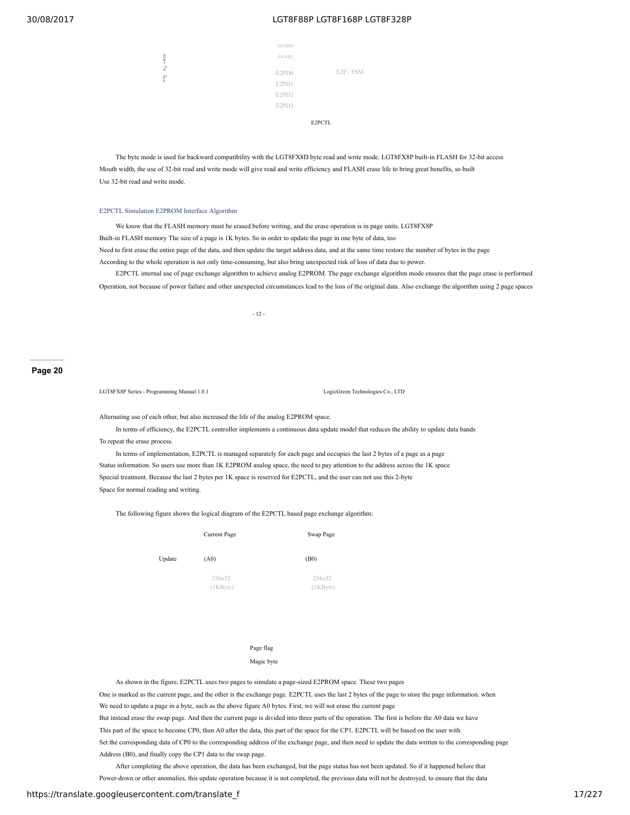| <b>EEARH</b> |         |  |
|--------------|---------|--|
|              |         |  |
| <b>EEARL</b> |         |  |
|              |         |  |
| E2PD0        | E2P/FSM |  |
| E2PD1        |         |  |
| E2PD2        |         |  |
|              |         |  |
| E2PD3        |         |  |
|              |         |  |
|              | E2PCTL  |  |

The byte mode is used for backward compatibility with the LGT8FX8D byte read and write mode. LGT8FX8P built-in FLASH for 32-bit access Mouth width, the use of 32-bit read and write mode will give read and write efficiency and FLASH erase life to bring great benefits, so built Use 32-bit read and write mode.

#### E2PCTL Simulation E2PROM Interface Algorithm

8 b it l T<br>/ S<br>D S<br>B

We know that the FLASH memory must be erased before writing, and the erase operation is in page units. LGT8FX8P Built-in FLASH memory The size of a page is 1K bytes. So in order to update the page in one byte of data, too Need to first erase the entire page of the data, and then update the target address data, and at the same time restore the number of bytes in the page According to the whole operation is not only time-consuming, but also bring unexpected risk of loss of data due to power.

E2PCTL internal use of page exchange algorithm to achieve analog E2PROM. The page exchange algorithm mode ensures that the page erase is performed Operation, not because of power failure and other unexpected circumstances lead to the loss of the original data. Also exchange the algorithm using 2 page spaces

 $-12 -$ 

#### **Page 20**

LGT8FX8P Series - Programming Manual 1.0.1 LogicGreen Technologies Co., LTD

Alternating use of each other, but also increased the life of the analog E2PROM space.

In terms of efficiency, the E2PCTL controller implements a continuous data update model that reduces the ability to update data bands To repeat the erase process.

In terms of implementation, E2PCTL is managed separately for each page and occupies the last 2 bytes of a page as a page Status information. So users use more than 1K E2PROM analog space, the need to pay attention to the address across the 1K space Special treatment. Because the last 2 bytes per 1K space is reserved for E2PCTL, and the user can not use this 2-byte Space for normal reading and writing.

The following figure shows the logical diagram of the E2PCTL based page exchange algorithm:

|        | Current Page    | Swap Page             |  |
|--------|-----------------|-----------------------|--|
| Update | (A0)            | (B0)                  |  |
|        | 256x32<br>(1KB) | 256x32<br>$(1KB$ yte) |  |

#### Page flag

#### Magic byte

As shown in the figure, E2PCTL uses two pages to simulate a page-sized E2PROM space. These two pages One is marked as the current page, and the other is the exchange page. E2PCTL uses the last 2 bytes of the page to store the page information. when We need to update a page in a byte, such as the above figure A0 bytes. First, we will not erase the current page But instead erase the swap page. And then the current page is divided into three parts of the operation. The first is before the A0 data we have This part of the space to become CP0, then A0 after the data, this part of the space for the CP1. E2PCTL will be based on the user with Set the corresponding data of CP0 to the corresponding address of the exchange page, and then need to update the data written to the corresponding page Address (B0), and finally copy the CP1 data to the swap page.

After completing the above operation, the data has been exchanged, but the page status has not been updated. So if it happened before that Power-down or other anomalies, this update operation because it is not completed, the previous data will not be destroyed, to ensure that the data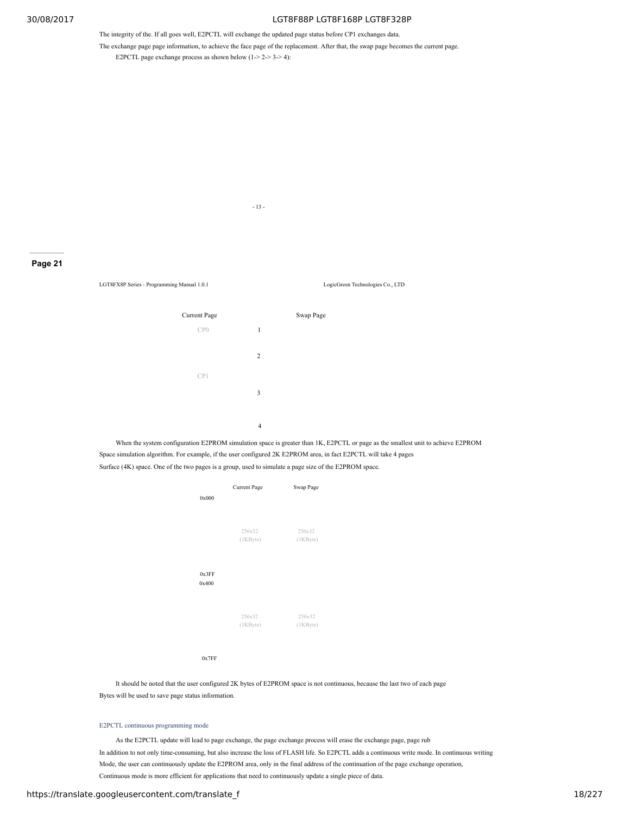The integrity of the. If all goes well, E2PCTL will exchange the updated page status before CP1 exchanges data.

- 13 -

The exchange page page information, to achieve the face page of the replacement. After that, the swap page becomes the current page. E2PCTL page exchange process as shown below  $(1-2-3-4)$ :

**Page 21**

LGT8FX8P Series - Programming Manual 1.0.1 LogicGreen Technologies Co., LTD



When the system configuration E2PROM simulation space is greater than 1K, E2PCTL or page as the smallest unit to achieve E2PROM Space simulation algorithm. For example, if the user configured 2K E2PROM area, in fact E2PCTL will take 4 pages Surface (4K) space. One of the two pages is a group, used to simulate a page size of the E2PROM space.

|       | Current Page    | Swap Page       |  |
|-------|-----------------|-----------------|--|
| 0x000 |                 |                 |  |
|       |                 |                 |  |
|       | 256x32          | 256x32          |  |
|       | (1KB)           | $(1KB$ yte)     |  |
|       |                 |                 |  |
| 0x3FF |                 |                 |  |
| 0x400 |                 |                 |  |
|       |                 |                 |  |
|       |                 |                 |  |
|       | 256x32<br>(1KB) | 256x32<br>(1KB) |  |
|       |                 |                 |  |
|       |                 |                 |  |
|       |                 |                 |  |

0x7FF

It should be noted that the user configured 2K bytes of E2PROM space is not continuous, because the last two of each page Bytes will be used to save page status information.

#### E2PCTL continuous programming mode

As the E2PCTL update will lead to page exchange, the page exchange process will erase the exchange page, page rub In addition to not only time-consuming, but also increase the loss of FLASH life. So E2PCTL adds a continuous write mode. In continuous writing Mode, the user can continuously update the E2PROM area, only in the final address of the continuation of the page exchange operation, Continuous mode is more efficient for applications that need to continuously update a single piece of data.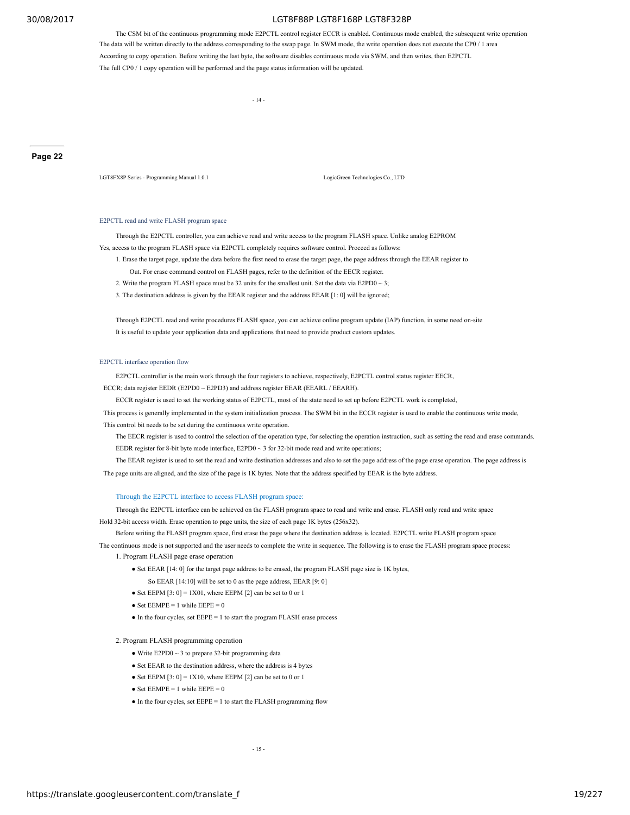The CSM bit of the continuous programming mode E2PCTL control register ECCR is enabled. Continuous mode enabled, the subsequent write operation The data will be written directly to the address corresponding to the swap page. In SWM mode, the write operation does not execute the CP0 / 1 area According to copy operation. Before writing the last byte, the software disables continuous mode via SWM, and then writes, then E2PCTL The full CP0 / 1 copy operation will be performed and the page status information will be updated.

- 14 -

#### **Page 22**

LGT8FX8P Series - Programming Manual 1.0.1 LogicGreen Technologies Co., LTD

#### E2PCTL read and write FLASH program space

Through the E2PCTL controller, you can achieve read and write access to the program FLASH space. Unlike analog E2PROM Yes, access to the program FLASH space via E2PCTL completely requires software control. Proceed as follows:

1. Erase the target page, update the data before the first need to erase the target page, the page address through the EEAR register to

Out. For erase command control on FLASH pages, refer to the definition of the EECR register.

2. Write the program FLASH space must be 32 units for the smallest unit. Set the data via E2PD0  $\sim$  3;

3. The destination address is given by the EEAR register and the address EEAR [1: 0] will be ignored;

Through E2PCTL read and write procedures FLASH space, you can achieve online program update (IAP) function, in some need on-site It is useful to update your application data and applications that need to provide product custom updates.

#### E2PCTL interface operation flow

E2PCTL controller is the main work through the four registers to achieve, respectively, E2PCTL control status register EECR,

ECCR; data register EEDR (E2PD0 ~ E2PD3) and address register EEAR (EEARL / EEARH).

ECCR register is used to set the working status of E2PCTL, most of the state need to set up before E2PCTL work is completed,

This process is generally implemented in the system initialization process. The SWM bit in the ECCR register is used to enable the continuous write mode,

This control bit needs to be set during the continuous write operation.

The EECR register is used to control the selection of the operation type, for selecting the operation instruction, such as setting the read and erase commands. EEDR register for 8-bit byte mode interface, E2PD0 ~ 3 for 32-bit mode read and write operations;

The EEAR register is used to set the read and write destination addresses and also to set the page address of the page erase operation. The page address is

The page units are aligned, and the size of the page is 1K bytes. Note that the address specified by EEAR is the byte address.

#### Through the E2PCTL interface to access FLASH program space:

Through the E2PCTL interface can be achieved on the FLASH program space to read and write and erase. FLASH only read and write space Hold 32-bit access width. Erase operation to page units, the size of each page 1K bytes (256x32).

Before writing the FLASH program space, first erase the page where the destination address is located. E2PCTL write FLASH program space

The continuous mode is not supported and the user needs to complete the write in sequence. The following is to erase the FLASH program space process:

- 1. Program FLASH page erase operation
	- Set EEAR [14: 0] for the target page address to be erased, the program FLASH page size is 1K bytes,
		- So EEAR [14:10] will be set to 0 as the page address, EEAR [9: 0]
	- Set EEPM  $[3: 0] = 1X01$ , where EEPM  $[2]$  can be set to 0 or 1
	- Set  $EEMPE = 1$  while  $EEPE = 0$
	- $\bullet$  In the four cycles, set EEPE = 1 to start the program FLASH erase process

2. Program FLASH programming operation

- Write  $E2PD0 \sim 3$  to prepare 32-bit programming data
- Set EEAR to the destination address, where the address is 4 bytes
- Set EEPM  $[3: 0] = 1 \times 10$ , where EEPM  $[2]$  can be set to 0 or 1
- Set  $EEMPE = 1$  while  $EEPE = 0$
- $\bullet$  In the four cycles, set EEPE = 1 to start the FLASH programming flow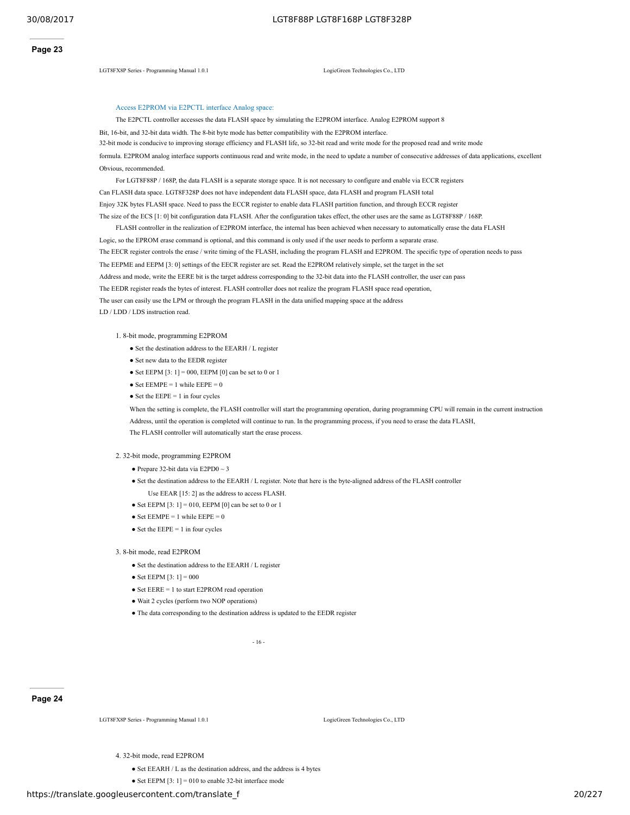LGT8FX8P Series - Programming Manual 1.0.1 LogicGreen Technologies Co., LTD

### Access E2PROM via E2PCTL interface Analog space:

The E2PCTL controller accesses the data FLASH space by simulating the E2PROM interface. Analog E2PROM support 8

Bit, 16-bit, and 32-bit data width. The 8-bit byte mode has better compatibility with the E2PROM interface. 32-bit mode is conducive to improving storage efficiency and FLASH life, so 32-bit read and write mode for the proposed read and write mode

formula. E2PROM analog interface supports continuous read and write mode, in the need to update a number of consecutive addresses of data applications, excellent Obvious, recommended.

For LGT8F88P / 168P, the data FLASH is a separate storage space. It is not necessary to configure and enable via ECCR registers Can FLASH data space. LGT8F328P does not have independent data FLASH space, data FLASH and program FLASH total Enjoy 32K bytes FLASH space. Need to pass the ECCR register to enable data FLASH partition function, and through ECCR register The size of the ECS [1: 0] bit configuration data FLASH. After the configuration takes effect, the other uses are the same as LGT8F88P / 168P.

FLASH controller in the realization of E2PROM interface, the internal has been achieved when necessary to automatically erase the data FLASH Logic, so the EPROM erase command is optional, and this command is only used if the user needs to perform a separate erase. The EECR register controls the erase / write timing of the FLASH, including the program FLASH and E2PROM. The specific type of operation needs to pass The EEPME and EEPM [3: 0] settings of the EECR register are set. Read the E2PROM relatively simple, set the target in the set Address and mode, write the EERE bit is the target address corresponding to the 32-bit data into the FLASH controller, the user can pass The EEDR register reads the bytes of interest. FLASH controller does not realize the program FLASH space read operation, The user can easily use the LPM or through the program FLASH in the data unified mapping space at the address LD / LDD / LDS instruction read.

1. 8-bit mode, programming E2PROM

- Set the destination address to the EEARH / L register
- Set new data to the EEDR register
- Set EEPM  $[3: 1] = 000$ , EEPM  $[0]$  can be set to 0 or 1
- Set  $EEMPE = 1$  while  $EEPE = 0$
- Set the  $E EPE = 1$  in four cycles

When the setting is complete, the FLASH controller will start the programming operation, during programming CPU will remain in the current instruction

Address, until the operation is completed will continue to run. In the programming process, if you need to erase the data FLASH, The FLASH controller will automatically start the erase process.

#### 2. 32-bit mode, programming E2PROM

- $\bullet$  Prepare 32-bit data via E2PD0  $\sim$  3
- Set the destination address to the EEARH / L register. Note that here is the byte-aligned address of the FLASH controller
	- Use EEAR [15: 2] as the address to access FLASH.
- Set EEPM  $[3: 1] = 010$ , EEPM  $[0]$  can be set to 0 or 1
- Set  $EEMPE = 1$  while  $EEPE = 0$
- $\bullet$  Set the EEPE = 1 in four cycles

#### 3. 8-bit mode, read E2PROM

- Set the destination address to the EEARH / L register
- Set EEPM  $[3:1] = 000$
- Set EERE = 1 to start E2PROM read operation
- Wait 2 cycles (perform two NOP operations)
- The data corresponding to the destination address is updated to the EEDR register

 $-16$ 

#### **Page 24**

LGT8FX8P Series - Programming Manual 1.0.1 LogicGreen Technologies Co., LTD

4. 32-bit mode, read E2PROM

● Set EEARH / L as the destination address, and the address is 4 bytes

• Set EEPM  $[3: 1] = 010$  to enable 32-bit interface mode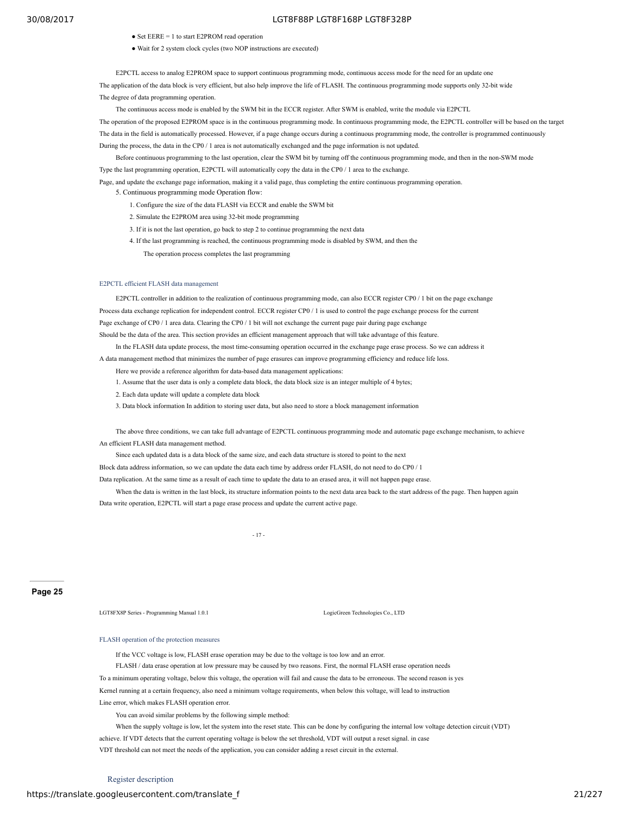- Set EERE = 1 to start E2PROM read operation
- Wait for 2 system clock cycles (two NOP instructions are executed)

E2PCTL access to analog E2PROM space to support continuous programming mode, continuous access mode for the need for an update one The application of the data block is very efficient, but also help improve the life of FLASH. The continuous programming mode supports only 32-bit wide The degree of data programming operation.

The continuous access mode is enabled by the SWM bit in the ECCR register. After SWM is enabled, write the module via E2PCTL

The operation of the proposed E2PROM space is in the continuous programming mode. In continuous programming mode, the E2PCTL controller will be based on the target The data in the field is automatically processed. However, if a page change occurs during a continuous programming mode, the controller is programmed continuously During the process, the data in the CP0 / 1 area is not automatically exchanged and the page information is not updated.

Before continuous programming to the last operation, clear the SWM bit by turning off the continuous programming mode, and then in the non-SWM mode Type the last programming operation, E2PCTL will automatically copy the data in the CP0 / 1 area to the exchange.

Page, and update the exchange page information, making it a valid page, thus completing the entire continuous programming operation.

5. Continuous programming mode Operation flow:

- 1. Configure the size of the data FLASH via ECCR and enable the SWM bit
- 2. Simulate the E2PROM area using 32-bit mode programming
- 3. If it is not the last operation, go back to step 2 to continue programming the next data
- 4. If the last programming is reached, the continuous programming mode is disabled by SWM, and then the

The operation process completes the last programming

#### E2PCTL efficient FLASH data management

E2PCTL controller in addition to the realization of continuous programming mode, can also ECCR register CP0 / 1 bit on the page exchange Process data exchange replication for independent control. ECCR register CP0 / 1 is used to control the page exchange process for the current Page exchange of CP0 / 1 area data. Clearing the CP0 / 1 bit will not exchange the current page pair during page exchange Should be the data of the area. This section provides an efficient management approach that will take advantage of this feature.

In the FLASH data update process, the most time-consuming operation occurred in the exchange page erase process. So we can address it A data management method that minimizes the number of page erasures can improve programming efficiency and reduce life loss.

Here we provide a reference algorithm for data-based data management applications:

1. Assume that the user data is only a complete data block, the data block size is an integer multiple of 4 bytes;

2. Each data update will update a complete data block

3. Data block information In addition to storing user data, but also need to store a block management information

The above three conditions, we can take full advantage of E2PCTL continuous programming mode and automatic page exchange mechanism, to achieve An efficient FLASH data management method.

Since each updated data is a data block of the same size, and each data structure is stored to point to the next

Block data address information, so we can update the data each time by address order FLASH, do not need to do CP0 / 1

Data replication. At the same time as a result of each time to update the data to an erased area, it will not happen page erase.

When the data is written in the last block, its structure information points to the next data area back to the start address of the page. Then happen again Data write operation, E2PCTL will start a page erase process and update the current active page.

- 17 -

#### **Page 25**

LGT8FX8P Series - Programming Manual 1.0.1 LogicGreen Technologies Co., LTD

#### FLASH operation of the protection measures

If the VCC voltage is low, FLASH erase operation may be due to the voltage is too low and an error.

FLASH / data erase operation at low pressure may be caused by two reasons. First, the normal FLASH erase operation needs

To a minimum operating voltage, below this voltage, the operation will fail and cause the data to be erroneous. The second reason is yes

Kernel running at a certain frequency, also need a minimum voltage requirements, when below this voltage, will lead to instruction

Line error, which makes FLASH operation error.

You can avoid similar problems by the following simple method:

When the supply voltage is low, let the system into the reset state. This can be done by configuring the internal low voltage detection circuit (VDT) achieve. If VDT detects that the current operating voltage is below the set threshold, VDT will output a reset signal. in case

VDT threshold can not meet the needs of the application, you can consider adding a reset circuit in the external.

### https://translate.googleusercontent.com/translate\_f 21/227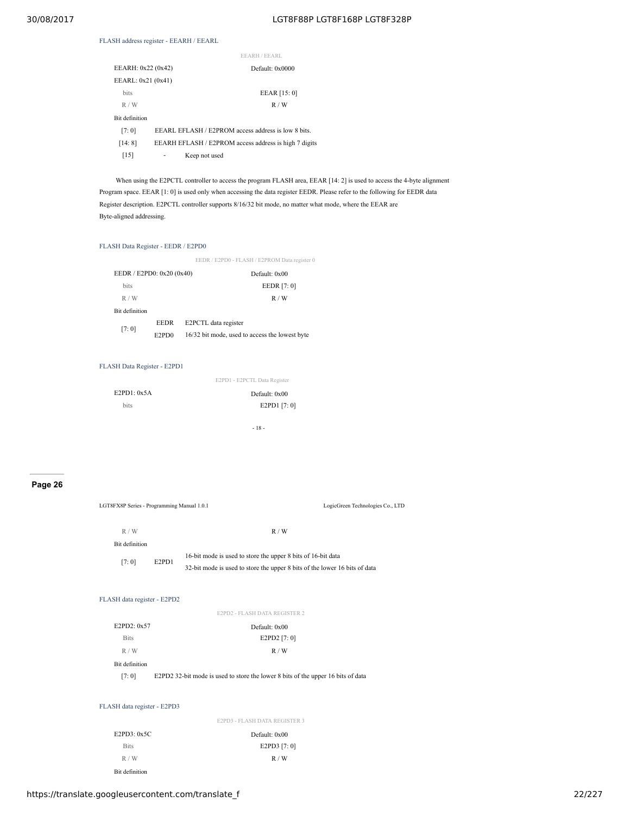### FLASH address register - EEARH / EEARL

|                       | EEARH / EEARL                                         |
|-----------------------|-------------------------------------------------------|
| EEARH: 0x22 (0x42)    | Default: 0x0000                                       |
| EEARL: 0x21 (0x41)    |                                                       |
| <b>bits</b>           | EEAR [15: 0]                                          |
| R/W                   | R/W                                                   |
| <b>Bit definition</b> |                                                       |
| [7:0]                 | EEARL EFLASH / E2PROM access address is low 8 bits.   |
| [14:8]                | EEARH EFLASH / E2PROM access address is high 7 digits |
| [15]                  | Keep not used                                         |
|                       |                                                       |

When using the E2PCTL controller to access the program FLASH area, EEAR [14: 2] is used to access the 4-byte alignment Program space. EEAR [1: 0] is used only when accessing the data register EEDR. Please refer to the following for EEDR data Register description. E2PCTL controller supports 8/16/32 bit mode, no matter what mode, where the EEAR are Byte-aligned addressing.

### FLASH Data Register - EEDR / E2PD0

|                           |                                | EEDR / E2PD0 - FLASH / E2PROM Data register 0  |
|---------------------------|--------------------------------|------------------------------------------------|
| EEDR / E2PD0: 0x20 (0x40) |                                | Default: 0x00                                  |
| <b>bits</b>               |                                | EEDR [7: 0]                                    |
| R/W                       |                                | R/W                                            |
| <b>Bit definition</b>     |                                |                                                |
| [7:0]                     | <b>EEDR</b>                    | E2PCTL data register                           |
|                           | E <sub>2</sub> P <sub>D0</sub> | 16/32 bit mode, used to access the lowest byte |

### FLASH Data Register - E2PD1

|             | E2PD1 - E2PCTL Data Register |
|-------------|------------------------------|
| E2PD1: 0x5A | Default: 0x00                |
| bits        | E2PD1 [7:0]                  |
|             | - 18 -                       |

R / W R / W R / W R / W R / W R / W R / W R / W R / W R / W R / W R / W R / W R / W R / W R / W R / W R / W R / W R / W R / W R / W R / W R / W R / W R / W R / W R / W R / W R / W R / W R / W R / W R / W R / W R / W R / W

### **Page 26**

| LGT8FX8P Series - Programming Manual 1.0.1 |                                |                                                                                                                                            | LogicGreen Technologies Co., LTD |
|--------------------------------------------|--------------------------------|--------------------------------------------------------------------------------------------------------------------------------------------|----------------------------------|
| R/W                                        |                                | R/W                                                                                                                                        |                                  |
| Bit definition                             |                                |                                                                                                                                            |                                  |
| [7:0]                                      | E <sub>2</sub> PD <sub>1</sub> | 16-bit mode is used to store the upper 8 bits of 16-bit data<br>32-bit mode is used to store the upper 8 bits of the lower 16 bits of data |                                  |
| FLASH data register - E2PD2                |                                |                                                                                                                                            |                                  |
|                                            |                                | E2PD2 - FLASH DATA REGISTER 2                                                                                                              |                                  |
| E2PD2: 0x57                                |                                | Default: 0x00                                                                                                                              |                                  |
| <b>Bits</b>                                |                                | E2PD2 [7: 0]                                                                                                                               |                                  |
| R/W                                        |                                | R/W                                                                                                                                        |                                  |
| Bit definition                             |                                |                                                                                                                                            |                                  |
| [7:0]                                      |                                | E2PD2 32-bit mode is used to store the lower 8 bits of the upper 16 bits of data                                                           |                                  |
|                                            |                                |                                                                                                                                            |                                  |
| FLASH data register - E2PD3                |                                |                                                                                                                                            |                                  |
|                                            |                                | E2PD3 - FLASH DATA REGISTER 3                                                                                                              |                                  |
| E2PD3:0x5C                                 |                                | Default: 0x00                                                                                                                              |                                  |
| <b>Bits</b>                                |                                | E2PD3 [7: 0]                                                                                                                               |                                  |

Bit definition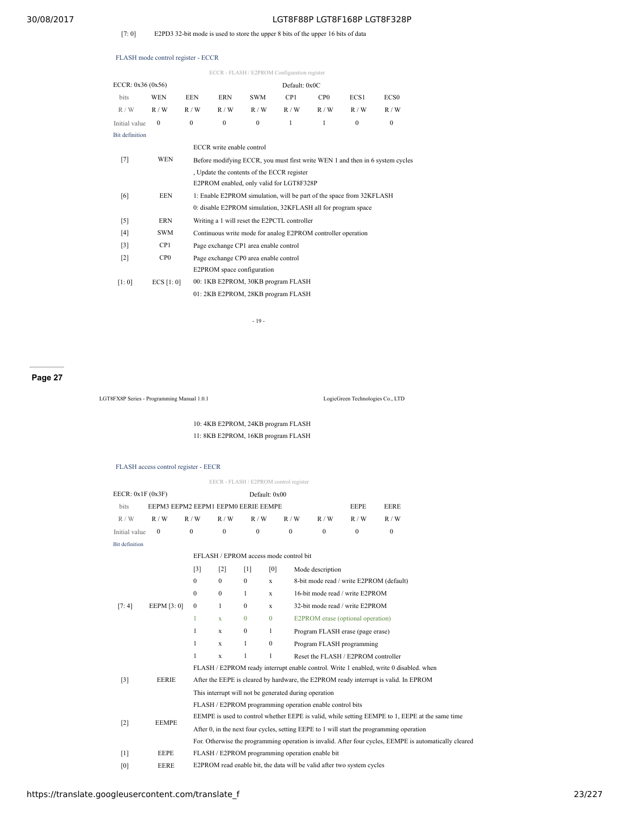### [7: 0] E2PD3 32-bit mode is used to store the upper 8 bits of the upper 16 bits of data

#### FLASH mode control register - ECCR

|                       |                 |              |                           | ECCR - FLASH / E2PROM Configuration register                         |                 |                 |          |                                                                               |
|-----------------------|-----------------|--------------|---------------------------|----------------------------------------------------------------------|-----------------|-----------------|----------|-------------------------------------------------------------------------------|
| ECCR: 0x36 (0x56)     |                 |              |                           |                                                                      | Default: 0x0C   |                 |          |                                                                               |
| bits                  | <b>WEN</b>      | EEN          | ERN                       | <b>SWM</b>                                                           | CP <sub>1</sub> | CP <sub>0</sub> | ECS1     | ECS <sub>0</sub>                                                              |
| R/W                   | R/W             | R/W          | R/W                       | R/W                                                                  | R/W             | R/W             | R/W      | R/W                                                                           |
| Initial value         | $\theta$        | $\mathbf{0}$ | $\Omega$                  | $\Omega$                                                             | $\mathbf{1}$    | 1               | $\theta$ | $\theta$                                                                      |
| <b>Bit definition</b> |                 |              |                           |                                                                      |                 |                 |          |                                                                               |
|                       |                 |              | ECCR write enable control |                                                                      |                 |                 |          |                                                                               |
| $[7]$                 | <b>WEN</b>      |              |                           |                                                                      |                 |                 |          | Before modifying ECCR, you must first write WEN 1 and then in 6 system cycles |
|                       |                 |              |                           | . Update the contents of the ECCR register                           |                 |                 |          |                                                                               |
|                       |                 |              |                           | E2PROM enabled, only valid for LGT8F328P                             |                 |                 |          |                                                                               |
| [6]                   | <b>EEN</b>      |              |                           | 1: Enable E2PROM simulation, will be part of the space from 32KFLASH |                 |                 |          |                                                                               |
|                       |                 |              |                           | 0: disable E2PROM simulation, 32KFLASH all for program space         |                 |                 |          |                                                                               |
| $\lceil 5 \rceil$     | <b>ERN</b>      |              |                           | Writing a 1 will reset the E2PCTL controller                         |                 |                 |          |                                                                               |
| [4]                   | <b>SWM</b>      |              |                           | Continuous write mode for analog E2PROM controller operation         |                 |                 |          |                                                                               |
| $\lceil 3 \rceil$     | CP1             |              |                           | Page exchange CP1 area enable control                                |                 |                 |          |                                                                               |
| $\lceil 2 \rceil$     | CP <sub>0</sub> |              |                           | Page exchange CP0 area enable control                                |                 |                 |          |                                                                               |
|                       |                 |              |                           | E2PROM space configuration                                           |                 |                 |          |                                                                               |
| [1:0]                 | ECS [1:0]       |              |                           | 00: 1KB E2PROM, 30KB program FLASH                                   |                 |                 |          |                                                                               |
|                       |                 |              |                           | 01: 2KB E2PROM, 28KB program FLASH                                   |                 |                 |          |                                                                               |
|                       |                 |              |                           |                                                                      |                 |                 |          |                                                                               |

- 19 -

#### **Page 27**

LGT8FX8P Series - Programming Manual 1.0.1 LogicGreen Technologies Co., LTD

10: 4KB E2PROM, 24KB program FLASH 11: 8KB E2PROM, 16KB program FLASH

#### FLASH access control register - EECR

EECR - FLASH / E2PROM control register EECR: 0x1F (0x3F) Default: 0x00 bits EEPM3 EEPM2 EEPM1 EEPM0 EERIE EEMPE EERE EEPE EERE R / W R / W R / W R / W R / W R / W R / W R / W R / W Initial value  $0$   $0$   $0$   $0$   $0$   $0$   $0$   $0$   $0$ Bit definition [7: 4] EEPM [3: 0] EFLASH / EPROM access mode control bit [3] [2] [1] [0] Mode description 0 0 0 x 8-bit mode read / write E2PROM (default) 0 0 1 x 16-bit mode read / write E2PROM 0 1 0 x 32-bit mode read / write E2PROM 1 x 0 0 E2PROM erase (optional operation) 1 x 0 1 Program FLASH erase (page erase) 1 x 1 0 Program FLASH programming 1 x 1 1 Reset the FLASH / E2PROM controller [3] EERIE FLASH / E2PROM ready interrupt enable control. Write 1 enabled, write 0 disabled. when After the EEPE is cleared by hardware, the E2PROM ready interrupt is valid. In EPROM This interrupt will not be generated during operation [2] EEMPE FLASH / E2PROM programming operation enable control bits EEMPE is used to control whether EEPE is valid, while setting EEMPE to 1, EEPE at the same time After 0, in the next four cycles, setting EEPE to 1 will start the programming operation

[0] EERE E2PROM read enable bit, the data will be valid after two system cycles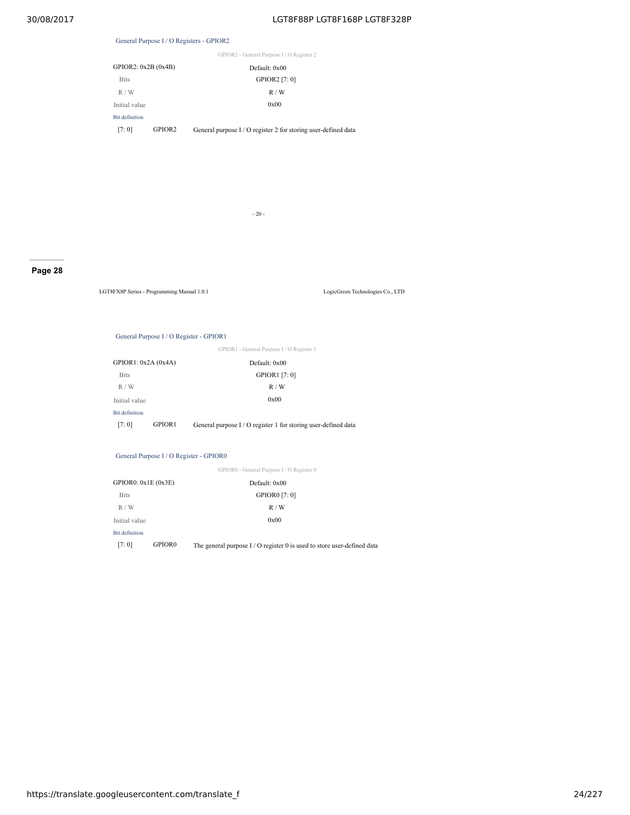### General Purpose I / O Registers - GPIOR2

|  |  |  | GPIOR2 - General Purpose I / O Register 2 |  |
|--|--|--|-------------------------------------------|--|

| GPIOR2: 0x2B (0x4B)   |               | Default: 0x00                                          |
|-----------------------|---------------|--------------------------------------------------------|
| <b>Bits</b>           |               | GPIOR2 [7: 0]                                          |
| R/W                   |               | R/W                                                    |
| Initial value         |               | 0x00                                                   |
| <b>Bit definition</b> |               |                                                        |
| 17.01                 | <b>GPIOR2</b> | $Conv1$ purpose $I/\Omega$ register 2 for storing user |

[7: 0] GPIOR2 General purpose I / O register 2 for storing user-defined data

- 20 -

### **Page 28**

LGT8FX8P Series - Programming Manual 1.0.1 LogicGreen Technologies Co., LTD

#### General Purpose I / O Register - GPIOR1

GPIOR1 - General Purpose I / O Register 1

| GPIOR1: $0x2A(0x4A)$  |        | Default: 0x00                                                  |
|-----------------------|--------|----------------------------------------------------------------|
| <b>Bits</b>           |        | GPIOR1 [7:0]                                                   |
| R/W                   |        | R/W                                                            |
| Initial value         |        | 0x00                                                           |
| <b>Bit definition</b> |        |                                                                |
| [7:0]                 | GPIOR1 | General purpose I / O register 1 for storing user-defined data |

### General Purpose I / O Register - GPIOR0

|                       |                    | GPIOR0 - General Purpose I / O Register 0                               |
|-----------------------|--------------------|-------------------------------------------------------------------------|
| GPIOR0: 0x1E (0x3E)   |                    | Default: 0x00                                                           |
| <b>Bits</b>           |                    | <b>GPIOR0</b> [7:0]                                                     |
| R/W                   |                    | R/W                                                                     |
| Initial value         |                    | 0x00                                                                    |
| <b>Bit definition</b> |                    |                                                                         |
| [7:0]                 | GPIOR <sub>0</sub> | The general purpose $I/O$ register 0 is used to store user-defined data |
|                       |                    |                                                                         |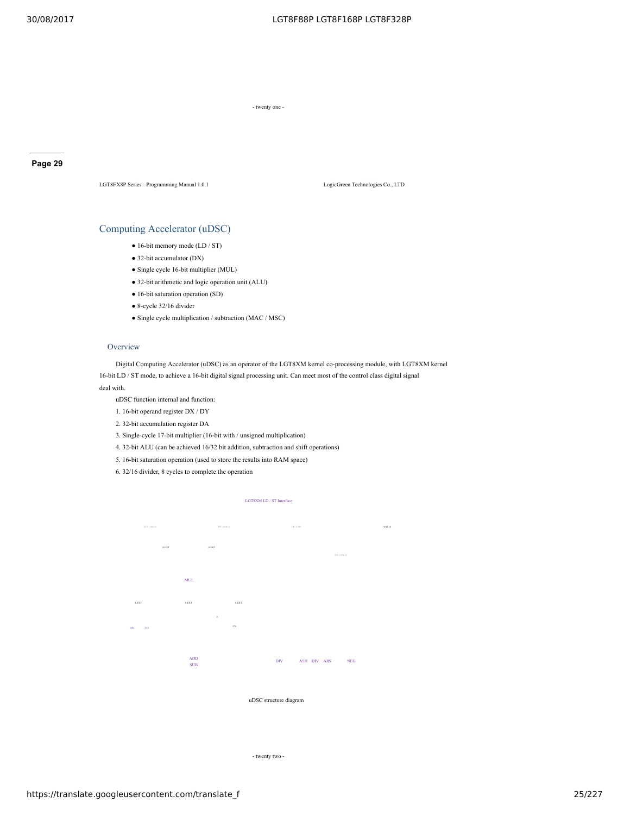- twenty one -

### **Page 29**

LGT8FX8P Series - Programming Manual 1.0.1 LogicGreen Technologies Co., LTD

### Computing Accelerator (uDSC)

- 16-bit memory mode (LD / ST)
- 32-bit accumulator (DX)
- Single cycle 16-bit multiplier (MUL)
- 32-bit arithmetic and logic operation unit (ALU)
- 16-bit saturation operation (SD)
- 8-cycle 32/16 divider
- Single cycle multiplication / subtraction (MAC / MSC)

#### **Overview**

Digital Computing Accelerator (uDSC) as an operator of the LGT8XM kernel co-processing module, with LGT8XM kernel 16-bit LD / ST mode, to achieve a 16-bit digital signal processing unit. Can meet most of the control class digital signal

#### deal with.

uDSC function internal and function:

- 1. 16-bit operand register DX / DY
- 2. 32-bit accumulation register DA
- 3. Single-cycle 17-bit multiplier (16-bit with / unsigned multiplication)
- 4. 32-bit ALU (can be achieved 16/32 bit addition, subtraction and shift operations)
- 5. 16-bit saturation operation (used to store the results into RAM space)
- 6. 32/16 divider, 8 cycles to complete the operation

#### LGT8XM LD / ST Interface



uDSC structure diagram

- twenty two -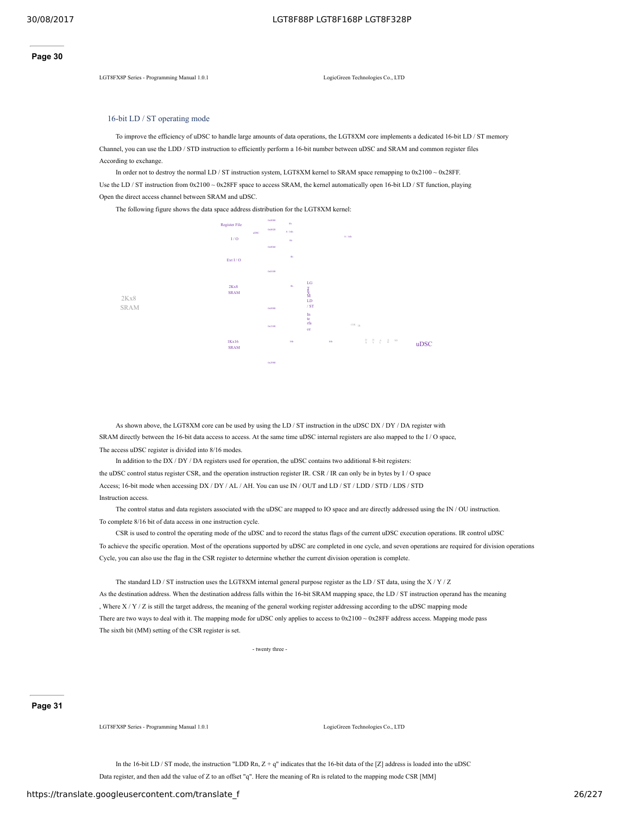LGT8FX8P Series - Programming Manual 1.0.1 LogicGreen Technologies Co., LTD

#### 16-bit LD / ST operating mode

To improve the efficiency of uDSC to handle large amounts of data operations, the LGT8XM core implements a dedicated 16-bit LD / ST memory Channel, you can use the LDD / STD instruction to efficiently perform a 16-bit number between uDSC and SRAM and common register files According to exchange.

In order not to destroy the normal LD / ST instruction system, LGT8XM kernel to SRAM space remapping to 0x2100 ~ 0x28FF. Use the LD / ST instruction from  $0x2100 \sim 0x28$ FF space to access SRAM, the kernel automatically open 16-bit LD / ST function, playing Open the direct access channel between SRAM and uDSC.

The following figure shows the data space address distribution for the LGT8XM kernel:



As shown above, the LGT8XM core can be used by using the LD / ST instruction in the uDSC DX / DY / DA register with SRAM directly between the 16-bit data access to access. At the same time uDSC internal registers are also mapped to the I / O space, The access uDSC register is divided into 8/16 modes.

In addition to the DX / DY / DA registers used for operation, the uDSC contains two additional 8-bit registers: the uDSC control status register CSR, and the operation instruction register IR. CSR / IR can only be in bytes by I / O space Access; 16-bit mode when accessing DX / DY / AL / AH. You can use IN / OUT and LD / ST / LDD / STD / LDS / STD Instruction access.

The control status and data registers associated with the uDSC are mapped to IO space and are directly addressed using the IN / OU instruction. To complete 8/16 bit of data access in one instruction cycle.

CSR is used to control the operating mode of the uDSC and to record the status flags of the current uDSC execution operations. IR control uDSC To achieve the specific operation. Most of the operations supported by uDSC are completed in one cycle, and seven operations are required for division operations Cycle, you can also use the flag in the CSR register to determine whether the current division operation is complete.

The standard LD / ST instruction uses the LGT8XM internal general purpose register as the LD / ST data, using the  $X/Y/Z$ As the destination address. When the destination address falls within the 16-bit SRAM mapping space, the LD / ST instruction operand has the meaning , Where X / Y / Z is still the target address, the meaning of the general working register addressing according to the uDSC mapping mode There are two ways to deal with it. The mapping mode for uDSC only applies to access to 0x2100 ~ 0x28FF address access. Mapping mode pass The sixth bit (MM) setting of the CSR register is set.

- twenty three -

### **Page 31**

LGT8FX8P Series - Programming Manual 1.0.1 LogicGreen Technologies Co., LTD

In the 16-bit LD / ST mode, the instruction "LDD Rn,  $Z + q$ " indicates that the 16-bit data of the [Z] address is loaded into the uDSC Data register, and then add the value of Z to an offset "q". Here the meaning of Rn is related to the mapping mode CSR [MM]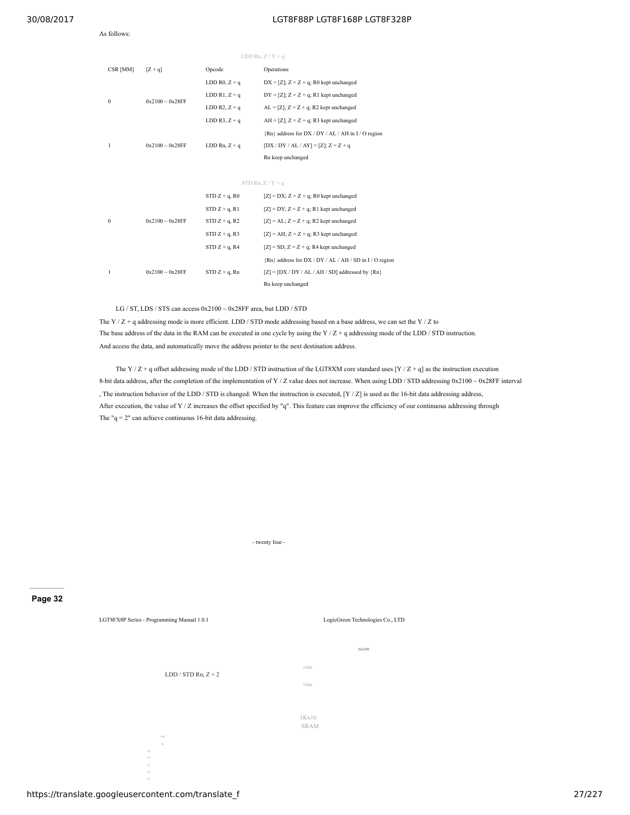#### As follows:

#### 30/08/2017 LGT8F88P LGT8F168P LGT8F328P

|                  |                      |                              | LDD Rn, $Z/Y + q$                                       |
|------------------|----------------------|------------------------------|---------------------------------------------------------|
| CSR [MM]         | $[Z + q]$            | Opcode                       | Operations                                              |
|                  |                      | LDD R <sub>0</sub> , $Z + q$ | $DX = [Z]$ ; $Z = Z + q$ ; R0 kept unchanged            |
| $\boldsymbol{0}$ | $0x2100 - 0x28FF$    | LDD $R1, Z + q$              | $DY = [Z]$ ; $Z = Z + q$ ; R1 kept unchanged            |
|                  |                      | LDD $R2, Z + q$              | $AL = [Z]$ ; $Z = Z + q$ ; R2 kept unchanged            |
|                  |                      | LDD R3, $Z + q$              | $AH = [Z]$ ; $Z = Z + q$ ; R3 kept unchanged            |
|                  |                      |                              | {Rn} address for DX / DY / AL / AH in I / O region      |
| 1                | $0x2100 \sim 0x28FF$ | LDD Rn, $Z + q$              | $[DX / DY / AL / AY] = [Z]; Z = Z + g$                  |
|                  |                      |                              | Rn keep unchanged                                       |
|                  |                      |                              |                                                         |
|                  |                      |                              | STD Rn, $Z/Y + q$                                       |
|                  |                      | $STD Z + q$ , R <sub>0</sub> | $[Z] = DX$ ; $Z = Z + q$ ; R0 kept unchanged            |
|                  |                      | $STD Z + q$ , R1             | $[Z] = DY$ ; $Z = Z + q$ ; R1 kept unchanged            |
| $\boldsymbol{0}$ | $0x2100 - 0x28FF$    | $STD Z + q$ , R2             | $[Z] = AL$ ; $Z = Z + q$ ; R2 kept unchanged            |
|                  |                      | $STD Z + q$ , R3             | $[Z] = AH$ ; $Z = Z + q$ ; R3 kept unchanged            |
|                  |                      | $STD Z + q$ , R4             | $[Z] = SD$ ; $Z = Z + q$ ; R4 kept unchanged            |
|                  |                      |                              | {Rn} address for DX / DY / AL / AH / SD in I / O region |
| 1                | $0x2100 - 0x28FF$    | $STD Z + q$ , Rn             | $[Z] = [DX / DY / AL / AH / SD]$ addressed by $\{Rn\}$  |
|                  |                      |                              | Rn keep unchanged                                       |

LG / ST, LDS / STS can access 0x2100 ~ 0x28FF area, but LDD / STD

The Y / Z + q addressing mode is more efficient. LDD / STD mode addressing based on a base address, we can set the Y / Z to The base address of the data in the RAM can be executed in one cycle by using the Y  $/Z + q$  addressing mode of the LDD  $/$  STD instruction. And access the data, and automatically move the address pointer to the next destination address.

The Y / Z + q offset addressing mode of the LDD / STD instruction of the LGT8XM core standard uses [Y / Z + q] as the instruction execution 8-bit data address, after the completion of the implementation of Y / Z value does not increase. When using LDD / STD addressing  $0x2100 \sim 0x28$ FF interval , The instruction behavior of the LDD / STD is changed: When the instruction is executed,  $[Y / Z]$  is used as the 16-bit data addressing address, After execution, the value of Y / Z increases the offset specified by "q". This feature can improve the efficiency of our continuous addressing through The "q = 2" can achieve continuous 16-bit data addressing.

- twenty four -

### **Page 32**

LGT8FX8P Series - Programming Manual 1.0.1 LogicGreen Technologies Co., LTD

CSR IR

DX DY AL AH

LDD / STD Rn,  $Z + 2$ 

1Kx16 SRAM

16bit 16bit 0x2100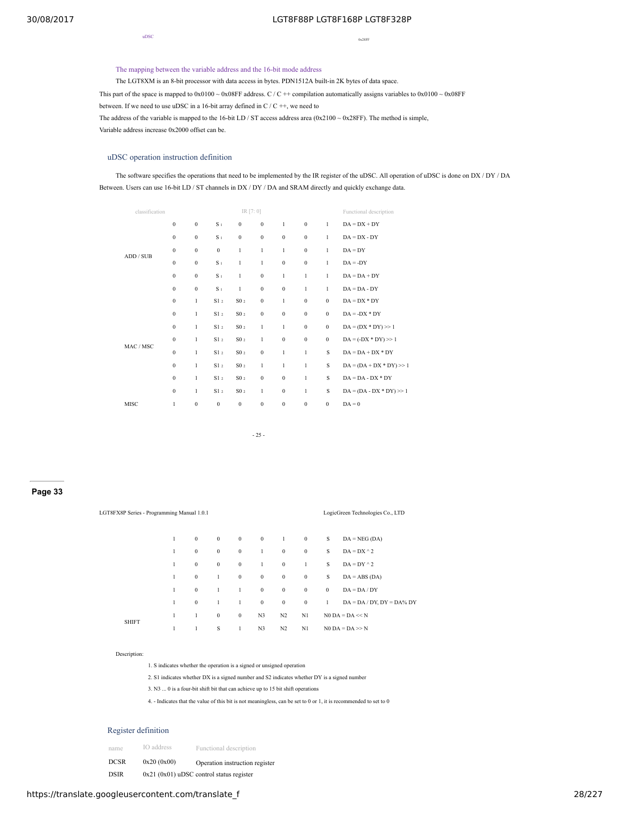uDSC

0x28FF

### The mapping between the variable address and the 16-bit mode address

The LGT8XM is an 8-bit processor with data access in bytes. PDN1512A built-in 2K bytes of data space.

This part of the space is mapped to  $0x0100 \sim 0x08$ FF address. C / C ++ compilation automatically assigns variables to  $0x0100 \sim 0x08$ FF

between. If we need to use uDSC in a 16-bit array defined in C / C ++, we need to

The address of the variable is mapped to the 16-bit LD / ST access address area  $(0x2100 \sim 0x28$ FF). The method is simple,

Variable address increase 0x2000 offset can be.

#### uDSC operation instruction definition

The software specifies the operations that need to be implemented by the IR register of the uDSC. All operation of uDSC is done on DX / DY / DA Between. Users can use 16-bit LD / ST channels in DX / DY / DA and SRAM directly and quickly exchange data.

| classification |                  |                  |                  | IR [7:0]         |                  |                  |                  |              | Functional description     |
|----------------|------------------|------------------|------------------|------------------|------------------|------------------|------------------|--------------|----------------------------|
|                | $\boldsymbol{0}$ | $\boldsymbol{0}$ | S <sub>1</sub>   | $\bf{0}$         | $\boldsymbol{0}$ | 1                | $\boldsymbol{0}$ | 1            | $DA = DX + DY$             |
|                | $\boldsymbol{0}$ | $\mathbf{0}$     | S <sub>1</sub>   | $\boldsymbol{0}$ | $\mathbf{0}$     | $\boldsymbol{0}$ | $\mathbf{0}$     | 1            | $DA = DX - DY$             |
| ADD / SUB      | $\mathbf{0}$     | $\mathbf{0}$     | $\boldsymbol{0}$ | $\,1$            | 1                | 1                | $\mathbf{0}$     | 1            | $DA = DY$                  |
|                | $\boldsymbol{0}$ | $\bf{0}$         | S <sub>1</sub>   | $\mathbf{1}$     | 1                | $\boldsymbol{0}$ | $\boldsymbol{0}$ | 1            | $DA = -DY$                 |
|                | $\mathbf{0}$     | $\mathbf{0}$     | S <sub>1</sub>   | $\mathbf{1}$     | $\mathbf{0}$     | $\mathbf{1}$     | 1                | 1            | $DA = DA + DY$             |
|                | $\bf{0}$         | $\boldsymbol{0}$ | S <sub>1</sub>   | $\,1$            | $\bf{0}$         | $\boldsymbol{0}$ | $\,1$            | 1            | $DA = DA - DY$             |
|                | $\boldsymbol{0}$ | $\mathbf{1}$     | S1 <sub>2</sub>  | S0 <sub>2</sub>  | $\bf{0}$         | 1                | $\boldsymbol{0}$ | $\mathbf{0}$ | $DA = DX * DY$             |
|                | $\mathbf{0}$     | 1                | S1 <sub>2</sub>  | S0 <sub>2</sub>  | $\bf{0}$         | $\boldsymbol{0}$ | $\boldsymbol{0}$ | $\mathbf{0}$ | $DA = -DX * DY$            |
|                | $\bf{0}$         | 1                | S1 <sub>2</sub>  | $\rm SO$ $_2$    | 1                | 1                | $\boldsymbol{0}$ | $\mathbf{0}$ | $DA = (DX * DY) >> 1$      |
|                | $\mathbf{0}$     | 1                | S1 <sub>2</sub>  | $\rm SO$ $_2$    | 1                | $\boldsymbol{0}$ | $\boldsymbol{0}$ | $\mathbf{0}$ | $DA = (-DX * DY) >> 1$     |
| MAC / MSC      | $\mathbf{0}$     | 1                | S1 <sub>2</sub>  | S0 <sub>2</sub>  | $\boldsymbol{0}$ | $\mathbf{1}$     | $\mathbf{1}$     | S            | $DA = DA + DX * DY$        |
|                | $\boldsymbol{0}$ | 1                | S1 <sub>2</sub>  | $\rm SO$ $_2$    | 1                | 1                | $\,1$            | S            | $DA = (DA + DX * DY) >> 1$ |
|                | $\boldsymbol{0}$ | 1                | S1 <sub>2</sub>  | S0 <sub>2</sub>  | $\bf{0}$         | $\boldsymbol{0}$ | 1                | S            | $DA = DA - DX * DY$        |
|                | $\boldsymbol{0}$ | $\mathbf{1}$     | S1 <sub>2</sub>  | S0 <sub>2</sub>  | 1                | $\boldsymbol{0}$ | $\mathbf{1}$     | S            | $DA = (DA - DX * DY) >> 1$ |
| MISC           | 1                | $\boldsymbol{0}$ | $\boldsymbol{0}$ | $\boldsymbol{0}$ | $\boldsymbol{0}$ | $\boldsymbol{0}$ | $\boldsymbol{0}$ | $\mathbf{0}$ | $DA = 0$                   |
|                |                  |                  |                  |                  |                  |                  |                  |              |                            |

- 25 -

### **Page 33**

| LGT8FX8P Series - Programming Manual 1.0.1 |   |                  |          |          |                |                  |                  |          | LogicGreen Technologies Co., LTD |
|--------------------------------------------|---|------------------|----------|----------|----------------|------------------|------------------|----------|----------------------------------|
|                                            | 1 | $\boldsymbol{0}$ | $\bf{0}$ | $\bf{0}$ | $\bf{0}$       | -1               | $\bf{0}$         | S        | $DA = NEG(DA)$                   |
|                                            | 1 | $\boldsymbol{0}$ | $\bf{0}$ | $\bf{0}$ | $\mathbf{1}$   | $\boldsymbol{0}$ | $\boldsymbol{0}$ | S        | $DA = DX^2$                      |
|                                            | 1 | $\boldsymbol{0}$ | $\bf{0}$ | $\bf{0}$ | $\mathbf{1}$   | $\mathbf{0}$     | 1                | S        | $DA = DY \land 2$                |
|                                            | 1 | $\boldsymbol{0}$ | 1        | $\bf{0}$ | $\mathbf{0}$   | $\mathbf{0}$     | $\bf{0}$         | S        | $DA = ABS (DA)$                  |
|                                            | 1 | $\boldsymbol{0}$ | 1        | 1        | $\mathbf{0}$   | $\mathbf{0}$     | $\boldsymbol{0}$ | $\bf{0}$ | $DA = DA / DY$                   |
|                                            | 1 | $\mathbf{0}$     | 1        | 1        | $\mathbf{0}$   | $\mathbf{0}$     | $\boldsymbol{0}$ | 1        | $DA = DA / DY$ , $DY = DA$ % DY  |
|                                            | 1 | $\mathbf{1}$     | $\bf{0}$ | $\bf{0}$ | N <sub>3</sub> | N2               | N1               |          | $NO DA = DA \ll N$               |
| <b>SHIFT</b>                               | 1 | 1                | S        | 1        | N3             | N <sub>2</sub>   | N1               |          | $NO DA = DA \gg N$               |

#### Description:

1. S indicates whether the operation is a signed or unsigned operation

2. S1 indicates whether DX is a signed number and S2 indicates whether DY is a signed number

3. N3 ... 0 is a four-bit shift bit that can achieve up to 15 bit shift operations

4. - Indicates that the value of this bit is not meaningless, can be set to 0 or 1, it is recommended to set to 0

### Register definition

name IO address Functional description

DCSR  $0x20 (0x00)$  Operation instruction register

DSIR 0x21 (0x01) uDSC control status register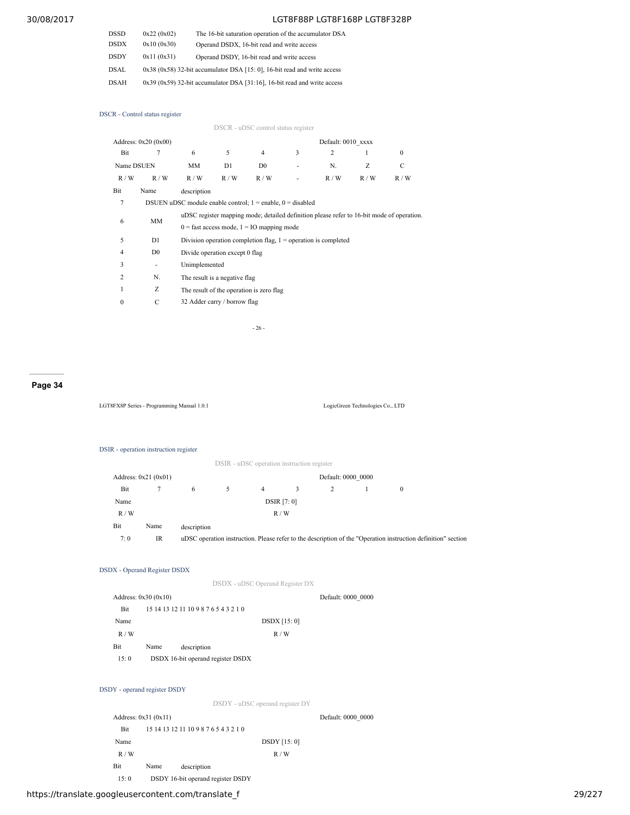| DSSD | 0x22(0x02) | The 16-bit saturation operation of the accumulator DSA                         |
|------|------------|--------------------------------------------------------------------------------|
| DSDX | 0x10(0x30) | Operand DSDX, 16-bit read and write access                                     |
| DSDY | 0x11(0x31) | Operand DSDY, 16-bit read and write access                                     |
| DSAL |            | $0x38$ ( $0x58$ ) 32-bit accumulator DSA [15: 0], 16-bit read and write access |
| DSAH |            | $0x39$ $(0x59)$ 32-bit accumulator DSA [31:16], 16-bit read and write access   |

DSCR - Control status register

|                |                      |                                                                                           |                                | DSCR - uDSC control status register                            |   |                                                                  |     |          |  |  |
|----------------|----------------------|-------------------------------------------------------------------------------------------|--------------------------------|----------------------------------------------------------------|---|------------------------------------------------------------------|-----|----------|--|--|
|                | Address: 0x20 (0x00) |                                                                                           |                                |                                                                |   | Default: 0010 xxxx                                               |     |          |  |  |
| Bit            | 7                    | 6                                                                                         | 5                              | 4                                                              | 3 | $\overline{c}$                                                   |     | $\Omega$ |  |  |
| Name DSUEN     |                      | MM                                                                                        | D1                             | D <sub>0</sub>                                                 |   | N.                                                               | Z   | C        |  |  |
| R/W            | R/W                  | R/W                                                                                       | R/W                            | R/W                                                            | ۰ | R/W                                                              | R/W | R/W      |  |  |
| Bit            | Name                 | description                                                                               |                                |                                                                |   |                                                                  |     |          |  |  |
| 7              |                      |                                                                                           |                                | DSUEN uDSC module enable control; $1 =$ enable, $0 =$ disabled |   |                                                                  |     |          |  |  |
| MM<br>6        |                      | uDSC register mapping mode; detailed definition please refer to 16-bit mode of operation. |                                |                                                                |   |                                                                  |     |          |  |  |
|                |                      |                                                                                           |                                | $0 =$ fast access mode, $1 =$ IO mapping mode                  |   |                                                                  |     |          |  |  |
| 5              | D1                   |                                                                                           |                                |                                                                |   | Division operation completion flag, $1 =$ operation is completed |     |          |  |  |
| 4              | D <sub>0</sub>       |                                                                                           | Divide operation except 0 flag |                                                                |   |                                                                  |     |          |  |  |
| 3              | ٠                    | Unimplemented                                                                             |                                |                                                                |   |                                                                  |     |          |  |  |
| $\mathfrak{D}$ | N.                   |                                                                                           | The result is a negative flag  |                                                                |   |                                                                  |     |          |  |  |
|                | Ζ                    |                                                                                           |                                | The result of the operation is zero flag                       |   |                                                                  |     |          |  |  |
| $\mathbf{0}$   | C                    |                                                                                           | 32 Adder carry / borrow flag   |                                                                |   |                                                                  |     |          |  |  |
|                |                      |                                                                                           |                                |                                                                |   |                                                                  |     |          |  |  |

- 26 -

### **Page 34**

LGT8FX8P Series - Programming Manual 1.0.1 LogicGreen Technologies Co., LTD

### DSIR - operation instruction register

|      |                       |             |    |   | DSIR - uDSC operation instruction register |                    |          |                                                                                                               |
|------|-----------------------|-------------|----|---|--------------------------------------------|--------------------|----------|---------------------------------------------------------------------------------------------------------------|
|      | Address: $0x21(0x01)$ |             |    |   |                                            | Default: 0000 0000 |          |                                                                                                               |
| Bit  |                       | 6           | 5. | 4 | 3                                          |                    | $\theta$ |                                                                                                               |
| Name |                       |             |    |   | <b>DSIR</b> [7: 0]                         |                    |          |                                                                                                               |
| R/W  |                       |             |    |   | R/W                                        |                    |          |                                                                                                               |
| Bit  | Name                  | description |    |   |                                            |                    |          |                                                                                                               |
| 7:0  | IR                    |             |    |   |                                            |                    |          | uDSC operation instruction. Please refer to the description of the "Operation instruction definition" section |

### DSDX - Operand Register DSDX

|            | DSDX - uDSC Operand Register DX       |                    |
|------------|---------------------------------------|--------------------|
|            | Address: $0x30(0x10)$                 | Default: 0000 0000 |
| <b>Bit</b> | 15 14 13 12 11 10 9 8 7 6 5 4 3 2 1 0 |                    |
| Name       | <b>DSDX</b> [15: 0]                   |                    |
| R/W        | R/W                                   |                    |
| Bit        | Name<br>description                   |                    |
| 15:0       | DSDX 16-bit operand register DSDX     |                    |

### DSDY - operand register DSDY

DSDY - uDSC operand register DY

|      | Address: $0x31(0x11)$ |                                       |                     | Default: 0000 0000 |
|------|-----------------------|---------------------------------------|---------------------|--------------------|
| Bit  |                       | 15 14 13 12 11 10 9 8 7 6 5 4 3 2 1 0 |                     |                    |
| Name |                       |                                       | <b>DSDY</b> [15: 0] |                    |
| R/W  |                       |                                       | R/W                 |                    |
| Bit  | Name                  | description                           |                     |                    |
| 15:0 |                       | DSDY 16-bit operand register DSDY     |                     |                    |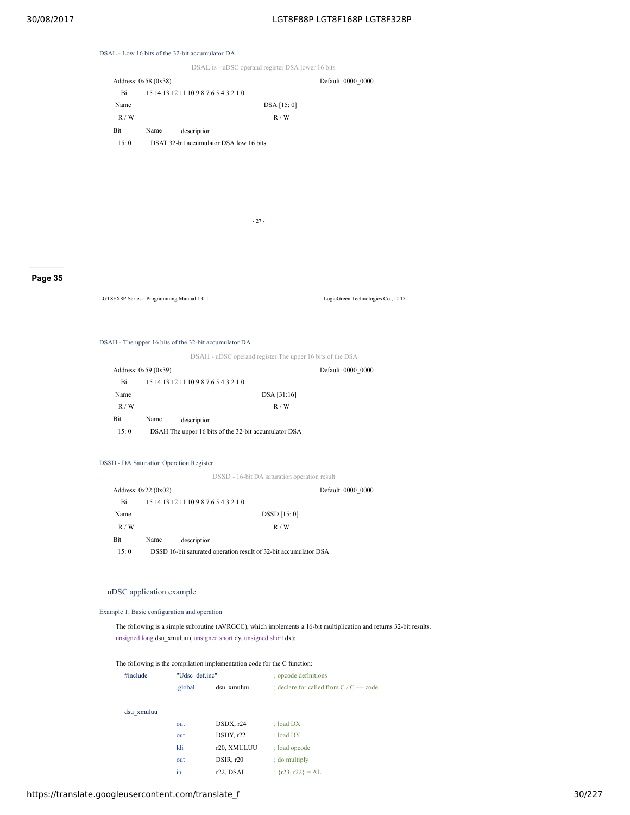### DSAL - Low 16 bits of the 32-bit accumulator DA

DSAL is - uDSC operand register DSA lower 16 bits

|            | Address: $0x58(0x38)$ |                                         |             | Default: 0000 0000 |
|------------|-----------------------|-----------------------------------------|-------------|--------------------|
| <b>Bit</b> |                       | 15 14 13 12 11 10 9 8 7 6 5 4 3 2 1 0   |             |                    |
| Name       |                       |                                         | DSA [15: 0] |                    |
| R/W        |                       |                                         | R/W         |                    |
| Bit        | Name                  | description                             |             |                    |
| 15:0       |                       | DSAT 32-bit accumulator DSA low 16 bits |             |                    |
|            |                       |                                         |             |                    |

- 27 -

### **Page 35**

LGT8FX8P Series - Programming Manual 1.0.1 LogicGreen Technologies Co., LTD

#### DSAH - The upper 16 bits of the 32-bit accumulator DA

DSAH - uDSC operand register The upper 16 bits of the DSA

|      | Address: $0x59(0x39)$ |                                                      | Default: 0000 0000 |
|------|-----------------------|------------------------------------------------------|--------------------|
| Bit  |                       | 15 14 13 12 11 10 9 8 7 6 5 4 3 2 1 0                |                    |
| Name |                       |                                                      | DSA [31:16]        |
| R/W  |                       |                                                      | R/W                |
| Bit  | Name                  | description                                          |                    |
| 15:0 |                       | DSAH The upper 16 bits of the 32-bit accumulator DSA |                    |

### DSSD - DA Saturation Operation Register

DSSD - 16-bit DA saturation operation result

| Address: $0x22(0x02)$ |      |                                                                  |              | Default: 0000 0000 |
|-----------------------|------|------------------------------------------------------------------|--------------|--------------------|
| Bit                   |      | 15 14 13 12 11 10 9 8 7 6 5 4 3 2 1 0                            |              |                    |
| Name                  |      |                                                                  | DSSD [15: 0] |                    |
| R/W                   |      |                                                                  | R/W          |                    |
| Bit                   | Name | description                                                      |              |                    |
| 15:0                  |      | DSSD 16-bit saturated operation result of 32-bit accumulator DSA |              |                    |

### uDSC application example

Example 1. Basic configuration and operation

The following is a simple subroutine (AVRGCC), which implements a 16-bit multiplication and returns 32-bit results. unsigned long dsu\_xmuluu ( unsigned short dy, unsigned short dx);

The following is the compilation implementation code for the C function:

| #include   | "Udsc def.inc" |                        | : opcode definitions                                      |  |
|------------|----------------|------------------------|-----------------------------------------------------------|--|
|            | global         | dsu xmuluu             | ; declare for called from $C / C \rightarrow \text{code}$ |  |
| dsu xmuluu |                |                        |                                                           |  |
|            | out            | DSDX, r24              | $:$ load $DX$                                             |  |
|            | out            | DSDY, r22              | $:$ load DY                                               |  |
|            | ldi            | r20, XMULUU            | : load opcode                                             |  |
|            | out            | DSIR, r20              | : do multiply                                             |  |
|            | in             | r <sub>22</sub> . DSAL | : $\{r23, r22\} = AL$                                     |  |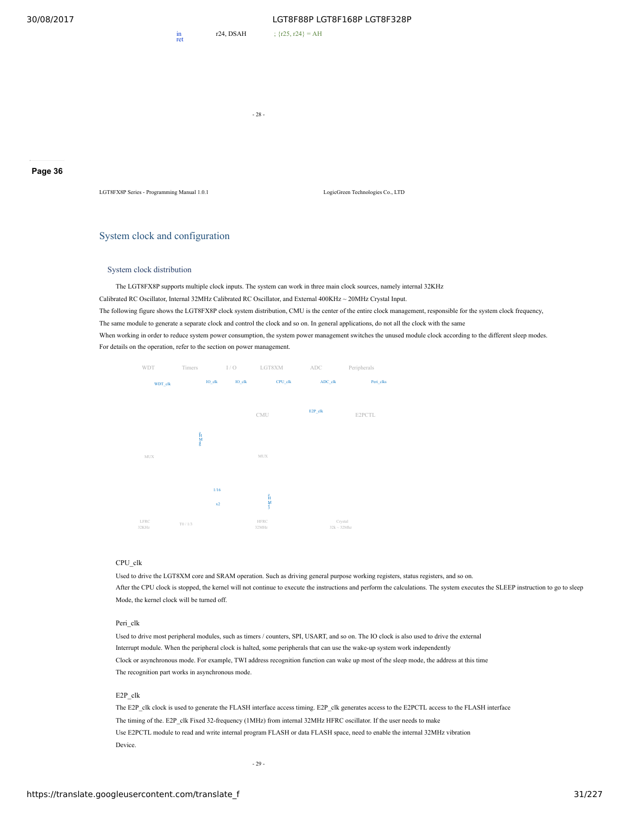ret

r24, DSAH ; {r25, r24} = AH

- 28 -

**Page 36**

LGT8FX8P Series - Programming Manual 1.0.1 LogicGreen Technologies Co., LTD

### System clock and configuration

### System clock distribution

The LGT8FX8P supports multiple clock inputs. The system can work in three main clock sources, namely internal 32KHz

Calibrated RC Oscillator, Internal 32MHz Calibrated RC Oscillator, and External 400KHz ~ 20MHz Crystal Input.

The following figure shows the LGT8FX8P clock system distribution, CMU is the center of the entire clock management, responsible for the system clock frequency,

The same module to generate a separate clock and control the clock and so on. In general applications, do not all the clock with the same

When working in order to reduce system power consumption, the system power management switches the unused module clock according to the different sleep modes. For details on the operation, refer to the section on power management.



#### CPU\_clk

Used to drive the LGT8XM core and SRAM operation. Such as driving general purpose working registers, status registers, and so on. After the CPU clock is stopped, the kernel will not continue to execute the instructions and perform the calculations. The system executes the SLEEP instruction to go to sleep Mode, the kernel clock will be turned off.

### Peri\_clk

Used to drive most peripheral modules, such as timers / counters, SPI, USART, and so on. The IO clock is also used to drive the external Interrupt module. When the peripheral clock is halted, some peripherals that can use the wake-up system work independently Clock or asynchronous mode. For example, TWI address recognition function can wake up most of the sleep mode, the address at this time The recognition part works in asynchronous mode.

### E2P\_clk

The E2P\_clk clock is used to generate the FLASH interface access timing. E2P\_clk generates access to the E2PCTL access to the FLASH interface The timing of the. E2P\_clk Fixed 32-frequency (1MHz) from internal 32MHz HFRC oscillator. If the user needs to make Use E2PCTL module to read and write internal program FLASH or data FLASH space, need to enable the internal 32MHz vibration Device.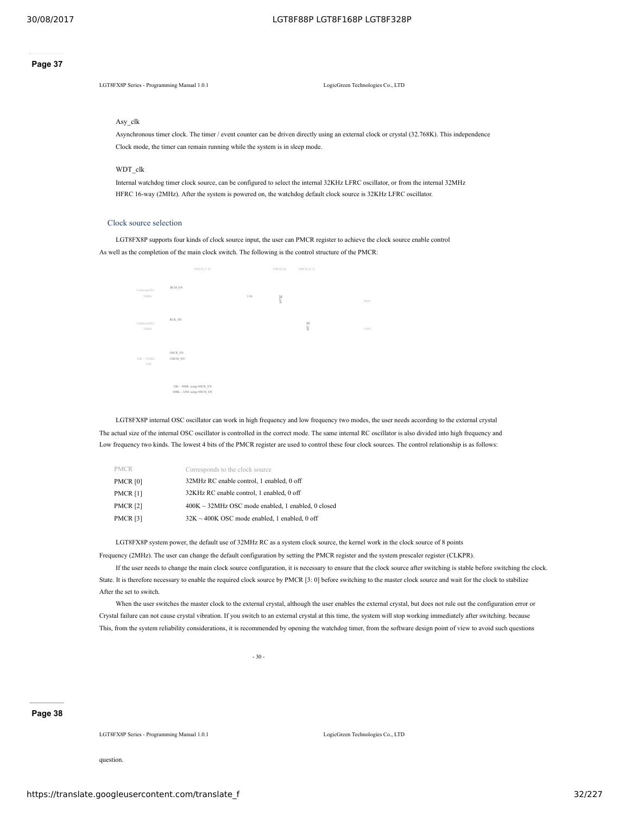#### **Page 37**

LGT8FX8P Series - Programming Manual 1.0.1 LogicGreen Technologies Co., LTD

#### Asy\_clk

Asynchronous timer clock. The timer / event counter can be driven directly using an external clock or crystal (32.768K). This independence Clock mode, the timer can remain running while the system is in sleep mode.

### WDT\_clk

Internal watchdog timer clock source, can be configured to select the internal 32KHz LFRC oscillator, or from the internal 32MHz HFRC 16-way (2MHz). After the system is powered on, the watchdog default clock source is 32KHz LFRC oscillator.

### Clock source selection

LGT8FX8P supports four kinds of clock source input, the user can PMCR register to achieve the clock source enable control As well as the completion of the main clock switch. The following is the control structure of the PMCR:

|                         | PMCR [3:0]                                                   |      | PMCR [4]                                                 | PMCR [6: 5]                       |     |
|-------------------------|--------------------------------------------------------------|------|----------------------------------------------------------|-----------------------------------|-----|
| Calibrated RC<br>32MHz  | $\text{RCM\_EN}$                                             | 1/16 | $\overset{\textup{M}}{\overset{\textup{M}}{\textup{M}}}$ |                                   | WDT |
| Calibrated RC<br>32KHz  | $RCK$ <sub>_</sub> $EN$                                      |      |                                                          | $\stackrel{\text{M}}{\downarrow}$ | CMU |
| $32K \sim 32MHz$<br>OSC | OSCK_EN<br>OSCM_EN                                           |      |                                                          |                                   |     |
|                         | 32K ~ 400K: using OSCK_EN<br>$400K \sim 32M$ : using OSCM_EN |      |                                                          |                                   |     |

LGT8FX8P internal OSC oscillator can work in high frequency and low frequency two modes, the user needs according to the external crystal The actual size of the internal OSC oscillator is controlled in the correct mode. The same internal RC oscillator is also divided into high frequency and Low frequency two kinds. The lowest 4 bits of the PMCR register are used to control these four clock sources. The control relationship is as follows:

| <b>PMCR</b>     | Corresponds to the clock source                         |
|-----------------|---------------------------------------------------------|
| <b>PMCR [0]</b> | 32MHz RC enable control, 1 enabled, 0 off               |
| <b>PMCR [1]</b> | 32KHz RC enable control, 1 enabled, 0 off               |
| <b>PMCR [2]</b> | $400K \sim 32MHz$ OSC mode enabled, 1 enabled, 0 closed |
| <b>PMCR [3]</b> | $32K \sim 400K$ OSC mode enabled, 1 enabled, 0 off      |

LGT8FX8P system power, the default use of 32MHz RC as a system clock source, the kernel work in the clock source of 8 points

Frequency (2MHz). The user can change the default configuration by setting the PMCR register and the system prescaler register (CLKPR).

If the user needs to change the main clock source configuration, it is necessary to ensure that the clock source after switching is stable before switching the clock. State. It is therefore necessary to enable the required clock source by PMCR [3: 0] before switching to the master clock source and wait for the clock to stabilize After the set to switch.

When the user switches the master clock to the external crystal, although the user enables the external crystal, but does not rule out the configuration error or Crystal failure can not cause crystal vibration. If you switch to an external crystal at this time, the system will stop working immediately after switching. because This, from the system reliability considerations, it is recommended by opening the watchdog timer, from the software design point of view to avoid such questions

- 30 -

### **Page 38**

LGT8FX8P Series - Programming Manual 1.0.1 LogicGreen Technologies Co., LTD

question.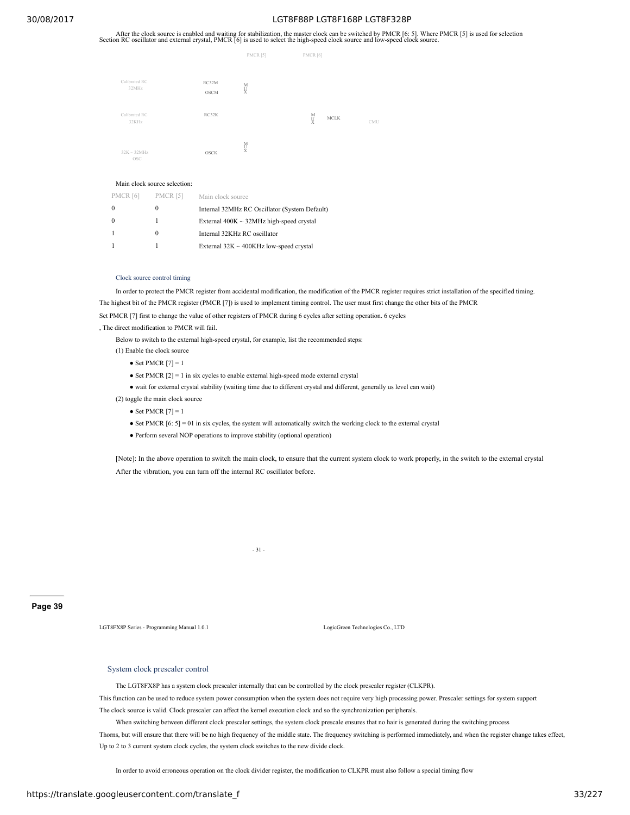After the clock source is enabled and waiting for stabilization, the master clock can be switched by PMCR [6: 5]. Where PMCR [5] is used for selection Section RC oscillator and external crystal, PMCR [6] is used to select

|                         |                      | PMCR [5]           | PMCR [6]             |     |
|-------------------------|----------------------|--------------------|----------------------|-----|
| Calibrated RC<br>32MHz  | RC32M<br><b>OSCM</b> | M<br>¥             |                      |     |
| Calibrated RC<br>32KHz  | RC32K                |                    | M<br>V<br>$\rm MCLK$ | CMU |
| $32K \sim 32MHz$<br>OSC | <b>OSCK</b>          | $_{\rm X}^{\rm M}$ |                      |     |

#### Main clock source selection:

| <b>PMCR</b> [6] | <b>PMCR</b> [5] | Main clock source                             |
|-----------------|-----------------|-----------------------------------------------|
|                 | $_{0}$          | Internal 32MHz RC Oscillator (System Default) |
|                 |                 | External $400K \sim 32MHz$ high-speed crystal |
|                 | $_{0}$          | Internal 32KHz RC oscillator                  |
|                 |                 | External $32K \sim 400K$ Hz low-speed crystal |

#### Clock source control timing

In order to protect the PMCR register from accidental modification, the modification of the PMCR register requires strict installation of the specified timing. The highest bit of the PMCR register (PMCR [7]) is used to implement timing control. The user must first change the other bits of the PMCR

Set PMCR [7] first to change the value of other registers of PMCR during 6 cycles after setting operation. 6 cycles

, The direct modification to PMCR will fail.

Below to switch to the external high-speed crystal, for example, list the recommended steps:

- (1) Enable the clock source
	- $\bullet$  Set PMCR  $[7] = 1$
	- $\bullet$  Set PMCR  $[2] = 1$  in six cycles to enable external high-speed mode external crystal
	- wait for external crystal stability (waiting time due to different crystal and different, generally us level can wait)
- (2) toggle the main clock source
	- Set PMCR  $[7] = 1$
	- $\bullet$  Set PMCR [6: 5] = 01 in six cycles, the system will automatically switch the working clock to the external crystal
	- Perform several NOP operations to improve stability (optional operation)

[Note]: In the above operation to switch the main clock, to ensure that the current system clock to work properly, in the switch to the external crystal After the vibration, you can turn off the internal RC oscillator before.

- 31 -

**Page 39**

LGT8FX8P Series - Programming Manual 1.0.1 LogicGreen Technologies Co., LTD

### System clock prescaler control

The LGT8FX8P has a system clock prescaler internally that can be controlled by the clock prescaler register (CLKPR).

This function can be used to reduce system power consumption when the system does not require very high processing power. Prescaler settings for system support The clock source is valid. Clock prescaler can affect the kernel execution clock and so the synchronization peripherals.

When switching between different clock prescaler settings, the system clock prescale ensures that no hair is generated during the switching process Thorns, but will ensure that there will be no high frequency of the middle state. The frequency switching is performed immediately, and when the register change takes effect, Up to 2 to 3 current system clock cycles, the system clock switches to the new divide clock.

In order to avoid erroneous operation on the clock divider register, the modification to CLKPR must also follow a special timing flow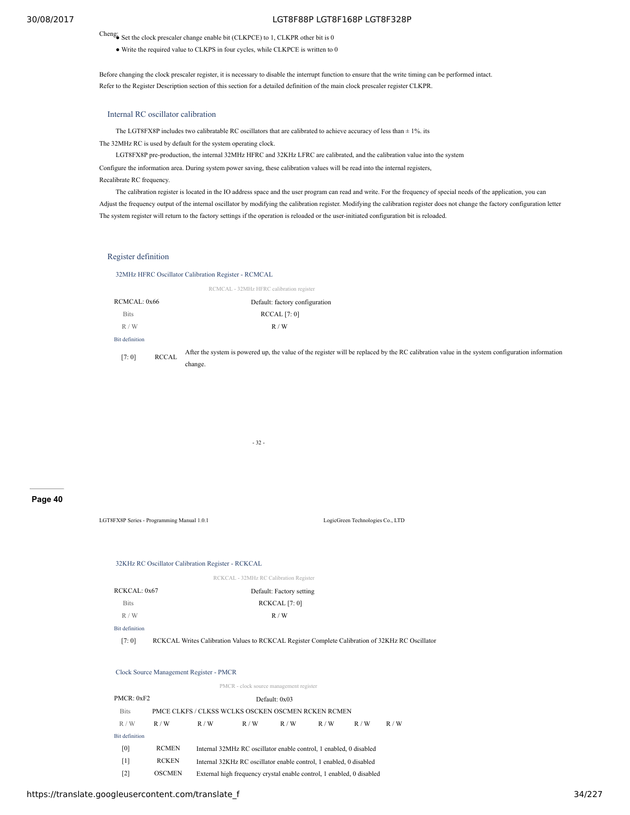Cheng: Set the clock prescaler change enable bit (CLKPCE) to 1, CLKPR other bit is 0

● Write the required value to CLKPS in four cycles, while CLKPCE is written to 0

Before changing the clock prescaler register, it is necessary to disable the interrupt function to ensure that the write timing can be performed intact. Refer to the Register Description section of this section for a detailed definition of the main clock prescaler register CLKPR.

### Internal RC oscillator calibration

The LGT8FX8P includes two calibratable RC oscillators that are calibrated to achieve accuracy of less than ± 1%. its The 32MHz RC is used by default for the system operating clock.

LGT8FX8P pre-production, the internal 32MHz HFRC and 32KHz LFRC are calibrated, and the calibration value into the system Configure the information area. During system power saving, these calibration values will be read into the internal registers, Recalibrate RC frequency.

The calibration register is located in the IO address space and the user program can read and write. For the frequency of special needs of the application, you can Adjust the frequency output of the internal oscillator by modifying the calibration register. Modifying the calibration register does not change the factory configuration letter The system register will return to the factory settings if the operation is reloaded or the user-initiated configuration bit is reloaded.

#### Register definition

32MHz HFRC Oscillator Calibration Register - RCMCAL

|                |              | RCMCAL - 32MHz HFRC calibration register                                                                                                       |
|----------------|--------------|------------------------------------------------------------------------------------------------------------------------------------------------|
| RCMCAL: 0x66   |              | Default: factory configuration                                                                                                                 |
| <b>Bits</b>    |              | <b>RCCAL</b> [7: 0]                                                                                                                            |
| R/W            |              | R/W                                                                                                                                            |
| Bit definition |              |                                                                                                                                                |
| [7:0]          | <b>RCCAL</b> | After the system is powered up, the value of the register will be replaced by the RC calibration value in the system configuration information |
|                |              | change.                                                                                                                                        |

- 32 -

**Page 40**

LGT8FX8P Series - Programming Manual 1.0.1 LogicGreen Technologies Co., LTD 32KHz RC Oscillator Calibration Register - RCKCAL RCKCAL - 32MHz RC Calibration Register RCKCAL: 0x67 Default: Factory setting Bits RCKCAL [7: 0] R / W R / W R / W R / W R / W R / W R / W R / W R / W R / W R / W R / W R / W R / W R / W R / W R / W R / W R / W R / W R / W R / W R / W R / W R / W R / W R / W R / W R / W R / W R / W R / W R / W R / W R / W R / W R / W Bit definition [7: 0] RCKCAL Writes Calibration Values to RCKCAL Register Complete Calibration of 32KHz RC Oscillator Clock Source Management Register - PMCR PMCR - clock source management register PMCR: 0xF2 Default: 0x03 Bits PMCE CLKFS / CLKSS WCLKS OSCKEN OSCMEN RCKEN RCMEN  $R/W$   $R/W$   $R/W$   $R/W$   $R/W$   $R/W$   $R/W$   $R/W$ Bit definition [0] RCMEN Internal 32MHz RC oscillator enable control, 1 enabled, 0 disabled [1] RCKEN Internal 32KHz RC oscillator enable control, 1 enabled, 0 disabled

[2] OSCMEN External high frequency crystal enable control, 1 enabled, 0 disabled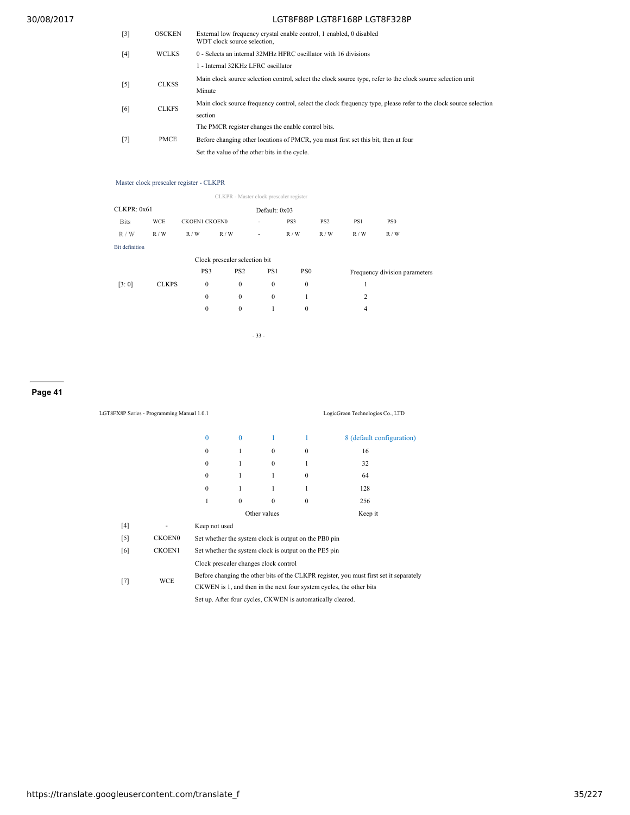| [3] | <b>OSCKEN</b> | External low frequency crystal enable control, 1 enabled, 0 disabled<br>WDT clock source selection,              |
|-----|---------------|------------------------------------------------------------------------------------------------------------------|
| [4] | <b>WCLKS</b>  | 0 - Selects an internal 32MHz HFRC oscillator with 16 divisions                                                  |
|     |               | 1 - Internal 32KHz LFRC oscillator                                                                               |
| [5] | <b>CLKSS</b>  | Main clock source selection control, select the clock source type, refer to the clock source selection unit      |
|     |               | Minute                                                                                                           |
| [6] | <b>CLKFS</b>  | Main clock source frequency control, select the clock frequency type, please refer to the clock source selection |
|     |               | section                                                                                                          |
|     |               | The PMCR register changes the enable control bits.                                                               |
| [7] | <b>PMCE</b>   | Before changing other locations of PMCR, you must first set this bit, then at four                               |
|     |               | Set the value of the other bits in the cycle.                                                                    |

### Master clock prescaler register - CLKPR

|                               |              |                      | CLKPR - Master clock prescaler register |              |                 |                 |     |                               |
|-------------------------------|--------------|----------------------|-----------------------------------------|--------------|-----------------|-----------------|-----|-------------------------------|
| CLKPR: 0x61<br>Default: 0x03  |              |                      |                                         |              |                 |                 |     |                               |
| <b>Bits</b>                   | <b>WCE</b>   | <b>CKOEN1 CKOEN0</b> |                                         | ٠            | PS3             | PS <sub>2</sub> | PS1 | PS <sub>0</sub>               |
| R/W                           | R/W          | R/W                  | R/W                                     | ٠            | R/W             | R/W             | R/W | R/W                           |
| <b>Bit definition</b>         |              |                      |                                         |              |                 |                 |     |                               |
| Clock prescaler selection bit |              |                      |                                         |              |                 |                 |     |                               |
|                               |              | PS3                  | PS <sub>2</sub>                         | PS1          | PS <sub>0</sub> |                 |     | Frequency division parameters |
| [3:0]                         | <b>CLKPS</b> | $\mathbf{0}$         | $\mathbf{0}$                            | $\mathbf{0}$ | $\mathbf{0}$    |                 | 1   |                               |
|                               |              | $\mathbf{0}$         | $\mathbf{0}$                            | $\mathbf{0}$ |                 |                 | 2   |                               |
|                               |              | $\mathbf{0}$         | $\mathbf{0}$                            |              | 0               |                 | 4   |                               |

- 33 -

### **Page 41**

|       | LGT8FX8P Series - Programming Manual 1.0.1                             |                                                                                        |                                                            |              |              | LogicGreen Technologies Co., LTD |  |  |  |
|-------|------------------------------------------------------------------------|----------------------------------------------------------------------------------------|------------------------------------------------------------|--------------|--------------|----------------------------------|--|--|--|
|       |                                                                        | $\mathbf{0}$                                                                           | $\theta$                                                   |              | 1            | 8 (default configuration)        |  |  |  |
|       |                                                                        | $\mathbf{0}$                                                                           | $\mathbf{1}$                                               | $\mathbf{0}$ | $\mathbf{0}$ | 16                               |  |  |  |
|       |                                                                        | $\mathbf{0}$                                                                           | 1                                                          | $\Omega$     | 1            | 32                               |  |  |  |
|       |                                                                        | $\mathbf{0}$                                                                           | 1                                                          | 1            | $\mathbf{0}$ | 64                               |  |  |  |
|       |                                                                        | $\mathbf{0}$                                                                           | $\mathbf{1}$                                               | 1            | 1            | 128                              |  |  |  |
|       |                                                                        | 1                                                                                      | $\mathbf{0}$                                               | $\mathbf{0}$ | $\mathbf{0}$ | 256                              |  |  |  |
|       |                                                                        |                                                                                        | Other values                                               |              |              | Keep it                          |  |  |  |
| [4]   |                                                                        | Keep not used                                                                          |                                                            |              |              |                                  |  |  |  |
| $[5]$ | <b>CKOEN0</b>                                                          | Set whether the system clock is output on the PB0 pin                                  |                                                            |              |              |                                  |  |  |  |
| [6]   | <b>CKOEN1</b><br>Set whether the system clock is output on the PE5 pin |                                                                                        |                                                            |              |              |                                  |  |  |  |
|       |                                                                        | Clock prescaler changes clock control                                                  |                                                            |              |              |                                  |  |  |  |
|       | WCE                                                                    | Before changing the other bits of the CLKPR register, you must first set it separately |                                                            |              |              |                                  |  |  |  |
| $[7]$ |                                                                        | CKWEN is 1, and then in the next four system cycles, the other bits                    |                                                            |              |              |                                  |  |  |  |
|       |                                                                        |                                                                                        | Set up. After four cycles, CKWEN is automatically cleared. |              |              |                                  |  |  |  |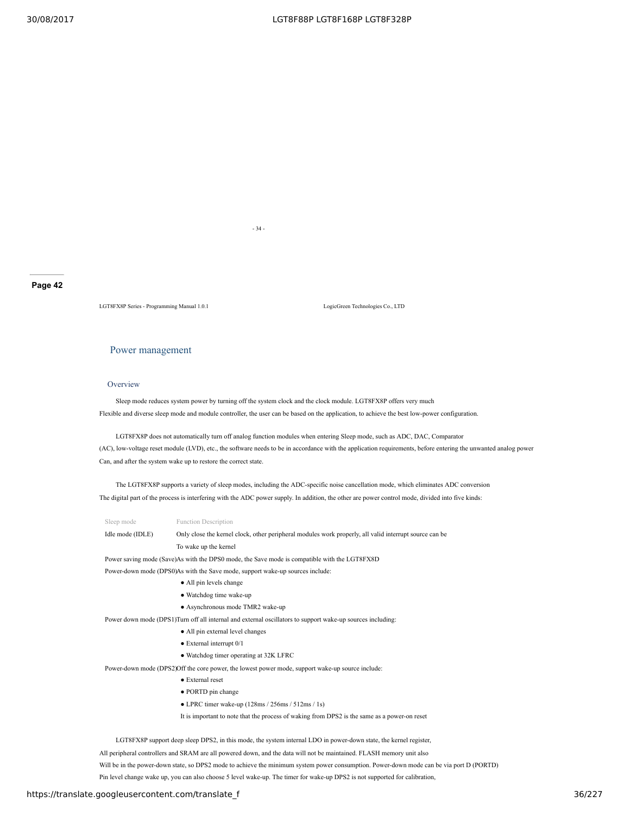- 34 -

#### **Page 42**

LGT8FX8P Series - Programming Manual 1.0.1 LogicGreen Technologies Co., LTD

### Power management

#### Overview

Sleep mode reduces system power by turning off the system clock and the clock module. LGT8FX8P offers very much Flexible and diverse sleep mode and module controller, the user can be based on the application, to achieve the best low-power configuration.

LGT8FX8P does not automatically turn off analog function modules when entering Sleep mode, such as ADC, DAC, Comparator (AC), low-voltage reset module (LVD), etc., the software needs to be in accordance with the application requirements, before entering the unwanted analog power Can, and after the system wake up to restore the correct state.

The LGT8FX8P supports a variety of sleep modes, including the ADC-specific noise cancellation mode, which eliminates ADC conversion The digital part of the process is interfering with the ADC power supply. In addition, the other are power control mode, divided into five kinds:

| Sleep mode       | <b>Function Description</b>                                                                                |
|------------------|------------------------------------------------------------------------------------------------------------|
| Idle mode (IDLE) | Only close the kernel clock, other peripheral modules work properly, all valid interrupt source can be     |
|                  | To wake up the kernel                                                                                      |
|                  | Power saving mode (Save)As with the DPS0 mode, the Save mode is compatible with the LGT8FX8D               |
|                  | Power-down mode (DPS0)As with the Save mode, support wake-up sources include:                              |
|                  | • All pin levels change                                                                                    |
|                  | • Watchdog time wake-up                                                                                    |
|                  | • Asynchronous mode TMR2 wake-up                                                                           |
|                  | Power down mode (DPS1)Turn off all internal and external oscillators to support wake-up sources including: |
|                  | • All pin external level changes                                                                           |
|                  | $\bullet$ External interrupt $0/1$                                                                         |
|                  | • Watchdog timer operating at 32K LFRC                                                                     |
|                  | Power-down mode (DPS2) Off the core power, the lowest power mode, support wake-up source include:          |
|                  |                                                                                                            |

- External reset
- PORTD pin change
- $\bullet$  LPRC timer wake-up (128ms / 256ms / 512ms / 1s)

It is important to note that the process of waking from DPS2 is the same as a power-on reset

LGT8FX8P support deep sleep DPS2, in this mode, the system internal LDO in power-down state, the kernel register,

All peripheral controllers and SRAM are all powered down, and the data will not be maintained. FLASH memory unit also

Will be in the power-down state, so DPS2 mode to achieve the minimum system power consumption. Power-down mode can be via port D (PORTD)

Pin level change wake up, you can also choose 5 level wake-up. The timer for wake-up DPS2 is not supported for calibration,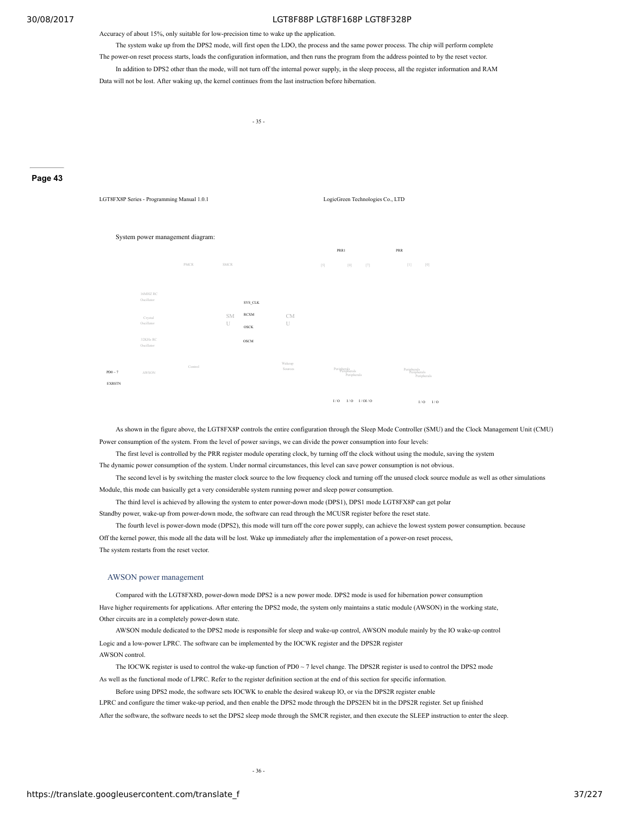Accuracy of about 15%, only suitable for low-precision time to wake up the application.

The system wake up from the DPS2 mode, will first open the LDO, the process and the same power process. The chip will perform complete

The power-on reset process starts, loads the configuration information, and then runs the program from the address pointed to by the reset vector.

In addition to DPS2 other than the mode, will not turn off the internal power supply, in the sleep process, all the register information and RAM Data will not be lost. After waking up, the kernel continues from the last instruction before hibernation.

- 35 -

#### **Page 43**



As shown in the figure above, the LGT8FX8P controls the entire configuration through the Sleep Mode Controller (SMU) and the Clock Management Unit (CMU) Power consumption of the system. From the level of power savings, we can divide the power consumption into four levels:

The first level is controlled by the PRR register module operating clock, by turning off the clock without using the module, saving the system

The dynamic power consumption of the system. Under normal circumstances, this level can save power consumption is not obvious.

The second level is by switching the master clock source to the low frequency clock and turning off the unused clock source module as well as other simulations Module, this mode can basically get a very considerable system running power and sleep power consumption.

The third level is achieved by allowing the system to enter power-down mode (DPS1), DPS1 mode LGT8FX8P can get polar

Standby power, wake-up from power-down mode, the software can read through the MCUSR register before the reset state.

The fourth level is power-down mode (DPS2), this mode will turn off the core power supply, can achieve the lowest system power consumption. because Off the kernel power, this mode all the data will be lost. Wake up immediately after the implementation of a power-on reset process, The system restarts from the reset vector.

#### AWSON power management

Compared with the LGT8FX8D, power-down mode DPS2 is a new power mode. DPS2 mode is used for hibernation power consumption Have higher requirements for applications. After entering the DPS2 mode, the system only maintains a static module (AWSON) in the working state, Other circuits are in a completely power-down state.

AWSON module dedicated to the DPS2 mode is responsible for sleep and wake-up control, AWSON module mainly by the IO wake-up control Logic and a low-power LPRC. The software can be implemented by the IOCWK register and the DPS2R register AWSON control.

The IOCWK register is used to control the wake-up function of PD0 ~ 7 level change. The DPS2R register is used to control the DPS2 mode As well as the functional mode of LPRC. Refer to the register definition section at the end of this section for specific information.

Before using DPS2 mode, the software sets IOCWK to enable the desired wakeup IO, or via the DPS2R register enable

LPRC and configure the timer wake-up period, and then enable the DPS2 mode through the DPS2EN bit in the DPS2R register. Set up finished

After the software, the software needs to set the DPS2 sleep mode through the SMCR register, and then execute the SLEEP instruction to enter the sleep.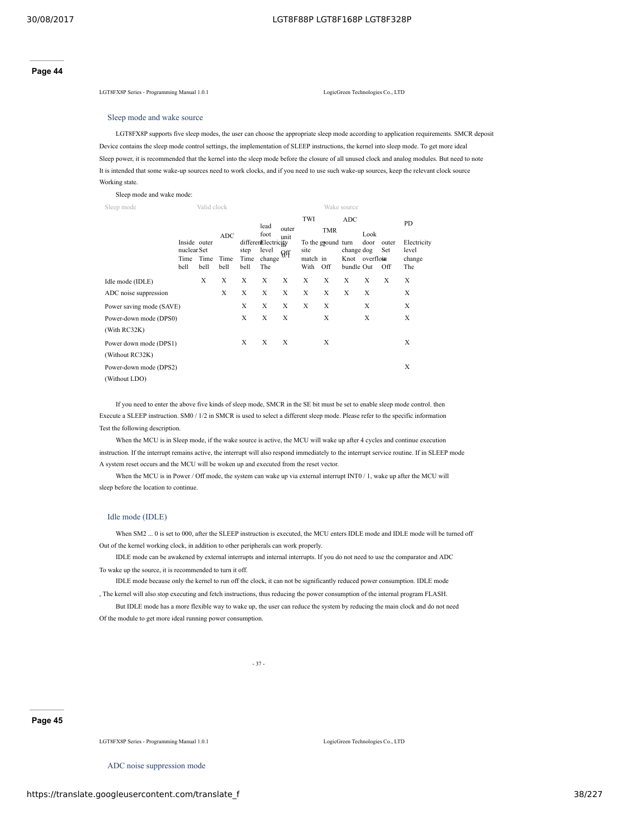#### **Page 44**

LGT8FX8P Series - Programming Manual 1.0.1 LogicGreen Technologies Co., LTD

# Sleep mode and wake source

LGT8FX8P supports five sleep modes, the user can choose the appropriate sleep mode according to application requirements. SMCR deposit Device contains the sleep mode control settings, the implementation of SLEEP instructions, the kernel into sleep mode. To get more ideal Sleep power, it is recommended that the kernel into the sleep mode before the closure of all unused clock and analog modules. But need to note It is intended that some wake-up sources need to work clocks, and if you need to use such wake-up sources, keep the relevant clock source Working state.

Sleep mode and wake mode:

| Sleep mode                                |                             | Valid clock  |              |                      |                                     |               |                          |                           | Wake source                                |              |                     |                          |
|-------------------------------------------|-----------------------------|--------------|--------------|----------------------|-------------------------------------|---------------|--------------------------|---------------------------|--------------------------------------------|--------------|---------------------|--------------------------|
|                                           | Inside outer                |              | <b>ADC</b>   |                      | lead<br>foot<br>differenElectricity | outer<br>unit | TWI                      | <b>TMR</b>                | <b>ADC</b>                                 | Look<br>door |                     | <b>PD</b><br>Electricity |
|                                           | nuclear Set<br>Time<br>bell | Time<br>bell | Time<br>bell | step<br>Time<br>bell | level<br>change<br>The              | $\Theta$ ff   | site<br>match in<br>With | To the ground turn<br>Off | change dog<br>Knot overflown<br>bundle Out |              | outer<br>Set<br>Off | level<br>change<br>The   |
| Idle mode (IDLE)                          |                             | X            | X            | X                    | Х                                   | X             | X                        | Х                         | X                                          | X            | X                   | X                        |
| ADC noise suppression                     |                             |              | X            | X                    | X                                   | X             | X                        | X                         | X                                          | X            |                     | X                        |
| Power saving mode (SAVE)                  |                             |              |              | X                    | X                                   | X             | X                        | X                         |                                            | X            |                     | X                        |
| Power-down mode (DPS0)<br>(With RC32K)    |                             |              |              | X                    | X                                   | X             |                          | X                         |                                            | X            |                     | X                        |
| Power down mode (DPS1)<br>(Without RC32K) |                             |              |              | X                    | X                                   | X             |                          | X                         |                                            |              |                     | X                        |
| Power-down mode (DPS2)<br>(Without LDO)   |                             |              |              |                      |                                     |               |                          |                           |                                            |              |                     | X                        |

If you need to enter the above five kinds of sleep mode, SMCR in the SE bit must be set to enable sleep mode control. then Execute a SLEEP instruction. SM0 / 1/2 in SMCR is used to select a different sleep mode. Please refer to the specific information Test the following description.

When the MCU is in Sleep mode, if the wake source is active, the MCU will wake up after 4 cycles and continue execution instruction. If the interrupt remains active, the interrupt will also respond immediately to the interrupt service routine. If in SLEEP mode A system reset occurs and the MCU will be woken up and executed from the reset vector.

When the MCU is in Power / Off mode, the system can wake up via external interrupt INT0 / 1, wake up after the MCU will sleep before the location to continue.

# Idle mode (IDLE)

When SM2 ... 0 is set to 000, after the SLEEP instruction is executed, the MCU enters IDLE mode and IDLE mode will be turned off Out of the kernel working clock, in addition to other peripherals can work properly.

IDLE mode can be awakened by external interrupts and internal interrupts. If you do not need to use the comparator and ADC To wake up the source, it is recommended to turn it off.

IDLE mode because only the kernel to run off the clock, it can not be significantly reduced power consumption. IDLE mode , The kernel will also stop executing and fetch instructions, thus reducing the power consumption of the internal program FLASH.

But IDLE mode has a more flexible way to wake up, the user can reduce the system by reducing the main clock and do not need Of the module to get more ideal running power consumption.

- 37 -

## **Page 45**

LGT8FX8P Series - Programming Manual 1.0.1 LogicGreen Technologies Co., LTD

ADC noise suppression mode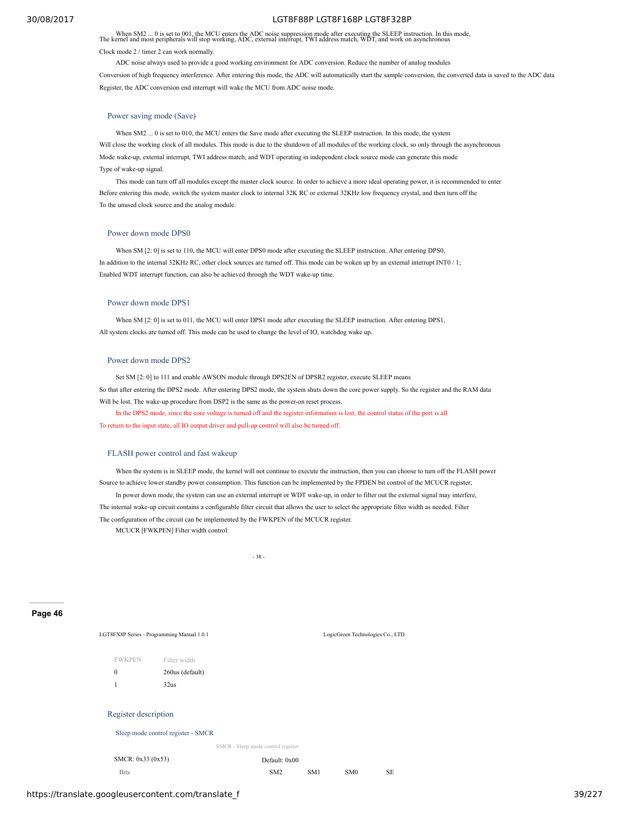When SM2 ... 0 is set to 001, the MCU enters the ADC noise suppression mode after executing the SLEEP instruction. In this mode, The kernel and most peripherals will stop working, ADC, external interrupt, TWI address match

#### Clock mode 2 / timer 2 can work normally.

ADC noise always used to provide a good working environment for ADC conversion. Reduce the number of analog modules

Conversion of high frequency interference. After entering this mode, the ADC will automatically start the sample conversion, the converted data is saved to the ADC data Register, the ADC conversion end interrupt will wake the MCU from ADC noise mode.

#### Power saving mode (Save)

When SM2 ... 0 is set to 010, the MCU enters the Save mode after executing the SLEEP instruction. In this mode, the system Will close the working clock of all modules. This mode is due to the shutdown of all modules of the working clock, so only through the asynchronous Mode wake-up, external interrupt, TWI address match, and WDT operating in independent clock source mode can generate this mode Type of wake-up signal.

This mode can turn off all modules except the master clock source. In order to achieve a more ideal operating power, it is recommended to enter Before entering this mode, switch the system master clock to internal 32K RC or external 32KHz low frequency crystal, and then turn off the To the unused clock source and the analog module.

## Power down mode DPS0

When SM [2: 0] is set to 110, the MCU will enter DPS0 mode after executing the SLEEP instruction. After entering DPS0, In addition to the internal 32KHz RC, other clock sources are turned off. This mode can be woken up by an external interrupt INT0 / 1; Enabled WDT interrupt function, can also be achieved through the WDT wake-up time.

#### Power down mode DPS1

When SM  $[2: 0]$  is set to 011, the MCU will enter DPS1 mode after executing the SLEEP instruction. After entering DPS1, All system clocks are turned off. This mode can be used to change the level of IO, watchdog wake up.

#### Power down mode DPS2

Set SM [2: 0] to 111 and enable AWSON module through DPS2EN of DPSR2 register, execute SLEEP means So that after entering the DPS2 mode. After entering DPS2 mode, the system shuts down the core power supply. So the register and the RAM data Will be lost. The wake-up procedure from DSP2 is the same as the power-on reset process.

In the DPS2 mode, since the core voltage is turned off and the register information is lost, the control status of the port is all

To return to the input state, all IO output driver and pull-up control will also be turned off.

#### FLASH power control and fast wakeup

When the system is in SLEEP mode, the kernel will not continue to execute the instruction, then you can choose to turn off the FLASH power Source to achieve lower standby power consumption. This function can be implemented by the FPDEN bit control of the MCUCR register;

In power down mode, the system can use an external interrupt or WDT wake-up, in order to filter out the external signal may interfere, The internal wake-up circuit contains a configurable filter circuit that allows the user to select the appropriate filter width as needed. Filter The configuration of the circuit can be implemented by the FWKPEN of the MCUCR register. MCUCR [FWKPEN] Filter width control:

 $-38$ 

**Page 46**

LGT8FX8P Series - Programming Manual 1.0.1 LogicGreen Technologies Co., LTD FWKPEN Filter width 0 260us (default) 1 32us Register description Sleep mode control register - SMCR SMCR - Sleep mode control register SMCR: 0x33 (0x53) Default: 0x00 Bits SM2 SM1 SM0 SE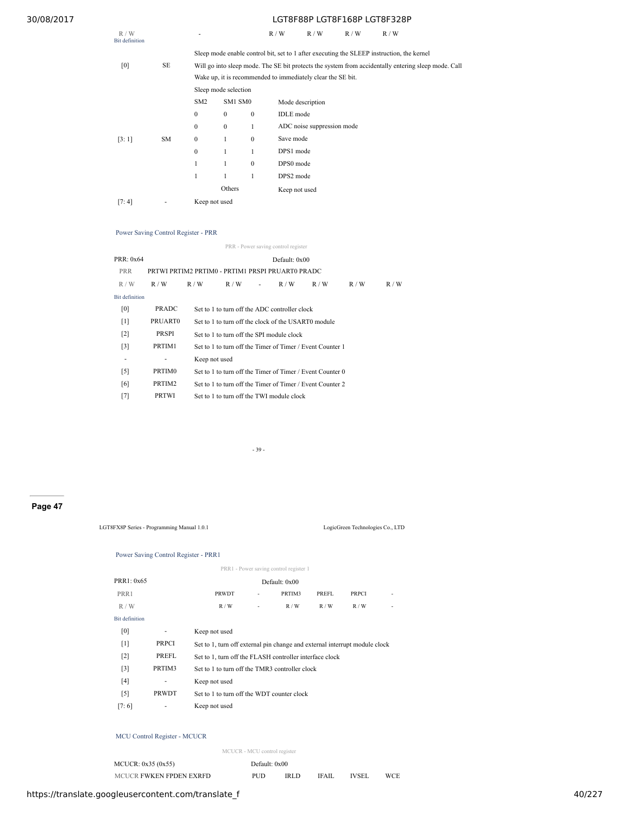| R/W<br>Bit definition |           |                  |                      |              | R/W              | R/W                                                         | R/W | R/W                                                                                                 |  |  |  |  |
|-----------------------|-----------|------------------|----------------------|--------------|------------------|-------------------------------------------------------------|-----|-----------------------------------------------------------------------------------------------------|--|--|--|--|
|                       |           |                  |                      |              |                  |                                                             |     | Sleep mode enable control bit, set to 1 after executing the SLEEP instruction, the kernel           |  |  |  |  |
| [0]                   | SE        |                  |                      |              |                  |                                                             |     | Will go into sleep mode. The SE bit protects the system from accidentally entering sleep mode. Call |  |  |  |  |
|                       |           |                  |                      |              |                  | Wake up, it is recommended to immediately clear the SE bit. |     |                                                                                                     |  |  |  |  |
|                       |           |                  | Sleep mode selection |              |                  |                                                             |     |                                                                                                     |  |  |  |  |
|                       |           | SM <sub>2</sub>  | SM1 SM0              |              |                  | Mode description                                            |     |                                                                                                     |  |  |  |  |
|                       |           | $\boldsymbol{0}$ | $\boldsymbol{0}$     | $\mathbf{0}$ | <b>IDLE</b> mode |                                                             |     |                                                                                                     |  |  |  |  |
|                       |           | $\boldsymbol{0}$ | $\mathbf{0}$         | 1            |                  | ADC noise suppression mode                                  |     |                                                                                                     |  |  |  |  |
| [3:1]                 | <b>SM</b> | $\theta$         | 1                    | $\mathbf{0}$ | Save mode        |                                                             |     |                                                                                                     |  |  |  |  |
|                       |           | $\mathbf{0}$     | 1                    |              | DPS1 mode        |                                                             |     |                                                                                                     |  |  |  |  |
|                       |           | $\mathbf{1}$     | 1                    | $\mathbf{0}$ | DPS0 mode        |                                                             |     |                                                                                                     |  |  |  |  |
|                       |           | 1                | 1                    | 1            | DPS2 mode        |                                                             |     |                                                                                                     |  |  |  |  |
|                       |           |                  | Others               |              | Keep not used    |                                                             |     |                                                                                                     |  |  |  |  |
| [7:4]                 |           | Keep not used    |                      |              |                  |                                                             |     |                                                                                                     |  |  |  |  |

# Power Saving Control Register - PRR

PRR - Power saving control register

| PRR: 0x64             |                | Default: $0x00$                               |                                                           |   |     |     |     |     |  |  |  |
|-----------------------|----------------|-----------------------------------------------|-----------------------------------------------------------|---|-----|-----|-----|-----|--|--|--|
| <b>PRR</b>            |                |                                               | PRTWI PRTIM2 PRTIM0 - PRTIM1 PRSPI PRUARTO PRADC          |   |     |     |     |     |  |  |  |
| R/W                   | R/W            | R/W                                           | R/W                                                       | ٠ | R/W | R/W | R/W | R/W |  |  |  |
| <b>Bit definition</b> |                |                                               |                                                           |   |     |     |     |     |  |  |  |
| [0]                   | <b>PRADC</b>   | Set to 1 to turn off the ADC controller clock |                                                           |   |     |     |     |     |  |  |  |
| $[1]$                 | <b>PRUARTO</b> |                                               | Set to 1 to turn off the clock of the USART0 module       |   |     |     |     |     |  |  |  |
| $\lceil 2 \rceil$     | PRSPI          |                                               | Set to 1 to turn off the SPI module clock                 |   |     |     |     |     |  |  |  |
| $\lceil 3 \rceil$     | PRTIM1         |                                               | Set to 1 to turn off the Timer of Timer / Event Counter 1 |   |     |     |     |     |  |  |  |
| ۰                     | ٠              |                                               | Keep not used                                             |   |     |     |     |     |  |  |  |
| $\lceil 5 \rceil$     | PRTIM0         |                                               | Set to 1 to turn off the Timer of Timer / Event Counter 0 |   |     |     |     |     |  |  |  |
| [6]                   | PRTIM2         |                                               | Set to 1 to turn off the Timer of Timer / Event Counter 2 |   |     |     |     |     |  |  |  |
| [7]                   | <b>PRTWI</b>   |                                               | Set to 1 to turn off the TWI module clock                 |   |     |     |     |     |  |  |  |
|                       |                |                                               |                                                           |   |     |     |     |     |  |  |  |

- 39 -

# **Page 47**

LGT8FX8P Series - Programming Manual 1.0.1 LogicGreen Technologies Co., LTD

# Power Saving Control Register - PRR1

| PRR1 - Power saving control register 1 |              |                                                                            |   |               |       |              |  |  |
|----------------------------------------|--------------|----------------------------------------------------------------------------|---|---------------|-------|--------------|--|--|
| PRR1: 0x65                             |              |                                                                            |   | Default: 0x00 |       |              |  |  |
| PRR1                                   |              | <b>PRWDT</b>                                                               | ٠ | PRTIM3        | PREFL | <b>PRPCI</b> |  |  |
| R/W                                    |              | R/W                                                                        | ٠ | R/W           | R/W   | R/W          |  |  |
| <b>Bit definition</b>                  |              |                                                                            |   |               |       |              |  |  |
| [0]                                    | ٠            | Keep not used                                                              |   |               |       |              |  |  |
| $[1]$                                  | <b>PRPCI</b> | Set to 1, turn off external pin change and external interrupt module clock |   |               |       |              |  |  |
| $\lceil 2 \rceil$                      | PREFL        | Set to 1, turn off the FLASH controller interface clock                    |   |               |       |              |  |  |
| $[3]$                                  | PRTIM3       | Set to 1 to turn off the TMR3 controller clock                             |   |               |       |              |  |  |
| [4]                                    | ٠            | Keep not used                                                              |   |               |       |              |  |  |
| $\lceil 5 \rceil$                      | <b>PRWDT</b> | Set to 1 to turn off the WDT counter clock                                 |   |               |       |              |  |  |
| [7:6]                                  |              | Keep not used                                                              |   |               |       |              |  |  |

# MCU Control Register - MCUCR

MCUCR - MCU control register

| MCUCR: $0x35(0x55)$     | Default: 0x00 |      |       |              |     |
|-------------------------|---------------|------|-------|--------------|-----|
| MCUCR FWKEN FPDEN EXRFD | PUD           | IRLD | IFAIL | <b>IVSEI</b> | WCE |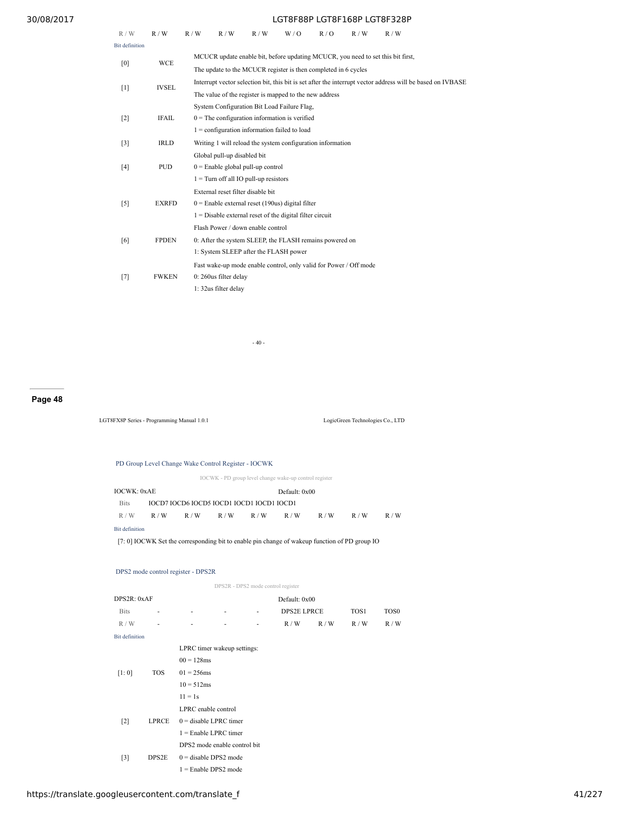| R/W                   | R/W          | R/W | R/W                                                               | R/W | W/0 | R/O | R/W | R/W                                                                             |                                                                                                            |  |
|-----------------------|--------------|-----|-------------------------------------------------------------------|-----|-----|-----|-----|---------------------------------------------------------------------------------|------------------------------------------------------------------------------------------------------------|--|
| <b>Bit definition</b> |              |     |                                                                   |     |     |     |     |                                                                                 |                                                                                                            |  |
| [0]                   | <b>WCE</b>   |     |                                                                   |     |     |     |     | MCUCR update enable bit, before updating MCUCR, you need to set this bit first, |                                                                                                            |  |
|                       |              |     | The update to the MCUCR register is then completed in 6 cycles    |     |     |     |     |                                                                                 |                                                                                                            |  |
| $[1]$                 | <b>IVSEL</b> |     |                                                                   |     |     |     |     |                                                                                 | Interrupt vector selection bit, this bit is set after the interrupt vector address will be based on IVBASE |  |
|                       |              |     | The value of the register is mapped to the new address            |     |     |     |     |                                                                                 |                                                                                                            |  |
|                       |              |     | System Configuration Bit Load Failure Flag,                       |     |     |     |     |                                                                                 |                                                                                                            |  |
| $[2]$                 | <b>IFAIL</b> |     | $0$ = The configuration information is verified                   |     |     |     |     |                                                                                 |                                                                                                            |  |
|                       |              |     | $1 =$ configuration information failed to load                    |     |     |     |     |                                                                                 |                                                                                                            |  |
| $[3]$                 | <b>IRLD</b>  |     | Writing 1 will reload the system configuration information        |     |     |     |     |                                                                                 |                                                                                                            |  |
|                       |              |     | Global pull-up disabled bit                                       |     |     |     |     |                                                                                 |                                                                                                            |  |
| [4]                   | <b>PUD</b>   |     | $0 =$ Enable global pull-up control                               |     |     |     |     |                                                                                 |                                                                                                            |  |
|                       |              |     | $1 =$ Turn off all IO pull-up resistors                           |     |     |     |     |                                                                                 |                                                                                                            |  |
|                       |              |     | External reset filter disable bit                                 |     |     |     |     |                                                                                 |                                                                                                            |  |
| $[5]$                 | <b>EXRFD</b> |     | $0$ = Enable external reset (190us) digital filter                |     |     |     |     |                                                                                 |                                                                                                            |  |
|                       |              |     | $1 =$ Disable external reset of the digital filter circuit        |     |     |     |     |                                                                                 |                                                                                                            |  |
|                       |              |     | Flash Power / down enable control                                 |     |     |     |     |                                                                                 |                                                                                                            |  |
| [6]                   | <b>FPDEN</b> |     | 0: After the system SLEEP, the FLASH remains powered on           |     |     |     |     |                                                                                 |                                                                                                            |  |
|                       |              |     | 1: System SLEEP after the FLASH power                             |     |     |     |     |                                                                                 |                                                                                                            |  |
|                       |              |     | Fast wake-up mode enable control, only valid for Power / Off mode |     |     |     |     |                                                                                 |                                                                                                            |  |
| $[7]$                 | <b>FWKEN</b> |     | 0: 260us filter delay                                             |     |     |     |     |                                                                                 |                                                                                                            |  |
|                       |              |     | 1: 32us filter delay                                              |     |     |     |     |                                                                                 |                                                                                                            |  |

- 40 -

# **Page 48**

LGT8FX8P Series - Programming Manual 1.0.1 LogicGreen Technologies Co., LTD

# PD Group Level Change Wake Control Register - IOCWK

IOCWK - PD group level change wake-up control register

| <b>IOCWK: 0xAE</b> |     |                                           |     |     | Default: 0x00 |     |     |     |
|--------------------|-----|-------------------------------------------|-----|-----|---------------|-----|-----|-----|
| <b>Bits</b>        |     | IOCD7 IOCD6 IOCD5 IOCD1 IOCD1 IOCD1 IOCD1 |     |     |               |     |     |     |
| R/W                | R/W | R/W                                       | R/W | R/W | R/W           | R/W | R/W | R/W |
| Bit definition     |     |                                           |     |     |               |     |     |     |

[7: 0] IOCWK Set the corresponding bit to enable pin change of wakeup function of PD group IO

# DPS2 mode control register - DPS2R

|                       |              |                              |   | DPS2R - DPS2 mode control register |                    |     |      |                  |  |  |
|-----------------------|--------------|------------------------------|---|------------------------------------|--------------------|-----|------|------------------|--|--|
| DPS2R: 0xAF           |              |                              |   |                                    | Default: 0x00      |     |      |                  |  |  |
| <b>Bits</b>           | ٠            |                              | ٠ | ۰                                  | <b>DPS2E LPRCE</b> |     | TOS1 | TOS <sub>0</sub> |  |  |
| R/W                   | ۰            |                              | ۰ | ۰                                  | R/W                | R/W | R/W  | R/W              |  |  |
| <b>Bit definition</b> |              |                              |   |                                    |                    |     |      |                  |  |  |
|                       |              | LPRC timer wakeup settings:  |   |                                    |                    |     |      |                  |  |  |
|                       |              | $00 = 128$ ms                |   |                                    |                    |     |      |                  |  |  |
| <b>TOS</b><br>[1:0]   |              | $01 = 256$ ms                |   |                                    |                    |     |      |                  |  |  |
|                       |              | $10 = 512ms$                 |   |                                    |                    |     |      |                  |  |  |
|                       |              | $11 = 1s$                    |   |                                    |                    |     |      |                  |  |  |
|                       |              | LPRC enable control          |   |                                    |                    |     |      |                  |  |  |
| $\lceil 2 \rceil$     | <b>LPRCE</b> | $0 =$ disable LPRC timer     |   |                                    |                    |     |      |                  |  |  |
|                       |              | $1 =$ Enable LPRC timer      |   |                                    |                    |     |      |                  |  |  |
|                       |              | DPS2 mode enable control bit |   |                                    |                    |     |      |                  |  |  |
| $\lceil 3 \rceil$     | DPS2E        | $0 =$ disable DPS2 mode      |   |                                    |                    |     |      |                  |  |  |
|                       |              | $1 =$ Enable DPS2 mode       |   |                                    |                    |     |      |                  |  |  |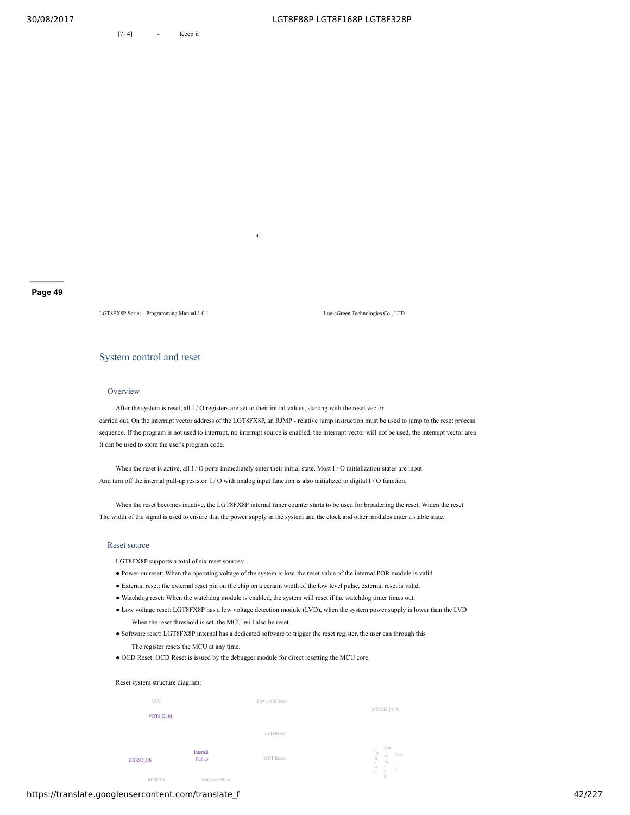[7:4] - Keep it

**Page 49**

LGT8FX8P Series - Programming Manual 1.0.1 LogicGreen Technologies Co., LTD

# System control and reset

# **Overview**

After the system is reset, all I / O registers are set to their initial values, starting with the reset vector carried out. On the interrupt vector address of the LGT8FX8P, an RJMP - relative jump instruction must be used to jump to the reset process sequence. If the program is not used to interrupt, no interrupt source is enabled, the interrupt vector will not be used, the interrupt vector area It can be used to store the user's program code.

When the reset is active, all I / O ports immediately enter their initial state. Most I / O initialization states are input And turn off the internal pull-up resistor. I / O with analog input function is also initialized to digital I / O function.

- 41 -

When the reset becomes inactive, the LGT8FX8P internal timer counter starts to be used for broadening the reset. Widen the reset The width of the signal is used to ensure that the power supply in the system and the clock and other modules enter a stable state.

#### Reset source

LGT8FX8P supports a total of six reset sources:

- Power-on reset: When the operating voltage of the system is low, the reset value of the internal POR module is valid.
- External reset: the external reset pin on the chip on a certain width of the low level pulse, external reset is valid.
- Watchdog reset: When the watchdog module is enabled, the system will reset if the watchdog timer times out.
- Low voltage reset: LGT8FX8P has a low voltage detection module (LVD), when the system power supply is lower than the LVD When the reset threshold is set, the MCU will also be reset.
- Software reset: LGT8FX8P internal has a dedicated software to trigger the reset register, the user can through this The register resets the MCU at any time.
- OCD Reset: OCD Reset is issued by the debugger module for direct resetting the MCU core.

#### Reset system structure diagram:

| VCC                                               |                                                 | Power-On Reset   |                                                                                         |
|---------------------------------------------------|-------------------------------------------------|------------------|-----------------------------------------------------------------------------------------|
| <b>VDTS</b> [2: 0]                                |                                                 |                  | MCUSR [4:0]                                                                             |
|                                                   |                                                 | LVD Reset        |                                                                                         |
| EXRST_EN                                          | Internal<br>Pullup                              | <b>WDT Reset</b> | Syn<br>Co<br>Exte<br>ch<br>m<br>ro<br>$\frac{b}{m}$<br>$\frac{n}{d}$<br>n<br>$_{\rm c}$ |
| the company's property and the company's property | the contract of the contract of the contract of |                  | o<br>us                                                                                 |

RESETN Debounce Filter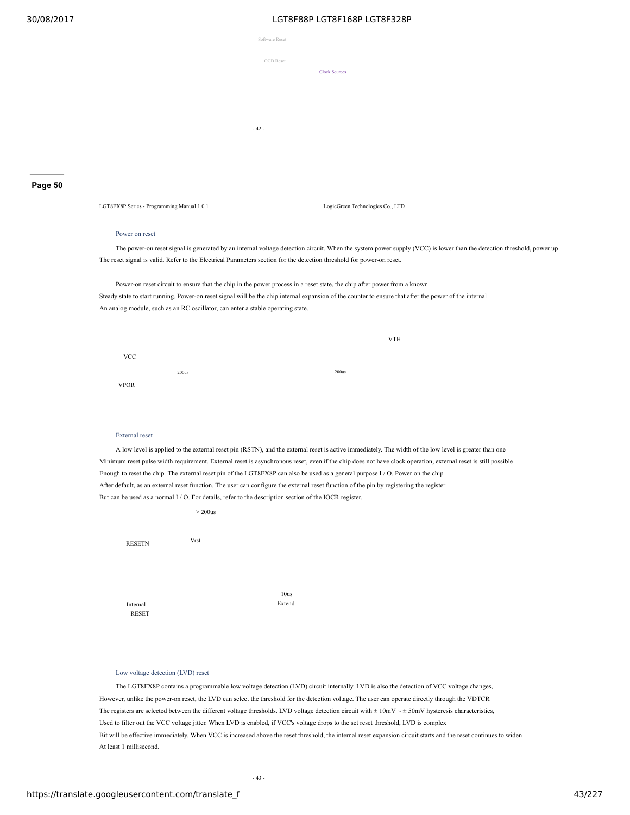|                | ---------------------- |
|----------------|------------------------|
| Software Reset |                        |
| OCD Reset      |                        |
|                | <b>Clock Sources</b>   |
|                |                        |
|                |                        |
| $-42-$         |                        |

**Page 50**

LGT8FX8P Series - Programming Manual 1.0.1 LogicGreen Technologies Co., LTD

VTH

#### Power on reset

The power-on reset signal is generated by an internal voltage detection circuit. When the system power supply (VCC) is lower than the detection threshold, power up The reset signal is valid. Refer to the Electrical Parameters section for the detection threshold for power-on reset.

Power-on reset circuit to ensure that the chip in the power process in a reset state, the chip after power from a known Steady state to start running. Power-on reset signal will be the chip internal expansion of the counter to ensure that after the power of the internal An analog module, such as an RC oscillator, can enter a stable operating state.

| <b>VCC</b>  |                   |                   |
|-------------|-------------------|-------------------|
| <b>VPOR</b> | 200 <sub>us</sub> | 200 <sub>us</sub> |

### External reset

A low level is applied to the external reset pin (RSTN), and the external reset is active immediately. The width of the low level is greater than one Minimum reset pulse width requirement. External reset is asynchronous reset, even if the chip does not have clock operation, external reset is still possible Enough to reset the chip. The external reset pin of the LGT8FX8P can also be used as a general purpose I / O. Power on the chip After default, as an external reset function. The user can configure the external reset function of the pin by registering the register But can be used as a normal I / O. For details, refer to the description section of the IOCR register.

|               | $>$ 200 $us$ |        |
|---------------|--------------|--------|
| <b>RESETN</b> | Vrst         |        |
|               |              |        |
|               |              | 10us   |
| Internal      |              | Extend |
| <b>RESET</b>  |              |        |

# Low voltage detection (LVD) reset

The LGT8FX8P contains a programmable low voltage detection (LVD) circuit internally. LVD is also the detection of VCC voltage changes, However, unlike the power-on reset, the LVD can select the threshold for the detection voltage. The user can operate directly through the VDTCR The registers are selected between the different voltage thresholds. LVD voltage detection circuit with  $\pm 10$ mV  $\sim \pm 50$ mV hysteresis characteristics, Used to filter out the VCC voltage jitter. When LVD is enabled, if VCC's voltage drops to the set reset threshold, LVD is complex Bit will be effective immediately. When VCC is increased above the reset threshold, the internal reset expansion circuit starts and the reset continues to widen At least 1 millisecond.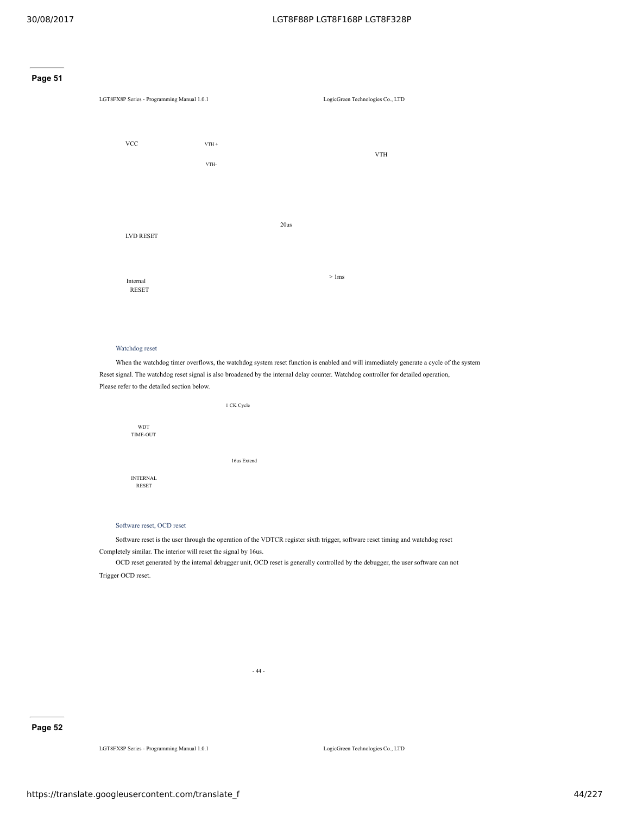



# Watchdog reset

When the watchdog timer overflows, the watchdog system reset function is enabled and will immediately generate a cycle of the system Reset signal. The watchdog reset signal is also broadened by the internal delay counter. Watchdog controller for detailed operation, Please refer to the detailed section below.



Software reset, OCD reset

Software reset is the user through the operation of the VDTCR register sixth trigger, software reset timing and watchdog reset Completely similar. The interior will reset the signal by 16us.

OCD reset generated by the internal debugger unit, OCD reset is generally controlled by the debugger, the user software can not Trigger OCD reset.

- 44 -

# **Page 52**

LGT8FX8P Series - Programming Manual 1.0.1 LogicGreen Technologies Co., LTD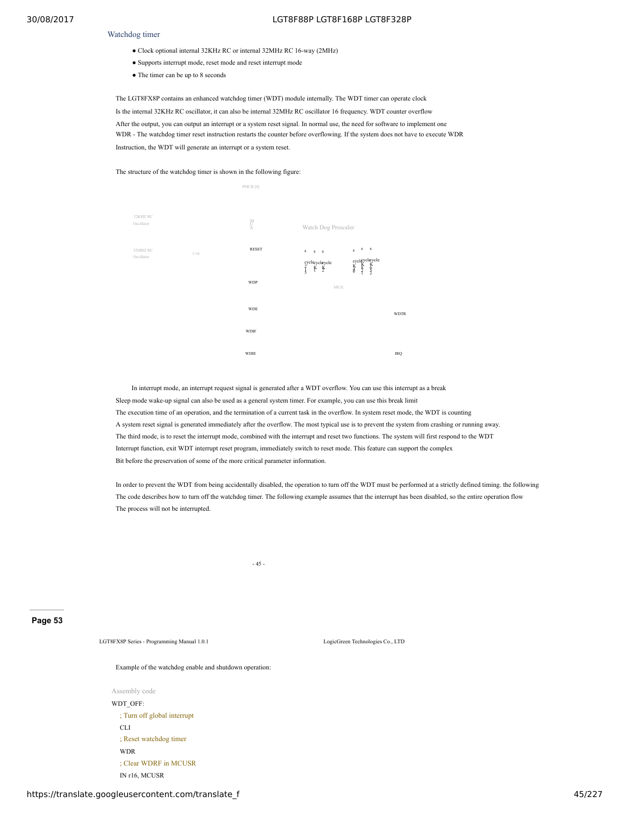#### Watchdog timer

- Clock optional internal 32KHz RC or internal 32MHz RC 16-way (2MHz)
- Supports interrupt mode, reset mode and reset interrupt mode
- The timer can be up to 8 seconds

The LGT8FX8P contains an enhanced watchdog timer (WDT) module internally. The WDT timer can operate clock Is the internal 32KHz RC oscillator, it can also be internal 32MHz RC oscillator 16 frequency. WDT counter overflow After the output, you can output an interrupt or a system reset signal. In normal use, the need for software to implement one WDR - The watchdog timer reset instruction restarts the counter before overflowing. If the system does not have to execute WDR Instruction, the WDT will generate an interrupt or a system reset.

The structure of the watchdog timer is shown in the following figure:



In interrupt mode, an interrupt request signal is generated after a WDT overflow. You can use this interrupt as a break Sleep mode wake-up signal can also be used as a general system timer. For example, you can use this break limit The execution time of an operation, and the termination of a current task in the overflow. In system reset mode, the WDT is counting A system reset signal is generated immediately after the overflow. The most typical use is to prevent the system from crashing or running away. The third mode, is to reset the interrupt mode, combined with the interrupt and reset two functions. The system will first respond to the WDT Interrupt function, exit WDT interrupt reset program, immediately switch to reset mode. This feature can support the complex Bit before the preservation of some of the more critical parameter information.

In order to prevent the WDT from being accidentally disabled, the operation to turn off the WDT must be performed at a strictly defined timing. the following The code describes how to turn off the watchdog timer. The following example assumes that the interrupt has been disabled, so the entire operation flow The process will not be interrupted.

 $- 45 -$ 

#### **Page 53**

LGT8FX8P Series - Programming Manual 1.0.1 LogicGreen Technologies Co., LTD

Example of the watchdog enable and shutdown operation:

Assembly code WDT\_OFF: ; Turn off global interrupt CLI ; Reset watchdog timer WDR ; Clear WDRF in MCUSR IN r16, MCUSR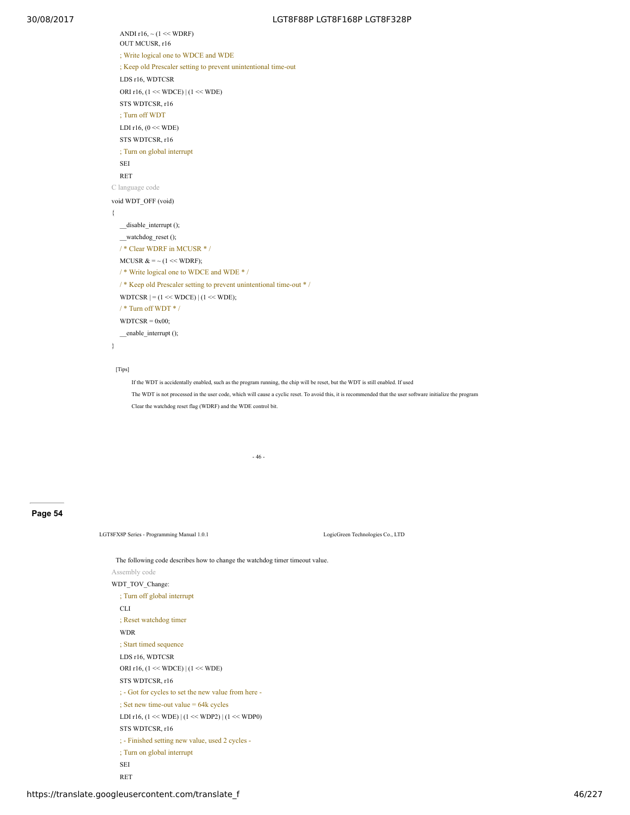ANDI r16,  $\sim$  (1  $\ll$  WDRF) OUT MCUSR, r16 ; Write logical one to WDCE and WDE ; Keep old Prescaler setting to prevent unintentional time-out LDS r16, WDTCSR ORI r16, (1 << WDCE) | (1 << WDE) STS WDTCSR, r16 ; Turn off WDT LDI r16,  $(0 \ll WDE)$ STS WDTCSR, r16 ; Turn on global interrupt SEI RET C language code void WDT\_OFF (void) { \_\_disable\_interrupt (); \_\_watchdog\_reset (); / \* Clear WDRF in MCUSR \* / MCUSR  $& = \sim (1 \ll \text{WDRF})$ ; / \* Write logical one to WDCE and WDE \* / / \* Keep old Prescaler setting to prevent unintentional time-out \* / WDTCSR  $| = (1 \ll WDCE) | (1 \ll WDE);$ / \* Turn off WDT \* /  $WDTCSR = 0x00;$ \_\_enable\_interrupt (); }

#### [Tips]

If the WDT is accidentally enabled, such as the program running, the chip will be reset, but the WDT is still enabled. If used The WDT is not processed in the user code, which will cause a cyclic reset. To avoid this, it is recommended that the user software initialize the program Clear the watchdog reset flag (WDRF) and the WDE control bit.

- 46 -

#### **Page 54**

LGT8FX8P Series - Programming Manual 1.0.1 LogicGreen Technologies Co., LTD

The following code describes how to change the watchdog timer timeout value. Assembly code WDT\_TOV\_Change: ; Turn off global interrupt CLI ; Reset watchdog timer WDR ; Start timed sequence LDS r16, WDTCSR ORI r16, (1 << WDCE) | (1 << WDE) STS WDTCSR, r16 ; - Got for cycles to set the new value from here - ; Set new time-out value = 64k cycles LDI r16, (1 << WDE) | (1 << WDP2) | (1 << WDP0) STS WDTCSR, r16 ; - Finished setting new value, used 2 cycles - ; Turn on global interrupt SEI RET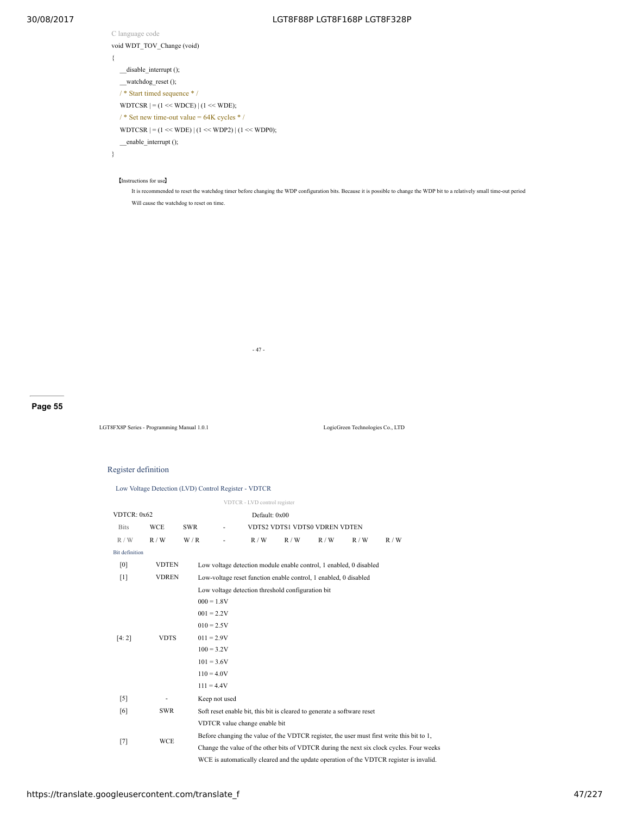C language code void WDT\_TOV\_Change (void) { \_\_disable\_interrupt (); \_\_watchdog\_reset (); / \* Start timed sequence \* / WDTCSR  $| = (1 \ll WDCE) | (1 \ll WDE);$ /  $*$  Set new time-out value = 64K cycles  $*$  / WDTCSR  $| = (1 \ll WDE) | (1 \ll WDP2) | (1 \ll WDP0);$ \_\_enable\_interrupt (); }

【Instructions for use】

It is recommended to reset the watchdog timer before changing the WDP configuration bits. Because it is possible to change the WDP bit to a relatively small time-out period Will cause the watchdog to reset on time.

- 47 -

# **Page 55**

LGT8FX8P Series - Programming Manual 1.0.1 LogicGreen Technologies Co., LTD

Register definition

|  | Low Voltage Detection (LVD) Control Register - VDTCR |  |
|--|------------------------------------------------------|--|
|  |                                                      |  |

|                       |                              |               |                                                                         | VDTCR - LVD control register                                       |     |                               |     |                                                                                           |
|-----------------------|------------------------------|---------------|-------------------------------------------------------------------------|--------------------------------------------------------------------|-----|-------------------------------|-----|-------------------------------------------------------------------------------------------|
|                       | VDTCR: 0x62<br>Default: 0x00 |               |                                                                         |                                                                    |     |                               |     |                                                                                           |
| <b>Bits</b>           | <b>WCE</b>                   | SWR           | ۰                                                                       |                                                                    |     | VDTS2 VDTS1 VDTS0 VDREN VDTEN |     |                                                                                           |
| R/W                   | R/W                          | W/R           |                                                                         | R/W                                                                | R/W | R/W                           | R/W | R/W                                                                                       |
| <b>Bit definition</b> |                              |               |                                                                         |                                                                    |     |                               |     |                                                                                           |
| [0]                   | <b>VDTEN</b>                 |               |                                                                         | Low voltage detection module enable control, 1 enabled, 0 disabled |     |                               |     |                                                                                           |
| $[1]$                 | <b>VDREN</b>                 |               |                                                                         | Low-voltage reset function enable control, 1 enabled, 0 disabled   |     |                               |     |                                                                                           |
|                       |                              |               |                                                                         | Low voltage detection threshold configuration bit                  |     |                               |     |                                                                                           |
|                       |                              | $000 = 1.8V$  |                                                                         |                                                                    |     |                               |     |                                                                                           |
|                       |                              | $001 = 2.2V$  |                                                                         |                                                                    |     |                               |     |                                                                                           |
|                       |                              |               | $010 = 2.5V$                                                            |                                                                    |     |                               |     |                                                                                           |
| [4:2]                 | <b>VDTS</b>                  | $011 = 2.9V$  |                                                                         |                                                                    |     |                               |     |                                                                                           |
|                       |                              | $100 = 3.2V$  |                                                                         |                                                                    |     |                               |     |                                                                                           |
|                       |                              | $101 = 3.6V$  |                                                                         |                                                                    |     |                               |     |                                                                                           |
|                       |                              |               | $110 = 4.0V$                                                            |                                                                    |     |                               |     |                                                                                           |
|                       |                              |               | $111 = 4.4V$                                                            |                                                                    |     |                               |     |                                                                                           |
| $\lceil 5 \rceil$     |                              | Keep not used |                                                                         |                                                                    |     |                               |     |                                                                                           |
| [6]                   | <b>SWR</b>                   |               | Soft reset enable bit, this bit is cleared to generate a software reset |                                                                    |     |                               |     |                                                                                           |
|                       |                              |               |                                                                         | VDTCR value change enable bit                                      |     |                               |     |                                                                                           |
|                       |                              |               |                                                                         |                                                                    |     |                               |     | Before changing the value of the VDTCR register, the user must first write this bit to 1, |
| $[7]$                 | <b>WCE</b>                   |               |                                                                         |                                                                    |     |                               |     | Change the value of the other bits of VDTCR during the next six clock cycles. Four weeks  |
|                       |                              |               |                                                                         |                                                                    |     |                               |     | WCE is automatically cleared and the update operation of the VDTCR register is invalid.   |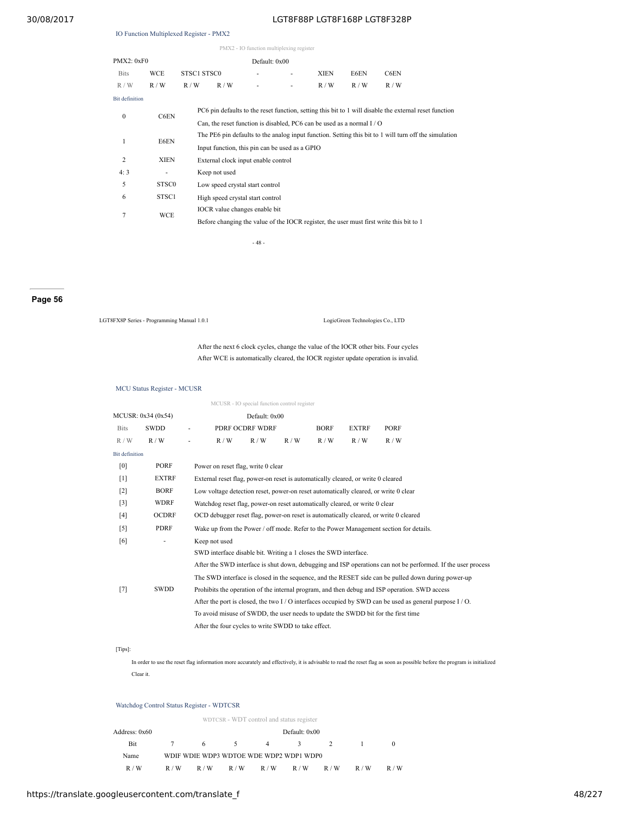### IO Function Multiplexed Register - PMX2

| PMX2 - IO function multiplexing register |                   |             |                                                                                         |                                  |                                                                                                       |             |      |                                                                                                        |  |
|------------------------------------------|-------------------|-------------|-----------------------------------------------------------------------------------------|----------------------------------|-------------------------------------------------------------------------------------------------------|-------------|------|--------------------------------------------------------------------------------------------------------|--|
| PMX2: 0xF0                               |                   |             |                                                                                         | Default: 0x00                    |                                                                                                       |             |      |                                                                                                        |  |
| <b>Bits</b>                              | <b>WCE</b>        | STSC1 STSC0 |                                                                                         |                                  |                                                                                                       | <b>XIEN</b> | E6EN | C6EN                                                                                                   |  |
| R/W                                      | R/W               | R/W         | R/W                                                                                     |                                  | ٠                                                                                                     | R/W         | R/W  | R/W                                                                                                    |  |
| <b>Bit definition</b>                    |                   |             |                                                                                         |                                  |                                                                                                       |             |      |                                                                                                        |  |
| $\mathbf{0}$                             | C6EN              |             |                                                                                         |                                  |                                                                                                       |             |      | PC6 pin defaults to the reset function, setting this bit to 1 will disable the external reset function |  |
|                                          |                   |             |                                                                                         |                                  | Can, the reset function is disabled, PC6 can be used as a normal $I/O$                                |             |      |                                                                                                        |  |
| 1                                        | E6EN              |             |                                                                                         |                                  | The PE6 pin defaults to the analog input function. Setting this bit to 1 will turn off the simulation |             |      |                                                                                                        |  |
|                                          |                   |             |                                                                                         |                                  | Input function, this pin can be used as a GPIO                                                        |             |      |                                                                                                        |  |
| $\overline{2}$                           | <b>XIEN</b>       |             | External clock input enable control                                                     |                                  |                                                                                                       |             |      |                                                                                                        |  |
| 4:3                                      |                   |             | Keep not used                                                                           |                                  |                                                                                                       |             |      |                                                                                                        |  |
| 5                                        | STSC <sub>0</sub> |             |                                                                                         | Low speed crystal start control  |                                                                                                       |             |      |                                                                                                        |  |
| 6                                        | STSC <sub>1</sub> |             |                                                                                         | High speed crystal start control |                                                                                                       |             |      |                                                                                                        |  |
|                                          |                   |             |                                                                                         | IOCR value changes enable bit    |                                                                                                       |             |      |                                                                                                        |  |
|                                          | 7<br><b>WCE</b>   |             | Before changing the value of the IOCR register, the user must first write this bit to 1 |                                  |                                                                                                       |             |      |                                                                                                        |  |

- 48 -

# **Page 56**

LGT8FX8P Series - Programming Manual 1.0.1 LogicGreen Technologies Co., LTD

After the next 6 clock cycles, change the value of the IOCR other bits. Four cycles After WCE is automatically cleared, the IOCR register update operation is invalid.

#### MCU Status Register - MCUSR

MCUSR - IO special function control register MCUSR: 0x34 (0x54) Default: 0x00 Bits SWDD - PDRF OCDRF WDRF BORF EXTRF PORF  $R/W$   $R/W$  -  $R/W$   $R/W$   $R/W$   $R/W$   $R/W$   $R/W$ Bit definition [0] PORF Power on reset flag, write 0 clear [1] EXTRF External reset flag, power-on reset is automatically cleared, or write 0 cleared [2] BORF Low voltage detection reset, power-on reset automatically cleared, or write 0 clear [3] WDRF Watchdog reset flag, power-on reset automatically cleared, or write 0 clear [4] OCDRF OCD debugger reset flag, power-on reset is automatically cleared, or write 0 cleared [5] PDRF Wake up from the Power / off mode. Refer to the Power Management section for details. [6] - Keep not used [7] SWDD SWD interface disable bit. Writing a 1 closes the SWD interface. After the SWD interface is shut down, debugging and ISP operations can not be performed. If the user process The SWD interface is closed in the sequence, and the RESET side can be pulled down during power-up Prohibits the operation of the internal program, and then debug and ISP operation. SWD access After the port is closed, the two I / O interfaces occupied by SWD can be used as general purpose I / O. To avoid misuse of SWDD, the user needs to update the SWDD bit for the first time After the four cycles to write SWDD to take effect.

# [Tips]:

In order to use the reset flag information more accurately and effectively, it is advisable to read the reset flag as soon as possible before the program is initialized Clear it.

#### Watchdog Control Status Register - WDTCSR

|               |     |     |     | WDTCSR - WDT control and status register |               |     |     |     |
|---------------|-----|-----|-----|------------------------------------------|---------------|-----|-----|-----|
| Address: 0x60 |     |     |     |                                          | Default: 0x00 |     |     |     |
| Bit           | 7   | 6   | 5.  | 4                                        | 3             |     |     |     |
| Name          |     |     |     | WDIF WDIE WDP3 WDTOE WDE WDP2 WDP1 WDP0  |               |     |     |     |
| R/W           | R/W | R/W | R/W | R/W                                      | R/W           | R/W | R/W | R/W |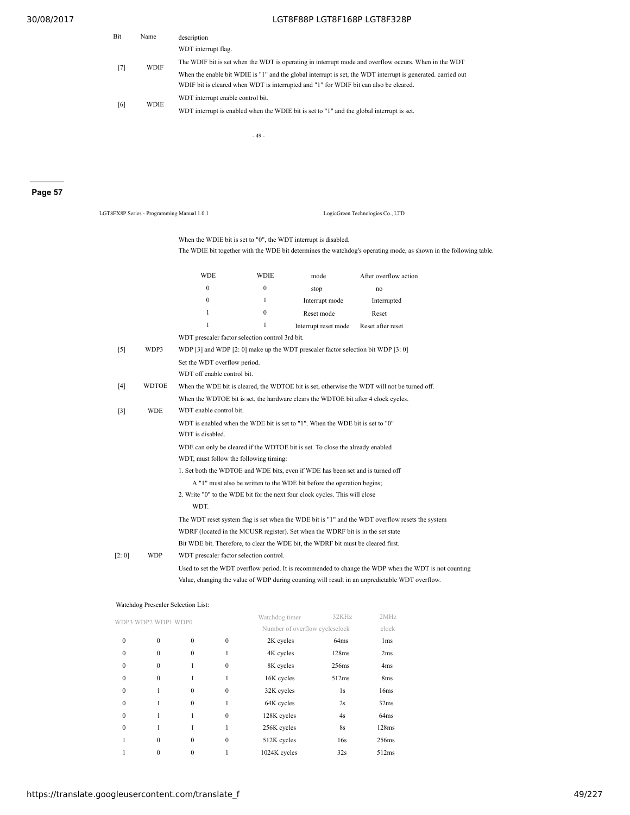| Bit | Name                             | description                                                                                                  |
|-----|----------------------------------|--------------------------------------------------------------------------------------------------------------|
|     | <b>WDIF</b><br>$\lceil 7 \rceil$ | WDT interrupt flag.                                                                                          |
|     |                                  | The WDIF bit is set when the WDT is operating in interrupt mode and overflow occurs. When in the WDT         |
|     |                                  | When the enable bit WDIE is "1" and the global interrupt is set, the WDT interrupt is generated, carried out |
|     |                                  | WDIF bit is cleared when WDT is interrupted and "1" for WDIF bit can also be cleared.                        |
|     | [6]<br><b>WDIE</b>               | WDT interrupt enable control bit.                                                                            |
|     |                                  | WDT interrupt is enabled when the WDIE bit is set to "1" and the global interrupt is set.                    |

- 49 -

**Page 57**

| LGT8FX8P Series - Programming Manual 1.0.1 |              |                                                 |              |                                                                                                                                                       | LogicGreen Technologies Co., LTD                                                                                  |  |
|--------------------------------------------|--------------|-------------------------------------------------|--------------|-------------------------------------------------------------------------------------------------------------------------------------------------------|-------------------------------------------------------------------------------------------------------------------|--|
|                                            |              |                                                 |              | When the WDIE bit is set to "0", the WDT interrupt is disabled.                                                                                       | The WDIE bit together with the WDE bit determines the watchdog's operating mode, as shown in the following table. |  |
|                                            |              | <b>WDE</b>                                      | <b>WDIE</b>  | mode                                                                                                                                                  | After overflow action                                                                                             |  |
|                                            |              | $\mathbf{0}$                                    | $\mathbf{0}$ | stop                                                                                                                                                  | no                                                                                                                |  |
|                                            |              | $\mathbf{0}$                                    | 1            | Interrupt mode                                                                                                                                        | Interrupted                                                                                                       |  |
|                                            |              | $\mathbf{1}$                                    | $\mathbf{0}$ | Reset mode                                                                                                                                            | Reset                                                                                                             |  |
|                                            |              | $\mathbf{1}$                                    | 1            | Interrupt reset mode                                                                                                                                  | Reset after reset                                                                                                 |  |
|                                            |              | WDT prescaler factor selection control 3rd bit. |              |                                                                                                                                                       |                                                                                                                   |  |
| $\lceil 5 \rceil$                          | WDP3         |                                                 |              | WDP [3] and WDP [2: 0] make up the WDT prescaler factor selection bit WDP [3: 0]                                                                      |                                                                                                                   |  |
|                                            |              | Set the WDT overflow period.                    |              |                                                                                                                                                       |                                                                                                                   |  |
|                                            |              | WDT off enable control bit.                     |              |                                                                                                                                                       |                                                                                                                   |  |
| [4]                                        | <b>WDTOE</b> |                                                 |              |                                                                                                                                                       | When the WDE bit is cleared, the WDTOE bit is set, otherwise the WDT will not be turned off.                      |  |
|                                            |              |                                                 |              | When the WDTOE bit is set, the hardware clears the WDTOE bit after 4 clock cycles.                                                                    |                                                                                                                   |  |
| $\lceil 3 \rceil$                          | <b>WDE</b>   | WDT enable control bit.                         |              |                                                                                                                                                       |                                                                                                                   |  |
|                                            |              |                                                 |              | WDT is enabled when the WDE bit is set to "1". When the WDE bit is set to "0"                                                                         |                                                                                                                   |  |
|                                            |              | WDT is disabled.                                |              |                                                                                                                                                       |                                                                                                                   |  |
|                                            |              |                                                 |              | WDE can only be cleared if the WDTOE bit is set. To close the already enabled                                                                         |                                                                                                                   |  |
|                                            |              | WDT, must follow the following timing:          |              | 1. Set both the WDTOE and WDE bits, even if WDE has been set and is turned off                                                                        |                                                                                                                   |  |
|                                            |              |                                                 |              |                                                                                                                                                       |                                                                                                                   |  |
|                                            |              |                                                 |              | A "1" must also be written to the WDE bit before the operation begins;<br>2. Write "0" to the WDE bit for the next four clock cycles. This will close |                                                                                                                   |  |
|                                            |              | WDT.                                            |              |                                                                                                                                                       |                                                                                                                   |  |
|                                            |              |                                                 |              |                                                                                                                                                       | The WDT reset system flag is set when the WDE bit is "1" and the WDT overflow resets the system                   |  |
|                                            |              |                                                 |              | WDRF (located in the MCUSR register). Set when the WDRF bit is in the set state                                                                       |                                                                                                                   |  |
|                                            |              |                                                 |              | Bit WDE bit. Therefore, to clear the WDE bit, the WDRF bit must be cleared first.                                                                     |                                                                                                                   |  |
| [2:0]                                      | WDP          | WDT prescaler factor selection control.         |              |                                                                                                                                                       |                                                                                                                   |  |
|                                            |              |                                                 |              |                                                                                                                                                       | Used to set the WDT overflow period. It is recommended to change the WDP when the WDT is not counting             |  |
|                                            |              |                                                 |              |                                                                                                                                                       | Value, changing the value of WDP during counting will result in an unpredictable WDT overflow.                    |  |

|              | WDP2 WDP1 WDP0 |              |              | Watchdog timer                 | 32KHz | 2MHz            |
|--------------|----------------|--------------|--------------|--------------------------------|-------|-----------------|
|              |                |              |              | Number of overflow cyclesclock |       | clock           |
| $\mathbf{0}$ | $\mathbf{0}$   | $\mathbf{0}$ | $\mathbf{0}$ | 2K cycles                      | 64ms  | 1 <sub>ms</sub> |
| $\Omega$     | $\mathbf{0}$   | $\Omega$     | 1            | 4K cycles                      | 128ms | 2ms             |
| $\Omega$     | $\Omega$       | 1            | $\Omega$     | 8K cycles                      | 256ms | 4 <sub>ms</sub> |
| $\Omega$     | $\mathbf{0}$   |              |              | 16K cycles                     | 512ms | 8 <sub>ms</sub> |
| $\mathbf{0}$ |                | $\mathbf{0}$ | $\mathbf{0}$ | 32K cycles                     | 1s    | 16ms            |
| $\mathbf{0}$ |                | $\mathbf{0}$ |              | 64K cycles                     | 2s    | 32ms            |
| $\Omega$     |                |              | $\Omega$     | 128K cycles                    | 4s    | 64ms            |
| $\theta$     |                | 1            | 1            | 256K cycles                    | 8s    | 128ms           |
|              | $\mathbf{0}$   | $\Omega$     | $\Omega$     | 512K cycles                    | 16s   | 256ms           |
|              | 0              | $\mathbf{0}$ |              | 1024K cycles                   | 32s   | 512ms           |

# Watchdog Prescaler Selection List: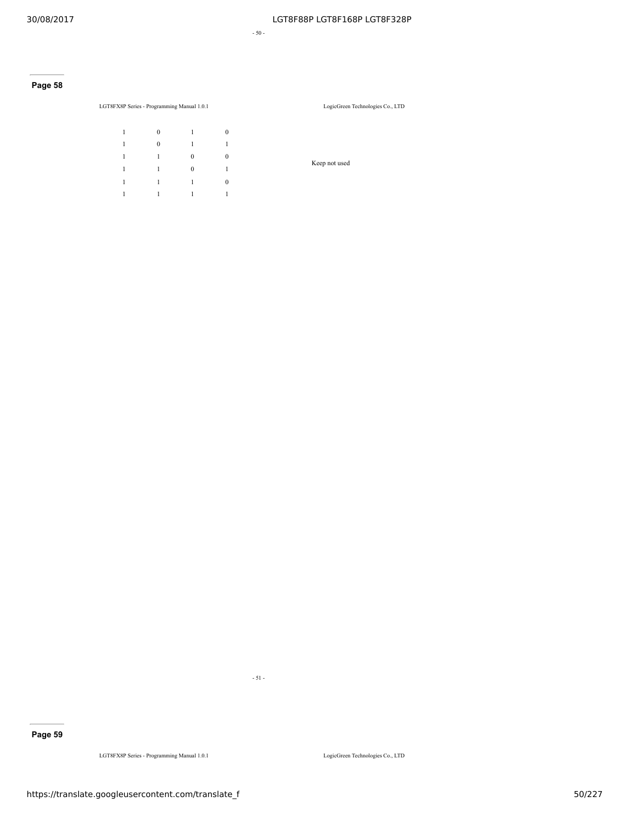- 50 -

# **Page 58**

LGT8FX8P Series - Programming Manual 1.0.1 LogicGreen Technologies Co., LTD

| $\mathbf{1}$ | $\bf{0}$     | $\overline{1}$ | $\mathbf{0}$ |
|--------------|--------------|----------------|--------------|
| 1            | $\mathbf{0}$ | $\mathbf{1}$   | 1            |
| 1            | $\mathbf{1}$ | $\mathbf{0}$   | $\mathbf{0}$ |
| 1            | $\mathbf{1}$ | $\mathbf{0}$   | 1            |
| 1            | $\mathbf{1}$ | $\mathbf{1}$   | $\mathbf{0}$ |
| $\mathbf{1}$ | 1            | $\overline{1}$ | 1            |

Keep not used

**Page 59**

LGT8FX8P Series - Programming Manual 1.0.1 LogicGreen Technologies Co., LTD

- 51 -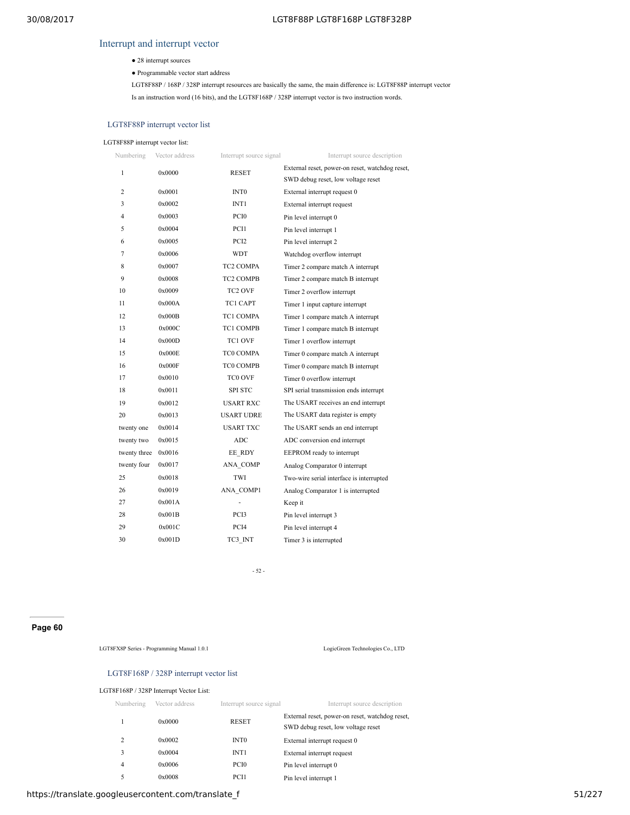# Interrupt and interrupt vector

- 28 interrupt sources
- Programmable vector start address

LGT8F88P / 168P / 328P interrupt resources are basically the same, the main difference is: LGT8F88P interrupt vector Is an instruction word (16 bits), and the LGT8F168P / 328P interrupt vector is two instruction words.

# LGT8F88P interrupt vector list

# LGT8F88P interrupt vector list:

| Numbering    | Vector address | Interrupt source signal | Interrupt source description                    |
|--------------|----------------|-------------------------|-------------------------------------------------|
| $\mathbf{1}$ | 0x0000         | <b>RESET</b>            | External reset, power-on reset, watchdog reset, |
|              |                |                         | SWD debug reset, low voltage reset              |
| 2            | 0x0001         | <b>INTO</b>             | External interrupt request 0                    |
| 3            | 0x0002         | INT <sub>1</sub>        | External interrupt request                      |
| 4            | 0x0003         | PCI <sub>0</sub>        | Pin level interrupt 0                           |
| 5            | 0x0004         | PCI1                    | Pin level interrupt 1                           |
| 6            | 0x0005         | PCI <sub>2</sub>        | Pin level interrupt 2                           |
| 7            | 0x0006         | <b>WDT</b>              | Watchdog overflow interrupt                     |
| 8            | 0x0007         | <b>TC2 COMPA</b>        | Timer 2 compare match A interrupt               |
| 9            | 0x0008         | <b>TC2 COMPB</b>        | Timer 2 compare match B interrupt               |
| 10           | 0x0009         | TC <sub>2</sub> OVF     | Timer 2 overflow interrupt                      |
| 11           | 0x000A         | <b>TC1 CAPT</b>         | Timer 1 input capture interrupt                 |
| 12           | 0x000B         | TC1 COMPA               | Timer 1 compare match A interrupt               |
| 13           | 0x000C         | <b>TC1 COMPB</b>        | Timer 1 compare match B interrupt               |
| 14           | 0x000D         | TC1 OVF                 | Timer 1 overflow interrupt                      |
| 15           | 0x000E         | TC0 COMPA               | Timer 0 compare match A interrupt               |
| 16           | 0x000F         | TC0 COMPB               | Timer 0 compare match B interrupt               |
| 17           | 0x0010         | TC0 OVF                 | Timer 0 overflow interrupt                      |
| 18           | 0x0011         | <b>SPI STC</b>          | SPI serial transmission ends interrupt          |
| 19           | 0x0012         | <b>USART RXC</b>        | The USART receives an end interrupt             |
| 20           | 0x0013         | <b>USART UDRE</b>       | The USART data register is empty                |
| twenty one   | 0x0014         | <b>USART TXC</b>        | The USART sends an end interrupt                |
| twenty two   | 0x0015         | ADC                     | ADC conversion end interrupt                    |
| twenty three | 0x0016         | EE RDY                  | EEPROM ready to interrupt                       |
| twenty four  | 0x0017         | ANA COMP                | Analog Comparator 0 interrupt                   |
| 25           | 0x0018         | TWI                     | Two-wire serial interface is interrupted        |
| 26           | 0x0019         | ANA COMP1               | Analog Comparator 1 is interrupted              |
| 27           | 0x001A         |                         | Keep it                                         |
| 28           | 0x001B         | PCI3                    | Pin level interrupt 3                           |
| 29           | 0x001C         | PCI4                    | Pin level interrupt 4                           |
| 30           | 0x001D         | TC3 INT                 | Timer 3 is interrupted                          |

- 52 -

# **Page 60**

LGT8FX8P Series - Programming Manual 1.0.1 LogicGreen Technologies Co., LTD

# LGT8F168P / 328P interrupt vector list

# LGT8F168P / 328P Interrupt Vector List:

| Numbering | Vector address | Interrupt source signal | Interrupt source description                                                          |
|-----------|----------------|-------------------------|---------------------------------------------------------------------------------------|
|           | 0x0000         | <b>RESET</b>            | External reset, power-on reset, watchdog reset,<br>SWD debug reset, low voltage reset |
| 2         | 0x0002         | INT <sub>0</sub>        | External interrupt request 0                                                          |
| 3         | 0x0004         | INT <sub>1</sub>        | External interrupt request                                                            |
| 4         | 0x0006         | PCI <sub>0</sub>        | Pin level interrupt 0                                                                 |
| 5         | 0x0008         | PCI1                    | Pin level interrupt 1                                                                 |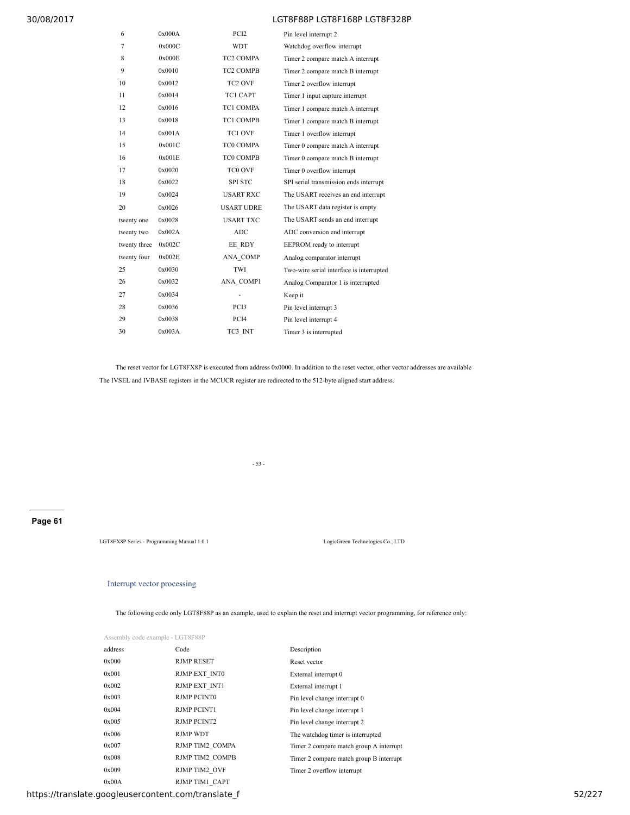| 6            | 0x000A | PCI <sub>2</sub>    | Pin level interrupt 2                    |
|--------------|--------|---------------------|------------------------------------------|
| 7            | 0x000C | <b>WDT</b>          | Watchdog overflow interrupt              |
| 8            | 0x000E | TC2 COMPA           | Timer 2 compare match A interrupt        |
| 9            | 0x0010 | <b>TC2 COMPB</b>    | Timer 2 compare match B interrupt        |
| 10           | 0x0012 | TC <sub>2</sub> OVF | Timer 2 overflow interrupt               |
| 11           | 0x0014 | TC1 CAPT            | Timer 1 input capture interrupt          |
| 12           | 0x0016 | TC1 COMPA           | Timer 1 compare match A interrupt        |
| 13           | 0x0018 | <b>TC1 COMPB</b>    | Timer 1 compare match B interrupt        |
| 14           | 0x001A | TC1 OVF             | Timer 1 overflow interrupt               |
| 15           | 0x001C | TC0 COMPA           | Timer 0 compare match A interrupt        |
| 16           | 0x001E | TC0 COMPB           | Timer 0 compare match B interrupt        |
| 17           | 0x0020 | TC0 OVF             | Timer 0 overflow interrupt               |
| 18           | 0x0022 | <b>SPI STC</b>      | SPI serial transmission ends interrupt   |
| 19           | 0x0024 | <b>USART RXC</b>    | The USART receives an end interrupt      |
| 20           | 0x0026 | <b>USART UDRE</b>   | The USART data register is empty         |
| twenty one   | 0x0028 | <b>USART TXC</b>    | The USART sends an end interrupt         |
| twenty two   | 0x002A | <b>ADC</b>          | ADC conversion end interrupt             |
| twenty three | 0x002C | EE RDY              | EEPROM ready to interrupt                |
| twenty four  | 0x002E | ANA COMP            | Analog comparator interrupt              |
| 25           | 0x0030 | <b>TWI</b>          | Two-wire serial interface is interrupted |
| 26           | 0x0032 | ANA COMP1           | Analog Comparator 1 is interrupted       |
| 27           | 0x0034 | ä,                  | Keep it                                  |
| 28           | 0x0036 | PCI3                | Pin level interrupt 3                    |
| 29           | 0x0038 | PC <sub>I4</sub>    | Pin level interrupt 4                    |
| 30           | 0x003A | TC3 INT             | Timer 3 is interrupted                   |

The reset vector for LGT8FX8P is executed from address 0x0000. In addition to the reset vector, other vector addresses are available The IVSEL and IVBASE registers in the MCUCR register are redirected to the 512-byte aligned start address.

- 53 -

# **Page 61**

LGT8FX8P Series - Programming Manual 1.0.1 LogicGreen Technologies Co., LTD

# Interrupt vector processing

The following code only LGT8F88P as an example, used to explain the reset and interrupt vector programming, for reference only:

Assembly code example - LGT8F88P

| address | Code                 | Description                             |
|---------|----------------------|-----------------------------------------|
| 0x000   | <b>RJMP RESET</b>    | Reset vector                            |
| 0x001   | RJMP EXT INTO        | External interrupt 0                    |
| 0x002   | <b>RJMP EXT INT1</b> | External interrupt 1                    |
| 0x003   | <b>RJMP PCINT0</b>   | Pin level change interrupt 0            |
| 0x004   | <b>RJMP PCINT1</b>   | Pin level change interrupt 1            |
| 0x005   | <b>RJMP PCINT2</b>   | Pin level change interrupt 2            |
| 0x006   | <b>RJMP WDT</b>      | The watchdog timer is interrupted       |
| 0x007   | RJMP TIM2 COMPA      | Timer 2 compare match group A interrupt |
| 0x008   | RJMP TIM2 COMPB      | Timer 2 compare match group B interrupt |
| 0x009   | RJMP TIM2 OVF        | Timer 2 overflow interrupt              |
| 0x00A   | RJMP TIM1 CAPT       |                                         |

https://translate.googleusercontent.com/translate\_f 52/227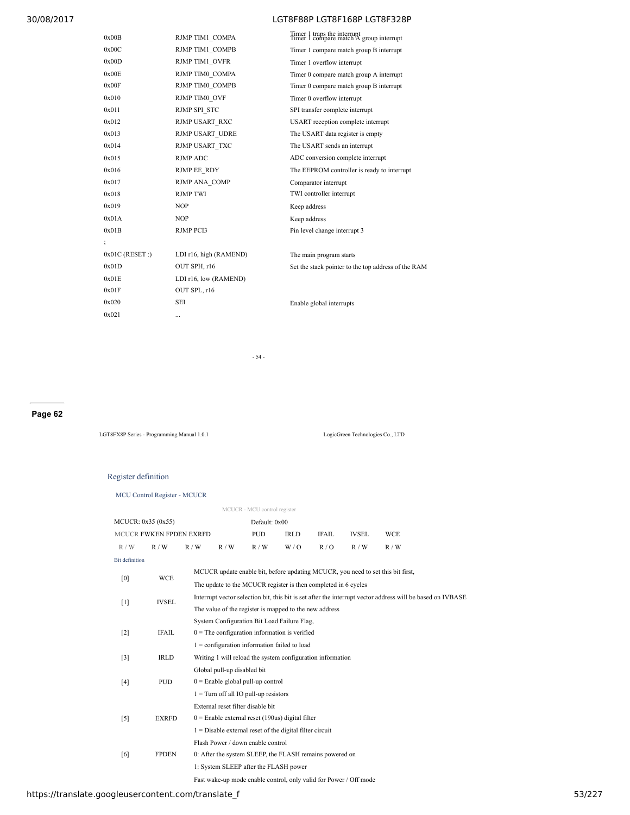| RJMP TIM1 COMPA        | Timer 1 traps the interrupt<br>Timer 1 compare match A group interrupt |
|------------------------|------------------------------------------------------------------------|
| RJMP TIM1 COMPB        | Timer 1 compare match group B interrupt                                |
| RJMP TIM1 OVFR         | Timer 1 overflow interrupt                                             |
| RJMP TIM0 COMPA        | Timer 0 compare match group A interrupt                                |
| RJMP TIM0 COMPB        | Timer 0 compare match group B interrupt                                |
| RJMP TIM0 OVF          | Timer 0 overflow interrupt                                             |
| <b>RJMP SPI STC</b>    | SPI transfer complete interrupt                                        |
| RJMP USART RXC         | USART reception complete interrupt                                     |
| RJMP USART UDRE        | The USART data register is empty                                       |
| RJMP USART TXC         | The USART sends an interrupt                                           |
| RJMP ADC               | ADC conversion complete interrupt                                      |
| RJMP EE RDY            | The EEPROM controller is ready to interrupt                            |
| RJMP ANA COMP          | Comparator interrupt                                                   |
| <b>RJMP TWI</b>        | TWI controller interrupt                                               |
| <b>NOP</b>             | Keep address                                                           |
| <b>NOP</b>             | Keep address                                                           |
| <b>RJMP PCI3</b>       | Pin level change interrupt 3                                           |
|                        |                                                                        |
| LDI r16, high (RAMEND) | The main program starts                                                |
| OUT SPH, r16           | Set the stack pointer to the top address of the RAM                    |
| LDI r16, low (RAMEND)  |                                                                        |
| OUT SPL, r16           |                                                                        |
| <b>SEI</b>             | Enable global interrupts                                               |
| $\overline{a}$         |                                                                        |
|                        |                                                                        |

- 54 -

# **Page 62**

LGT8FX8P Series - Programming Manual 1.0.1 LogicGreen Technologies Co., LTD

# Register definition

|                       | <b>MCU Control Register - MCUCR</b> |                                             |                             |                                         |                                                                |              |              |                                                                                                            |  |  |
|-----------------------|-------------------------------------|---------------------------------------------|-----------------------------|-----------------------------------------|----------------------------------------------------------------|--------------|--------------|------------------------------------------------------------------------------------------------------------|--|--|
|                       | MCUCR - MCU control register        |                                             |                             |                                         |                                                                |              |              |                                                                                                            |  |  |
| MCUCR: 0x35 (0x55)    |                                     |                                             |                             | Default: 0x00                           |                                                                |              |              |                                                                                                            |  |  |
|                       | MCUCR FWKEN FPDEN EXRFD             |                                             |                             | <b>PUD</b>                              | <b>IRLD</b>                                                    | <b>IFAIL</b> | <b>IVSEL</b> | <b>WCE</b>                                                                                                 |  |  |
| R/W                   | R/W                                 | R/W                                         | R/W                         | R/W                                     | W / O                                                          | R/O          | R/W          | R/W                                                                                                        |  |  |
| <b>Bit definition</b> |                                     |                                             |                             |                                         |                                                                |              |              |                                                                                                            |  |  |
|                       | <b>WCE</b>                          |                                             |                             |                                         |                                                                |              |              | MCUCR update enable bit, before updating MCUCR, you need to set this bit first,                            |  |  |
| [0]                   |                                     |                                             |                             |                                         | The update to the MCUCR register is then completed in 6 cycles |              |              |                                                                                                            |  |  |
| [1]                   | <b>IVSEL</b>                        |                                             |                             |                                         |                                                                |              |              | Interrupt vector selection bit, this bit is set after the interrupt vector address will be based on IVBASE |  |  |
|                       |                                     |                                             |                             |                                         | The value of the register is mapped to the new address         |              |              |                                                                                                            |  |  |
|                       |                                     | System Configuration Bit Load Failure Flag, |                             |                                         |                                                                |              |              |                                                                                                            |  |  |
| $[2]$                 | <b>IFAIL</b>                        |                                             |                             |                                         | $0$ = The configuration information is verified                |              |              |                                                                                                            |  |  |
|                       |                                     |                                             |                             |                                         | $1 =$ configuration information failed to load                 |              |              |                                                                                                            |  |  |
| $\lceil 3 \rceil$     | <b>IRLD</b>                         |                                             |                             |                                         | Writing 1 will reload the system configuration information     |              |              |                                                                                                            |  |  |
|                       |                                     |                                             | Global pull-up disabled bit |                                         |                                                                |              |              |                                                                                                            |  |  |
| [4]                   | <b>PUD</b>                          |                                             |                             | $0 =$ Enable global pull-up control     |                                                                |              |              |                                                                                                            |  |  |
|                       |                                     |                                             |                             | $1 =$ Turn off all IO pull-up resistors |                                                                |              |              |                                                                                                            |  |  |
|                       |                                     |                                             |                             | External reset filter disable bit       |                                                                |              |              |                                                                                                            |  |  |
| $\lceil 5 \rceil$     | <b>EXRFD</b>                        |                                             |                             |                                         | $0 =$ Enable external reset (190us) digital filter             |              |              |                                                                                                            |  |  |
|                       |                                     |                                             |                             |                                         | $1 =$ Disable external reset of the digital filter circuit     |              |              |                                                                                                            |  |  |
|                       |                                     |                                             |                             | Flash Power / down enable control       |                                                                |              |              |                                                                                                            |  |  |
| [6]                   | <b>FPDEN</b>                        |                                             |                             |                                         | 0: After the system SLEEP, the FLASH remains powered on        |              |              |                                                                                                            |  |  |
|                       |                                     |                                             |                             |                                         | 1: System SLEEP after the FLASH power                          |              |              |                                                                                                            |  |  |

Fast wake-up mode enable control, only valid for Power / Off mode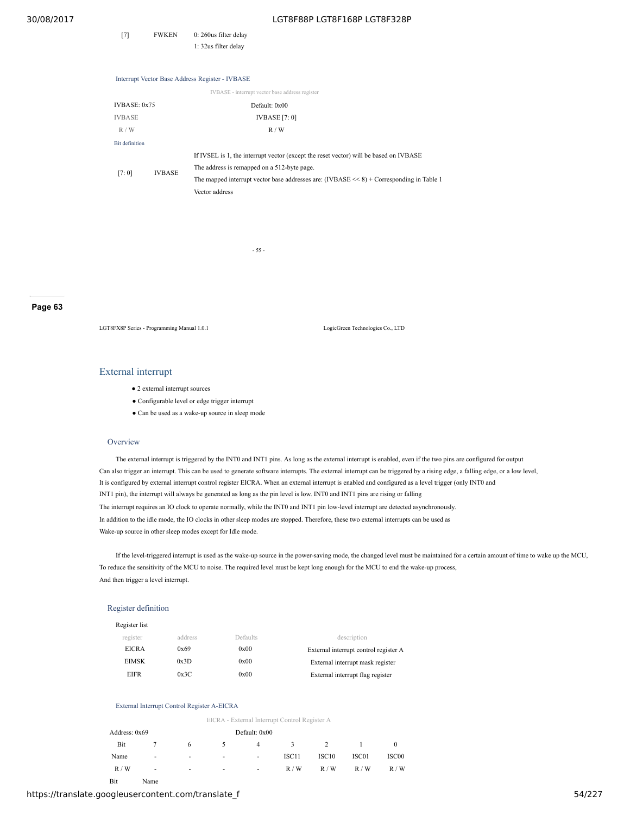[7] FWKEN 0: 260us filter delay 1: 32us filter delay

Interrupt Vector Base Address Register - IVBASE IVBASE - interrupt vector base address register IVBASE: 0x75 Default: 0x00 IVBASE IVBASE [7: 0]  $R / W$  R / W Bit definition [7: 0] IVBASE If IVSEL is 1, the interrupt vector (except the reset vector) will be based on IVBASE The address is remapped on a 512-byte page. The mapped interrupt vector base addresses are: (IVBASE << 8) + Corresponding in Table 1 Vector address

- 55 -

**Page 63**

LGT8FX8P Series - Programming Manual 1.0.1 LogicGreen Technologies Co., LTD

## External interrupt

- 2 external interrupt sources
- Configurable level or edge trigger interrupt
- Can be used as a wake-up source in sleep mode

#### **Overview**

The external interrupt is triggered by the INT0 and INT1 pins. As long as the external interrupt is enabled, even if the two pins are configured for output Can also trigger an interrupt. This can be used to generate software interrupts. The external interrupt can be triggered by a rising edge, a falling edge, or a low level, It is configured by external interrupt control register EICRA. When an external interrupt is enabled and configured as a level trigger (only INT0 and INT1 pin), the interrupt will always be generated as long as the pin level is low. INT0 and INT1 pins are rising or falling The interrupt requires an IO clock to operate normally, while the INT0 and INT1 pin low-level interrupt are detected asynchronously. In addition to the idle mode, the IO clocks in other sleep modes are stopped. Therefore, these two external interrupts can be used as Wake-up source in other sleep modes except for Idle mode.

If the level-triggered interrupt is used as the wake-up source in the power-saving mode, the changed level must be maintained for a certain amount of time to wake up the MCU, To reduce the sensitivity of the MCU to noise. The required level must be kept long enough for the MCU to end the wake-up process, And then trigger a level interrupt.

#### Register definition

| Register list |         |          |                                       |
|---------------|---------|----------|---------------------------------------|
| register      | address | Defaults | description                           |
| <b>EICRA</b>  | 0x69    | 0x00     | External interrupt control register A |
| EIMSK         | 0x3D    | 0x00     | External interrupt mask register      |
| EIFR          | 0x3C    | 0x00     | External interrupt flag register      |

#### External Interrupt Control Register A-EICRA

EICRA - External Interrupt Control Register A

| Address: 0x69 |                          |        |                          | Default: 0x00 |       |                   |       |       |  |  |
|---------------|--------------------------|--------|--------------------------|---------------|-------|-------------------|-------|-------|--|--|
| Bit           |                          | 6      |                          | 4             | 3     | 2                 |       |       |  |  |
| Name          | $\overline{\phantom{a}}$ |        | $\overline{\phantom{a}}$ | $\sim$        | ISC11 | ISC <sub>10</sub> | ISC01 | ISC00 |  |  |
| R/W           | $\overline{\phantom{a}}$ | $\sim$ | $\overline{\phantom{a}}$ | $\sim$        | R/W   | R/W               | R/W   | R/W   |  |  |

Bit Name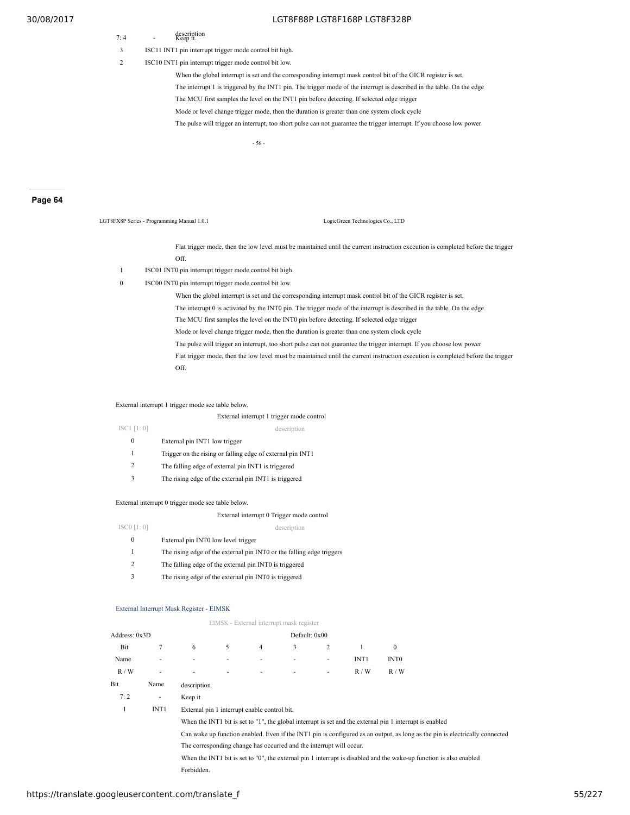- description 7: 4 Keep it.
- 3 ISC11 INT1 pin interrupt trigger mode control bit high.
- 2 ISC10 INT1 pin interrupt trigger mode control bit low.

When the global interrupt is set and the corresponding interrupt mask control bit of the GICR register is set, The interrupt 1 is triggered by the INT1 pin. The trigger mode of the interrupt is described in the table. On the edge The MCU first samples the level on the INT1 pin before detecting. If selected edge trigger Mode or level change trigger mode, then the duration is greater than one system clock cycle The pulse will trigger an interrupt, too short pulse can not guarantee the trigger interrupt. If you choose low power

- 56 -

LGT8FX8P Series - Programming Manual 1.0.1 LogicGreen Technologies Co., LTD

## **Page 64**

Flat trigger mode, then the low level must be maintained until the current instruction execution is completed before the trigger

- Off.
- 1 ISC01 INT0 pin interrupt trigger mode control bit high.
- 0 ISC00 INT0 pin interrupt trigger mode control bit low.

When the global interrupt is set and the corresponding interrupt mask control bit of the GICR register is set, The interrupt 0 is activated by the INT0 pin. The trigger mode of the interrupt is described in the table. On the edge The MCU first samples the level on the INT0 pin before detecting. If selected edge trigger Mode or level change trigger mode, then the duration is greater than one system clock cycle The pulse will trigger an interrupt, too short pulse can not guarantee the trigger interrupt. If you choose low power Flat trigger mode, then the low level must be maintained until the current instruction execution is completed before the trigger Off.

External interrupt 1 trigger mode see table below.

## External interrupt 1 trigger mode control ISC1 [1: 0] description

- 0 External pin INT1 low trigger
- 1 Trigger on the rising or falling edge of external pin INT1
- 2 The falling edge of external pin INT1 is triggered
- 3 The rising edge of the external pin INT1 is triggered

#### External interrupt 0 trigger mode see table below.

## External interrupt 0 Trigger mode control

- ISC0 [1: 0] description 0 External pin INT0 low level trigger 1 The rising edge of the external pin INT0 or the falling edge triggers 2 The falling edge of the external pin INT0 is triggered
	- 3 The rising edge of the external pin INT0 is triggered

#### External Interrupt Mask Register - EIMSK

#### EIMSK - External interrupt mask register

| Address: 0x3D |                  |             |                                                                     |                | Default: 0x00            |                          |                  |                                                                                                          |                                                                                                                             |  |
|---------------|------------------|-------------|---------------------------------------------------------------------|----------------|--------------------------|--------------------------|------------------|----------------------------------------------------------------------------------------------------------|-----------------------------------------------------------------------------------------------------------------------------|--|
| Bit           | 7                | 6           | 5                                                                   | $\overline{4}$ | 3                        | 2                        |                  | $\mathbf{0}$                                                                                             |                                                                                                                             |  |
| Name          | ٠                |             | ٠                                                                   | ٠              | $\overline{\phantom{a}}$ | $\overline{\phantom{a}}$ | INT <sub>1</sub> | INT <sub>0</sub>                                                                                         |                                                                                                                             |  |
| R/W           | ٠                |             | ٠                                                                   | ٠              | $\overline{\phantom{a}}$ | $\overline{\phantom{a}}$ | R/W              | R/W                                                                                                      |                                                                                                                             |  |
| Bit           | Name             | description |                                                                     |                |                          |                          |                  |                                                                                                          |                                                                                                                             |  |
| 7:2           | $\sim$           | Keep it     |                                                                     |                |                          |                          |                  |                                                                                                          |                                                                                                                             |  |
|               | INT <sub>1</sub> |             | External pin 1 interrupt enable control bit.                        |                |                          |                          |                  |                                                                                                          |                                                                                                                             |  |
|               |                  |             |                                                                     |                |                          |                          |                  | When the INT1 bit is set to "1", the global interrupt is set and the external pin 1 interrupt is enabled |                                                                                                                             |  |
|               |                  |             |                                                                     |                |                          |                          |                  |                                                                                                          | Can wake up function enabled. Even if the INT1 pin is configured as an output, as long as the pin is electrically connected |  |
|               |                  |             | The corresponding change has occurred and the interrupt will occur. |                |                          |                          |                  |                                                                                                          |                                                                                                                             |  |
|               |                  |             |                                                                     |                |                          |                          |                  |                                                                                                          | When the INT1 bit is set to "0", the external pin 1 interrupt is disabled and the wake-up function is also enabled          |  |
|               |                  | Forbidden.  |                                                                     |                |                          |                          |                  |                                                                                                          |                                                                                                                             |  |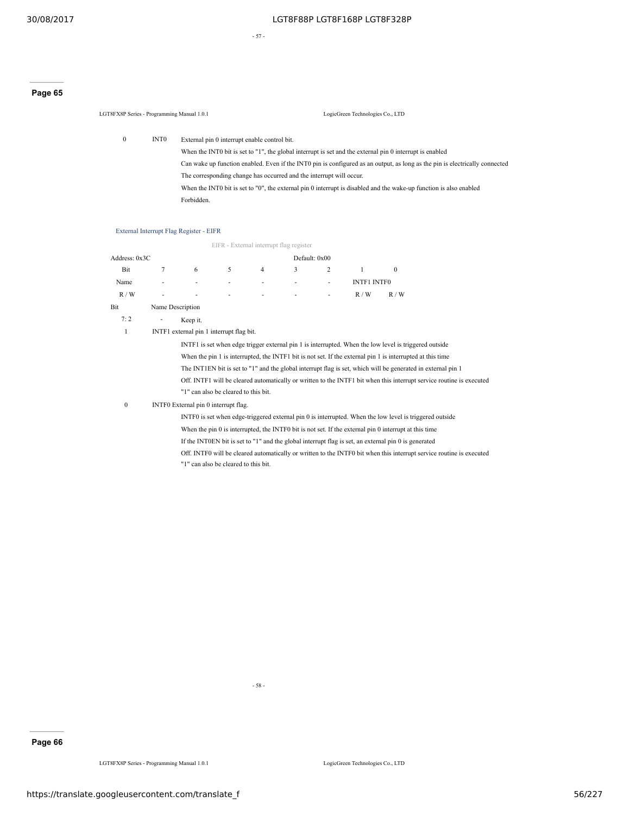- 57 -

# **Page 65**

LGT8FX8P Series - Programming Manual 1.0.1 LogicGreen Technologies Co., LTD 0 INT0 External pin 0 interrupt enable control bit.

> When the INT0 bit is set to "1", the global interrupt is set and the external pin 0 interrupt is enabled Can wake up function enabled. Even if the INT0 pin is configured as an output, as long as the pin is electrically connected The corresponding change has occurred and the interrupt will occur. When the INT0 bit is set to "0", the external pin 0 interrupt is disabled and the wake-up function is also enabled Forbidden.

# External Interrupt Flag Register - EIFR

|                                |                                                                                                       |                                          |   | EIFR - External interrupt flag register |   |   |                    |                                                                                                                      |  |  |
|--------------------------------|-------------------------------------------------------------------------------------------------------|------------------------------------------|---|-----------------------------------------|---|---|--------------------|----------------------------------------------------------------------------------------------------------------------|--|--|
| Address: 0x3C<br>Default: 0x00 |                                                                                                       |                                          |   |                                         |   |   |                    |                                                                                                                      |  |  |
| Bit                            | 7                                                                                                     | 6                                        | 5 | 4                                       | 3 | 2 | 1                  | $\theta$                                                                                                             |  |  |
| Name                           |                                                                                                       |                                          |   |                                         | ٠ | ٠ | <b>INTF1 INTF0</b> |                                                                                                                      |  |  |
| R/W                            |                                                                                                       |                                          |   |                                         |   |   | R/W                | R/W                                                                                                                  |  |  |
| Bit                            | Name Description                                                                                      |                                          |   |                                         |   |   |                    |                                                                                                                      |  |  |
| 7:2                            | Keep it.                                                                                              |                                          |   |                                         |   |   |                    |                                                                                                                      |  |  |
| 1                              |                                                                                                       | INTF1 external pin 1 interrupt flag bit. |   |                                         |   |   |                    |                                                                                                                      |  |  |
|                                | INTF1 is set when edge trigger external pin 1 is interrupted. When the low level is triggered outside |                                          |   |                                         |   |   |                    |                                                                                                                      |  |  |
|                                |                                                                                                       |                                          |   |                                         |   |   |                    | When the pin 1 is interrupted, the INTF1 bit is not set. If the external pin 1 is interrupted at this time           |  |  |
|                                |                                                                                                       |                                          |   |                                         |   |   |                    | The INT1EN bit is set to "1" and the global interrupt flag is set, which will be generated in external pin 1         |  |  |
|                                |                                                                                                       |                                          |   |                                         |   |   |                    | Off. INTF1 will be cleared automatically or written to the INTF1 bit when this interrupt service routine is executed |  |  |
|                                |                                                                                                       | "1" can also be cleared to this bit.     |   |                                         |   |   |                    |                                                                                                                      |  |  |
| $\mathbf{0}$                   |                                                                                                       | INTF0 External pin 0 interrupt flag.     |   |                                         |   |   |                    |                                                                                                                      |  |  |
|                                |                                                                                                       |                                          |   |                                         |   |   |                    | INTF0 is set when edge-triggered external pin 0 is interrupted. When the low level is triggered outside              |  |  |
|                                |                                                                                                       |                                          |   |                                         |   |   |                    | When the pin 0 is interrupted, the INTF0 bit is not set. If the external pin 0 interrupt at this time                |  |  |
|                                |                                                                                                       |                                          |   |                                         |   |   |                    | If the INTOEN bit is set to "1" and the global interrupt flag is set, an external pin $0$ is generated               |  |  |
|                                |                                                                                                       |                                          |   |                                         |   |   |                    | Off. INTF0 will be cleared automatically or written to the INTF0 bit when this interrupt service routine is executed |  |  |
|                                |                                                                                                       | "1" can also be cleared to this bit.     |   |                                         |   |   |                    |                                                                                                                      |  |  |

- 58 -

# **Page 66**

LGT8FX8P Series - Programming Manual 1.0.1 LogicGreen Technologies Co., LTD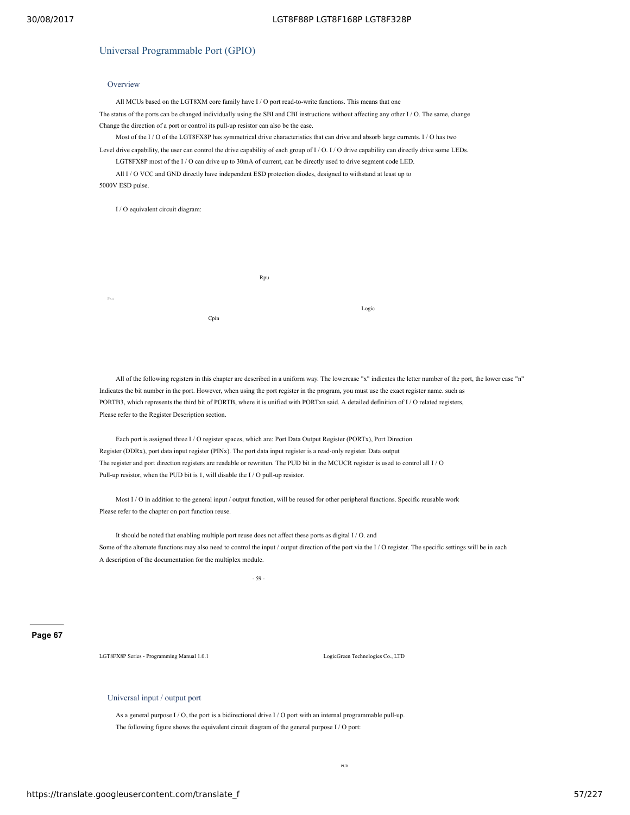# Universal Programmable Port (GPIO)

# **Overview**

All MCUs based on the LGT8XM core family have I / O port read-to-write functions. This means that one The status of the ports can be changed individually using the SBI and CBI instructions without affecting any other I / O. The same, change Change the direction of a port or control its pull-up resistor can also be the case.

Most of the I / O of the LGT8FX8P has symmetrical drive characteristics that can drive and absorb large currents. I / O has two

Level drive capability, the user can control the drive capability of each group of  $I/O$ . I/O drive capability can directly drive some LEDs. LGT8FX8P most of the I / O can drive up to 30mA of current, can be directly used to drive segment code LED.

All I / O VCC and GND directly have independent ESD protection diodes, designed to withstand at least up to 5000V ESD pulse.

I / O equivalent circuit diagram:

|     |      | Rpu |       |
|-----|------|-----|-------|
| Pxn | Cpin |     | Logic |

All of the following registers in this chapter are described in a uniform way. The lowercase "x" indicates the letter number of the port, the lower case "n" Indicates the bit number in the port. However, when using the port register in the program, you must use the exact register name. such as PORTB3, which represents the third bit of PORTB, where it is unified with PORTxn said. A detailed definition of I / O related registers, Please refer to the Register Description section.

Each port is assigned three I / O register spaces, which are: Port Data Output Register (PORTx), Port Direction Register (DDRx), port data input register (PINx). The port data input register is a read-only register. Data output The register and port direction registers are readable or rewritten. The PUD bit in the MCUCR register is used to control all I / O Pull-up resistor, when the PUD bit is 1, will disable the I / O pull-up resistor.

Most I / O in addition to the general input / output function, will be reused for other peripheral functions. Specific reusable work Please refer to the chapter on port function reuse.

It should be noted that enabling multiple port reuse does not affect these ports as digital I / O. and Some of the alternate functions may also need to control the input / output direction of the port via the I / O register. The specific settings will be in each A description of the documentation for the multiplex module.

- 59 -

**Page 67**

LGT8FX8P Series - Programming Manual 1.0.1 LogicGreen Technologies Co., LTD

Universal input / output port

As a general purpose I / O, the port is a bidirectional drive I / O port with an internal programmable pull-up. The following figure shows the equivalent circuit diagram of the general purpose I / O port: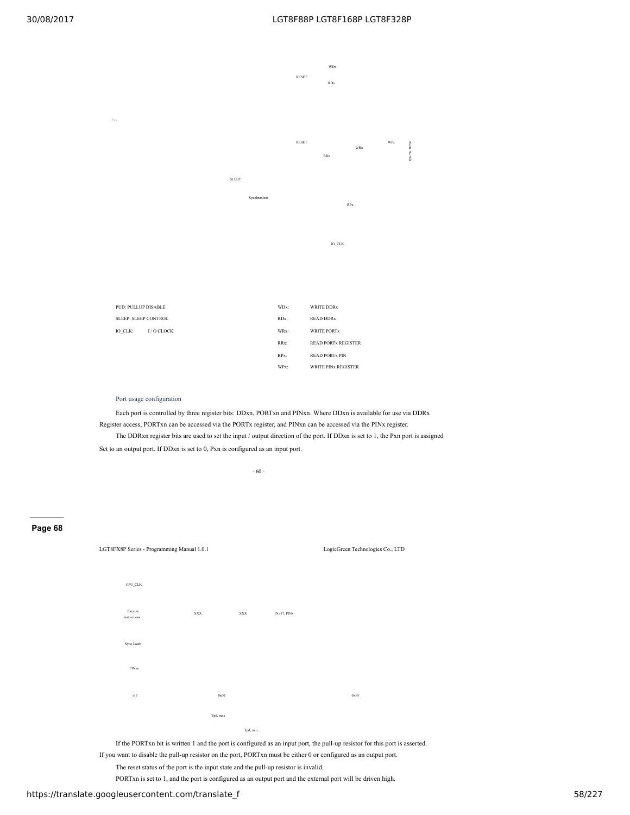

- RRx: READ PORTx REGISTER
- RPx: READ PORTx PIN WPx: WRITE PINx REGISTER

#### Port usage configuration

Each port is controlled by three register bits: DDxn, PORTxn and PINxn. Where DDxn is available for use via DDRx Register access, PORTxn can be accessed via the PORTx register, and PINxn can be accessed via the PINx register. The DDRxn register bits are used to set the input / output direction of the port. If DDxn is set to 1, the Pxn port is assigned Set to an output port. If DDxn is set to 0, Pxn is configured as an input port.

- 60 -

# **Page 68**



If the PORTxn bit is written 1 and the port is configured as an input port, the pull-up resistor for this port is asserted.

If you want to disable the pull-up resistor on the port, PORTxn must be either 0 or configured as an output port.

The reset status of the port is the input state and the pull-up resistor is invalid.

PORTxn is set to 1, and the port is configured as an output port and the external port will be driven high.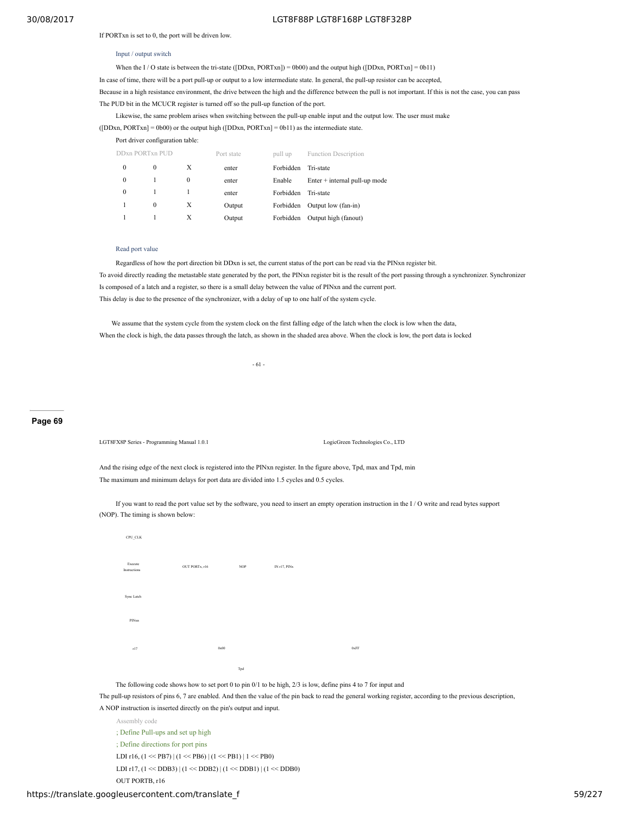If PORTxn is set to 0, the port will be driven low.

#### Input / output switch

When the I / O state is between the tri-state ([DDxn, PORTxn]) = 0b00) and the output high ([DDxn, PORTxn] = 0b11)

In case of time, there will be a port pull-up or output to a low intermediate state. In general, the pull-up resistor can be accepted,

Because in a high resistance environment, the drive between the high and the difference between the pull is not important. If this is not the case, you can pass The PUD bit in the MCUCR register is turned off so the pull-up function of the port.

Likewise, the same problem arises when switching between the pull-up enable input and the output low. The user must make

([DDxn, PORTxn] = 0b00) or the output high ([DDxn, PORTxn] = 0b11) as the intermediate state.

Port driver configuration table:

|          | DDxn PORTxn PUD |   | Port state | pull up   | <b>Function Description</b>     |
|----------|-----------------|---|------------|-----------|---------------------------------|
| 0        | $\bf{0}$        | Х | enter      | Forbidden | Tri-state                       |
| 0        |                 | 0 | enter      | Enable    | $Enter + internal pull-up mode$ |
| $\Omega$ |                 |   | enter      | Forbidden | Tri-state                       |
|          | $\Omega$        | X | Output     | Forbidden | Output low (fan-in)             |
|          |                 | Х | Output     | Forbidden | Output high (fanout)            |

# Read port value

Regardless of how the port direction bit DDxn is set, the current status of the port can be read via the PINxn register bit. To avoid directly reading the metastable state generated by the port, the PINxn register bit is the result of the port passing through a synchronizer. Synchronizer Is composed of a latch and a register, so there is a small delay between the value of PINxn and the current port. This delay is due to the presence of the synchronizer, with a delay of up to one half of the system cycle.

We assume that the system cycle from the system clock on the first falling edge of the latch when the clock is low when the data, When the clock is high, the data passes through the latch, as shown in the shaded area above. When the clock is low, the port data is locked

- 61 -

#### **Page 69**

LGT8FX8P Series - Programming Manual 1.0.1 LogicGreen Technologies Co., LTD

And the rising edge of the next clock is registered into the PINxn register. In the figure above, Tpd, max and Tpd, min The maximum and minimum delays for port data are divided into 1.5 cycles and 0.5 cycles.

If you want to read the port value set by the software, you need to insert an empty operation instruction in the I / O write and read bytes support (NOP). The timing is shown below:

| CPU_CLK                 |                |                             |              |      |
|-------------------------|----------------|-----------------------------|--------------|------|
| Execute<br>Instructions | OUT PORTx, r16 | $\ensuremath{\mathsf{NOP}}$ | IN r17, PINx |      |
| Sync Latch              |                |                             |              |      |
| PINxn                   |                |                             |              |      |
| r17                     |                | 0x00                        |              | 0xFF |
|                         |                | Tpd                         |              |      |

The following code shows how to set port 0 to pin 0/1 to be high, 2/3 is low, define pins 4 to 7 for input and

The pull-up resistors of pins 6, 7 are enabled. And then the value of the pin back to read the general working register, according to the previous description,

#### A NOP instruction is inserted directly on the pin's output and input.

Assembly code ; Define Pull-ups and set up high ; Define directions for port pins LDI r16,  $(1 \ll PB7)$  |  $(1 \ll PB6)$  |  $(1 \ll PB1)$  |  $1 \ll PB0$ ) LDI r17,  $(1 \ll DDB3) | (1 \ll DDB2) | (1 \ll DDB1) | (1 \ll DDB0)$ OUT PORTB, r16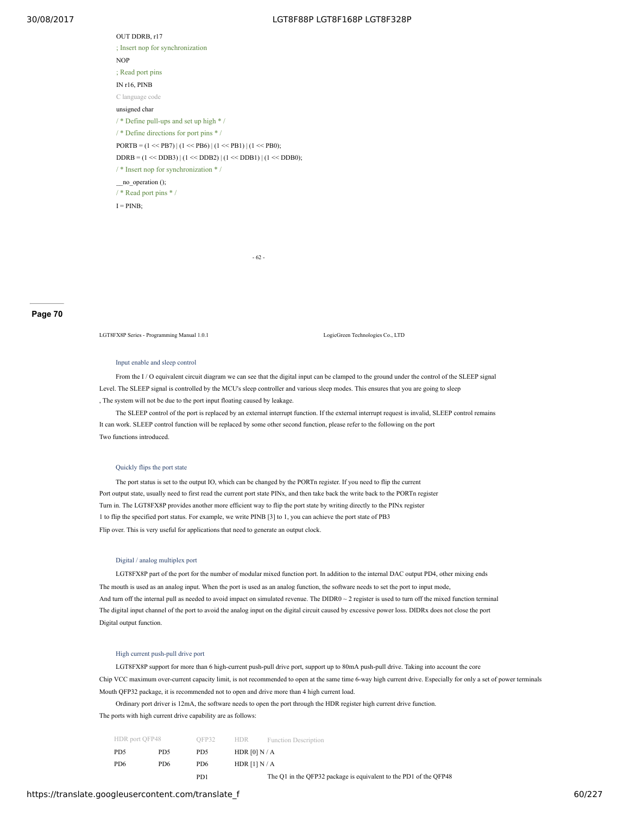OUT DDRB, r17 ; Insert nop for synchronization NOP ; Read port pins IN r16, PINB C language code unsigned char / \* Define pull-ups and set up high \* / / \* Define directions for port pins \* /  $PORTB = (1 \le PB7) | (1 \le PB6) | (1 \le PB1) | (1 \le PB0);$  $DDRB = (1 \ll DDB3) | (1 \ll DDB2) | (1 \ll DDB1) | (1 \ll DDB0);$ / \* Insert nop for synchronization \* / \_\_no\_operation (); / \* Read port pins \* /  $I = PINB;$ 

- 62 -

#### **Page 70**

LGT8FX8P Series - Programming Manual 1.0.1 LogicGreen Technologies Co., LTD

#### Input enable and sleep control

From the I / O equivalent circuit diagram we can see that the digital input can be clamped to the ground under the control of the SLEEP signal Level. The SLEEP signal is controlled by the MCU's sleep controller and various sleep modes. This ensures that you are going to sleep , The system will not be due to the port input floating caused by leakage.

The SLEEP control of the port is replaced by an external interrupt function. If the external interrupt request is invalid, SLEEP control remains It can work. SLEEP control function will be replaced by some other second function, please refer to the following on the port Two functions introduced.

#### Quickly flips the port state

The port status is set to the output IO, which can be changed by the PORTn register. If you need to flip the current Port output state, usually need to first read the current port state PINx, and then take back the write back to the PORTn register Turn in. The LGT8FX8P provides another more efficient way to flip the port state by writing directly to the PINx register 1 to flip the specified port status. For example, we write PINB [3] to 1, you can achieve the port state of PB3 Flip over. This is very useful for applications that need to generate an output clock.

#### Digital / analog multiplex port

LGT8FX8P part of the port for the number of modular mixed function port. In addition to the internal DAC output PD4, other mixing ends The mouth is used as an analog input. When the port is used as an analog function, the software needs to set the port to input mode, And turn off the internal pull as needed to avoid impact on simulated revenue. The DIDR0 ~ 2 register is used to turn off the mixed function terminal The digital input channel of the port to avoid the analog input on the digital circuit caused by excessive power loss. DIDRx does not close the port Digital output function.

# High current push-pull drive port

LGT8FX8P support for more than 6 high-current push-pull drive port, support up to 80mA push-pull drive. Taking into account the core Chip VCC maximum over-current capacity limit, is not recommended to open at the same time 6-way high current drive. Especially for only a set of power terminals Mouth QFP32 package, it is recommended not to open and drive more than 4 high current load.

Ordinary port driver is 12mA, the software needs to open the port through the HDR register high current drive function. The ports with high current drive capability are as follows:

| HDR port OFP48  |                 | OFP32           | HDR<br><b>Function Description</b>                                |
|-----------------|-----------------|-----------------|-------------------------------------------------------------------|
| PD <sub>5</sub> | PD <sub>5</sub> | PD <sub>5</sub> | HDR $[0] N/A$                                                     |
| PD6             | PD <sub>6</sub> | PD <sub>6</sub> | HDR $[1] N/A$                                                     |
|                 |                 | PD <sub>1</sub> | The Q1 in the QFP32 package is equivalent to the PD1 of the QFP48 |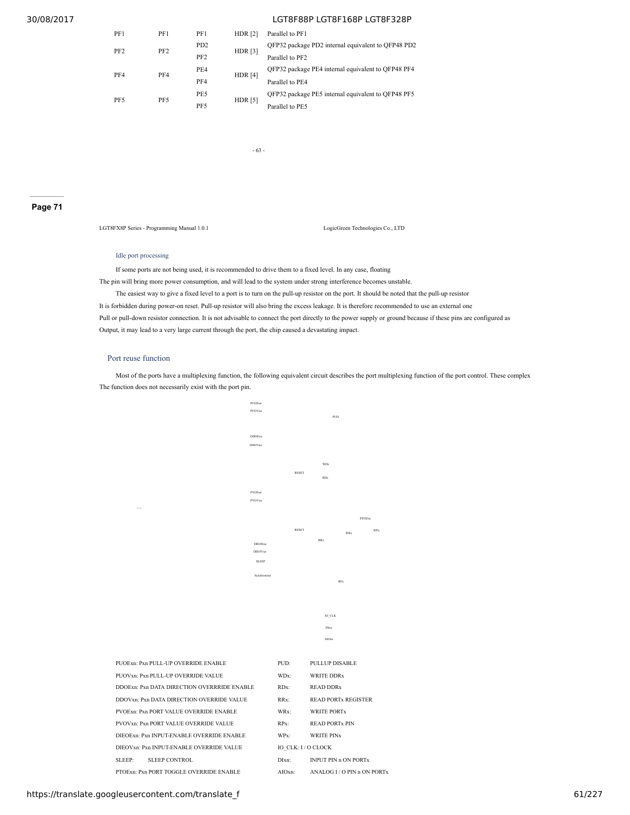| PF1             | PF1             | PF1                         | HDR $[2]$      | Parallel to PF1                                    |
|-----------------|-----------------|-----------------------------|----------------|----------------------------------------------------|
|                 | PF <sub>2</sub> | P <sub>D</sub> <sub>2</sub> |                | OFP32 package PD2 internal equivalent to OFP48 PD2 |
| PF <sub>2</sub> |                 | PF <sub>2</sub>             | <b>HDR</b> [3] | Parallel to PF2                                    |
| PF4             | PF4             | PE4                         | HDR $[4]$      | OFP32 package PE4 internal equivalent to OFP48 PF4 |
|                 |                 | PF4                         |                | Parallel to PE4                                    |
| PF <sub>5</sub> |                 | PE5                         |                | OFP32 package PE5 internal equivalent to OFP48 PF5 |
|                 | PF5             | PF5                         | <b>HDR</b> [5] | Parallel to PE5                                    |

- 63 -

#### **Page 71**

LGT8FX8P Series - Programming Manual 1.0.1 LogicGreen Technologies Co., LTD

# Idle port processing

PF2

PF4

PF5

If some ports are not being used, it is recommended to drive them to a fixed level. In any case, floating

The pin will bring more power consumption, and will lead to the system under strong interference becomes unstable. The easiest way to give a fixed level to a port is to turn on the pull-up resistor on the port. It should be noted that the pull-up resistor It is forbidden during power-on reset. Pull-up resistor will also bring the excess leakage. It is therefore recommended to use an external one Pull or pull-down resistor connection. It is not advisable to connect the port directly to the power supply or ground because if these pins are configured as Output, it may lead to a very large current through the port, the chip caused a devastating impact.

#### Port reuse function

Most of the ports have a multiplexing function, the following equivalent circuit describes the port multiplexing function of the port control. These complex The function does not necessarily exist with the port pin.

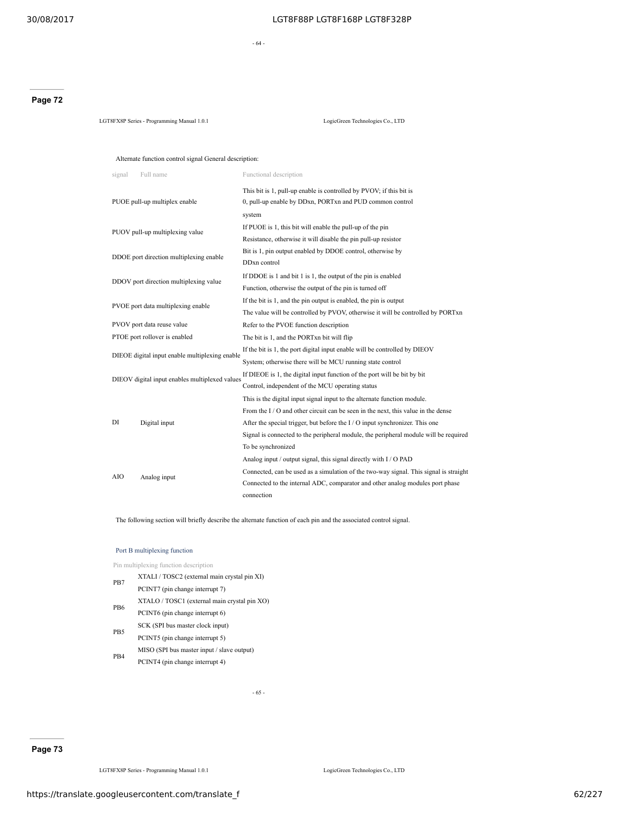- 64 -

# **Page 72**

LGT8FX8P Series - Programming Manual 1.0.1 LogicGreen Technologies Co., LTD

# Alternate function control signal General description:

| Full name<br>signal                            | Functional description                                                                                                          |  |  |
|------------------------------------------------|---------------------------------------------------------------------------------------------------------------------------------|--|--|
| PUOE pull-up multiplex enable                  | This bit is 1, pull-up enable is controlled by PVOV; if this bit is<br>0, pull-up enable by DDxn, PORTxn and PUD common control |  |  |
|                                                | system                                                                                                                          |  |  |
|                                                | If PUOE is 1, this bit will enable the pull-up of the pin                                                                       |  |  |
| PUOV pull-up multiplexing value                | Resistance, otherwise it will disable the pin pull-up resistor                                                                  |  |  |
|                                                | Bit is 1, pin output enabled by DDOE control, otherwise by                                                                      |  |  |
| DDOE port direction multiplexing enable        | DD <sub>xn</sub> control                                                                                                        |  |  |
|                                                | If DDOE is 1 and bit 1 is 1, the output of the pin is enabled                                                                   |  |  |
| DDOV port direction multiplexing value         | Function, otherwise the output of the pin is turned off                                                                         |  |  |
|                                                | If the bit is 1, and the pin output is enabled, the pin is output                                                               |  |  |
| PVOE port data multiplexing enable             | The value will be controlled by PVOV, otherwise it will be controlled by PORTxn                                                 |  |  |
| PVOV port data reuse value                     | Refer to the PVOE function description                                                                                          |  |  |
| PTOE port rollover is enabled                  | The bit is 1, and the PORTxn bit will flip                                                                                      |  |  |
|                                                | If the bit is 1, the port digital input enable will be controlled by DIEOV                                                      |  |  |
| DIEOE digital input enable multiplexing enable | System; otherwise there will be MCU running state control                                                                       |  |  |
|                                                | If DIEOE is 1, the digital input function of the port will be bit by bit                                                        |  |  |
| DIEOV digital input enables multiplexed values | Control, independent of the MCU operating status                                                                                |  |  |
|                                                | This is the digital input signal input to the alternate function module.                                                        |  |  |
|                                                | From the I/O and other circuit can be seen in the next, this value in the dense                                                 |  |  |
| DI<br>Digital input                            | After the special trigger, but before the $I/O$ input synchronizer. This one                                                    |  |  |
|                                                | Signal is connected to the peripheral module, the peripheral module will be required                                            |  |  |
|                                                | To be synchronized                                                                                                              |  |  |
|                                                | Analog input / output signal, this signal directly with I / O PAD                                                               |  |  |
| AIO                                            | Connected, can be used as a simulation of the two-way signal. This signal is straight                                           |  |  |
| Analog input                                   | Connected to the internal ADC, comparator and other analog modules port phase                                                   |  |  |
|                                                | connection                                                                                                                      |  |  |

The following section will briefly describe the alternate function of each pin and the associated control signal.

#### Port B multiplexing function

Pin multiplexing function description

| PB7             | XTALI / TOSC2 (external main crystal pin XI) |
|-----------------|----------------------------------------------|
|                 | PCINT7 (pin change interrupt 7)              |
| PB <sub>6</sub> | XTALO / TOSC1 (external main crystal pin XO) |
|                 | PCINT6 (pin change interrupt 6)              |
|                 | SCK (SPI bus master clock input)             |
| PB <sub>5</sub> | PCINT5 (pin change interrupt 5)              |
|                 | MISO (SPI bus master input / slave output)   |
| P <sub>B4</sub> | PCINT4 (pin change interrupt 4)              |

- 65 -

LGT8FX8P Series - Programming Manual 1.0.1 LogicGreen Technologies Co., LTD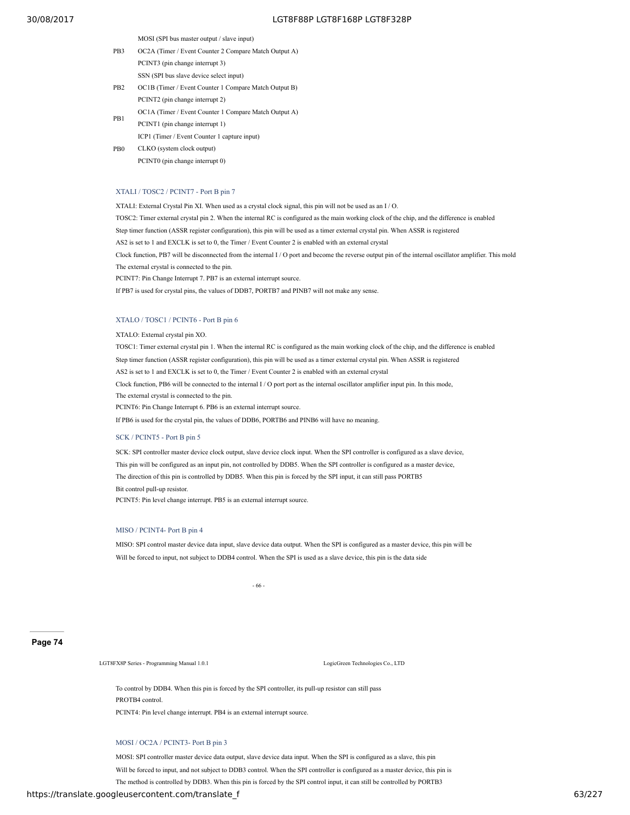MOSI (SPI bus master output / slave input)

- PB3 OC2A (Timer / Event Counter 2 Compare Match Output A)
	- PCINT3 (pin change interrupt 3)
	- SSN (SPI bus slave device select input)
- PB2 OC1B (Timer / Event Counter 1 Compare Match Output B) PCINT2 (pin change interrupt 2)
- PB1 OC1A (Timer / Event Counter 1 Compare Match Output A)
- PCINT1 (pin change interrupt 1) PB0 ICP1 (Timer / Event Counter 1 capture input) CLKO (system clock output) PCINT0 (pin change interrupt 0)

# XTALI / TOSC2 / PCINT7 - Port B pin 7

XTALI: External Crystal Pin XI. When used as a crystal clock signal, this pin will not be used as an I / O. TOSC2: Timer external crystal pin 2. When the internal RC is configured as the main working clock of the chip, and the difference is enabled Step timer function (ASSR register configuration), this pin will be used as a timer external crystal pin. When ASSR is registered AS2 is set to 1 and EXCLK is set to 0, the Timer / Event Counter 2 is enabled with an external crystal Clock function, PB7 will be disconnected from the internal I / O port and become the reverse output pin of the internal oscillator amplifier. This mold The external crystal is connected to the pin. PCINT7: Pin Change Interrupt 7. PB7 is an external interrupt source.

If PB7 is used for crystal pins, the values of DDB7, PORTB7 and PINB7 will not make any sense.

#### XTALO / TOSC1 / PCINT6 - Port B pin 6

XTALO: External crystal pin XO.

TOSC1: Timer external crystal pin 1. When the internal RC is configured as the main working clock of the chip, and the difference is enabled Step timer function (ASSR register configuration), this pin will be used as a timer external crystal pin. When ASSR is registered AS2 is set to 1 and EXCLK is set to 0, the Timer / Event Counter 2 is enabled with an external crystal Clock function, PB6 will be connected to the internal I / O port port as the internal oscillator amplifier input pin. In this mode, The external crystal is connected to the pin. PCINT6: Pin Change Interrupt 6. PB6 is an external interrupt source. If PB6 is used for the crystal pin, the values of DDB6, PORTB6 and PINB6 will have no meaning.

# SCK / PCINT5 - Port B pin 5

SCK: SPI controller master device clock output, slave device clock input. When the SPI controller is configured as a slave device, This pin will be configured as an input pin, not controlled by DDB5. When the SPI controller is configured as a master device, The direction of this pin is controlled by DDB5. When this pin is forced by the SPI input, it can still pass PORTB5 Bit control pull-up resistor. PCINT5: Pin level change interrupt. PB5 is an external interrupt source.

MISO / PCINT4- Port B pin 4

MISO: SPI control master device data input, slave device data output. When the SPI is configured as a master device, this pin will be Will be forced to input, not subject to DDB4 control. When the SPI is used as a slave device, this pin is the data side

- 66 -

## **Page 74**

LGT8FX8P Series - Programming Manual 1.0.1 LogicGreen Technologies Co., LTD

To control by DDB4. When this pin is forced by the SPI controller, its pull-up resistor can still pass PROTB4 control. PCINT4: Pin level change interrupt. PB4 is an external interrupt source.

## MOSI / OC2A / PCINT3- Port B pin 3

MOSI: SPI controller master device data output, slave device data input. When the SPI is configured as a slave, this pin Will be forced to input, and not subject to DDB3 control. When the SPI controller is configured as a master device, this pin is The method is controlled by DDB3. When this pin is forced by the SPI control input, it can still be controlled by PORTB3

# https://translate.googleusercontent.com/translate\_f 63/227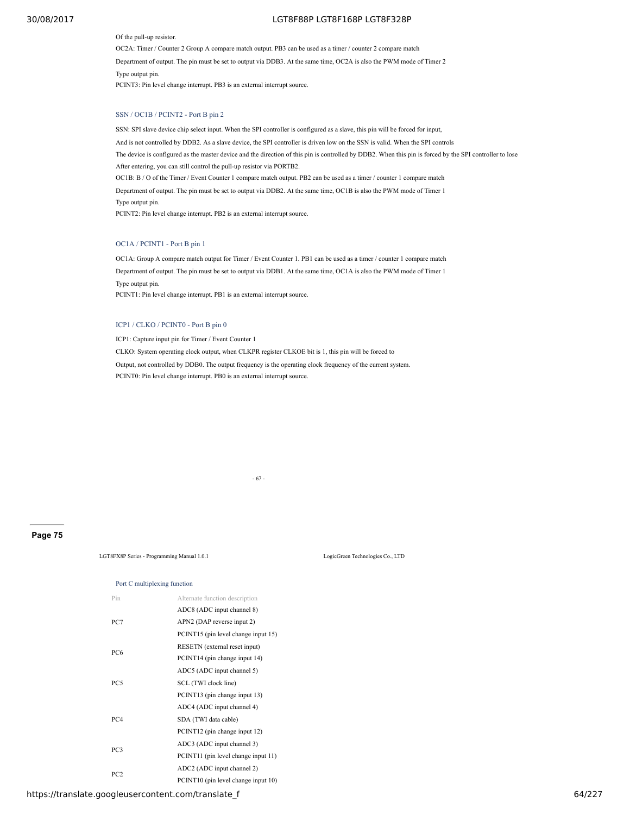Of the pull-up resistor.

OC2A: Timer / Counter 2 Group A compare match output. PB3 can be used as a timer / counter 2 compare match Department of output. The pin must be set to output via DDB3. At the same time, OC2A is also the PWM mode of Timer 2 Type output pin. PCINT3: Pin level change interrupt. PB3 is an external interrupt source.

# SSN / OC1B / PCINT2 - Port B pin 2

SSN: SPI slave device chip select input. When the SPI controller is configured as a slave, this pin will be forced for input, And is not controlled by DDB2. As a slave device, the SPI controller is driven low on the SSN is valid. When the SPI controls The device is configured as the master device and the direction of this pin is controlled by DDB2. When this pin is forced by the SPI controller to lose After entering, you can still control the pull-up resistor via PORTB2. OC1B: B / O of the Timer / Event Counter 1 compare match output. PB2 can be used as a timer / counter 1 compare match Department of output. The pin must be set to output via DDB2. At the same time, OC1B is also the PWM mode of Timer 1 Type output pin. PCINT2: Pin level change interrupt. PB2 is an external interrupt source.

# OC1A / PCINT1 - Port B pin 1

OC1A: Group A compare match output for Timer / Event Counter 1. PB1 can be used as a timer / counter 1 compare match Department of output. The pin must be set to output via DDB1. At the same time, OC1A is also the PWM mode of Timer 1 Type output pin. PCINT1: Pin level change interrupt. PB1 is an external interrupt source.

# ICP1 / CLKO / PCINT0 - Port B pin 0

ICP1: Capture input pin for Timer / Event Counter 1

CLKO: System operating clock output, when CLKPR register CLKOE bit is 1, this pin will be forced to Output, not controlled by DDB0. The output frequency is the operating clock frequency of the current system. PCINT0: Pin level change interrupt. PB0 is an external interrupt source.

- 67 -

## **Page 75**

LGT8FX8P Series - Programming Manual 1.0.1 LogicGreen Technologies Co., LTD

#### Port C multiplexing function

| Pin             | Alternate function description      |
|-----------------|-------------------------------------|
|                 | ADC8 (ADC input channel 8)          |
| PC7             | APN2 (DAP reverse input 2)          |
|                 | PCINT15 (pin level change input 15) |
|                 | RESETN (external reset input)       |
| PC <sub>6</sub> | PCINT14 (pin change input 14)       |
|                 | ADC5 (ADC input channel 5)          |
| PC5             | SCL (TWI clock line)                |
|                 | PCINT13 (pin change input 13)       |
|                 | ADC4 (ADC input channel 4)          |
| PC <sub>4</sub> | SDA (TWI data cable)                |
|                 | PCINT12 (pin change input 12)       |
|                 | ADC3 (ADC input channel 3)          |
| PC3             | PCINT11 (pin level change input 11) |
|                 | ADC2 (ADC input channel 2)          |
| PC <sub>2</sub> | PCINT10 (pin level change input 10) |

https://translate.googleusercontent.com/translate\_f 64/227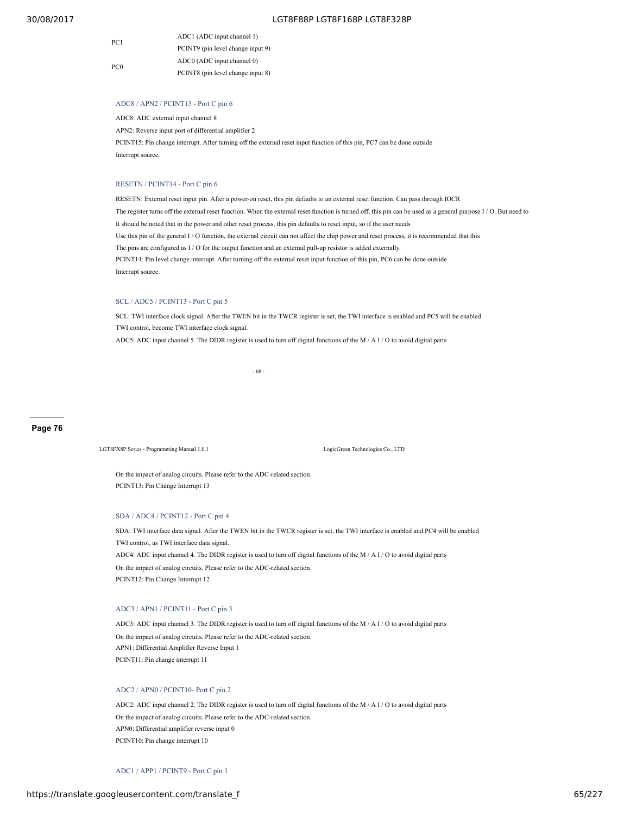| PC <sub>1</sub> | ADC1 (ADC input channel 1)        |
|-----------------|-----------------------------------|
|                 | PCINT9 (pin level change input 9) |
| PC <sub>0</sub> | ADC0 (ADC input channel 0)        |
|                 | PCINT8 (pin level change input 8) |

## ADC8 / APN2 / PCINT15 - Port C pin 6

ADC8: ADC external input channel 8

APN2: Reverse input port of differential amplifier 2

PCINT15: Pin change interrupt. After turning off the external reset input function of this pin, PC7 can be done outside Interrupt source.

#### RESETN / PCINT14 - Port C pin 6

RESETN: External reset input pin. After a power-on reset, this pin defaults to an external reset function. Can pass through IOCR The register turns off the external reset function. When the external reset function is turned off, this pin can be used as a general purpose I / O. But need to It should be noted that in the power and other reset process, this pin defaults to reset input, so if the user needs Use this pin of the general I / O function, the external circuit can not affect the chip power and reset process, it is recommended that this The pins are configured as I / O for the output function and an external pull-up resistor is added externally. PCINT14: Pin level change interrupt. After turning off the external reset input function of this pin, PC6 can be done outside Interrupt source.

# SCL / ADC5 / PCINT13 - Port C pin 5

SCL: TWI interface clock signal. After the TWEN bit in the TWCR register is set, the TWI interface is enabled and PC5 will be enabled TWI control, become TWI interface clock signal.

ADC5: ADC input channel 5. The DIDR register is used to turn off digital functions of the M / A I / O to avoid digital parts

- 68 -

#### **Page 76**

LGT8FX8P Series - Programming Manual 1.0.1 LogicGreen Technologies Co., LTD

On the impact of analog circuits. Please refer to the ADC-related section. PCINT13: Pin Change Interrupt 13

## SDA / ADC4 / PCINT12 - Port C pin 4

SDA: TWI interface data signal. After the TWEN bit in the TWCR register is set, the TWI interface is enabled and PC4 will be enabled TWI control, as TWI interface data signal. ADC4: ADC input channel 4. The DIDR register is used to turn off digital functions of the M / A I / O to avoid digital parts On the impact of analog circuits. Please refer to the ADC-related section. PCINT12: Pin Change Interrupt 12

# ADC3 / APN1 / PCINT11 - Port C pin 3

ADC3: ADC input channel 3. The DIDR register is used to turn off digital functions of the M / A I / O to avoid digital parts On the impact of analog circuits. Please refer to the ADC-related section. APN1: Differential Amplifier Reverse Input 1 PCINT11: Pin change interrupt 11

# ADC2 / APN0 / PCINT10- Port C pin 2

ADC2: ADC input channel 2. The DIDR register is used to turn off digital functions of the M / A I / O to avoid digital parts On the impact of analog circuits. Please refer to the ADC-related section. APN0: Differential amplifier reverse input 0 PCINT10: Pin change interrupt 10

## ADC1 / APP1 / PCINT9 - Port C pin 1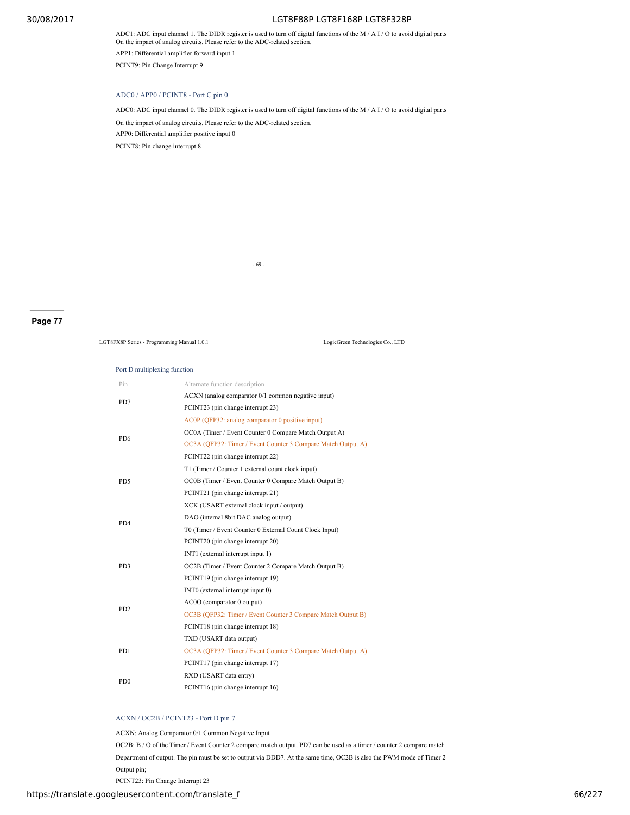ADC1: ADC input channel 1. The DIDR register is used to turn off digital functions of the M / A I / O to avoid digital parts On the impact of analog circuits. Please refer to the ADC-related section.

APP1: Differential amplifier forward input 1

PCINT9: Pin Change Interrupt 9

# ADC0 / APP0 / PCINT8 - Port C pin 0

ADC0: ADC input channel 0. The DIDR register is used to turn off digital functions of the M  $/$  A I $/$  O to avoid digital parts

On the impact of analog circuits. Please refer to the ADC-related section.

APP0: Differential amplifier positive input 0

PCINT8: Pin change interrupt 8

- 69 -

# **Page 77**

LGT8FX8P Series - Programming Manual 1.0.1 LogicGreen Technologies Co., LTD

#### Port D multiplexing function

| Pin                         | Alternate function description                               |
|-----------------------------|--------------------------------------------------------------|
| PD7                         | ACXN (analog comparator 0/1 common negative input)           |
|                             | PCINT23 (pin change interrupt 23)                            |
|                             | AC0P (OFP32: analog comparator 0 positive input)             |
| P <sub>D6</sub>             | OC0A (Timer / Event Counter 0 Compare Match Output A)        |
|                             | OC3A (QFP32: Timer / Event Counter 3 Compare Match Output A) |
|                             | PCINT22 (pin change interrupt 22)                            |
|                             | T1 (Timer / Counter 1 external count clock input)            |
| PD5                         | OC0B (Timer / Event Counter 0 Compare Match Output B)        |
|                             | PCINT21 (pin change interrupt 21)                            |
|                             | XCK (USART external clock input / output)                    |
| P <sub>D</sub> <sub>4</sub> | DAO (internal 8bit DAC analog output)                        |
|                             | T0 (Timer / Event Counter 0 External Count Clock Input)      |
|                             | PCINT20 (pin change interrupt 20)                            |
|                             | INT1 (external interrupt input 1)                            |
| PD3                         | OC2B (Timer / Event Counter 2 Compare Match Output B)        |
|                             | PCINT19 (pin change interrupt 19)                            |
|                             | INTO (external interrupt input 0)                            |
| P <sub>D</sub> <sub>2</sub> | AC0O (comparator 0 output)                                   |
|                             | OC3B (OFP32: Timer / Event Counter 3 Compare Match Output B) |
|                             | PCINT18 (pin change interrupt 18)                            |
|                             | TXD (USART data output)                                      |
| PD1                         | OC3A (OFP32: Timer / Event Counter 3 Compare Match Output A) |
|                             | PCINT17 (pin change interrupt 17)                            |
| P <sub>D</sub> <sub>0</sub> | RXD (USART data entry)                                       |
|                             | PCINT16 (pin change interrupt 16)                            |

# ACXN / OC2B / PCINT23 - Port D pin 7

ACXN: Analog Comparator 0/1 Common Negative Input

OC2B: B / O of the Timer / Event Counter 2 compare match output. PD7 can be used as a timer / counter 2 compare match

Department of output. The pin must be set to output via DDD7. At the same time, OC2B is also the PWM mode of Timer 2 Output pin;

PCINT23: Pin Change Interrupt 23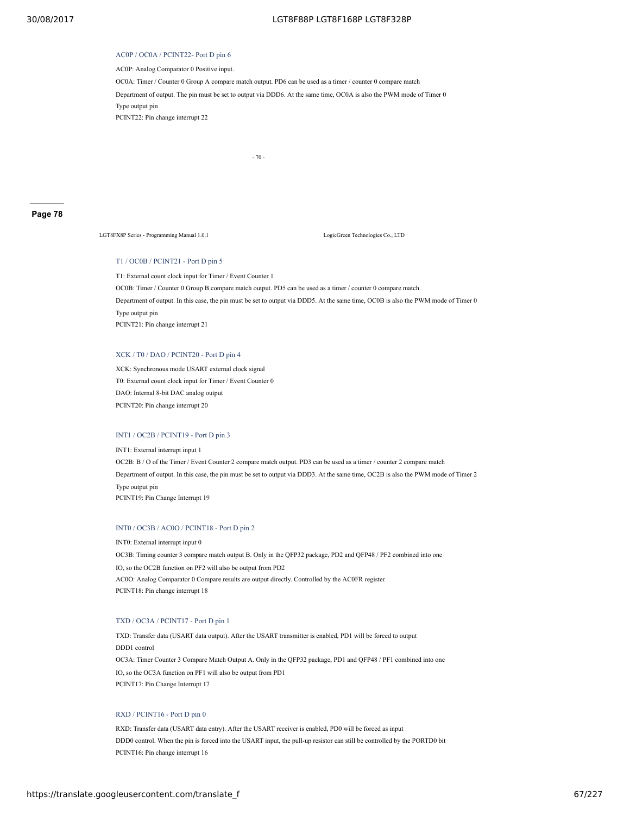#### AC0P / OC0A / PCINT22- Port D pin 6

AC0P: Analog Comparator 0 Positive input.

OC0A: Timer / Counter 0 Group A compare match output. PD6 can be used as a timer / counter 0 compare match

Department of output. The pin must be set to output via DDD6. At the same time, OC0A is also the PWM mode of Timer 0

Type output pin

PCINT22: Pin change interrupt 22

- 70 -

#### **Page 78**

LGT8FX8P Series - Programming Manual 1.0.1 LogicGreen Technologies Co., LTD

# T1 / OC0B / PCINT21 - Port D pin 5

T1: External count clock input for Timer / Event Counter 1 OC0B: Timer / Counter 0 Group B compare match output. PD5 can be used as a timer / counter 0 compare match Department of output. In this case, the pin must be set to output via DDD5. At the same time, OC0B is also the PWM mode of Timer 0 Type output pin PCINT21: Pin change interrupt 21

#### XCK / T0 / DAO / PCINT20 - Port D pin 4

XCK: Synchronous mode USART external clock signal T0: External count clock input for Timer / Event Counter 0 DAO: Internal 8-bit DAC analog output PCINT20: Pin change interrupt 20

# INT1 / OC2B / PCINT19 - Port D pin 3

INT1: External interrupt input 1 OC2B: B / O of the Timer / Event Counter 2 compare match output. PD3 can be used as a timer / counter 2 compare match Department of output. In this case, the pin must be set to output via DDD3. At the same time, OC2B is also the PWM mode of Timer 2 Type output pin PCINT19: Pin Change Interrupt 19

#### INT0 / OC3B / AC0O / PCINT18 - Port D pin 2

INT0: External interrupt input 0 OC3B: Timing counter 3 compare match output B. Only in the QFP32 package, PD2 and QFP48 / PF2 combined into one IO, so the OC2B function on PF2 will also be output from PD2 AC0O: Analog Comparator 0 Compare results are output directly. Controlled by the AC0FR register PCINT18: Pin change interrupt 18

# TXD / OC3A / PCINT17 - Port D pin 1

TXD: Transfer data (USART data output). After the USART transmitter is enabled, PD1 will be forced to output DDD1 control OC3A: Timer Counter 3 Compare Match Output A. Only in the QFP32 package, PD1 and QFP48 / PF1 combined into one IO, so the OC3A function on PF1 will also be output from PD1 PCINT17: Pin Change Interrupt 17

# RXD / PCINT16 - Port D pin 0

RXD: Transfer data (USART data entry). After the USART receiver is enabled, PD0 will be forced as input DDD0 control. When the pin is forced into the USART input, the pull-up resistor can still be controlled by the PORTD0 bit PCINT16: Pin change interrupt 16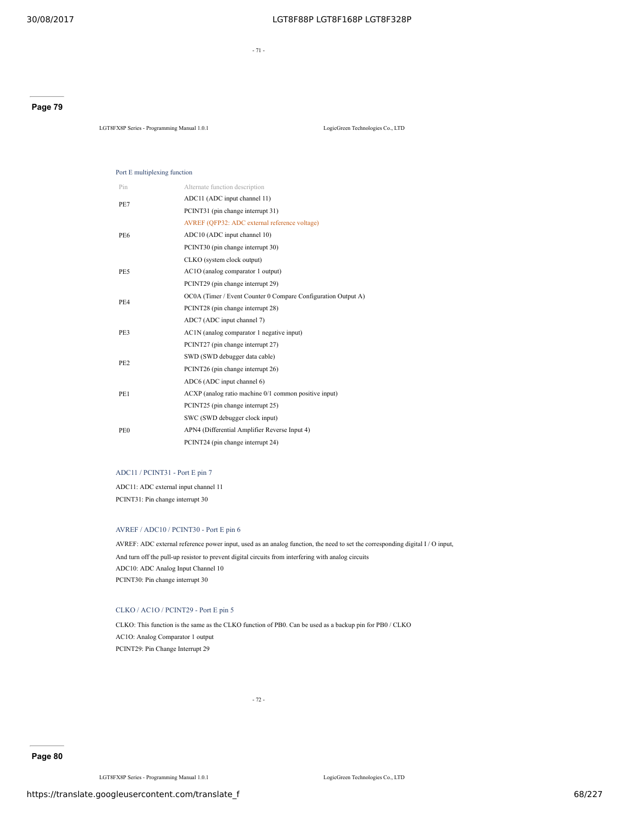- 71 -

# **Page 79**

LGT8FX8P Series - Programming Manual 1.0.1 LogicGreen Technologies Co., LTD

#### Port E multiplexing function

| Pin             | Alternate function description                                |  |  |  |  |  |
|-----------------|---------------------------------------------------------------|--|--|--|--|--|
| PE7             | ADC11 (ADC input channel 11)                                  |  |  |  |  |  |
|                 | PCINT31 (pin change interrupt 31)                             |  |  |  |  |  |
|                 | AVREF (QFP32: ADC external reference voltage)                 |  |  |  |  |  |
| PE6             | ADC10 (ADC input channel 10)                                  |  |  |  |  |  |
|                 | PCINT30 (pin change interrupt 30)                             |  |  |  |  |  |
|                 | CLKO (system clock output)                                    |  |  |  |  |  |
| PE5             | AC1O (analog comparator 1 output)                             |  |  |  |  |  |
|                 | PCINT29 (pin change interrupt 29)                             |  |  |  |  |  |
|                 | OC0A (Timer / Event Counter 0 Compare Configuration Output A) |  |  |  |  |  |
| PE4             | PCINT28 (pin change interrupt 28)                             |  |  |  |  |  |
|                 | ADC7 (ADC input channel 7)                                    |  |  |  |  |  |
| PE3             | AC1N (analog comparator 1 negative input)                     |  |  |  |  |  |
|                 | PCINT27 (pin change interrupt 27)                             |  |  |  |  |  |
| PE <sub>2</sub> | SWD (SWD debugger data cable)                                 |  |  |  |  |  |
|                 | PCINT26 (pin change interrupt 26)                             |  |  |  |  |  |
|                 | ADC6 (ADC input channel 6)                                    |  |  |  |  |  |
| PE1             | ACXP (analog ratio machine 0/1 common positive input)         |  |  |  |  |  |
|                 | PCINT25 (pin change interrupt 25)                             |  |  |  |  |  |
|                 | SWC (SWD debugger clock input)                                |  |  |  |  |  |
| PE <sub>0</sub> | APN4 (Differential Amplifier Reverse Input 4)                 |  |  |  |  |  |
|                 | PCINT24 (pin change interrupt 24)                             |  |  |  |  |  |

# ADC11 / PCINT31 - Port E pin 7

ADC11: ADC external input channel 11 PCINT31: Pin change interrupt 30

#### AVREF / ADC10 / PCINT30 - Port E pin 6

AVREF: ADC external reference power input, used as an analog function, the need to set the corresponding digital I / O input, And turn off the pull-up resistor to prevent digital circuits from interfering with analog circuits ADC10: ADC Analog Input Channel 10 PCINT30: Pin change interrupt 30

# CLKO / AC1O / PCINT29 - Port E pin 5

CLKO: This function is the same as the CLKO function of PB0. Can be used as a backup pin for PB0 / CLKO AC1O: Analog Comparator 1 output PCINT29: Pin Change Interrupt 29

- 72 -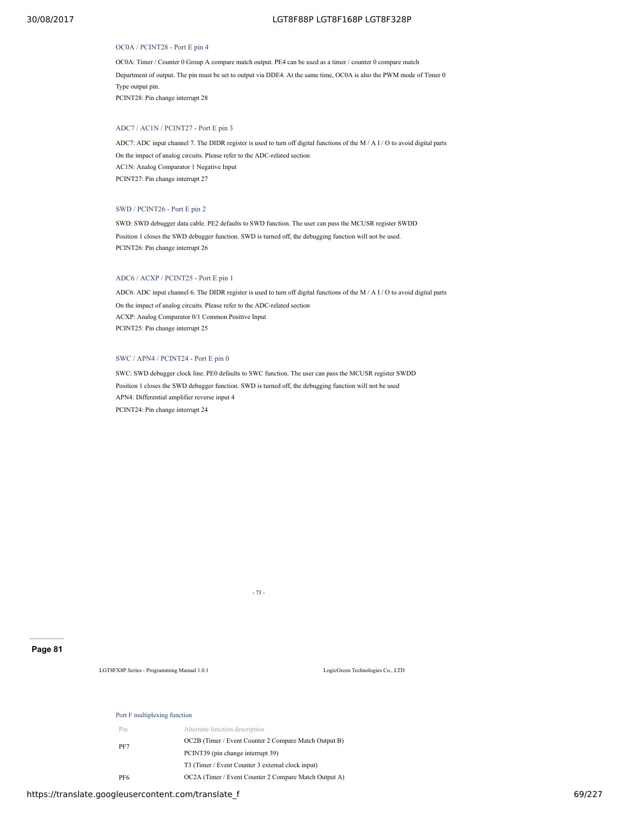#### OC0A / PCINT28 - Port E pin 4

OC0A: Timer / Counter 0 Group A compare match output. PE4 can be used as a timer / counter 0 compare match Department of output. The pin must be set to output via DDE4. At the same time, OC0A is also the PWM mode of Timer 0 Type output pin. PCINT28: Pin change interrupt 28

# ADC7 / AC1N / PCINT27 - Port E pin 3

ADC7: ADC input channel 7. The DIDR register is used to turn off digital functions of the M / A I / O to avoid digital parts On the impact of analog circuits. Please refer to the ADC-related section AC1N: Analog Comparator 1 Negative Input PCINT27: Pin change interrupt 27

# SWD / PCINT26 - Port E pin 2

SWD: SWD debugger data cable. PE2 defaults to SWD function. The user can pass the MCUSR register SWDD Position 1 closes the SWD debugger function. SWD is turned off, the debugging function will not be used. PCINT26: Pin change interrupt 26

# ADC6 / ACXP / PCINT25 - Port E pin 1

ADC6: ADC input channel 6. The DIDR register is used to turn off digital functions of the M / A I / O to avoid digital parts On the impact of analog circuits. Please refer to the ADC-related section ACXP: Analog Comparator 0/1 Common Positive Input PCINT25: Pin change interrupt 25

#### SWC / APN4 / PCINT24 - Port E pin 0

SWC: SWD debugger clock line. PE0 defaults to SWC function. The user can pass the MCUSR register SWDD Position 1 closes the SWD debugger function. SWD is turned off, the debugging function will not be used APN4: Differential amplifier reverse input 4 PCINT24: Pin change interrupt 24

- 73 -

#### **Page 81**

LGT8FX8P Series - Programming Manual 1.0.1 LogicGreen Technologies Co., LTD

# Port F multiplexing function

| Pin | Alternate function description                                |
|-----|---------------------------------------------------------------|
|     | OC2B (Timer / Event Counter 2 Compare Match Output B)         |
| PF7 | PCINT39 (pin change interrupt 39)                             |
|     | T <sub>3</sub> (Timer / Event Counter 3 external clock input) |
| PF6 | OC2A (Timer / Event Counter 2 Compare Match Output A)         |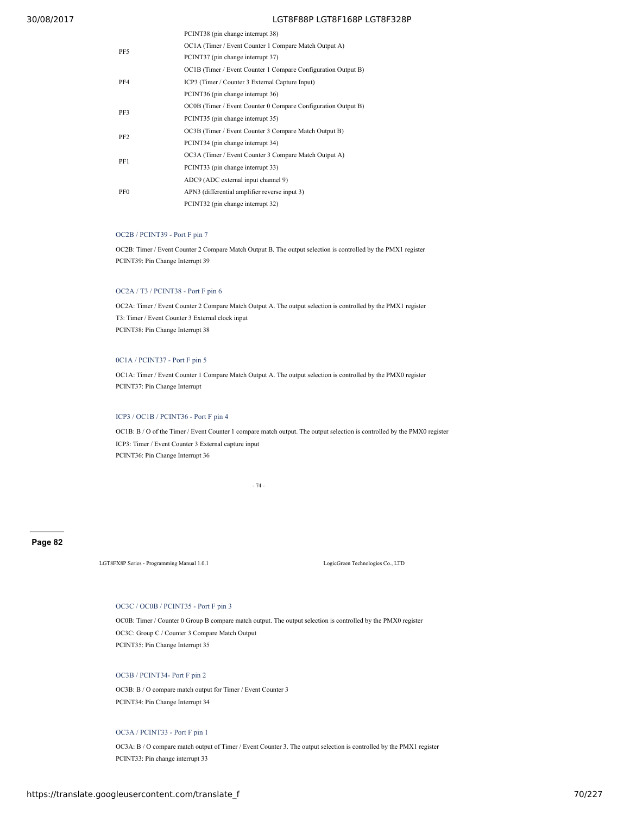| PCINT38 (pin change interrupt 38)                             |  |  |  |  |  |
|---------------------------------------------------------------|--|--|--|--|--|
| OC1A (Timer / Event Counter 1 Compare Match Output A)         |  |  |  |  |  |
| PCINT37 (pin change interrupt 37)                             |  |  |  |  |  |
| OC1B (Timer / Event Counter 1 Compare Configuration Output B) |  |  |  |  |  |
| ICP3 (Timer / Counter 3 External Capture Input)               |  |  |  |  |  |
| PCINT36 (pin change interrupt 36)                             |  |  |  |  |  |
| OC0B (Timer / Event Counter 0 Compare Configuration Output B) |  |  |  |  |  |
| PCINT35 (pin change interrupt 35)                             |  |  |  |  |  |
| OC3B (Timer / Event Counter 3 Compare Match Output B)         |  |  |  |  |  |
| PCINT34 (pin change interrupt 34)                             |  |  |  |  |  |
| OC3A (Timer / Event Counter 3 Compare Match Output A)         |  |  |  |  |  |
| PCINT33 (pin change interrupt 33)                             |  |  |  |  |  |
| ADC9 (ADC external input channel 9)                           |  |  |  |  |  |
| APN3 (differential amplifier reverse input 3)                 |  |  |  |  |  |
| PCINT32 (pin change interrupt 32)                             |  |  |  |  |  |
|                                                               |  |  |  |  |  |

# OC2B / PCINT39 - Port F pin 7

OC2B: Timer / Event Counter 2 Compare Match Output B. The output selection is controlled by the PMX1 register PCINT39: Pin Change Interrupt 39

# OC2A / T3 / PCINT38 - Port F pin 6

OC2A: Timer / Event Counter 2 Compare Match Output A. The output selection is controlled by the PMX1 register T3: Timer / Event Counter 3 External clock input PCINT38: Pin Change Interrupt 38

## 0C1A / PCINT37 - Port F pin 5

OC1A: Timer / Event Counter 1 Compare Match Output A. The output selection is controlled by the PMX0 register PCINT37: Pin Change Interrupt

# ICP3 / OC1B / PCINT36 - Port F pin 4

OC1B: B / O of the Timer / Event Counter 1 compare match output. The output selection is controlled by the PMX0 register ICP3: Timer / Event Counter 3 External capture input PCINT36: Pin Change Interrupt 36

- 74 -

## **Page 82**

LGT8FX8P Series - Programming Manual 1.0.1 LogicGreen Technologies Co., LTD

# OC3C / OC0B / PCINT35 - Port F pin 3

OC0B: Timer / Counter 0 Group B compare match output. The output selection is controlled by the PMX0 register OC3C: Group C / Counter 3 Compare Match Output PCINT35: Pin Change Interrupt 35

# OC3B / PCINT34- Port F pin 2

OC3B: B / O compare match output for Timer / Event Counter 3 PCINT34: Pin Change Interrupt 34

# OC3A / PCINT33 - Port F pin 1

OC3A: B / O compare match output of Timer / Event Counter 3. The output selection is controlled by the PMX1 register PCINT33: Pin change interrupt 33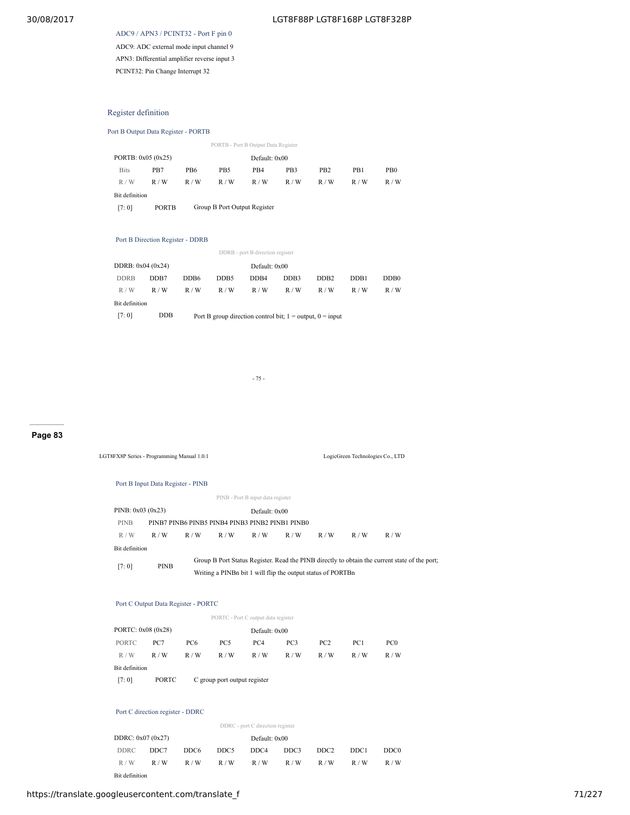ADC9 / APN3 / PCINT32 - Port F pin 0 ADC9: ADC external mode input channel 9 APN3: Differential amplifier reverse input 3 PCINT32: Pin Change Interrupt 32

# Register definition

# Port B Output Data Register - PORTB

|                    |                                              |     |                 | PORTB - Port B Output Data Register |                 |                 |     |                 |  |
|--------------------|----------------------------------------------|-----|-----------------|-------------------------------------|-----------------|-----------------|-----|-----------------|--|
| PORTB: 0x05 (0x25) |                                              |     |                 | Default: 0x00                       |                 |                 |     |                 |  |
| <b>Bits</b>        | P <sub>B</sub> 7                             | PB6 | PB <sub>5</sub> | PB4                                 | PB <sub>3</sub> | P <sub>B2</sub> | PB1 | PB <sub>0</sub> |  |
| R/W                | R/W                                          | R/W | R/W             | R/W                                 | R/W             | R/W             | R/W | R/W             |  |
| Bit definition     |                                              |     |                 |                                     |                 |                 |     |                 |  |
| [7:0]              | Group B Port Output Register<br><b>PORTB</b> |     |                 |                                     |                 |                 |     |                 |  |
|                    |                                              |     |                 |                                     |                 |                 |     |                 |  |
|                    |                                              |     |                 |                                     |                 |                 |     |                 |  |

# Port B Direction Register - DDRB

| DDRB - port B direction register |      |                                                                                  |     |     |     |     |     |     |  |
|----------------------------------|------|----------------------------------------------------------------------------------|-----|-----|-----|-----|-----|-----|--|
| DDRB: $0x04(0x24)$               |      | Default: 0x00                                                                    |     |     |     |     |     |     |  |
| <b>DDRB</b>                      | DDB7 | DD <sub>B4</sub><br>DDB6<br>DDB <sub>5</sub><br>DDB <sub>2</sub><br>DDB3<br>DDB1 |     |     |     |     |     |     |  |
| R/W                              | R/W  | R/W                                                                              | R/W | R/W | R/W | R/W | R/W | R/W |  |
| Bit definition                   |      |                                                                                  |     |     |     |     |     |     |  |
| [7:0]                            | DDB  | Port B group direction control bit; $1 =$ output, $0 =$ input                    |     |     |     |     |     |     |  |

- 75 -

# **Page 83**

LGT8FX8P Series - Programming Manual 1.0.1 LogicGreen Technologies Co., LTD

#### Port B Input Data Register - PINB

| PINB - Port B input data register |             |                                                                                               |     |                                                             |     |     |     |     |  |
|-----------------------------------|-------------|-----------------------------------------------------------------------------------------------|-----|-------------------------------------------------------------|-----|-----|-----|-----|--|
| PINB: $0x03(0x23)$                |             |                                                                                               |     | Default: 0x00                                               |     |     |     |     |  |
| <b>PINB</b>                       |             |                                                                                               |     | PINB7 PINB6 PINB5 PINB4 PINB3 PINB2 PINB1 PINB0             |     |     |     |     |  |
| R/W                               | R/W         | R/W                                                                                           | R/W | R/W                                                         | R/W | R/W | R/W | R/W |  |
| Bit definition                    |             |                                                                                               |     |                                                             |     |     |     |     |  |
| [7:0]                             | <b>PINB</b> | Group B Port Status Register. Read the PINB directly to obtain the current state of the port; |     |                                                             |     |     |     |     |  |
|                                   |             |                                                                                               |     | Writing a PINB bit 1 will flip the output status of PORTB n |     |     |     |     |  |

#### Port C Output Data Register - PORTC

|                    |              |                              |                 | PORTC - Port C output data register |     |                 |                 |                 |  |
|--------------------|--------------|------------------------------|-----------------|-------------------------------------|-----|-----------------|-----------------|-----------------|--|
| PORTC: 0x08 (0x28) |              |                              |                 | Default: 0x00                       |     |                 |                 |                 |  |
| <b>PORTC</b>       | PC7          | PC <sub>6</sub>              | PC <sub>5</sub> | PC <sub>4</sub>                     | PC3 | PC <sub>2</sub> | PC <sub>1</sub> | PC <sub>0</sub> |  |
| R/W                | R/W          | R/W                          | R/W             | R/W                                 | R/W | R/W             | R/W             | R/W             |  |
| Bit definition     |              |                              |                 |                                     |     |                 |                 |                 |  |
| [7:0]              | <b>PORTC</b> | C group port output register |                 |                                     |     |                 |                 |                 |  |

#### Port C direction register - DDRC

| DDRC - port C direction register |      |      |      |               |      |      |      |                  |  |
|----------------------------------|------|------|------|---------------|------|------|------|------------------|--|
| DDRC: $0x07(0x27)$               |      |      |      | Default: 0x00 |      |      |      |                  |  |
| <b>DDRC</b>                      | DDC7 | DDC6 | DDC5 | DDC4          | DDC3 | DDC2 | DDC1 | DDC <sub>0</sub> |  |
| R/W                              | R/W  | R/W  | R/W  | R/W           | R/W  | R/W  | R/W  | R/W              |  |
| Bit definition                   |      |      |      |               |      |      |      |                  |  |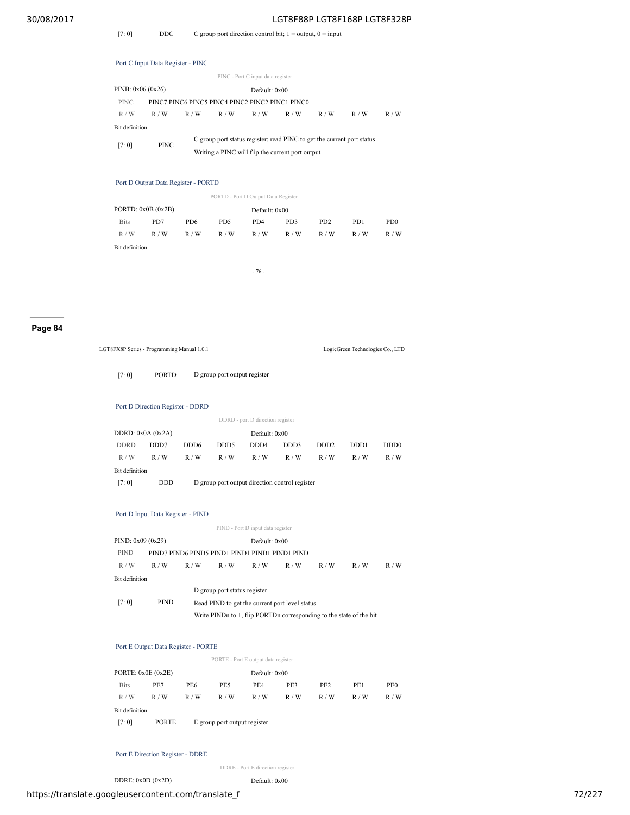[7: 0] DDC C group port direction control bit;  $1 =$  output,  $0 =$  input

|                                   | Port C Input Data Register - PINC               |                                                                        |     |     |                 |     |     |     |  |  |  |
|-----------------------------------|-------------------------------------------------|------------------------------------------------------------------------|-----|-----|-----------------|-----|-----|-----|--|--|--|
| PINC - Port C input data register |                                                 |                                                                        |     |     |                 |     |     |     |  |  |  |
| PINB: $0x06(0x26)$                |                                                 |                                                                        |     |     | Default: $0x00$ |     |     |     |  |  |  |
| <b>PINC</b>                       | PINC7 PINC6 PINC5 PINC4 PINC2 PINC2 PINC1 PINC0 |                                                                        |     |     |                 |     |     |     |  |  |  |
| R/W                               | R/W                                             | R/W                                                                    | R/W | R/W | R/W             | R/W | R/W | R/W |  |  |  |
| <b>Bit definition</b>             |                                                 |                                                                        |     |     |                 |     |     |     |  |  |  |
| [7:0]                             | <b>PINC</b>                                     | C group port status register; read PINC to get the current port status |     |     |                 |     |     |     |  |  |  |
|                                   |                                                 | Writing a PINC will flip the current port output                       |     |     |                 |     |     |     |  |  |  |

Port D Output Data Register - PORTD

PORTD - Port D Output Data Register

| PORTD: 0x0B (0x2B) |     |                 |     | Default: 0x00 |     |                             |                  |                 |  |  |
|--------------------|-----|-----------------|-----|---------------|-----|-----------------------------|------------------|-----------------|--|--|
| <b>Bits</b>        | PD7 | PD <sub>6</sub> | PD5 | PD4           | PD3 | P <sub>D</sub> <sub>2</sub> | P <sub>D</sub> 1 | PD <sub>0</sub> |  |  |
| R/W                | R/W | R/W             | R/W | R/W           | R/W | R/W                         | R/W              | R/W             |  |  |
| Bit definition     |     |                 |     |               |     |                             |                  |                 |  |  |

- 76 -

# **Page 84**

|                    | LGT8FX8P Series - Programming Manual 1.0.1     |                              |                              |                                                                     |      |                   | LogicGreen Technologies Co., LTD |                              |  |  |
|--------------------|------------------------------------------------|------------------------------|------------------------------|---------------------------------------------------------------------|------|-------------------|----------------------------------|------------------------------|--|--|
| [7:0]              | <b>PORTD</b>                                   | D group port output register |                              |                                                                     |      |                   |                                  |                              |  |  |
|                    | Port D Direction Register - DDRD               |                              |                              |                                                                     |      |                   |                                  |                              |  |  |
|                    |                                                |                              |                              | DDRD - port D direction register                                    |      |                   |                                  |                              |  |  |
| DDRD: $0x0A(0x2A)$ |                                                |                              |                              | Default: 0x00                                                       |      |                   |                                  |                              |  |  |
| <b>DDRD</b>        | DDD7                                           | DDD <sub>6</sub>             | DDD <sub>5</sub>             | DDD <sub>4</sub>                                                    | DDD3 | DD <sub>D</sub> 2 | DD <sub>D</sub> 1                | DD <sub>D</sub> <sub>0</sub> |  |  |
| R/W                | R/W                                            | R/W                          | R/W                          | R/W                                                                 | R/W  | R/W               | R/W                              | R/W                          |  |  |
| Bit definition     |                                                |                              |                              |                                                                     |      |                   |                                  |                              |  |  |
| [7:0]              | <b>DDD</b>                                     |                              |                              | D group port output direction control register                      |      |                   |                                  |                              |  |  |
|                    |                                                |                              |                              |                                                                     |      |                   |                                  |                              |  |  |
|                    | Port D Input Data Register - PIND              |                              |                              |                                                                     |      |                   |                                  |                              |  |  |
|                    |                                                |                              |                              | PIND - Port D input data register                                   |      |                   |                                  |                              |  |  |
| PIND: 0x09 (0x29)  |                                                |                              |                              | Default: 0x00                                                       |      |                   |                                  |                              |  |  |
| <b>PIND</b>        | PIND7 PIND6 PIND5 PIND1 PIND1 PIND1 PIND1 PIND |                              |                              |                                                                     |      |                   |                                  |                              |  |  |
| R/W                | R/W                                            | R/W                          | R/W                          | R/W                                                                 | R/W  | R/W               | R/W                              | R/W                          |  |  |
| Bit definition     |                                                |                              |                              |                                                                     |      |                   |                                  |                              |  |  |
|                    |                                                |                              | D group port status register |                                                                     |      |                   |                                  |                              |  |  |
| [7:0]              | <b>PIND</b>                                    |                              |                              | Read PIND to get the current port level status                      |      |                   |                                  |                              |  |  |
|                    |                                                |                              |                              | Write PINDn to 1, flip PORTDn corresponding to the state of the bit |      |                   |                                  |                              |  |  |
|                    |                                                |                              |                              |                                                                     |      |                   |                                  |                              |  |  |
|                    | Port E Output Data Register - PORTE            |                              |                              |                                                                     |      |                   |                                  |                              |  |  |
|                    |                                                |                              |                              | PORTE - Port E output data register                                 |      |                   |                                  |                              |  |  |
|                    | PORTE: 0x0E (0x2E)                             |                              |                              | Default: 0x00                                                       |      |                   |                                  |                              |  |  |
| <b>Bits</b>        | PE7                                            | PE6                          | PE5                          | PE4                                                                 | PE3  | PE <sub>2</sub>   | PE1                              | PE <sub>0</sub>              |  |  |
| R/W                | R/W                                            | R/W                          | R/W                          | R/W                                                                 | R/W  | R/W               | R/W                              | R/W                          |  |  |
| Bit definition     |                                                |                              |                              |                                                                     |      |                   |                                  |                              |  |  |
|                    | PORTE                                          |                              | E group port output register |                                                                     |      |                   |                                  |                              |  |  |

Port E Direction Register - DDRE

DDRE - Port E direction register

DDRE:  $0x0D (0x2D)$  Default:  $0x00$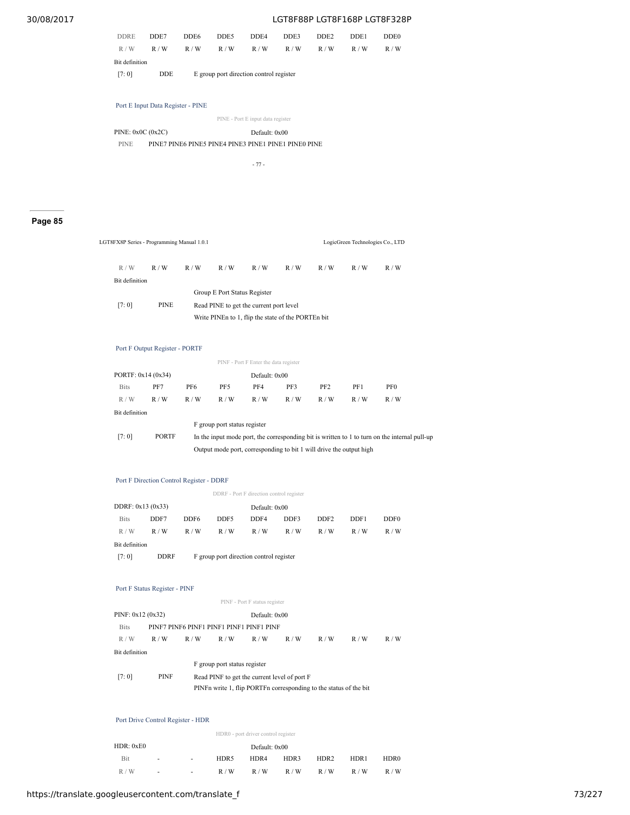| <b>DDRE</b>    | DDE7       | DDE <sub>6</sub>                        | DDE5 | DDE4 | DDE3 | DDE <sub>2</sub> | DDE1 | DDE <sub>0</sub> |  |  |
|----------------|------------|-----------------------------------------|------|------|------|------------------|------|------------------|--|--|
| R/W            | R/W        | R/W                                     | R/W  | R/W  | R/W  | R/W              | R/W  | R/W              |  |  |
| Bit definition |            |                                         |      |      |      |                  |      |                  |  |  |
| [7:0]          | <b>DDE</b> | E group port direction control register |      |      |      |                  |      |                  |  |  |

Port E Input Data Register - PINE

|                    | PINE - Port E input data register |
|--------------------|-----------------------------------|
| PINE: $0x0C(0x2C)$ | Default: 0x00                     |

PINE PINE7 PINE6 PINE5 PINE4 PINE3 PINE1 PINE1 PINE0 PINE

- 77 -

# **Page 85**

| LGT8FX8P Series - Programming Manual 1.0.1 |             |     |                              | LogicGreen Technologies Co., LTD                   |     |     |     |     |  |
|--------------------------------------------|-------------|-----|------------------------------|----------------------------------------------------|-----|-----|-----|-----|--|
| R/W                                        | R/W         | R/W | R/W                          | R/W                                                | R/W | R/W | R/W | R/W |  |
| Bit definition                             |             |     |                              |                                                    |     |     |     |     |  |
|                                            |             |     | Group E Port Status Register |                                                    |     |     |     |     |  |
| [7:0]                                      | <b>PINE</b> |     |                              | Read PINE to get the current port level            |     |     |     |     |  |
|                                            |             |     |                              | Write PINE to 1, flip the state of the PORTE n bit |     |     |     |     |  |

# Port F Output Register - PORTF

|                                                                                                                        | PINF - Port F Enter the data register                               |     |                              |     |     |                 |     |                 |  |  |
|------------------------------------------------------------------------------------------------------------------------|---------------------------------------------------------------------|-----|------------------------------|-----|-----|-----------------|-----|-----------------|--|--|
| PORTF: 0x14 (0x34)<br>Default: 0x00                                                                                    |                                                                     |     |                              |     |     |                 |     |                 |  |  |
| <b>Bits</b>                                                                                                            | PF7                                                                 | PF6 | PF5                          | PF4 | PF3 | PF <sub>2</sub> | PF1 | PF <sub>0</sub> |  |  |
| R/W                                                                                                                    | R/W                                                                 | R/W | R/W                          | R/W | R/W | R/W             | R/W | R/W             |  |  |
| Bit definition                                                                                                         |                                                                     |     |                              |     |     |                 |     |                 |  |  |
|                                                                                                                        |                                                                     |     | F group port status register |     |     |                 |     |                 |  |  |
| [7:0]<br><b>PORTF</b><br>In the input mode port, the corresponding bit is written to 1 to turn on the internal pull-up |                                                                     |     |                              |     |     |                 |     |                 |  |  |
|                                                                                                                        | Output mode port, corresponding to bit 1 will drive the output high |     |                              |     |     |                 |     |                 |  |  |

# Port F Direction Control Register - DDRF

|                    | DDRF - Port F direction control register |                                         |                                                                      |               |     |     |     |     |  |  |  |
|--------------------|------------------------------------------|-----------------------------------------|----------------------------------------------------------------------|---------------|-----|-----|-----|-----|--|--|--|
| DDRF: $0x13(0x33)$ |                                          |                                         |                                                                      | Default: 0x00 |     |     |     |     |  |  |  |
| <b>Bits</b>        | DDF7                                     | DDF6                                    | DDF5<br>DDF4<br>DDF3<br>DDF <sub>0</sub><br>DDF <sub>2</sub><br>DDF1 |               |     |     |     |     |  |  |  |
| R/W                | R/W                                      | R/W                                     | R/W                                                                  | R/W           | R/W | R/W | R/W | R/W |  |  |  |
| Bit definition     |                                          |                                         |                                                                      |               |     |     |     |     |  |  |  |
| [7:0]              | <b>DDRF</b>                              | F group port direction control register |                                                                      |               |     |     |     |     |  |  |  |

# Port F Status Register - PINF

|                   |             |     |                              | PINF - Port F status register            |                                                                     |     |     |     |
|-------------------|-------------|-----|------------------------------|------------------------------------------|---------------------------------------------------------------------|-----|-----|-----|
| PINF: 0x12 (0x32) |             |     |                              | Default: 0x00                            |                                                                     |     |     |     |
| <b>Bits</b>       |             |     |                              | PINE7 PINE6 PINE1 PINE1 PINE1 PINE1 PINE |                                                                     |     |     |     |
| R/W               | R/W         | R/W | R/W                          | R/W                                      | R/W                                                                 | R/W | R/W | R/W |
| Bit definition    |             |     |                              |                                          |                                                                     |     |     |     |
|                   |             |     | F group port status register |                                          |                                                                     |     |     |     |
| [7:0]             | <b>PINF</b> |     |                              |                                          | Read PINF to get the current level of port F                        |     |     |     |
|                   |             |     |                              |                                          | PINF n write 1, flip PORTF n corresponding to the status of the bit |     |     |     |

#### Port Drive Control Register - HDR

|           |        |        |               | HDR0 - port driver control register |      |      |      |      |
|-----------|--------|--------|---------------|-------------------------------------|------|------|------|------|
| HDR: 0xE0 |        |        | Default: 0x00 |                                     |      |      |      |      |
| Bit       | $\sim$ | $\sim$ | HDR5          | HDR4                                | HDR3 | HDR2 | HDR1 | HDR0 |
| R/W       | $\sim$ | $\sim$ | R/W           | R/W                                 | R/W  | R/W  | R/W  | R/W  |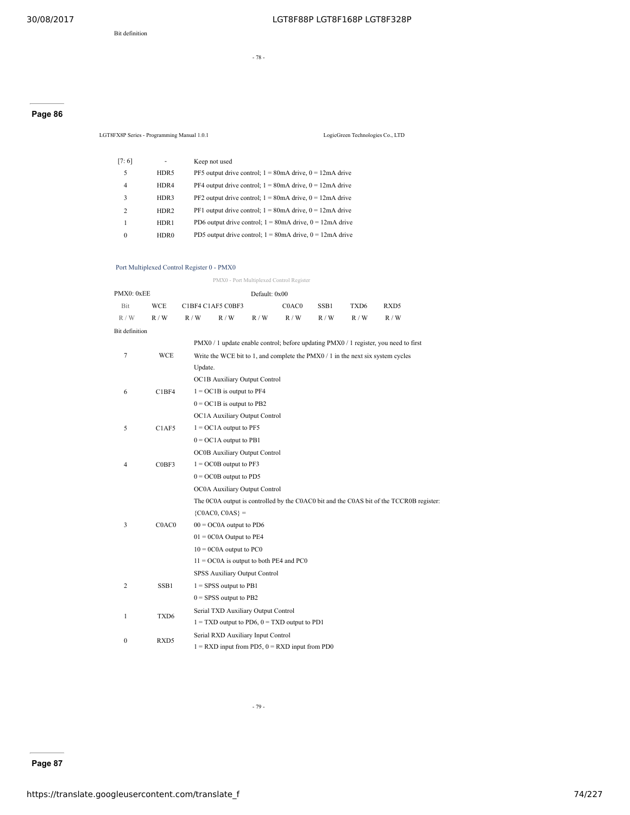- 78 -

# **Page 86**

LGT8FX8P Series - Programming Manual 1.0.1 LogicGreen Technologies Co., LTD [7: 6] - Keep not used 5 HDR5 PF5 output drive control;  $1 = 80$ mA drive,  $0 = 12$ mA drive 4 HDR4 PF4 output drive control;  $1 = 80$ mA drive,  $0 = 12$ mA drive 3 HDR3 PF2 output drive control;  $1 = 80$ mA drive,  $0 = 12$ mA drive 2 HDR2 PF1 output drive control;  $1 = 80$ mA drive,  $0 = 12$ mA drive 1 HDR1 PD6 output drive control;  $1 = 80$ mA drive,  $0 = 12$ mA drive

0 HDR0 PD5 output drive control;  $1 = 80$ mA drive,  $0 = 12$ mA drive

# Port Multiplexed Control Register 0 - PMX0

|                |                                            |         |                                           |               | PMX0 - Port Multiplexed Control Register           |       |                  |                                                                                         |  |
|----------------|--------------------------------------------|---------|-------------------------------------------|---------------|----------------------------------------------------|-------|------------------|-----------------------------------------------------------------------------------------|--|
| PMX0: 0xEE     |                                            |         |                                           | Default: 0x00 |                                                    |       |                  |                                                                                         |  |
| Bit            | <b>WCE</b>                                 |         | C1BF4 C1AF5 C0BF3                         |               | C <sub>0</sub> A <sub>C</sub> <sub>0</sub>         | SSB1  | TXD <sub>6</sub> | RXD5                                                                                    |  |
| R / W          | R/W                                        | R/W     | R/W                                       | R / W         | R/W                                                | R / W | R/W              | R/W                                                                                     |  |
| Bit definition |                                            |         |                                           |               |                                                    |       |                  |                                                                                         |  |
|                |                                            |         |                                           |               |                                                    |       |                  | PMX0 / 1 update enable control; before updating PMX0 / 1 register, you need to first    |  |
| 7              | WCE                                        |         |                                           |               |                                                    |       |                  | Write the WCE bit to 1, and complete the $PMX0/1$ in the next six system cycles         |  |
|                |                                            | Update. |                                           |               |                                                    |       |                  |                                                                                         |  |
|                |                                            |         | OC1B Auxiliary Output Control             |               |                                                    |       |                  |                                                                                         |  |
| 6              | C1BF4                                      |         | $1 = OCIB$ is output to PF4               |               |                                                    |       |                  |                                                                                         |  |
|                |                                            |         | $0 = OCIB$ is output to PB2               |               |                                                    |       |                  |                                                                                         |  |
|                |                                            |         | OC1A Auxiliary Output Control             |               |                                                    |       |                  |                                                                                         |  |
| 5              | C1AF5                                      |         | $1 = OCIA$ output to PF5                  |               |                                                    |       |                  |                                                                                         |  |
|                |                                            |         | $0 = OCA$ output to PB1                   |               |                                                    |       |                  |                                                                                         |  |
|                |                                            |         | OC0B Auxiliary Output Control             |               |                                                    |       |                  |                                                                                         |  |
| 4              | C0BF3                                      |         | $1 = OCOB$ output to PF3                  |               |                                                    |       |                  |                                                                                         |  |
|                |                                            |         | $0 = OCOB$ output to PD5                  |               |                                                    |       |                  |                                                                                         |  |
|                |                                            |         | OC0A Auxiliary Output Control             |               |                                                    |       |                  |                                                                                         |  |
|                |                                            |         |                                           |               |                                                    |       |                  | The 0C0A output is controlled by the C0AC0 bit and the C0AS bit of the TCCR0B register: |  |
|                |                                            |         | ${COAC0, COAS} =$                         |               |                                                    |       |                  |                                                                                         |  |
| 3              | C <sub>0</sub> A <sub>C</sub> <sub>0</sub> |         | $00 = OCOA$ output to PD6                 |               |                                                    |       |                  |                                                                                         |  |
|                |                                            |         | $01 = 0COA$ Output to PE4                 |               |                                                    |       |                  |                                                                                         |  |
|                |                                            |         | $10 = 0COA$ output to PC0                 |               |                                                    |       |                  |                                                                                         |  |
|                |                                            |         | $11 = OCOA$ is output to both PE4 and PC0 |               |                                                    |       |                  |                                                                                         |  |
|                |                                            |         | SPSS Auxiliary Output Control             |               |                                                    |       |                  |                                                                                         |  |
| 2              | SSB1                                       |         | $1 =$ SPSS output to PB1                  |               |                                                    |       |                  |                                                                                         |  |
|                |                                            |         | $0 =$ SPSS output to PB2                  |               |                                                    |       |                  |                                                                                         |  |
| 1              | TXD6                                       |         | Serial TXD Auxiliary Output Control       |               |                                                    |       |                  |                                                                                         |  |
|                |                                            |         |                                           |               | $1 = TXD$ output to PD6, $0 = TXD$ output to PD1   |       |                  |                                                                                         |  |
| $\mathbf{0}$   | RXD5                                       |         | Serial RXD Auxiliary Input Control        |               |                                                    |       |                  |                                                                                         |  |
|                |                                            |         |                                           |               | $1 = RXD$ input from PD5, $0 = RXD$ input from PD0 |       |                  |                                                                                         |  |

- 79 -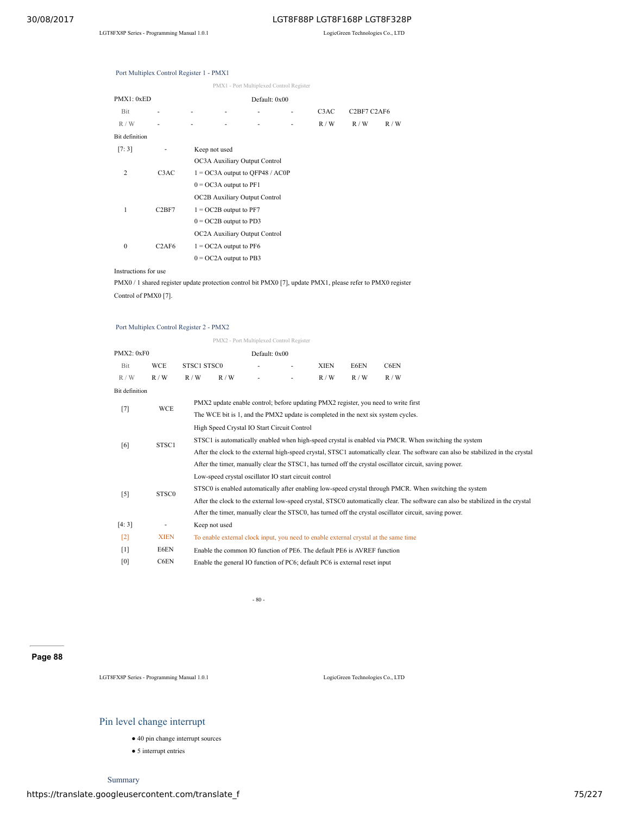|                |                                |                                      | PMX1 - Port Multiplexed Control Register |   |                   |             |     |
|----------------|--------------------------------|--------------------------------------|------------------------------------------|---|-------------------|-------------|-----|
| PMX1: 0xED     |                                |                                      | Default: 0x00                            |   |                   |             |     |
| Bit            | ۰                              |                                      |                                          |   | C <sub>3</sub> AC | C2BF7 C2AF6 |     |
| R/W            | ۰                              |                                      |                                          | ٠ | R/W               | R/W         | R/W |
| Bit definition |                                |                                      |                                          |   |                   |             |     |
| [7:3]          |                                | Keep not used                        |                                          |   |                   |             |     |
|                |                                | OC3A Auxiliary Output Control        |                                          |   |                   |             |     |
| 2              | C <sub>3</sub> AC              | $1 = OC3A$ output to OFP48 / AC0P    |                                          |   |                   |             |     |
|                |                                | $0 = OC3A$ output to PF1             |                                          |   |                   |             |     |
|                |                                | <b>OC2B Auxiliary Output Control</b> |                                          |   |                   |             |     |
| 1              | C2BF7                          | $1 = OC2B$ output to PF7             |                                          |   |                   |             |     |
|                |                                | $0 = OC2B$ output to PD3             |                                          |   |                   |             |     |
|                |                                | OC2A Auxiliary Output Control        |                                          |   |                   |             |     |
| $\mathbf{0}$   | C <sub>2</sub> AF <sub>6</sub> | $1 = OC2A$ output to PF6             |                                          |   |                   |             |     |

# Port Multiplex Control Register 1 - PMX1

Instructions for use

PMX0 / 1 shared register update protection control bit PMX0 [7], update PMX1, please refer to PMX0 register Control of PMX0 [7].

 $0 = OC2A$  output to PB3

# Port Multiplex Control Register 2 - PMX2

|                   |                   |             | PMX2 - Port Multiplexed Control Register                                          |               |  |                                                                            |      |                                                                                                                                   |  |  |  |
|-------------------|-------------------|-------------|-----------------------------------------------------------------------------------|---------------|--|----------------------------------------------------------------------------|------|-----------------------------------------------------------------------------------------------------------------------------------|--|--|--|
| PMX2: 0xF0        |                   |             |                                                                                   | Default: 0x00 |  |                                                                            |      |                                                                                                                                   |  |  |  |
| Bit               | <b>WCE</b>        | STSC1 STSC0 |                                                                                   |               |  | <b>XIEN</b>                                                                | E6EN | C6EN                                                                                                                              |  |  |  |
| R/W               | R/W               | R/W         | R/W                                                                               |               |  | R/W                                                                        | R/W  | R/W                                                                                                                               |  |  |  |
| Bit definition    |                   |             |                                                                                   |               |  |                                                                            |      |                                                                                                                                   |  |  |  |
|                   | <b>WCE</b>        |             |                                                                                   |               |  |                                                                            |      | PMX2 update enable control; before updating PMX2 register, you need to write first                                                |  |  |  |
| $[7]$             |                   |             | The WCE bit is 1, and the PMX2 update is completed in the next six system cycles. |               |  |                                                                            |      |                                                                                                                                   |  |  |  |
|                   |                   |             | High Speed Crystal IO Start Circuit Control                                       |               |  |                                                                            |      |                                                                                                                                   |  |  |  |
| STSC1             |                   |             |                                                                                   |               |  |                                                                            |      | STSC1 is automatically enabled when high-speed crystal is enabled via PMCR. When switching the system                             |  |  |  |
| [6]               |                   |             |                                                                                   |               |  |                                                                            |      | After the clock to the external high-speed crystal, STSC1 automatically clear. The software can also be stabilized in the crystal |  |  |  |
|                   |                   |             |                                                                                   |               |  |                                                                            |      | After the timer, manually clear the STSC1, has turned off the crystal oscillator circuit, saving power.                           |  |  |  |
|                   |                   |             | Low-speed crystal oscillator IO start circuit control                             |               |  |                                                                            |      |                                                                                                                                   |  |  |  |
| $[5]$             | STSC <sub>0</sub> |             |                                                                                   |               |  |                                                                            |      | STSC0 is enabled automatically after enabling low-speed crystal through PMCR. When switching the system                           |  |  |  |
|                   |                   |             |                                                                                   |               |  |                                                                            |      | After the clock to the external low-speed crystal, STSC0 automatically clear. The software can also be stabilized in the crystal  |  |  |  |
|                   |                   |             |                                                                                   |               |  |                                                                            |      | After the timer, manually clear the STSCO, has turned off the crystal oscillator circuit, saving power.                           |  |  |  |
| [4:3]             |                   |             | Keep not used                                                                     |               |  |                                                                            |      |                                                                                                                                   |  |  |  |
| $\lceil 2 \rceil$ | <b>XIEN</b>       |             |                                                                                   |               |  |                                                                            |      | To enable external clock input, you need to enable external crystal at the same time                                              |  |  |  |
| $[1]$             | E6EN              |             |                                                                                   |               |  | Enable the common IO function of PE6. The default PE6 is AVREF function    |      |                                                                                                                                   |  |  |  |
| [0]               | C6EN              |             |                                                                                   |               |  | Enable the general IO function of PC6; default PC6 is external reset input |      |                                                                                                                                   |  |  |  |

- 80 -

# **Page 88**

LGT8FX8P Series - Programming Manual 1.0.1 LogicGreen Technologies Co., LTD

# Pin level change interrupt

- 40 pin change interrupt sources
- 5 interrupt entries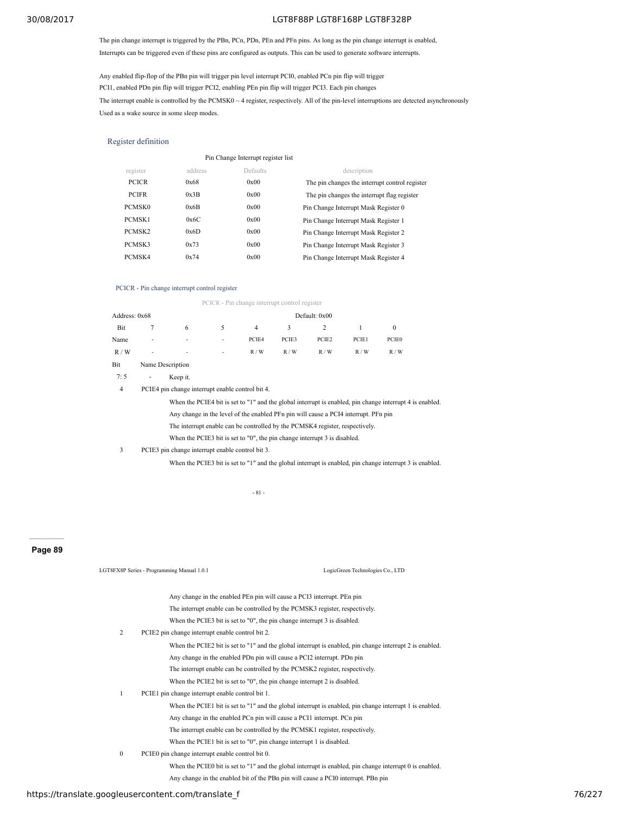The pin change interrupt is triggered by the PBn, PCn, PDn, PEn and PFn pins. As long as the pin change interrupt is enabled, Interrupts can be triggered even if these pins are configured as outputs. This can be used to generate software interrupts.

Any enabled flip-flop of the PBn pin will trigger pin level interrupt PCI0, enabled PCn pin flip will trigger PCI1, enabled PDn pin flip will trigger PCI2, enabling PEn pin flip will trigger PCI3. Each pin changes The interrupt enable is controlled by the PCMSK0  $\sim$  4 register, respectively. All of the pin-level interruptions are detected asynchronously Used as a wake source in some sleep modes.

### Register definition

|                    |         | Pin Change Interrupt register list |                                                |
|--------------------|---------|------------------------------------|------------------------------------------------|
| register           | address | Defaults                           | description                                    |
| <b>PCICR</b>       | 0x68    | 0x00                               | The pin changes the interrupt control register |
| <b>PCIFR</b>       | 0x3B    | 0x00                               | The pin changes the interrupt flag register    |
| PCMSK <sub>0</sub> | 0x6B    | 0x00                               | Pin Change Interrupt Mask Register 0           |
| PCMSK1             | 0x6C    | 0x00                               | Pin Change Interrupt Mask Register 1           |
| PCMSK2             | 0x6D    | 0x00                               | Pin Change Interrupt Mask Register 2           |
| PCMSK3             | 0x73    | 0x00                               | Pin Change Interrupt Mask Register 3           |
| PCMSK4             | 0x74    | 0x00                               | Pin Change Interrupt Mask Register 4           |

#### PCICR - Pin change interrupt control register

PCICR - Pin change interrupt control register

| Address: 0x68 |                          |                          |               | Default: 0x00 |              |       |       |       |  |  |
|---------------|--------------------------|--------------------------|---------------|---------------|--------------|-------|-------|-------|--|--|
| Bit           |                          | 6                        | $\mathcal{D}$ | 4             | $\mathbf{3}$ | 2     |       |       |  |  |
| Name          | $\overline{\phantom{a}}$ | $\overline{\phantom{a}}$ | $\sim$        | PCIE4         | PCIE3        | PCIE2 | PCIE1 | PCIE0 |  |  |
| R/W           | $\overline{\phantom{a}}$ | $\overline{\phantom{a}}$ | $\sim$        | R/W           | R/W          | R/W   | R/W   | R/W   |  |  |
| Bit           | Name Description         |                          |               |               |              |       |       |       |  |  |

7: 5 - Keep it.

4 PCIE4 pin change interrupt enable control bit 4.

When the PCIE4 bit is set to "1" and the global interrupt is enabled, pin change interrupt 4 is enabled.

Any change in the level of the enabled PFn pin will cause a PCI4 interrupt. PFn pin

The interrupt enable can be controlled by the PCMSK4 register, respectively.

When the PCIE3 bit is set to "0", the pin change interrupt 3 is disabled.

#### 3 PCIE3 pin change interrupt enable control bit 3.

When the PCIE3 bit is set to "1" and the global interrupt is enabled, pin change interrupt 3 is enabled.

#### - 81 -

# **Page 89**

|                                                     |              | LGT8FX8P Series - Programming Manual 1.0.1                                                               | LogicGreen Technologies Co., LTD |        |
|-----------------------------------------------------|--------------|----------------------------------------------------------------------------------------------------------|----------------------------------|--------|
|                                                     |              | Any change in the enabled PEn pin will cause a PCI3 interrupt. PEn pin                                   |                                  |        |
|                                                     |              | The interrupt enable can be controlled by the PCMSK3 register, respectively.                             |                                  |        |
|                                                     |              | When the PCIE3 bit is set to "0", the pin change interrupt 3 is disabled.                                |                                  |        |
|                                                     | 2            | PCIE2 pin change interrupt enable control bit 2.                                                         |                                  |        |
|                                                     |              | When the PCIE2 bit is set to "1" and the global interrupt is enabled, pin change interrupt 2 is enabled. |                                  |        |
|                                                     |              | Any change in the enabled PDn pin will cause a PCI2 interrupt. PDn pin                                   |                                  |        |
|                                                     |              | The interrupt enable can be controlled by the PCMSK2 register, respectively.                             |                                  |        |
|                                                     |              | When the PCIE2 bit is set to "0", the pin change interrupt 2 is disabled.                                |                                  |        |
|                                                     |              | PCIE1 pin change interrupt enable control bit 1.                                                         |                                  |        |
|                                                     |              | When the PCIE1 bit is set to "1" and the global interrupt is enabled, pin change interrupt 1 is enabled. |                                  |        |
|                                                     |              | Any change in the enabled PCn pin will cause a PCI1 interrupt. PCn pin                                   |                                  |        |
|                                                     |              | The interrupt enable can be controlled by the PCMSK1 register, respectively.                             |                                  |        |
|                                                     |              | When the PCIE1 bit is set to "0", pin change interrupt 1 is disabled.                                    |                                  |        |
|                                                     | $\mathbf{0}$ | PCIE0 pin change interrupt enable control bit 0.                                                         |                                  |        |
|                                                     |              | When the PCIE0 bit is set to "1" and the global interrupt is enabled, pin change interrupt 0 is enabled. |                                  |        |
|                                                     |              | Any change in the enabled bit of the PBn pin will cause a PCI0 interrupt. PBn pin                        |                                  |        |
| https://translate.googleusercontent.com/translate f |              |                                                                                                          |                                  | 76/227 |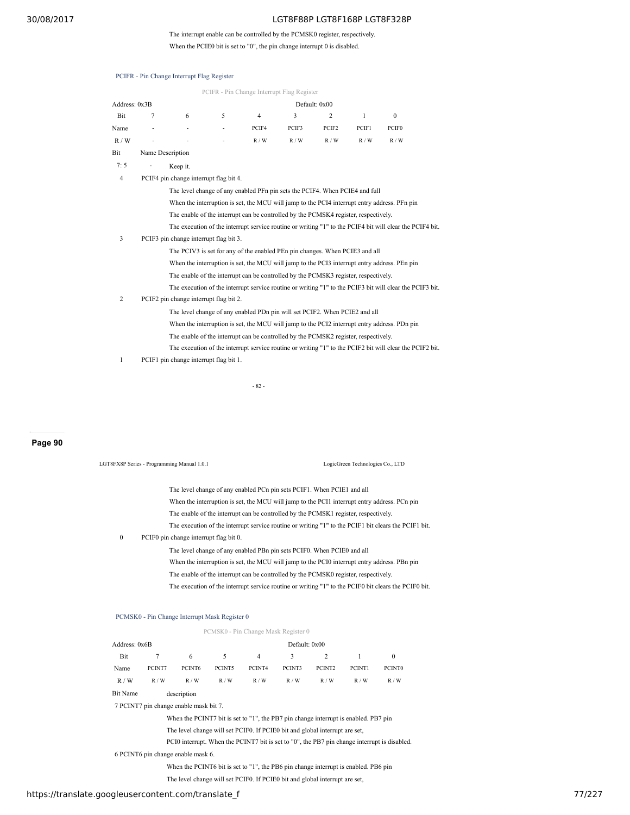# The interrupt enable can be controlled by the PCMSK0 register, respectively.

When the PCIE0 bit is set to "0", the pin change interrupt 0 is disabled.

| PCIFR - Pin Change Interrupt Flag Register                                                   |   |                                        |   |                                                                                     |       |                |              |                                                                                                          |  |
|----------------------------------------------------------------------------------------------|---|----------------------------------------|---|-------------------------------------------------------------------------------------|-------|----------------|--------------|----------------------------------------------------------------------------------------------------------|--|
| Address: 0x3B                                                                                |   |                                        |   |                                                                                     |       | Default: 0x00  |              |                                                                                                          |  |
| Bit                                                                                          | 7 | 6                                      | 5 | $\overline{4}$                                                                      | 3     | $\overline{c}$ | $\mathbf{1}$ | $\mathbf{0}$                                                                                             |  |
| Name                                                                                         |   |                                        |   | PCIF4                                                                               | PCIF3 | PCIF2          | PCIF1        | PCIF <sub>0</sub>                                                                                        |  |
| R/W                                                                                          |   |                                        |   | R/W                                                                                 | R / W | R/W            | R/W          | R / W                                                                                                    |  |
| Bit                                                                                          |   | Name Description                       |   |                                                                                     |       |                |              |                                                                                                          |  |
| 7:5                                                                                          |   | Keep it.                               |   |                                                                                     |       |                |              |                                                                                                          |  |
| 4                                                                                            |   | PCIF4 pin change interrupt flag bit 4. |   |                                                                                     |       |                |              |                                                                                                          |  |
|                                                                                              |   |                                        |   | The level change of any enabled PFn pin sets the PCIF4. When PCIE4 and full         |       |                |              |                                                                                                          |  |
| When the interruption is set, the MCU will jump to the PCI4 interrupt entry address. PFn pin |   |                                        |   |                                                                                     |       |                |              |                                                                                                          |  |
|                                                                                              |   |                                        |   | The enable of the interrupt can be controlled by the PCMSK4 register, respectively. |       |                |              |                                                                                                          |  |
|                                                                                              |   |                                        |   |                                                                                     |       |                |              | The execution of the interrupt service routine or writing "1" to the PCIF4 bit will clear the PCIF4 bit. |  |
| 3                                                                                            |   | PCIF3 pin change interrupt flag bit 3. |   |                                                                                     |       |                |              |                                                                                                          |  |
|                                                                                              |   |                                        |   | The PCIV3 is set for any of the enabled PEn pin changes. When PCIE3 and all         |       |                |              |                                                                                                          |  |
|                                                                                              |   |                                        |   |                                                                                     |       |                |              | When the interruption is set, the MCU will jump to the PCI3 interrupt entry address. PEn pin             |  |
|                                                                                              |   |                                        |   | The enable of the interrupt can be controlled by the PCMSK3 register, respectively. |       |                |              |                                                                                                          |  |
|                                                                                              |   |                                        |   |                                                                                     |       |                |              | The execution of the interrupt service routine or writing "1" to the PCIF3 bit will clear the PCIF3 bit. |  |
| $\overline{c}$                                                                               |   | PCIF2 pin change interrupt flag bit 2. |   |                                                                                     |       |                |              |                                                                                                          |  |
|                                                                                              |   |                                        |   | The level change of any enabled PDn pin will set PCIF2. When PCIE2 and all          |       |                |              |                                                                                                          |  |
|                                                                                              |   |                                        |   |                                                                                     |       |                |              | When the interruption is set, the MCU will jump to the PCI2 interrupt entry address. PDn pin             |  |
|                                                                                              |   |                                        |   | The enable of the interrupt can be controlled by the PCMSK2 register, respectively. |       |                |              |                                                                                                          |  |
|                                                                                              |   |                                        |   |                                                                                     |       |                |              | The execution of the interrupt service routine or writing "1" to the PCIF2 bit will clear the PCIF2 bit. |  |

# 1 PCIF1 pin change interrupt flag bit 1.

PCIFR - Pin Change Interrupt Flag Register

- 82 -

**Page 90**

| LGT8FX8P Series - Programming Manual 1.0.1 |                                                                                                                                                                                                                                                                                                                                                                                                                                                                                                                                                                                                                                                                                                                                                                                          | LogicGreen Technologies Co., LTD |
|--------------------------------------------|------------------------------------------------------------------------------------------------------------------------------------------------------------------------------------------------------------------------------------------------------------------------------------------------------------------------------------------------------------------------------------------------------------------------------------------------------------------------------------------------------------------------------------------------------------------------------------------------------------------------------------------------------------------------------------------------------------------------------------------------------------------------------------------|----------------------------------|
| $\mathbf{0}$                               | The level change of any enabled PCn pin sets PCIF1. When PCIE1 and all<br>When the interruption is set, the MCU will jump to the PCI1 interrupt entry address. PCn pin<br>The enable of the interrupt can be controlled by the PCMSK1 register, respectively.<br>The execution of the interrupt service routine or writing "1" to the PCIF1 bit clears the PCIF1 bit.<br>PCIF0 pin change interrupt flag bit 0.<br>The level change of any enabled PBn pin sets PCIF0. When PCIE0 and all<br>When the interruption is set, the MCU will jump to the PCI0 interrupt entry address. PBn pin<br>The enable of the interrupt can be controlled by the PCMSK0 register, respectively.<br>The execution of the interrupt service routine or writing "1" to the PCIF0 bit clears the PCIF0 bit. |                                  |

#### PCMSK0 - Pin Change Interrupt Mask Register 0

|               |        |                                        |        | PCMSK0 - Pin Change Mask Register 0                                                 |               |                |        |                                                                                              |
|---------------|--------|----------------------------------------|--------|-------------------------------------------------------------------------------------|---------------|----------------|--------|----------------------------------------------------------------------------------------------|
| Address: 0x6B |        |                                        |        |                                                                                     | Default: 0x00 |                |        |                                                                                              |
| Bit           |        | 6                                      | 5      | 4                                                                                   | 3             | $\overline{c}$ |        | $\mathbf{0}$                                                                                 |
| Name          | PCINT7 | PCINT6                                 | PCINT5 | PCINT4                                                                              | PCINT3        | PCINT2         | PCINT1 | PCINT <sub>0</sub>                                                                           |
| R/W           | R/W    | R/W                                    | R/W    | R/W                                                                                 | R/W           | R/W            | R/W    | R/W                                                                                          |
| Bit Name      |        | description                            |        |                                                                                     |               |                |        |                                                                                              |
|               |        | 7 PCINT7 pin change enable mask bit 7. |        |                                                                                     |               |                |        |                                                                                              |
|               |        |                                        |        | When the PCINT7 bit is set to "1", the PB7 pin change interrupt is enabled. PB7 pin |               |                |        |                                                                                              |
|               |        |                                        |        | The level change will set PCIF0. If PCIE0 bit and global interrupt are set,         |               |                |        |                                                                                              |
|               |        |                                        |        |                                                                                     |               |                |        | PCI0 interrupt. When the PCINT7 bit is set to "0", the PB7 pin change interrupt is disabled. |

6 PCINT6 pin change enable mask 6.

When the PCINT6 bit is set to "1", the PB6 pin change interrupt is enabled. PB6 pin

The level change will set PCIF0. If PCIE0 bit and global interrupt are set,

# https://translate.googleusercontent.com/translate\_f 77/227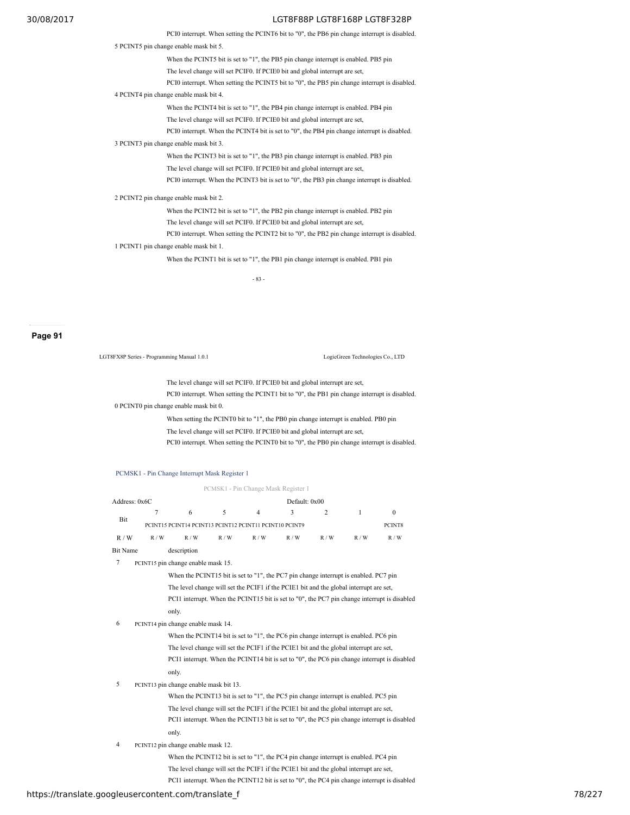PCI0 interrupt. When setting the PCINT6 bit to "0", the PB6 pin change interrupt is disabled.

5 PCINT5 pin change enable mask bit 5.

When the PCINT5 bit is set to "1", the PB5 pin change interrupt is enabled. PB5 pin

The level change will set PCIF0. If PCIE0 bit and global interrupt are set,

PCI0 interrupt. When setting the PCINT5 bit to "0", the PB5 pin change interrupt is disabled.

4 PCINT4 pin change enable mask bit 4.

When the PCINT4 bit is set to "1", the PB4 pin change interrupt is enabled. PB4 pin The level change will set PCIF0. If PCIE0 bit and global interrupt are set,

PCI0 interrupt. When the PCINT4 bit is set to "0", the PB4 pin change interrupt is disabled.

3 PCINT3 pin change enable mask bit 3.

When the PCINT3 bit is set to "1", the PB3 pin change interrupt is enabled. PB3 pin The level change will set PCIF0. If PCIE0 bit and global interrupt are set,

PCI0 interrupt. When the PCINT3 bit is set to "0", the PB3 pin change interrupt is disabled.

2 PCINT2 pin change enable mask bit 2.

When the PCINT2 bit is set to "1", the PB2 pin change interrupt is enabled. PB2 pin The level change will set PCIF0. If PCIE0 bit and global interrupt are set,

PCI0 interrupt. When setting the PCINT2 bit to "0", the PB2 pin change interrupt is disabled. 1 PCINT1 pin change enable mask bit 1.

When the PCINT1 bit is set to "1", the PB1 pin change interrupt is enabled. PB1 pin

- 83 -

**Page 91**

LGT8FX8P Series - Programming Manual 1.0.1 LogicGreen Technologies Co., LTD

The level change will set PCIF0. If PCIE0 bit and global interrupt are set, PCI0 interrupt. When setting the PCINT1 bit to "0", the PB1 pin change interrupt is disabled.

0 PCINT0 pin change enable mask bit 0.

When setting the PCINT0 bit to "1", the PB0 pin change interrupt is enabled. PB0 pin The level change will set PCIF0. If PCIE0 bit and global interrupt are set,

PCI0 interrupt. When setting the PCINT0 bit to "0", the PB0 pin change interrupt is disabled.

PCMSK1 - Pin Change Interrupt Mask Register 1

PCMSK1 - Pin Change Mask Register 1

| Address: 0x6C |     |                                                        |     |                | Default: 0x00 |     |     |               |
|---------------|-----|--------------------------------------------------------|-----|----------------|---------------|-----|-----|---------------|
| Bit           |     | 6                                                      |     | $\overline{4}$ | 3             |     |     |               |
|               |     | PCINT15 PCINT14 PCINT13 PCINT12 PCINT11 PCINT10 PCINT9 |     |                |               |     |     | PCINT8<br>R/W |
| R/W           | R/W | R/W                                                    | R/W | R/W            | R/W           | R/W | R/W |               |
| Bit Name      |     | description                                            |     |                |               |     |     |               |

7 PCINT15 pin change enable mask 15.

When the PCINT15 bit is set to "1", the PC7 pin change interrupt is enabled. PC7 pin The level change will set the PCIF1 if the PCIE1 bit and the global interrupt are set, PCI1 interrupt. When the PCINT15 bit is set to "0", the PC7 pin change interrupt is disabled only.

6 PCINT14 pin change enable mask 14.

When the PCINT14 bit is set to "1", the PC6 pin change interrupt is enabled. PC6 pin The level change will set the PCIF1 if the PCIE1 bit and the global interrupt are set, PCI1 interrupt. When the PCINT14 bit is set to "0", the PC6 pin change interrupt is disabled only.

5 PCINT13 pin change enable mask bit 13.

When the PCINT13 bit is set to "1", the PC5 pin change interrupt is enabled. PC5 pin The level change will set the PCIF1 if the PCIE1 bit and the global interrupt are set, PCI1 interrupt. When the PCINT13 bit is set to "0", the PC5 pin change interrupt is disabled only.

4 PCINT12 pin change enable mask 12.

When the PCINT12 bit is set to "1", the PC4 pin change interrupt is enabled. PC4 pin The level change will set the PCIF1 if the PCIE1 bit and the global interrupt are set, PCI1 interrupt. When the PCINT12 bit is set to "0", the PC4 pin change interrupt is disabled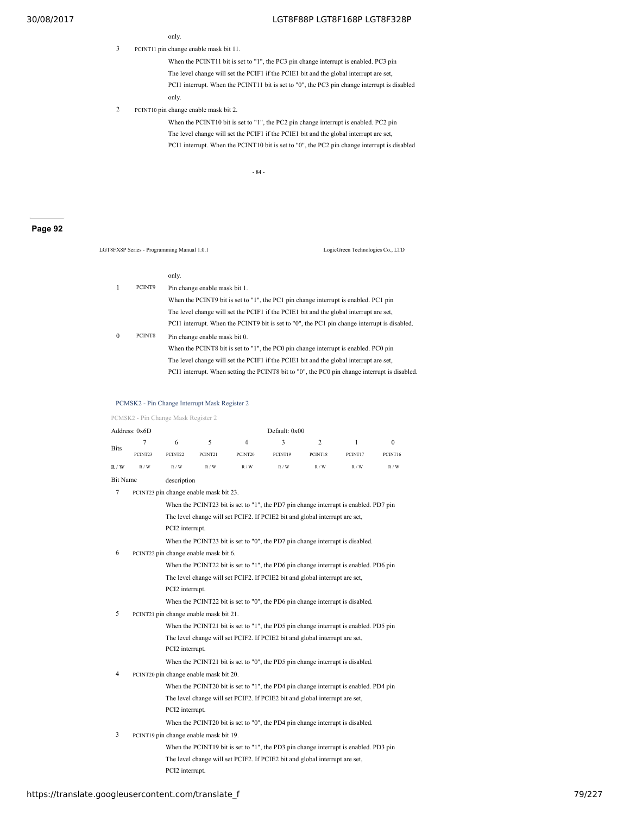only.

3 PCINT11 pin change enable mask bit 11.

When the PCINT11 bit is set to "1", the PC3 pin change interrupt is enabled. PC3 pin The level change will set the PCIF1 if the PCIE1 bit and the global interrupt are set, PCI1 interrupt. When the PCINT11 bit is set to "0", the PC3 pin change interrupt is disabled only.

2 PCINT10 pin change enable mask bit 2.

When the PCINT10 bit is set to "1", the PC2 pin change interrupt is enabled. PC2 pin The level change will set the PCIF1 if the PCIE1 bit and the global interrupt are set, PCI1 interrupt. When the PCINT10 bit is set to "0", the PC2 pin change interrupt is disabled

- 84 -

# **Page 92**

LGT8FX8P Series - Programming Manual 1.0.1 LogicGreen Technologies Co., LTD

#### only.

| 1 | PCINT9 | Pin change enable mask bit 1.                                                                 |
|---|--------|-----------------------------------------------------------------------------------------------|
|   |        | When the PCINT9 bit is set to "1", the PC1 pin change interrupt is enabled. PC1 pin           |
|   |        | The level change will set the PCIF1 if the PCIE1 bit and the global interrupt are set.        |
|   |        | PCI1 interrupt. When the PCINT9 bit is set to "0", the PC1 pin change interrupt is disabled.  |
| 0 | PCINT8 | Pin change enable mask bit 0.                                                                 |
|   |        | When the PCINT8 bit is set to "1", the PC0 pin change interrupt is enabled. PC0 pin           |
|   |        | The level change will set the PCIF1 if the PCIE1 bit and the global interrupt are set,        |
|   |        | PCI1 interrupt. When setting the PCINT8 bit to "0", the PC0 pin change interrupt is disabled. |

# PCMSK2 - Pin Change Interrupt Mask Register 2

PCMSK2 - Pin Change Mask Register 2

|                 | Address: 0x6D                                                                        |                 |                                        |                                                                                      | Default: 0x00 |         |              |              |
|-----------------|--------------------------------------------------------------------------------------|-----------------|----------------------------------------|--------------------------------------------------------------------------------------|---------------|---------|--------------|--------------|
|                 | 7                                                                                    | 6               | 5                                      | 4                                                                                    | 3             | 2       | $\mathbf{1}$ | $\mathbf{0}$ |
| <b>Bits</b>     | PCINT23                                                                              | PCINT22         | PCINT21                                | PCINT20                                                                              | PCINT19       | PCINT18 | PCINT17      | PCINT16      |
| R/W             | R/W                                                                                  | R/W             | R/W                                    | R/W                                                                                  | R/W           | R/W     | R/W          | R/W          |
| <b>Bit Name</b> |                                                                                      | description     |                                        |                                                                                      |               |         |              |              |
| $\overline{7}$  |                                                                                      |                 | PCINT23 pin change enable mask bit 23. |                                                                                      |               |         |              |              |
|                 | When the PCINT23 bit is set to "1", the PD7 pin change interrupt is enabled. PD7 pin |                 |                                        |                                                                                      |               |         |              |              |
|                 |                                                                                      |                 |                                        | The level change will set PCIF2. If PCIE2 bit and global interrupt are set,          |               |         |              |              |
|                 |                                                                                      | PCI2 interrupt. |                                        |                                                                                      |               |         |              |              |
|                 |                                                                                      |                 |                                        | When the PCINT23 bit is set to "0", the PD7 pin change interrupt is disabled.        |               |         |              |              |
| 6               |                                                                                      |                 | PCINT22 pin change enable mask bit 6.  |                                                                                      |               |         |              |              |
|                 |                                                                                      |                 |                                        | When the PCINT22 bit is set to "1", the PD6 pin change interrupt is enabled. PD6 pin |               |         |              |              |
|                 |                                                                                      |                 |                                        | The level change will set PCIF2. If PCIE2 bit and global interrupt are set,          |               |         |              |              |
|                 |                                                                                      | PCI2 interrupt. |                                        |                                                                                      |               |         |              |              |
|                 |                                                                                      |                 |                                        | When the PCINT22 bit is set to "0", the PD6 pin change interrupt is disabled.        |               |         |              |              |
| 5               |                                                                                      |                 | PCINT21 pin change enable mask bit 21. |                                                                                      |               |         |              |              |
|                 |                                                                                      |                 |                                        | When the PCINT21 bit is set to "1", the PD5 pin change interrupt is enabled. PD5 pin |               |         |              |              |
|                 |                                                                                      |                 |                                        | The level change will set PCIF2. If PCIE2 bit and global interrupt are set,          |               |         |              |              |
|                 |                                                                                      | PCI2 interrupt. |                                        |                                                                                      |               |         |              |              |
|                 |                                                                                      |                 |                                        | When the PCINT21 bit is set to "0", the PD5 pin change interrupt is disabled.        |               |         |              |              |
| 4               |                                                                                      |                 | PCINT20 pin change enable mask bit 20. |                                                                                      |               |         |              |              |
|                 |                                                                                      |                 |                                        | When the PCINT20 bit is set to "1", the PD4 pin change interrupt is enabled. PD4 pin |               |         |              |              |
|                 |                                                                                      |                 |                                        | The level change will set PCIF2. If PCIE2 bit and global interrupt are set,          |               |         |              |              |
|                 |                                                                                      | PCI2 interrupt. |                                        |                                                                                      |               |         |              |              |
|                 |                                                                                      |                 |                                        | When the PCINT20 bit is set to "0", the PD4 pin change interrupt is disabled.        |               |         |              |              |
| 3               |                                                                                      |                 | PCINT19 pin change enable mask bit 19. |                                                                                      |               |         |              |              |
|                 |                                                                                      |                 |                                        | When the PCINT19 bit is set to "1", the PD3 pin change interrupt is enabled. PD3 pin |               |         |              |              |
|                 |                                                                                      |                 |                                        | The level change will set PCIF2. If PCIE2 bit and global interrupt are set,          |               |         |              |              |
|                 |                                                                                      | PCI2 interrupt. |                                        |                                                                                      |               |         |              |              |
|                 |                                                                                      |                 |                                        |                                                                                      |               |         |              |              |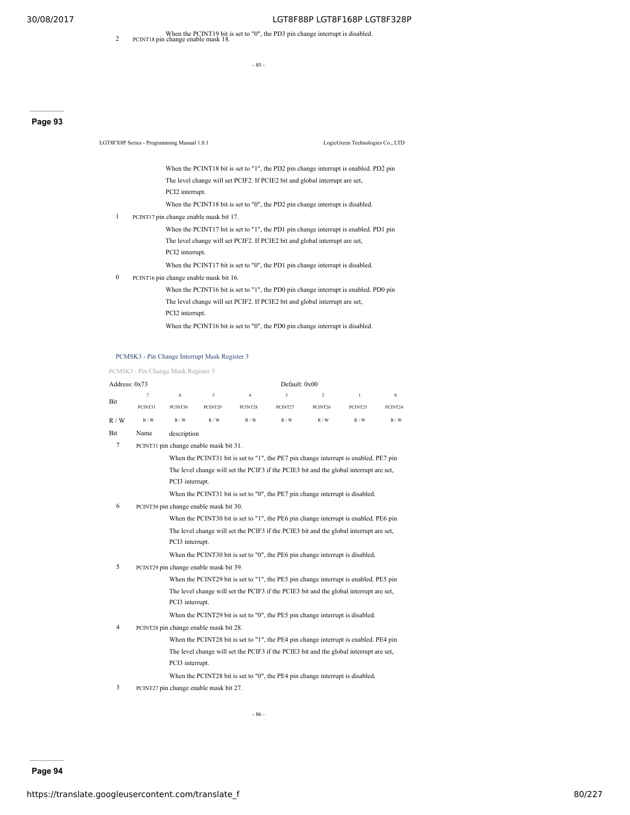When the PCINT19 bit is set to "0", the PD3 pin change interrupt is disabled.<br>
2 PCINT18 pin change enable mask 18.

- 85 -

# **Page 93**

|              | LGT8FX8P Series - Programming Manual 1.0.1                                    | LogicGreen Technologies Co., LTD                                                     |
|--------------|-------------------------------------------------------------------------------|--------------------------------------------------------------------------------------|
|              |                                                                               | When the PCINT18 bit is set to "1", the PD2 pin change interrupt is enabled. PD2 pin |
|              | The level change will set PCIF2. If PCIE2 bit and global interrupt are set,   |                                                                                      |
|              | PCI2 interrupt.                                                               |                                                                                      |
|              | When the PCINT18 bit is set to "0", the PD2 pin change interrupt is disabled. |                                                                                      |
| 1            | PCINT17 pin change enable mask bit 17.                                        |                                                                                      |
|              |                                                                               | When the PCINT17 bit is set to "1", the PD1 pin change interrupt is enabled. PD1 pin |
|              | The level change will set PCIF2. If PCIE2 bit and global interrupt are set,   |                                                                                      |
|              | PCI2 interrupt.                                                               |                                                                                      |
|              | When the PCINT17 bit is set to "0", the PD1 pin change interrupt is disabled. |                                                                                      |
| $\mathbf{0}$ | PCINT16 pin change enable mask bit 16.                                        |                                                                                      |
|              |                                                                               | When the PCINT16 bit is set to "1", the PD0 pin change interrupt is enabled. PD0 pin |
|              | The level change will set PCIF2. If PCIE2 bit and global interrupt are set,   |                                                                                      |
|              | PCI2 interrupt.                                                               |                                                                                      |
|              | When the PCINT16 bit is set to "0", the PD0 pin change interrupt is disabled. |                                                                                      |

# PCMSK3 - Pin Change Interrupt Mask Register 3

#### PCMSK3 - Pin Change Mask Register 3

| Address: 0x73  |         |                                                                                        |         |                                                                                        | Default: 0x00 |                |              |              |
|----------------|---------|----------------------------------------------------------------------------------------|---------|----------------------------------------------------------------------------------------|---------------|----------------|--------------|--------------|
|                | 7       | 6                                                                                      | 5       | $\overline{4}$                                                                         | 3             | $\overline{2}$ | $\mathbf{1}$ | $\mathbf{0}$ |
| Bit            | PCINT31 | PCINT30                                                                                | PCINT29 | PCINT28                                                                                | PCINT27       | PCINT26        | PCINT25      | PCINT24      |
| R/W            | R/W     | R/W                                                                                    | R/W     | R/W                                                                                    | R/W           | R/W            | R/W          | R/W          |
| Bit            | Name    | description                                                                            |         |                                                                                        |               |                |              |              |
| $\overline{7}$ |         | PCINT31 pin change enable mask bit 31.                                                 |         |                                                                                        |               |                |              |              |
|                |         | When the PCINT31 bit is set to "1", the PE7 pin change interrupt is enabled. PE7 pin   |         |                                                                                        |               |                |              |              |
|                |         | The level change will set the PCIF3 if the PCIE3 bit and the global interrupt are set, |         |                                                                                        |               |                |              |              |
|                |         | PCI3 interrupt.                                                                        |         |                                                                                        |               |                |              |              |
|                |         |                                                                                        |         | When the PCINT31 bit is set to "0", the PE7 pin change interrupt is disabled.          |               |                |              |              |
| 6              |         | PCINT30 pin change enable mask bit 30.                                                 |         |                                                                                        |               |                |              |              |
|                |         |                                                                                        |         | When the PCINT30 bit is set to "1", the PE6 pin change interrupt is enabled. PE6 pin   |               |                |              |              |
|                |         |                                                                                        |         | The level change will set the PCIF3 if the PCIE3 bit and the global interrupt are set, |               |                |              |              |
|                |         | PCI3 interrupt.                                                                        |         |                                                                                        |               |                |              |              |
|                |         |                                                                                        |         | When the PCINT30 bit is set to "0", the PE6 pin change interrupt is disabled.          |               |                |              |              |
| 5              |         | PCINT29 pin change enable mask bit 39.                                                 |         |                                                                                        |               |                |              |              |
|                |         |                                                                                        |         | When the PCINT29 bit is set to "1", the PE5 pin change interrupt is enabled. PE5 pin   |               |                |              |              |
|                |         |                                                                                        |         | The level change will set the PCIF3 if the PCIE3 bit and the global interrupt are set, |               |                |              |              |
|                |         | PCI3 interrupt.                                                                        |         |                                                                                        |               |                |              |              |
|                |         |                                                                                        |         | When the PCINT29 bit is set to "0", the PE5 pin change interrupt is disabled.          |               |                |              |              |
| 4              |         | PCINT28 pin change enable mask bit 28.                                                 |         |                                                                                        |               |                |              |              |
|                |         |                                                                                        |         | When the PCINT28 bit is set to "1", the PE4 pin change interrupt is enabled. PE4 pin   |               |                |              |              |
|                |         |                                                                                        |         | The level change will set the PCIF3 if the PCIE3 bit and the global interrupt are set, |               |                |              |              |
|                |         | PCI3 interrupt.                                                                        |         |                                                                                        |               |                |              |              |
|                |         |                                                                                        |         | When the PCINT28 bit is set to "0", the PE4 pin change interrupt is disabled.          |               |                |              |              |

3 PCINT27 pin change enable mask bit 27.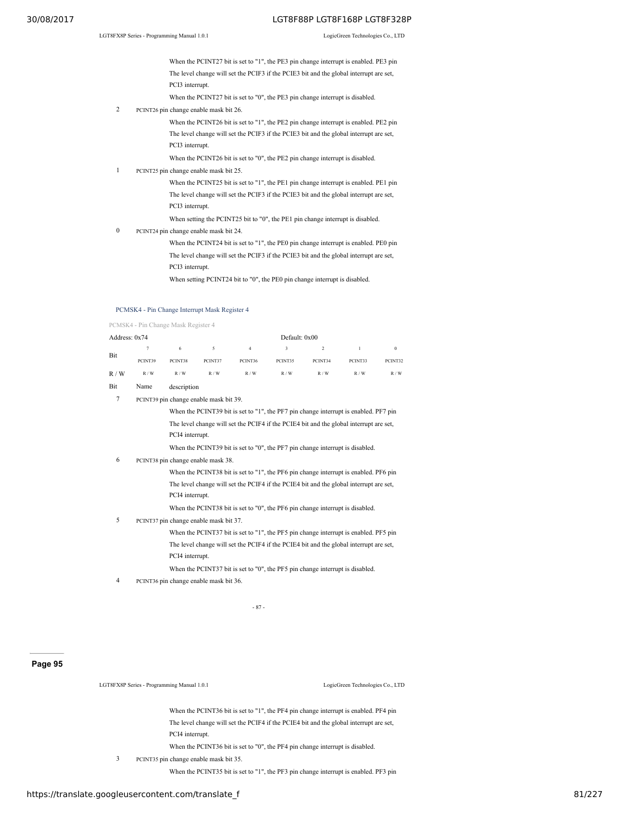When the PCINT27 bit is set to "1", the PE3 pin change interrupt is enabled. PE3 pin The level change will set the PCIF3 if the PCIE3 bit and the global interrupt are set, PCI3 interrupt.

When the PCINT27 bit is set to "0", the PE3 pin change interrupt is disabled.

- 2 PCINT26 pin change enable mask bit 26.
	- When the PCINT26 bit is set to "1", the PE2 pin change interrupt is enabled. PE2 pin The level change will set the PCIF3 if the PCIE3 bit and the global interrupt are set, PCI3 interrupt.
	- When the PCINT26 bit is set to "0", the PE2 pin change interrupt is disabled.
- 1 PCINT25 pin change enable mask bit 25.

When the PCINT25 bit is set to "1", the PE1 pin change interrupt is enabled. PE1 pin The level change will set the PCIF3 if the PCIE3 bit and the global interrupt are set, PCI3 interrupt.

When setting the PCINT25 bit to "0", the PE1 pin change interrupt is disabled.

- 0 PCINT24 pin change enable mask bit 24.
	- When the PCINT24 bit is set to "1", the PE0 pin change interrupt is enabled. PE0 pin The level change will set the PCIF3 if the PCIE3 bit and the global interrupt are set, PCI3 interrupt.

When setting PCINT24 bit to "0", the PE0 pin change interrupt is disabled.

#### PCMSK4 - Pin Change Interrupt Mask Register 4

PCMSK4 - Pin Change Mask Register 4

| Address: $0x74$ |         |                                                                                                                                     | Default: 0x00 |         |         |               |         |          |
|-----------------|---------|-------------------------------------------------------------------------------------------------------------------------------------|---------------|---------|---------|---------------|---------|----------|
|                 |         | 6                                                                                                                                   | 5.            | 4       | 3       | $\mathcal{L}$ |         | $\bf{0}$ |
| Bit             | PCINT39 | PCINT38                                                                                                                             | PCINT37       | PCINT36 | PCINT35 | PCINT34       | PCINT33 | PCINT32  |
| R/W             | R/W     | R/W                                                                                                                                 | R/W           | R/W     | R/W     | R/W           | R/W     | R/W      |
| $\mathbf{r}$    |         | $\mathbf{r}$ and $\mathbf{r}$ and $\mathbf{r}$ and $\mathbf{r}$ and $\mathbf{r}$ and $\mathbf{r}$ and $\mathbf{r}$ and $\mathbf{r}$ |               |         |         |               |         |          |

- Bit Name description
- 7 PCINT39 pin change enable mask bit 39.

When the PCINT39 bit is set to "1", the PF7 pin change interrupt is enabled. PF7 pin The level change will set the PCIF4 if the PCIE4 bit and the global interrupt are set, PCI4 interrupt.

When the PCINT39 bit is set to "0", the PF7 pin change interrupt is disabled.

6 PCINT38 pin change enable mask 38.

When the PCINT38 bit is set to "1", the PF6 pin change interrupt is enabled. PF6 pin The level change will set the PCIF4 if the PCIE4 bit and the global interrupt are set, PCI4 interrupt.

When the PCINT38 bit is set to "0", the PF6 pin change interrupt is disabled.

- 5 PCINT37 pin change enable mask bit 37.
	- When the PCINT37 bit is set to "1", the PF5 pin change interrupt is enabled. PF5 pin The level change will set the PCIF4 if the PCIE4 bit and the global interrupt are set, PCI4 interrupt.
	- When the PCINT37 bit is set to "0", the PF5 pin change interrupt is disabled.
- 4 PCINT36 pin change enable mask bit 36.

- 87 -

# **Page 95**

LGT8FX8P Series - Programming Manual 1.0.1 LogicGreen Technologies Co., LTD

When the PCINT36 bit is set to "1", the PF4 pin change interrupt is enabled. PF4 pin The level change will set the PCIF4 if the PCIE4 bit and the global interrupt are set, PCI4 interrupt.

When the PCINT36 bit is set to "0", the PF4 pin change interrupt is disabled.

3 PCINT35 pin change enable mask bit 35.

When the PCINT35 bit is set to "1", the PF3 pin change interrupt is enabled. PF3 pin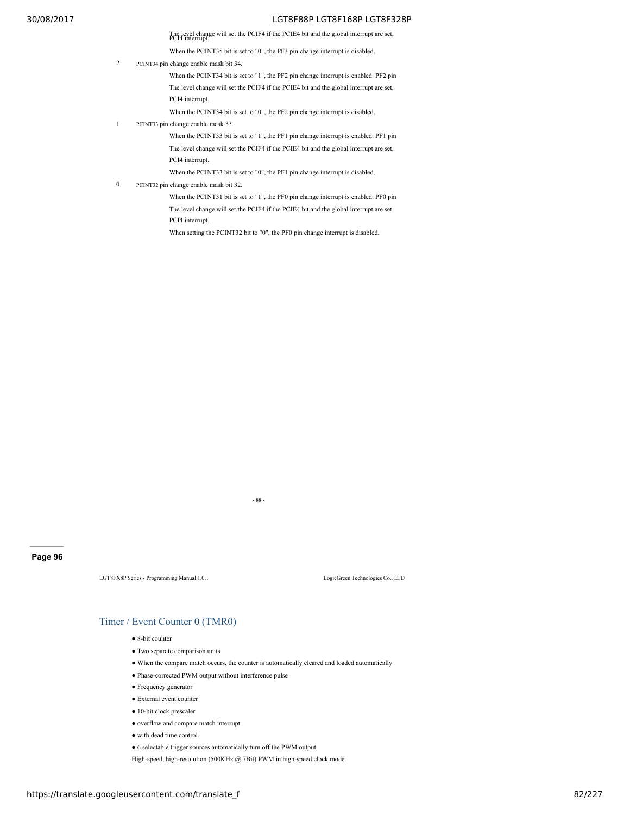The level change will set the PCIF4 if the PCIE4 bit and the global interrupt are set, PCI4 interrupt.

When the PCINT35 bit is set to "0", the PF3 pin change interrupt is disabled.

2 PCINT34 pin change enable mask bit 34.

When the PCINT34 bit is set to "1", the PF2 pin change interrupt is enabled. PF2 pin The level change will set the PCIF4 if the PCIE4 bit and the global interrupt are set, PCI4 interrupt.

When the PCINT34 bit is set to "0", the PF2 pin change interrupt is disabled.

1 PCINT33 pin change enable mask 33.

When the PCINT33 bit is set to "1", the PF1 pin change interrupt is enabled. PF1 pin The level change will set the PCIF4 if the PCIE4 bit and the global interrupt are set, PCI4 interrupt.

When the PCINT33 bit is set to "0", the PF1 pin change interrupt is disabled.

0 PCINT32 pin change enable mask bit 32.

When the PCINT31 bit is set to "1", the PF0 pin change interrupt is enabled. PF0 pin The level change will set the PCIF4 if the PCIE4 bit and the global interrupt are set, PCI4 interrupt.

When setting the PCINT32 bit to "0", the PF0 pin change interrupt is disabled.

# **Page 96**

LGT8FX8P Series - Programming Manual 1.0.1 LogicGreen Technologies Co., LTD

# Timer / Event Counter 0 (TMR0)

- 8-bit counter
- Two separate comparison units
- When the compare match occurs, the counter is automatically cleared and loaded automatically

- 88 -

- Phase-corrected PWM output without interference pulse
- Frequency generator
- External event counter
- 10-bit clock prescaler
- overflow and compare match interrupt
- with dead time control
- 6 selectable trigger sources automatically turn off the PWM output

High-speed, high-resolution (500KHz @ 7Bit) PWM in high-speed clock mode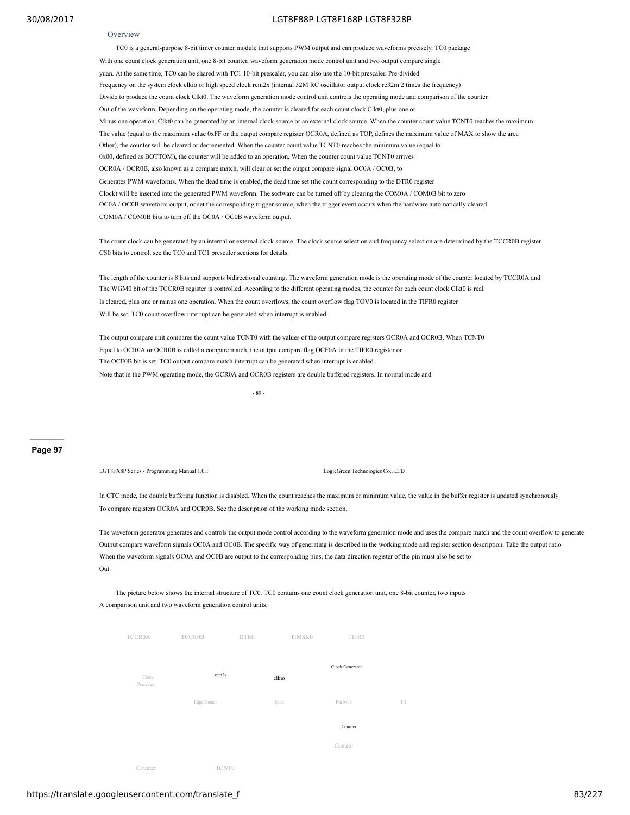#### **Overview**

TC0 is a general-purpose 8-bit timer counter module that supports PWM output and can produce waveforms precisely. TC0 package With one count clock generation unit, one 8-bit counter, waveform generation mode control unit and two output compare single yuan. At the same time, TC0 can be shared with TC1 10-bit prescaler, you can also use the 10-bit prescaler. Pre-divided Frequency on the system clock clkio or high speed clock rcm2x (internal 32M RC oscillator output clock rc32m 2 times the frequency) Divide to produce the count clock Clkt0. The waveform generation mode control unit controls the operating mode and comparison of the counter Out of the waveform. Depending on the operating mode, the counter is cleared for each count clock Clkt0, plus one or Minus one operation. Clkt0 can be generated by an internal clock source or an external clock source. When the counter count value TCNT0 reaches the maximum The value (equal to the maximum value 0xFF or the output compare register OCR0A, defined as TOP, defines the maximum value of MAX to show the area Other), the counter will be cleared or decremented. When the counter count value TCNT0 reaches the minimum value (equal to 0x00, defined as BOTTOM), the counter will be added to an operation. When the counter count value TCNT0 arrives OCR0A / OCR0B, also known as a compare match, will clear or set the output compare signal OC0A / OC0B, to Generates PWM waveforms. When the dead time is enabled, the dead time set (the count corresponding to the DTR0 register Clock) will be inserted into the generated PWM waveform. The software can be turned off by clearing the COM0A / COM0B bit to zero OC0A / OC0B waveform output, or set the corresponding trigger source, when the trigger event occurs when the hardware automatically cleared COM0A / COM0B bits to turn off the OC0A / OC0B waveform output.

The count clock can be generated by an internal or external clock source. The clock source selection and frequency selection are determined by the TCCR0B register CS0 bits to control, see the TC0 and TC1 prescaler sections for details.

The length of the counter is 8 bits and supports bidirectional counting. The waveform generation mode is the operating mode of the counter located by TCCR0A and The WGM0 bit of the TCCR0B register is controlled. According to the different operating modes, the counter for each count clock Clkt0 is real Is cleared, plus one or minus one operation. When the count overflows, the count overflow flag TOV0 is located in the TIFR0 register Will be set. TC0 count overflow interrupt can be generated when interrupt is enabled.

The output compare unit compares the count value TCNT0 with the values of the output compare registers OCR0A and OCR0B. When TCNT0 Equal to OCR0A or OCR0B is called a compare match, the output compare flag OCF0A in the TIFR0 register or The OCF0B bit is set. TC0 output compare match interrupt can be generated when interrupt is enabled. Note that in the PWM operating mode, the OCR0A and OCR0B registers are double buffered registers. In normal mode and

- 89 -

#### **Page 97**

LGT8FX8P Series - Programming Manual 1.0.1 LogicGreen Technologies Co., LTD

In CTC mode, the double buffering function is disabled. When the count reaches the maximum or minimum value, the value in the buffer register is updated synchronously To compare registers OCR0A and OCR0B. See the description of the working mode section.

The waveform generator generates and controls the output mode control according to the waveform generation mode and uses the compare match and the count overflow to generate Output compare waveform signals OC0A and OC0B. The specific way of generating is described in the working mode and register section description. Take the output ratio When the waveform signals OC0A and OC0B are output to the corresponding pins, the data direction register of the pin must also be set to Out.

# The picture below shows the internal structure of TC0. TC0 contains one count clock generation unit, one 8-bit counter, two inputs A comparison unit and two waveform generation control units.

| <b>TCCR0A</b>      | <b>TCCR0B</b>     | DTR0  | TIMSK0 | TIFR0           |    |
|--------------------|-------------------|-------|--------|-----------------|----|
| Clock<br>Prescaler | rcm2x             | clkio |        | Clock Generator |    |
|                    | Edge Detect       | Sync  |        | Pin Mux         | T0 |
|                    |                   |       |        | Counter         |    |
|                    |                   |       |        | Control         |    |
| Counter            | TCNT <sub>0</sub> |       |        |                 |    |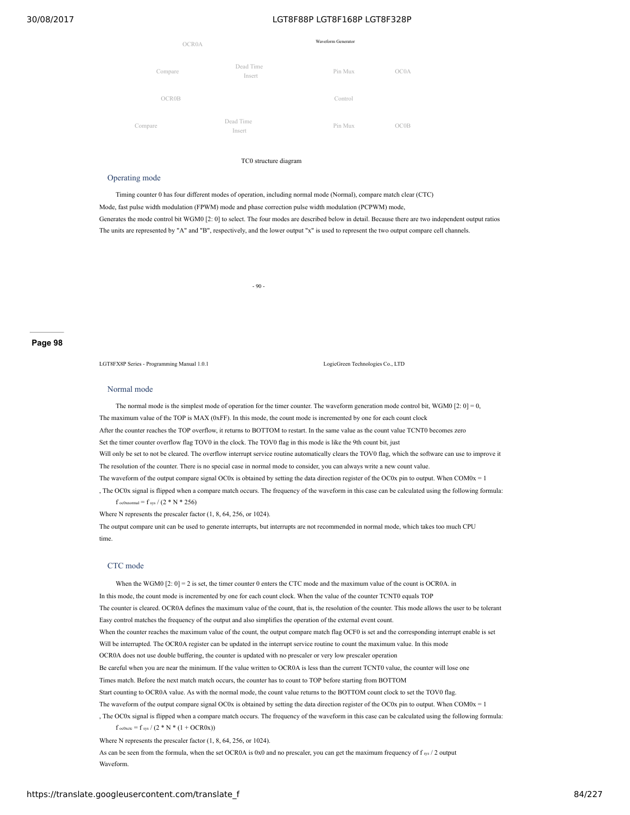| OCR0A        |                     | Waveform Generator |      |
|--------------|---------------------|--------------------|------|
| Compare      | Dead Time<br>Insert | Pin Mux            | OC0A |
| <b>OCR0B</b> |                     | Control            |      |
| Compare      | Dead Time<br>Insert | Pin Mux            | OCOB |

#### TC0 structure diagram

#### Operating mode

Timing counter 0 has four different modes of operation, including normal mode (Normal), compare match clear (CTC) Mode, fast pulse width modulation (FPWM) mode and phase correction pulse width modulation (PCPWM) mode, Generates the mode control bit WGM0 [2: 0] to select. The four modes are described below in detail. Because there are two independent output ratios The units are represented by "A" and "B", respectively, and the lower output "x" is used to represent the two output compare cell channels.

 $-90 -$ 

#### **Page 98**

LGT8FX8P Series - Programming Manual 1.0.1 LogicGreen Technologies Co., LTD

#### Normal mode

The normal mode is the simplest mode of operation for the timer counter. The waveform generation mode control bit, WGM0 [2: 0] = 0. The maximum value of the TOP is MAX (0xFF). In this mode, the count mode is incremented by one for each count clock After the counter reaches the TOP overflow, it returns to BOTTOM to restart. In the same value as the count value TCNT0 becomes zero Set the timer counter overflow flag TOV0 in the clock. The TOV0 flag in this mode is like the 9th count bit, just Will only be set to not be cleared. The overflow interrupt service routine automatically clears the TOV0 flag, which the software can use to improve it The resolution of the counter. There is no special case in normal mode to consider, you can always write a new count value. The waveform of the output compare signal OC0x is obtained by setting the data direction register of the OC0x pin to output. When COM0x = 1 , The OC0x signal is flipped when a compare match occurs. The frequency of the waveform in this case can be calculated using the following formula:  $f_{oc0xnormal} = f_{sys} / (2 * N * 256)$ 

Where N represents the prescaler factor (1, 8, 64, 256, or 1024).

The output compare unit can be used to generate interrupts, but interrupts are not recommended in normal mode, which takes too much CPU time.

#### CTC mode

When the WGM0  $[2: 0] = 2$  is set, the timer counter 0 enters the CTC mode and the maximum value of the count is OCR0A. in In this mode, the count mode is incremented by one for each count clock. When the value of the counter TCNT0 equals TOP The counter is cleared. OCR0A defines the maximum value of the count, that is, the resolution of the counter. This mode allows the user to be tolerant Easy control matches the frequency of the output and also simplifies the operation of the external event count. When the counter reaches the maximum value of the count, the output compare match flag OCF0 is set and the corresponding interrupt enable is set Will be interrupted. The OCR0A register can be updated in the interrupt service routine to count the maximum value. In this mode OCR0A does not use double buffering, the counter is updated with no prescaler or very low prescaler operation Be careful when you are near the minimum. If the value written to OCR0A is less than the current TCNT0 value, the counter will lose one Times match. Before the next match match occurs, the counter has to count to TOP before starting from BOTTOM Start counting to OCR0A value. As with the normal mode, the count value returns to the BOTTOM count clock to set the TOV0 flag. The waveform of the output compare signal OC0x is obtained by setting the data direction register of the OC0x pin to output. When COM0x = 1 , The OC0x signal is flipped when a compare match occurs. The frequency of the waveform in this case can be calculated using the following formula:  $f_{\text{ctc}} = f_{\text{sys}} / (2 * N * (1 + OCR0x))$ Where N represents the prescaler factor (1, 8, 64, 256, or 1024).

As can be seen from the formula, when the set OCR0A is 0x0 and no prescaler, you can get the maximum frequency of  $f_{\text{sys}}/2$  output Waveform.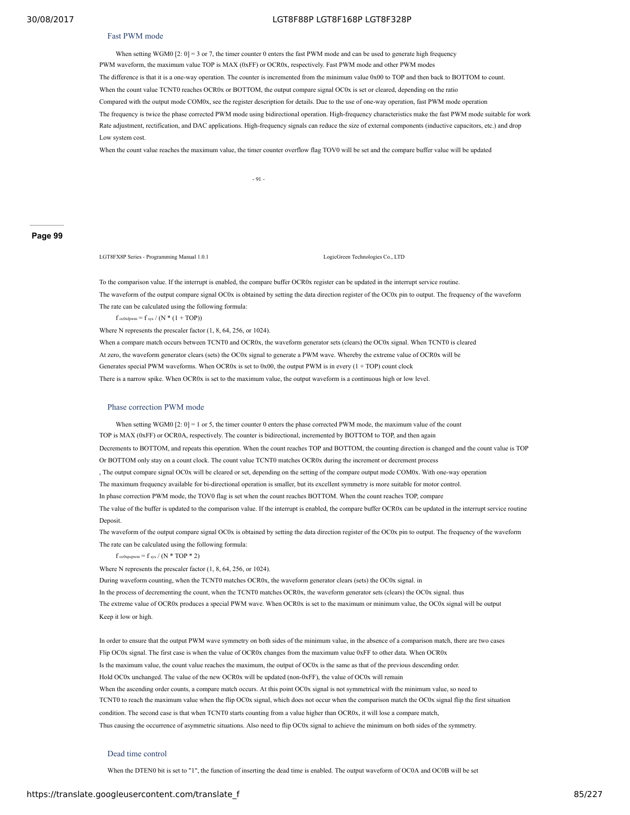#### Fast PWM mode

#### 30/08/2017 LGT8F88P LGT8F168P LGT8F328P

When setting WGM0  $[2: 0] = 3$  or 7, the timer counter 0 enters the fast PWM mode and can be used to generate high frequency PWM waveform, the maximum value TOP is MAX (0xFF) or OCR0x, respectively. Fast PWM mode and other PWM modes The difference is that it is a one-way operation. The counter is incremented from the minimum value 0x00 to TOP and then back to BOTTOM to count. When the count value TCNT0 reaches OCR0x or BOTTOM, the output compare signal OC0x is set or cleared, depending on the ratio Compared with the output mode COM0x, see the register description for details. Due to the use of one-way operation, fast PWM mode operation The frequency is twice the phase corrected PWM mode using bidirectional operation. High-frequency characteristics make the fast PWM mode suitable for work Rate adjustment, rectification, and DAC applications. High-frequency signals can reduce the size of external components (inductive capacitors, etc.) and drop Low system cost.

#### When the count value reaches the maximum value, the timer counter overflow flag TOV0 will be set and the compare buffer value will be updated

- 91 -

#### **Page 99**

LGT8FX8P Series - Programming Manual 1.0.1 Logical Co., LTD LogicGreen Technologies Co., LTD

To the comparison value. If the interrupt is enabled, the compare buffer OCR0x register can be updated in the interrupt service routine. The waveform of the output compare signal OC0x is obtained by setting the data direction register of the OC0x pin to output. The frequency of the waveform The rate can be calculated using the following formula:

f oc0xfpwm = f sys /  $(N*(1+TOP))$ 

Where N represents the prescaler factor (1, 8, 64, 256, or 1024).

When a compare match occurs between TCNT0 and OCR0x, the waveform generator sets (clears) the OC0x signal. When TCNT0 is cleared At zero, the waveform generator clears (sets) the OC0x signal to generate a PWM wave. Whereby the extreme value of OCR0x will be Generates special PWM waveforms. When OCR0x is set to 0x00, the output PWM is in every (1 + TOP) count clock There is a narrow spike. When OCR0x is set to the maximum value, the output waveform is a continuous high or low level.

#### Phase correction PWM mode

When setting WGM0  $[2: 0] = 1$  or 5, the timer counter 0 enters the phase corrected PWM mode, the maximum value of the count TOP is MAX (0xFF) or OCR0A, respectively. The counter is bidirectional, incremented by BOTTOM to TOP, and then again Decrements to BOTTOM, and repeats this operation. When the count reaches TOP and BOTTOM, the counting direction is changed and the count value is TOP Or BOTTOM only stay on a count clock. The count value TCNT0 matches OCR0x during the increment or decrement process , The output compare signal OC0x will be cleared or set, depending on the setting of the compare output mode COM0x. With one-way operation The maximum frequency available for bi-directional operation is smaller, but its excellent symmetry is more suitable for motor control. In phase correction PWM mode, the TOV0 flag is set when the count reaches BOTTOM. When the count reaches TOP, compare The value of the buffer is updated to the comparison value. If the interrupt is enabled, the compare buffer OCR0x can be updated in the interrupt service routine **Deposit** 

The waveform of the output compare signal OC0x is obtained by setting the data direction register of the OC0x pin to output. The frequency of the waveform The rate can be calculated using the following formula:

f oc0xpcpwm = f sys / (N  $*$  TOP  $*$  2)

Where N represents the prescaler factor (1, 8, 64, 256, or 1024).

During waveform counting, when the TCNT0 matches OCR0x, the waveform generator clears (sets) the OC0x signal. in

In the process of decrementing the count, when the TCNT0 matches OCR0x, the waveform generator sets (clears) the OC0x signal. thus The extreme value of OCR0x produces a special PWM wave. When OCR0x is set to the maximum or minimum value, the OC0x signal will be output Keep it low or high.

In order to ensure that the output PWM wave symmetry on both sides of the minimum value, in the absence of a comparison match, there are two cases Flip OC0x signal. The first case is when the value of OCR0x changes from the maximum value 0xFF to other data. When OCR0x Is the maximum value, the count value reaches the maximum, the output of OC0x is the same as that of the previous descending order. Hold OC0x unchanged. The value of the new OCR0x will be updated (non-0xFF), the value of OC0x will remain When the ascending order counts, a compare match occurs. At this point OC0x signal is not symmetrical with the minimum value, so need to TCNT0 to reach the maximum value when the flip OC0x signal, which does not occur when the comparison match the OC0x signal flip the first situation condition. The second case is that when TCNT0 starts counting from a value higher than OCR0x, it will lose a compare match, Thus causing the occurrence of asymmetric situations. Also need to flip OC0x signal to achieve the minimum on both sides of the symmetry.

#### Dead time control

When the DTEN0 bit is set to "1", the function of inserting the dead time is enabled. The output waveform of OC0A and OC0B will be set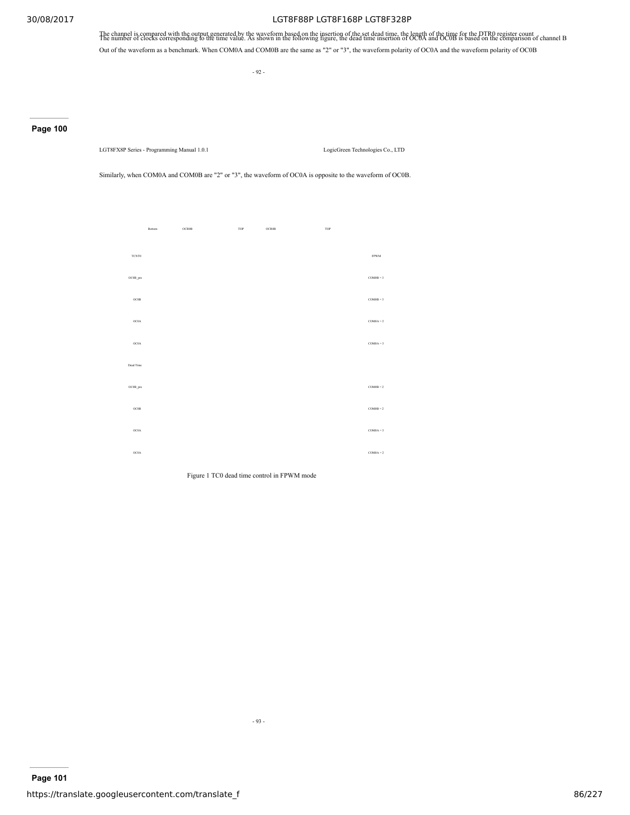The channel is compared with the output generated by the waveform based on the insertion of the set dead time, the length of the time for the DTR0 register count the number of clocks corresponding to the time value. As sho Out of the waveform as a benchmark. When COM0A and COM0B are the same as "2" or "3", the waveform polarity of OC0A and the waveform polarity of OC0B

- 92 -

# **Page 100**

LGT8FX8P Series - Programming Manual 1.0.1 LogicGreen Technologies Co., LTD

Similarly, when COM0A and COM0B are "2" or "3", the waveform of OC0A is opposite to the waveform of OC0B.

|              | Bottom | OCR0B | TOP | OCR0B | TOP |             |
|--------------|--------|-------|-----|-------|-----|-------------|
|              |        |       |     |       |     |             |
| <b>TCNT0</b> |        |       |     |       |     | <b>FPWM</b> |
| OC0B_pre     |        |       |     |       |     | $COM0B = 3$ |
| OCOB         |        |       |     |       |     | $COM0B = 3$ |
| OC0A         |        |       |     |       |     | $COM0A = 2$ |
| OC0A         |        |       |     |       |     | $COM0A = 3$ |
| Dead Time    |        |       |     |       |     |             |
| OC0B_pre     |        |       |     |       |     | $COM0B = 2$ |
| OCOB         |        |       |     |       |     | $COM0B = 2$ |
| OC0A         |        |       |     |       |     | $COM0A = 3$ |
| OC0A         |        |       |     |       |     | $COM0A = 2$ |

Figure 1 TC0 dead time control in FPWM mode

- 93 -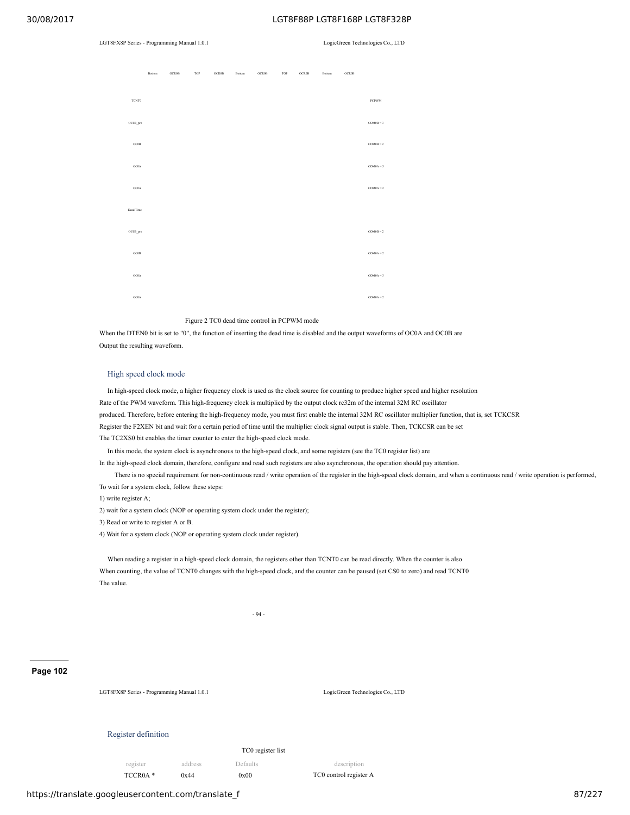#### LGT8FX8P Series - Programming Manual 1.0.1 LogicGreen Technologies Co., LTD

|           | Bottom | <b>OCROB</b> | TOP | <b>OCROB</b> | Bottom | <b>OCROB</b> | TOP | <b>OCROB</b> | Bottom | <b>OCROB</b> |              |
|-----------|--------|--------------|-----|--------------|--------|--------------|-----|--------------|--------|--------------|--------------|
| TCNT0     |        |              |     |              |        |              |     |              |        |              | <b>PCPWM</b> |
| OC0B_pre  |        |              |     |              |        |              |     |              |        |              | $COM0B = 3$  |
| OC0B      |        |              |     |              |        |              |     |              |        |              | $COM0B = 2$  |
| OC0A      |        |              |     |              |        |              |     |              |        |              | $COM0A = 3$  |
| OC0A      |        |              |     |              |        |              |     |              |        |              | $COM0A = 2$  |
| Dead Time |        |              |     |              |        |              |     |              |        |              |              |
| OC0B_pre  |        |              |     |              |        |              |     |              |        |              | $COM0B = 2$  |
| OC0B      |        |              |     |              |        |              |     |              |        |              | $COM0A = 2$  |
| OC0A      |        |              |     |              |        |              |     |              |        |              | $COM0A = 3$  |
| OC0A      |        |              |     |              |        |              |     |              |        |              | $COM0A = 2$  |

#### Figure 2 TC0 dead time control in PCPWM mode

When the DTEN0 bit is set to "0", the function of inserting the dead time is disabled and the output waveforms of OC0A and OC0B are Output the resulting waveform.

#### High speed clock mode

In high-speed clock mode, a higher frequency clock is used as the clock source for counting to produce higher speed and higher resolution Rate of the PWM waveform. This high-frequency clock is multiplied by the output clock rc32m of the internal 32M RC oscillator produced. Therefore, before entering the high-frequency mode, you must first enable the internal 32M RC oscillator multiplier function, that is, set TCKCSR Register the F2XEN bit and wait for a certain period of time until the multiplier clock signal output is stable. Then, TCKCSR can be set The TC2XS0 bit enables the timer counter to enter the high-speed clock mode.

In this mode, the system clock is asynchronous to the high-speed clock, and some registers (see the TC0 register list) are

In the high-speed clock domain, therefore, configure and read such registers are also asynchronous, the operation should pay attention.

There is no special requirement for non-continuous read / write operation of the register in the high-speed clock domain, and when a continuous read / write operation is performed, To wait for a system clock, follow these steps:

1) write register A;

2) wait for a system clock (NOP or operating system clock under the register);

3) Read or write to register A or B.

4) Wait for a system clock (NOP or operating system clock under register).

When reading a register in a high-speed clock domain, the registers other than TCNT0 can be read directly. When the counter is also When counting, the value of TCNT0 changes with the high-speed clock, and the counter can be paused (set CS0 to zero) and read TCNT0 The value.

#### **Page 102**

LGT8FX8P Series - Programming Manual 1.0.1 LogicGreen Technologies Co., LTD

#### Register definition

TC0 register list

register address Defaults description TCCR0A \* 0x44 0x00 TC0 control register A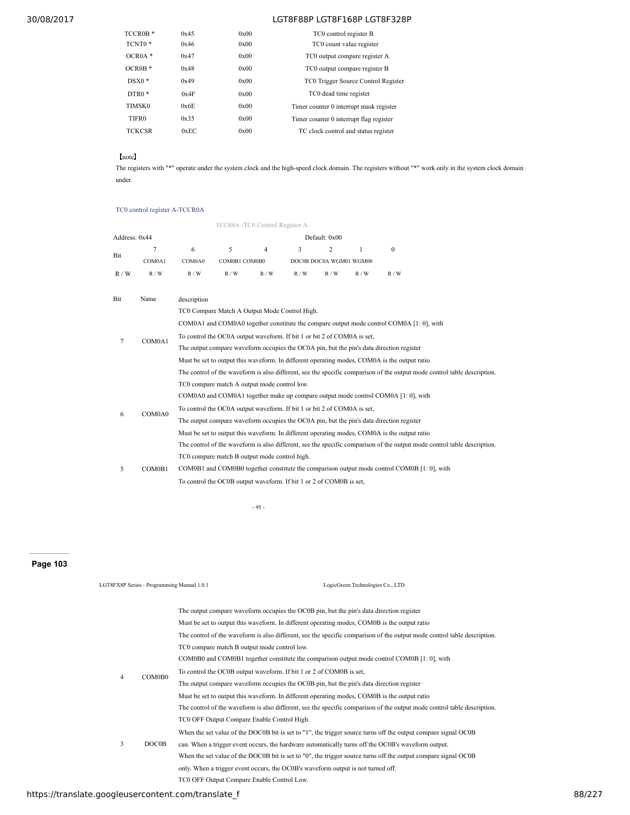| TCCR0B <sup>*</sup> | 0x45 | 0x00 | TC0 control register B                  |
|---------------------|------|------|-----------------------------------------|
| TCNT0 <sup>*</sup>  | 0x46 | 0x00 | TC0 count value register                |
| $OCROA*$            | 0x47 | 0x00 | TC0 output compare register A           |
| $OCROB*$            | 0x48 | 0x00 | TC0 output compare register B           |
| $DSX0*$             | 0x49 | 0x00 | TC0 Trigger Source Control Register     |
| $DTR0*$             | 0x4F | 0x00 | TC0 dead time register                  |
| TIMSK0              | 0x6E | 0x00 | Timer counter 0 interrupt mask register |
| TIFR <sub>0</sub>   | 0x35 | 0x00 | Timer counter 0 interrupt flag register |
| <b>TCKCSR</b>       | 0xEC | 0x00 | TC clock control and status register    |
|                     |      |      |                                         |

【note】

The registers with "\*" operate under the system clock and the high-speed clock domain. The registers without "\*" work only in the system clock domain under.

# TC0 control register A-TCCR0A

|               |        |                                                                                                                          | TCCR0A -TC0 Control Register A                                      |     |     |                         |     |                                                                                             |  |  |  |
|---------------|--------|--------------------------------------------------------------------------------------------------------------------------|---------------------------------------------------------------------|-----|-----|-------------------------|-----|---------------------------------------------------------------------------------------------|--|--|--|
| Address: 0x44 |        |                                                                                                                          |                                                                     |     |     | Default: 0x00           |     |                                                                                             |  |  |  |
| Bit           | 7      | 6                                                                                                                        | 5                                                                   | 4   | 3   | 2                       | 1   | $\mathbf{0}$                                                                                |  |  |  |
|               | COM0A1 | COM0A0                                                                                                                   | COM0B1 COM0B0                                                       |     |     | DOC0B DOC0A WGM01 WGM00 |     |                                                                                             |  |  |  |
| R/W           | R/W    | R/W                                                                                                                      | R/W                                                                 | R/W | R/W | R/W                     | R/W | R/W                                                                                         |  |  |  |
| Bit           | Name   | description                                                                                                              |                                                                     |     |     |                         |     |                                                                                             |  |  |  |
|               |        |                                                                                                                          | TC0 Compare Match A Output Mode Control High.                       |     |     |                         |     |                                                                                             |  |  |  |
|               |        |                                                                                                                          |                                                                     |     |     |                         |     | COM0A1 and COM0A0 together constitute the compare output mode control COM0A [1: 0], with    |  |  |  |
|               |        | To control the OC0A output waveform. If bit 1 or bit 2 of COM0A is set,                                                  |                                                                     |     |     |                         |     |                                                                                             |  |  |  |
| 7             | COM0A1 | The output compare waveform occupies the OC0A pin, but the pin's data direction register                                 |                                                                     |     |     |                         |     |                                                                                             |  |  |  |
|               |        | Must be set to output this waveform. In different operating modes, COM0A is the output ratio                             |                                                                     |     |     |                         |     |                                                                                             |  |  |  |
|               |        | The control of the waveform is also different, see the specific comparison of the output mode control table description. |                                                                     |     |     |                         |     |                                                                                             |  |  |  |
|               |        | TC0 compare match A output mode control low.                                                                             |                                                                     |     |     |                         |     |                                                                                             |  |  |  |
|               |        | COM0A0 and COM0A1 together make up compare output mode control COM0A [1:0], with                                         |                                                                     |     |     |                         |     |                                                                                             |  |  |  |
|               | COM0A0 | To control the OC0A output waveform. If bit 1 or bit 2 of COM0A is set,                                                  |                                                                     |     |     |                         |     |                                                                                             |  |  |  |
| 6             |        | The output compare waveform occupies the OC0A pin, but the pin's data direction register                                 |                                                                     |     |     |                         |     |                                                                                             |  |  |  |
|               |        | Must be set to output this waveform. In different operating modes, COM0A is the output ratio                             |                                                                     |     |     |                         |     |                                                                                             |  |  |  |
|               |        | The control of the waveform is also different, see the specific comparison of the output mode control table description. |                                                                     |     |     |                         |     |                                                                                             |  |  |  |
|               |        |                                                                                                                          | TC0 compare match B output mode control high.                       |     |     |                         |     |                                                                                             |  |  |  |
| 5             | COM0B1 |                                                                                                                          |                                                                     |     |     |                         |     | COM0B1 and COM0B0 together constitute the comparison output mode control COM0B [1: 0], with |  |  |  |
|               |        |                                                                                                                          | To control the OC0B output waveform. If bit 1 or 2 of COM0B is set, |     |     |                         |     |                                                                                             |  |  |  |

- 95 -

# **Page 103**

| LGT8FX8P Series - Programming Manual 1.0.1 |              | LogicGreen Technologies Co., LTD                                                                                         |
|--------------------------------------------|--------------|--------------------------------------------------------------------------------------------------------------------------|
|                                            |              | The output compare waveform occupies the OC0B pin, but the pin's data direction register                                 |
|                                            |              | Must be set to output this waveform. In different operating modes, COM0B is the output ratio                             |
|                                            |              | The control of the waveform is also different, see the specific comparison of the output mode control table description. |
|                                            |              | TC0 compare match B output mode control low.                                                                             |
|                                            |              | COM0B0 and COM0B1 together constitute the comparison output mode control COM0B [1: 0], with                              |
|                                            |              | To control the OC0B output waveform. If bit 1 or 2 of COM0B is set,                                                      |
| 4                                          | COM0B0       | The output compare waveform occupies the OC0B pin, but the pin's data direction register                                 |
|                                            |              | Must be set to output this waveform. In different operating modes, COM0B is the output ratio                             |
|                                            |              | The control of the waveform is also different, see the specific comparison of the output mode control table description. |
|                                            |              | TC0 OFF Output Compare Enable Control High.                                                                              |
|                                            |              | When the set value of the DOCOB bit is set to "1", the trigger source turns off the output compare signal OCOB           |
| 3                                          | <b>DOC0B</b> | can. When a trigger event occurs, the hardware automatically turns off the OCOB's waveform output.                       |
|                                            |              | When the set value of the DOC0B bit is set to "0", the trigger source turns off the output compare signal OC0B           |
|                                            |              | only. When a trigger event occurs, the OC0B's waveform output is not turned off.                                         |
|                                            |              | TC0 OFF Output Compare Enable Control Low.                                                                               |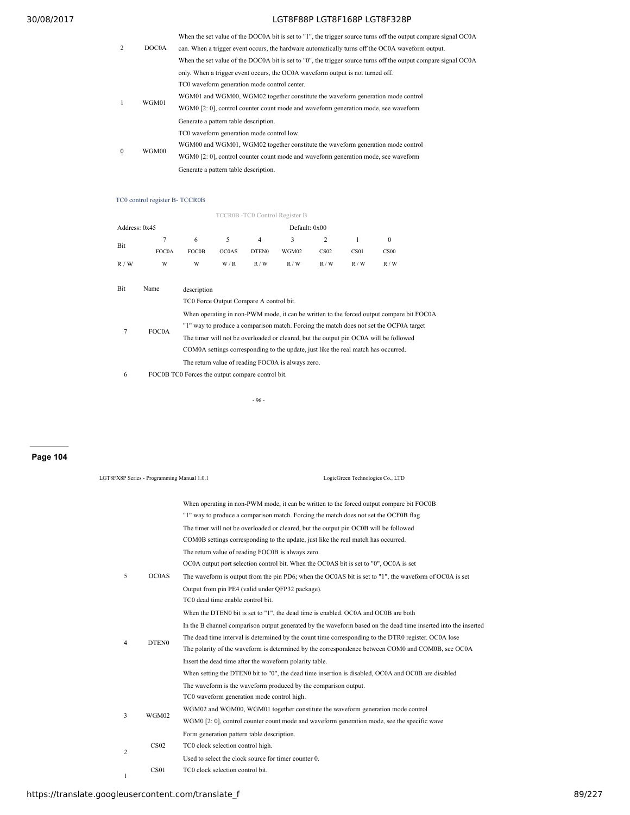| 2        | DOC0A | When the set value of the DOC0A bit is set to "1", the trigger source turns off the output compare signal OC0A<br>can. When a trigger event occurs, the hardware automatically turns off the OC0A waveform output.<br>When the set value of the DOC0A bit is set to "0", the trigger source turns off the output compare signal OC0A |
|----------|-------|--------------------------------------------------------------------------------------------------------------------------------------------------------------------------------------------------------------------------------------------------------------------------------------------------------------------------------------|
|          |       | only. When a trigger event occurs, the OCOA waveform output is not turned off.                                                                                                                                                                                                                                                       |
|          |       | TC0 waveform generation mode control center.                                                                                                                                                                                                                                                                                         |
| -1       |       | WGM01 and WGM00, WGM02 together constitute the waveform generation mode control                                                                                                                                                                                                                                                      |
|          | WGM01 | WGM0 [2: 0], control counter count mode and waveform generation mode, see waveform                                                                                                                                                                                                                                                   |
|          |       | Generate a pattern table description.                                                                                                                                                                                                                                                                                                |
|          |       | TC0 waveform generation mode control low.                                                                                                                                                                                                                                                                                            |
| $\theta$ | WGM00 | WGM00 and WGM01, WGM02 together constitute the waveform generation mode control                                                                                                                                                                                                                                                      |
|          |       | WGM0 [2: 0], control counter count mode and waveform generation mode, see waveform                                                                                                                                                                                                                                                   |
|          |       | Generate a pattern table description.                                                                                                                                                                                                                                                                                                |

# TC0 control register B- TCCR0B

#### TCCR0B -TC0 Control Register B

| Address: 0x45 |              |                                                                                        | Default: 0x00                           |                   |                                                                                    |                  |      |                                                                                          |  |
|---------------|--------------|----------------------------------------------------------------------------------------|-----------------------------------------|-------------------|------------------------------------------------------------------------------------|------------------|------|------------------------------------------------------------------------------------------|--|
| Bit           | 7            | 6                                                                                      | 5                                       | $\overline{4}$    | 3                                                                                  | 2                | 1    | $\mathbf{0}$                                                                             |  |
|               | FOC0A        | <b>FOC0B</b>                                                                           | OC0AS                                   | DTEN <sub>0</sub> | WGM02                                                                              | CS <sub>02</sub> | CS01 | CS <sub>00</sub>                                                                         |  |
| R/W           | W            | W                                                                                      | W/R                                     | R/W               | R/W                                                                                | R/W              | R/W  | R/W                                                                                      |  |
|               |              |                                                                                        |                                         |                   |                                                                                    |                  |      |                                                                                          |  |
| Bit           | Name         | description                                                                            |                                         |                   |                                                                                    |                  |      |                                                                                          |  |
|               |              |                                                                                        | TC0 Force Output Compare A control bit. |                   |                                                                                    |                  |      |                                                                                          |  |
|               |              |                                                                                        |                                         |                   |                                                                                    |                  |      | When operating in non-PWM mode, it can be written to the forced output compare bit FOC0A |  |
| 7             | <b>FOC0A</b> | "1" way to produce a comparison match. Forcing the match does not set the OCF0A target |                                         |                   |                                                                                    |                  |      |                                                                                          |  |
|               |              |                                                                                        |                                         |                   |                                                                                    |                  |      | The timer will not be overloaded or cleared, but the output pin OC0A will be followed    |  |
|               |              |                                                                                        |                                         |                   | COMOA settings corresponding to the update, just like the real match has occurred. |                  |      |                                                                                          |  |

The return value of reading FOC0A is always zero. 6 FOC0B TC0 Forces the output compare control bit.

- 96 -

# **Page 104**

| LGT8FX8P Series - Programming Manual 1.0.1 |   |                   | LogicGreen Technologies Co., LTD                                                                                                                                                 |
|--------------------------------------------|---|-------------------|----------------------------------------------------------------------------------------------------------------------------------------------------------------------------------|
|                                            |   |                   | When operating in non-PWM mode, it can be written to the forced output compare bit FOCOB<br>"1" way to produce a comparison match. Forcing the match does not set the OCF0B flag |
|                                            |   |                   | The timer will not be overloaded or cleared, but the output pin OC0B will be followed                                                                                            |
|                                            |   |                   | COM0B settings corresponding to the update, just like the real match has occurred.                                                                                               |
|                                            |   |                   | The return value of reading FOC0B is always zero.                                                                                                                                |
|                                            |   |                   | OCOA output port selection control bit. When the OCOAS bit is set to "0", OCOA is set                                                                                            |
|                                            | 5 | OC0AS             | The waveform is output from the pin PD6; when the OC0AS bit is set to "1", the waveform of OC0A is set                                                                           |
|                                            |   |                   | Output from pin PE4 (valid under OFP32 package).                                                                                                                                 |
|                                            |   |                   | TC0 dead time enable control bit.                                                                                                                                                |
|                                            |   |                   | When the DTEN0 bit is set to "1", the dead time is enabled. OC0A and OC0B are both                                                                                               |
|                                            |   |                   | In the B channel comparison output generated by the waveform based on the dead time inserted into the inserted                                                                   |
|                                            |   |                   | The dead time interval is determined by the count time corresponding to the DTR0 register. OC0A lose                                                                             |
|                                            | 4 | DTEN <sub>0</sub> | The polarity of the waveform is determined by the correspondence between COM0 and COM0B, see OC0A                                                                                |
|                                            |   |                   | Insert the dead time after the waveform polarity table.                                                                                                                          |
|                                            |   |                   | When setting the DTEN0 bit to "0", the dead time insertion is disabled, OC0A and OC0B are disabled                                                                               |
|                                            |   |                   | The waveform is the waveform produced by the comparison output.                                                                                                                  |
|                                            |   |                   | TC0 waveform generation mode control high.                                                                                                                                       |
|                                            | 3 | WGM02             | WGM02 and WGM00, WGM01 together constitute the waveform generation mode control                                                                                                  |
|                                            |   |                   | WGM0 [2: 0], control counter count mode and waveform generation mode, see the specific wave                                                                                      |
|                                            |   |                   | Form generation pattern table description.                                                                                                                                       |
|                                            | 2 | CS <sub>02</sub>  | TC0 clock selection control high.                                                                                                                                                |
|                                            |   |                   | Used to select the clock source for timer counter 0.                                                                                                                             |
|                                            | 1 | CS01              | TC0 clock selection control bit.                                                                                                                                                 |
|                                            |   |                   |                                                                                                                                                                                  |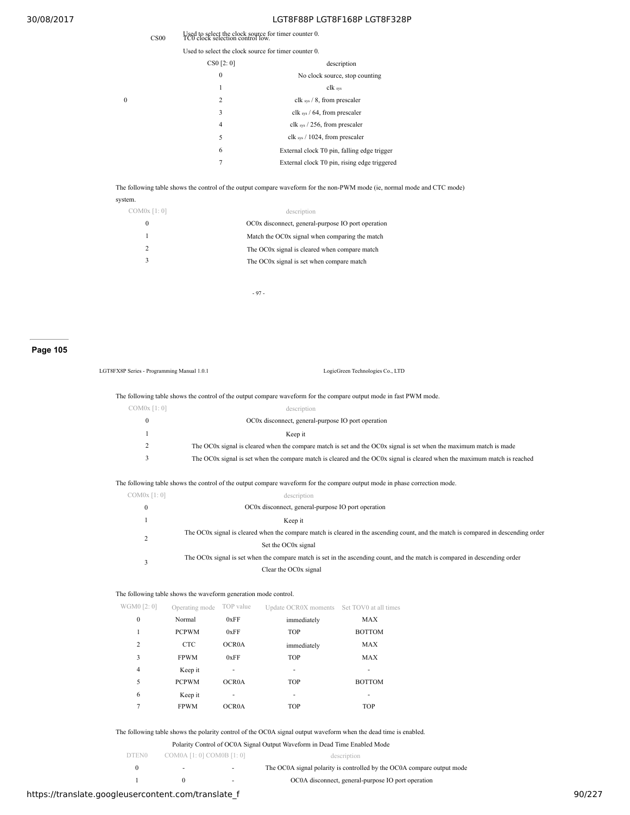| CS <sub>00</sub> | Used to select the clock source for timer counter 0.<br>TC0 clock selection control low. |                                              |  |  |  |
|------------------|------------------------------------------------------------------------------------------|----------------------------------------------|--|--|--|
|                  | Used to select the clock source for timer counter 0.                                     |                                              |  |  |  |
|                  | CS0 [2:0]                                                                                | description                                  |  |  |  |
|                  | 0                                                                                        | No clock source, stop counting               |  |  |  |
|                  | 1                                                                                        | clk sys                                      |  |  |  |
|                  | 2                                                                                        | clk sys $/ 8$ , from prescaler               |  |  |  |
|                  | 3                                                                                        | clk sys $/$ 64, from prescaler               |  |  |  |
|                  | 4                                                                                        | clk $_{sys}$ / 256, from prescaler           |  |  |  |
|                  | 5                                                                                        | clk $_{sys}$ / 1024, from prescaler          |  |  |  |
|                  | 6                                                                                        | External clock T0 pin, falling edge trigger  |  |  |  |
|                  | 7                                                                                        | External clock T0 pin, rising edge triggered |  |  |  |
|                  |                                                                                          |                                              |  |  |  |

The following table shows the control of the output compare waveform for the non-PWM mode (ie, normal mode and CTC mode)

system.

 $\boldsymbol{0}$ 

| COM0x [1:0] | description                                        |
|-------------|----------------------------------------------------|
|             | OC0x disconnect, general-purpose IO port operation |
|             | Match the OC0x signal when comparing the match     |
|             | The OC0x signal is cleared when compare match      |
|             | The OC0x signal is set when compare match          |
|             |                                                    |

- 97 -

# **Page 105**

| LGT8FX8P Series - Programming Manual 1.0.1 | LogicGreen Technologies Co., LTD                                                                                           |
|--------------------------------------------|----------------------------------------------------------------------------------------------------------------------------|
|                                            | The following table shows the control of the output compare waveform for the compare output mode in fast PWM mode.         |
| $COM0x$ [1:0]                              | description                                                                                                                |
| $\mathbf{0}$                               | OC0x disconnect, general-purpose IO port operation                                                                         |
|                                            | Keep it                                                                                                                    |
| 2                                          | The OC0x signal is cleared when the compare match is set and the OC0x signal is set when the maximum match is made         |
| 3                                          | The OC0x signal is set when the compare match is cleared and the OC0x signal is cleared when the maximum match is reached  |
|                                            | The following table shows the control of the output compare waveform for the compare output mode in phase correction mode. |
| $COM0x$ [1:0]                              | description                                                                                                                |
| $\bf{0}$                                   | OC0x disconnect, general-purpose IO port operation                                                                         |

| $\mathbf{u}$ | OCOX disconficct, general-purpose to port operation                                                                                |
|--------------|------------------------------------------------------------------------------------------------------------------------------------|
|              | Keep it                                                                                                                            |
|              | The OC0x signal is cleared when the compare match is cleared in the ascending count, and the match is compared in descending order |
|              | Set the OC0x signal                                                                                                                |
|              | The OC0x signal is set when the compare match is set in the ascending count, and the match is compared in descending order         |
|              | Clear the OC0x signal                                                                                                              |

|  |  |  |  |  |  |  | The following table shows the waveform generation mode control. |  |
|--|--|--|--|--|--|--|-----------------------------------------------------------------|--|
|--|--|--|--|--|--|--|-----------------------------------------------------------------|--|

| WGM0 [2:0]     | Operating mode | TOP value    | Update OCR0X moments Set TOV0 at all times |               |
|----------------|----------------|--------------|--------------------------------------------|---------------|
| $\mathbf{0}$   | Normal         | 0xFF         | immediately                                | <b>MAX</b>    |
| 1              | <b>PCPWM</b>   | 0xFF         | <b>TOP</b>                                 | <b>BOTTOM</b> |
| $\overline{c}$ | <b>CTC</b>     | OCR0A        | immediately                                | <b>MAX</b>    |
| 3              | <b>FPWM</b>    | 0xFF         | <b>TOP</b>                                 | <b>MAX</b>    |
| $\overline{4}$ | Keep it        |              | ٠                                          |               |
| 5              | <b>PCPWM</b>   | <b>OCROA</b> | <b>TOP</b>                                 | <b>BOTTOM</b> |
| 6              | Keep it        |              |                                            |               |
| 7              | <b>FPWM</b>    | OCR0A        | <b>TOP</b>                                 | <b>TOP</b>    |
|                |                |              |                                            |               |

The following table shows the polarity control of the OC0A signal output waveform when the dead time is enabled.

|  |  |  |  | Polarity Control of OC0A Signal Output Waveform in Dead Time Enabled Mode |
|--|--|--|--|---------------------------------------------------------------------------|
|--|--|--|--|---------------------------------------------------------------------------|

|       |                           | TURNIY CONTO: 01 OC071 DIGHAI ORIDAI HAVOIDHI III DURA THIIU LIRRIUG IHORU |
|-------|---------------------------|----------------------------------------------------------------------------|
| DTEN0 | COM0A [1: 0] COM0B [1: 0] | description                                                                |
|       |                           | The OC0A signal polarity is controlled by the OC0A compare output mode     |

|  | OC0A disconnect, general-purpose IO port operation |
|--|----------------------------------------------------|
|  |                                                    |

# https://translate.googleusercontent.com/translate\_f 90/227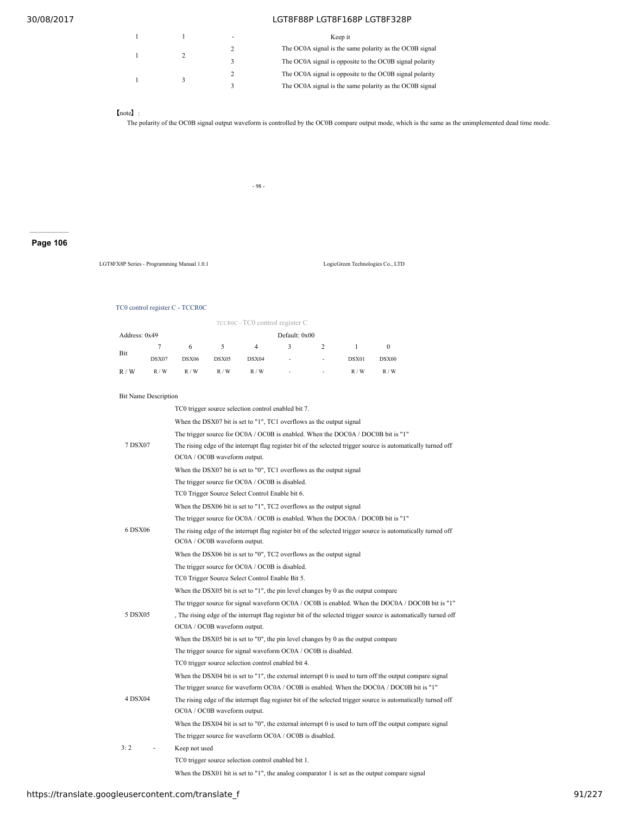|  | Keep it                                                 |
|--|---------------------------------------------------------|
|  | The OC0A signal is the same polarity as the OC0B signal |
|  | The OC0A signal is opposite to the OC0B signal polarity |
|  | The OC0A signal is opposite to the OC0B signal polarity |
|  | The OC0A signal is the same polarity as the OC0B signal |

### 【note】:

The polarity of the OC0B signal output waveform is controlled by the OC0B compare output mode, which is the same as the unimplemented dead time mode.

- 98 -

# **Page 106**

LGT8FX8P Series - Programming Manual 1.0.1 LogicGreen Technologies Co., LTD

#### TC0 control register C - TCCR0C

|               |       |       |       | TCCROC - TCO control register C |               |                          |       |       |  |
|---------------|-------|-------|-------|---------------------------------|---------------|--------------------------|-------|-------|--|
| Address: 0x49 |       |       |       |                                 | Default: 0x00 |                          |       |       |  |
|               | 7     | 6     |       | 4                               | 3             | $2^{\circ}$              |       |       |  |
| Bit           | DSX07 | DSX06 | DSX05 | DSX04                           | ٠             | $\overline{\phantom{a}}$ | DSX01 | DSX00 |  |
| R/W           | R/W   | R/W   | R/W   | R/W                             | ٠             | -                        | R/W   | R/W   |  |

#### Bit Name Description

|                | TC0 trigger source selection control enabled bit 7.                                                           |
|----------------|---------------------------------------------------------------------------------------------------------------|
|                | When the DSX07 bit is set to "1", TC1 overflows as the output signal                                          |
|                | The trigger source for OC0A / OC0B is enabled. When the DOC0A / DOC0B bit is "1"                              |
| 7 DSX07        | The rising edge of the interrupt flag register bit of the selected trigger source is automatically turned off |
|                | OC0A / OC0B waveform output.                                                                                  |
|                | When the DSX07 bit is set to "0", TC1 overflows as the output signal                                          |
|                | The trigger source for OC0A / OC0B is disabled.                                                               |
|                | TC0 Trigger Source Select Control Enable bit 6.                                                               |
|                | When the DSX06 bit is set to "1", TC2 overflows as the output signal                                          |
|                | The trigger source for OC0A / OC0B is enabled. When the DOC0A / DOC0B bit is "1"                              |
| 6 DSX06        | The rising edge of the interrupt flag register bit of the selected trigger source is automatically turned off |
|                | OC0A / OC0B waveform output.                                                                                  |
|                | When the DSX06 bit is set to "0", TC2 overflows as the output signal                                          |
|                | The trigger source for OC0A / OC0B is disabled.                                                               |
|                | TC0 Trigger Source Select Control Enable Bit 5.                                                               |
|                | When the DSX05 bit is set to "1", the pin level changes by 0 as the output compare                            |
|                | The trigger source for signal waveform OC0A / OC0B is enabled. When the DOC0A / DOC0B bit is "1"              |
| 5 DSX05        | The rising edge of the interrupt flag register bit of the selected trigger source is automatically turned off |
|                | OC0A / OC0B waveform output.                                                                                  |
|                | When the DSX05 bit is set to "0", the pin level changes by 0 as the output compare                            |
|                | The trigger source for signal waveform OC0A / OC0B is disabled.                                               |
|                | TC0 trigger source selection control enabled bit 4.                                                           |
|                | When the DSX04 bit is set to " $1$ ", the external interrupt 0 is used to turn off the output compare signal  |
|                | The trigger source for waveform OC0A / OC0B is enabled. When the DOC0A / DOC0B bit is "1"                     |
| <b>4 DSX04</b> | The rising edge of the interrupt flag register bit of the selected trigger source is automatically turned off |
|                | OC0A / OC0B waveform output.                                                                                  |
|                | When the DSX04 bit is set to "0", the external interrupt 0 is used to turn off the output compare signal      |
|                | The trigger source for waveform OC0A / OC0B is disabled.                                                      |
| 3:2            | Keep not used                                                                                                 |
|                | TC0 trigger source selection control enabled bit 1.                                                           |
|                |                                                                                                               |

When the DSX01 bit is set to "1", the analog comparator 1 is set as the output compare signal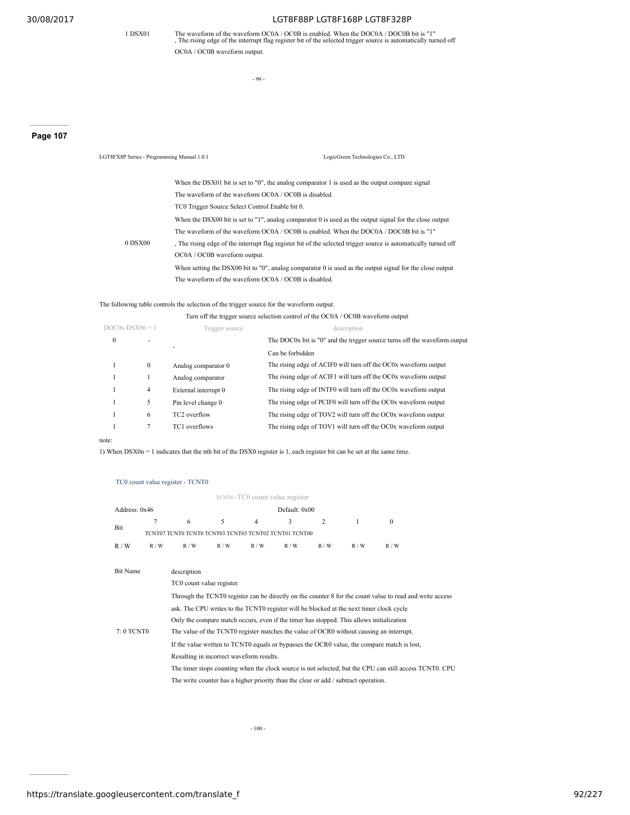1 DSX01 The waveform of the waveform OC0A / OC0B is enabled. When the DOC0A / DOC0B bit is "1" , The rising edge of the interrupt flag register bit of the selected trigger source is automatically turned off OC0A / OC0B waveform output.

- 99 -

LGT8FX8P Series - Programming Manual 1.0.1 LogicGreen Technologies Co., LTD

# **Page 107**

When the DSX01 bit is set to "0", the analog comparator 1 is used as the output compare signal The waveform of the waveform OC0A / OC0B is disabled. 0 DSX00 TC0 Trigger Source Select Control Enable bit 0. When the DSX00 bit is set to "1", analog comparator 0 is used as the output signal for the close output The waveform of the waveform OC0A / OC0B is enabled. When the DOC0A / DOC0B bit is "1" , The rising edge of the interrupt flag register bit of the selected trigger source is automatically turned off OC0A / OC0B waveform output. When setting the DSX00 bit to "0", analog comparator 0 is used as the output signal for the close output The waveform of the waveform OC0A / OC0B is disabled.

#### The following table controls the selection of the trigger source for the waveform output.

Turn off the trigger source selection control of the OC0A / OC0B waveform output

| $DOCOX$ $DSXOn = 1$ |              | Trigger source           | description                                                               |
|---------------------|--------------|--------------------------|---------------------------------------------------------------------------|
| $\mathbf{0}$        | ۰            | ۰                        | The DOC0x bit is "0" and the trigger source turns off the waveform output |
|                     |              |                          | Can be forbidden                                                          |
|                     | $\mathbf{0}$ | Analog comparator 0      | The rising edge of ACIF0 will turn off the OC0x waveform output           |
|                     |              | Analog comparator        | The rising edge of ACIF1 will turn off the OC0x waveform output           |
|                     | 4            | External interrupt 0     | The rising edge of INTF0 will turn off the OC0x waveform output           |
|                     | 5            | Pin level change 0       | The rising edge of PCIF0 will turn off the OC0x waveform output           |
|                     | 6            | TC <sub>2</sub> overflow | The rising edge of TOV2 will turn off the OC0x waveform output            |
|                     |              | TC1 overflows            | The rising edge of TOV1 will turn off the OC0x waveform output            |
|                     |              |                          |                                                                           |

# note:

1) When DSX0n = 1 indicates that the nth bit of the DSX0 register is 1, each register bit can be set at the same time.

#### TC0 count value register - TCNT0

|                 | TCNT0 -TC0 count value register |                                                                                                          |     |                |               |                |     |                                                                                                         |  |  |
|-----------------|---------------------------------|----------------------------------------------------------------------------------------------------------|-----|----------------|---------------|----------------|-----|---------------------------------------------------------------------------------------------------------|--|--|
| Address: 0x46   |                                 |                                                                                                          |     |                | Default: 0x00 |                |     |                                                                                                         |  |  |
| Bit             | $\overline{7}$                  | 6                                                                                                        | 5   | $\overline{4}$ | 3             | $\overline{c}$ | 1   | $\mathbf{0}$                                                                                            |  |  |
|                 |                                 | TCNT07 TCNT0 TCNT0 TCNT03 TCNT03 TCNT02 TCNT01 TCNT00                                                    |     |                |               |                |     |                                                                                                         |  |  |
| R/W             | R/W                             | R/W                                                                                                      | R/W | R/W            | R/W           | R/W            | R/W | R/W                                                                                                     |  |  |
|                 |                                 |                                                                                                          |     |                |               |                |     |                                                                                                         |  |  |
| <b>Bit Name</b> |                                 | description                                                                                              |     |                |               |                |     |                                                                                                         |  |  |
|                 |                                 | TC0 count value register.                                                                                |     |                |               |                |     |                                                                                                         |  |  |
|                 |                                 | Through the TCNT0 register can be directly on the counter 8 for the count value to read and write access |     |                |               |                |     |                                                                                                         |  |  |
|                 |                                 | ask. The CPU writes to the TCNT0 register will be blocked at the next timer clock cycle                  |     |                |               |                |     |                                                                                                         |  |  |
|                 |                                 | Only the compare match occurs, even if the timer has stopped. This allows initialization                 |     |                |               |                |     |                                                                                                         |  |  |
| 7: 0 TCNT0      |                                 | The value of the TCNT0 register matches the value of OCR0 without causing an interrupt.                  |     |                |               |                |     |                                                                                                         |  |  |
|                 |                                 | If the value written to TCNT0 equals or bypasses the OCR0 value, the compare match is lost,              |     |                |               |                |     |                                                                                                         |  |  |
|                 |                                 | Resulting in incorrect waveform results.                                                                 |     |                |               |                |     |                                                                                                         |  |  |
|                 |                                 |                                                                                                          |     |                |               |                |     | The timer stops counting when the clock source is not selected, but the CPU can still access TCNT0. CPU |  |  |
|                 |                                 | The write counter has a higher priority than the clear or add / subtract operation.                      |     |                |               |                |     |                                                                                                         |  |  |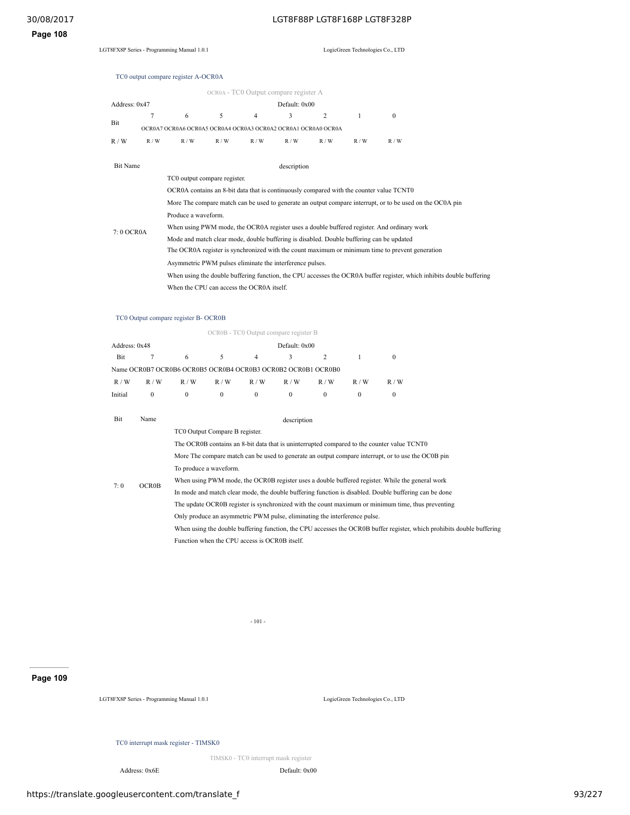# **Page 108**

# TC0 output compare register A-OCR0A

| OCR0A - TC0 Output compare register A |                                                               |                              |     |     |             |     |     |              |  |  |
|---------------------------------------|---------------------------------------------------------------|------------------------------|-----|-----|-------------|-----|-----|--------------|--|--|
| Default: 0x00<br>Address: 0x47        |                                                               |                              |     |     |             |     |     |              |  |  |
|                                       | 7                                                             | 6                            | 5   | 4   | 3           | 2   |     | $\mathbf{0}$ |  |  |
| Bit                                   | OCR0A7 OCR0A6 OCR0A5 OCR0A4 OCR0A3 OCR0A2 OCR0A1 OCR0A0 OCR0A |                              |     |     |             |     |     |              |  |  |
| R/W                                   | R/W                                                           | R/W                          | R/W | R/W | R/W         | R/W | R/W | R/W          |  |  |
| <b>Bit Name</b>                       |                                                               |                              |     |     |             |     |     |              |  |  |
|                                       |                                                               |                              |     |     | description |     |     |              |  |  |
|                                       |                                                               | TC0 output compare register. |     |     |             |     |     |              |  |  |

|            | OCR0A contains an 8-bit data that is continuously compared with the counter value TCNT0                               |
|------------|-----------------------------------------------------------------------------------------------------------------------|
|            | More The compare match can be used to generate an output compare interrupt, or to be used on the OC0A pin             |
|            | Produce a waveform.                                                                                                   |
| 7: 0 OCR0A | When using PWM mode, the OCR0A register uses a double buffered register. And ordinary work                            |
|            | Mode and match clear mode, double buffering is disabled. Double buffering can be updated                              |
|            | The OCR0A register is synchronized with the count maximum or minimum time to prevent generation                       |
|            | Asymmetric PWM pulses eliminate the interference pulses.                                                              |
|            | When using the double buffering function, the CPU accesses the OCROA buffer register, which inhibits double buffering |
|            | When the CPU can access the OCR0A itself.                                                                             |

# TC0 Output compare register B- OCR0B

|               |        |     |        | OCR0B - TC0 Output compare register B                        |                 |     |     |     |
|---------------|--------|-----|--------|--------------------------------------------------------------|-----------------|-----|-----|-----|
| Address: 0x48 |        |     |        |                                                              | Default: $0x00$ |     |     |     |
| Bit           |        | 6   |        | 4                                                            |                 |     |     |     |
|               |        |     |        | Name OCR0B7 OCR0B6 OCR0B5 OCR0B4 OCR0B3 OCR0B2 OCR0B1 OCR0B0 |                 |     |     |     |
| R/W           | R/W    | R/W | R/W    | R/W                                                          | R/W             | R/W | R/W | R/W |
| Initial       | $_{0}$ |     | $_{0}$ | $\theta$                                                     | $\theta$        |     | 0   |     |

| Bit | Name         | description                                                                                                            |
|-----|--------------|------------------------------------------------------------------------------------------------------------------------|
|     |              | TC0 Output Compare B register.                                                                                         |
|     |              | The OCR0B contains an 8-bit data that is uninterrupted compared to the counter value TCNT0                             |
|     |              | More The compare match can be used to generate an output compare interrupt, or to use the OC0B pin                     |
|     | <b>OCR0B</b> | To produce a waveform.                                                                                                 |
| 7:0 |              | When using PWM mode, the OCR0B register uses a double buffered register. While the general work                        |
|     |              | In mode and match clear mode, the double buffering function is disabled. Double buffering can be done                  |
|     |              | The update OCROB register is synchronized with the count maximum or minimum time, thus preventing                      |
|     |              | Only produce an asymmetric PWM pulse, eliminating the interference pulse.                                              |
|     |              | When using the double buffering function, the CPU accesses the OCR0B buffer register, which prohibits double buffering |
|     |              | Function when the CPU access is OCR0B itself.                                                                          |

- 101 -

# **Page 109**

LGT8FX8P Series - Programming Manual 1.0.1 LogicGreen Technologies Co., LTD

# TC0 interrupt mask register - TIMSK0

TIMSK0 - TC0 interrupt mask register

Address: 0x6E Default: 0x00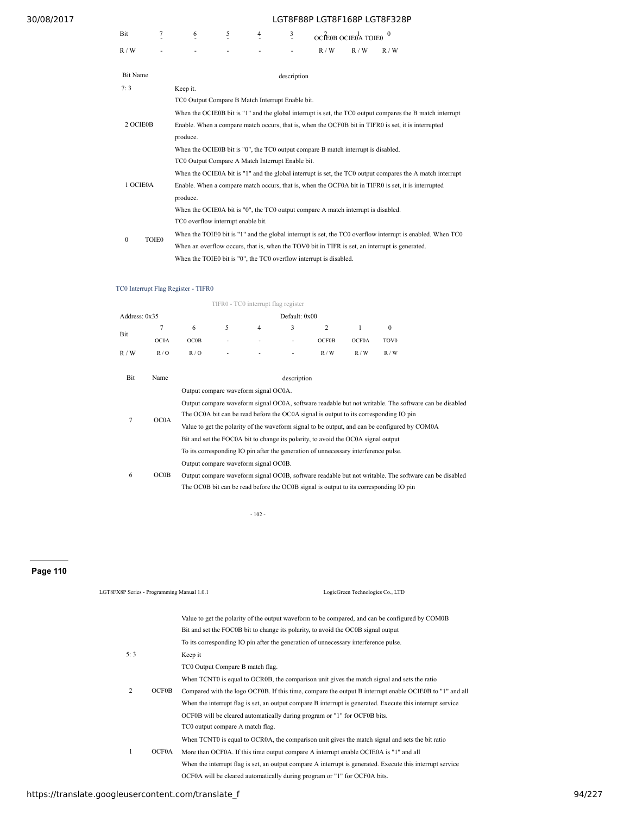| Bit |                          | $\overline{\phantom{a}}$ |  | OCÍE0B OCIE0A TOIE0 |        |     |
|-----|--------------------------|--------------------------|--|---------------------|--------|-----|
| W   | $\overline{\phantom{a}}$ | $\overline{\phantom{a}}$ |  | / W                 | W<br>R | R/W |

| <b>Bit Name</b>          | description                                                                                                |  |  |  |  |  |  |  |
|--------------------------|------------------------------------------------------------------------------------------------------------|--|--|--|--|--|--|--|
| 7:3<br>Keep it.          |                                                                                                            |  |  |  |  |  |  |  |
|                          | TC0 Output Compare B Match Interrupt Enable bit.                                                           |  |  |  |  |  |  |  |
|                          | When the OCIE0B bit is "1" and the global interrupt is set, the TC0 output compares the B match interrupt  |  |  |  |  |  |  |  |
| 2 OCIE0B                 | Enable. When a compare match occurs, that is, when the OCF0B bit in TIFR0 is set, it is interrupted        |  |  |  |  |  |  |  |
|                          | produce.                                                                                                   |  |  |  |  |  |  |  |
|                          | When the OCIE0B bit is "0", the TC0 output compare B match interrupt is disabled.                          |  |  |  |  |  |  |  |
|                          | TC0 Output Compare A Match Interrupt Enable bit.                                                           |  |  |  |  |  |  |  |
|                          | When the OCIE0A bit is "1" and the global interrupt is set, the TC0 output compares the A match interrupt  |  |  |  |  |  |  |  |
| 1 OCIE0A                 | Enable. When a compare match occurs, that is, when the OCF0A bit in TIFR0 is set, it is interrupted        |  |  |  |  |  |  |  |
|                          | produce.                                                                                                   |  |  |  |  |  |  |  |
|                          | When the OCIE0A bit is "0", the TC0 output compare A match interrupt is disabled.                          |  |  |  |  |  |  |  |
|                          | TC0 overflow interrupt enable bit.                                                                         |  |  |  |  |  |  |  |
| <b>TOIE0</b><br>$\theta$ | When the TOIE0 bit is "1" and the global interrupt is set, the TC0 overflow interrupt is enabled. When TC0 |  |  |  |  |  |  |  |
|                          | When an overflow occurs, that is, when the TOV0 bit in TIFR is set, an interrupt is generated.             |  |  |  |  |  |  |  |
|                          | When the TOIE0 bit is "0", the TC0 overflow interrupt is disabled.                                         |  |  |  |  |  |  |  |

# TC0 Interrupt Flag Register - TIFR0

| TIFR0 - TC0 interrupt flag register |      |                                                                                                       |   |                |                                                                                   |                                                                                       |       |                  |                                                                                                       |  |
|-------------------------------------|------|-------------------------------------------------------------------------------------------------------|---|----------------|-----------------------------------------------------------------------------------|---------------------------------------------------------------------------------------|-------|------------------|-------------------------------------------------------------------------------------------------------|--|
| Address: $0x35$<br>Default: 0x00    |      |                                                                                                       |   |                |                                                                                   |                                                                                       |       |                  |                                                                                                       |  |
| Bit                                 | 7    | 6                                                                                                     | 5 | $\overline{4}$ | 3                                                                                 | 2                                                                                     | 1     | $\theta$         |                                                                                                       |  |
|                                     | OC0A | OCOB                                                                                                  |   |                |                                                                                   | <b>OCF0B</b>                                                                          | OCF0A | TOV <sub>0</sub> |                                                                                                       |  |
| R/W                                 | R/O  | R/O                                                                                                   |   |                | ٠                                                                                 | R/W                                                                                   | R/W   | R/W              |                                                                                                       |  |
|                                     |      |                                                                                                       |   |                |                                                                                   |                                                                                       |       |                  |                                                                                                       |  |
| Bit                                 | Name |                                                                                                       |   |                | description                                                                       |                                                                                       |       |                  |                                                                                                       |  |
|                                     |      | Output compare waveform signal OC0A.                                                                  |   |                |                                                                                   |                                                                                       |       |                  |                                                                                                       |  |
|                                     |      | Output compare waveform signal OC0A, software readable but not writable. The software can be disabled |   |                |                                                                                   |                                                                                       |       |                  |                                                                                                       |  |
| $\overline{7}$                      | OC0A | The OC0A bit can be read before the OC0A signal is output to its corresponding IO pin                 |   |                |                                                                                   |                                                                                       |       |                  |                                                                                                       |  |
|                                     |      | Value to get the polarity of the waveform signal to be output, and can be configured by COM0A         |   |                |                                                                                   |                                                                                       |       |                  |                                                                                                       |  |
|                                     |      |                                                                                                       |   |                | Bit and set the FOC0A bit to change its polarity, to avoid the OC0A signal output |                                                                                       |       |                  |                                                                                                       |  |
|                                     |      | To its corresponding IO pin after the generation of unnecessary interference pulse.                   |   |                |                                                                                   |                                                                                       |       |                  |                                                                                                       |  |
|                                     |      | Output compare waveform signal OC0B.                                                                  |   |                |                                                                                   |                                                                                       |       |                  |                                                                                                       |  |
| 6                                   | OC0B |                                                                                                       |   |                |                                                                                   |                                                                                       |       |                  | Output compare waveform signal OC0B, software readable but not writable. The software can be disabled |  |
|                                     |      |                                                                                                       |   |                |                                                                                   | The OC0B bit can be read before the OC0B signal is output to its corresponding IO pin |       |                  |                                                                                                       |  |
|                                     |      |                                                                                                       |   |                |                                                                                   |                                                                                       |       |                  |                                                                                                       |  |

- 102 -

# **Page 110**

| LGT8FX8P Series - Programming Manual 1.0.1 | LogicGreen Technologies Co., LTD                                                                           |
|--------------------------------------------|------------------------------------------------------------------------------------------------------------|
|                                            | Value to get the polarity of the output waveform to be compared, and can be configured by COMOB            |
|                                            | Bit and set the FOC0B bit to change its polarity, to avoid the OC0B signal output                          |
|                                            | To its corresponding IO pin after the generation of unnecessary interference pulse.                        |
| 5:3                                        | Keep it                                                                                                    |
|                                            | TC0 Output Compare B match flag.                                                                           |
|                                            | When TCNT0 is equal to OCR0B, the comparison unit gives the match signal and sets the ratio                |
| 2<br><b>OCF0B</b>                          | Compared with the logo OCFOB. If this time, compare the output B interrupt enable OCIEOB to "1" and all    |
|                                            | When the interrupt flag is set, an output compare B interrupt is generated. Execute this interrupt service |
|                                            | OCF0B will be cleared automatically during program or "1" for OCF0B bits.                                  |
|                                            | TC0 output compare A match flag.                                                                           |
|                                            | When TCNT0 is equal to OCROA, the comparison unit gives the match signal and sets the bit ratio            |
| <b>OCF0A</b><br>1                          | More than OCF0A. If this time output compare A interrupt enable OCIE0A is "1" and all                      |
|                                            | When the interrupt flag is set, an output compare A interrupt is generated. Execute this interrupt service |
|                                            | OCF0A will be cleared automatically during program or "1" for OCF0A bits.                                  |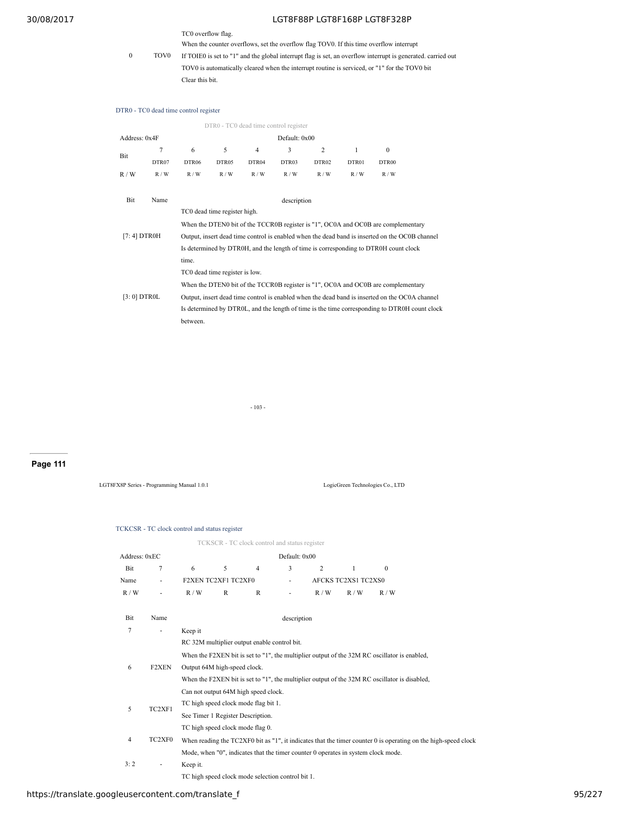# TC0 overflow flag.

When the counter overflows, set the overflow flag TOV0. If this time overflow interrupt

0 TOV0 If TOIE0 is set to "1" and the global interrupt flag is set, an overflow interrupt is generated. carried out TOV0 is automatically cleared when the interrupt routine is serviced, or "1" for the TOV0 bit Clear this bit.

#### DTR0 - TC0 dead time control register

|               | DTR0 - TC0 dead time control register |                                                                                                |       |                |             |                |       |                                                                                                |  |  |
|---------------|---------------------------------------|------------------------------------------------------------------------------------------------|-------|----------------|-------------|----------------|-------|------------------------------------------------------------------------------------------------|--|--|
| Address: 0x4F |                                       | Default: 0x00                                                                                  |       |                |             |                |       |                                                                                                |  |  |
|               | 7                                     | 6                                                                                              | 5     | $\overline{4}$ | 3           | $\overline{2}$ | 1     | $\mathbf{0}$                                                                                   |  |  |
| Bit           | DTR07                                 | DTR06                                                                                          | DTR05 | DTR04          | DTR03       | DTR02          | DTR01 | DTR00                                                                                          |  |  |
| R/W           | R/W                                   | R/W                                                                                            | R/W   | R/W            | R/W         | R/W            | R/W   | R/W                                                                                            |  |  |
| <b>Bit</b>    | Name                                  |                                                                                                |       |                | description |                |       |                                                                                                |  |  |
|               |                                       | TC0 dead time register high.                                                                   |       |                |             |                |       |                                                                                                |  |  |
|               |                                       | When the DTEN0 bit of the TCCR0B register is "1", OC0A and OC0B are complementary              |       |                |             |                |       |                                                                                                |  |  |
| [7:4] DTR0H   |                                       | Output, insert dead time control is enabled when the dead band is inserted on the OC0B channel |       |                |             |                |       |                                                                                                |  |  |
|               |                                       | Is determined by DTROH, and the length of time is corresponding to DTROH count clock           |       |                |             |                |       |                                                                                                |  |  |
|               |                                       | time.                                                                                          |       |                |             |                |       |                                                                                                |  |  |
|               |                                       | TC0 dead time register is low.                                                                 |       |                |             |                |       |                                                                                                |  |  |
|               |                                       |                                                                                                |       |                |             |                |       | When the DTEN0 bit of the TCCR0B register is "1", OC0A and OC0B are complementary              |  |  |
| [3:0] DTR0L   |                                       |                                                                                                |       |                |             |                |       | Output, insert dead time control is enabled when the dead band is inserted on the OC0A channel |  |  |
|               |                                       |                                                                                                |       |                |             |                |       | Is determined by DTROL, and the length of time is the time corresponding to DTROH count clock  |  |  |
|               |                                       | between.                                                                                       |       |                |             |                |       |                                                                                                |  |  |

- 103 -

# **Page 111**

LGT8FX8P Series - Programming Manual 1.0.1 LogicGreen Technologies Co., LTD

#### TCKCSR - TC clock control and status register

|               |                          |                                      |                     | TCKSCR - TC clock control and status register     |                          |                                                                                   |                     |                                                                                                                |  |  |
|---------------|--------------------------|--------------------------------------|---------------------|---------------------------------------------------|--------------------------|-----------------------------------------------------------------------------------|---------------------|----------------------------------------------------------------------------------------------------------------|--|--|
| Address: 0xEC |                          |                                      |                     |                                                   | Default: 0x00            |                                                                                   |                     |                                                                                                                |  |  |
| Bit           | 7                        | 6                                    | 5                   | $\overline{4}$                                    | 3                        | $\overline{c}$                                                                    | $\mathbf{1}$        | $\mathbf{0}$                                                                                                   |  |  |
| Name          | $\overline{\phantom{a}}$ |                                      | F2XEN TC2XF1 TC2XF0 |                                                   | $\overline{\phantom{a}}$ |                                                                                   | AFCKS TC2XS1 TC2XS0 |                                                                                                                |  |  |
| R/W           | ٠                        | R/W                                  | R                   | $\mathbb{R}$                                      | ٠                        | R/W                                                                               | R/W                 | R/W                                                                                                            |  |  |
| Bit           | Name                     |                                      |                     |                                                   | description              |                                                                                   |                     |                                                                                                                |  |  |
| 7             | ٠                        | Keep it                              |                     |                                                   |                          |                                                                                   |                     |                                                                                                                |  |  |
|               |                          |                                      |                     | RC 32M multiplier output enable control bit.      |                          |                                                                                   |                     |                                                                                                                |  |  |
|               |                          |                                      |                     |                                                   |                          |                                                                                   |                     | When the F2XEN bit is set to "1", the multiplier output of the 32M RC oscillator is enabled,                   |  |  |
| 6             | <b>F2XEN</b>             | Output 64M high-speed clock.         |                     |                                                   |                          |                                                                                   |                     |                                                                                                                |  |  |
|               |                          |                                      |                     |                                                   |                          |                                                                                   |                     | When the F2XEN bit is set to "1", the multiplier output of the 32M RC oscillator is disabled,                  |  |  |
|               |                          |                                      |                     | Can not output 64M high speed clock.              |                          |                                                                                   |                     |                                                                                                                |  |  |
| 5             | TC2XF1                   | TC high speed clock mode flag bit 1. |                     |                                                   |                          |                                                                                   |                     |                                                                                                                |  |  |
|               |                          | See Timer 1 Register Description.    |                     |                                                   |                          |                                                                                   |                     |                                                                                                                |  |  |
|               |                          |                                      |                     | TC high speed clock mode flag 0.                  |                          |                                                                                   |                     |                                                                                                                |  |  |
| 4             | TC2XF0                   |                                      |                     |                                                   |                          |                                                                                   |                     | When reading the TC2XF0 bit as "1", it indicates that the timer counter 0 is operating on the high-speed clock |  |  |
|               |                          |                                      |                     |                                                   |                          | Mode, when "0", indicates that the timer counter 0 operates in system clock mode. |                     |                                                                                                                |  |  |
| 3:2           | ٠                        | Keep it.                             |                     |                                                   |                          |                                                                                   |                     |                                                                                                                |  |  |
|               |                          |                                      |                     | TC high speed clock mode selection control bit 1. |                          |                                                                                   |                     |                                                                                                                |  |  |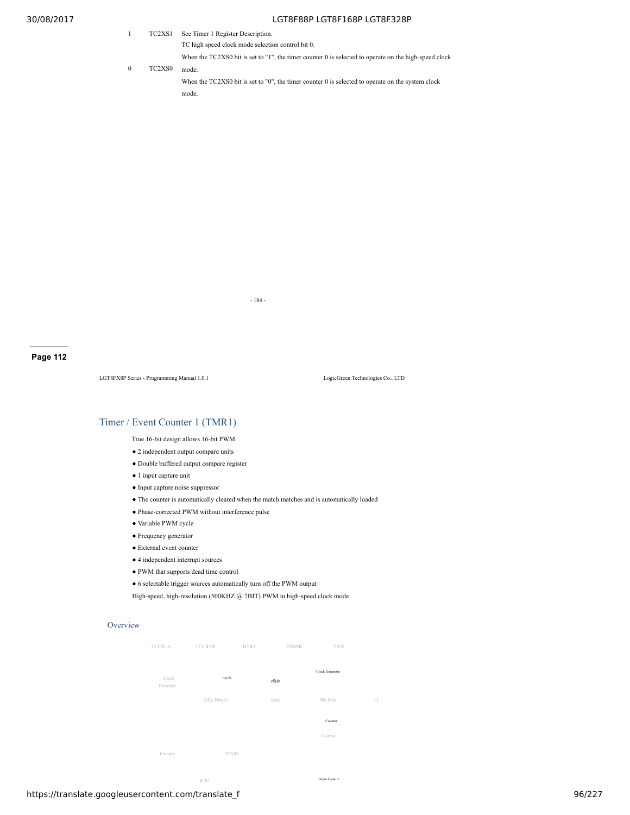|          | TC2XS1                          | See Timer 1 Register Description.                                                                     |
|----------|---------------------------------|-------------------------------------------------------------------------------------------------------|
|          |                                 | TC high speed clock mode selection control bit 0.                                                     |
|          |                                 | When the TC2XS0 bit is set to "1", the timer counter 0 is selected to operate on the high-speed clock |
| $\Omega$ | TC <sub>2</sub> X <sub>S0</sub> | mode                                                                                                  |
|          |                                 | When the $TC2XSO$ bit is set to "0", the timer counter 0 is selected to operate on the system clock   |
|          |                                 | mode                                                                                                  |

- 104 -

**Page 112**

LGT8FX8P Series - Programming Manual 1.0.1 LogicGreen Technologies Co., LTD

# Timer / Event Counter 1 (TMR1)

True 16-bit design allows 16-bit PWM

- 2 independent output compare units
- Double buffered output compare register
- 1 input capture unit
- Input capture noise suppressor
- The counter is automatically cleared when the match matches and is automatically loaded
- Phase-corrected PWM without interference pulse
- Variable PWM cycle
- Frequency generator
- $\bullet$  External event counter
- 4 independent interrupt sources
- PWM that supports dead time control
- 6 selectable trigger sources automatically turn off the PWM output

High-speed, high-resolution (500KHZ @ 7BIT) PWM in high-speed clock mode

#### **Overview**

| <b>TCCR1A</b>      | <b>TCCR1B</b> | DTR1  | TIMSK           | TIFR |
|--------------------|---------------|-------|-----------------|------|
| Clock<br>Prescaler | rem2x         | clkio | Clock Generator |      |
|                    | Edge Detect   | Sync  | Pin Mux         | T1   |
|                    |               |       | Counter         |      |
|                    |               |       | Control         |      |
| Counter            | TCNT1         |       |                 |      |

ICR1 **Input Capture**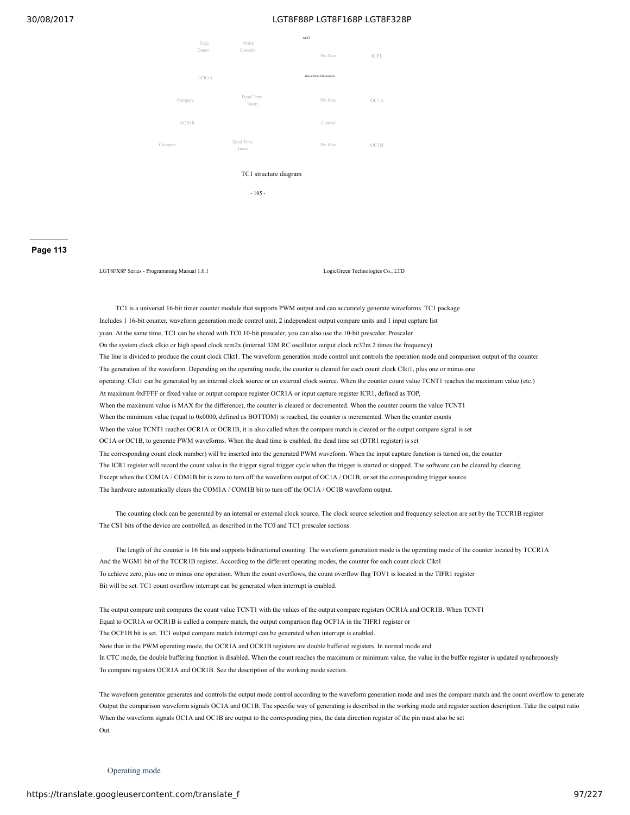

- 105 -

#### **Page 113**

LGT8FX8P Series - Programming Manual 1.0.1 LogicGreen Technologies Co., LTD

TC1 is a universal 16-bit timer counter module that supports PWM output and can accurately generate waveforms. TC1 package Includes 1 16-bit counter, waveform generation mode control unit, 2 independent output compare units and 1 input capture list yuan. At the same time, TC1 can be shared with TC0 10-bit prescaler, you can also use the 10-bit prescaler. Prescaler On the system clock clkio or high speed clock rcm2x (internal 32M RC oscillator output clock rc32m 2 times the frequency) The line is divided to produce the count clock Clkt1. The waveform generation mode control unit controls the operation mode and comparison output of the counter The generation of the waveform. Depending on the operating mode, the counter is cleared for each count clock Clkt1, plus one or minus one operating. Clkt1 can be generated by an internal clock source or an external clock source. When the counter count value TCNT1 reaches the maximum value (etc.) At maximum 0xFFFF or fixed value or output compare register OCR1A or input capture register ICR1, defined as TOP, When the maximum value is MAX for the difference), the counter is cleared or decremented. When the counter counts the value TCNT1 When the minimum value (equal to 0x0000, defined as BOTTOM) is reached, the counter is incremented. When the counter counts When the value TCNT1 reaches OCR1A or OCR1B, it is also called when the compare match is cleared or the output compare signal is set OC1A or OC1B, to generate PWM waveforms. When the dead time is enabled, the dead time set (DTR1 register) is set The corresponding count clock number) will be inserted into the generated PWM waveform. When the input capture function is turned on, the counter The ICR1 register will record the count value in the trigger signal trigger cycle when the trigger is started or stopped. The software can be cleared by clearing Except when the COM1A / COM1B bit is zero to turn off the waveform output of OC1A / OC1B, or set the corresponding trigger source. The hardware automatically clears the COM1A / COM1B bit to turn off the OC1A / OC1B waveform output.

The counting clock can be generated by an internal or external clock source. The clock source selection and frequency selection are set by the TCCR1B register The CS1 bits of the device are controlled, as described in the TC0 and TC1 prescaler sections.

The length of the counter is 16 bits and supports bidirectional counting. The waveform generation mode is the operating mode of the counter located by TCCR1A And the WGM1 bit of the TCCR1B register. According to the different operating modes, the counter for each count clock Clkt1 To achieve zero, plus one or minus one operation. When the count overflows, the count overflow flag TOV1 is located in the TIFR1 register Bit will be set. TC1 count overflow interrupt can be generated when interrupt is enabled.

The output compare unit compares the count value TCNT1 with the values of the output compare registers OCR1A and OCR1B. When TCNT1 Equal to OCR1A or OCR1B is called a compare match, the output comparison flag OCF1A in the TIFR1 register or The OCF1B bit is set. TC1 output compare match interrupt can be generated when interrupt is enabled. Note that in the PWM operating mode, the OCR1A and OCR1B registers are double buffered registers. In normal mode and In CTC mode, the double buffering function is disabled. When the count reaches the maximum or minimum value, the value in the buffer register is updated synchronously To compare registers OCR1A and OCR1B. See the description of the working mode section.

The waveform generator generates and controls the output mode control according to the waveform generation mode and uses the compare match and the count overflow to generate Output the comparison waveform signals OC1A and OC1B. The specific way of generating is described in the working mode and register section description. Take the output ratio When the waveform signals OC1A and OC1B are output to the corresponding pins, the data direction register of the pin must also be set Out.

Operating mode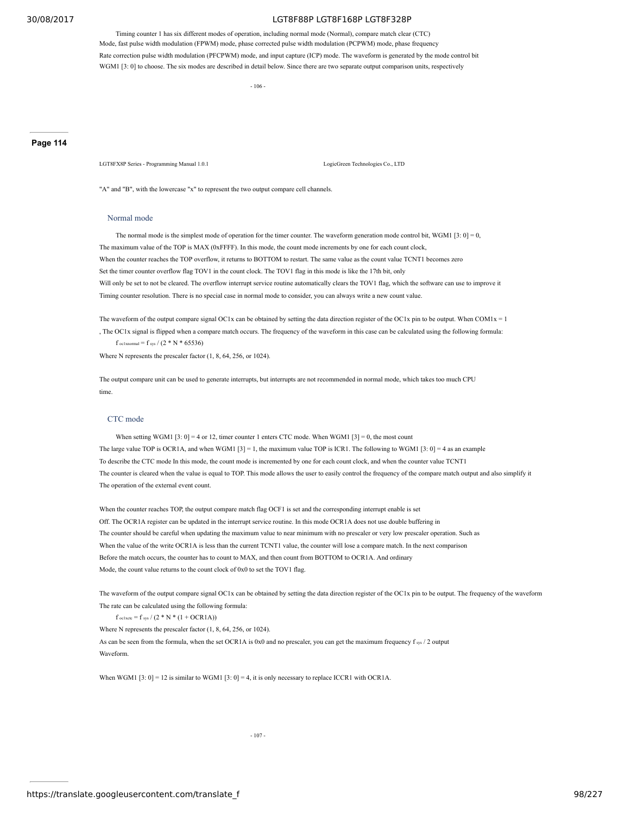Timing counter 1 has six different modes of operation, including normal mode (Normal), compare match clear (CTC) Mode, fast pulse width modulation (FPWM) mode, phase corrected pulse width modulation (PCPWM) mode, phase frequency Rate correction pulse width modulation (PFCPWM) mode, and input capture (ICP) mode. The waveform is generated by the mode control bit WGM1 [3: 0] to choose. The six modes are described in detail below. Since there are two separate output comparison units, respectively

- 106 -

#### **Page 114**

LGT8FX8P Series - Programming Manual 1.0.1 LogicGreen Technologies Co., LTD

"A" and "B", with the lowercase "x" to represent the two output compare cell channels.

#### Normal mode

The normal mode is the simplest mode of operation for the timer counter. The waveform generation mode control bit, WGM1 [3: 0] = 0, The maximum value of the TOP is MAX (0xFFFF). In this mode, the count mode increments by one for each count clock, When the counter reaches the TOP overflow, it returns to BOTTOM to restart. The same value as the count value TCNT1 becomes zero Set the timer counter overflow flag TOV1 in the count clock. The TOV1 flag in this mode is like the 17th bit, only Will only be set to not be cleared. The overflow interrupt service routine automatically clears the TOV1 flag, which the software can use to improve it Timing counter resolution. There is no special case in normal mode to consider, you can always write a new count value.

The waveform of the output compare signal OC1x can be obtained by setting the data direction register of the OC1x pin to be output. When COM1x = 1 , The OC1x signal is flipped when a compare match occurs. The frequency of the waveform in this case can be calculated using the following formula:  $f_{\text{oclxnormal}} = f_{\text{sys}} / (2 * N * 65536)$ 

Where N represents the prescaler factor (1, 8, 64, 256, or 1024).

The output compare unit can be used to generate interrupts, but interrupts are not recommended in normal mode, which takes too much CPU time.

# CTC mode

When setting WGM1  $[3:0] = 4$  or 12, timer counter 1 enters CTC mode. When WGM1  $[3] = 0$ , the most count The large value TOP is OCR1A, and when WGM1 [3] = 1, the maximum value TOP is ICR1. The following to WGM1 [3: 0] = 4 as an example To describe the CTC mode In this mode, the count mode is incremented by one for each count clock, and when the counter value TCNT1 The counter is cleared when the value is equal to TOP. This mode allows the user to easily control the frequency of the compare match output and also simplify it The operation of the external event count.

When the counter reaches TOP, the output compare match flag OCF1 is set and the corresponding interrupt enable is set Off. The OCR1A register can be updated in the interrupt service routine. In this mode OCR1A does not use double buffering in The counter should be careful when updating the maximum value to near minimum with no prescaler or very low prescaler operation. Such as When the value of the write OCR1A is less than the current TCNT1 value, the counter will lose a compare match. In the next comparison Before the match occurs, the counter has to count to MAX, and then count from BOTTOM to OCR1A. And ordinary Mode, the count value returns to the count clock of 0x0 to set the TOV1 flag.

The waveform of the output compare signal OC1x can be obtained by setting the data direction register of the OC1x pin to be output. The frequency of the waveform The rate can be calculated using the following formula:

 $f_{\text{oc1xctc}} = f_{\text{sys}} / (2 * N * (1 + OCR1A))$ 

Where N represents the prescaler factor (1, 8, 64, 256, or 1024).

As can be seen from the formula, when the set OCR1A is 0x0 and no prescaler, you can get the maximum frequency f sys / 2 output Waveform.

When WGM1 [3: 0] = 12 is similar to WGM1 [3: 0] = 4, it is only necessary to replace ICCR1 with OCR1A.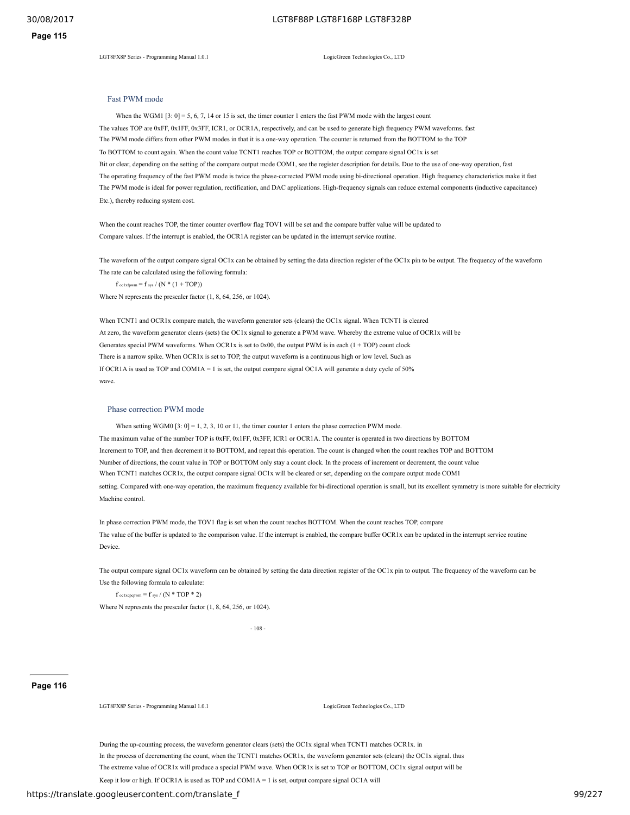LGT8FX8P Series - Programming Manual 1.0.1 LogicGreen Technologies Co., LTD

# Fast PWM mode

When the WGM1  $[3: 0] = 5, 6, 7, 14$  or 15 is set, the timer counter 1 enters the fast PWM mode with the largest count The values TOP are 0xFF, 0x1FF, 0x3FF, ICR1, or OCR1A, respectively, and can be used to generate high frequency PWM waveforms. fast The PWM mode differs from other PWM modes in that it is a one-way operation. The counter is returned from the BOTTOM to the TOP To BOTTOM to count again. When the count value TCNT1 reaches TOP or BOTTOM, the output compare signal OC1x is set Bit or clear, depending on the setting of the compare output mode COM1, see the register description for details. Due to the use of one-way operation, fast The operating frequency of the fast PWM mode is twice the phase-corrected PWM mode using bi-directional operation. High frequency characteristics make it fast The PWM mode is ideal for power regulation, rectification, and DAC applications. High-frequency signals can reduce external components (inductive capacitance) Etc.), thereby reducing system cost.

When the count reaches TOP, the timer counter overflow flag TOV1 will be set and the compare buffer value will be updated to Compare values. If the interrupt is enabled, the OCR1A register can be updated in the interrupt service routine.

The waveform of the output compare signal OC1x can be obtained by setting the data direction register of the OC1x pin to be output. The frequency of the waveform The rate can be calculated using the following formula:

 $f_{oc1xfpwm} = f_{sys} / (N * (1 + TOP))$ Where N represents the prescaler factor (1, 8, 64, 256, or 1024).

When TCNT1 and OCR1x compare match, the waveform generator sets (clears) the OC1x signal. When TCNT1 is cleared At zero, the waveform generator clears (sets) the OC1x signal to generate a PWM wave. Whereby the extreme value of OCR1x will be Generates special PWM waveforms. When OCR1x is set to 0x00, the output PWM is in each (1 + TOP) count clock There is a narrow spike. When OCR1x is set to TOP, the output waveform is a continuous high or low level. Such as If OCR1A is used as TOP and COM1A = 1 is set, the output compare signal OC1A will generate a duty cycle of 50% wave.

#### Phase correction PWM mode

When setting WGM0  $[3: 0] = 1, 2, 3, 10$  or 11, the timer counter 1 enters the phase correction PWM mode. The maximum value of the number TOP is 0xFF, 0x1FF, 0x3FF, ICR1 or OCR1A. The counter is operated in two directions by BOTTOM Increment to TOP, and then decrement it to BOTTOM, and repeat this operation. The count is changed when the count reaches TOP and BOTTOM Number of directions, the count value in TOP or BOTTOM only stay a count clock. In the process of increment or decrement, the count value When TCNT1 matches OCR1x, the output compare signal OC1x will be cleared or set, depending on the compare output mode COM1 setting. Compared with one-way operation, the maximum frequency available for bi-directional operation is small, but its excellent symmetry is more suitable for electricity Machine control.

In phase correction PWM mode, the TOV1 flag is set when the count reaches BOTTOM. When the count reaches TOP, compare The value of the buffer is updated to the comparison value. If the interrupt is enabled, the compare buffer OCR1x can be updated in the interrupt service routine Device.

The output compare signal OC1x waveform can be obtained by setting the data direction register of the OC1x pin to output. The frequency of the waveform can be Use the following formula to calculate:

 $f_{oc1xepcpwm} = f_{sys} / (N * TOP * 2)$ 

Where N represents the prescaler factor  $(1, 8, 64, 256, \text{ or } 1024)$ .

- 108 -

#### **Page 116**

LGT8FX8P Series - Programming Manual 1.0.1 LogicGreen Technologies Co., LTD

During the up-counting process, the waveform generator clears (sets) the OC1x signal when TCNT1 matches OCR1x. in In the process of decrementing the count, when the TCNT1 matches OCR1x, the waveform generator sets (clears) the OC1x signal. thus The extreme value of OCR1x will produce a special PWM wave. When OCR1x is set to TOP or BOTTOM, OC1x signal output will be Keep it low or high. If OCR1A is used as TOP and COM1A = 1 is set, output compare signal OC1A will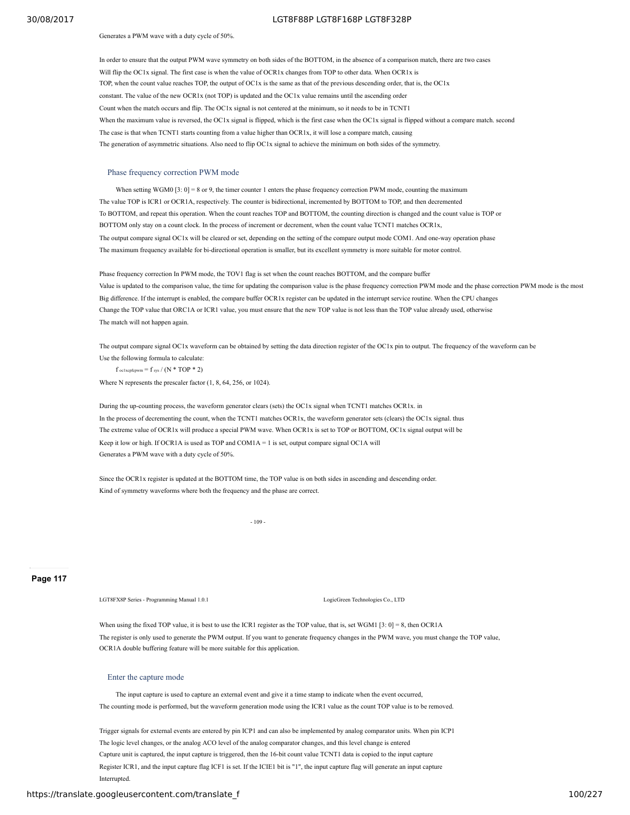#### Generates a PWM wave with a duty cycle of 50%.

In order to ensure that the output PWM wave symmetry on both sides of the BOTTOM, in the absence of a comparison match, there are two cases Will flip the OC1x signal. The first case is when the value of OCR1x changes from TOP to other data. When OCR1x is TOP, when the count value reaches TOP, the output of OC1x is the same as that of the previous descending order, that is, the OC1x constant. The value of the new OCR1x (not TOP) is updated and the OC1x value remains until the ascending order Count when the match occurs and flip. The OC1x signal is not centered at the minimum, so it needs to be in TCNT1 When the maximum value is reversed, the OC1x signal is flipped, which is the first case when the OC1x signal is flipped without a compare match. second The case is that when TCNT1 starts counting from a value higher than OCR1x, it will lose a compare match, causing The generation of asymmetric situations. Also need to flip OC1x signal to achieve the minimum on both sides of the symmetry.

#### Phase frequency correction PWM mode

When setting WGM0 [3:  $0$ ] = 8 or 9, the timer counter 1 enters the phase frequency correction PWM mode, counting the maximum The value TOP is ICR1 or OCR1A, respectively. The counter is bidirectional, incremented by BOTTOM to TOP, and then decremented To BOTTOM, and repeat this operation. When the count reaches TOP and BOTTOM, the counting direction is changed and the count value is TOP or BOTTOM only stay on a count clock. In the process of increment or decrement, when the count value TCNT1 matches OCR1x, The output compare signal OC1x will be cleared or set, depending on the setting of the compare output mode COM1. And one-way operation phase The maximum frequency available for bi-directional operation is smaller, but its excellent symmetry is more suitable for motor control.

Phase frequency correction In PWM mode, the TOV1 flag is set when the count reaches BOTTOM, and the compare buffer Value is updated to the comparison value, the time for updating the comparison value is the phase frequency correction PWM mode and the phase correction PWM mode is the most Big difference. If the interrupt is enabled, the compare buffer OCR1x register can be updated in the interrupt service routine. When the CPU changes Change the TOP value that ORC1A or ICR1 value, you must ensure that the new TOP value is not less than the TOP value already used, otherwise The match will not happen again.

The output compare signal OC1x waveform can be obtained by setting the data direction register of the OC1x pin to output. The frequency of the waveform can be Use the following formula to calculate:

 $f$  oc1xcpfcpwm =  $f$  sys /  $(N * TOP * 2)$ 

Where N represents the prescaler factor (1, 8, 64, 256, or 1024).

During the up-counting process, the waveform generator clears (sets) the OC1x signal when TCNT1 matches OCR1x. in In the process of decrementing the count, when the TCNT1 matches OCR1x, the waveform generator sets (clears) the OC1x signal. thus The extreme value of OCR1x will produce a special PWM wave. When OCR1x is set to TOP or BOTTOM, OC1x signal output will be Keep it low or high. If OCR1A is used as TOP and COM1A = 1 is set, output compare signal OC1A will Generates a PWM wave with a duty cycle of 50%.

Since the OCR1x register is updated at the BOTTOM time, the TOP value is on both sides in ascending and descending order. Kind of symmetry waveforms where both the frequency and the phase are correct.

- 109 -

**Page 117**

LGT8FX8P Series - Programming Manual 1.0.1 Logical Co., LTD LogicGreen Technologies Co., LTD

When using the fixed TOP value, it is best to use the ICR1 register as the TOP value, that is, set WGM1  $[3:0] = 8$ , then OCR1A The register is only used to generate the PWM output. If you want to generate frequency changes in the PWM wave, you must change the TOP value, OCR1A double buffering feature will be more suitable for this application.

#### Enter the capture mode

The input capture is used to capture an external event and give it a time stamp to indicate when the event occurred, The counting mode is performed, but the waveform generation mode using the ICR1 value as the count TOP value is to be removed.

Trigger signals for external events are entered by pin ICP1 and can also be implemented by analog comparator units. When pin ICP1 The logic level changes, or the analog ACO level of the analog comparator changes, and this level change is entered Capture unit is captured, the input capture is triggered, then the 16-bit count value TCNT1 data is copied to the input capture Register ICR1, and the input capture flag ICF1 is set. If the ICIE1 bit is "1", the input capture flag will generate an input capture Interrupted.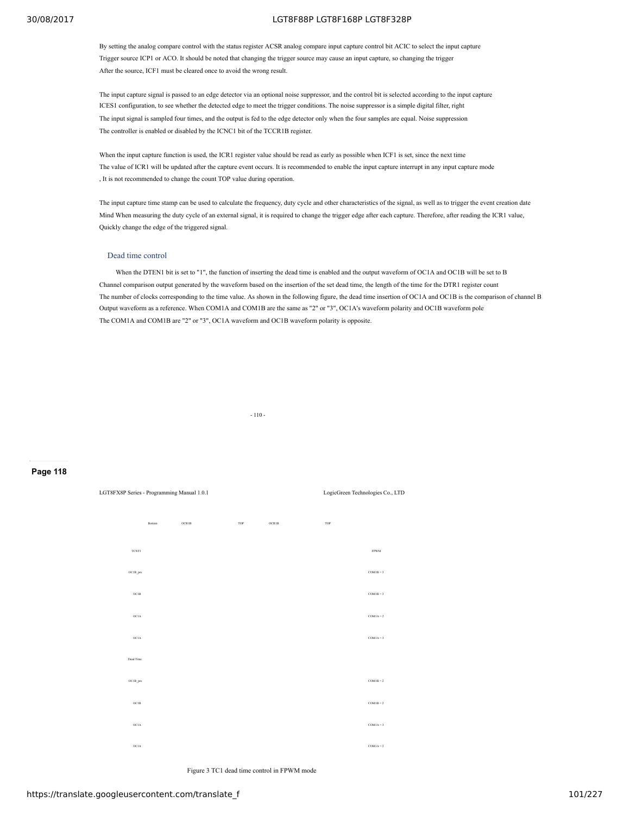By setting the analog compare control with the status register ACSR analog compare input capture control bit ACIC to select the input capture Trigger source ICP1 or ACO. It should be noted that changing the trigger source may cause an input capture, so changing the trigger After the source, ICF1 must be cleared once to avoid the wrong result.

The input capture signal is passed to an edge detector via an optional noise suppressor, and the control bit is selected according to the input capture ICES1 configuration, to see whether the detected edge to meet the trigger conditions. The noise suppressor is a simple digital filter, right The input signal is sampled four times, and the output is fed to the edge detector only when the four samples are equal. Noise suppression The controller is enabled or disabled by the ICNC1 bit of the TCCR1B register.

When the input capture function is used, the ICR1 register value should be read as early as possible when ICF1 is set, since the next time The value of ICR1 will be updated after the capture event occurs. It is recommended to enable the input capture interrupt in any input capture mode , It is not recommended to change the count TOP value during operation.

The input capture time stamp can be used to calculate the frequency, duty cycle and other characteristics of the signal, as well as to trigger the event creation date Mind When measuring the duty cycle of an external signal, it is required to change the trigger edge after each capture. Therefore, after reading the ICR1 value, Quickly change the edge of the triggered signal.

### Dead time control

When the DTEN1 bit is set to "1", the function of inserting the dead time is enabled and the output waveform of OC1A and OC1B will be set to B Channel comparison output generated by the waveform based on the insertion of the set dead time, the length of the time for the DTR1 register count The number of clocks corresponding to the time value. As shown in the following figure, the dead time insertion of OC1A and OC1B is the comparison of channel B Output waveform as a reference. When COM1A and COM1B are the same as "2" or "3", OC1A's waveform polarity and OC1B waveform pole The COM1A and COM1B are "2" or "3", OC1A waveform and OC1B waveform polarity is opposite.



#### **Page 118**



Figure 3 TC1 dead time control in FPWM mode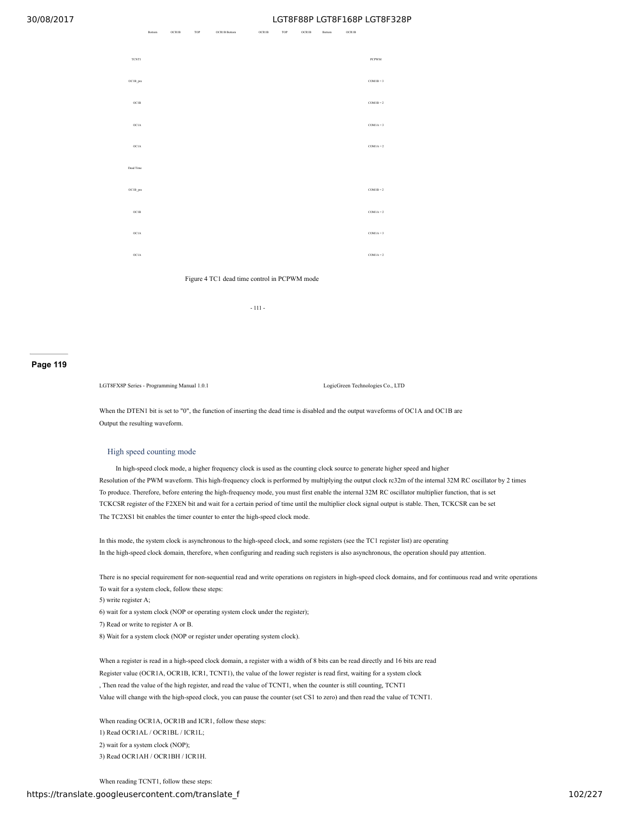OCR1B TOP OCR1B Portom OCR1B OCR1B Bottom OCR1B Bottom OCR1B



Figure 4 TC1 dead time control in PCPWM mode

- 111 -

#### **Page 119**

LGT8FX8P Series - Programming Manual 1.0.1 LogicGreen Technologies Co., LTD

When the DTEN1 bit is set to "0", the function of inserting the dead time is disabled and the output waveforms of OC1A and OC1B are Output the resulting waveform.

#### High speed counting mode

In high-speed clock mode, a higher frequency clock is used as the counting clock source to generate higher speed and higher Resolution of the PWM waveform. This high-frequency clock is performed by multiplying the output clock rc32m of the internal 32M RC oscillator by 2 times To produce. Therefore, before entering the high-frequency mode, you must first enable the internal 32M RC oscillator multiplier function, that is set TCKCSR register of the F2XEN bit and wait for a certain period of time until the multiplier clock signal output is stable. Then, TCKCSR can be set The TC2XS1 bit enables the timer counter to enter the high-speed clock mode.

In this mode, the system clock is asynchronous to the high-speed clock, and some registers (see the TC1 register list) are operating In the high-speed clock domain, therefore, when configuring and reading such registers is also asynchronous, the operation should pay attention.

There is no special requirement for non-sequential read and write operations on registers in high-speed clock domains, and for continuous read and write operations To wait for a system clock, follow these steps:

5) write register A;

6) wait for a system clock (NOP or operating system clock under the register);

7) Read or write to register A or B.

8) Wait for a system clock (NOP or register under operating system clock).

When a register is read in a high-speed clock domain, a register with a width of 8 bits can be read directly and 16 bits are read Register value (OCR1A, OCR1B, ICR1, TCNT1), the value of the lower register is read first, waiting for a system clock , Then read the value of the high register, and read the value of TCNT1, when the counter is still counting, TCNT1 Value will change with the high-speed clock, you can pause the counter (set CS1 to zero) and then read the value of TCNT1.

When reading OCR1A, OCR1B and ICR1, follow these steps: 1) Read OCR1AL / OCR1BL / ICR1L; 2) wait for a system clock (NOP); 3) Read OCR1AH / OCR1BH / ICR1H.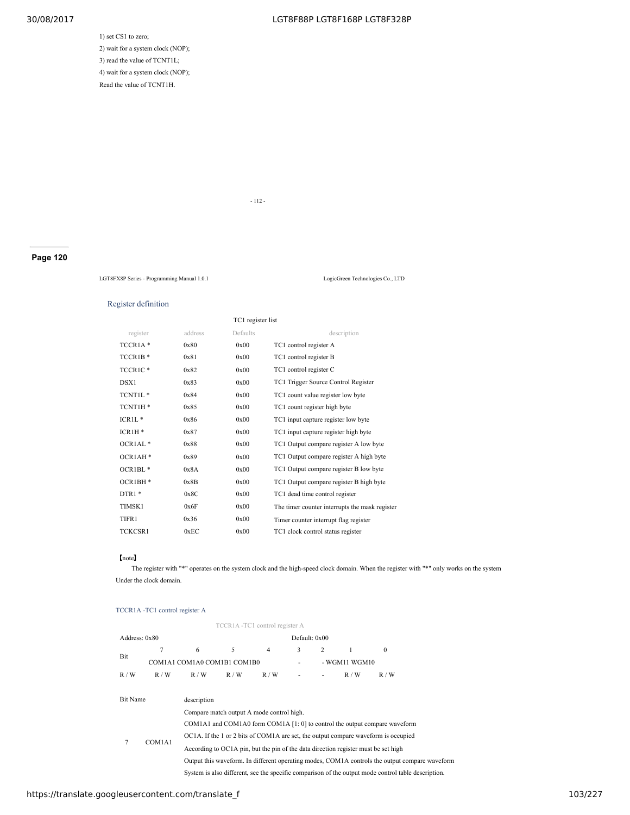# 1) set CS1 to zero; 2) wait for a system clock (NOP); 3) read the value of TCNT1L; 4) wait for a system clock (NOP); Read the value of TCNT1H.

- 112 -

**Page 120**

LGT8FX8P Series - Programming Manual 1.0.1 LogicGreen Technologies Co., LTD

#### Register definition

| TC1 register list   |         |          |                                                |  |  |  |
|---------------------|---------|----------|------------------------------------------------|--|--|--|
| register            | address | Defaults | description                                    |  |  |  |
| TCCR1A <sup>*</sup> | 0x80    | 0x00     | TC1 control register A                         |  |  |  |
| TCCR1B <sup>*</sup> | 0x81    | 0x00     | TC1 control register B                         |  |  |  |
| TCCR1C <sup>*</sup> | 0x82    | 0x00     | TC1 control register C                         |  |  |  |
| DSX1                | 0x83    | 0x00     | TC1 Trigger Source Control Register            |  |  |  |
| TCNT1L*             | 0x84    | 0x00     | TC1 count value register low byte              |  |  |  |
| TCNT1H*             | 0x85    | 0x00     | TC1 count register high byte                   |  |  |  |
| $ICR1L*$            | 0x86    | 0x00     | TC1 input capture register low byte            |  |  |  |
| $ICRIH*$            | 0x87    | 0x00     | TC1 input capture register high byte           |  |  |  |
| OCRIAL <sup>*</sup> | 0x88    | 0x00     | TC1 Output compare register A low byte         |  |  |  |
| OCR1AH <sup>*</sup> | 0x89    | 0x00     | TC1 Output compare register A high byte        |  |  |  |
| OCR1BL*             | 0x8A    | 0x00     | TC1 Output compare register B low byte         |  |  |  |
| OCR1BH*             | 0x8B    | 0x00     | TC1 Output compare register B high byte        |  |  |  |
| $DTR1*$             | 0x8C    | 0x00     | TC1 dead time control register                 |  |  |  |
| TIMSK1              | 0x6F    | 0x00     | The timer counter interrupts the mask register |  |  |  |
| TIFR1               | 0x36    | 0x00     | Timer counter interrupt flag register          |  |  |  |
| <b>TCKCSR1</b>      | 0xEC    | 0x00     | TC1 clock control status register              |  |  |  |

#### 【note】

The register with "\*" operates on the system clock and the high-speed clock domain. When the register with "\*" only works on the system Under the clock domain.

# TCCR1A -TC1 control register A

|               | TCCR1A-TC1 control register A |                                                                                                     |     |                |               |   |               |                                                                                                |  |  |
|---------------|-------------------------------|-----------------------------------------------------------------------------------------------------|-----|----------------|---------------|---|---------------|------------------------------------------------------------------------------------------------|--|--|
| Address: 0x80 |                               |                                                                                                     |     |                | Default: 0x00 |   |               |                                                                                                |  |  |
| Bit           |                               | 6                                                                                                   | 5   | $\overline{4}$ | 3             | 2 | 1             | $\theta$                                                                                       |  |  |
|               |                               | COM1A1 COM1A0 COM1B1 COM1B0                                                                         |     |                |               |   | - WGM11 WGM10 |                                                                                                |  |  |
| R/W           | R/W                           | R/W                                                                                                 | R/W | R/W            |               |   | R/W           | R/W                                                                                            |  |  |
|               |                               |                                                                                                     |     |                |               |   |               |                                                                                                |  |  |
| Bit Name      |                               | description                                                                                         |     |                |               |   |               |                                                                                                |  |  |
|               |                               | Compare match output A mode control high.                                                           |     |                |               |   |               |                                                                                                |  |  |
|               |                               | COM1A1 and COM1A0 form COM1A $[1:0]$ to control the output compare waveform                         |     |                |               |   |               |                                                                                                |  |  |
| 7             | COM1A1                        | OC1A. If the 1 or 2 bits of COM1A are set, the output compare waveform is occupied                  |     |                |               |   |               |                                                                                                |  |  |
|               |                               | According to OC1A pin, but the pin of the data direction register must be set high                  |     |                |               |   |               |                                                                                                |  |  |
|               |                               |                                                                                                     |     |                |               |   |               | Output this waveform. In different operating modes, COM1A controls the output compare waveform |  |  |
|               |                               | System is also different, see the specific comparison of the output mode control table description. |     |                |               |   |               |                                                                                                |  |  |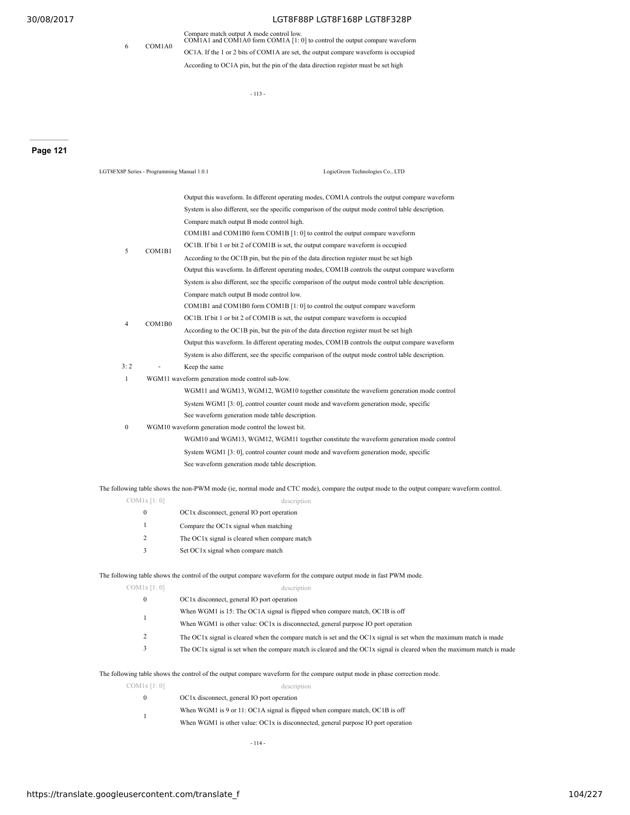6 COM1A0

# 30/08/2017 LGT8F88P LGT8F168P LGT8F328P

Compare match output A mode control low. COM1A1 and COM1A0 form COM1A [1: 0] to control the output compare waveform OC1A. If the 1 or 2 bits of COM1A are set, the output compare waveform is occupied According to OC1A pin, but the pin of the data direction register must be set high

- 113 -

# **Page 121**

| LGT8FX8P Series - Programming Manual 1.0.1 |                  | LogicGreen Technologies Co., LTD                                                                                                                                                                      |
|--------------------------------------------|------------------|-------------------------------------------------------------------------------------------------------------------------------------------------------------------------------------------------------|
|                                            |                  | Output this waveform. In different operating modes, COM1A controls the output compare waveform<br>System is also different, see the specific comparison of the output mode control table description. |
|                                            |                  | Compare match output B mode control high.                                                                                                                                                             |
|                                            |                  | COM1B1 and COM1B0 form COM1B [1: 0] to control the output compare waveform                                                                                                                            |
|                                            |                  | OC1B. If bit 1 or bit 2 of COM1B is set, the output compare waveform is occupied                                                                                                                      |
| 5                                          | COM1B1           | According to the OC1B pin, but the pin of the data direction register must be set high                                                                                                                |
|                                            |                  | Output this waveform. In different operating modes, COM1B controls the output compare waveform                                                                                                        |
|                                            |                  | System is also different, see the specific comparison of the output mode control table description.                                                                                                   |
|                                            |                  | Compare match output B mode control low.                                                                                                                                                              |
|                                            |                  | COM1B1 and COM1B0 form COM1B [1: 0] to control the output compare waveform                                                                                                                            |
|                                            |                  | OC1B. If bit 1 or bit 2 of COM1B is set, the output compare waveform is occupied                                                                                                                      |
| $\overline{4}$                             | COM1B0           | According to the OC1B pin, but the pin of the data direction register must be set high                                                                                                                |
|                                            |                  | Output this waveform. In different operating modes, COM1B controls the output compare waveform                                                                                                        |
|                                            |                  | System is also different, see the specific comparison of the output mode control table description.                                                                                                   |
| 3:2                                        |                  | Keep the same                                                                                                                                                                                         |
| $\mathbf{1}$                               |                  | WGM11 waveform generation mode control sub-low.                                                                                                                                                       |
|                                            |                  | WGM11 and WGM13, WGM12, WGM10 together constitute the waveform generation mode control                                                                                                                |
|                                            |                  | System WGM1 [3: 0], control counter count mode and waveform generation mode, specific                                                                                                                 |
|                                            |                  | See waveform generation mode table description.                                                                                                                                                       |
| $\boldsymbol{0}$                           |                  | WGM10 waveform generation mode control the lowest bit.                                                                                                                                                |
|                                            |                  | WGM10 and WGM13, WGM12, WGM11 together constitute the waveform generation mode control                                                                                                                |
|                                            |                  | System WGM1 [3: 0], control counter count mode and waveform generation mode, specific                                                                                                                 |
|                                            |                  | See waveform generation mode table description.                                                                                                                                                       |
|                                            |                  | The following table shows the non-PWM mode (ie, normal mode and CTC mode), compare the output mode to the output compare waveform control.                                                            |
|                                            | $COM1x$ [1:0]    | description                                                                                                                                                                                           |
|                                            | $\boldsymbol{0}$ | OC1x disconnect, general IO port operation                                                                                                                                                            |
|                                            | $\mathbf{1}$     | Compare the OC1x signal when matching                                                                                                                                                                 |
|                                            | $\overline{c}$   | The OC1x signal is cleared when compare match                                                                                                                                                         |
|                                            | 3                | Set OC1x signal when compare match                                                                                                                                                                    |
|                                            |                  | The following table shows the control of the output compare waveform for the compare output mode in fast PWM mode.                                                                                    |
|                                            | COM1x [1:0]      | description                                                                                                                                                                                           |
|                                            | $\overline{0}$   | OC1x disconnect, general IO port operation                                                                                                                                                            |
|                                            |                  | When WGM1 is 15: The OC1A signal is flipped when compare match, OC1B is off                                                                                                                           |
|                                            | $\mathbf{1}$     | When WGM1 is other value: OC1x is disconnected, general purpose IO port operation                                                                                                                     |
|                                            | $\overline{c}$   | The OC1x signal is cleared when the compare match is set and the OC1x signal is set when the maximum match is made                                                                                    |
|                                            | 3                | The OC1x signal is set when the compare match is cleared and the OC1x signal is cleared when the maximum match is made                                                                                |
|                                            |                  | The following table shows the control of the output compare waveform for the compare output mode in phase correction mode.                                                                            |
|                                            | COM1x [1:0]      | description                                                                                                                                                                                           |

| $\Omega$ | OC1x disconnect, general IO port operation                                          |
|----------|-------------------------------------------------------------------------------------|
|          | When WGM1 is 9 or 11: OC1A signal is flipped when compare match, OC1B is off        |
|          | When WGM1 is other value: $OC1x$ is disconnected, general purpose IO port operation |

- 114 -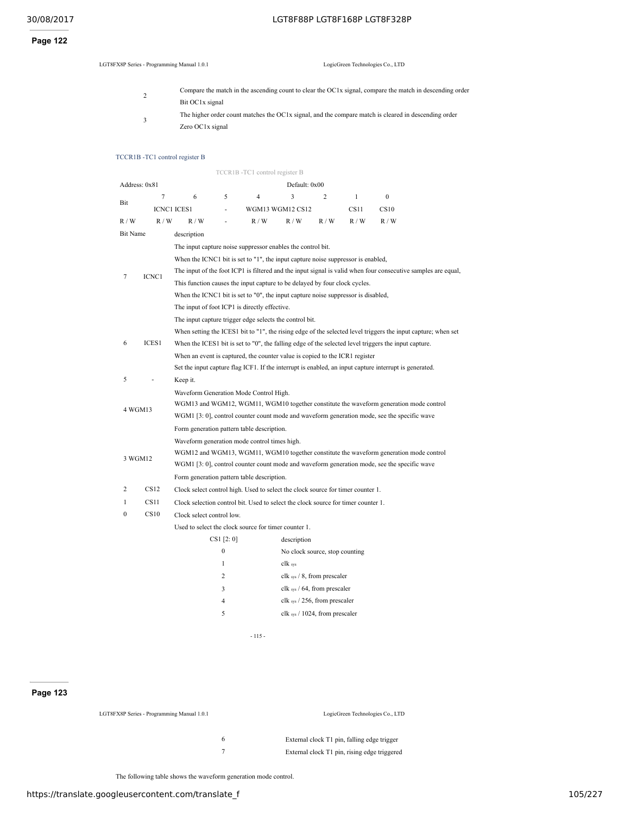# **Page 122**

LGT8FX8P Series - Programming Manual 1.0.1 LogicGreen Technologies Co., LTD

2 Compare the match in the ascending count to clear the OC1x signal, compare the match in descending order Bit OC1x signal 3 The higher order count matches the OC1x signal, and the compare match is cleared in descending order Zero OC1x signal

#### TCCR1B -TC1 control register B

|                 |               |                                                                                                                                           |                  | TCCR1B-TC1 control register B                                                     |                                               |                |              |                                                                                                               |  |  |
|-----------------|---------------|-------------------------------------------------------------------------------------------------------------------------------------------|------------------|-----------------------------------------------------------------------------------|-----------------------------------------------|----------------|--------------|---------------------------------------------------------------------------------------------------------------|--|--|
|                 | Address: 0x81 |                                                                                                                                           |                  |                                                                                   | Default: 0x00                                 |                |              |                                                                                                               |  |  |
|                 | $\tau$        | 6                                                                                                                                         | 5                | $\overline{4}$                                                                    | 3                                             | $\overline{c}$ | $\mathbf{1}$ | $\boldsymbol{0}$                                                                                              |  |  |
| Bit             |               | <b>ICNC1 ICES1</b>                                                                                                                        | L,               |                                                                                   | WGM13 WGM12 CS12                              |                | CS11         | CS10                                                                                                          |  |  |
| R / W           | R/W           | R/W                                                                                                                                       | ä,               | R/W                                                                               | R/W                                           | R/W            | R/W          | R/W                                                                                                           |  |  |
| <b>Bit Name</b> |               | description                                                                                                                               |                  |                                                                                   |                                               |                |              |                                                                                                               |  |  |
|                 |               |                                                                                                                                           |                  | The input capture noise suppressor enables the control bit.                       |                                               |                |              |                                                                                                               |  |  |
|                 |               |                                                                                                                                           |                  | When the ICNC1 bit is set to "1", the input capture noise suppressor is enabled,  |                                               |                |              |                                                                                                               |  |  |
| 7               | ICNC1         |                                                                                                                                           |                  |                                                                                   |                                               |                |              | The input of the foot ICP1 is filtered and the input signal is valid when four consecutive samples are equal, |  |  |
|                 |               |                                                                                                                                           |                  | This function causes the input capture to be delayed by four clock cycles.        |                                               |                |              |                                                                                                               |  |  |
|                 |               |                                                                                                                                           |                  | When the ICNC1 bit is set to "0", the input capture noise suppressor is disabled, |                                               |                |              |                                                                                                               |  |  |
|                 |               |                                                                                                                                           |                  | The input of foot ICP1 is directly effective.                                     |                                               |                |              |                                                                                                               |  |  |
|                 |               |                                                                                                                                           |                  | The input capture trigger edge selects the control bit.                           |                                               |                |              |                                                                                                               |  |  |
|                 |               |                                                                                                                                           |                  |                                                                                   |                                               |                |              | When setting the ICES1 bit to "1", the rising edge of the selected level triggers the input capture; when set |  |  |
| 6               | ICES1         | When the ICES1 bit is set to "0", the falling edge of the selected level triggers the input capture.                                      |                  |                                                                                   |                                               |                |              |                                                                                                               |  |  |
|                 |               | When an event is captured, the counter value is copied to the ICR1 register                                                               |                  |                                                                                   |                                               |                |              |                                                                                                               |  |  |
|                 |               |                                                                                                                                           |                  |                                                                                   |                                               |                |              | Set the input capture flag ICF1. If the interrupt is enabled, an input capture interrupt is generated.        |  |  |
| 5               |               | Keep it.                                                                                                                                  |                  |                                                                                   |                                               |                |              |                                                                                                               |  |  |
|                 |               | Waveform Generation Mode Control High.                                                                                                    |                  |                                                                                   |                                               |                |              |                                                                                                               |  |  |
| 4 WGM13         |               | WGM13 and WGM12, WGM11, WGM10 together constitute the waveform generation mode control                                                    |                  |                                                                                   |                                               |                |              |                                                                                                               |  |  |
|                 |               |                                                                                                                                           |                  |                                                                                   |                                               |                |              | WGM1 [3: 0], control counter count mode and waveform generation mode, see the specific wave                   |  |  |
|                 |               |                                                                                                                                           |                  | Form generation pattern table description.                                        |                                               |                |              |                                                                                                               |  |  |
|                 |               |                                                                                                                                           |                  | Waveform generation mode control times high.                                      |                                               |                |              |                                                                                                               |  |  |
| 3 WGM12         |               | WGM12 and WGM13, WGM11, WGM10 together constitute the waveform generation mode control                                                    |                  |                                                                                   |                                               |                |              |                                                                                                               |  |  |
|                 |               | WGM1 [3: 0], control counter count mode and waveform generation mode, see the specific wave<br>Form generation pattern table description. |                  |                                                                                   |                                               |                |              |                                                                                                               |  |  |
| 2               | CS12          |                                                                                                                                           |                  |                                                                                   |                                               |                |              |                                                                                                               |  |  |
|                 | CS11          |                                                                                                                                           |                  | Clock select control high. Used to select the clock source for timer counter 1.   |                                               |                |              |                                                                                                               |  |  |
| 1               | CS10          |                                                                                                                                           |                  | Clock selection control bit. Used to select the clock source for timer counter 1. |                                               |                |              |                                                                                                               |  |  |
| 0               |               | Clock select control low.                                                                                                                 |                  |                                                                                   |                                               |                |              |                                                                                                               |  |  |
|                 |               |                                                                                                                                           | CS1 [2:0]        | Used to select the clock source for timer counter 1.                              |                                               |                |              |                                                                                                               |  |  |
|                 |               |                                                                                                                                           | $\boldsymbol{0}$ |                                                                                   | description<br>No clock source, stop counting |                |              |                                                                                                               |  |  |
|                 |               |                                                                                                                                           | $\mathbf{1}$     |                                                                                   | clk sys                                       |                |              |                                                                                                               |  |  |
|                 |               |                                                                                                                                           | $\overline{c}$   |                                                                                   | clk sys / 8, from prescaler                   |                |              |                                                                                                               |  |  |
|                 |               |                                                                                                                                           | 3                |                                                                                   | clk sys / 64, from prescaler                  |                |              |                                                                                                               |  |  |
|                 |               |                                                                                                                                           | 4                |                                                                                   | clk $_{sys}$ / 256, from prescaler            |                |              |                                                                                                               |  |  |
|                 |               |                                                                                                                                           | 5                |                                                                                   | clk $_{sys}$ / 1024, from prescaler           |                |              |                                                                                                               |  |  |
|                 |               |                                                                                                                                           |                  |                                                                                   |                                               |                |              |                                                                                                               |  |  |

- 115 -

# **Page 123**

| LGT8FX8P Series - Programming Manual 1.0.1 | LogicGreen Technologies Co., LTD             |
|--------------------------------------------|----------------------------------------------|
| <sub>t</sub>                               | External clock T1 pin, falling edge trigger  |
|                                            | External clock T1 pin, rising edge triggered |

The following table shows the waveform generation mode control.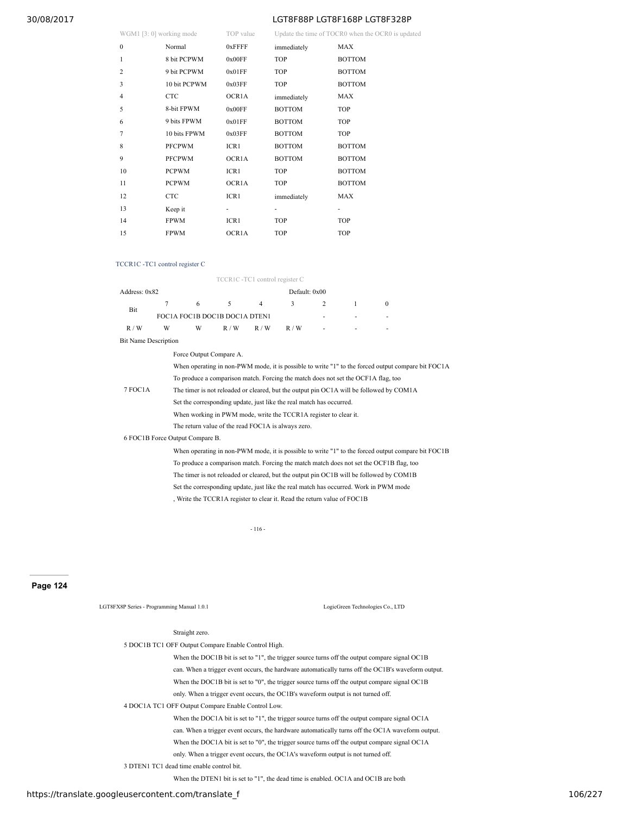| WGM1 [3: 0] working mode | TOP value | Update the time of TOCR0 when the OCR0 is updated |
|--------------------------|-----------|---------------------------------------------------|

| $W \cup W11 \cup V$ , $V$ weiking mout |               | TUI VAIUU          |               | Optime the third of TOCKO when the OCKO is up |
|----------------------------------------|---------------|--------------------|---------------|-----------------------------------------------|
| $\mathbf{0}$                           | Normal        | 0xFFFF             | immediately   | <b>MAX</b>                                    |
| $\mathbf{1}$                           | 8 bit PCPWM   | 0x00FF             | TOP           | <b>BOTTOM</b>                                 |
| 2                                      | 9 bit PCPWM   | 0x01FF             | TOP           | <b>BOTTOM</b>                                 |
| 3                                      | 10 bit PCPWM  | 0x03FF             | TOP           | <b>BOTTOM</b>                                 |
| $\overline{4}$                         | <b>CTC</b>    | OCR1A              | immediately   | MAX                                           |
| 5                                      | 8-bit FPWM    | 0x00FF             | <b>BOTTOM</b> | <b>TOP</b>                                    |
| 6                                      | 9 bits FPWM   | 0x01FF             | <b>BOTTOM</b> | <b>TOP</b>                                    |
| $\overline{7}$                         | 10 bits FPWM  | 0x03FF             | <b>BOTTOM</b> | TOP                                           |
| 8                                      | <b>PFCPWM</b> | ICR1               | <b>BOTTOM</b> | <b>BOTTOM</b>                                 |
| 9                                      | <b>PFCPWM</b> | OCR <sub>1</sub> A | <b>BOTTOM</b> | <b>BOTTOM</b>                                 |
| 10                                     | <b>PCPWM</b>  | ICR1               | <b>TOP</b>    | <b>BOTTOM</b>                                 |
| 11                                     | <b>PCPWM</b>  | OCR1A              | TOP           | <b>BOTTOM</b>                                 |
| 12                                     | <b>CTC</b>    | ICR1               | immediately   | MAX                                           |
| 13                                     | Keep it       | ٠                  | ۰             | ۰                                             |
| 14                                     | <b>FPWM</b>   | ICR1               | TOP           | TOP                                           |
| 15                                     | <b>FPWM</b>   | OCR1A              | <b>TOP</b>    | <b>TOP</b>                                    |

#### TCCR1C -TC1 control register C

TCCR1C -TC1 control register C

| Address: 0x82               |                                 |                                                                                                    |                                                                                                                                                                                                               |                |   |   |  |              |  |  |
|-----------------------------|---------------------------------|----------------------------------------------------------------------------------------------------|---------------------------------------------------------------------------------------------------------------------------------------------------------------------------------------------------------------|----------------|---|---|--|--------------|--|--|
| Bit                         | 7                               | 6                                                                                                  | 5                                                                                                                                                                                                             | $\overline{4}$ | 3 | 2 |  | $\mathbf{0}$ |  |  |
|                             |                                 |                                                                                                    | Default: 0x00<br>FOC1A FOC1B DOC1B DOC1A DTEN1<br>R/W<br>R/W<br>R/W<br>Force Output Compare A.<br>When eperating in non- $DWM$ mode, it is possible to write $''1''$ to the forced output compare bit $EOC1D$ |                |   |   |  |              |  |  |
| R/W                         | W                               | W                                                                                                  |                                                                                                                                                                                                               |                |   |   |  |              |  |  |
| <b>Bit Name Description</b> |                                 |                                                                                                    |                                                                                                                                                                                                               |                |   |   |  |              |  |  |
|                             |                                 |                                                                                                    |                                                                                                                                                                                                               |                |   |   |  |              |  |  |
|                             |                                 | When operating in non-PWM mode, it is possible to write "1" to the forced output compare bit FOC1A |                                                                                                                                                                                                               |                |   |   |  |              |  |  |
|                             |                                 | To produce a comparison match. Forcing the match does not set the OCF1A flag, too                  |                                                                                                                                                                                                               |                |   |   |  |              |  |  |
| 7 FOC1A                     |                                 | The timer is not reloaded or cleared, but the output pin OC1A will be followed by COM1A            |                                                                                                                                                                                                               |                |   |   |  |              |  |  |
|                             |                                 | Set the corresponding update, just like the real match has occurred.                               |                                                                                                                                                                                                               |                |   |   |  |              |  |  |
|                             |                                 | When working in PWM mode, write the TCCR1A register to clear it.                                   |                                                                                                                                                                                                               |                |   |   |  |              |  |  |
|                             |                                 | The return value of the read FOC1A is always zero.                                                 |                                                                                                                                                                                                               |                |   |   |  |              |  |  |
|                             | 6 FOC1B Force Output Compare B. |                                                                                                    |                                                                                                                                                                                                               |                |   |   |  |              |  |  |
|                             |                                 |                                                                                                    |                                                                                                                                                                                                               |                |   |   |  |              |  |  |

When operating in non-PWM mode, it is possible to write "1" to the forced output compare bit FOC1B To produce a comparison match. Forcing the match match does not set the OCF1B flag, too The timer is not reloaded or cleared, but the output pin OC1B will be followed by COM1B Set the corresponding update, just like the real match has occurred. Work in PWM mode , Write the TCCR1A register to clear it. Read the return value of FOC1B

- 116 -

**Page 124**

LGT8FX8P Series - Programming Manual 1.0.1 LogicGreen Technologies Co., LTD

#### Straight zero.

5 DOC1B TC1 OFF Output Compare Enable Control High.

When the DOC1B bit is set to "1", the trigger source turns off the output compare signal OC1B can. When a trigger event occurs, the hardware automatically turns off the OC1B's waveform output. When the DOC1B bit is set to "0", the trigger source turns off the output compare signal OC1B only. When a trigger event occurs, the OC1B's waveform output is not turned off.

# 4 DOC1A TC1 OFF Output Compare Enable Control Low.

When the DOC1A bit is set to "1", the trigger source turns off the output compare signal OC1A can. When a trigger event occurs, the hardware automatically turns off the OC1A waveform output. When the DOC1A bit is set to "0", the trigger source turns off the output compare signal OC1A only. When a trigger event occurs, the OC1A's waveform output is not turned off.

3 DTEN1 TC1 dead time enable control bit.

When the DTEN1 bit is set to "1", the dead time is enabled. OC1A and OC1B are both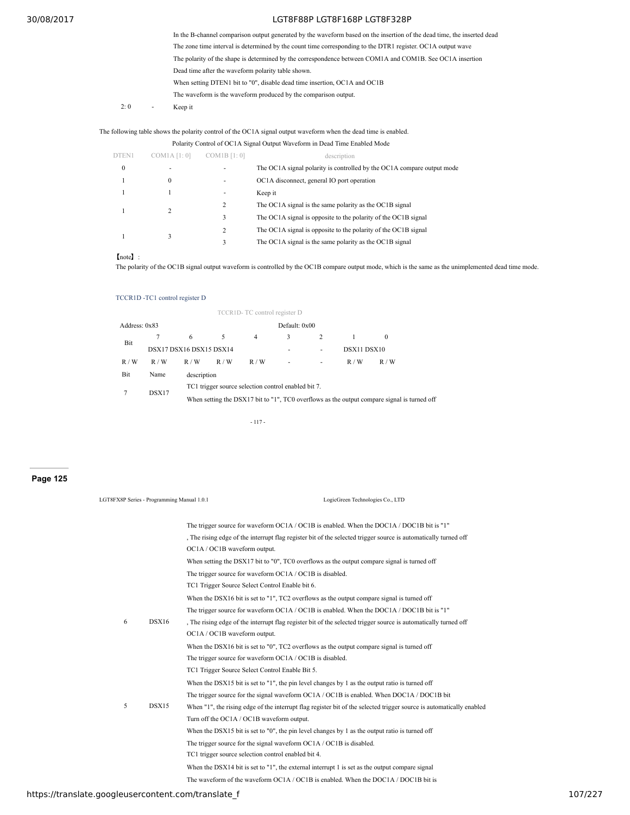|             |   | In the B-channel comparison output generated by the waveform based on the insertion of the dead time, the inserted dead |
|-------------|---|-------------------------------------------------------------------------------------------------------------------------|
|             |   | The zone time interval is determined by the count time corresponding to the DTR1 register. OC1A output wave             |
|             |   | The polarity of the shape is determined by the correspondence between COM1A and COM1B. See OC1A insertion               |
|             |   | Dead time after the waveform polarity table shown.                                                                      |
|             |   | When setting DTEN1 bit to "0", disable dead time insertion, OC1A and OC1B                                               |
|             |   | The waveform is the waveform produced by the comparison output.                                                         |
| $2 \cdot 0$ | ٠ | Keep it                                                                                                                 |
|             |   |                                                                                                                         |

The following table shows the polarity control of the OC1A signal output waveform when the dead time is enabled.

Polarity Control of OC1A Signal Output Waveform in Dead Time Enabled Mode

| DTEN1            | COM1A [1:0] | COM1B [1:0] | description                                                            |
|------------------|-------------|-------------|------------------------------------------------------------------------|
| $\boldsymbol{0}$ | ۰           |             | The OC1A signal polarity is controlled by the OC1A compare output mode |
|                  | 0           |             | OC1A disconnect, general IO port operation                             |
|                  |             | ۰           | Keep it                                                                |
|                  | 2           | 2           | The OC1A signal is the same polarity as the OC1B signal                |
|                  |             | 3           | The OC1A signal is opposite to the polarity of the OC1B signal         |
|                  |             | 2           | The OC1A signal is opposite to the polarity of the OC1B signal         |
|                  | 3           | 3           | The OC1A signal is the same polarity as the OC1B signal                |

【note】:

The polarity of the OC1B signal output waveform is controlled by the OC1B compare output mode, which is the same as the unimplemented dead time mode.

# TCCR1D -TC1 control register D

|               |       |                         |                                                     | TCCR1D-TC control register D |                          |   |             |                                                                                             |  |
|---------------|-------|-------------------------|-----------------------------------------------------|------------------------------|--------------------------|---|-------------|---------------------------------------------------------------------------------------------|--|
| Address: 0x83 |       |                         |                                                     |                              | Default: 0x00            |   |             |                                                                                             |  |
|               |       | 6                       | 5                                                   | 4                            | 3                        | 2 |             | 0                                                                                           |  |
| Bit           |       | DSX17 DSX16 DSX15 DSX14 |                                                     |                              |                          | ٠ | DSX11 DSX10 |                                                                                             |  |
| R/W           | R/W   | R/W                     | R/W                                                 | R/W                          | $\overline{\phantom{a}}$ | ٠ | R/W         | R/W                                                                                         |  |
| Bit           | Name  |                         | description                                         |                              |                          |   |             |                                                                                             |  |
|               | DSX17 |                         | TC1 trigger source selection control enabled bit 7. |                              |                          |   |             |                                                                                             |  |
|               |       |                         |                                                     |                              |                          |   |             | When setting the DSX17 bit to "1", TC0 overflows as the output compare signal is turned off |  |

- 117 -

**Page 125**

| LGT8FX8P Series - Programming Manual 1.0.1 |       | LogicGreen Technologies Co., LTD                                                                                     |
|--------------------------------------------|-------|----------------------------------------------------------------------------------------------------------------------|
|                                            |       | The trigger source for waveform OC1A / OC1B is enabled. When the DOC1A / DOC1B bit is "1"                            |
|                                            |       | The rising edge of the interrupt flag register bit of the selected trigger source is automatically turned off        |
|                                            |       | OC1A / OC1B waveform output.                                                                                         |
|                                            |       | When setting the DSX17 bit to "0", TC0 overflows as the output compare signal is turned off                          |
|                                            |       | The trigger source for waveform OC1A / OC1B is disabled.                                                             |
|                                            |       | TC1 Trigger Source Select Control Enable bit 6.                                                                      |
|                                            |       | When the DSX16 bit is set to "1", $TC2$ overflows as the output compare signal is turned off                         |
|                                            |       | The trigger source for waveform OC1A / OC1B is enabled. When the DOC1A / DOC1B bit is "1"                            |
| 6                                          | DSX16 | The rising edge of the interrupt flag register bit of the selected trigger source is automatically turned off        |
|                                            |       | OC1A / OC1B waveform output.                                                                                         |
|                                            |       | When the DSX16 bit is set to "0", TC2 overflows as the output compare signal is turned off                           |
|                                            |       | The trigger source for waveform OC1A / OC1B is disabled.                                                             |
|                                            |       | TC1 Trigger Source Select Control Enable Bit 5.                                                                      |
|                                            |       | When the DSX15 bit is set to "1", the pin level changes by 1 as the output ratio is turned off                       |
|                                            |       | The trigger source for the signal waveform OC1A / OC1B is enabled. When DOC1A / DOC1B bit                            |
| 5                                          | DSX15 | When "1", the rising edge of the interrupt flag register bit of the selected trigger source is automatically enabled |
|                                            |       | Turn off the OC1A / OC1B waveform output.                                                                            |
|                                            |       | When the DSX15 bit is set to "0", the pin level changes by 1 as the output ratio is turned off                       |
|                                            |       | The trigger source for the signal waveform OC1A / OC1B is disabled.                                                  |
|                                            |       | TC1 trigger source selection control enabled bit 4.                                                                  |
|                                            |       | When the DSX14 bit is set to "1", the external interrupt 1 is set as the output compare signal                       |
|                                            |       | The waveform of the waveform OC1A / OC1B is enabled. When the DOC1A / DOC1B bit is                                   |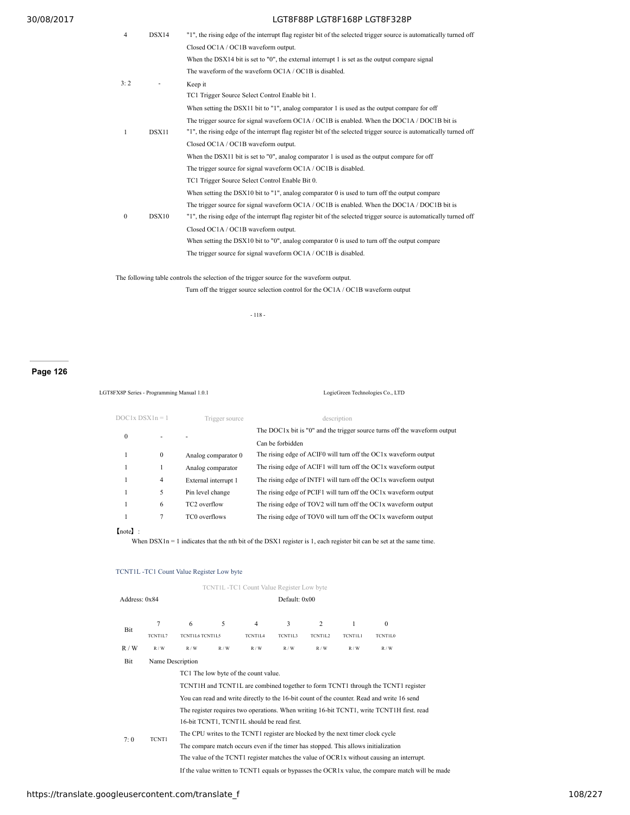| $\overline{4}$ | DSX14 | "1", the rising edge of the interrupt flag register bit of the selected trigger source is automatically turned off |
|----------------|-------|--------------------------------------------------------------------------------------------------------------------|
|                |       | Closed OC1A / OC1B waveform output.                                                                                |
|                |       | When the DSX14 bit is set to $"0"$ , the external interrupt 1 is set as the output compare signal                  |
|                |       |                                                                                                                    |
|                |       | The waveform of the waveform OC1A / OC1B is disabled.                                                              |
| 3.2            |       | Keep it                                                                                                            |
|                |       | TC1 Trigger Source Select Control Enable bit 1.                                                                    |
|                |       | When setting the DSX11 bit to "1", analog comparator 1 is used as the output compare for off                       |
|                |       | The trigger source for signal waveform OC1A / OC1B is enabled. When the DOC1A / DOC1B bit is                       |
| -1             | DSX11 | "1", the rising edge of the interrupt flag register bit of the selected trigger source is automatically turned off |
|                |       | Closed OC1A / OC1B waveform output.                                                                                |
|                |       | When the DSX11 bit is set to $"0"$ , analog comparator 1 is used as the output compare for off                     |
|                |       | The trigger source for signal waveform OC1A / OC1B is disabled.                                                    |
|                |       | TC1 Trigger Source Select Control Enable Bit 0.                                                                    |
|                |       | When setting the DSX10 bit to "1", analog comparator 0 is used to turn off the output compare                      |
|                |       | The trigger source for signal waveform OC1A / OC1B is enabled. When the DOC1A / DOC1B bit is                       |
| $\theta$       | DSX10 | "1", the rising edge of the interrupt flag register bit of the selected trigger source is automatically turned off |
|                |       | Closed OC1A / OC1B waveform output.                                                                                |
|                |       | When setting the DSX10 bit to "0", analog comparator 0 is used to turn off the output compare                      |
|                |       | The trigger source for signal waveform OC1A / OC1B is disabled.                                                    |
|                |       |                                                                                                                    |

The following table controls the selection of the trigger source for the waveform output.

Turn off the trigger source selection control for the OC1A / OC1B waveform output

- 118 -

**Page 126**

LGT8FX8P Series - Programming Manual 1.0.1 LogicGreen Technologies Co., LTD

| $DOCIx$ $DSX1n = 1$ |                | Trigger source           | description                                                               |  |  |  |  |
|---------------------|----------------|--------------------------|---------------------------------------------------------------------------|--|--|--|--|
| 0                   |                |                          | The DOC1x bit is "0" and the trigger source turns off the waveform output |  |  |  |  |
|                     |                |                          | Can be forbidden                                                          |  |  |  |  |
|                     | $\mathbf{0}$   | Analog comparator 0      | The rising edge of ACIF0 will turn off the OC1x waveform output           |  |  |  |  |
|                     |                | Analog comparator        | The rising edge of ACIF1 will turn off the OC1x waveform output           |  |  |  |  |
|                     | $\overline{4}$ | External interrupt 1     | The rising edge of INTF1 will turn off the OC1x waveform output           |  |  |  |  |
|                     | 5              | Pin level change         | The rising edge of PCIF1 will turn off the OC1x waveform output           |  |  |  |  |
|                     | 6              | TC <sub>2</sub> overflow | The rising edge of TOV2 will turn off the OC1x waveform output            |  |  |  |  |
|                     | 7              | TC0 overflows            | The rising edge of TOV0 will turn off the OC1x waveform output            |  |  |  |  |
|                     |                |                          |                                                                           |  |  |  |  |

【note】:

When  $DSX1n = 1$  indicates that the nth bit of the DSX1 register is 1, each register bit can be set at the same time.

# TCNT1L -TC1 Count Value Register Low byte

|                                                                                            |                                                                                           |                                                                                                  |                                            |                | TCNT1L-TC1 Count Value Register Low byte |         |                |                |  |  |
|--------------------------------------------------------------------------------------------|-------------------------------------------------------------------------------------------|--------------------------------------------------------------------------------------------------|--------------------------------------------|----------------|------------------------------------------|---------|----------------|----------------|--|--|
| Address: 0x84                                                                              |                                                                                           | Default: 0x00                                                                                    |                                            |                |                                          |         |                |                |  |  |
| Bit                                                                                        | 7                                                                                         | 6                                                                                                | 5                                          | 4              | 3                                        | 2       | 1              | $\mathbf{0}$   |  |  |
|                                                                                            | TCNT1L7                                                                                   | <b>TCNT1L6 TCNT1L5</b>                                                                           |                                            | <b>TCNT1L4</b> | TCNT1L3                                  | TCNT1L2 | <b>TCNT1L1</b> | <b>TCNT1L0</b> |  |  |
| R/W                                                                                        | R/W                                                                                       | R/W                                                                                              | R/W                                        | R/W            | R/W                                      | R/W     | R/W            | R/W            |  |  |
| Bit                                                                                        |                                                                                           | Name Description                                                                                 |                                            |                |                                          |         |                |                |  |  |
| TC1 The low byte of the count value.                                                       |                                                                                           |                                                                                                  |                                            |                |                                          |         |                |                |  |  |
|                                                                                            | TCNT1H and TCNT1L are combined together to form TCNT1 through the TCNT1 register          |                                                                                                  |                                            |                |                                          |         |                |                |  |  |
| You can read and write directly to the 16-bit count of the counter. Read and write 16 send |                                                                                           |                                                                                                  |                                            |                |                                          |         |                |                |  |  |
| 7:0                                                                                        | The register requires two operations. When writing 16-bit TCNT1, write TCNT1H first, read |                                                                                                  |                                            |                |                                          |         |                |                |  |  |
|                                                                                            |                                                                                           |                                                                                                  | 16-bit TCNT1, TCNT1L should be read first. |                |                                          |         |                |                |  |  |
|                                                                                            | TCNT1                                                                                     | The CPU writes to the TCNT1 register are blocked by the next timer clock cycle                   |                                            |                |                                          |         |                |                |  |  |
|                                                                                            |                                                                                           | The compare match occurs even if the timer has stopped. This allows initialization               |                                            |                |                                          |         |                |                |  |  |
|                                                                                            |                                                                                           | The value of the TCNT1 register matches the value of OCR1x without causing an interrupt.         |                                            |                |                                          |         |                |                |  |  |
|                                                                                            |                                                                                           | If the value written to TCNT1 equals or bypasses the OCR1x value, the compare match will be made |                                            |                |                                          |         |                |                |  |  |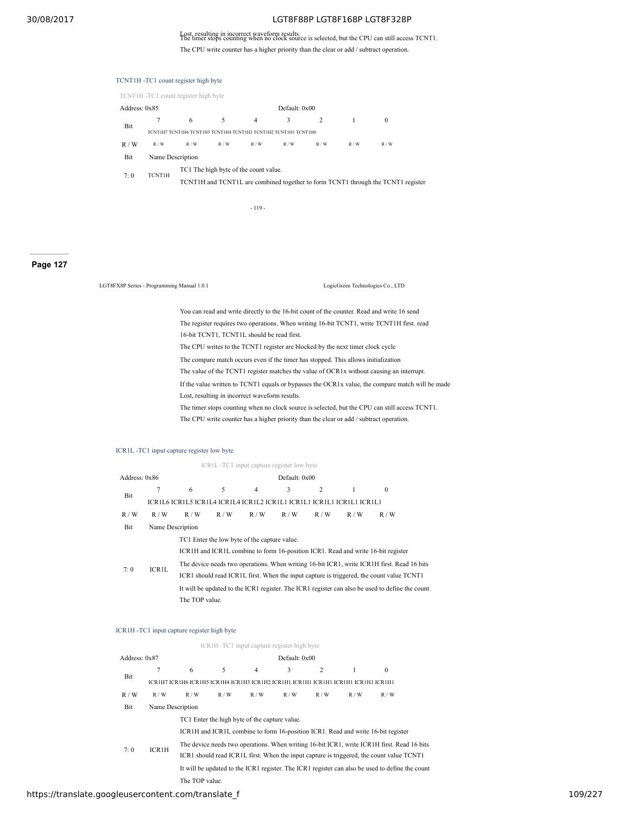Lost, resulting in incorrect waveform results. The timer stops counting when no clock source is selected, but the CPU can still access TCNT1. The CPU write counter has a higher priority than the clear or add / subtract operation.

|                                                                 |                                                                                  | TCNT1H -TC1 count register high byte  |     |                |     |     |     |          |  |  |  |
|-----------------------------------------------------------------|----------------------------------------------------------------------------------|---------------------------------------|-----|----------------|-----|-----|-----|----------|--|--|--|
|                                                                 |                                                                                  | TCNT1H-TC1 count register high byte   |     |                |     |     |     |          |  |  |  |
| Address: 0x85                                                   |                                                                                  |                                       |     | Default: 0x00  |     |     |     |          |  |  |  |
| Bit                                                             |                                                                                  | 6                                     | 5   | $\overline{4}$ | 3   | 2   |     | $\bf{0}$ |  |  |  |
| ТСМТІН7 ТСМТІН6 ТСМТІН5 ТСМТІН4 ТСМТІН3 ТСМТІН2 ТСМТІН1 ТСМТІН0 |                                                                                  |                                       |     |                |     |     |     |          |  |  |  |
| R/W                                                             | R/W                                                                              | R/W                                   | R/W | R/W            | R/W | R/W | R/W | R/W      |  |  |  |
| Bit                                                             | Name Description                                                                 |                                       |     |                |     |     |     |          |  |  |  |
|                                                                 | <b>TCNT1H</b>                                                                    | TC1 The high byte of the count value. |     |                |     |     |     |          |  |  |  |
| 7:0                                                             | TCNT1H and TCNT1L are combined together to form TCNT1 through the TCNT1 register |                                       |     |                |     |     |     |          |  |  |  |
|                                                                 |                                                                                  |                                       |     |                |     |     |     |          |  |  |  |

- 119 -

**Page 127**

LGT8FX8P Series - Programming Manual 1.0.1 LogicGreen Technologies Co., LTD

You can read and write directly to the 16-bit count of the counter. Read and write 16 send The register requires two operations. When writing 16-bit TCNT1, write TCNT1H first. read 16-bit TCNT1, TCNT1L should be read first. The CPU writes to the TCNT1 register are blocked by the next timer clock cycle The compare match occurs even if the timer has stopped. This allows initialization The value of the TCNT1 register matches the value of OCR1x without causing an interrupt. If the value written to TCNT1 equals or bypasses the OCR1x value, the compare match will be made Lost, resulting in incorrect waveform results.

The timer stops counting when no clock source is selected, but the CPU can still access TCNT1.

The CPU write counter has a higher priority than the clear or add / subtract operation.

## ICR1L -TC1 input capture register low byte

|               |                  |                                                                       |     | ICR1L -TC1 input capture register low byte   |               |                |     |                                                                                                 |  |  |  |  |
|---------------|------------------|-----------------------------------------------------------------------|-----|----------------------------------------------|---------------|----------------|-----|-------------------------------------------------------------------------------------------------|--|--|--|--|
| Address: 0x86 |                  |                                                                       |     |                                              | Default: 0x00 |                |     |                                                                                                 |  |  |  |  |
|               |                  | 6                                                                     | 5   | 4                                            | 3             | $\overline{c}$ |     | $\theta$                                                                                        |  |  |  |  |
| Bit           |                  | ICR1L6 ICR1L5 ICR1L4 ICR1L4 ICR1L2 ICR1L1 ICR1L1 ICR1L1 ICR1L1 ICR1L1 |     |                                              |               |                |     |                                                                                                 |  |  |  |  |
| R/W           | R/W              | R/W                                                                   | R/W | R/W                                          | R/W           | R/W            | R/W | R/W                                                                                             |  |  |  |  |
| Bit           | Name Description |                                                                       |     |                                              |               |                |     |                                                                                                 |  |  |  |  |
|               |                  |                                                                       |     | TC1 Enter the low byte of the capture value. |               |                |     |                                                                                                 |  |  |  |  |
|               |                  |                                                                       |     |                                              |               |                |     | ICR1H and ICR1L combine to form 16-position ICR1. Read and write 16-bit register                |  |  |  |  |
| 7:0           | <b>ICR1L</b>     |                                                                       |     |                                              |               |                |     | The device needs two operations. When writing 16-bit ICR1, write ICR1H first. Read 16 bits      |  |  |  |  |
|               |                  |                                                                       |     |                                              |               |                |     | ICR1 should read ICR1L first. When the input capture is triggered, the count value TCNT1        |  |  |  |  |
|               |                  |                                                                       |     |                                              |               |                |     | It will be updated to the ICR1 register. The ICR1 register can also be used to define the count |  |  |  |  |
|               |                  | The TOP value.                                                        |     |                                              |               |                |     |                                                                                                 |  |  |  |  |

## ICR1H -TC1 input capture register high byte

|               |                  |                                                                                                                                   |     | ICR1H-TC1 input capture register high byte |               |     |     |                                                                                                                                                                                        |  |  |  |
|---------------|------------------|-----------------------------------------------------------------------------------------------------------------------------------|-----|--------------------------------------------|---------------|-----|-----|----------------------------------------------------------------------------------------------------------------------------------------------------------------------------------------|--|--|--|
| Address: 0x87 |                  |                                                                                                                                   |     |                                            | Default: 0x00 |     |     |                                                                                                                                                                                        |  |  |  |
|               | 7                | 6                                                                                                                                 | 5   | 4                                          | 3             | 2   | 1   | $\Omega$                                                                                                                                                                               |  |  |  |
| Bit           |                  | ICRIH7 ICRIH6 ICRIH5 ICRIH4 ICRIH3 ICRIH2 ICRIH1 ICRIH1 ICRIH1 ICRIH1 ICRIH1 ICRIH1                                               |     |                                            |               |     |     |                                                                                                                                                                                        |  |  |  |
| R/W           | R/W              | R/W                                                                                                                               | R/W | R/W                                        | R/W           | R/W | R/W | R/W                                                                                                                                                                                    |  |  |  |
| Bit           | Name Description |                                                                                                                                   |     |                                            |               |     |     |                                                                                                                                                                                        |  |  |  |
|               |                  | TC1 Enter the high byte of the capture value.<br>ICR1H and ICR1L combine to form 16-position ICR1. Read and write 16-bit register |     |                                            |               |     |     |                                                                                                                                                                                        |  |  |  |
| 7:0           | <b>ICR1H</b>     |                                                                                                                                   |     |                                            |               |     |     | The device needs two operations. When writing 16-bit ICR1, write ICR1H first. Read 16 bits<br>ICR1 should read ICR1L first. When the input capture is triggered, the count value TCNT1 |  |  |  |
|               |                  |                                                                                                                                   |     |                                            |               |     |     | It will be updated to the ICR1 register. The ICR1 register can also be used to define the count                                                                                        |  |  |  |
|               |                  | The TOP value.                                                                                                                    |     |                                            |               |     |     |                                                                                                                                                                                        |  |  |  |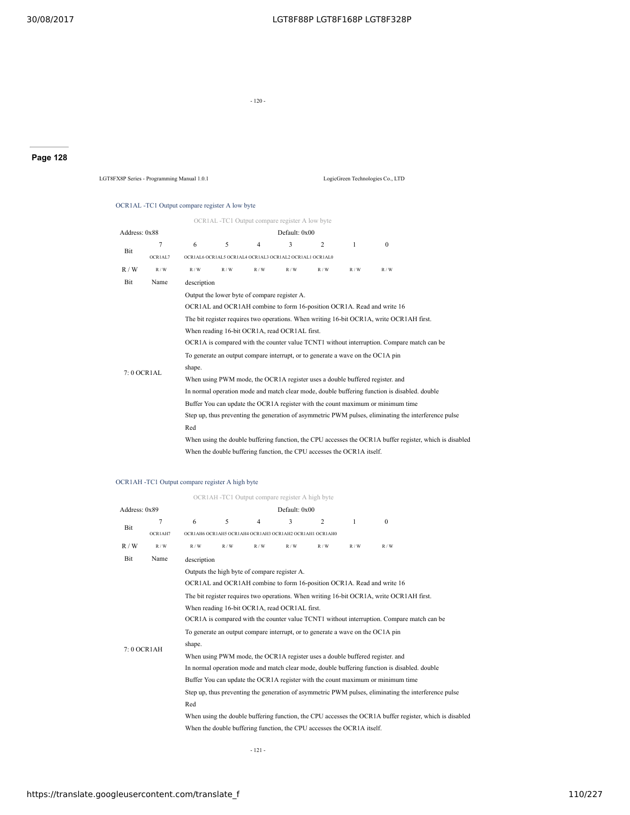- 120 -

# **Page 128**

LGT8FX8P Series - Programming Manual 1.0.1 LogicGreen Technologies Co., LTD

# OCR1AL -TC1 Output compare register A low byte

|               |         |                                                                                                         | OCR1AL -TC1 Output compare register A low byte                                 |                |               |     |     |                                                                                              |                                                                                                      |  |  |  |
|---------------|---------|---------------------------------------------------------------------------------------------------------|--------------------------------------------------------------------------------|----------------|---------------|-----|-----|----------------------------------------------------------------------------------------------|------------------------------------------------------------------------------------------------------|--|--|--|
| Address: 0x88 |         |                                                                                                         |                                                                                |                | Default: 0x00 |     |     |                                                                                              |                                                                                                      |  |  |  |
|               | 7       | 6                                                                                                       | 5                                                                              | $\overline{4}$ | 3             | 2   | 1   | $\mathbf{0}$                                                                                 |                                                                                                      |  |  |  |
| Bit           | OCR1AL7 |                                                                                                         | OCRIAL6 OCRIAL5 OCRIAL4 OCRIAL3 OCRIAL2 OCRIAL1 OCRIAL0                        |                |               |     |     |                                                                                              |                                                                                                      |  |  |  |
| R/W           | R/W     | R/W                                                                                                     | R/W                                                                            | R/W            | R/W           | R/W | R/W | R/W                                                                                          |                                                                                                      |  |  |  |
| Bit           | Name    | description                                                                                             |                                                                                |                |               |     |     |                                                                                              |                                                                                                      |  |  |  |
|               |         |                                                                                                         | Output the lower byte of compare register A.                                   |                |               |     |     |                                                                                              |                                                                                                      |  |  |  |
|               |         |                                                                                                         |                                                                                |                |               |     |     | OCR1AL and OCR1AH combine to form 16-position OCR1A. Read and write 16                       |                                                                                                      |  |  |  |
|               |         |                                                                                                         |                                                                                |                |               |     |     | The bit register requires two operations. When writing 16-bit OCR1A, write OCR1AH first.     |                                                                                                      |  |  |  |
|               |         |                                                                                                         | When reading 16-bit OCR1A, read OCR1AL first.                                  |                |               |     |     |                                                                                              |                                                                                                      |  |  |  |
|               |         | OCR1A is compared with the counter value TCNT1 without interruption. Compare match can be               |                                                                                |                |               |     |     |                                                                                              |                                                                                                      |  |  |  |
|               |         |                                                                                                         | To generate an output compare interrupt, or to generate a wave on the OC1A pin |                |               |     |     |                                                                                              |                                                                                                      |  |  |  |
| 7:0 OCR1AL    |         | shape.                                                                                                  |                                                                                |                |               |     |     |                                                                                              |                                                                                                      |  |  |  |
|               |         |                                                                                                         |                                                                                |                |               |     |     | When using PWM mode, the OCR1A register uses a double buffered register. and                 |                                                                                                      |  |  |  |
|               |         |                                                                                                         |                                                                                |                |               |     |     | In normal operation mode and match clear mode, double buffering function is disabled, double |                                                                                                      |  |  |  |
|               |         |                                                                                                         |                                                                                |                |               |     |     | Buffer You can update the OCR1A register with the count maximum or minimum time              |                                                                                                      |  |  |  |
|               |         |                                                                                                         |                                                                                |                |               |     |     |                                                                                              | Step up, thus preventing the generation of asymmetric PWM pulses, eliminating the interference pulse |  |  |  |
|               |         | Red                                                                                                     |                                                                                |                |               |     |     |                                                                                              |                                                                                                      |  |  |  |
|               |         | When using the double buffering function, the CPU accesses the OCR1A buffer register, which is disabled |                                                                                |                |               |     |     |                                                                                              |                                                                                                      |  |  |  |
|               |         |                                                                                                         | When the double buffering function, the CPU accesses the OCR1A itself.         |                |               |     |     |                                                                                              |                                                                                                      |  |  |  |

## OCR1AH -TC1 Output compare register A high byte

|               |                |                                                                                                         |       |                | OCR1AH -TC1 Output compare register A high byte         |                |                                                                        |                                                                                              |  |  |  |  |
|---------------|----------------|---------------------------------------------------------------------------------------------------------|-------|----------------|---------------------------------------------------------|----------------|------------------------------------------------------------------------|----------------------------------------------------------------------------------------------|--|--|--|--|
| Address: 0x89 |                |                                                                                                         |       |                | Default: 0x00                                           |                |                                                                        |                                                                                              |  |  |  |  |
| Bit           | $\overline{7}$ | 6                                                                                                       | 5     | $\overline{4}$ | 3                                                       | $\overline{2}$ | $\mathbf{1}$                                                           | $\Omega$                                                                                     |  |  |  |  |
|               | OCR1AH7        |                                                                                                         |       |                | OCRIAH6 OCRIAH5 OCRIAH4 OCRIAH3 OCRIAH2 OCRIAH1 OCRIAH0 |                |                                                                        |                                                                                              |  |  |  |  |
| R/W           | R / W          | R/W                                                                                                     | R / W | R / W          | R/W                                                     | R/W            | R/W                                                                    | R/W                                                                                          |  |  |  |  |
| Bit           | Name           | description                                                                                             |       |                |                                                         |                |                                                                        |                                                                                              |  |  |  |  |
|               |                | Outputs the high byte of compare register A.                                                            |       |                |                                                         |                |                                                                        |                                                                                              |  |  |  |  |
|               |                |                                                                                                         |       |                |                                                         |                |                                                                        | OCR1AL and OCR1AH combine to form 16-position OCR1A. Read and write 16                       |  |  |  |  |
|               |                |                                                                                                         |       |                |                                                         |                |                                                                        | The bit register requires two operations. When writing 16-bit OCR1A, write OCR1AH first.     |  |  |  |  |
|               |                | When reading 16-bit OCR1A, read OCR1AL first.                                                           |       |                |                                                         |                |                                                                        |                                                                                              |  |  |  |  |
|               |                | OCR1A is compared with the counter value TCNT1 without interruption. Compare match can be               |       |                |                                                         |                |                                                                        |                                                                                              |  |  |  |  |
|               |                | To generate an output compare interrupt, or to generate a wave on the OC1A pin                          |       |                |                                                         |                |                                                                        |                                                                                              |  |  |  |  |
| 7:0 OCR1AH    |                | shape.                                                                                                  |       |                |                                                         |                |                                                                        |                                                                                              |  |  |  |  |
|               |                |                                                                                                         |       |                |                                                         |                |                                                                        | When using PWM mode, the OCR1A register uses a double buffered register, and                 |  |  |  |  |
|               |                |                                                                                                         |       |                |                                                         |                |                                                                        | In normal operation mode and match clear mode, double buffering function is disabled, double |  |  |  |  |
|               |                |                                                                                                         |       |                |                                                         |                |                                                                        | Buffer You can update the OCR1A register with the count maximum or minimum time              |  |  |  |  |
|               |                | Step up, thus preventing the generation of asymmetric PWM pulses, eliminating the interference pulse    |       |                |                                                         |                |                                                                        |                                                                                              |  |  |  |  |
|               |                | Red                                                                                                     |       |                |                                                         |                |                                                                        |                                                                                              |  |  |  |  |
|               |                | When using the double buffering function, the CPU accesses the OCR1A buffer register, which is disabled |       |                |                                                         |                |                                                                        |                                                                                              |  |  |  |  |
|               |                |                                                                                                         |       |                |                                                         |                | When the double buffering function, the CPU accesses the OCR1A itself. |                                                                                              |  |  |  |  |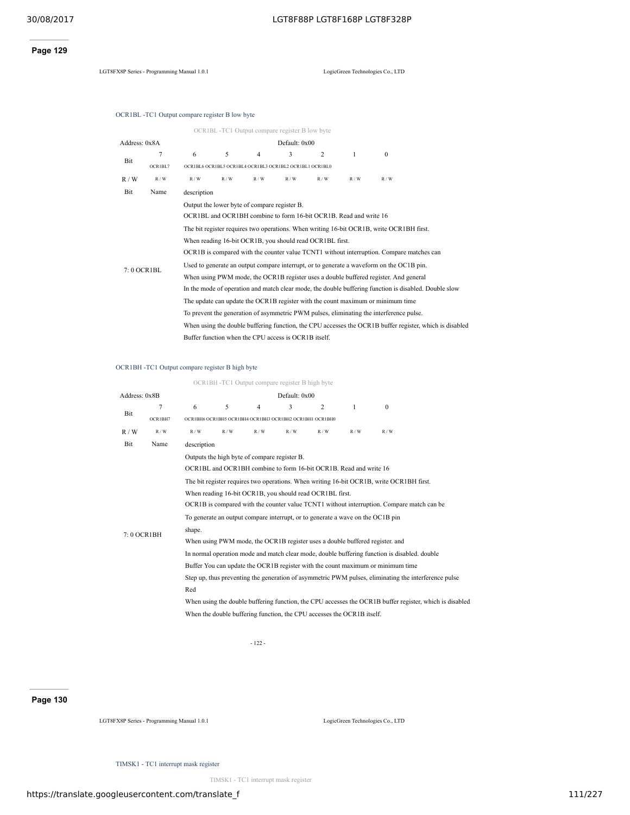# **Page 129**

LGT8FX8P Series - Programming Manual 1.0.1 LogicGreen Technologies Co., LTD

OCR1BL -TC1 Output compare register B low byte

|               |                |                                                                                                         | OCR1BL-TC1 Output compare register B low byte           |                |               |                                                                   |     |          |  |  |  |  |  |
|---------------|----------------|---------------------------------------------------------------------------------------------------------|---------------------------------------------------------|----------------|---------------|-------------------------------------------------------------------|-----|----------|--|--|--|--|--|
| Address: 0x8A |                |                                                                                                         |                                                         |                | Default: 0x00 |                                                                   |     |          |  |  |  |  |  |
| Bit           | $\overline{7}$ | 6                                                                                                       | 5                                                       | $\overline{4}$ | 3             | $\overline{c}$                                                    | 1   | $\Omega$ |  |  |  |  |  |
|               | OCR1BL7        |                                                                                                         | OCRIBL6 OCRIBL5 OCRIBL4 OCRIBL3 OCRIBL2 OCRIBL1 OCRIBL0 |                |               |                                                                   |     |          |  |  |  |  |  |
| R/W           | R/W            | R/W                                                                                                     | R/W                                                     | R/W            | R/W           | R/W                                                               | R/W | R/W      |  |  |  |  |  |
| Bit           | Name           | description                                                                                             |                                                         |                |               |                                                                   |     |          |  |  |  |  |  |
|               |                |                                                                                                         | Output the lower byte of compare register B.            |                |               |                                                                   |     |          |  |  |  |  |  |
|               |                |                                                                                                         |                                                         |                |               | OCR1BL and OCR1BH combine to form 16-bit OCR1B. Read and write 16 |     |          |  |  |  |  |  |
|               |                | The bit register requires two operations. When writing 16-bit OCR1B, write OCR1BH first.                |                                                         |                |               |                                                                   |     |          |  |  |  |  |  |
|               |                | When reading 16-bit OCR1B, you should read OCR1BL first.                                                |                                                         |                |               |                                                                   |     |          |  |  |  |  |  |
|               |                | OCR1B is compared with the counter value TCNT1 without interruption. Compare matches can                |                                                         |                |               |                                                                   |     |          |  |  |  |  |  |
| 7:0 OCR1BL    |                | Used to generate an output compare interrupt, or to generate a waveform on the OC1B pin.                |                                                         |                |               |                                                                   |     |          |  |  |  |  |  |
|               |                | When using PWM mode, the OCR1B register uses a double buffered register. And general                    |                                                         |                |               |                                                                   |     |          |  |  |  |  |  |
|               |                | In the mode of operation and match clear mode, the double buffering function is disabled. Double slow   |                                                         |                |               |                                                                   |     |          |  |  |  |  |  |
|               |                | The update can update the OCR1B register with the count maximum or minimum time                         |                                                         |                |               |                                                                   |     |          |  |  |  |  |  |
|               |                | To prevent the generation of asymmetric PWM pulses, eliminating the interference pulse.                 |                                                         |                |               |                                                                   |     |          |  |  |  |  |  |
|               |                | When using the double buffering function, the CPU accesses the OCR1B buffer register, which is disabled |                                                         |                |               |                                                                   |     |          |  |  |  |  |  |
|               |                | Buffer function when the CPU access is OCR1B itself.                                                    |                                                         |                |               |                                                                   |     |          |  |  |  |  |  |

## OCR1BH -TC1 Output compare register B high byte

OCR1BH -TC1 Output compare register B high byte

| Address: 0x8B |         |                                                                                |                                                          |                | Default: 0x00 |     |                                                                        |                                                                                              |                                                                                                         |  |  |
|---------------|---------|--------------------------------------------------------------------------------|----------------------------------------------------------|----------------|---------------|-----|------------------------------------------------------------------------|----------------------------------------------------------------------------------------------|---------------------------------------------------------------------------------------------------------|--|--|
| Bit           | 7       | 6                                                                              | 5                                                        | $\overline{4}$ | 3             | 2   | 1                                                                      | $\theta$                                                                                     |                                                                                                         |  |  |
|               | OCR1BH7 |                                                                                | OCR1BH6 OCR1BH5 OCR1BH4 OCR1BH3 OCR1BH2 OCR1BH1 OCR1BH0  |                |               |     |                                                                        |                                                                                              |                                                                                                         |  |  |
| R/W           | R/W     | R/W                                                                            | R/W                                                      | R/W            | R/W           | R/W | R/W                                                                    | R/W                                                                                          |                                                                                                         |  |  |
| Bit           | Name    | description                                                                    |                                                          |                |               |     |                                                                        |                                                                                              |                                                                                                         |  |  |
|               |         |                                                                                | Outputs the high byte of compare register B.             |                |               |     |                                                                        |                                                                                              |                                                                                                         |  |  |
|               |         |                                                                                |                                                          |                |               |     | OCR1BL and OCR1BH combine to form 16-bit OCR1B. Read and write 16      |                                                                                              |                                                                                                         |  |  |
|               |         |                                                                                |                                                          |                |               |     |                                                                        | The bit register requires two operations. When writing 16-bit OCR1B, write OCR1BH first.     |                                                                                                         |  |  |
|               |         |                                                                                | When reading 16-bit OCR1B, you should read OCR1BL first. |                |               |     |                                                                        |                                                                                              |                                                                                                         |  |  |
|               |         |                                                                                |                                                          |                |               |     |                                                                        | OCR1B is compared with the counter value TCNT1 without interruption. Compare match can be    |                                                                                                         |  |  |
|               |         | To generate an output compare interrupt, or to generate a wave on the OC1B pin |                                                          |                |               |     |                                                                        |                                                                                              |                                                                                                         |  |  |
| 7:0 OCR1BH    |         | shape.                                                                         |                                                          |                |               |     |                                                                        |                                                                                              |                                                                                                         |  |  |
|               |         |                                                                                |                                                          |                |               |     |                                                                        | When using PWM mode, the OCR1B register uses a double buffered register, and                 |                                                                                                         |  |  |
|               |         |                                                                                |                                                          |                |               |     |                                                                        | In normal operation mode and match clear mode, double buffering function is disabled. double |                                                                                                         |  |  |
|               |         |                                                                                |                                                          |                |               |     |                                                                        | Buffer You can update the OCR1B register with the count maximum or minimum time              |                                                                                                         |  |  |
|               |         |                                                                                |                                                          |                |               |     |                                                                        |                                                                                              | Step up, thus preventing the generation of asymmetric PWM pulses, eliminating the interference pulse    |  |  |
|               |         | Red                                                                            |                                                          |                |               |     |                                                                        |                                                                                              |                                                                                                         |  |  |
|               |         |                                                                                |                                                          |                |               |     |                                                                        |                                                                                              | When using the double buffering function, the CPU accesses the OCR1B buffer register, which is disabled |  |  |
|               |         |                                                                                |                                                          |                |               |     | When the double buffering function, the CPU accesses the OCR1B itself. |                                                                                              |                                                                                                         |  |  |

- 122 -

## **Page 130**

LGT8FX8P Series - Programming Manual 1.0.1 LogicGreen Technologies Co., LTD

TIMSK1 - TC1 interrupt mask register

TIMSK1 - TC1 interrupt mask register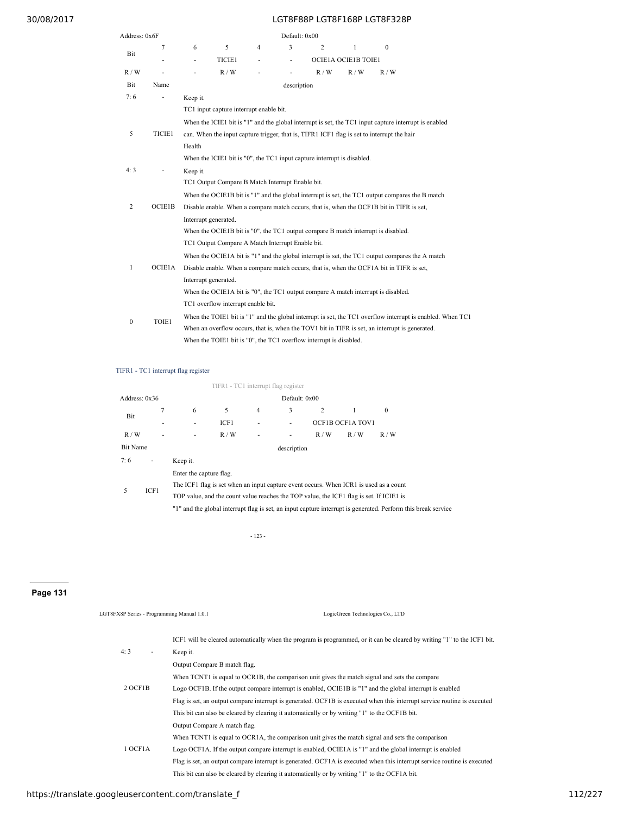| Address: 0x6F    |        |          |                                                                                   |                          | Default: 0x00 |                |                            |                                                                                                       |                                                                                                            |
|------------------|--------|----------|-----------------------------------------------------------------------------------|--------------------------|---------------|----------------|----------------------------|-------------------------------------------------------------------------------------------------------|------------------------------------------------------------------------------------------------------------|
|                  | 7      | 6        | 5                                                                                 | $\overline{4}$           | 3             | $\overline{2}$ | $\mathbf{1}$               | $\mathbf{0}$                                                                                          |                                                                                                            |
| Bit              |        | ٠        | TICIE1                                                                            | $\overline{\phantom{0}}$ |               |                | <b>OCIE1A OCIE1B TOIE1</b> |                                                                                                       |                                                                                                            |
| R/W              | ÷,     |          | R/W                                                                               |                          |               | R/W            | R/W                        | R/W                                                                                                   |                                                                                                            |
| Bit              | Name   |          |                                                                                   |                          | description   |                |                            |                                                                                                       |                                                                                                            |
| 7:6              | ۰      | Keep it. |                                                                                   |                          |               |                |                            |                                                                                                       |                                                                                                            |
|                  |        |          | TC1 input capture interrupt enable bit.                                           |                          |               |                |                            |                                                                                                       |                                                                                                            |
|                  |        |          |                                                                                   |                          |               |                |                            | When the ICIE1 bit is "1" and the global interrupt is set, the TC1 input capture interrupt is enabled |                                                                                                            |
| 5                | TICIE1 |          |                                                                                   |                          |               |                |                            | can. When the input capture trigger, that is, TIFR1 ICF1 flag is set to interrupt the hair            |                                                                                                            |
|                  |        | Health   |                                                                                   |                          |               |                |                            |                                                                                                       |                                                                                                            |
|                  |        |          | When the ICIE1 bit is "0", the TC1 input capture interrupt is disabled.           |                          |               |                |                            |                                                                                                       |                                                                                                            |
| 4:3              |        | Keep it. |                                                                                   |                          |               |                |                            |                                                                                                       |                                                                                                            |
|                  |        |          | TC1 Output Compare B Match Interrupt Enable bit.                                  |                          |               |                |                            |                                                                                                       |                                                                                                            |
|                  |        |          |                                                                                   |                          |               |                |                            | When the OCIE1B bit is "1" and the global interrupt is set, the TC1 output compares the B match       |                                                                                                            |
| 2                | OCIE1B |          |                                                                                   |                          |               |                |                            | Disable enable. When a compare match occurs, that is, when the OCF1B bit in TIFR is set,              |                                                                                                            |
|                  |        |          | Interrupt generated.                                                              |                          |               |                |                            |                                                                                                       |                                                                                                            |
|                  |        |          | When the OCIE1B bit is "0", the TC1 output compare B match interrupt is disabled. |                          |               |                |                            |                                                                                                       |                                                                                                            |
|                  |        |          | TC1 Output Compare A Match Interrupt Enable bit.                                  |                          |               |                |                            |                                                                                                       |                                                                                                            |
|                  |        |          |                                                                                   |                          |               |                |                            | When the OCIE1A bit is "1" and the global interrupt is set, the TC1 output compares the A match       |                                                                                                            |
| $\mathbf{1}$     | OCIE1A |          |                                                                                   |                          |               |                |                            | Disable enable. When a compare match occurs, that is, when the OCF1A bit in TIFR is set,              |                                                                                                            |
|                  |        |          | Interrupt generated.                                                              |                          |               |                |                            |                                                                                                       |                                                                                                            |
|                  |        |          |                                                                                   |                          |               |                |                            | When the OCIE1A bit is "0", the TC1 output compare A match interrupt is disabled.                     |                                                                                                            |
|                  |        |          | TC1 overflow interrupt enable bit.                                                |                          |               |                |                            |                                                                                                       |                                                                                                            |
| $\boldsymbol{0}$ | TOIE1  |          |                                                                                   |                          |               |                |                            |                                                                                                       | When the TOIE1 bit is "1" and the global interrupt is set, the TC1 overflow interrupt is enabled. When TC1 |
|                  |        |          |                                                                                   |                          |               |                |                            | When an overflow occurs, that is, when the TOV1 bit in TIFR is set, an interrupt is generated.        |                                                                                                            |
|                  |        |          | When the TOIE1 bit is "0", the TC1 overflow interrupt is disabled.                |                          |               |                |                            |                                                                                                       |                                                                                                            |

## TIFR1 - TC1 interrupt flag register

|                 |      |                                                                                                               | TIFR1 - TC1 interrupt flag register |   |               |                                                                                       |     |              |  |  |  |
|-----------------|------|---------------------------------------------------------------------------------------------------------------|-------------------------------------|---|---------------|---------------------------------------------------------------------------------------|-----|--------------|--|--|--|
| Address: 0x36   |      |                                                                                                               |                                     |   | Default: 0x00 |                                                                                       |     |              |  |  |  |
|                 | 7    | 6                                                                                                             | 5                                   | 4 | 3             | 2                                                                                     | 1   | $\mathbf{0}$ |  |  |  |
| Bit             | ۰    | ۰                                                                                                             | ICF1                                |   |               | OCF1B OCF1A TOV1                                                                      |     |              |  |  |  |
| R/W             |      |                                                                                                               | R/W                                 |   |               | R/W                                                                                   | R/W | R/W          |  |  |  |
| <b>Bit Name</b> |      |                                                                                                               |                                     |   | description   |                                                                                       |     |              |  |  |  |
| 7:6             | ٠    | Keep it.                                                                                                      |                                     |   |               |                                                                                       |     |              |  |  |  |
|                 |      | Enter the capture flag.                                                                                       |                                     |   |               |                                                                                       |     |              |  |  |  |
| 5               | ICF1 |                                                                                                               |                                     |   |               | The ICF1 flag is set when an input capture event occurs. When ICR1 is used as a count |     |              |  |  |  |
|                 |      | TOP value, and the count value reaches the TOP value, the ICF1 flag is set. If ICIE1 is                       |                                     |   |               |                                                                                       |     |              |  |  |  |
|                 |      | "1" and the global interrupt flag is set, an input capture interrupt is generated. Perform this break service |                                     |   |               |                                                                                       |     |              |  |  |  |

- 123 -

# **Page 131**

| LGT8FX8P Series - Programming Manual 1.0.1 | LogicGreen Technologies Co., LTD                                                                                         |
|--------------------------------------------|--------------------------------------------------------------------------------------------------------------------------|
|                                            | ICF1 will be cleared automatically when the program is programmed, or it can be cleared by writing "1" to the ICF1 bit.  |
| 4:3<br>$\sim$                              | Keep it.                                                                                                                 |
|                                            | Output Compare B match flag.                                                                                             |
|                                            | When TCNT1 is equal to OCR1B, the comparison unit gives the match signal and sets the compare                            |
| 2 OCF1B                                    | Logo OCF1B. If the output compare interrupt is enabled, OCIE1B is "1" and the global interrupt is enabled                |
|                                            | Flag is set, an output compare interrupt is generated. OCF1B is executed when this interrupt service routine is executed |
|                                            | This bit can also be cleared by clearing it automatically or by writing "1" to the OCF1B bit.                            |
|                                            | Output Compare A match flag.                                                                                             |
|                                            | When TCNT1 is equal to OCR1A, the comparison unit gives the match signal and sets the comparison                         |
| 1 OCF1A                                    | Logo OCF1A. If the output compare interrupt is enabled, OCIE1A is "1" and the global interrupt is enabled                |
|                                            | Flag is set, an output compare interrupt is generated. OCF1A is executed when this interrupt service routine is executed |
|                                            | This bit can also be cleared by clearing it automatically or by writing "1" to the OCF1A bit.                            |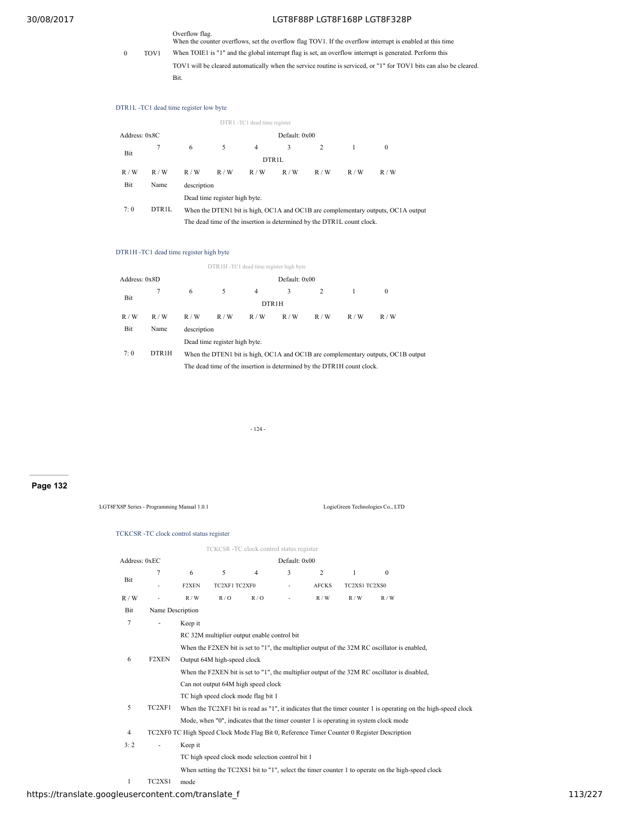Overflow flag. When the counter overflows, set the overflow flag TOV1. If the overflow interrupt is enabled at this time

- 0 TOV1 When TOIE1 is "1" and the global interrupt flag is set, an overflow interrupt is generated. Perform this
	- TOV1 will be cleared automatically when the service routine is serviced, or "1" for TOV1 bits can also be cleared. Bit.

## DTR1L -TC1 dead time register low byte

|               |                   |             |                                                                        | DTR1 -TC1 dead time register |     |     |     |                                                                                  |  |  |  |  |
|---------------|-------------------|-------------|------------------------------------------------------------------------|------------------------------|-----|-----|-----|----------------------------------------------------------------------------------|--|--|--|--|
| Address: 0x8C |                   |             | Default: 0x00                                                          |                              |     |     |     |                                                                                  |  |  |  |  |
| Bit           | 7                 | 6           | 5                                                                      | 4                            | 3   | 2   |     | $\mathbf{0}$                                                                     |  |  |  |  |
|               |                   |             | DTR1L                                                                  |                              |     |     |     |                                                                                  |  |  |  |  |
| R/W           | R/W               | R/W         | R/W                                                                    | R/W                          | R/W | R/W | R/W | R/W                                                                              |  |  |  |  |
| Bit           | Name              | description |                                                                        |                              |     |     |     |                                                                                  |  |  |  |  |
|               |                   |             | Dead time register high byte.                                          |                              |     |     |     |                                                                                  |  |  |  |  |
| 7:0           | DTR <sub>1L</sub> |             |                                                                        |                              |     |     |     | When the DTEN1 bit is high, OC1A and OC1B are complementary outputs, OC1A output |  |  |  |  |
|               |                   |             | The dead time of the insertion is determined by the DTR1L count clock. |                              |     |     |     |                                                                                  |  |  |  |  |

#### DTR1H -TC1 dead time register high byte

|               |                    |                                                                        |                               |                | DTR1H-TC1 dead time register high byte |     |     |                                                                                  |  |  |  |  |
|---------------|--------------------|------------------------------------------------------------------------|-------------------------------|----------------|----------------------------------------|-----|-----|----------------------------------------------------------------------------------|--|--|--|--|
| Address: 0x8D |                    |                                                                        | Default: 0x00                 |                |                                        |     |     |                                                                                  |  |  |  |  |
| Bit           |                    | 6                                                                      | 5.                            | $\overline{4}$ | 3                                      |     |     | $\mathbf{0}$                                                                     |  |  |  |  |
|               |                    | DTR <sub>1</sub> H                                                     |                               |                |                                        |     |     |                                                                                  |  |  |  |  |
| R/W           | R/W                | R/W                                                                    | R/W                           | R/W            | R/W                                    | R/W | R/W | R/W                                                                              |  |  |  |  |
| Bit           | Name               | description                                                            |                               |                |                                        |     |     |                                                                                  |  |  |  |  |
|               |                    |                                                                        | Dead time register high byte. |                |                                        |     |     |                                                                                  |  |  |  |  |
| 7:0           | DTR <sub>1</sub> H |                                                                        |                               |                |                                        |     |     | When the DTEN1 bit is high, OC1A and OC1B are complementary outputs, OC1B output |  |  |  |  |
|               |                    | The dead time of the insertion is determined by the DTR1H count clock. |                               |                |                                        |     |     |                                                                                  |  |  |  |  |

- 124 -

## **Page 132**

LGT8FX8P Series - Programming Manual 1.0.1 LogicGreen Technologies Co., LTD

## TCKCSR -TC clock control status register

|                |                                                                                              |         | TCKCSR-TC clock control status register          |                |               |              |               |                                                                                                   |                                                                                                                  |  |
|----------------|----------------------------------------------------------------------------------------------|---------|--------------------------------------------------|----------------|---------------|--------------|---------------|---------------------------------------------------------------------------------------------------|------------------------------------------------------------------------------------------------------------------|--|
| Address: 0xEC  |                                                                                              |         |                                                  |                | Default: 0x00 |              |               |                                                                                                   |                                                                                                                  |  |
| Bit            | 7                                                                                            | 6       | 5                                                | $\overline{4}$ | 3             | 2            | 1             | $\mathbf{0}$                                                                                      |                                                                                                                  |  |
|                | $\overline{\phantom{a}}$                                                                     | F2XEN   | TC2XF1 TC2XF0                                    |                | ٠             | <b>AFCKS</b> | TC2XS1 TC2XS0 |                                                                                                   |                                                                                                                  |  |
| R/W            |                                                                                              | R / W   | R/O                                              | R/O            |               | R/W          | R/W           | R/W                                                                                               |                                                                                                                  |  |
| Bit            | Name Description                                                                             |         |                                                  |                |               |              |               |                                                                                                   |                                                                                                                  |  |
| 7              | $\qquad \qquad \blacksquare$                                                                 | Keep it |                                                  |                |               |              |               |                                                                                                   |                                                                                                                  |  |
|                |                                                                                              |         | RC 32M multiplier output enable control bit      |                |               |              |               |                                                                                                   |                                                                                                                  |  |
|                | When the F2XEN bit is set to "1", the multiplier output of the 32M RC oscillator is enabled, |         |                                                  |                |               |              |               |                                                                                                   |                                                                                                                  |  |
| 6              | F2XEN                                                                                        |         | Output 64M high-speed clock                      |                |               |              |               |                                                                                                   |                                                                                                                  |  |
|                |                                                                                              |         |                                                  |                |               |              |               | When the F2XEN bit is set to $"1"$ , the multiplier output of the 32M RC oscillator is disabled,  |                                                                                                                  |  |
|                |                                                                                              |         | Can not output 64M high speed clock              |                |               |              |               |                                                                                                   |                                                                                                                  |  |
|                |                                                                                              |         | TC high speed clock mode flag bit 1              |                |               |              |               |                                                                                                   |                                                                                                                  |  |
| 5              | TC2XF1                                                                                       |         |                                                  |                |               |              |               |                                                                                                   | When the $TC2XF1$ bit is read as "1", it indicates that the timer counter 1 is operating on the high-speed clock |  |
|                |                                                                                              |         |                                                  |                |               |              |               | Mode, when "0", indicates that the timer counter 1 is operating in system clock mode              |                                                                                                                  |  |
| $\overline{4}$ |                                                                                              |         |                                                  |                |               |              |               | TC2XF0 TC High Speed Clock Mode Flag Bit 0, Reference Timer Counter 0 Register Description        |                                                                                                                  |  |
| 3:2            | ۰                                                                                            | Keep it |                                                  |                |               |              |               |                                                                                                   |                                                                                                                  |  |
|                |                                                                                              |         | TC high speed clock mode selection control bit 1 |                |               |              |               |                                                                                                   |                                                                                                                  |  |
|                |                                                                                              |         |                                                  |                |               |              |               | When setting the TC2XS1 bit to "1", select the timer counter 1 to operate on the high-speed clock |                                                                                                                  |  |
|                |                                                                                              |         |                                                  |                |               |              |               |                                                                                                   |                                                                                                                  |  |

1 TC2XS1 mode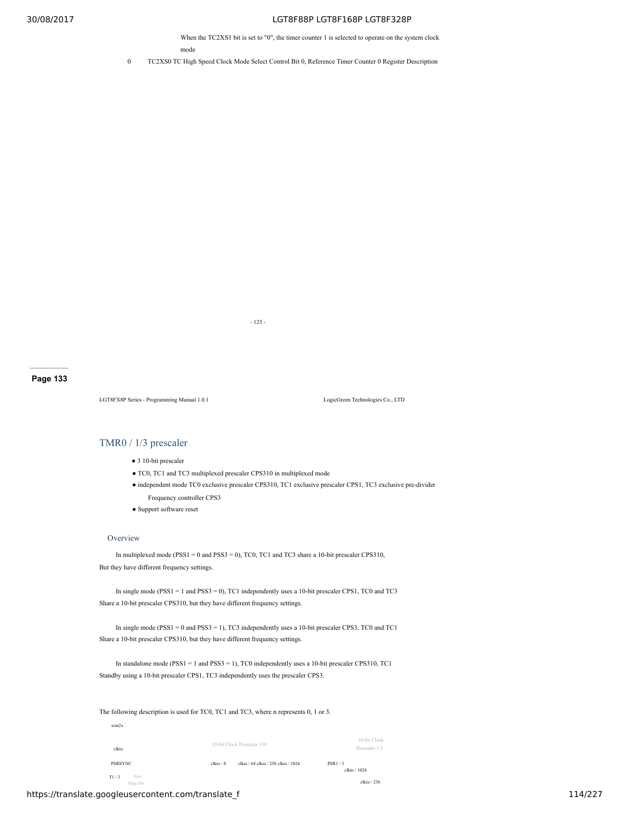When the TC2XS1 bit is set to "0", the timer counter 1 is selected to operate on the system clock mode

0 TC2XS0 TC High Speed Clock Mode Select Control Bit 0, Reference Timer Counter 0 Register Description

- 125 -

**Page 133**

LGT8FX8P Series - Programming Manual 1.0.1 LogicGreen Technologies Co., LTD

## TMR0 / 1/3 prescaler

- 3 10-bit prescaler
- TC0, TC1 and TC3 multiplexed prescaler CPS310 in multiplexed mode
- independent mode TC0 exclusive prescaler CPS310, TC1 exclusive prescaler CPS1, TC3 exclusive pre-divider Frequency controller CPS3
- Support software reset

## **Overview**

In multiplexed mode (PSS1 = 0 and PSS3 = 0), TC0, TC1 and TC3 share a 10-bit prescaler CPS310, But they have different frequency settings.

In single mode (PSS1 = 1 and PSS3 = 0), TC1 independently uses a 10-bit prescaler CPS1, TC0 and TC3 Share a 10-bit prescaler CPS310, but they have different frequency settings.

In single mode (PSS1 = 0 and PSS3 = 1), TC3 independently uses a 10-bit prescaler CPS3, TC0 and TC1 Share a 10-bit prescaler CPS310, but they have different frequency settings.

In standalone mode (PSS1 = 1 and PSS3 = 1), TC0 independently uses a 10-bit prescaler CPS310, TC1 Standby using a 10-bit prescaler CPS1, TC3 independently uses the prescaler CPS3.

The following description is used for TC0, TC1 and TC3, where n represents 0, 1 or 3.

| Sync<br>T1/3<br>Edge Det |           |                                     | clkio / 256                   |
|--------------------------|-----------|-------------------------------------|-------------------------------|
| <b>PSRSYNC</b>           | clkio / 8 | clkio / 64 clkio / 256 clkio / 1024 | <b>PSR1/3</b><br>clkio / 1024 |
| clkio                    |           | 10-bit Clock Prescaler 310          | 10-bit Clock<br>Prescaler 1/3 |
| rem2x                    |           |                                     |                               |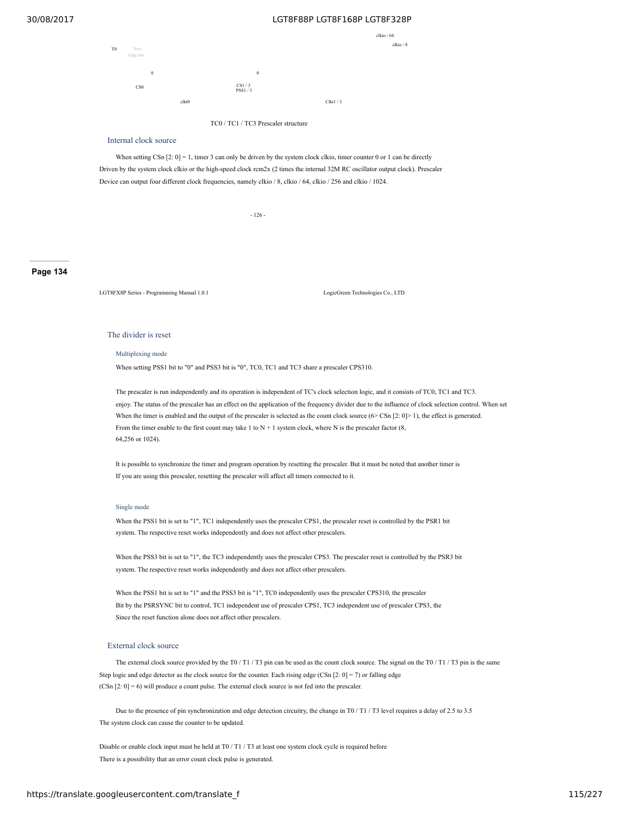

#### Internal clock source

When setting CSn  $[2: 0] = 1$ , timer 3 can only be driven by the system clock clkio, timer counter 0 or 1 can be directly Driven by the system clock clkio or the high-speed clock rcm2x (2 times the internal 32M RC oscillator output clock). Prescaler Device can output four different clock frequencies, namely clkio / 8, clkio / 64, clkio / 256 and clkio / 1024.

- 126 -

**Page 134**

LGT8FX8P Series - Programming Manual 1.0.1 LogicGreen Technologies Co., LTD

## The divider is reset

Multiplexing mode

When setting PSS1 bit to "0" and PSS3 bit is "0", TC0, TC1 and TC3 share a prescaler CPS310.

The prescaler is run independently and its operation is independent of TC's clock selection logic, and it consists of TC0, TC1 and TC3. enjoy. The status of the prescaler has an effect on the application of the frequency divider due to the influence of clock selection control. When set When the timer is enabled and the output of the prescaler is selected as the count clock source  $(6 > \text{CSn } [2: 0] > 1)$ , the effect is generated. From the timer enable to the first count may take 1 to  $N + 1$  system clock, where N is the prescaler factor (8, 64,256 or 1024).

It is possible to synchronize the timer and program operation by resetting the prescaler. But it must be noted that another timer is If you are using this prescaler, resetting the prescaler will affect all timers connected to it.

#### Single mode

When the PSS1 bit is set to "1", TC1 independently uses the prescaler CPS1, the prescaler reset is controlled by the PSR1 bit system. The respective reset works independently and does not affect other prescalers.

When the PSS3 bit is set to "1", the TC3 independently uses the prescaler CPS3. The prescaler reset is controlled by the PSR3 bit system. The respective reset works independently and does not affect other prescalers.

When the PSS1 bit is set to "1" and the PSS3 bit is "1", TC0 independently uses the prescaler CPS310, the prescaler Bit by the PSRSYNC bit to control, TC1 independent use of prescaler CPS1, TC3 independent use of prescaler CPS3, the Since the reset function alone does not affect other prescalers.

#### External clock source

The external clock source provided by the T0 / T1 / T3 pin can be used as the count clock source. The signal on the T0 / T1 / T3 pin is the same Step logic and edge detector as the clock source for the counter. Each rising edge (CSn  $[2: 0] = 7$ ) or falling edge (CSn [2: 0] = 6) will produce a count pulse. The external clock source is not fed into the prescaler.

Due to the presence of pin synchronization and edge detection circuitry, the change in T0 / T1 / T3 level requires a delay of 2.5 to 3.5 The system clock can cause the counter to be updated.

Disable or enable clock input must be held at T0 / T1 / T3 at least one system clock cycle is required before There is a possibility that an error count clock pulse is generated.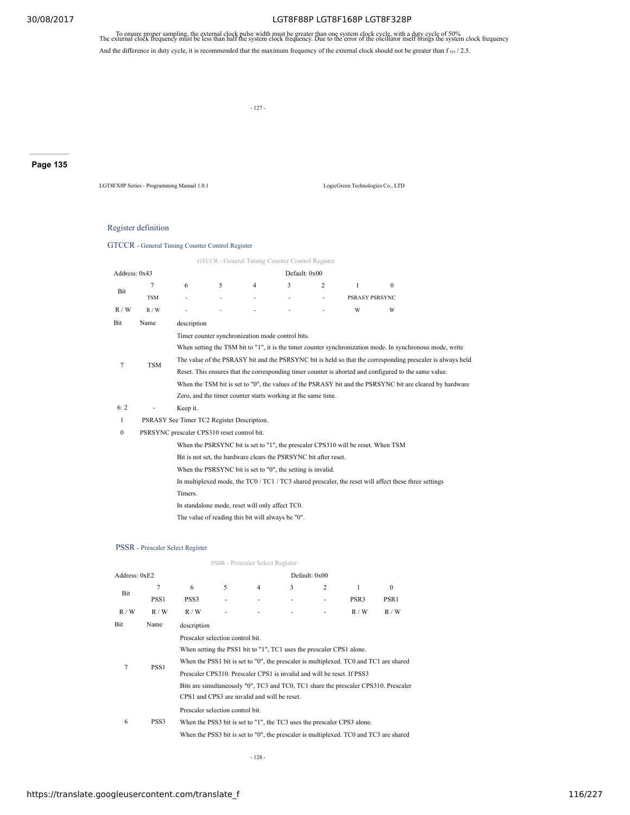To ensure proper sampling, the external clock pulse width must be greater than one system clock cycle, with a duty cycle of 50%<br>The external clock frequency must be less than half the system clock frequency. Due to the err

And the difference in duty cycle, it is recommended that the maximum frequency of the external clock should not be greater than  $f_{sys}$  / 2.5.

- 127 -

# **Page 135**

LGT8FX8P Series - Programming Manual 1.0.1 LogicGreen Technologies Co., LTD

## Register definition

## GTCCR - General Timing Counter Control Register

|               |            |                                                                                                            |   | GTCCR - General Timing Counter Control Register              |               |   |                |          |  |
|---------------|------------|------------------------------------------------------------------------------------------------------------|---|--------------------------------------------------------------|---------------|---|----------------|----------|--|
| Address: 0x43 |            |                                                                                                            |   |                                                              | Default: 0x00 |   |                |          |  |
|               |            | 6                                                                                                          | 5 | 4                                                            | 3             | 2 | 1              | $\Omega$ |  |
| Bit           | <b>TSM</b> | ٠                                                                                                          |   |                                                              |               |   | PSRASY PSRSYNC |          |  |
| R/W           | R/W        |                                                                                                            |   |                                                              |               |   | W              | W        |  |
| Bit           | Name       | description                                                                                                |   |                                                              |               |   |                |          |  |
|               |            |                                                                                                            |   | Timer counter synchronization mode control bits.             |               |   |                |          |  |
|               |            | When setting the TSM bit to "1", it is the timer counter synchronization mode. In synchronous mode, write  |   |                                                              |               |   |                |          |  |
| 7             | <b>TSM</b> | The value of the PSRASY bit and the PSRSYNC bit is held so that the corresponding prescaler is always held |   |                                                              |               |   |                |          |  |
|               |            | Reset. This ensures that the corresponding timer counter is aborted and configured to the same value.      |   |                                                              |               |   |                |          |  |
|               |            | When the TSM bit is set to "0", the values of the PSRASY bit and the PSRSYNC bit are cleared by hardware   |   |                                                              |               |   |                |          |  |
|               |            |                                                                                                            |   | Zero, and the timer counter starts working at the same time. |               |   |                |          |  |
| 6:2           |            | Keep it.                                                                                                   |   |                                                              |               |   |                |          |  |
|               |            |                                                                                                            |   |                                                              |               |   |                |          |  |

1 PSRASY See Timer TC2 Register Description.

0 PSRSYNC prescaler CPS310 reset control bit.

When the PSRSYNC bit is set to "1", the prescaler CPS310 will be reset. When TSM

Bit is not set, the hardware clears the PSRSYNC bit after reset.

When the PSRSYNC bit is set to "0", the setting is invalid.

In multiplexed mode, the TC0 / TC1 / TC3 shared prescaler, the reset will affect these three settings

Timers.

In standalone mode, reset will only affect TC0.

The value of reading this bit will always be "0".

#### PSSR - Prescaler Select Register

|               |                  |                                  |   | PSSR - Prescaler Select Register                                                                                                                                                               |   |               |                                                                                                                                                                  |                                                                                     |
|---------------|------------------|----------------------------------|---|------------------------------------------------------------------------------------------------------------------------------------------------------------------------------------------------|---|---------------|------------------------------------------------------------------------------------------------------------------------------------------------------------------|-------------------------------------------------------------------------------------|
| Address: 0xE2 |                  |                                  |   |                                                                                                                                                                                                |   | Default: 0x00 |                                                                                                                                                                  |                                                                                     |
| Bit           | 7                | 6                                | 5 | 4                                                                                                                                                                                              | 3 | 2             | 1                                                                                                                                                                | $\theta$                                                                            |
|               | PSS <sub>1</sub> | PSS <sub>3</sub>                 |   |                                                                                                                                                                                                |   |               | PSR <sub>3</sub>                                                                                                                                                 | PSR <sub>1</sub>                                                                    |
| R/W           | R/W              | R/W                              |   |                                                                                                                                                                                                |   |               | R/W                                                                                                                                                              | R/W                                                                                 |
| Bit           | Name             | description                      |   |                                                                                                                                                                                                |   |               |                                                                                                                                                                  |                                                                                     |
| 7             | PSS <sub>1</sub> | Prescaler selection control bit. |   | When setting the PSS1 bit to "1", TC1 uses the prescaler CPS1 alone.<br>Prescaler CPS310. Prescaler CPS1 is invalid and will be reset. If PSS3<br>CPS1 and CPS3 are invalid and will be reset. |   |               | When the PSS1 bit is set to "0", the prescaler is multiplexed. TC0 and TC1 are shared                                                                            | Bits are simultaneously "0", TC3 and TC0, TC1 share the prescaler CPS310. Prescaler |
| 6             | PSS <sub>3</sub> | Prescaler selection control bit. |   |                                                                                                                                                                                                |   |               | When the PSS3 bit is set to "1", the TC3 uses the prescaler CPS3 alone.<br>When the PSS3 bit is set to "0", the prescaler is multiplexed. TC0 and TC3 are shared |                                                                                     |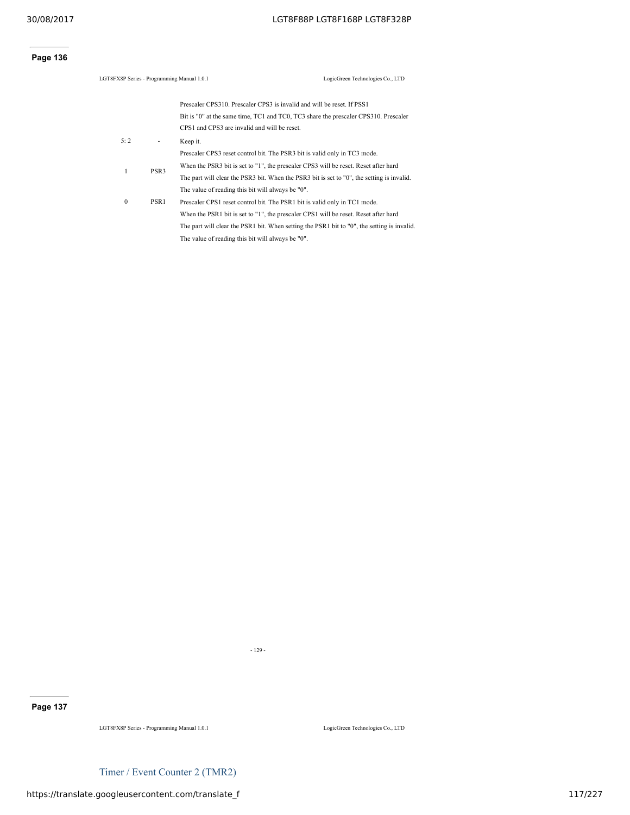# **Page 136**

| LGT8FX8P Series - Programming Manual 1.0.1 |                  |                                                                        | LogicGreen Technologies Co., LTD                                                            |
|--------------------------------------------|------------------|------------------------------------------------------------------------|---------------------------------------------------------------------------------------------|
|                                            |                  | Prescaler CPS310. Prescaler CPS3 is invalid and will be reset. If PSS1 |                                                                                             |
|                                            |                  |                                                                        | Bit is "0" at the same time, TC1 and TC0, TC3 share the prescaler CPS310. Prescaler         |
|                                            |                  | CPS1 and CPS3 are invalid and will be reset.                           |                                                                                             |
| 5:2                                        | ٠                | Keep it.                                                               |                                                                                             |
|                                            |                  |                                                                        | Prescaler CPS3 reset control bit. The PSR3 bit is valid only in TC3 mode.                   |
| 1                                          | PSR <sub>3</sub> |                                                                        | When the PSR3 bit is set to "1", the prescaler CPS3 will be reset. Reset after hard         |
|                                            |                  |                                                                        | The part will clear the PSR3 bit. When the PSR3 bit is set to "0", the setting is invalid.  |
|                                            |                  | The value of reading this bit will always be "0".                      |                                                                                             |
| $\bf{0}$                                   | PSR <sub>1</sub> |                                                                        | Prescaler CPS1 reset control bit. The PSR1 bit is valid only in TC1 mode.                   |
|                                            |                  |                                                                        | When the PSR1 bit is set to "1", the prescaler CPS1 will be reset. Reset after hard         |
|                                            |                  |                                                                        | The part will clear the PSR1 bit. When setting the PSR1 bit to "0", the setting is invalid. |
|                                            |                  | The value of reading this bit will always be "0".                      |                                                                                             |
|                                            |                  |                                                                        |                                                                                             |

- 129 -

# **Page 137**

LGT8FX8P Series - Programming Manual 1.0.1 LogicGreen Technologies Co., LTD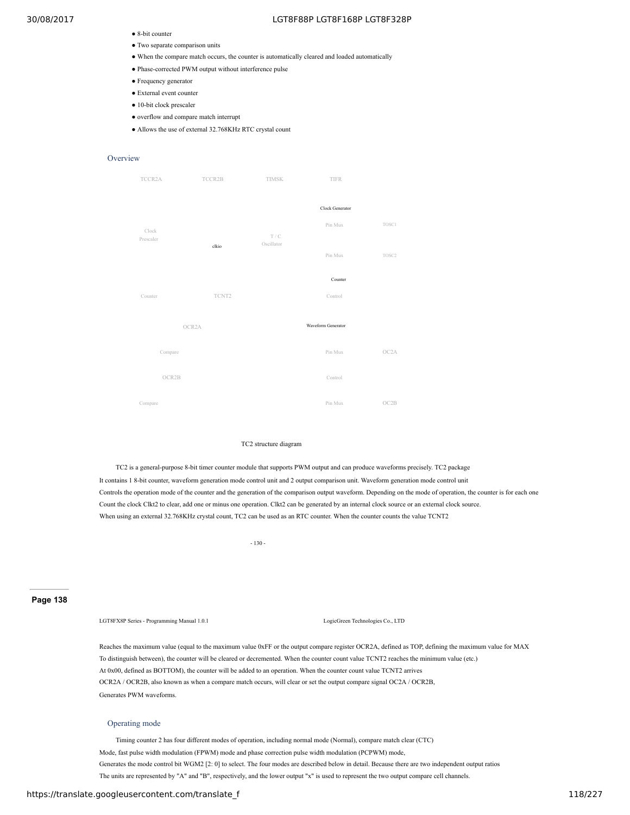- 8-bit counter
- Two separate comparison units
- When the compare match occurs, the counter is automatically cleared and loaded automatically
- Phase-corrected PWM output without interference pulse
- Frequency generator
- External event counter
- 10-bit clock prescaler
- overflow and compare match interrupt
- Allows the use of external 32.768KHz RTC crystal count

## **Overview**



#### TC2 structure diagram

TC2 is a general-purpose 8-bit timer counter module that supports PWM output and can produce waveforms precisely. TC2 package It contains 1 8-bit counter, waveform generation mode control unit and 2 output comparison unit. Waveform generation mode control unit Controls the operation mode of the counter and the generation of the comparison output waveform. Depending on the mode of operation, the counter is for each one Count the clock Clkt2 to clear, add one or minus one operation. Clkt2 can be generated by an internal clock source or an external clock source. When using an external 32.768KHz crystal count, TC2 can be used as an RTC counter. When the counter counts the value TCNT2

- 130 -

**Page 138**

#### LGT8FX8P Series - Programming Manual 1.0.1 LogicGreen Technologies Co., LTD

Reaches the maximum value (equal to the maximum value 0xFF or the output compare register OCR2A, defined as TOP, defining the maximum value for MAX To distinguish between), the counter will be cleared or decremented. When the counter count value TCNT2 reaches the minimum value (etc.) At 0x00, defined as BOTTOM), the counter will be added to an operation. When the counter count value TCNT2 arrives OCR2A / OCR2B, also known as when a compare match occurs, will clear or set the output compare signal OC2A / OCR2B, Generates PWM waveforms.

### Operating mode

Timing counter 2 has four different modes of operation, including normal mode (Normal), compare match clear (CTC) Mode, fast pulse width modulation (FPWM) mode and phase correction pulse width modulation (PCPWM) mode, Generates the mode control bit WGM2 [2: 0] to select. The four modes are described below in detail. Because there are two independent output ratios The units are represented by "A" and "B", respectively, and the lower output "x" is used to represent the two output compare cell channels.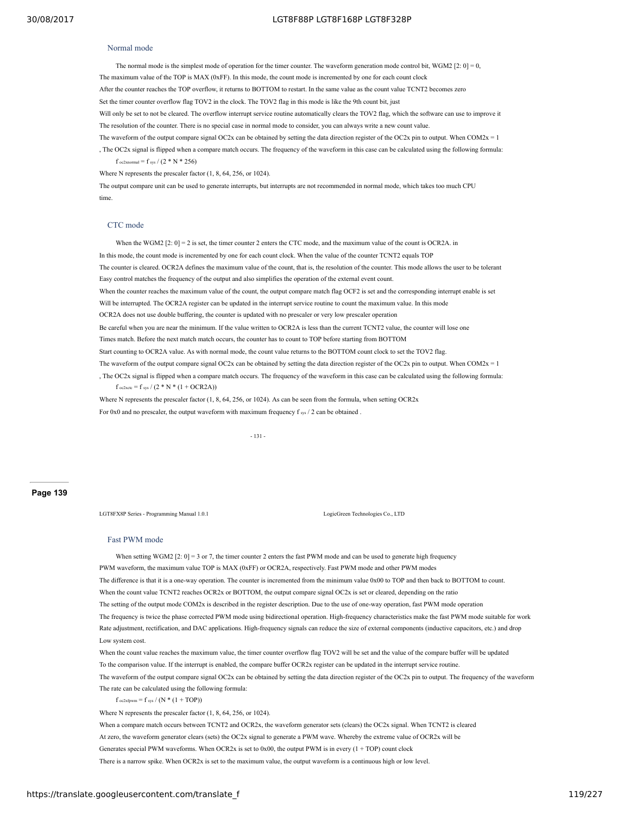#### Normal mode

The normal mode is the simplest mode of operation for the timer counter. The waveform generation mode control bit, WGM2 [2:  $0$ ] = 0, The maximum value of the TOP is MAX (0xFF). In this mode, the count mode is incremented by one for each count clock After the counter reaches the TOP overflow, it returns to BOTTOM to restart. In the same value as the count value TCNT2 becomes zero Set the timer counter overflow flag TOV2 in the clock. The TOV2 flag in this mode is like the 9th count bit, just Will only be set to not be cleared. The overflow interrupt service routine automatically clears the TOV2 flag, which the software can use to improve it The resolution of the counter. There is no special case in normal mode to consider, you can always write a new count value.

The waveform of the output compare signal OC2x can be obtained by setting the data direction register of the OC2x pin to output. When COM2x = 1

, The OC2x signal is flipped when a compare match occurs. The frequency of the waveform in this case can be calculated using the following formula:  $f_{\text{ocznormal}} = f_{\text{sys}} / (2 * N * 256)$ 

Where N represents the prescaler factor (1, 8, 64, 256, or 1024).

The output compare unit can be used to generate interrupts, but interrupts are not recommended in normal mode, which takes too much CPU time.

#### CTC mode

When the WGM2 [2: 0] = 2 is set, the timer counter 2 enters the CTC mode, and the maximum value of the count is OCR2A. in In this mode, the count mode is incremented by one for each count clock. When the value of the counter TCNT2 equals TOP The counter is cleared. OCR2A defines the maximum value of the count, that is, the resolution of the counter. This mode allows the user to be tolerant Easy control matches the frequency of the output and also simplifies the operation of the external event count. When the counter reaches the maximum value of the count, the output compare match flag OCF2 is set and the corresponding interrupt enable is set Will be interrupted. The OCR2A register can be updated in the interrupt service routine to count the maximum value. In this mode OCR2A does not use double buffering, the counter is updated with no prescaler or very low prescaler operation Be careful when you are near the minimum. If the value written to OCR2A is less than the current TCNT2 value, the counter will lose one Times match. Before the next match match occurs, the counter has to count to TOP before starting from BOTTOM Start counting to OCR2A value. As with normal mode, the count value returns to the BOTTOM count clock to set the TOV2 flag. The waveform of the output compare signal OC2x can be obtained by setting the data direction register of the OC2x pin to output. When COM2x = 1 , The OC2x signal is flipped when a compare match occurs. The frequency of the waveform in this case can be calculated using the following formula:  $f_{\text{oc2xctc}} = f_{\text{sys}} / (2 * N * (1 + OCR2A))$ Where N represents the prescaler factor (1, 8, 64, 256, or 1024). As can be seen from the formula, when setting OCR2x

For 0x0 and no prescaler, the output waveform with maximum frequency  $f_{sys}$  / 2 can be obtained

- 131 -

#### **Page 139**

LGT8FX8P Series - Programming Manual 1.0.1 LogicGreen Technologies Co., LTD

#### Fast PWM mode

When setting WGM2 [2: 0] = 3 or 7, the timer counter 2 enters the fast PWM mode and can be used to generate high frequency PWM waveform, the maximum value TOP is MAX (0xFF) or OCR2A, respectively. Fast PWM mode and other PWM modes The difference is that it is a one-way operation. The counter is incremented from the minimum value 0x00 to TOP and then back to BOTTOM to count. When the count value TCNT2 reaches OCR2x or BOTTOM, the output compare signal OC2x is set or cleared, depending on the ratio The setting of the output mode COM2x is described in the register description. Due to the use of one-way operation, fast PWM mode operation The frequency is twice the phase corrected PWM mode using bidirectional operation. High-frequency characteristics make the fast PWM mode suitable for work Rate adjustment, rectification, and DAC applications. High-frequency signals can reduce the size of external components (inductive capacitors, etc.) and drop Low system cost.

When the count value reaches the maximum value, the timer counter overflow flag TOV2 will be set and the value of the compare buffer will be updated To the comparison value. If the interrupt is enabled, the compare buffer OCR2x register can be updated in the interrupt service routine. The waveform of the output compare signal OC2x can be obtained by setting the data direction register of the OC2x pin to output. The frequency of the waveform The rate can be calculated using the following formula:

 $f_{oc2xfwvm} = f_{sys} / (N * (1 + TOP))$ 

Where N represents the prescaler factor (1, 8, 64, 256, or 1024).

When a compare match occurs between TCNT2 and OCR2x, the waveform generator sets (clears) the OC2x signal. When TCNT2 is cleared

At zero, the waveform generator clears (sets) the OC2x signal to generate a PWM wave. Whereby the extreme value of OCR2x will be

Generates special PWM waveforms. When OCR2x is set to 0x00, the output PWM is in every  $(1 + TOP)$  count clock

There is a narrow spike. When OCR2x is set to the maximum value, the output waveform is a continuous high or low level.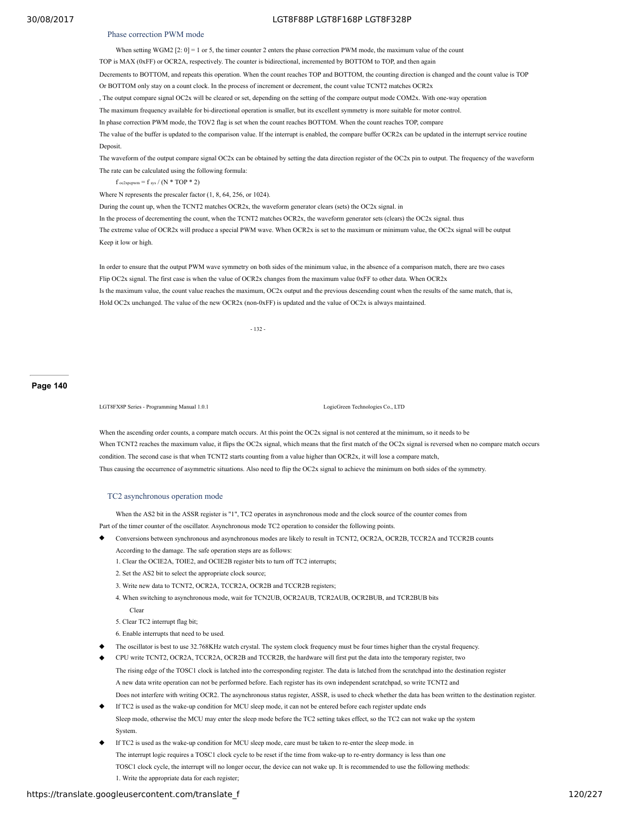#### Phase correction PWM mode

When setting WGM2  $[2: 0] = 1$  or 5, the timer counter 2 enters the phase correction PWM mode, the maximum value of the count TOP is MAX (0xFF) or OCR2A, respectively. The counter is bidirectional, incremented by BOTTOM to TOP, and then again Decrements to BOTTOM, and repeats this operation. When the count reaches TOP and BOTTOM, the counting direction is changed and the count value is TOP Or BOTTOM only stay on a count clock. In the process of increment or decrement, the count value TCNT2 matches OCR2x , The output compare signal OC2x will be cleared or set, depending on the setting of the compare output mode COM2x. With one-way operation The maximum frequency available for bi-directional operation is smaller, but its excellent symmetry is more suitable for motor control.

In phase correction PWM mode, the TOV2 flag is set when the count reaches BOTTOM. When the count reaches TOP, compare

The value of the buffer is updated to the comparison value. If the interrupt is enabled, the compare buffer OCR2x can be updated in the interrupt service routine **Deposit** 

The waveform of the output compare signal OC2x can be obtained by setting the data direction register of the OC2x pin to output. The frequency of the waveform The rate can be calculated using the following formula:

f oc2xpcpwm = f sys / (N \* TOP \* 2)

Where N represents the prescaler factor (1, 8, 64, 256, or 1024).

During the count up, when the TCNT2 matches OCR2x, the waveform generator clears (sets) the OC2x signal. in

In the process of decrementing the count, when the TCNT2 matches OCR2x, the waveform generator sets (clears) the OC2x signal. thus

The extreme value of OCR2x will produce a special PWM wave. When OCR2x is set to the maximum or minimum value, the OC2x signal will be output Keep it low or high.

In order to ensure that the output PWM wave symmetry on both sides of the minimum value, in the absence of a comparison match, there are two cases Flip OC2x signal. The first case is when the value of OCR2x changes from the maximum value 0xFF to other data. When OCR2x Is the maximum value, the count value reaches the maximum, OC2x output and the previous descending count when the results of the same match, that is, Hold OC2x unchanged. The value of the new OCR2x (non-0xFF) is updated and the value of OC2x is always maintained.

- 132 -

#### **Page 140**

LGT8FX8P Series - Programming Manual 1.0.1 LogicGreen Technologies Co., LTD

When the ascending order counts, a compare match occurs. At this point the OC2x signal is not centered at the minimum, so it needs to be When TCNT2 reaches the maximum value, it flips the OC2x signal, which means that the first match of the OC2x signal is reversed when no compare match occurs condition. The second case is that when TCNT2 starts counting from a value higher than OCR2x, it will lose a compare match, Thus causing the occurrence of asymmetric situations. Also need to flip the OC2x signal to achieve the minimum on both sides of the symmetry.

#### TC2 asynchronous operation mode

When the AS2 bit in the ASSR register is "1", TC2 operates in asynchronous mode and the clock source of the counter comes from Part of the timer counter of the oscillator. Asynchronous mode TC2 operation to consider the following points.

- Conversions between synchronous and asynchronous modes are likely to result in TCNT2, OCR2A, OCR2B, TCCR2A and TCCR2B counts According to the damage. The safe operation steps are as follows:
	- 1. Clear the OCIE2A, TOIE2, and OCIE2B register bits to turn off TC2 interrupts;
	- 2. Set the AS2 bit to select the appropriate clock source;
	- 3. Write new data to TCNT2, OCR2A, TCCR2A, OCR2B and TCCR2B registers;
	- 4. When switching to asynchronous mode, wait for TCN2UB, OCR2AUB, TCR2AUB, OCR2BUB, and TCR2BUB bits

Clear

- 5. Clear TC2 interrupt flag bit;
- 6. Enable interrupts that need to be used.
- The oscillator is best to use 32.768KHz watch crystal. The system clock frequency must be four times higher than the crystal frequency.
- CPU write TCNT2, OCR2A, TCCR2A, OCR2B and TCCR2B, the hardware will first put the data into the temporary register, two

The rising edge of the TOSC1 clock is latched into the corresponding register. The data is latched from the scratchpad into the destination register A new data write operation can not be performed before. Each register has its own independent scratchpad, so write TCNT2 and Does not interfere with writing OCR2. The asynchronous status register, ASSR, is used to check whether the data has been written to the destination register.

- If TC2 is used as the wake-up condition for MCU sleep mode, it can not be entered before each register update ends Sleep mode, otherwise the MCU may enter the sleep mode before the TC2 setting takes effect, so the TC2 can not wake up the system **System**
- If  $TC2$  is used as the wake-up condition for MCU sleep mode, care must be taken to re-enter the sleep mode, in The interrupt logic requires a TOSC1 clock cycle to be reset if the time from wake-up to re-entry dormancy is less than one TOSC1 clock cycle, the interrupt will no longer occur, the device can not wake up. It is recommended to use the following methods: 1. Write the appropriate data for each register;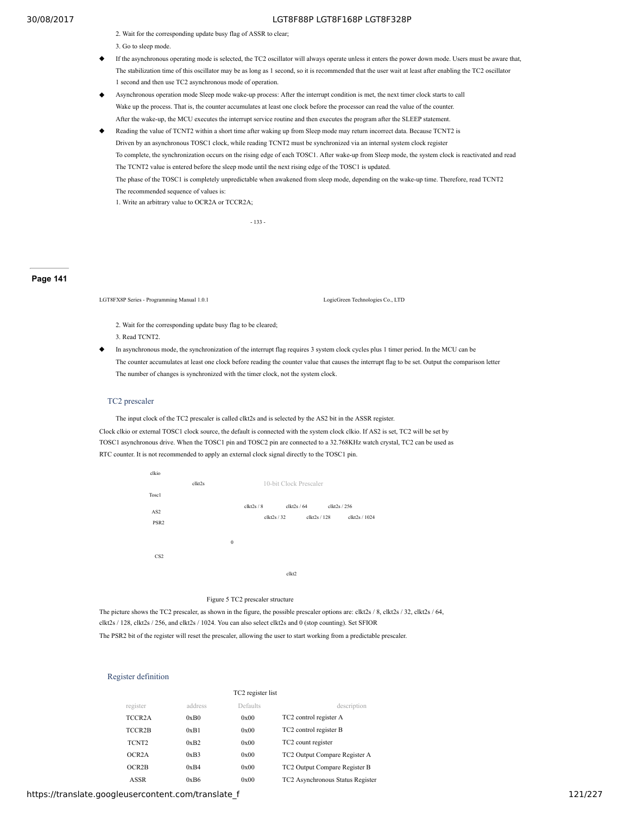2. Wait for the corresponding update busy flag of ASSR to clear;

3. Go to sleep mode.

- If the asynchronous operating mode is selected, the TC2 oscillator will always operate unless it enters the power down mode. Users must be aware that, The stabilization time of this oscillator may be as long as 1 second, so it is recommended that the user wait at least after enabling the TC2 oscillator 1 second and then use TC2 asynchronous mode of operation.
- Asynchronous operation mode Sleep mode wake-up process: After the interrupt condition is met, the next timer clock starts to call Wake up the process. That is, the counter accumulates at least one clock before the processor can read the value of the counter. After the wake-up, the MCU executes the interrupt service routine and then executes the program after the SLEEP statement.
- Reading the value of TCNT2 within a short time after waking up from Sleep mode may return incorrect data. Because TCNT2 is Driven by an asynchronous TOSC1 clock, while reading TCNT2 must be synchronized via an internal system clock register To complete, the synchronization occurs on the rising edge of each TOSC1. After wake-up from Sleep mode, the system clock is reactivated and read The TCNT2 value is entered before the sleep mode until the next rising edge of the TOSC1 is updated. The phase of the TOSC1 is completely unpredictable when awakened from sleep mode, depending on the wake-up time. Therefore, read TCNT2 The recommended sequence of values is:

1. Write an arbitrary value to OCR2A or TCCR2A;

- 133 -

#### **Page 141**

LGT8FX8P Series - Programming Manual 1.0.1 LogicGreen Technologies Co., LTD

- 2. Wait for the corresponding update busy flag to be cleared;
- 3. Read TCNT2.
- In asynchronous mode, the synchronization of the interrupt flag requires 3 system clock cycles plus 1 timer period. In the MCU can be The counter accumulates at least one clock before reading the counter value that causes the interrupt flag to be set. Output the comparison letter The number of changes is synchronized with the timer clock, not the system clock.

#### TC2 prescaler

The input clock of the TC2 prescaler is called clkt2s and is selected by the AS2 bit in the ASSR register.

Clock clkio or external TOSC1 clock source, the default is connected with the system clock clkio. If AS2 is set, TC2 will be set by TOSC1 asynchronous drive. When the TOSC1 pin and TOSC2 pin are connected to a 32.768KHz watch crystal, TC2 can be used as RTC counter. It is not recommended to apply an external clock signal directly to the TOSC1 pin.



Figure 5 TC2 prescaler structure

The picture shows the TC2 prescaler, as shown in the figure, the possible prescaler options are: clkt2s / 8, clkt2s / 32, clkt2s / 64, clkt2s / 128, clkt2s / 256, and clkt2s / 1024. You can also select clkt2s and 0 (stop counting). Set SFIOR

The PSR2 bit of the register will reset the prescaler, allowing the user to start working from a predictable prescaler.

#### Register definition

|                     |         | TC2 register list |                                  |
|---------------------|---------|-------------------|----------------------------------|
| register            | address | Defaults          | description                      |
| TCCR <sub>2</sub> A | 0xB0    | 0x00              | TC2 control register A           |
| TCCR2B              | 0xB1    | 0x00              | TC2 control register B           |
| TCNT <sub>2</sub>   | 0xB2    | 0x00              | TC2 count register               |
| OCR <sub>2</sub> A  | 0xB3    | 0x00              | TC2 Output Compare Register A    |
| OCR2B               | 0xB4    | 0x00              | TC2 Output Compare Register B    |
| ASSR                | 0xB6    | 0x00              | TC2 Asynchronous Status Register |

#### https://translate.googleusercontent.com/translate\_f 121/227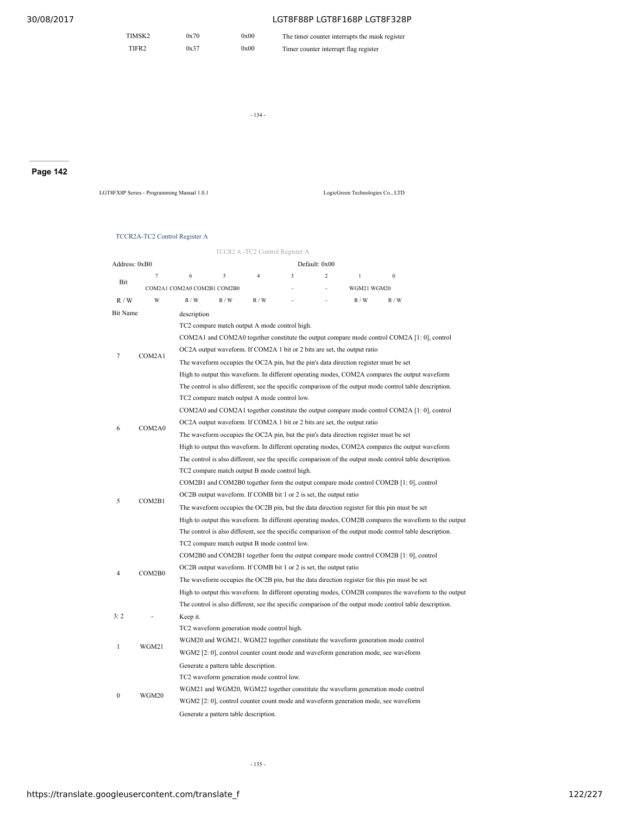| TIMSK2 | 0x70 | 0x00 | The timer counter interrupts the mask register |
|--------|------|------|------------------------------------------------|
| TIFR2  | 0x37 | 0x00 | Timer counter interrupt flag register          |

- 134 -

# **Page 142**

LGT8FX8P Series - Programming Manual 1.0.1 LogicGreen Technologies Co., LTD

## TCCR2A-TC2 Control Register A

|               |        |                                                                                                                                                                       |                                               | TCCR2 A -TC2 Control Register A |   |                |                                                                                       |                                                                                                          |                                                                                                       |  |
|---------------|--------|-----------------------------------------------------------------------------------------------------------------------------------------------------------------------|-----------------------------------------------|---------------------------------|---|----------------|---------------------------------------------------------------------------------------|----------------------------------------------------------------------------------------------------------|-------------------------------------------------------------------------------------------------------|--|
| Address: 0xB0 |        |                                                                                                                                                                       |                                               |                                 |   | Default: 0x00  |                                                                                       |                                                                                                          |                                                                                                       |  |
|               | $\tau$ | 6                                                                                                                                                                     | 5                                             | $\overline{4}$                  | 3 | $\overline{c}$ | $\mathbf{1}$                                                                          | $\mathbf{0}$                                                                                             |                                                                                                       |  |
| Bit           |        | COM2A1 COM2A0 COM2B1 COM2B0                                                                                                                                           |                                               |                                 |   |                | WGM21 WGM20                                                                           |                                                                                                          |                                                                                                       |  |
| R/W           | W      | R/W                                                                                                                                                                   | R/W                                           | R/W                             |   |                | R/W                                                                                   | R/W                                                                                                      |                                                                                                       |  |
| Bit Name      |        | description                                                                                                                                                           |                                               |                                 |   |                |                                                                                       |                                                                                                          |                                                                                                       |  |
|               |        |                                                                                                                                                                       | TC2 compare match output A mode control high. |                                 |   |                |                                                                                       |                                                                                                          |                                                                                                       |  |
|               |        |                                                                                                                                                                       |                                               |                                 |   |                |                                                                                       | COM2A1 and COM2A0 together constitute the output compare mode control COM2A [1: 0], control              |                                                                                                       |  |
| 7             | COM2A1 |                                                                                                                                                                       |                                               |                                 |   |                | OC2A output waveform. If COM2A 1 bit or 2 bits are set, the output ratio              |                                                                                                          |                                                                                                       |  |
|               |        |                                                                                                                                                                       |                                               |                                 |   |                | The waveform occupies the OC2A pin, but the pin's data direction register must be set |                                                                                                          |                                                                                                       |  |
|               |        |                                                                                                                                                                       |                                               |                                 |   |                |                                                                                       | High to output this waveform. In different operating modes, COM2A compares the output waveform           |                                                                                                       |  |
|               |        |                                                                                                                                                                       |                                               |                                 |   |                |                                                                                       | The control is also different, see the specific comparison of the output mode control table description. |                                                                                                       |  |
|               |        |                                                                                                                                                                       | TC2 compare match output A mode control low.  |                                 |   |                |                                                                                       |                                                                                                          |                                                                                                       |  |
|               |        |                                                                                                                                                                       |                                               |                                 |   |                |                                                                                       | COM2A0 and COM2A1 together constitute the output compare mode control COM2A [1: 0], control              |                                                                                                       |  |
| 6             | COM2A0 |                                                                                                                                                                       |                                               |                                 |   |                | OC2A output waveform. If COM2A 1 bit or 2 bits are set, the output ratio              |                                                                                                          |                                                                                                       |  |
|               |        | The waveform occupies the OC2A pin, but the pin's data direction register must be set                                                                                 |                                               |                                 |   |                |                                                                                       |                                                                                                          |                                                                                                       |  |
|               |        | High to output this waveform. In different operating modes, COM2A compares the output waveform                                                                        |                                               |                                 |   |                |                                                                                       |                                                                                                          |                                                                                                       |  |
|               |        | The control is also different, see the specific comparison of the output mode control table description.                                                              |                                               |                                 |   |                |                                                                                       |                                                                                                          |                                                                                                       |  |
|               |        | TC2 compare match output B mode control high.                                                                                                                         |                                               |                                 |   |                |                                                                                       |                                                                                                          |                                                                                                       |  |
|               |        | COM2B1 and COM2B0 together form the output compare mode control COM2B [1: 0], control                                                                                 |                                               |                                 |   |                |                                                                                       |                                                                                                          |                                                                                                       |  |
| 5             | COM2B1 | OC2B output waveform. If COMB bit 1 or 2 is set, the output ratio                                                                                                     |                                               |                                 |   |                |                                                                                       |                                                                                                          |                                                                                                       |  |
|               |        | The waveform occupies the OC2B pin, but the data direction register for this pin must be set                                                                          |                                               |                                 |   |                |                                                                                       |                                                                                                          |                                                                                                       |  |
|               |        | High to output this waveform. In different operating modes, COM2B compares the waveform to the output                                                                 |                                               |                                 |   |                |                                                                                       |                                                                                                          |                                                                                                       |  |
|               |        | The control is also different, see the specific comparison of the output mode control table description.                                                              |                                               |                                 |   |                |                                                                                       |                                                                                                          |                                                                                                       |  |
|               |        | TC2 compare match output B mode control low.<br>COM2B0 and COM2B1 together form the output compare mode control COM2B [1: 0], control                                 |                                               |                                 |   |                |                                                                                       |                                                                                                          |                                                                                                       |  |
|               |        |                                                                                                                                                                       |                                               |                                 |   |                |                                                                                       |                                                                                                          |                                                                                                       |  |
| 4             | COM2B0 | OC2B output waveform. If COMB bit 1 or 2 is set, the output ratio                                                                                                     |                                               |                                 |   |                |                                                                                       |                                                                                                          |                                                                                                       |  |
|               |        |                                                                                                                                                                       |                                               |                                 |   |                |                                                                                       | The waveform occupies the OC2B pin, but the data direction register for this pin must be set             |                                                                                                       |  |
|               |        |                                                                                                                                                                       |                                               |                                 |   |                |                                                                                       |                                                                                                          | High to output this waveform. In different operating modes, COM2B compares the waveform to the output |  |
|               |        |                                                                                                                                                                       |                                               |                                 |   |                |                                                                                       | The control is also different, see the specific comparison of the output mode control table description. |                                                                                                       |  |
| 3:2           |        | Keep it.                                                                                                                                                              |                                               |                                 |   |                |                                                                                       |                                                                                                          |                                                                                                       |  |
|               |        |                                                                                                                                                                       | TC2 waveform generation mode control high.    |                                 |   |                |                                                                                       |                                                                                                          |                                                                                                       |  |
| 1             | WGM21  | WGM20 and WGM21, WGM22 together constitute the waveform generation mode control<br>WGM2 [2: 0], control counter count mode and waveform generation mode, see waveform |                                               |                                 |   |                |                                                                                       |                                                                                                          |                                                                                                       |  |
|               |        |                                                                                                                                                                       |                                               |                                 |   |                |                                                                                       |                                                                                                          |                                                                                                       |  |
|               |        |                                                                                                                                                                       | Generate a pattern table description.         |                                 |   |                |                                                                                       |                                                                                                          |                                                                                                       |  |
|               |        |                                                                                                                                                                       | TC2 waveform generation mode control low.     |                                 |   |                |                                                                                       |                                                                                                          |                                                                                                       |  |
| 0             | WGM20  |                                                                                                                                                                       |                                               |                                 |   |                |                                                                                       | WGM21 and WGM20, WGM22 together constitute the waveform generation mode control                          |                                                                                                       |  |
|               |        |                                                                                                                                                                       |                                               |                                 |   |                |                                                                                       | WGM2 [2: 0], control counter count mode and waveform generation mode, see waveform                       |                                                                                                       |  |
|               |        |                                                                                                                                                                       | Generate a pattern table description.         |                                 |   |                |                                                                                       |                                                                                                          |                                                                                                       |  |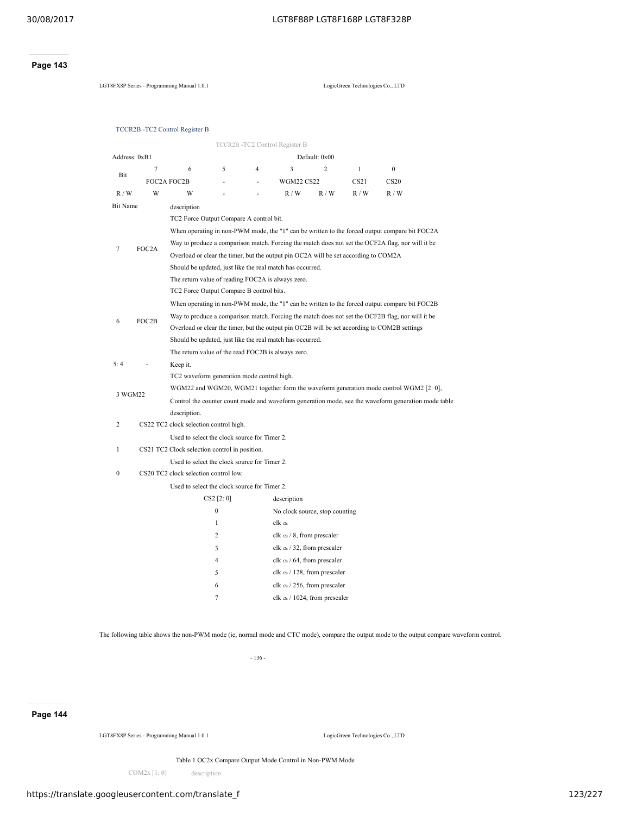## **Page 143**

LGT8FX8P Series - Programming Manual 1.0.1 LogicGreen Technologies Co., LTD

|  | TCCR2B - TC2 Control Register B |  |
|--|---------------------------------|--|
|  |                                 |  |

|                             |             |                                                                                                     |                |   | TCCR2B-TC2 Control Register B                 |                |              |                                                                                                  |  |  |
|-----------------------------|-------------|-----------------------------------------------------------------------------------------------------|----------------|---|-----------------------------------------------|----------------|--------------|--------------------------------------------------------------------------------------------------|--|--|
| Address: 0xB1               |             |                                                                                                     |                |   |                                               | Default: 0x00  |              |                                                                                                  |  |  |
|                             | $\tau$      | 6                                                                                                   | 5              | 4 | 3                                             | $\overline{c}$ | $\mathbf{1}$ | $\boldsymbol{0}$                                                                                 |  |  |
| Bit                         | FOC2A FOC2B |                                                                                                     |                |   | <b>WGM22 CS22</b>                             |                | CS21         | CS <sub>20</sub>                                                                                 |  |  |
| $\mathbb{R}$ / $\mathbb{W}$ | W           | W                                                                                                   |                |   | R/W                                           | R/W            | R/W          | R/W                                                                                              |  |  |
| <b>Bit Name</b>             |             | description                                                                                         |                |   |                                               |                |              |                                                                                                  |  |  |
|                             |             | TC2 Force Output Compare A control bit.                                                             |                |   |                                               |                |              |                                                                                                  |  |  |
|                             |             |                                                                                                     |                |   |                                               |                |              | When operating in non-PWM mode, the "1" can be written to the forced output compare bit FOC2A    |  |  |
| 7                           | FOC2A       |                                                                                                     |                |   |                                               |                |              | Way to produce a comparison match. Forcing the match does not set the OCF2A flag, nor will it be |  |  |
|                             |             | Overload or clear the timer, but the output pin OC2A will be set according to COM2A                 |                |   |                                               |                |              |                                                                                                  |  |  |
|                             |             | Should be updated, just like the real match has occurred.                                           |                |   |                                               |                |              |                                                                                                  |  |  |
|                             |             | The return value of reading FOC2A is always zero.                                                   |                |   |                                               |                |              |                                                                                                  |  |  |
|                             |             | TC2 Force Output Compare B control bits.                                                            |                |   |                                               |                |              |                                                                                                  |  |  |
|                             |             |                                                                                                     |                |   |                                               |                |              | When operating in non-PWM mode, the "1" can be written to the forced output compare bit FOC2B    |  |  |
| 6                           | FOC2B       | Way to produce a comparison match. Forcing the match does not set the OCF2B flag, nor will it be    |                |   |                                               |                |              |                                                                                                  |  |  |
|                             |             | Overload or clear the timer, but the output pin OC2B will be set according to COM2B settings        |                |   |                                               |                |              |                                                                                                  |  |  |
|                             |             | Should be updated, just like the real match has occurred.                                           |                |   |                                               |                |              |                                                                                                  |  |  |
|                             |             | The return value of the read FOC2B is always zero.                                                  |                |   |                                               |                |              |                                                                                                  |  |  |
| 5:4                         |             | Keep it.                                                                                            |                |   |                                               |                |              |                                                                                                  |  |  |
|                             |             | TC2 waveform generation mode control high.                                                          |                |   |                                               |                |              |                                                                                                  |  |  |
| 3 WGM22                     |             | WGM22 and WGM20, WGM21 together form the waveform generation mode control WGM2 [2: 0],              |                |   |                                               |                |              |                                                                                                  |  |  |
|                             |             | Control the counter count mode and waveform generation mode, see the waveform generation mode table |                |   |                                               |                |              |                                                                                                  |  |  |
|                             |             | description.                                                                                        |                |   |                                               |                |              |                                                                                                  |  |  |
| 2                           |             | CS22 TC2 clock selection control high.                                                              |                |   |                                               |                |              |                                                                                                  |  |  |
|                             |             | Used to select the clock source for Timer 2.                                                        |                |   |                                               |                |              |                                                                                                  |  |  |
| 1                           |             | CS21 TC2 Clock selection control in position.                                                       |                |   |                                               |                |              |                                                                                                  |  |  |
|                             |             | Used to select the clock source for Timer 2.<br>CS20 TC2 clock selection control low.               |                |   |                                               |                |              |                                                                                                  |  |  |
| $\boldsymbol{0}$            |             |                                                                                                     |                |   |                                               |                |              |                                                                                                  |  |  |
|                             |             | Used to select the clock source for Timer 2.                                                        | CS2 [2:0]      |   |                                               |                |              |                                                                                                  |  |  |
|                             |             |                                                                                                     | $\mathbf{0}$   |   | description                                   |                |              |                                                                                                  |  |  |
|                             |             |                                                                                                     | $\mathbf{1}$   |   | No clock source, stop counting<br>$clk_{t2s}$ |                |              |                                                                                                  |  |  |
|                             |             |                                                                                                     | $\overline{c}$ |   | clk $t_{2s}$ / 8, from prescaler              |                |              |                                                                                                  |  |  |
|                             |             |                                                                                                     | 3              |   | clk $t_{2s}$ / 32, from prescaler             |                |              |                                                                                                  |  |  |
|                             |             |                                                                                                     | 4              |   | clk $t_{2s}$ / 64, from prescaler             |                |              |                                                                                                  |  |  |
|                             |             |                                                                                                     | 5              |   | clk $t_{2s}$ / 128, from prescaler            |                |              |                                                                                                  |  |  |
|                             |             |                                                                                                     | 6              |   | clk $t_{2s}$ / 256, from prescaler            |                |              |                                                                                                  |  |  |
|                             |             |                                                                                                     | 7              |   | clk $\alpha$ s / 1024, from prescaler         |                |              |                                                                                                  |  |  |
|                             |             |                                                                                                     |                |   |                                               |                |              |                                                                                                  |  |  |

The following table shows the non-PWM mode (ie, normal mode and CTC mode), compare the output mode to the output compare waveform control.

- 136 -

**Page 144**

LGT8FX8P Series - Programming Manual 1.0.1 LogicGreen Technologies Co., LTD

Table 1 OC2x Compare Output Mode Control in Non-PWM Mode

COM2x [1: 0] description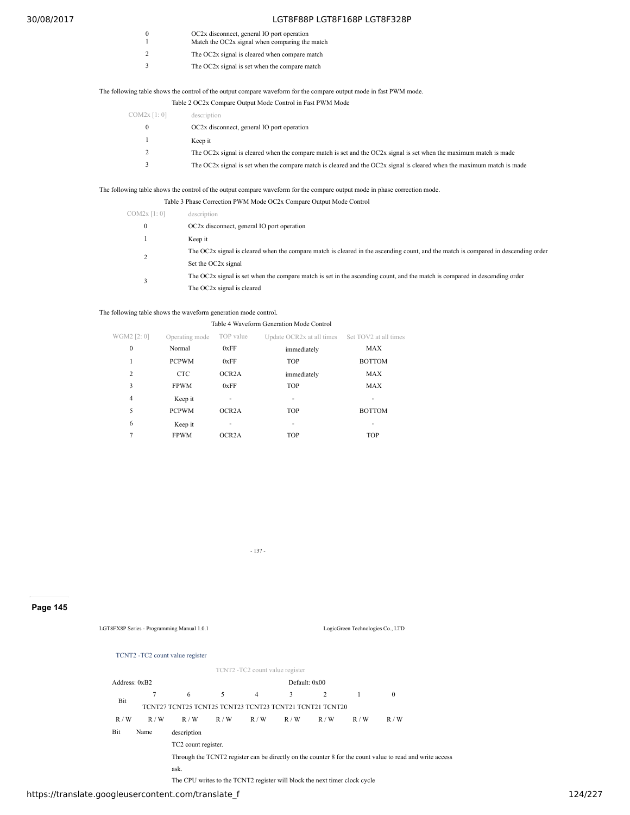- 0 OC2x disconnect, general IO port operation<br>
1 Match the OC2x signal when comparing the match
	-
- 2 The OC2x signal is cleared when compare match
- 3 The OC2x signal is set when the compare match

## The following table shows the control of the output compare waveform for the compare output mode in fast PWM mode.

Table 2 OC2x Compare Output Mode Control in Fast PWM Mode

| COM2x [1:0] | description                                                                                                            |
|-------------|------------------------------------------------------------------------------------------------------------------------|
|             | OC2x disconnect, general IO port operation                                                                             |
|             | Keep it                                                                                                                |
|             | The OC2x signal is cleared when the compare match is set and the OC2x signal is set when the maximum match is made     |
|             | The OC2x signal is set when the compare match is cleared and the OC2x signal is cleared when the maximum match is made |

The following table shows the control of the output compare waveform for the compare output mode in phase correction mode.

|             | Table 3 Phase Correction PWM Mode OC2x Compare Output Mode Control                                                                 |
|-------------|------------------------------------------------------------------------------------------------------------------------------------|
| COM2x [1:0] | description                                                                                                                        |
| 0           | OC2x disconnect, general IO port operation                                                                                         |
|             | Keep it                                                                                                                            |
|             | The OC2x signal is cleared when the compare match is cleared in the ascending count, and the match is compared in descending order |
|             | Set the OC2x signal                                                                                                                |
|             | The OC2x signal is set when the compare match is set in the ascending count, and the match is compared in descending order         |
|             | The OC2x signal is cleared                                                                                                         |

## The following table shows the waveform generation mode control.

| Table 4 Waveform Generation Mode Control |                |                    |                                                 |               |  |  |  |  |
|------------------------------------------|----------------|--------------------|-------------------------------------------------|---------------|--|--|--|--|
| WGM2 [2: 0]                              | Operating mode | TOP value          | Update OCR2x at all times Set TOV2 at all times |               |  |  |  |  |
| 0                                        | Normal         | 0xFF               | immediately                                     | MAX           |  |  |  |  |
| 1                                        | <b>PCPWM</b>   | 0xFF               | <b>TOP</b>                                      | <b>BOTTOM</b> |  |  |  |  |
| 2                                        | <b>CTC</b>     | OCR <sub>2</sub> A | immediately                                     | MAX           |  |  |  |  |
| 3                                        | <b>FPWM</b>    | 0xFF               | <b>TOP</b>                                      | MAX           |  |  |  |  |
| 4                                        | Keep it        |                    |                                                 |               |  |  |  |  |
| 5                                        | <b>PCPWM</b>   | OCR <sub>2</sub> A | <b>TOP</b>                                      | <b>BOTTOM</b> |  |  |  |  |
| 6                                        | Keep it        |                    |                                                 |               |  |  |  |  |
| 7                                        | <b>FPWM</b>    | OCR <sub>2</sub> A | <b>TOP</b>                                      | <b>TOP</b>    |  |  |  |  |

- 137 -

**Page 145**

LGT8FX8P Series - Programming Manual 1.0.1 LogicGreen Technologies Co., LTD

#### TCNT2 -TC2 count value register

TCNT2 -TC2 count value register

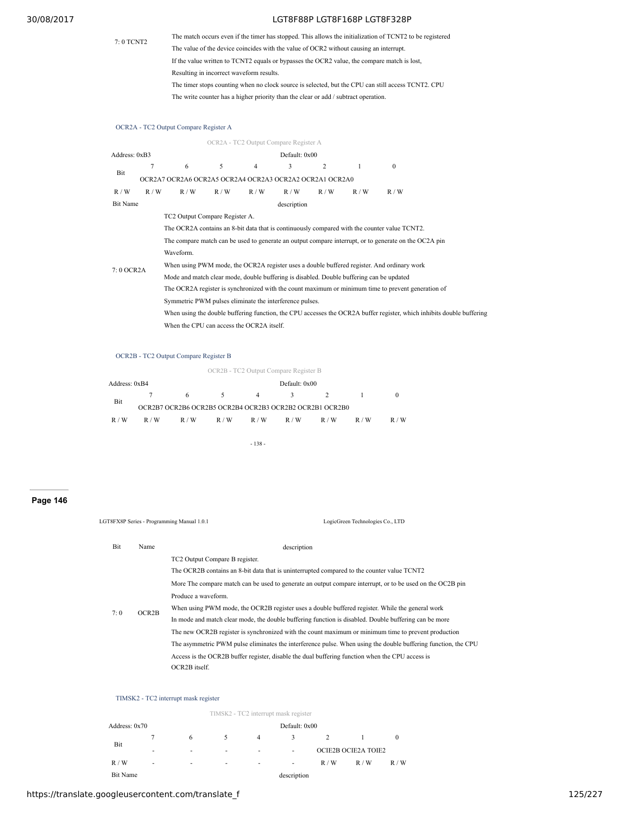# 7: 0 TCNT2

## 30/08/2017 LGT8F88P LGT8F168P LGT8F328P

The match occurs even if the timer has stopped. This allows the initialization of TCNT2 to be registered The value of the device coincides with the value of OCR2 without causing an interrupt. If the value written to TCNT2 equals or bypasses the OCR2 value, the compare match is lost, Resulting in incorrect waveform results. The timer stops counting when no clock source is selected, but the CPU can still access TCNT2. CPU The write counter has a higher priority than the clear or add / subtract operation.

## OCR2A - TC2 Output Compare Register A

|                 |             |                                                                                                                       |     |     | OCR2A - TC2 Output Compare Register A |     |     |                                                                                                    |  |  |
|-----------------|-------------|-----------------------------------------------------------------------------------------------------------------------|-----|-----|---------------------------------------|-----|-----|----------------------------------------------------------------------------------------------------|--|--|
| Address: 0xB3   |             |                                                                                                                       |     |     | Default: 0x00                         |     |     |                                                                                                    |  |  |
| Bit             | 7           | 6                                                                                                                     | 5   | 4   | 3                                     | 2   |     | $\theta$                                                                                           |  |  |
|                 |             | OCR2A7 OCR2A6 OCR2A5 OCR2A4 OCR2A3 OCR2A2 OCR2A1 OCR2A0                                                               |     |     |                                       |     |     |                                                                                                    |  |  |
| R/W             | R/W         | R/W                                                                                                                   | R/W | R/W | R/W                                   | R/W | R/W | R/W                                                                                                |  |  |
| <b>Bit Name</b> | description |                                                                                                                       |     |     |                                       |     |     |                                                                                                    |  |  |
|                 |             | TC2 Output Compare Register A.                                                                                        |     |     |                                       |     |     |                                                                                                    |  |  |
|                 |             | The OCR2A contains an 8-bit data that is continuously compared with the counter value TCNT2.                          |     |     |                                       |     |     |                                                                                                    |  |  |
|                 |             | The compare match can be used to generate an output compare interrupt, or to generate on the OC2A pin                 |     |     |                                       |     |     |                                                                                                    |  |  |
|                 |             | Waveform.                                                                                                             |     |     |                                       |     |     |                                                                                                    |  |  |
| 7:0 OCR2A       |             | When using PWM mode, the OCR2A register uses a double buffered register. And ordinary work                            |     |     |                                       |     |     |                                                                                                    |  |  |
|                 |             | Mode and match clear mode, double buffering is disabled. Double buffering can be updated                              |     |     |                                       |     |     |                                                                                                    |  |  |
|                 |             |                                                                                                                       |     |     |                                       |     |     | The OCR2A register is synchronized with the count maximum or minimum time to prevent generation of |  |  |
|                 |             | Symmetric PWM pulses eliminate the interference pulses.                                                               |     |     |                                       |     |     |                                                                                                    |  |  |
|                 |             | When using the double buffering function, the CPU accesses the OCR2A buffer register, which inhibits double buffering |     |     |                                       |     |     |                                                                                                    |  |  |
|                 |             | When the CPU can access the OCR2A itself.                                                                             |     |     |                                       |     |     |                                                                                                    |  |  |

## OCR2B - TC2 Output Compare Register B

|                                |     |                                                         |          |                | OCR2B - TC2 Output Compare Register B |     |     |     |
|--------------------------------|-----|---------------------------------------------------------|----------|----------------|---------------------------------------|-----|-----|-----|
| Default: 0x00<br>Address: 0xB4 |     |                                                         |          |                |                                       |     |     |     |
|                                |     | 6.                                                      | $\sim$ 5 | $\overline{4}$ | 3.                                    |     |     |     |
| Bit                            |     | OCR2B7 OCR2B6 OCR2B5 OCR2B4 OCR2B3 OCR2B2 OCR2B1 OCR2B0 |          |                |                                       |     |     |     |
| R/W                            | R/W | R/W                                                     | R/W      | R/W            | R/W                                   | R/W | R/W | R/W |
|                                |     |                                                         |          |                |                                       |     |     |     |

- 138 -

## **Page 146**

|     |       | LGT8FX8P Series - Programming Manual 1.0.1<br>LogicGreen Technologies Co., LTD                                |  |  |  |  |  |
|-----|-------|---------------------------------------------------------------------------------------------------------------|--|--|--|--|--|
| Bit | Name  | description                                                                                                   |  |  |  |  |  |
|     |       | TC2 Output Compare B register.                                                                                |  |  |  |  |  |
|     |       | The OCR2B contains an 8-bit data that is uninterrupted compared to the counter value TCNT2                    |  |  |  |  |  |
|     |       | More The compare match can be used to generate an output compare interrupt, or to be used on the OC2B pin     |  |  |  |  |  |
|     |       | Produce a waveform.                                                                                           |  |  |  |  |  |
| 7:0 | OCR2B | When using PWM mode, the OCR2B register uses a double buffered register. While the general work               |  |  |  |  |  |
|     |       | In mode and match clear mode, the double buffering function is disabled. Double buffering can be more         |  |  |  |  |  |
|     |       | The new OCR2B register is synchronized with the count maximum or minimum time to prevent production           |  |  |  |  |  |
|     |       | The asymmetric PWM pulse eliminates the interference pulse. When using the double buffering function, the CPU |  |  |  |  |  |
|     |       | Access is the OCR2B buffer register, disable the dual buffering function when the CPU access is               |  |  |  |  |  |
|     |       | OCR2B itself.                                                                                                 |  |  |  |  |  |
|     |       |                                                                                                               |  |  |  |  |  |

#### TIMSK2 - TC2 interrupt mask register

|                                |   |   |                                                             |                | TIMSK2 - TC2 interrupt mask register |     |     |     |  |  |
|--------------------------------|---|---|-------------------------------------------------------------|----------------|--------------------------------------|-----|-----|-----|--|--|
| Default: 0x00<br>Address: 0x70 |   |   |                                                             |                |                                      |     |     |     |  |  |
|                                |   | 6 | 5.                                                          | $\overline{4}$ |                                      |     |     |     |  |  |
| Bit                            | ۰ | ٠ | <b>OCIE2B OCIE2A TOIE2</b><br>$\overline{\phantom{a}}$<br>۰ |                |                                      |     |     |     |  |  |
| R/W                            | ۰ | ٠ | ٠                                                           | ٠              | $\overline{\phantom{a}}$             | R/W | R/W | R/W |  |  |
| <b>Bit Name</b>                |   |   |                                                             |                | description                          |     |     |     |  |  |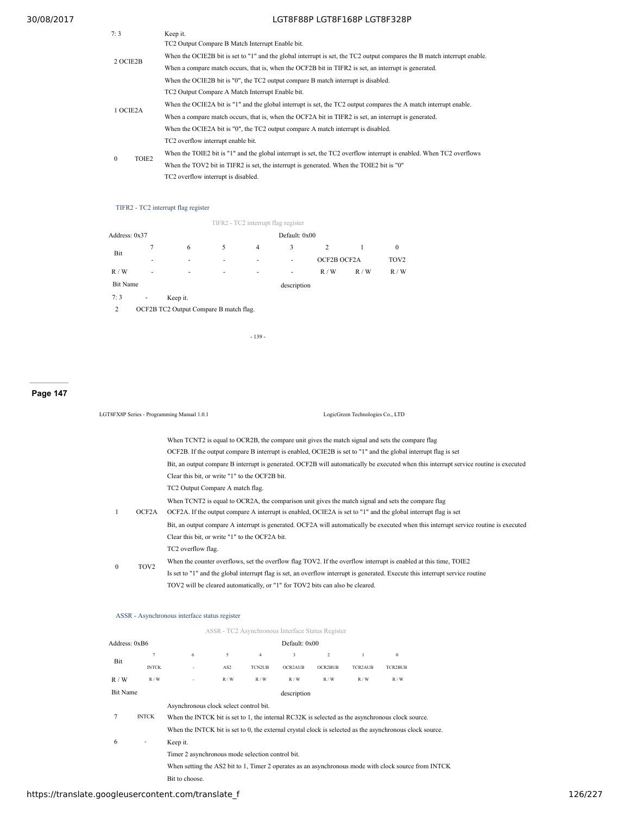| 7:3      | Keep it.                                                                                                                      |
|----------|-------------------------------------------------------------------------------------------------------------------------------|
| 2 OCIE2B | TC2 Output Compare B Match Interrupt Enable bit.                                                                              |
|          | When the OCIE2B bit is set to "1" and the global interrupt is set, the TC2 output compares the B match interrupt enable.      |
|          | When a compare match occurs, that is, when the OCF2B bit in TIFR2 is set, an interrupt is generated.                          |
|          | When the OCIE2B bit is "0", the TC2 output compare B match interrupt is disabled.                                             |
|          | TC2 Output Compare A Match Interrupt Enable bit.                                                                              |
| 1 OCIE2A | When the OCIE2A bit is "1" and the global interrupt is set, the TC2 output compares the A match interrupt enable.             |
|          | When a compare match occurs, that is, when the OCF2A bit in TIFR2 is set, an interrupt is generated.                          |
|          | When the OCIE2A bit is "0", the TC2 output compare A match interrupt is disabled.                                             |
|          | TC2 overflow interrupt enable bit.                                                                                            |
| $\theta$ | When the TOIE2 bit is "1" and the global interrupt is set, the TC2 overflow interrupt is enabled. When TC2 overflows<br>TOIE2 |
|          | When the TOV2 bit in TIFR2 is set, the interrupt is generated. When the TOIE2 bit is "0"                                      |
|          | TC2 overflow interrupt is disabled.                                                                                           |

# TIFR2 - TC2 interrupt flag register

|                 |                                        |                          |   |                | TIFR2 - TC2 interrupt flag register |     |                  |              |
|-----------------|----------------------------------------|--------------------------|---|----------------|-------------------------------------|-----|------------------|--------------|
| Address: 0x37   |                                        |                          |   |                | Default: 0x00                       |     |                  |              |
| Bit             | 7                                      | 6                        | 5 | $\overline{4}$ | 3                                   | 2   |                  | $\mathbf{0}$ |
|                 | ٠                                      | ۰<br>۰                   | ٠ | ۰              | OCF2B OCF2A                         |     | TOV <sub>2</sub> |              |
| R/W             | ۰                                      | $\overline{\phantom{a}}$ | ٠ | ٠              | ۰                                   | R/W | R/W              | R/W          |
| <b>Bit Name</b> |                                        |                          |   |                | description                         |     |                  |              |
| 7:3             | $\overline{\phantom{a}}$               | Keep it.                 |   |                |                                     |     |                  |              |
| 2               | OCF2B TC2 Output Compare B match flag. |                          |   |                |                                     |     |                  |              |

- 139 -

# **Page 147**

|              |                                                                                                                                                                                                                                                         | LGT8FX8P Series - Programming Manual 1.0.1<br>LogicGreen Technologies Co., LTD                                                                                                                                       |  |  |  |  |  |  |
|--------------|---------------------------------------------------------------------------------------------------------------------------------------------------------------------------------------------------------------------------------------------------------|----------------------------------------------------------------------------------------------------------------------------------------------------------------------------------------------------------------------|--|--|--|--|--|--|
|              |                                                                                                                                                                                                                                                         | When TCNT2 is equal to OCR2B, the compare unit gives the match signal and sets the compare flag                                                                                                                      |  |  |  |  |  |  |
|              | OCF2B. If the output compare B interrupt is enabled, OCIE2B is set to "1" and the global interrupt flag is set<br>Bit, an output compare B interrupt is generated. OCF2B will automatically be executed when this interrupt service routine is executed |                                                                                                                                                                                                                      |  |  |  |  |  |  |
|              |                                                                                                                                                                                                                                                         | Clear this bit, or write "1" to the OCF2B bit.<br>TC2 Output Compare A match flag.                                                                                                                                   |  |  |  |  |  |  |
| 1            | OCF2A                                                                                                                                                                                                                                                   | When TCNT2 is equal to OCR2A, the comparison unit gives the match signal and sets the compare flag<br>OCF2A. If the output compare A interrupt is enabled, OCIE2A is set to "1" and the global interrupt flag is set |  |  |  |  |  |  |
|              |                                                                                                                                                                                                                                                         | Bit, an output compare A interrupt is generated. OCF2A will automatically be executed when this interrupt service routine is executed<br>Clear this bit, or write "1" to the OCF2A bit.                              |  |  |  |  |  |  |
|              |                                                                                                                                                                                                                                                         | TC2 overflow flag.                                                                                                                                                                                                   |  |  |  |  |  |  |
| $\mathbf{0}$ | TOV <sub>2</sub>                                                                                                                                                                                                                                        | When the counter overflows, set the overflow flag TOV2. If the overflow interrupt is enabled at this time, TOIE2                                                                                                     |  |  |  |  |  |  |
|              |                                                                                                                                                                                                                                                         | Is set to "1" and the global interrupt flag is set, an overflow interrupt is generated. Execute this interrupt service routine<br>TOV2 will be cleared automatically, or "1" for TOV2 bits can also be cleared.      |  |  |  |  |  |  |
|              |                                                                                                                                                                                                                                                         |                                                                                                                                                                                                                      |  |  |  |  |  |  |

## ASSR - Asynchronous interface status register

|                                |                                        |                                                                                                          |               |                | ASSR - TC2 Asynchronous Interface Status Register |                |                |              |  |
|--------------------------------|----------------------------------------|----------------------------------------------------------------------------------------------------------|---------------|----------------|---------------------------------------------------|----------------|----------------|--------------|--|
| Address: 0xB6                  |                                        |                                                                                                          |               |                | Default: 0x00                                     |                |                |              |  |
| $\overline{7}$                 |                                        | 6                                                                                                        | 5             | $\overline{4}$ | 3                                                 | $\overline{c}$ |                | $\mathbf{0}$ |  |
| Bit<br><b>INTCK</b>            |                                        | AS <sub>2</sub>                                                                                          | <b>TCN2UB</b> | OCR2AUB        | OCR2BUB                                           | <b>TCR2AUB</b> | <b>TCR2BUB</b> |              |  |
| R/W                            | R/W                                    |                                                                                                          | R/W           | R/W            | R/W                                               | R/W            | R/W            | R/W          |  |
| <b>Bit Name</b><br>description |                                        |                                                                                                          |               |                |                                                   |                |                |              |  |
|                                | Asynchronous clock select control bit. |                                                                                                          |               |                |                                                   |                |                |              |  |
| 7                              | <b>INTCK</b>                           | When the INTCK bit is set to 1, the internal RC32K is selected as the asynchronous clock source.         |               |                |                                                   |                |                |              |  |
|                                |                                        | When the INTCK bit is set to 0, the external crystal clock is selected as the asynchronous clock source. |               |                |                                                   |                |                |              |  |
| 6                              |                                        | Keep it.                                                                                                 |               |                |                                                   |                |                |              |  |
|                                |                                        | Timer 2 asynchronous mode selection control bit.                                                         |               |                |                                                   |                |                |              |  |
|                                |                                        | When setting the AS2 bit to 1, Timer 2 operates as an asynchronous mode with clock source from INTCK     |               |                |                                                   |                |                |              |  |
|                                |                                        | Bit to choose.                                                                                           |               |                |                                                   |                |                |              |  |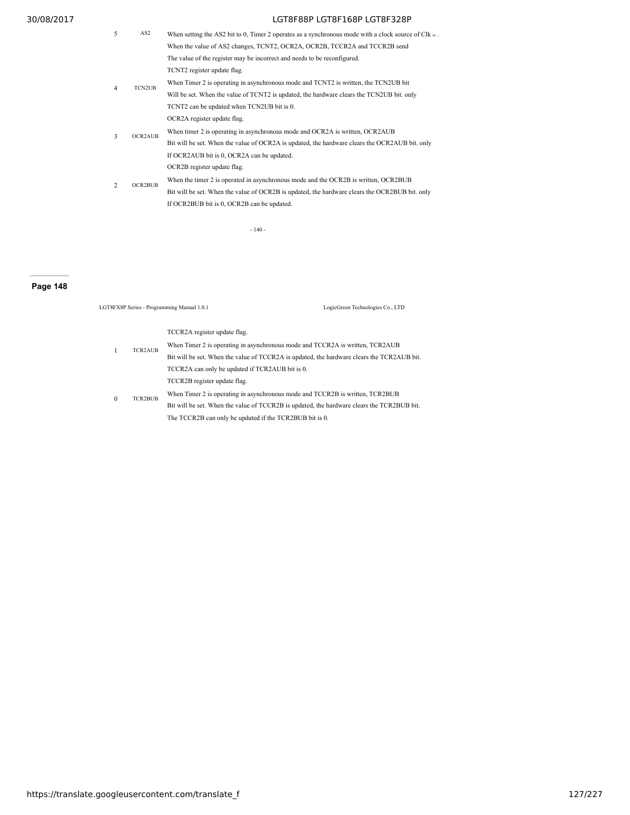5 AS2 When setting the AS2 bit to 0, Timer 2 operates as a synchronous mode with a clock source of Clk io. When the value of AS2 changes, TCNT2, OCR2A, OCR2B, TCCR2A and TCCR2B send The value of the register may be incorrect and needs to be reconfigured. 4 TCN2UB TCNT2 register update flag. When Timer 2 is operating in asynchronous mode and TCNT2 is written, the TCN2UB bit Will be set. When the value of TCNT2 is updated, the hardware clears the TCN2UB bit. only TCNT2 can be updated when TCN2UB bit is 0. 3 OCR2AUB OCR2A register update flag. When timer 2 is operating in asynchronous mode and OCR2A is written, OCR2AUB Bit will be set. When the value of OCR2A is updated, the hardware clears the OCR2AUB bit. only If OCR2AUB bit is 0, OCR2A can be updated. 2 OCR2BUB OCR2B register update flag. When the timer 2 is operated in asynchronous mode and the OCR2B is written, OCR2BUB Bit will be set. When the value of OCR2B is updated, the hardware clears the OCR2BUB bit. only If OCR2BUB bit is 0, OCR2B can be updated.

- 140 -

## **Page 148**

|          |                | LGT8FX8P Series - Programming Manual 1.0.1                                                                                                                                                                                                                             | LogicGreen Technologies Co., LTD |
|----------|----------------|------------------------------------------------------------------------------------------------------------------------------------------------------------------------------------------------------------------------------------------------------------------------|----------------------------------|
|          | TCR2AUB        | TCCR2A register update flag.<br>When Timer 2 is operating in asynchronous mode and TCCR2A is written, TCR2AUB<br>Bit will be set. When the value of TCCR2A is updated, the hardware clears the TCR2AUB bit.<br>TCCR2A can only be updated if TCR2AUB bit is 0.         |                                  |
| $\Omega$ | <b>TCR2BUB</b> | TCCR2B register update flag.<br>When Timer 2 is operating in asynchronous mode and TCCR2B is written, TCR2BUB<br>Bit will be set. When the value of TCCR2B is updated, the hardware clears the TCR2BUB bit.<br>The TCCR2B can only be updated if the TCR2BUB bit is 0. |                                  |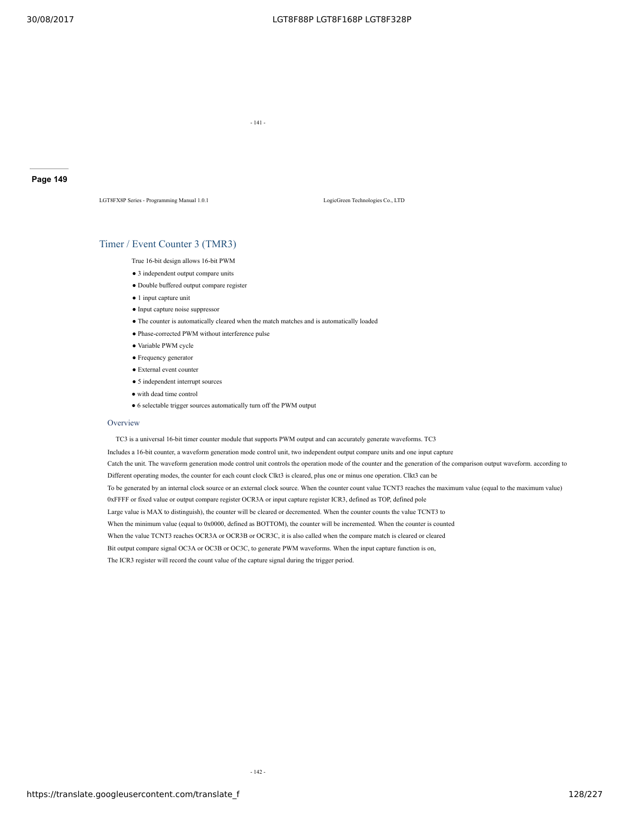- 141 -

#### **Page 149**

LGT8FX8P Series - Programming Manual 1.0.1 LogicGreen Technologies Co., LTD

## Timer / Event Counter 3 (TMR3)

True 16-bit design allows 16-bit PWM

- 3 independent output compare units
- Double buffered output compare register
- 1 input capture unit
- Input capture noise suppressor
- The counter is automatically cleared when the match matches and is automatically loaded
- Phase-corrected PWM without interference pulse
- Variable PWM cycle
- Frequency generator
- External event counter
- 5 independent interrupt sources
- with dead time control
- 6 selectable trigger sources automatically turn off the PWM output

#### Overview

TC3 is a universal 16-bit timer counter module that supports PWM output and can accurately generate waveforms. TC3

Includes a 16-bit counter, a waveform generation mode control unit, two independent output compare units and one input capture Catch the unit. The waveform generation mode control unit controls the operation mode of the counter and the generation of the comparison output waveform. according to Different operating modes, the counter for each count clock Clkt3 is cleared, plus one or minus one operation. Clkt3 can be To be generated by an internal clock source or an external clock source. When the counter count value TCNT3 reaches the maximum value (equal to the maximum value) 0xFFFF or fixed value or output compare register OCR3A or input capture register ICR3, defined as TOP, defined pole Large value is MAX to distinguish), the counter will be cleared or decremented. When the counter counts the value TCNT3 to When the minimum value (equal to 0x0000, defined as BOTTOM), the counter will be incremented. When the counter is counted When the value TCNT3 reaches OCR3A or OCR3B or OCR3C, it is also called when the compare match is cleared or cleared Bit output compare signal OC3A or OC3B or OC3C, to generate PWM waveforms. When the input capture function is on, The ICR3 register will record the count value of the capture signal during the trigger period.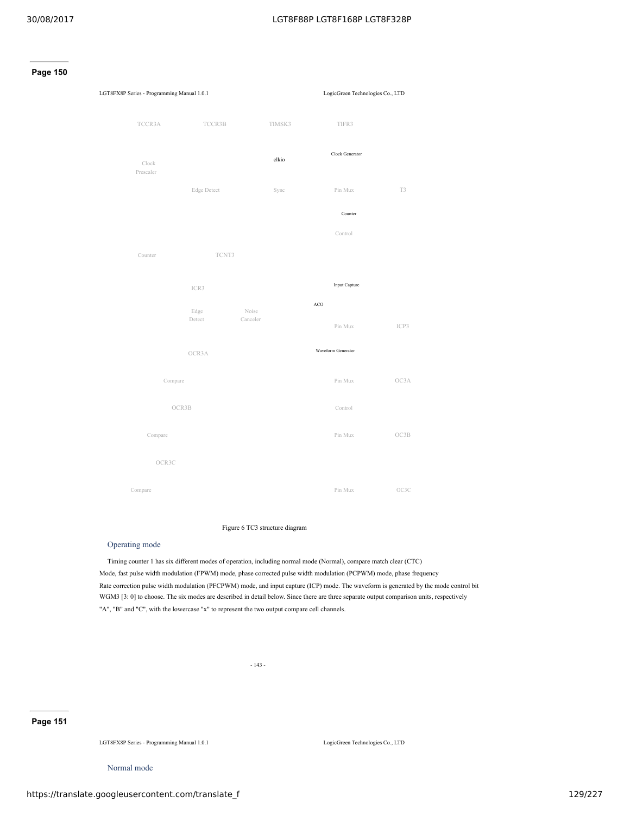



## Figure 6 TC3 structure diagram

## Operating mode

Timing counter 1 has six different modes of operation, including normal mode (Normal), compare match clear (CTC) Mode, fast pulse width modulation (FPWM) mode, phase corrected pulse width modulation (PCPWM) mode, phase frequency Rate correction pulse width modulation (PFCPWM) mode, and input capture (ICP) mode. The waveform is generated by the mode control bit WGM3 [3: 0] to choose. The six modes are described in detail below. Since there are three separate output comparison units, respectively "A", "B" and "C", with the lowercase "x" to represent the two output compare cell channels.

- 143 -

## **Page 151**

LGT8FX8P Series - Programming Manual 1.0.1 LogicGreen Technologies Co., LTD

Normal mode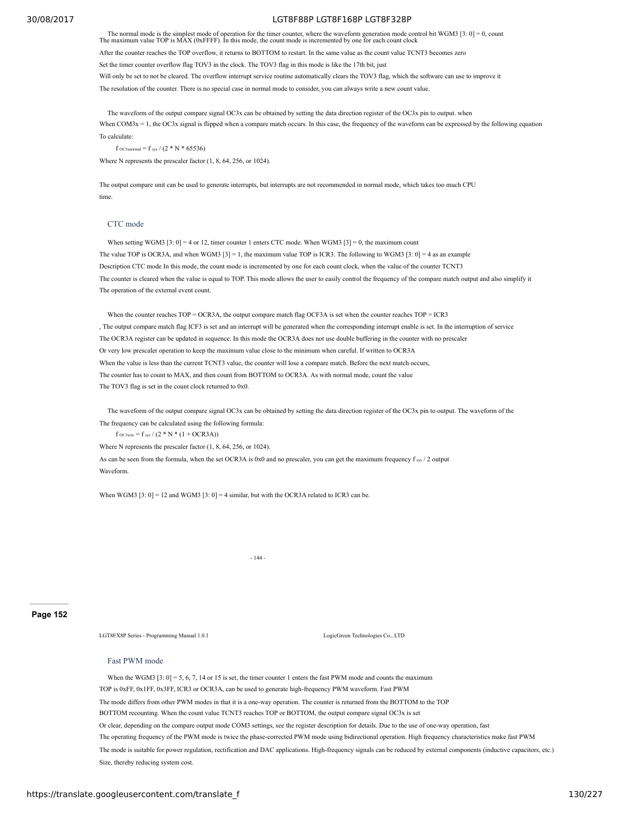The normal mode is the simplest mode of operation for the timer counter, where the waveform generation mode control bit WGM3 [3: 0] = 0, count The maximum value TOP is MAX (0xFFFF). In this mode, the count mode is increme After the counter reaches the TOP overflow, it returns to BOTTOM to restart. In the same value as the count value TCNT3 becomes zero Set the timer counter overflow flag TOV3 in the clock. The TOV3 flag in this mode is like the 17th bit, just Will only be set to not be cleared. The overflow interrupt service routine automatically clears the TOV3 flag, which the software can use to improve it The resolution of the counter. There is no special case in normal mode to consider, you can always write a new count value.

The waveform of the output compare signal OC3x can be obtained by setting the data direction register of the OC3x pin to output. when When COM3x = 1, the OC3x signal is flipped when a compare match occurs. In this case, the frequency of the waveform can be expressed by the following equation To calculate:

f oc3xnormal = f sys /  $(2 * N * 65536)$ 

Where N represents the prescaler factor (1, 8, 64, 256, or 1024).

The output compare unit can be used to generate interrupts, but interrupts are not recommended in normal mode, which takes too much CPU time.

#### CTC mode

When setting WGM3 [3: 0] = 4 or 12, timer counter 1 enters CTC mode. When WGM3 [3] = 0, the maximum count The value TOP is OCR3A, and when WGM3 [3] = 1, the maximum value TOP is ICR3. The following to WGM3 [3: 0] = 4 as an example Description CTC mode In this mode, the count mode is incremented by one for each count clock, when the value of the counter TCNT3 The counter is cleared when the value is equal to TOP. This mode allows the user to easily control the frequency of the compare match output and also simplify it The operation of the external event count.

When the counter reaches TOP = OCR3A, the output compare match flag OCF3A is set when the counter reaches TOP = ICR3 , The output compare match flag ICF3 is set and an interrupt will be generated when the corresponding interrupt enable is set. In the interruption of service The OCR3A register can be updated in sequence. In this mode the OCR3A does not use double buffering in the counter with no prescaler Or very low prescaler operation to keep the maximum value close to the minimum when careful. If written to OCR3A When the value is less than the current TCNT3 value, the counter will lose a compare match. Before the next match occurs, The counter has to count to MAX, and then count from BOTTOM to OCR3A. As with normal mode, count the value The TOV3 flag is set in the count clock returned to 0x0.

The waveform of the output compare signal OC3x can be obtained by setting the data direction register of the OC3x pin to output. The waveform of the The frequency can be calculated using the following formula:

 $f \text{_{}0C3xctc} = f \text{_{sys}} / (2 * N * (1 + OCR3A))$ 

Where N represents the prescaler factor (1, 8, 64, 256, or 1024).

As can be seen from the formula, when the set OCR3A is 0x0 and no prescaler, you can get the maximum frequency f sys / 2 output Waveform.

When WGM3  $[3: 0] = 12$  and WGM3  $[3: 0] = 4$  similar, but with the OCR3A related to ICR3 can be.

- 144 -

#### **Page 152**

LGT8FX8P Series - Programming Manual 1.0.1 LogicGreen Technologies Co., LTD

#### Fast PWM mode

When the WGM3  $[3: 0] = 5, 6, 7, 14$  or 15 is set, the timer counter 1 enters the fast PWM mode and counts the maximum TOP is 0xFF, 0x1FF, 0x3FF, ICR3 or OCR3A, can be used to generate high-frequency PWM waveform. Fast PWM The mode differs from other PWM modes in that it is a one-way operation. The counter is returned from the BOTTOM to the TOP BOTTOM recounting. When the count value TCNT3 reaches TOP or BOTTOM, the output compare signal OC3x is set Or clear, depending on the compare output mode COM3 settings, see the register description for details. Due to the use of one-way operation, fast The operating frequency of the PWM mode is twice the phase-corrected PWM mode using bidirectional operation. High frequency characteristics make fast PWM The mode is suitable for power regulation, rectification and DAC applications. High-frequency signals can be reduced by external components (inductive capacitors, etc.) Size, thereby reducing system cost.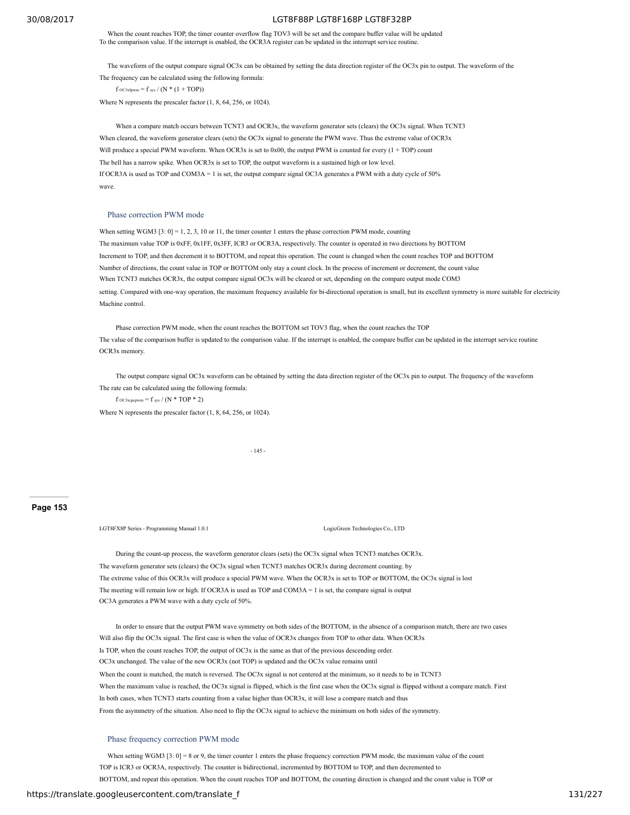When the count reaches TOP, the timer counter overflow flag TOV3 will be set and the compare buffer value will be updated To the comparison value. If the interrupt is enabled, the OCR3A register can be updated in the interrupt service routine.

The waveform of the output compare signal OC3x can be obtained by setting the data direction register of the OC3x pin to output. The waveform of the The frequency can be calculated using the following formula:

 $f$  OC3xfpwm =  $f$  sys /  $(N * (1 + TOP))$ 

Where N represents the prescaler factor (1, 8, 64, 256, or 1024).

When a compare match occurs between TCNT3 and OCR3x, the waveform generator sets (clears) the OC3x signal. When TCNT3 When cleared, the waveform generator clears (sets) the OC3x signal to generate the PWM wave. Thus the extreme value of OCR3x Will produce a special PWM waveform. When OCR3x is set to 0x00, the output PWM is counted for every  $(1 + TOP)$  count The bell has a narrow spike. When OCR3x is set to TOP, the output waveform is a sustained high or low level. If OCR3A is used as TOP and COM3A = 1 is set, the output compare signal OC3A generates a PWM with a duty cycle of 50% wave.

#### Phase correction PWM mode

When setting WGM3 [3: 0] = 1, 2, 3, 10 or 11, the timer counter 1 enters the phase correction PWM mode, counting The maximum value TOP is 0xFF, 0x1FF, 0x3FF, ICR3 or OCR3A, respectively. The counter is operated in two directions by BOTTOM Increment to TOP, and then decrement it to BOTTOM, and repeat this operation. The count is changed when the count reaches TOP and BOTTOM Number of directions, the count value in TOP or BOTTOM only stay a count clock. In the process of increment or decrement, the count value When TCNT3 matches OCR3x, the output compare signal OC3x will be cleared or set, depending on the compare output mode COM3 setting. Compared with one-way operation, the maximum frequency available for bi-directional operation is small, but its excellent symmetry is more suitable for electricity Machine control.

Phase correction PWM mode, when the count reaches the BOTTOM set TOV3 flag, when the count reaches the TOP The value of the comparison buffer is updated to the comparison value. If the interrupt is enabled, the compare buffer can be updated in the interrupt service routine OCR3x memory.

The output compare signal OC3x waveform can be obtained by setting the data direction register of the OC3x pin to output. The frequency of the waveform The rate can be calculated using the following formula:

f  $_{\rm OC3xepcpwm}$  = f sys / (N \* TOP \* 2)

Where N represents the prescaler factor (1, 8, 64, 256, or 1024).

- 145 -

**Page 153**

LGT8FX8P Series - Programming Manual 1.0.1 LogicGreen Technologies Co., LTD

During the count-up process, the waveform generator clears (sets) the OC3x signal when TCNT3 matches OCR3x. The waveform generator sets (clears) the OC3x signal when TCNT3 matches OCR3x during decrement counting. by The extreme value of this OCR3x will produce a special PWM wave. When the OCR3x is set to TOP or BOTTOM, the OC3x signal is lost The meeting will remain low or high. If OCR3A is used as TOP and COM3A = 1 is set, the compare signal is output OC3A generates a PWM wave with a duty cycle of 50%.

In order to ensure that the output PWM wave symmetry on both sides of the BOTTOM, in the absence of a comparison match, there are two cases Will also flip the OC3x signal. The first case is when the value of OCR3x changes from TOP to other data. When OCR3x Is TOP, when the count reaches TOP, the output of OC3x is the same as that of the previous descending order. OC3x unchanged. The value of the new OCR3x (not TOP) is updated and the OC3x value remains until When the count is matched, the match is reversed. The OC3x signal is not centered at the minimum, so it needs to be in TCNT3 When the maximum value is reached, the OC3x signal is flipped, which is the first case when the OC3x signal is flipped without a compare match. First In both cases, when TCNT3 starts counting from a value higher than OCR3x, it will lose a compare match and thus From the asymmetry of the situation. Also need to flip the OC3x signal to achieve the minimum on both sides of the symmetry.

#### Phase frequency correction PWM mode

When setting WGM3 [3: 0] = 8 or 9, the timer counter 1 enters the phase frequency correction PWM mode, the maximum value of the count TOP is ICR3 or OCR3A, respectively. The counter is bidirectional, incremented by BOTTOM to TOP, and then decremented to BOTTOM, and repeat this operation. When the count reaches TOP and BOTTOM, the counting direction is changed and the count value is TOP or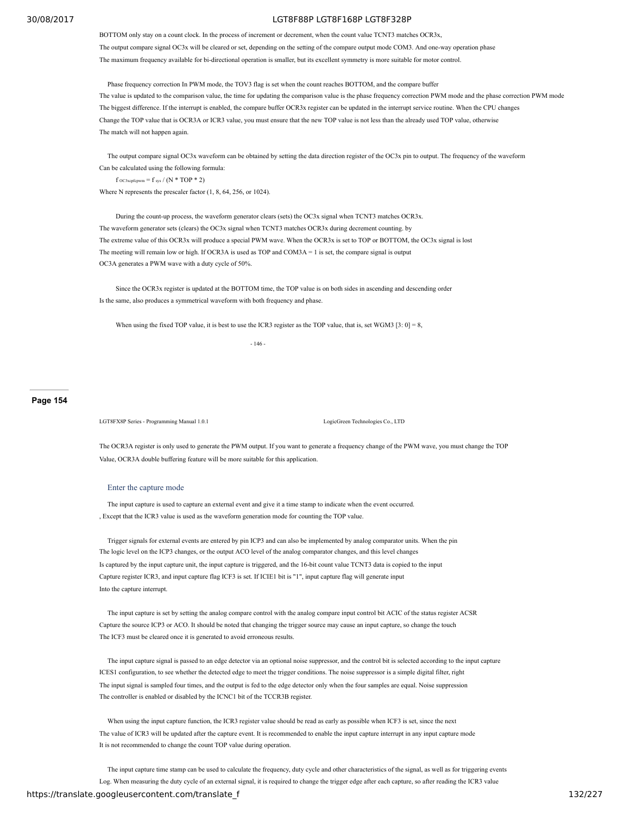BOTTOM only stay on a count clock. In the process of increment or decrement, when the count value TCNT3 matches OCR3x, The output compare signal OC3x will be cleared or set, depending on the setting of the compare output mode COM3. And one-way operation phase The maximum frequency available for bi-directional operation is smaller, but its excellent symmetry is more suitable for motor control.

Phase frequency correction In PWM mode, the TOV3 flag is set when the count reaches BOTTOM, and the compare buffer The value is updated to the comparison value, the time for updating the comparison value is the phase frequency correction PWM mode and the phase correction PWM mode The biggest difference. If the interrupt is enabled, the compare buffer OCR3x register can be updated in the interrupt service routine. When the CPU changes Change the TOP value that is OCR3A or ICR3 value, you must ensure that the new TOP value is not less than the already used TOP value, otherwise The match will not happen again.

The output compare signal OC3x waveform can be obtained by setting the data direction register of the OC3x pin to output. The frequency of the waveform Can be calculated using the following formula:

f OC3xcpfcpwm = f sys /  $(N * TOP * 2)$ 

Where N represents the prescaler factor (1, 8, 64, 256, or 1024).

During the count-up process, the waveform generator clears (sets) the OC3x signal when TCNT3 matches OCR3x. The waveform generator sets (clears) the OC3x signal when TCNT3 matches OCR3x during decrement counting. by The extreme value of this OCR3x will produce a special PWM wave. When the OCR3x is set to TOP or BOTTOM, the OC3x signal is lost The meeting will remain low or high. If OCR3A is used as TOP and COM3A  $= 1$  is set, the compare signal is output OC3A generates a PWM wave with a duty cycle of 50%.

Since the OCR3x register is updated at the BOTTOM time, the TOP value is on both sides in ascending and descending order Is the same, also produces a symmetrical waveform with both frequency and phase.

When using the fixed TOP value, it is best to use the ICR3 register as the TOP value, that is, set WGM3 [3: 0] = 8,

- 146 -

## **Page 154**

LGT8FX8P Series - Programming Manual 1.0.1 LogicGreen Technologies Co., LTD

The OCR3A register is only used to generate the PWM output. If you want to generate a frequency change of the PWM wave, you must change the TOP Value, OCR3A double buffering feature will be more suitable for this application.

#### Enter the capture mode

The input capture is used to capture an external event and give it a time stamp to indicate when the event occurred. , Except that the ICR3 value is used as the waveform generation mode for counting the TOP value.

Trigger signals for external events are entered by pin ICP3 and can also be implemented by analog comparator units. When the pin The logic level on the ICP3 changes, or the output ACO level of the analog comparator changes, and this level changes Is captured by the input capture unit, the input capture is triggered, and the 16-bit count value TCNT3 data is copied to the input Capture register ICR3, and input capture flag ICF3 is set. If ICIE1 bit is "1", input capture flag will generate input Into the capture interrupt.

The input capture is set by setting the analog compare control with the analog compare input control bit ACIC of the status register ACSR Capture the source ICP3 or ACO. It should be noted that changing the trigger source may cause an input capture, so change the touch The ICF3 must be cleared once it is generated to avoid erroneous results.

The input capture signal is passed to an edge detector via an optional noise suppressor, and the control bit is selected according to the input capture ICES1 configuration, to see whether the detected edge to meet the trigger conditions. The noise suppressor is a simple digital filter, right The input signal is sampled four times, and the output is fed to the edge detector only when the four samples are equal. Noise suppression The controller is enabled or disabled by the ICNC1 bit of the TCCR3B register.

When using the input capture function, the ICR3 register value should be read as early as possible when ICF3 is set, since the next The value of ICR3 will be updated after the capture event. It is recommended to enable the input capture interrupt in any input capture mode It is not recommended to change the count TOP value during operation.

The input capture time stamp can be used to calculate the frequency, duty cycle and other characteristics of the signal, as well as for triggering events Log. When measuring the duty cycle of an external signal, it is required to change the trigger edge after each capture, so after reading the ICR3 value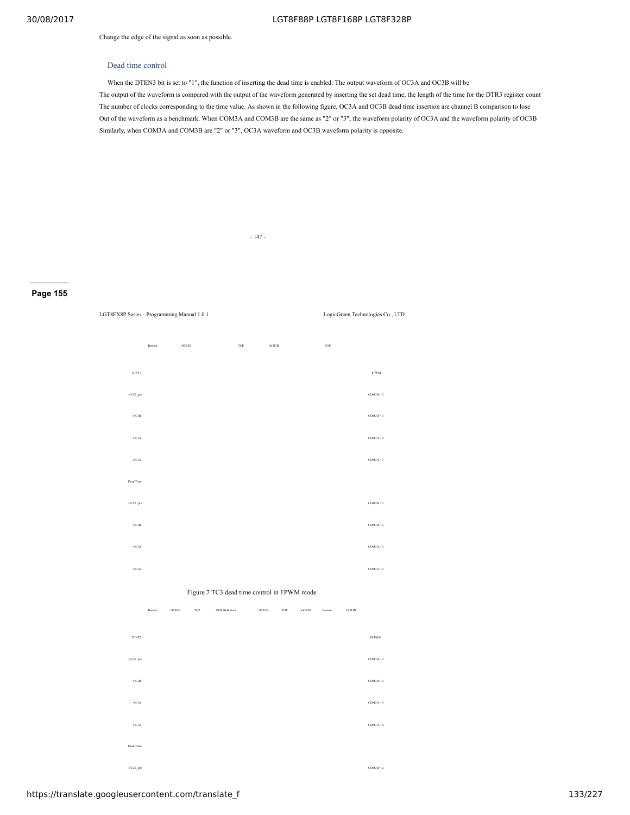Change the edge of the signal as soon as possible.

### Dead time control

When the DTEN3 bit is set to "1", the function of inserting the dead time is enabled. The output waveform of OC3A and OC3B will be The output of the waveform is compared with the output of the waveform generated by inserting the set dead time, the length of the time for the DTR3 register count The number of clocks corresponding to the time value. As shown in the following figure, OC3A and OC3B dead time insertion are channel B comparison to lose Out of the waveform as a benchmark. When COM3A and COM3B are the same as "2" or "3", the waveform polarity of OC3A and the waveform polarity of OC3B Similarly, when COM3A and COM3B are "2" or "3", OC3A waveform and OC3B waveform polarity is opposite.

- 147 -

## **Page 155**

| LGT8FX8P Series - Programming Manual 1.0.1 |                 |       |                                             |       |       |       |                 |       | LogicGreen Technologies Co., LTD |
|--------------------------------------------|-----------------|-------|---------------------------------------------|-------|-------|-------|-----------------|-------|----------------------------------|
|                                            |                 |       |                                             |       |       |       |                 |       |                                  |
|                                            | Bottom          | OCR3B |                                             | TOP   | OCR3B |       | TOP             |       |                                  |
| TCNT3                                      |                 |       |                                             |       |       |       |                 |       | <b>FPWM</b>                      |
| OC3B_pre                                   |                 |       |                                             |       |       |       |                 |       | $COM3B = 3$                      |
| OC3B                                       |                 |       |                                             |       |       |       |                 |       | $COM3B = 3$                      |
| ОСЗА                                       |                 |       |                                             |       |       |       |                 |       | $COM3A = 2$                      |
| ОСЗА                                       |                 |       |                                             |       |       |       |                 |       | $COM3A = 3$                      |
| Dead Time                                  |                 |       |                                             |       |       |       |                 |       |                                  |
| OC3B_pre                                   |                 |       |                                             |       |       |       |                 |       | $COM3B = 2$                      |
| OC3B                                       |                 |       |                                             |       |       |       |                 |       | $COM3B = 2$                      |
| ОСЗА                                       |                 |       |                                             |       |       |       |                 |       | $COM3A = 3$                      |
| ОСЗА                                       |                 |       |                                             |       |       |       |                 |       | $COM3A = 2$                      |
|                                            |                 |       | Figure 7 TC3 dead time control in FPWM mode |       |       |       |                 |       |                                  |
|                                            | OCR3B<br>Bottom |       | TOP<br>OCR3B Bottom                         | OCR3B | TOP   | OCR3B | $\mbox{Bottom}$ | OCR3B |                                  |
| TCNT3                                      |                 |       |                                             |       |       |       |                 |       | <b>PCPWM</b>                     |
| OC3B_pre                                   |                 |       |                                             |       |       |       |                 |       | $COM3B = 3$                      |
| OC3B                                       |                 |       |                                             |       |       |       |                 |       | $COM3B = 2$                      |
| ОСЗА                                       |                 |       |                                             |       |       |       |                 |       | $COM3A = 3$                      |
| ОСЗА                                       |                 |       |                                             |       |       |       |                 |       | $COM3A = 2$                      |
| Dead Time                                  |                 |       |                                             |       |       |       |                 |       |                                  |

 $OC3B$  pre COM3B = 2

https://translate.googleusercontent.com/translate\_f 133/227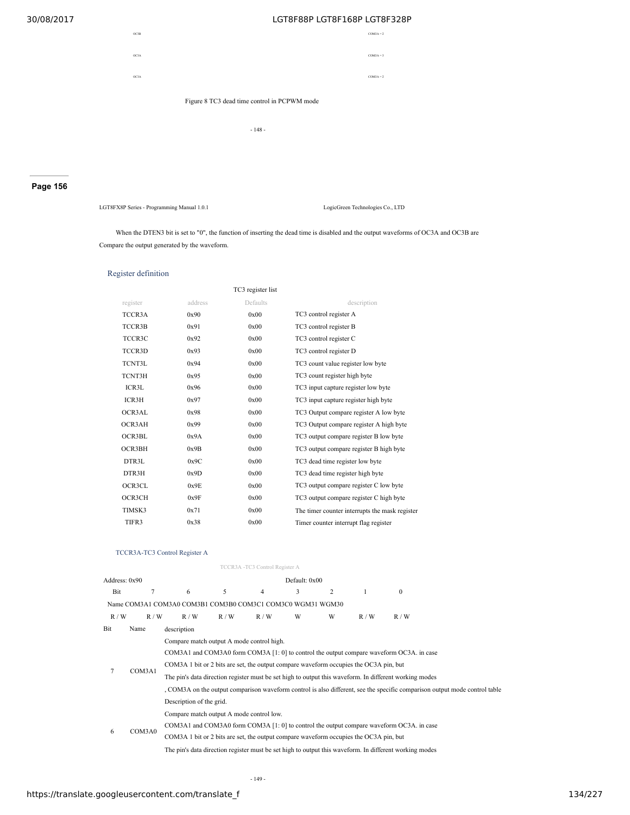

**Page 156**

LGT8FX8P Series - Programming Manual 1.0.1 LogicGreen Technologies Co., LTD

When the DTEN3 bit is set to "0", the function of inserting the dead time is disabled and the output waveforms of OC3A and OC3B are Compare the output generated by the waveform.

## Register definition

|          |         | TC3 register list |                                                |
|----------|---------|-------------------|------------------------------------------------|
| register | address | Defaults          | description                                    |
| TCCR3A   | 0x90    | 0x00              | TC3 control register A                         |
| TCCR3B   | 0x91    | 0x00              | TC3 control register B                         |
| TCCR3C   | 0x92    | 0x00              | TC3 control register C                         |
| TCCR3D   | 0x93    | 0x00              | TC3 control register D                         |
| TCNT3L   | 0x94    | 0x00              | TC3 count value register low byte              |
| TCNT3H   | 0x95    | 0x00              | TC3 count register high byte                   |
| ICR3L    | 0x96    | 0x00              | TC3 input capture register low byte            |
| ICR3H    | 0x97    | 0x00              | TC3 input capture register high byte           |
| OCR3AL   | 0x98    | 0x00              | TC3 Output compare register A low byte         |
| OCR3AH   | 0x99    | 0x00              | TC3 Output compare register A high byte        |
| OCR3BL   | 0x9A    | 0x00              | TC3 output compare register B low byte         |
| OCR3BH   | 0x9B    | 0x00              | TC3 output compare register B high byte        |
| DTR3L    | 0x9C    | 0x00              | TC3 dead time register low byte                |
| DTR3H    | 0x9D    | 0x00              | TC3 dead time register high byte               |
| OCR3CL   | 0x9E    | 0x00              | TC3 output compare register C low byte         |
| OCR3CH   | 0x9F    | 0x00              | TC3 output compare register C high byte        |
| TIMSK3   | 0x71    | 0x00              | The timer counter interrupts the mask register |
| TIFR3    | 0x38    | 0x00              | Timer counter interrupt flag register          |
|          |         |                   |                                                |

## TCCR3A-TC3 Control Register A

|     |                                                            |                                                                                                        |                                                                                                                            | TCCR3A -TC3 Control Register A |   |   |              |                                                                                                        |  |  |  |  |
|-----|------------------------------------------------------------|--------------------------------------------------------------------------------------------------------|----------------------------------------------------------------------------------------------------------------------------|--------------------------------|---|---|--------------|--------------------------------------------------------------------------------------------------------|--|--|--|--|
|     | Default: 0x00<br>Address: 0x90                             |                                                                                                        |                                                                                                                            |                                |   |   |              |                                                                                                        |  |  |  |  |
| Bit | $\overline{7}$                                             | 6                                                                                                      | 5                                                                                                                          | $\overline{4}$                 | 3 | 2 | $\mathbf{1}$ | $\theta$                                                                                               |  |  |  |  |
|     | Name COM3A1 COM3A0 COM3B1 COM3B0 COM3C1 COM3C0 WGM31 WGM30 |                                                                                                        |                                                                                                                            |                                |   |   |              |                                                                                                        |  |  |  |  |
| R/W | R/W                                                        | R/W                                                                                                    | R/W                                                                                                                        | R/W                            | W | W | R/W          | R/W                                                                                                    |  |  |  |  |
| Bit | Name                                                       | description                                                                                            |                                                                                                                            |                                |   |   |              |                                                                                                        |  |  |  |  |
|     |                                                            | Compare match output A mode control high.                                                              |                                                                                                                            |                                |   |   |              |                                                                                                        |  |  |  |  |
|     |                                                            | COM3A1 and COM3A0 form COM3A [1: 0] to control the output compare waveform OC3A. in case               |                                                                                                                            |                                |   |   |              |                                                                                                        |  |  |  |  |
|     |                                                            | COM3A 1 bit or 2 bits are set, the output compare waveform occupies the OC3A pin, but                  |                                                                                                                            |                                |   |   |              |                                                                                                        |  |  |  |  |
| 7   | COM3A1                                                     | The pin's data direction register must be set high to output this waveform. In different working modes |                                                                                                                            |                                |   |   |              |                                                                                                        |  |  |  |  |
|     |                                                            |                                                                                                        | , COM3A on the output comparison waveform control is also different, see the specific comparison output mode control table |                                |   |   |              |                                                                                                        |  |  |  |  |
|     |                                                            | Description of the grid.                                                                               |                                                                                                                            |                                |   |   |              |                                                                                                        |  |  |  |  |
|     |                                                            | Compare match output A mode control low.                                                               |                                                                                                                            |                                |   |   |              |                                                                                                        |  |  |  |  |
|     |                                                            |                                                                                                        |                                                                                                                            |                                |   |   |              | COM3A1 and COM3A0 form COM3A [1: 0] to control the output compare waveform OC3A. in case               |  |  |  |  |
| 6   | COM3A0                                                     | COM3A 1 bit or 2 bits are set, the output compare waveform occupies the OC3A pin, but                  |                                                                                                                            |                                |   |   |              |                                                                                                        |  |  |  |  |
|     |                                                            |                                                                                                        |                                                                                                                            |                                |   |   |              | The pin's data direction register must be set high to output this waveform. In different working modes |  |  |  |  |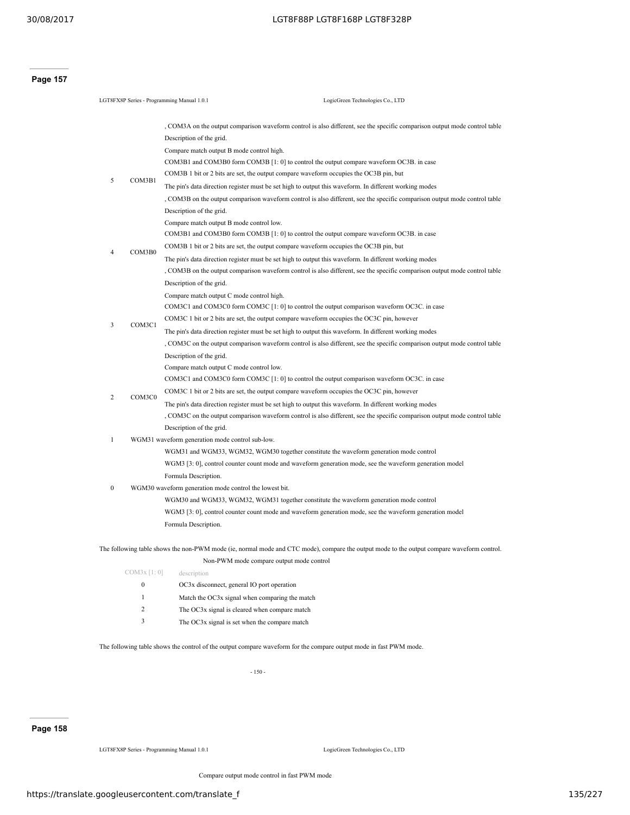**Page 157**

| LGT8FX8P Series - Programming Manual 1.0.1 |              | LogicGreen Technologies Co., LTD                                                                                                                                                                  |  |  |  |  |  |  |  |  |
|--------------------------------------------|--------------|---------------------------------------------------------------------------------------------------------------------------------------------------------------------------------------------------|--|--|--|--|--|--|--|--|
|                                            |              |                                                                                                                                                                                                   |  |  |  |  |  |  |  |  |
|                                            |              | , COM3A on the output comparison waveform control is also different, see the specific comparison output mode control table                                                                        |  |  |  |  |  |  |  |  |
|                                            |              | Description of the grid.                                                                                                                                                                          |  |  |  |  |  |  |  |  |
|                                            |              | Compare match output B mode control high.                                                                                                                                                         |  |  |  |  |  |  |  |  |
|                                            |              | COM3B1 and COM3B0 form COM3B [1: 0] to control the output compare waveform OC3B. in case                                                                                                          |  |  |  |  |  |  |  |  |
| 5                                          | COM3B1       | COM3B 1 bit or 2 bits are set, the output compare waveform occupies the OC3B pin, but                                                                                                             |  |  |  |  |  |  |  |  |
|                                            |              | The pin's data direction register must be set high to output this waveform. In different working modes                                                                                            |  |  |  |  |  |  |  |  |
|                                            |              | COM3B on the output comparison waveform control is also different, see the specific comparison output mode control table                                                                          |  |  |  |  |  |  |  |  |
|                                            |              | Description of the grid.                                                                                                                                                                          |  |  |  |  |  |  |  |  |
|                                            |              | Compare match output B mode control low.                                                                                                                                                          |  |  |  |  |  |  |  |  |
|                                            |              | COM3B1 and COM3B0 form COM3B [1: 0] to control the output compare waveform OC3B. in case                                                                                                          |  |  |  |  |  |  |  |  |
| 4                                          | COM3B0       | COM3B 1 bit or 2 bits are set, the output compare waveform occupies the OC3B pin, but                                                                                                             |  |  |  |  |  |  |  |  |
|                                            |              | The pin's data direction register must be set high to output this waveform. In different working modes                                                                                            |  |  |  |  |  |  |  |  |
|                                            |              | , COM3B on the output comparison waveform control is also different, see the specific comparison output mode control table                                                                        |  |  |  |  |  |  |  |  |
|                                            |              | Description of the grid.                                                                                                                                                                          |  |  |  |  |  |  |  |  |
|                                            |              | Compare match output C mode control high.                                                                                                                                                         |  |  |  |  |  |  |  |  |
|                                            |              | COM3C1 and COM3C0 form COM3C $[1:0]$ to control the output comparison waveform OC3C. in case                                                                                                      |  |  |  |  |  |  |  |  |
| 3                                          | COM3C1       | COM3C 1 bit or 2 bits are set, the output compare waveform occupies the OC3C pin, however                                                                                                         |  |  |  |  |  |  |  |  |
|                                            |              | The pin's data direction register must be set high to output this waveform. In different working modes                                                                                            |  |  |  |  |  |  |  |  |
|                                            |              | COM3C on the output comparison waveform control is also different, see the specific comparison output mode control table                                                                          |  |  |  |  |  |  |  |  |
|                                            |              | Description of the grid.                                                                                                                                                                          |  |  |  |  |  |  |  |  |
|                                            |              | Compare match output C mode control low.                                                                                                                                                          |  |  |  |  |  |  |  |  |
|                                            |              | COM3C1 and COM3C0 form COM3C [1: 0] to control the output comparison waveform OC3C. in case                                                                                                       |  |  |  |  |  |  |  |  |
| 2                                          | COM3C0       | COM3C 1 bit or 2 bits are set, the output compare waveform occupies the OC3C pin, however                                                                                                         |  |  |  |  |  |  |  |  |
|                                            |              | The pin's data direction register must be set high to output this waveform. In different working modes                                                                                            |  |  |  |  |  |  |  |  |
|                                            |              | , COM3C on the output comparison waveform control is also different, see the specific comparison output mode control table                                                                        |  |  |  |  |  |  |  |  |
|                                            |              | Description of the grid.                                                                                                                                                                          |  |  |  |  |  |  |  |  |
| $\mathbf{1}$                               |              | WGM31 waveform generation mode control sub-low.                                                                                                                                                   |  |  |  |  |  |  |  |  |
|                                            |              | WGM31 and WGM33, WGM32, WGM30 together constitute the waveform generation mode control<br>WGM3 [3: 0], control counter count mode and waveform generation mode, see the waveform generation model |  |  |  |  |  |  |  |  |
|                                            |              | Formula Description.                                                                                                                                                                              |  |  |  |  |  |  |  |  |
| $\bf{0}$                                   |              | WGM30 waveform generation mode control the lowest bit.                                                                                                                                            |  |  |  |  |  |  |  |  |
|                                            |              | WGM30 and WGM33, WGM32, WGM31 together constitute the waveform generation mode control                                                                                                            |  |  |  |  |  |  |  |  |
|                                            |              | WGM3 [3: 0], control counter count mode and waveform generation mode, see the waveform generation model                                                                                           |  |  |  |  |  |  |  |  |
|                                            |              | Formula Description.                                                                                                                                                                              |  |  |  |  |  |  |  |  |
|                                            |              |                                                                                                                                                                                                   |  |  |  |  |  |  |  |  |
|                                            |              | The following table shows the non-PWM mode (ie, normal mode and CTC mode), compare the output mode to the output compare waveform control.                                                        |  |  |  |  |  |  |  |  |
|                                            |              | Non-PWM mode compare output mode control                                                                                                                                                          |  |  |  |  |  |  |  |  |
|                                            | COM3x [1:0]  | description                                                                                                                                                                                       |  |  |  |  |  |  |  |  |
|                                            | $\mathbf{0}$ | OC3x disconnect, general IO port operation                                                                                                                                                        |  |  |  |  |  |  |  |  |
|                                            | $\mathbf{1}$ | Match the OC3x signal when comparing the match                                                                                                                                                    |  |  |  |  |  |  |  |  |

- 2 The OC3x signal is cleared when compare match
- 3 The OC3x signal is set when the compare match

The following table shows the control of the output compare waveform for the compare output mode in fast PWM mode.

- 150 -

## **Page 158**

LGT8FX8P Series - Programming Manual 1.0.1 LogicGreen Technologies Co., LTD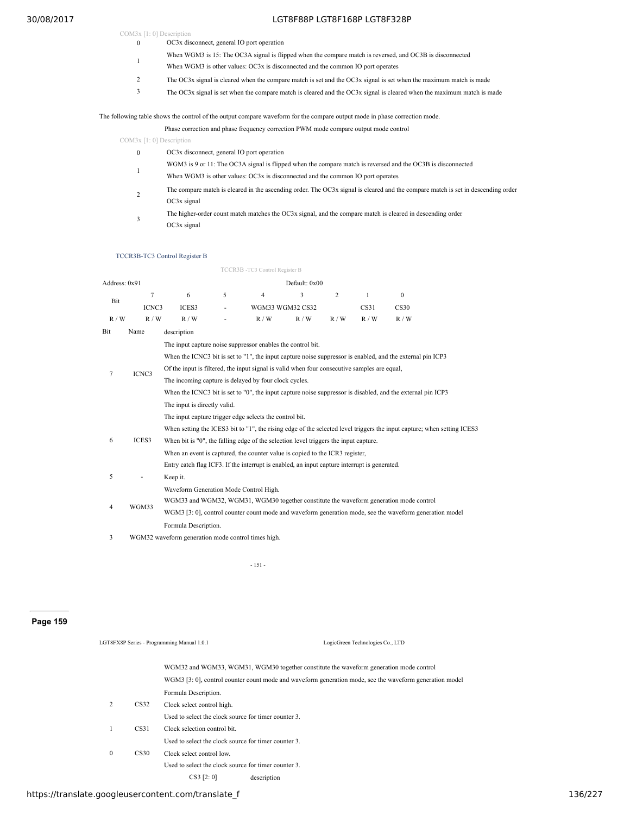- COM3x [1: 0] Description 0 OC3x disconnect, general IO port operation
	- <sup>1</sup> When WGM3 is 15: The OC3A signal is flipped when the compare match is reversed, and OC3B is disconnected
	- When WGM3 is other values: OC3x is disconnected and the common IO port operates
	- 2 The OC3x signal is cleared when the compare match is set and the OC3x signal is set when the maximum match is made
	- 3 The OC3x signal is set when the compare match is cleared and the OC3x signal is cleared when the maximum match is made

#### The following table shows the control of the output compare waveform for the compare output mode in phase correction mode.

Phase correction and phase frequency correction PWM mode compare output mode control

COM3x [1: 0] Description

- 0 OC3x disconnect, general IO port operation
- WGM3 is 9 or 11: The OC3A signal is flipped when the compare match is reversed and the OC3B is disconnected<br>
1
- When WGM3 is other values: OC3x is disconnected and the common IO port operates
- $\overline{2}$ The compare match is cleared in the ascending order. The OC3x signal is cleared and the compare match is set in descending order OC3x signal
- 3 The higher-order count match matches the OC3x signal, and the compare match is cleared in descending order OC3x signal

#### TCCR3B-TC3 Control Register B

|               |                |                                                                                                                         |                                                       | TCCR3B -TC3 Control Register B |                  |     |                  |          |  |  |  |  |  |
|---------------|----------------|-------------------------------------------------------------------------------------------------------------------------|-------------------------------------------------------|--------------------------------|------------------|-----|------------------|----------|--|--|--|--|--|
| Address: 0x91 |                |                                                                                                                         |                                                       |                                | Default: 0x00    |     |                  |          |  |  |  |  |  |
|               | $\overline{7}$ | 6                                                                                                                       | 5                                                     | $\overline{4}$                 | 3                | 2   | $\mathbf{1}$     | $\theta$ |  |  |  |  |  |
| Bit           | ICNC3          | ICES3                                                                                                                   | $\overline{\phantom{0}}$                              |                                | WGM33 WGM32 CS32 |     | CS <sub>31</sub> | CS30     |  |  |  |  |  |
| R/W           | R/W            | R/W                                                                                                                     |                                                       | R/W                            | R/W              | R/W | R/W              | R/W      |  |  |  |  |  |
| Bit           | Name           | description                                                                                                             |                                                       |                                |                  |     |                  |          |  |  |  |  |  |
|               |                | The input capture noise suppressor enables the control bit.                                                             |                                                       |                                |                  |     |                  |          |  |  |  |  |  |
|               |                | When the ICNC3 bit is set to "1", the input capture noise suppressor is enabled, and the external pin ICP3              |                                                       |                                |                  |     |                  |          |  |  |  |  |  |
| 7             | ICNC3          | Of the input is filtered, the input signal is valid when four consecutive samples are equal,                            |                                                       |                                |                  |     |                  |          |  |  |  |  |  |
|               |                |                                                                                                                         | The incoming capture is delayed by four clock cycles. |                                |                  |     |                  |          |  |  |  |  |  |
|               |                | When the ICNC3 bit is set to "0", the input capture noise suppressor is disabled, and the external pin ICP3             |                                                       |                                |                  |     |                  |          |  |  |  |  |  |
|               |                | The input is directly valid.                                                                                            |                                                       |                                |                  |     |                  |          |  |  |  |  |  |
|               |                | The input capture trigger edge selects the control bit.                                                                 |                                                       |                                |                  |     |                  |          |  |  |  |  |  |
|               |                | When setting the ICES3 bit to "1", the rising edge of the selected level triggers the input capture; when setting ICES3 |                                                       |                                |                  |     |                  |          |  |  |  |  |  |
| 6             | ICES3          | When bit is "0", the falling edge of the selection level triggers the input capture.                                    |                                                       |                                |                  |     |                  |          |  |  |  |  |  |
|               |                | When an event is captured, the counter value is copied to the ICR3 register,                                            |                                                       |                                |                  |     |                  |          |  |  |  |  |  |
|               |                | Entry catch flag ICF3. If the interrupt is enabled, an input capture interrupt is generated.                            |                                                       |                                |                  |     |                  |          |  |  |  |  |  |
| 5             |                | Keep it.                                                                                                                |                                                       |                                |                  |     |                  |          |  |  |  |  |  |
|               |                | Waveform Generation Mode Control High.                                                                                  |                                                       |                                |                  |     |                  |          |  |  |  |  |  |
| 4             | WGM33          | WGM33 and WGM32, WGM31, WGM30 together constitute the waveform generation mode control                                  |                                                       |                                |                  |     |                  |          |  |  |  |  |  |
|               |                | WGM3 [3: 0], control counter count mode and waveform generation mode, see the waveform generation model                 |                                                       |                                |                  |     |                  |          |  |  |  |  |  |
|               |                | Formula Description.                                                                                                    |                                                       |                                |                  |     |                  |          |  |  |  |  |  |
|               |                |                                                                                                                         |                                                       |                                |                  |     |                  |          |  |  |  |  |  |

WGM32 waveform generation mode control times high.

- 151 -

## **Page 159**

|              |      | LGT8FX8P Series - Programming Manual 1.0.1           | LogicGreen Technologies Co., LTD                                                                        |  |  |  |  |  |
|--------------|------|------------------------------------------------------|---------------------------------------------------------------------------------------------------------|--|--|--|--|--|
|              |      |                                                      | WGM32 and WGM33, WGM31, WGM30 together constitute the waveform generation mode control                  |  |  |  |  |  |
|              |      |                                                      | WGM3 [3: 0], control counter count mode and waveform generation mode, see the waveform generation model |  |  |  |  |  |
|              |      | Formula Description.                                 |                                                                                                         |  |  |  |  |  |
| 2            | CS32 | Clock select control high.                           |                                                                                                         |  |  |  |  |  |
|              |      | Used to select the clock source for timer counter 3  |                                                                                                         |  |  |  |  |  |
| 1            | CS31 |                                                      | Clock selection control bit.                                                                            |  |  |  |  |  |
|              |      | Used to select the clock source for timer counter 3. |                                                                                                         |  |  |  |  |  |
| $\mathbf{0}$ | CS30 | Clock select control low                             |                                                                                                         |  |  |  |  |  |
|              |      | Used to select the clock source for timer counter 3. |                                                                                                         |  |  |  |  |  |
|              |      | CS3 [2:0]                                            | description                                                                                             |  |  |  |  |  |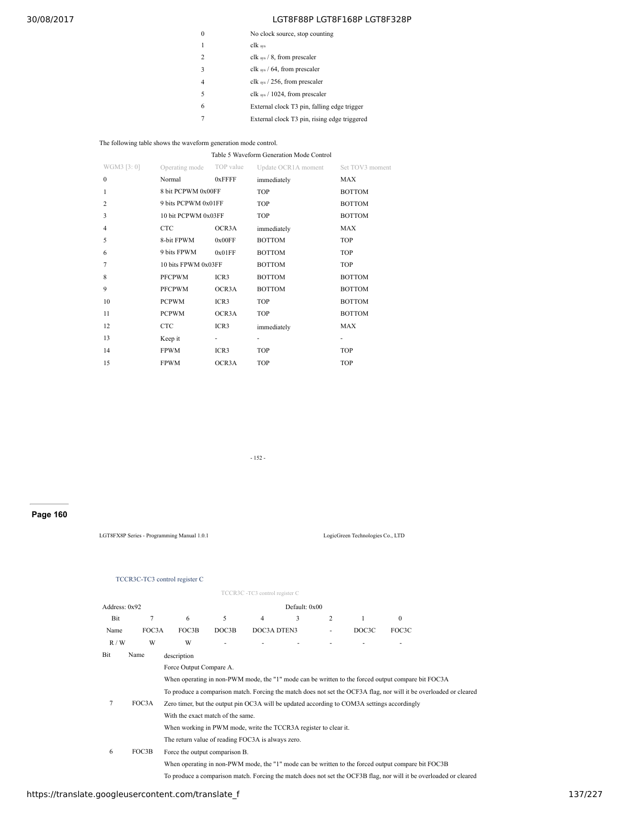|               | No clock source, stop counting               |
|---------------|----------------------------------------------|
|               | clk sys                                      |
| $\mathcal{L}$ | clk sys $/ 8$ , from prescaler               |
| $\mathbf{3}$  | clk sys $/$ 64, from prescaler               |
| 4             | clk sys $/$ 256, from prescaler              |
| 5             | clk $_{sys}$ / 1024, from prescaler          |
| 6             | External clock T3 pin, falling edge trigger  |
|               | External clock T3 pin, rising edge triggered |

The following table shows the waveform generation mode control.

#### Table 5 Waveform Generation Mode Control

| WGM3 [3:0]     | Operating mode TOP value |                  | Update OCR1A moment | Set TOV3 moment |  |
|----------------|--------------------------|------------------|---------------------|-----------------|--|
| $\mathbf{0}$   | Normal                   | 0xFFFF           | immediately         | MAX             |  |
| $\mathbf{1}$   | 8 bit PCPWM 0x00FF       |                  | <b>TOP</b>          | <b>BOTTOM</b>   |  |
| $\overline{c}$ | 9 bits PCPWM 0x01FF      |                  | <b>TOP</b>          | <b>BOTTOM</b>   |  |
| 3              | 10 bit PCPWM 0x03FF      |                  | <b>TOP</b>          | <b>BOTTOM</b>   |  |
| $\overline{4}$ | <b>CTC</b>               | OCR3A            | immediately         | MAX             |  |
| 5              | 8-bit FPWM               | 0x00FF           | <b>BOTTOM</b>       | <b>TOP</b>      |  |
| 6              | 9 bits FPWM              | 0x01FF           | <b>BOTTOM</b>       | <b>TOP</b>      |  |
| $\overline{7}$ | 10 bits FPWM 0x03FF      |                  | <b>BOTTOM</b>       | <b>TOP</b>      |  |
| 8              | <b>PFCPWM</b>            | ICR <sub>3</sub> | <b>BOTTOM</b>       | <b>BOTTOM</b>   |  |
| 9              | <b>PFCPWM</b>            | OCR3A            | <b>BOTTOM</b>       | <b>BOTTOM</b>   |  |
| 10             | <b>PCPWM</b>             | ICR <sub>3</sub> | <b>TOP</b>          | <b>BOTTOM</b>   |  |
| 11             | <b>PCPWM</b>             | OCR3A            | <b>TOP</b>          | <b>BOTTOM</b>   |  |
| 12             | <b>CTC</b>               | ICR3             | immediately         | MAX             |  |
| 13             | Keep it                  | ٠                | ٠                   |                 |  |
| 14             | <b>FPWM</b>              | ICR3             | <b>TOP</b>          | TOP             |  |
| 15             | <b>FPWM</b>              | OCR3A            | <b>TOP</b>          | <b>TOP</b>      |  |

- 152 -

# **Page 160**

LGT8FX8P Series - Programming Manual 1.0.1 LogicGreen Technologies Co., LTD

TCCR3C-TC3 control register C

|               |       |                                                                                                                    |       | TCCR3C - TC3 control register C |               |   |       |          |  |  |  |  |  |
|---------------|-------|--------------------------------------------------------------------------------------------------------------------|-------|---------------------------------|---------------|---|-------|----------|--|--|--|--|--|
| Address: 0x92 |       |                                                                                                                    |       |                                 | Default: 0x00 |   |       |          |  |  |  |  |  |
| Bit           | 7     | 6                                                                                                                  | 5     | 4                               | 3             | 2 | 1     | $\Omega$ |  |  |  |  |  |
| Name          | FOC3A | FOC3B                                                                                                              | DOC3B | DOC3A DTEN3                     |               | ٠ | DOC3C | FOC3C    |  |  |  |  |  |
| R/W           | W     | W                                                                                                                  |       |                                 |               |   |       |          |  |  |  |  |  |
| Bit           | Name  | description                                                                                                        |       |                                 |               |   |       |          |  |  |  |  |  |
|               |       | Force Output Compare A.                                                                                            |       |                                 |               |   |       |          |  |  |  |  |  |
|               |       | When operating in non-PWM mode, the "1" mode can be written to the forced output compare bit FOC3A                 |       |                                 |               |   |       |          |  |  |  |  |  |
|               |       | To produce a comparison match. Forcing the match does not set the OCF3A flag, nor will it be overloaded or cleared |       |                                 |               |   |       |          |  |  |  |  |  |
| 7             | FOC3A | Zero timer, but the output pin OC3A will be updated according to COM3A settings accordingly                        |       |                                 |               |   |       |          |  |  |  |  |  |
|               |       | With the exact match of the same.                                                                                  |       |                                 |               |   |       |          |  |  |  |  |  |
|               |       | When working in PWM mode, write the TCCR3A register to clear it.                                                   |       |                                 |               |   |       |          |  |  |  |  |  |
|               |       | The return value of reading FOC3A is always zero.                                                                  |       |                                 |               |   |       |          |  |  |  |  |  |
| 6             | FOC3B | Force the output comparison B.                                                                                     |       |                                 |               |   |       |          |  |  |  |  |  |
|               |       | When operating in non-PWM mode, the "1" mode can be written to the forced output compare bit FOC3B                 |       |                                 |               |   |       |          |  |  |  |  |  |
|               |       | To produce a comparison match. Forcing the match does not set the OCF3B flag, nor will it be overloaded or cleared |       |                                 |               |   |       |          |  |  |  |  |  |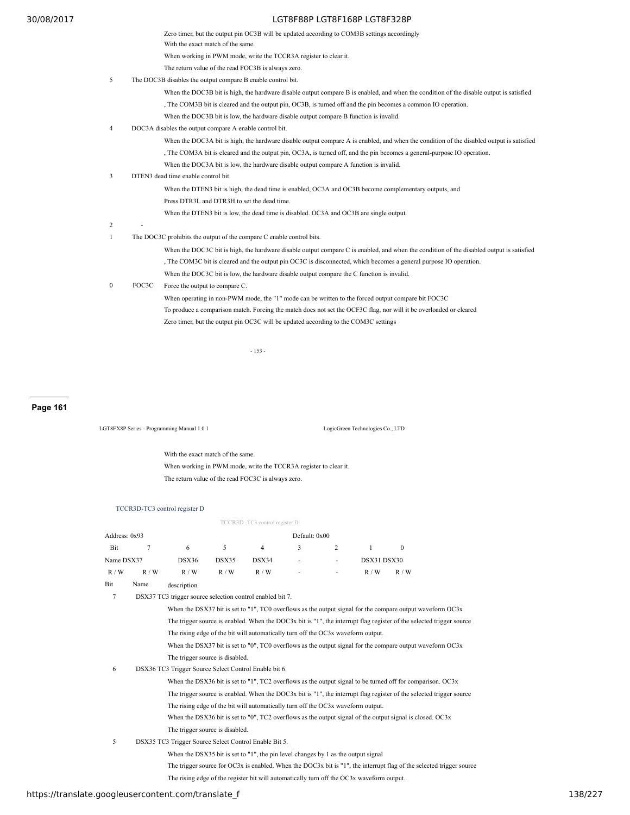|                  | Zero timer, but the output pin OC3B will be updated according to COM3B settings accordingly                                              |
|------------------|------------------------------------------------------------------------------------------------------------------------------------------|
|                  | With the exact match of the same.                                                                                                        |
|                  | When working in PWM mode, write the TCCR3A register to clear it.                                                                         |
|                  | The return value of the read FOC3B is always zero.                                                                                       |
| 5                | The DOC3B disables the output compare B enable control bit.                                                                              |
|                  | When the DOC3B bit is high, the hardware disable output compare B is enabled, and when the condition of the disable output is satisfied  |
|                  | The COM3B bit is cleared and the output pin, OC3B, is turned off and the pin becomes a common IO operation.                              |
|                  | When the DOC3B bit is low, the hardware disable output compare B function is invalid.                                                    |
| $\overline{4}$   | DOC3A disables the output compare A enable control bit.                                                                                  |
|                  | When the DOC3A bit is high, the hardware disable output compare A is enabled, and when the condition of the disabled output is satisfied |
|                  | The COM3A bit is cleared and the output pin, OC3A, is turned off, and the pin becomes a general-purpose IO operation.                    |
|                  | When the DOC3A bit is low, the hardware disable output compare A function is invalid.                                                    |
| 3                | DTEN3 dead time enable control bit.                                                                                                      |
|                  | When the DTEN3 bit is high, the dead time is enabled, OC3A and OC3B become complementary outputs, and                                    |
|                  | Press DTR3L and DTR3H to set the dead time.                                                                                              |
|                  | When the DTEN3 bit is low, the dead time is disabled. OC3A and OC3B are single output.                                                   |
| 2                |                                                                                                                                          |
| $\mathbf{1}$     | The DOC3C prohibits the output of the compare C enable control bits.                                                                     |
|                  | When the DOC3C bit is high, the hardware disable output compare C is enabled, and when the condition of the disabled output is satisfied |
|                  | The COM3C bit is cleared and the output pin OC3C is disconnected, which becomes a general purpose IO operation.                          |
|                  | When the DOC3C bit is low, the hardware disable output compare the C function is invalid.                                                |
| $\boldsymbol{0}$ | FOC3C<br>Force the output to compare C.                                                                                                  |
|                  | When operating in non-PWM mode, the "1" mode can be written to the forced output compare bit FOC3C                                       |
|                  |                                                                                                                                          |

To produce a comparison match. Forcing the match does not set the OCF3C flag, nor will it be overloaded or cleared

Zero timer, but the output pin OC3C will be updated according to the COM3C settings

- 153 -

## **Page 161**

LGT8FX8P Series - Programming Manual 1.0.1 LogicGreen Technologies Co., LTD

With the exact match of the same. When working in PWM mode, write the TCCR3A register to clear it. The return value of the read FOC3C is always zero.

## TCCR3D-TC3 control register D

|               |                                                                                                                      |                                                       |       | TCCR3D -TC3 control register D                                                                                       |               |                |             |          |  |  |  |  |
|---------------|----------------------------------------------------------------------------------------------------------------------|-------------------------------------------------------|-------|----------------------------------------------------------------------------------------------------------------------|---------------|----------------|-------------|----------|--|--|--|--|
| Address: 0x93 |                                                                                                                      |                                                       |       |                                                                                                                      | Default: 0x00 |                |             |          |  |  |  |  |
| Bit           | 7                                                                                                                    | 6                                                     | 5     | $\overline{4}$                                                                                                       | 3             | $\overline{2}$ | 1           | $\theta$ |  |  |  |  |
| Name DSX37    |                                                                                                                      | DSX36                                                 | DSX35 | DSX34                                                                                                                |               |                | DSX31 DSX30 |          |  |  |  |  |
| R/W           | R/W                                                                                                                  | R/W                                                   | R/W   | R/W                                                                                                                  |               |                | R/W         | R/W      |  |  |  |  |
| Bit           | Name                                                                                                                 | description                                           |       |                                                                                                                      |               |                |             |          |  |  |  |  |
| 7             | DSX37 TC3 trigger source selection control enabled bit 7.                                                            |                                                       |       |                                                                                                                      |               |                |             |          |  |  |  |  |
|               | When the DSX37 bit is set to "1", TC0 overflows as the output signal for the compare output waveform OC3x            |                                                       |       |                                                                                                                      |               |                |             |          |  |  |  |  |
|               | The trigger source is enabled. When the DOC3x bit is "1", the interrupt flag register of the selected trigger source |                                                       |       |                                                                                                                      |               |                |             |          |  |  |  |  |
|               | The rising edge of the bit will automatically turn off the OC3x waveform output.                                     |                                                       |       |                                                                                                                      |               |                |             |          |  |  |  |  |
|               |                                                                                                                      |                                                       |       | When the DSX37 bit is set to "0", TC0 overflows as the output signal for the compare output waveform $OC3x$          |               |                |             |          |  |  |  |  |
|               |                                                                                                                      | The trigger source is disabled.                       |       |                                                                                                                      |               |                |             |          |  |  |  |  |
| 6             |                                                                                                                      | DSX36 TC3 Trigger Source Select Control Enable bit 6. |       |                                                                                                                      |               |                |             |          |  |  |  |  |
|               |                                                                                                                      |                                                       |       | When the DSX36 bit is set to "1", TC2 overflows as the output signal to be turned off for comparison. OC3x           |               |                |             |          |  |  |  |  |
|               |                                                                                                                      |                                                       |       | The trigger source is enabled. When the DOC3x bit is "1", the interrupt flag register of the selected trigger source |               |                |             |          |  |  |  |  |
|               |                                                                                                                      |                                                       |       | The rising edge of the bit will automatically turn off the OC3x waveform output.                                     |               |                |             |          |  |  |  |  |
|               |                                                                                                                      |                                                       |       | When the DSX36 bit is set to "0", TC2 overflows as the output signal of the output signal is closed. $OC3x$          |               |                |             |          |  |  |  |  |
|               |                                                                                                                      | The trigger source is disabled.                       |       |                                                                                                                      |               |                |             |          |  |  |  |  |
| 5             |                                                                                                                      | DSX35 TC3 Trigger Source Select Control Enable Bit 5. |       |                                                                                                                      |               |                |             |          |  |  |  |  |
|               |                                                                                                                      |                                                       |       | When the DSX35 bit is set to "1", the pin level changes by 1 as the output signal                                    |               |                |             |          |  |  |  |  |
|               |                                                                                                                      |                                                       |       | The trigger source for OC3x is enabled. When the DOC3x bit is "1", the interrupt flag of the selected trigger source |               |                |             |          |  |  |  |  |
|               |                                                                                                                      |                                                       |       | The rising edge of the register bit will automatically turn off the OC3x waveform output.                            |               |                |             |          |  |  |  |  |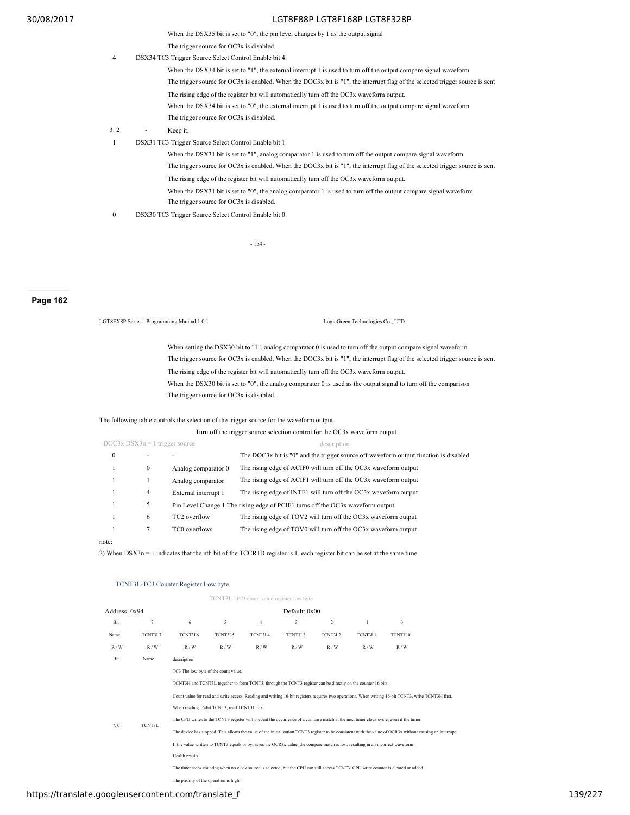When the DSX35 bit is set to "0", the pin level changes by 1 as the output signal

The trigger source for OC3x is disabled.

4 DSX34 TC3 Trigger Source Select Control Enable bit 4.

When the DSX34 bit is set to "1", the external interrupt 1 is used to turn off the output compare signal waveform The trigger source for OC3x is enabled. When the DOC3x bit is "1", the interrupt flag of the selected trigger source is sent The rising edge of the register bit will automatically turn off the OC3x waveform output. When the DSX34 bit is set to "0", the external interrupt 1 is used to turn off the output compare signal waveform The trigger source for OC3x is disabled.

- 3: 2 Keep it.
- 1 DSX31 TC3 Trigger Source Select Control Enable bit 1.

When the DSX31 bit is set to "1", analog comparator 1 is used to turn off the output compare signal waveform

- The trigger source for OC3x is enabled. When the DOC3x bit is "1", the interrupt flag of the selected trigger source is sent
- The rising edge of the register bit will automatically turn off the OC3x waveform output.
- When the DSX31 bit is set to "0", the analog comparator 1 is used to turn off the output compare signal waveform The trigger source for OC3x is disabled.
- 0 DSX30 TC3 Trigger Source Select Control Enable bit 0.

- 154 -

## **Page 162**

LGT8FX8P Series - Programming Manual 1.0.1 LogicGreen Technologies Co., LTD

When setting the DSX30 bit to "1", analog comparator 0 is used to turn off the output compare signal waveform The trigger source for OC3x is enabled. When the DOC3x bit is "1", the interrupt flag of the selected trigger source is sent The rising edge of the register bit will automatically turn off the OC3x waveform output. When the DSX30 bit is set to "0", the analog comparator 0 is used as the output signal to turn off the comparison The trigger source for OC3x is disabled.

## The following table controls the selection of the trigger source for the waveform output.

|                                  | Turn off the trigger source selection control for the OC3x waveform output |                      |                                                                                      |  |  |  |  |  |  |  |
|----------------------------------|----------------------------------------------------------------------------|----------------------|--------------------------------------------------------------------------------------|--|--|--|--|--|--|--|
| $DOC3x$ DSX3n = 1 trigger source |                                                                            |                      | description                                                                          |  |  |  |  |  |  |  |
| 0                                | ۰                                                                          |                      | The DOC3x bit is "0" and the trigger source off waveform output function is disabled |  |  |  |  |  |  |  |
|                                  | $\mathbf{0}$                                                               | Analog comparator 0  | The rising edge of ACIF0 will turn off the OC3x waveform output                      |  |  |  |  |  |  |  |
|                                  |                                                                            | Analog comparator    | The rising edge of ACIF1 will turn off the OC3x waveform output                      |  |  |  |  |  |  |  |
|                                  | 4                                                                          | External interrupt 1 | The rising edge of INTF1 will turn off the OC3x waveform output                      |  |  |  |  |  |  |  |
|                                  | 5                                                                          |                      | Pin Level Change 1 The rising edge of PCIF1 turns off the OC3x waveform output       |  |  |  |  |  |  |  |
|                                  | 6                                                                          | TC2 overflow         | The rising edge of TOV2 will turn off the OC3x waveform output                       |  |  |  |  |  |  |  |
|                                  |                                                                            | TC0 overflows        | The rising edge of TOV0 will turn off the OC3x waveform output                       |  |  |  |  |  |  |  |
|                                  |                                                                            |                      |                                                                                      |  |  |  |  |  |  |  |

### note:

2) When DSX3n = 1 indicates that the nth bit of the TCCR1D register is 1, each register bit can be set at the same time.

#### TCNT3L-TC3 Counter Register Low byte

|               |         |                                                                                                                                                     |         | TCNT3L-TC3 count value register low byte |               |         |         |                                                                                                                                                           |  |  |  |
|---------------|---------|-----------------------------------------------------------------------------------------------------------------------------------------------------|---------|------------------------------------------|---------------|---------|---------|-----------------------------------------------------------------------------------------------------------------------------------------------------------|--|--|--|
| Address: 0x94 |         |                                                                                                                                                     |         |                                          | Default: 0x00 |         |         |                                                                                                                                                           |  |  |  |
| Bit           | 7       | 6                                                                                                                                                   | 5       | $\overline{4}$                           | 3             | 2       | 1       | $\mathbf{0}$                                                                                                                                              |  |  |  |
| Name          | TCNT3L7 | TCNT3L6                                                                                                                                             | TCNT3L5 | TCNT3L4                                  | TCNT3L3       | TCNT3L2 | TCNT3L1 | TCNT3L0                                                                                                                                                   |  |  |  |
| R/W           | R/W     | R/W                                                                                                                                                 | R/W     | R/W                                      | R/W           | R/W     | R/W     | R/W                                                                                                                                                       |  |  |  |
| Bit           | Name    | description                                                                                                                                         |         |                                          |               |         |         |                                                                                                                                                           |  |  |  |
|               |         | TC3 The low byte of the count value.                                                                                                                |         |                                          |               |         |         |                                                                                                                                                           |  |  |  |
|               |         | TCNT3H and TCNT3L together to form TCNT3, through the TCNT3 register can be directly on the counter 16 bits                                         |         |                                          |               |         |         |                                                                                                                                                           |  |  |  |
|               |         | Count value for read and write access. Reading and writing 16-bit registers requires two operations. When writing 16-bit TCNT3, write TCNT3H first. |         |                                          |               |         |         |                                                                                                                                                           |  |  |  |
|               |         | When reading 16-bit TCNT3, read TCNT3L first.                                                                                                       |         |                                          |               |         |         |                                                                                                                                                           |  |  |  |
| 7:0           | TCNT3L  | The CPU writes to the TCNT3 register will prevent the occurrence of a compare match at the next timer clock cycle, even if the timer                |         |                                          |               |         |         |                                                                                                                                                           |  |  |  |
|               |         |                                                                                                                                                     |         |                                          |               |         |         | The device has stopped. This allows the value of the initialization TCNT3 register to be consistent with the value of OCR3x without causing an interrupt. |  |  |  |
|               |         | If the value written to TCNT3 equals or bypasses the OCR3x value, the compare match is lost, resulting in an incorrect waveform                     |         |                                          |               |         |         |                                                                                                                                                           |  |  |  |
|               |         | Health results.                                                                                                                                     |         |                                          |               |         |         |                                                                                                                                                           |  |  |  |
|               |         |                                                                                                                                                     |         |                                          |               |         |         | The timer stops counting when no clock source is selected, but the CPU can still access TCNT3. CPU write counter is cleared or added                      |  |  |  |
|               |         | The priority of the operation is high.                                                                                                              |         |                                          |               |         |         |                                                                                                                                                           |  |  |  |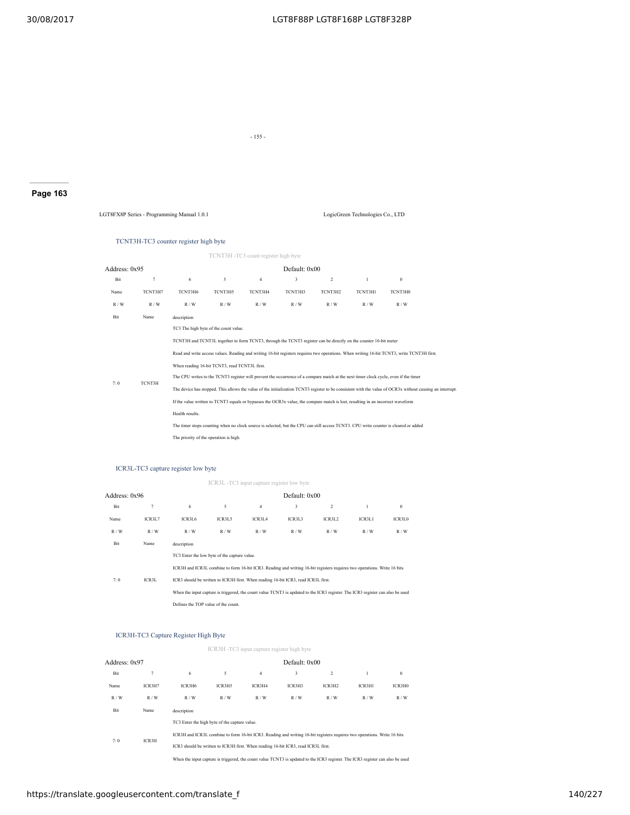- 155 -

# **Page 163**

LGT8FX8P Series - Programming Manual 1.0.1 LogicGreen Technologies Co., LTD

#### TCNT3H-TC3 counter register high byte

TCNT3H -TC3 count register high byte

# Address: 0x95 Default: 0x00

| Bit  | 7       | 6                                                                                                                                                         | 5                                      | $\overline{4}$ | 3       | $\overline{2}$ |         | $\theta$                                                                                                                             |  |  |  |  |  |
|------|---------|-----------------------------------------------------------------------------------------------------------------------------------------------------------|----------------------------------------|----------------|---------|----------------|---------|--------------------------------------------------------------------------------------------------------------------------------------|--|--|--|--|--|
| Name | TCNT3H7 | TCNT3H6                                                                                                                                                   | TCNT3H5                                | TCNT3H4        | TCNT3H3 | TCNT3H2        | TCNT3H1 | TCNT3H0                                                                                                                              |  |  |  |  |  |
| R/W  | R/W     | R/W                                                                                                                                                       | R/W                                    | R/W            | R/W     | R/W            | R/W     | R/W                                                                                                                                  |  |  |  |  |  |
| Bit  | Name    | description                                                                                                                                               |                                        |                |         |                |         |                                                                                                                                      |  |  |  |  |  |
|      |         | TC3 The high byte of the count value.                                                                                                                     |                                        |                |         |                |         |                                                                                                                                      |  |  |  |  |  |
|      |         | TCNT3H and TCNT3L together to form TCNT3, through the TCNT3 register can be directly on the counter 16-bit meter                                          |                                        |                |         |                |         |                                                                                                                                      |  |  |  |  |  |
|      |         | Read and write access values. Reading and writing 16-bit registers requires two operations. When writing 16-bit TCNT3, write TCNT3H first.                |                                        |                |         |                |         |                                                                                                                                      |  |  |  |  |  |
|      |         | When reading 16-bit TCNT3, read TCNT3L first.                                                                                                             |                                        |                |         |                |         |                                                                                                                                      |  |  |  |  |  |
| 7:0  | TCNT3H  | The CPU writes to the TCNT3 register will prevent the occurrence of a compare match at the next timer clock cycle, even if the timer                      |                                        |                |         |                |         |                                                                                                                                      |  |  |  |  |  |
|      |         | The device has stopped. This allows the value of the initialization TCNT3 register to be consistent with the value of OCR3x without causing an interrupt. |                                        |                |         |                |         |                                                                                                                                      |  |  |  |  |  |
|      |         | If the value written to TCNT3 equals or bypasses the OCR3x value, the compare match is lost, resulting in an incorrect waveform                           |                                        |                |         |                |         |                                                                                                                                      |  |  |  |  |  |
|      |         | Health results.                                                                                                                                           |                                        |                |         |                |         |                                                                                                                                      |  |  |  |  |  |
|      |         |                                                                                                                                                           |                                        |                |         |                |         | The timer stops counting when no clock source is selected, but the CPU can still access TCNT3. CPU write counter is cleared or added |  |  |  |  |  |
|      |         |                                                                                                                                                           | The priority of the operation is high. |                |         |                |         |                                                                                                                                      |  |  |  |  |  |

## ICR3L-TC3 capture register low byte

ICR3L -TC3 input capture register low byte

| Address: 0x96 |        |                                     |                                              |                                                                                    | Default: 0x00 |                                                                                                                                |        |          |
|---------------|--------|-------------------------------------|----------------------------------------------|------------------------------------------------------------------------------------|---------------|--------------------------------------------------------------------------------------------------------------------------------|--------|----------|
| Bit           | 7      | 6                                   | 5                                            | $\overline{4}$                                                                     | 3             | 2                                                                                                                              |        | $\theta$ |
| Name          | ICR3L7 | ICR3L6                              | ICR3L5                                       | ICR3L4                                                                             | ICR3L3        | ICR3L2                                                                                                                         | ICR3L1 | ICR3L0   |
| R/W           | R/W    | R/W                                 | R/W                                          | R/W                                                                                | R/W           | R/W                                                                                                                            | R/W    | R/W      |
| Bit           | Name   | description                         |                                              |                                                                                    |               |                                                                                                                                |        |          |
|               |        |                                     | TC3 Enter the low byte of the capture value. |                                                                                    |               |                                                                                                                                |        |          |
|               |        |                                     |                                              |                                                                                    |               | ICR3H and ICR3L combine to form 16-bit ICR3. Reading and writing 16-bit registers requires two operations. Write 16 bits       |        |          |
| 7:0           | ICR3L  |                                     |                                              | ICR3 should be written to ICR3H first. When reading 16-bit ICR3, read ICR3L first. |               |                                                                                                                                |        |          |
|               |        |                                     |                                              |                                                                                    |               | When the input capture is triggered, the count value TCNT3 is updated to the ICR3 register. The ICR3 register can also be used |        |          |
|               |        | Defines the TOP value of the count. |                                              |                                                                                    |               |                                                                                                                                |        |          |

#### ICR3H-TC3 Capture Register High Byte

|               |        |             |                                                                                                                          | ICR3H -TC3 input capture register high byte |                 |                |        |          |
|---------------|--------|-------------|--------------------------------------------------------------------------------------------------------------------------|---------------------------------------------|-----------------|----------------|--------|----------|
| Address: 0x97 |        |             |                                                                                                                          |                                             | Default: $0x00$ |                |        |          |
| Bit           | 7      | 6           | 5                                                                                                                        | $\overline{4}$                              | 3               | $\overline{2}$ |        | $\theta$ |
| Name          | ICR3H7 | ICR3H6      | ICR3H5                                                                                                                   | ICR3H4                                      | ICR3H3          | ICR3H2         | ICR3H1 | ICR3H0   |
| R/W           | R/W    | R/W         | R/W                                                                                                                      | R/W                                         | R/W             | R/W            | R/W    | R/W      |
| Bit           | Name   | description |                                                                                                                          |                                             |                 |                |        |          |
|               |        |             | TC3 Enter the high byte of the capture value.                                                                            |                                             |                 |                |        |          |
|               |        |             | ICR3H and ICR3L combine to form 16-bit ICR3. Reading and writing 16-bit registers requires two operations. Write 16 bits |                                             |                 |                |        |          |
| 7:0           | ICR3H  |             | ICR3 should be written to ICR3H first. When reading 16-bit ICR3, read ICR3L first.                                       |                                             |                 |                |        |          |
|               |        |             |                                                                                                                          |                                             |                 |                |        |          |

When the input capture is triggered, the count value TCNT3 is updated to the ICR3 register. The ICR3 register can also be used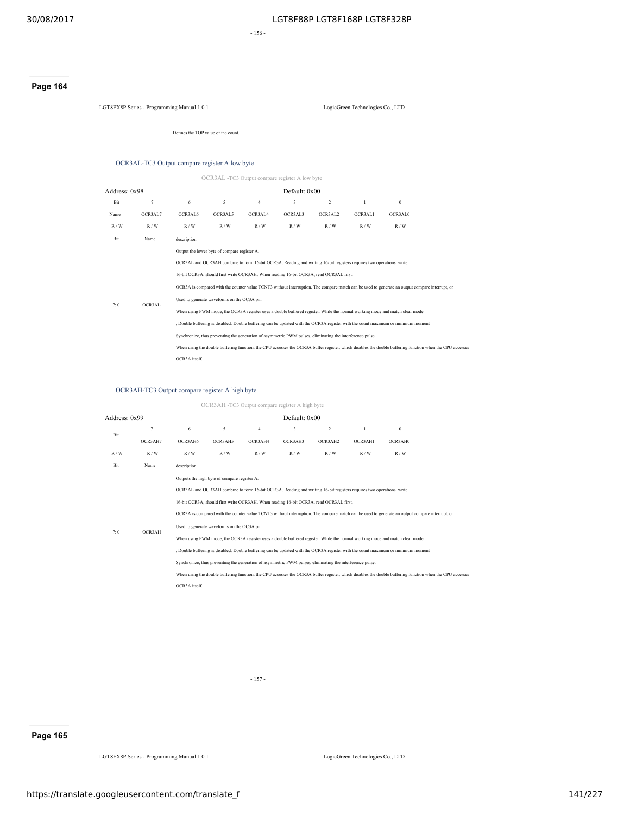- 156 -

## **Page 164**

LGT8FX8P Series - Programming Manual 1.0.1 LogicGreen Technologies Co., LTD

Defines the TOP value of the count.

## OCR3AL-TC3 Output compare register A low byte

OCR3AL -TC3 Output compare register A low byte

| Address: 0x98                                                                                                                                  |                |                                                                                                                                                          |                                              |                | Default: 0x00                                                                                             |         |         |                                                                                                                                  |  |  |  |
|------------------------------------------------------------------------------------------------------------------------------------------------|----------------|----------------------------------------------------------------------------------------------------------------------------------------------------------|----------------------------------------------|----------------|-----------------------------------------------------------------------------------------------------------|---------|---------|----------------------------------------------------------------------------------------------------------------------------------|--|--|--|
| Bit                                                                                                                                            | $\overline{7}$ | 6                                                                                                                                                        | 5                                            | $\overline{4}$ | 3                                                                                                         | 2       |         | $\theta$                                                                                                                         |  |  |  |
| Name                                                                                                                                           | OCR3AL7        | OCR3AL6                                                                                                                                                  | OCR3AL5                                      | OCR3AL4        | OCR3AL3                                                                                                   | OCR3AL2 | OCR3AL1 | OCR3AL0                                                                                                                          |  |  |  |
| R/W                                                                                                                                            | R/W            | R/W                                                                                                                                                      | R/W                                          | R/W            | R/W                                                                                                       | R/W     | R/W     | R/W                                                                                                                              |  |  |  |
| Bit                                                                                                                                            | Name           | description                                                                                                                                              |                                              |                |                                                                                                           |         |         |                                                                                                                                  |  |  |  |
|                                                                                                                                                |                |                                                                                                                                                          | Output the lower byte of compare register A. |                |                                                                                                           |         |         |                                                                                                                                  |  |  |  |
|                                                                                                                                                |                | OCR3AL and OCR3AH combine to form 16-bit OCR3A. Reading and writing 16-bit registers requires two operations. write                                      |                                              |                |                                                                                                           |         |         |                                                                                                                                  |  |  |  |
|                                                                                                                                                |                | 16-bit OCR3A, should first write OCR3AH. When reading 16-bit OCR3A, read OCR3AL first.                                                                   |                                              |                |                                                                                                           |         |         |                                                                                                                                  |  |  |  |
| OCR3A is compared with the counter value TCNT3 without interruption. The compare match can be used to generate an output compare interrupt, or |                |                                                                                                                                                          |                                              |                |                                                                                                           |         |         |                                                                                                                                  |  |  |  |
| 7:0                                                                                                                                            | OCR3AL         |                                                                                                                                                          | Used to generate waveforms on the OC3A pin.  |                |                                                                                                           |         |         |                                                                                                                                  |  |  |  |
|                                                                                                                                                |                |                                                                                                                                                          |                                              |                |                                                                                                           |         |         | When using PWM mode, the OCR3A register uses a double buffered register. While the normal working mode and match clear mode      |  |  |  |
|                                                                                                                                                |                |                                                                                                                                                          |                                              |                |                                                                                                           |         |         | , Double buffering is disabled. Double buffering can be updated with the OCR3A register with the count maximum or minimum moment |  |  |  |
|                                                                                                                                                |                |                                                                                                                                                          |                                              |                | Synchronize, thus preventing the generation of asymmetric PWM pulses, eliminating the interference pulse. |         |         |                                                                                                                                  |  |  |  |
|                                                                                                                                                |                | When using the double buffering function, the CPU accesses the OCR3A buffer register, which disables the double buffering function when the CPU accesses |                                              |                |                                                                                                           |         |         |                                                                                                                                  |  |  |  |
|                                                                                                                                                |                | OCR3A itself.                                                                                                                                            |                                              |                |                                                                                                           |         |         |                                                                                                                                  |  |  |  |

## OCR3AH-TC3 Output compare register A high byte

| Address: 0x99                                                                          |         |               |                                              |                | Default: 0x00 |                                                                                                                     |         |                                                                                                                                                |                                                                                                                                                          |
|----------------------------------------------------------------------------------------|---------|---------------|----------------------------------------------|----------------|---------------|---------------------------------------------------------------------------------------------------------------------|---------|------------------------------------------------------------------------------------------------------------------------------------------------|----------------------------------------------------------------------------------------------------------------------------------------------------------|
| Bit                                                                                    | 7       | 6             | 5                                            | $\overline{4}$ | 3             | 2                                                                                                                   |         | $\theta$                                                                                                                                       |                                                                                                                                                          |
|                                                                                        | OCR3AH7 | OCR3AH6       | OCR3AH5                                      | OCR3AH4        | OCR3AH3       | OCR3AH2                                                                                                             | OCR3AH1 | OCR3AH0                                                                                                                                        |                                                                                                                                                          |
| R/W                                                                                    | R/W     | R/W           | R/W                                          | R/W            | R/W           | R/W                                                                                                                 | R/W     | R/W                                                                                                                                            |                                                                                                                                                          |
| Bit                                                                                    | Name    | description   |                                              |                |               |                                                                                                                     |         |                                                                                                                                                |                                                                                                                                                          |
|                                                                                        |         |               | Outputs the high byte of compare register A. |                |               |                                                                                                                     |         |                                                                                                                                                |                                                                                                                                                          |
|                                                                                        |         |               |                                              |                |               | OCR3AL and OCR3AH combine to form 16-bit OCR3A. Reading and writing 16-bit registers requires two operations. write |         |                                                                                                                                                |                                                                                                                                                          |
| 16-bit OCR3A, should first write OCR3AH. When reading 16-bit OCR3A, read OCR3AL first. |         |               |                                              |                |               |                                                                                                                     |         |                                                                                                                                                |                                                                                                                                                          |
|                                                                                        |         |               |                                              |                |               |                                                                                                                     |         | OCR3A is compared with the counter value TCNT3 without interruption. The compare match can be used to generate an output compare interrupt, or |                                                                                                                                                          |
|                                                                                        | OCR3AH  |               | Used to generate waveforms on the OC3A pin.  |                |               |                                                                                                                     |         |                                                                                                                                                |                                                                                                                                                          |
| 7:0                                                                                    |         |               |                                              |                |               |                                                                                                                     |         | When using PWM mode, the OCR3A register uses a double buffered register. While the normal working mode and match clear mode                    |                                                                                                                                                          |
|                                                                                        |         |               |                                              |                |               |                                                                                                                     |         | , Double buffering is disabled. Double buffering can be updated with the OCR3A register with the count maximum or minimum moment               |                                                                                                                                                          |
|                                                                                        |         |               |                                              |                |               | Synchronize, thus preventing the generation of asymmetric PWM pulses, eliminating the interference pulse.           |         |                                                                                                                                                |                                                                                                                                                          |
|                                                                                        |         |               |                                              |                |               |                                                                                                                     |         |                                                                                                                                                | When using the double buffering function, the CPU accesses the OCR3A buffer register, which disables the double buffering function when the CPU accesses |
|                                                                                        |         | OCR3A itself. |                                              |                |               |                                                                                                                     |         |                                                                                                                                                |                                                                                                                                                          |

OCR3AH -TC3 Output compare register A high byte

- 157 -

**Page 165**

LGT8FX8P Series - Programming Manual 1.0.1 LogicGreen Technologies Co., LTD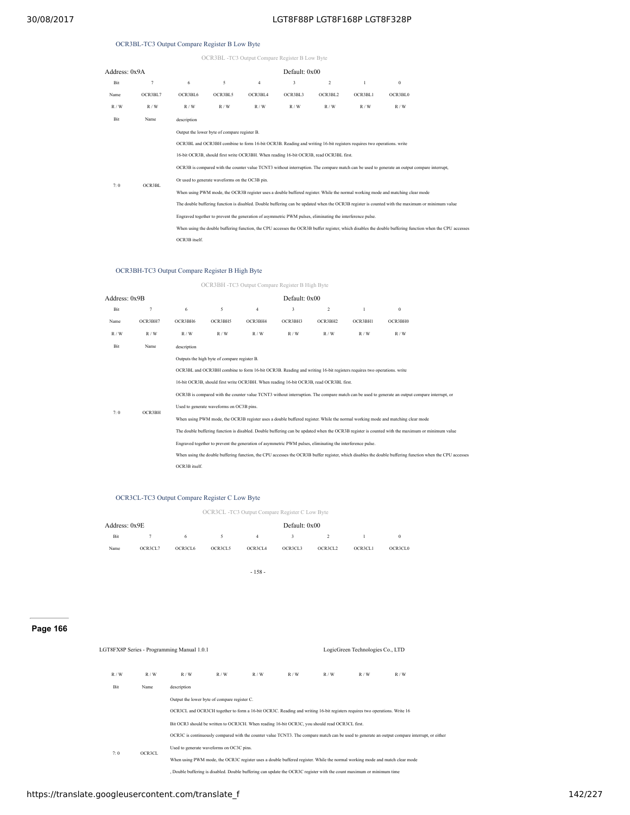# OCR3BL-TC3 Output Compare Register B Low Byte

|  |  | OCR3BL -TC3 Output Compare Register B Low Byte |  |  |
|--|--|------------------------------------------------|--|--|
|  |  |                                                |  |  |

| Address: 0x9A |         |               |                                                                                                |                | Default: 0x00                                                                                                                                                                                                                                                                                                              |         |         |                                                                                                                                                                                                                                                                                                                                                                                                                                  |                                                                                                                                                          |
|---------------|---------|---------------|------------------------------------------------------------------------------------------------|----------------|----------------------------------------------------------------------------------------------------------------------------------------------------------------------------------------------------------------------------------------------------------------------------------------------------------------------------|---------|---------|----------------------------------------------------------------------------------------------------------------------------------------------------------------------------------------------------------------------------------------------------------------------------------------------------------------------------------------------------------------------------------------------------------------------------------|----------------------------------------------------------------------------------------------------------------------------------------------------------|
| Bit           | $\tau$  | 6             | 5                                                                                              | $\overline{4}$ | 3                                                                                                                                                                                                                                                                                                                          | 2       | 1       | $\theta$                                                                                                                                                                                                                                                                                                                                                                                                                         |                                                                                                                                                          |
| Name          | OCR3BL7 | OCR3BL6       | OCR3BL5                                                                                        | OCR3BL4        | OCR3BL3                                                                                                                                                                                                                                                                                                                    | OCR3BL2 | OCR3BL1 | OCR3BL0                                                                                                                                                                                                                                                                                                                                                                                                                          |                                                                                                                                                          |
| R/W           | R/W     | R/W           | R/W                                                                                            | R/W            | R/W                                                                                                                                                                                                                                                                                                                        | R/W     | R/W     | R/W                                                                                                                                                                                                                                                                                                                                                                                                                              |                                                                                                                                                          |
| Bit           | Name    | description   |                                                                                                |                |                                                                                                                                                                                                                                                                                                                            |         |         |                                                                                                                                                                                                                                                                                                                                                                                                                                  |                                                                                                                                                          |
| 7:0           | OCR3BL  | OCR3B itself. | Output the lower byte of compare register B.<br>Or used to generate waveforms on the OC3B pin. |                | OCR3BL and OCR3BH combine to form 16-bit OCR3B. Reading and writing 16-bit registers requires two operations, write<br>16-bit OCR3B, should first write OCR3BH. When reading 16-bit OCR3B, read OCR3BL first.<br>Engraved together to prevent the generation of asymmetric PWM pulses, eliminating the interference pulse. |         |         | OCR3B is compared with the counter value TCNT3 without interruption. The compare match can be used to generate an output compare interrupt,<br>When using PWM mode, the OCR3B register uses a double buffered register. While the normal working mode and matching clear mode<br>The double buffering function is disabled. Double buffering can be updated when the OCR3B register is counted with the maximum or minimum value | When using the double buffering function, the CPU accesses the OCR3B buffer register, which disables the double buffering function when the CPU accesses |

## OCR3BH-TC3 Output Compare Register B High Byte

OCR3BH -TC3 Output Compare Register B High Byte

| Address: 0x9B |                |                                                                                                                                                                                                                                                                                                                                                                                                                          |                                                                                          |                | Default: 0x00 |                                                                                                                                                                                                               |         |                                                                                                                                                                                                                                                                                  |  |  |  |
|---------------|----------------|--------------------------------------------------------------------------------------------------------------------------------------------------------------------------------------------------------------------------------------------------------------------------------------------------------------------------------------------------------------------------------------------------------------------------|------------------------------------------------------------------------------------------|----------------|---------------|---------------------------------------------------------------------------------------------------------------------------------------------------------------------------------------------------------------|---------|----------------------------------------------------------------------------------------------------------------------------------------------------------------------------------------------------------------------------------------------------------------------------------|--|--|--|
| Bit           | $\overline{7}$ | 6                                                                                                                                                                                                                                                                                                                                                                                                                        | 5                                                                                        | $\overline{4}$ | 3             | 2                                                                                                                                                                                                             | 1       | $\theta$                                                                                                                                                                                                                                                                         |  |  |  |
| Name          | OCR3BH7        | OCR3BH6                                                                                                                                                                                                                                                                                                                                                                                                                  | OCR3BH5                                                                                  | OCR3BH4        | OCR3BH3       | OCR3BH2                                                                                                                                                                                                       | OCR3BH1 | OCR3BH0                                                                                                                                                                                                                                                                          |  |  |  |
| R/W           | R/W            | R/W                                                                                                                                                                                                                                                                                                                                                                                                                      | R/W                                                                                      | R/W            | R/W           | R/W                                                                                                                                                                                                           | R/W     | R/W                                                                                                                                                                                                                                                                              |  |  |  |
| Bit           | Name           | description                                                                                                                                                                                                                                                                                                                                                                                                              |                                                                                          |                |               |                                                                                                                                                                                                               |         |                                                                                                                                                                                                                                                                                  |  |  |  |
| 7:0           | OCR3BH         |                                                                                                                                                                                                                                                                                                                                                                                                                          | Outputs the high byte of compare register B.<br>Used to generate waveforms on OC3B pins. |                |               | OCR3BL and OCR3BH combine to form 16-bit OCR3B. Reading and writing 16-bit registers requires two operations, write<br>16-bit OCR3B, should first write OCR3BH. When reading 16-bit OCR3B, read OCR3BL first. |         | OCR3B is compared with the counter value TCNT3 without interruption. The compare match can be used to generate an output compare interrupt, or<br>When using PWM mode, the OCR3B register uses a double buffered register. While the normal working mode and matching clear mode |  |  |  |
|               |                | The double buffering function is disabled. Double buffering can be updated when the OCR3B register is counted with the maximum or minimum value<br>Engraved together to prevent the generation of asymmetric PWM pulses, eliminating the interference pulse.<br>When using the double buffering function, the CPU accesses the OCR3B buffer register, which disables the double buffering function when the CPU accesses |                                                                                          |                |               |                                                                                                                                                                                                               |         |                                                                                                                                                                                                                                                                                  |  |  |  |
|               |                | OCR3B itself.                                                                                                                                                                                                                                                                                                                                                                                                            |                                                                                          |                |               |                                                                                                                                                                                                               |         |                                                                                                                                                                                                                                                                                  |  |  |  |

## OCR3CL-TC3 Output Compare Register C Low Byte

OCR3CL -TC3 Output Compare Register C Low Byte

| Address: 0x9E |         |         |         |              | Default: 0x00 |          |         |          |
|---------------|---------|---------|---------|--------------|---------------|----------|---------|----------|
| Bit           | 7       | 6.      | - 5 -   | $\mathbf{A}$ | $\mathcal{R}$ | $\sim$ 2 |         | $\Omega$ |
| Name          | OCR3CL7 | OCR3CL6 | OCR3CL5 | OCR3CL4      | OCR3CL3       | OCR3CL2  | OCR3CL1 | OCR3CL0  |

- 158 -

# **Page 166**

|     |        | LGT8FX8P Series - Programming Manual 1.0.1 |                                                                                                |     |     |     | LogicGreen Technologies Co., LTD                                                                                          |                                                                                                                                               |  |
|-----|--------|--------------------------------------------|------------------------------------------------------------------------------------------------|-----|-----|-----|---------------------------------------------------------------------------------------------------------------------------|-----------------------------------------------------------------------------------------------------------------------------------------------|--|
| R/W | R/W    | R/W                                        | R/W                                                                                            | R/W | R/W | R/W | R/W                                                                                                                       | R/W                                                                                                                                           |  |
| Bit | Name   | description                                |                                                                                                |     |     |     |                                                                                                                           |                                                                                                                                               |  |
|     |        |                                            | Output the lower byte of compare register C.                                                   |     |     |     |                                                                                                                           |                                                                                                                                               |  |
|     |        |                                            |                                                                                                |     |     |     | OCR3CL and OCR3CH together to form a 16-bit OCR3C. Reading and writing 16-bit registers requires two operations. Write 16 |                                                                                                                                               |  |
|     |        |                                            | Bit OCR3 should be written to OCR3CH. When reading 16-bit OCR3C, you should read OCR3CL first. |     |     |     |                                                                                                                           |                                                                                                                                               |  |
|     |        |                                            |                                                                                                |     |     |     |                                                                                                                           | OCR3C is continuously compared with the counter value TCNT3. The compare match can be used to generate an output compare interrupt, or either |  |
| 7:0 | OCR3CL |                                            | Used to generate waveforms on OC3C pins.                                                       |     |     |     |                                                                                                                           |                                                                                                                                               |  |
|     |        |                                            |                                                                                                |     |     |     |                                                                                                                           | When using PWM mode, the OCR3C register uses a double buffered register. While the normal working mode and match clear mode                   |  |
|     |        |                                            |                                                                                                |     |     |     | Double buffering is disabled. Double buffering can update the OCR3C register with the count maximum or minimum time       |                                                                                                                                               |  |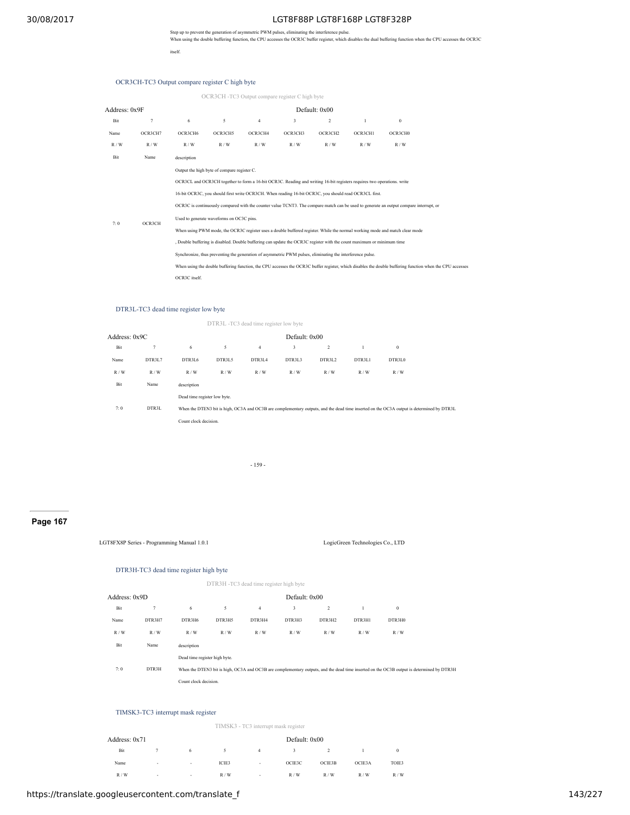Step up to prevent the generation of asymmetric PWM pulses, eliminating the interference pulse.<br>When using the double buffering function, the CPU accesses the OCR3C buffer register, which disables the dual buffering functi itself.

OCR3CH-TC3 Output compare register C high byte

|               |                |               |                                             |                | OCR3CH -TC3 Output compare register C high byte                                                                        |               |         |                                                                                                                                                          |  |
|---------------|----------------|---------------|---------------------------------------------|----------------|------------------------------------------------------------------------------------------------------------------------|---------------|---------|----------------------------------------------------------------------------------------------------------------------------------------------------------|--|
| Address: 0x9F |                |               |                                             |                |                                                                                                                        | Default: 0x00 |         |                                                                                                                                                          |  |
| Bit           | $\overline{7}$ | 6             | 5                                           | $\overline{4}$ | 3                                                                                                                      | 2             | 1       | $\theta$                                                                                                                                                 |  |
| Name          | OCR3CH7        | OCR3CH6       | OCR3CH5                                     | OCR3CH4        | OCR3CH3                                                                                                                | OCR3CH2       | OCR3CH1 | OCR3CH0                                                                                                                                                  |  |
| R/W           | R/W            | R/W           | R/W                                         | R/W            | R/W                                                                                                                    | R/W           | R/W     | R/W                                                                                                                                                      |  |
| Bit           | Name           | description   |                                             |                |                                                                                                                        |               |         |                                                                                                                                                          |  |
|               |                |               | Output the high byte of compare register C. |                |                                                                                                                        |               |         |                                                                                                                                                          |  |
|               |                |               |                                             |                | OCR3CL and OCR3CH together to form a 16-bit OCR3C. Reading and writing 16-bit registers requires two operations, write |               |         |                                                                                                                                                          |  |
|               |                |               |                                             |                | 16-bit OCR3C, you should first write OCR3CH. When reading 16-bit OCR3C, you should read OCR3CL first.                  |               |         |                                                                                                                                                          |  |
|               |                |               |                                             |                |                                                                                                                        |               |         | OCR3C is continuously compared with the counter value TCNT3. The compare match can be used to generate an output compare interrupt, or                   |  |
| 7:0           | OCR3CH         |               | Used to generate waveforms on OC3C pins.    |                |                                                                                                                        |               |         |                                                                                                                                                          |  |
|               |                |               |                                             |                |                                                                                                                        |               |         | When using PWM mode, the OCR3C register uses a double buffered register. While the normal working mode and match clear mode                              |  |
|               |                |               |                                             |                | Double buffering is disabled. Double buffering can update the OCR3C register with the count maximum or minimum time    |               |         |                                                                                                                                                          |  |
|               |                |               |                                             |                | Synchronize, thus preventing the generation of asymmetric PWM pulses, eliminating the interference pulse.              |               |         |                                                                                                                                                          |  |
|               |                |               |                                             |                |                                                                                                                        |               |         | When using the double buffering function, the CPU accesses the OCR3C buffer register, which disables the double buffering function when the CPU accesses |  |
|               |                | OCR3C itself. |                                             |                |                                                                                                                        |               |         |                                                                                                                                                          |  |

#### DTR3L-TC3 dead time register low byte

|               |        |                              |        | DTR3L -TC3 dead time register low byte |               |        |              |          |                                                                                                                                           |
|---------------|--------|------------------------------|--------|----------------------------------------|---------------|--------|--------------|----------|-------------------------------------------------------------------------------------------------------------------------------------------|
| Address: 0x9C |        |                              |        |                                        | Default: 0x00 |        |              |          |                                                                                                                                           |
| Bit           | 7      | 6                            | 5      | $\overline{4}$                         | 3             | 2      | $\mathbf{1}$ | $\bf{0}$ |                                                                                                                                           |
| Name          | DTR3L7 | DTR3L6                       | DTR3L5 | DTR3L4                                 | DTR3L3        | DTR3L2 | DTR3L1       | DTR3L0   |                                                                                                                                           |
| R/W           | R/W    | R/W                          | R/W    | R/W                                    | R/W           | R/W    | R/W          | R/W      |                                                                                                                                           |
| Bit           | Name   | description                  |        |                                        |               |        |              |          |                                                                                                                                           |
|               |        | Dead time register low byte. |        |                                        |               |        |              |          |                                                                                                                                           |
| 7:0           | DTR3L  |                              |        |                                        |               |        |              |          | When the DTEN3 bit is high, OC3A and OC3B are complementary outputs, and the dead time inserted on the OC3A output is determined by DTR3L |
|               |        | Count clock decision.        |        |                                        |               |        |              |          |                                                                                                                                           |
|               |        |                              |        |                                        |               |        |              |          |                                                                                                                                           |

- 159 -

## **Page 167**

LGT8FX8P Series - Programming Manual 1.0.1 LogicGreen Technologies Co., LTD

## DTR3H-TC3 dead time register high byte

| DTR3H -TC3 dead time register high byte |
|-----------------------------------------|

| Address: 0x9D |  |
|---------------|--|
|---------------|--|

| Bit  |                                                                                                                                                    | 6                             | 5      | $\overline{4}$ | 3      | 2      |        | $\bf{0}$ |  |
|------|----------------------------------------------------------------------------------------------------------------------------------------------------|-------------------------------|--------|----------------|--------|--------|--------|----------|--|
| Name | DTR3H7                                                                                                                                             | DTR3H6                        | DTR3H5 | DTR3H4         | DTR3H3 | DTR3H2 | DTR3H1 | DTR3H0   |  |
| R/W  | R/W                                                                                                                                                | R/W                           | R/W    | R/W            | R/W    | R/W    | R/W    | R/W      |  |
| Bit  | Name                                                                                                                                               | description                   |        |                |        |        |        |          |  |
|      |                                                                                                                                                    | Dead time register high byte. |        |                |        |        |        |          |  |
| 7:0  | DTR3H<br>When the DTEN3 bit is high, OC3A and OC3B are complementary outputs, and the dead time inserted on the OC3B output is determined by DTR3H |                               |        |                |        |        |        |          |  |
|      |                                                                                                                                                    | Count clock decision.         |        |                |        |        |        |          |  |

Default: 0x00

## TIMSK3-TC3 interrupt mask register

| TIMSK3 - TC3 interrupt mask register |
|--------------------------------------|
|                                      |

| Address: 0x71 |                          |                          |       |        |        | Default: 0x00 |        |          |  |  |  |
|---------------|--------------------------|--------------------------|-------|--------|--------|---------------|--------|----------|--|--|--|
| Bit           |                          | 6                        | 5     | 4      | 3      |               |        | $\bf{0}$ |  |  |  |
| Name          | $\overline{\phantom{a}}$ | $\overline{\phantom{a}}$ | ICIE3 | $\sim$ | OCIE3C | OCIE3B        | OCIE3A | TOIE3    |  |  |  |
| R/W           | $\overline{\phantom{a}}$ | $\overline{\phantom{a}}$ | R/W   | ٠.     | R/W    | R/W           | R/W    | R/W      |  |  |  |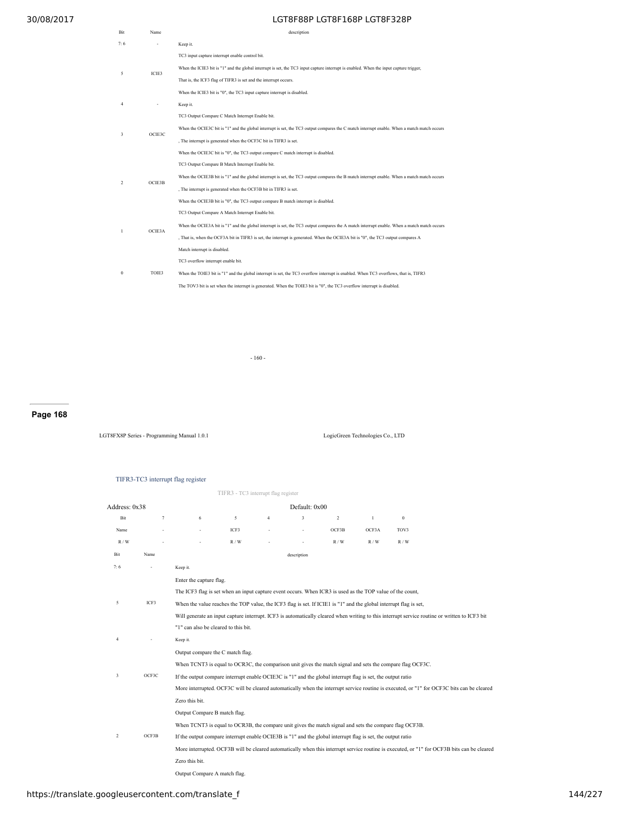| Bit            | Name   | description                                                                                                                                 |
|----------------|--------|---------------------------------------------------------------------------------------------------------------------------------------------|
| 7:6            |        | Keep it.                                                                                                                                    |
|                |        | TC3 input capture interrupt enable control bit.                                                                                             |
| 5              | ICIE3  | When the ICIE3 bit is "1" and the global interrupt is set, the TC3 input capture interrupt is enabled. When the input capture trigger,      |
|                |        | That is, the ICF3 flag of TIFR3 is set and the interrupt occurs.                                                                            |
|                |        | When the ICIE3 bit is "0", the TC3 input capture interrupt is disabled.                                                                     |
| $\overline{4}$ |        | Keep it.                                                                                                                                    |
|                |        | TC3 Output Compare C Match Interrupt Enable bit.                                                                                            |
|                | OCIE3C | When the OCIE3C bit is "1" and the global interrupt is set, the TC3 output compares the C match interrupt enable. When a match match occurs |
| 3              |        | , The interrupt is generated when the OCF3C bit in TIFR3 is set.                                                                            |
|                |        | When the OCIE3C bit is "0", the TC3 output compare C match interrupt is disabled.                                                           |
|                |        | TC3 Output Compare B Match Interrupt Enable bit.                                                                                            |
| $\overline{c}$ | OCIE3B | When the OCIE3B bit is "1" and the global interrupt is set, the TC3 output compares the B match interrupt enable. When a match match occurs |
|                |        | , The interrupt is generated when the OCF3B bit in TIFR3 is set.                                                                            |
|                |        | When the OCIE3B bit is "0", the TC3 output compare B match interrupt is disabled.                                                           |
|                |        | TC3 Output Compare A Match Interrupt Enable bit.                                                                                            |
| 1              | OCIE3A | When the OCIE3A bit is "1" and the global interrupt is set, the TC3 output compares the A match interrupt enable. When a match match occurs |
|                |        | , That is, when the OCF3A bit in TIFR3 is set, the interrupt is generated. When the OCIE3A bit is "0", the TC3 output compares A            |
|                |        | Match interrupt is disabled.                                                                                                                |
| $\theta$       |        | TC3 overflow interrupt enable bit.                                                                                                          |
|                | TOIE3  | When the TOIE3 bit is "1" and the global interrupt is set, the TC3 overflow interrupt is enabled. When TC3 overflows, that is, TIFR3        |
|                |        | The TOV3 bit is set when the interrupt is generated. When the TOIE3 bit is "0", the TC3 overflow interrupt is disabled.                     |

- 160 -

# **Page 168**

LGT8FX8P Series - Programming Manual 1.0.1 LogicGreen Technologies Co., LTD

|                |                                                                                                                                               | TIFR3-TC3 interrupt flag register                                                                                                          |                                     |                |                         |                |              |                                                                                                                                             |  |  |  |
|----------------|-----------------------------------------------------------------------------------------------------------------------------------------------|--------------------------------------------------------------------------------------------------------------------------------------------|-------------------------------------|----------------|-------------------------|----------------|--------------|---------------------------------------------------------------------------------------------------------------------------------------------|--|--|--|
|                |                                                                                                                                               |                                                                                                                                            | TIFR3 - TC3 interrupt flag register |                |                         |                |              |                                                                                                                                             |  |  |  |
| Address: 0x38  |                                                                                                                                               |                                                                                                                                            |                                     |                |                         |                |              |                                                                                                                                             |  |  |  |
| Bit            | $\tau$                                                                                                                                        | 6                                                                                                                                          | 5                                   | $\overline{4}$ | $\overline{\mathbf{3}}$ | $\overline{2}$ | $\mathbf{1}$ | $\mathbf{0}$                                                                                                                                |  |  |  |
| Name           |                                                                                                                                               | ٠                                                                                                                                          | ICF3                                |                |                         | OCF3B          | OCF3A        | TOV3                                                                                                                                        |  |  |  |
| R/W            |                                                                                                                                               |                                                                                                                                            | R/W                                 |                |                         | R/W            | R/W          | R/W                                                                                                                                         |  |  |  |
| Bit            | Name                                                                                                                                          |                                                                                                                                            |                                     |                | description             |                |              |                                                                                                                                             |  |  |  |
| 7:6            | ÷                                                                                                                                             | Keep it.                                                                                                                                   |                                     |                |                         |                |              |                                                                                                                                             |  |  |  |
|                |                                                                                                                                               | Enter the capture flag.                                                                                                                    |                                     |                |                         |                |              |                                                                                                                                             |  |  |  |
|                |                                                                                                                                               | The ICF3 flag is set when an input capture event occurs. When ICR3 is used as the TOP value of the count,                                  |                                     |                |                         |                |              |                                                                                                                                             |  |  |  |
| 5              | ICF3                                                                                                                                          | When the value reaches the TOP value, the ICF3 flag is set. If ICIE1 is "1" and the global interrupt flag is set,                          |                                     |                |                         |                |              |                                                                                                                                             |  |  |  |
|                | Will generate an input capture interrupt. ICF3 is automatically cleared when writing to this interrupt service routine or written to ICF3 bit |                                                                                                                                            |                                     |                |                         |                |              |                                                                                                                                             |  |  |  |
|                |                                                                                                                                               | "1" can also be cleared to this bit.                                                                                                       |                                     |                |                         |                |              |                                                                                                                                             |  |  |  |
| 4              |                                                                                                                                               | Keep it.                                                                                                                                   |                                     |                |                         |                |              |                                                                                                                                             |  |  |  |
|                |                                                                                                                                               | Output compare the C match flag.                                                                                                           |                                     |                |                         |                |              |                                                                                                                                             |  |  |  |
|                |                                                                                                                                               | When TCNT3 is equal to OCR3C, the comparison unit gives the match signal and sets the compare flag OCF3C.                                  |                                     |                |                         |                |              |                                                                                                                                             |  |  |  |
| 3              | OCF3C                                                                                                                                         | If the output compare interrupt enable OCIE3C is "1" and the global interrupt flag is set, the output ratio                                |                                     |                |                         |                |              |                                                                                                                                             |  |  |  |
|                |                                                                                                                                               | More interrupted. OCF3C will be cleared automatically when the interrupt service routine is executed, or "1" for OCF3C bits can be cleared |                                     |                |                         |                |              |                                                                                                                                             |  |  |  |
|                |                                                                                                                                               | Zero this bit.                                                                                                                             |                                     |                |                         |                |              |                                                                                                                                             |  |  |  |
|                |                                                                                                                                               | Output Compare B match flag.                                                                                                               |                                     |                |                         |                |              |                                                                                                                                             |  |  |  |
|                | OCF3B                                                                                                                                         | When TCNT3 is equal to OCR3B, the compare unit gives the match signal and sets the compare flag OCF3B.                                     |                                     |                |                         |                |              |                                                                                                                                             |  |  |  |
| $\overline{2}$ |                                                                                                                                               | If the output compare interrupt enable OCIE3B is "1" and the global interrupt flag is set, the output ratio                                |                                     |                |                         |                |              |                                                                                                                                             |  |  |  |
|                |                                                                                                                                               |                                                                                                                                            |                                     |                |                         |                |              | More interrupted. OCF3B will be cleared automatically when this interrupt service routine is executed, or "1" for OCF3B bits can be cleared |  |  |  |
|                |                                                                                                                                               | Zero this bit.                                                                                                                             |                                     |                |                         |                |              |                                                                                                                                             |  |  |  |

Output Compare A match flag.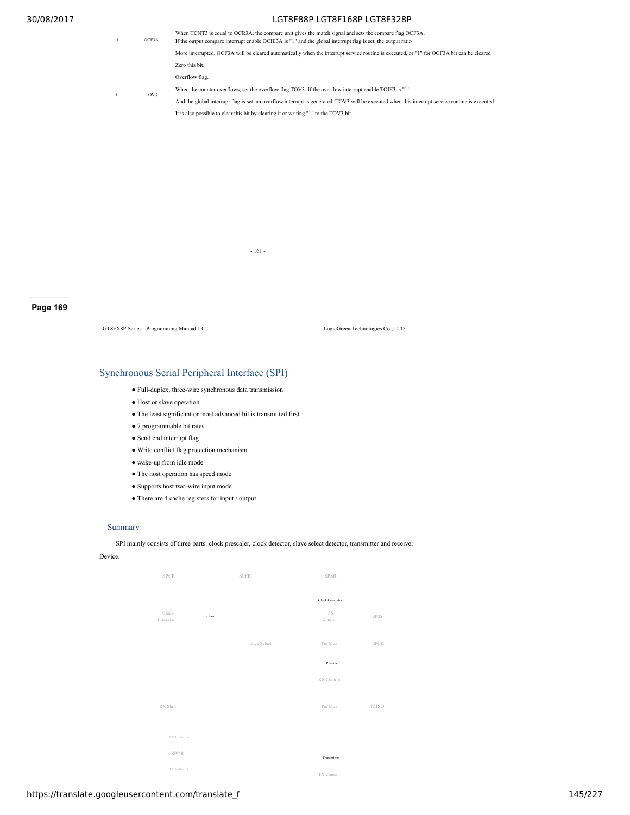1 OCF3A When TCNT3 is equal to OCR3A, the compare unit gives the match signal and sets the compare flag OCF3A. If the output compare interrupt enable OCIE3A is "1" and the global interrupt flag is set, the output ratio More interrupted. OCF3A will be cleared automatically when the interrupt service routine is executed, or "1" for OCF3A bit can be cleared Zero this bit. Overflow flag. When the counter overflows, set the overflow flag TOV3. If the overflow interrupt enable TOIE3 is "1"

0 TOV3

And the global interrupt flag is set, an overflow interrupt is generated. TOV3 will be executed when this interrupt service routine is executed It is also possible to clear this bit by clearing it or writing "1" to the TOV3 bit.

- 161 -

**Page 169**

LGT8FX8P Series - Programming Manual 1.0.1 LogicGreen Technologies Co., LTD

## Synchronous Serial Peripheral Interface (SPI)

- Full-duplex, three-wire synchronous data transmission
- Host or slave operation
- The least significant or most advanced bit is transmitted first
- 7 programmable bit rates
- Send end interrupt flag
- Write conflict flag protection mechanism
- wake-up from idle mode
- The host operation has speed mode
- Supports host two-wire input mode
- $\bullet$  There are 4 cache registers for input / output

### Summary

SPI mainly consists of three parts: clock prescaler, clock detector, slave select detector, transmitter and receiver

Device.

| <b>SPCR</b>  |       | <b>SPFR</b> | <b>SPSR</b>           |             |
|--------------|-------|-------------|-----------------------|-------------|
| Clock        |       |             | Clock Generator<br>SS |             |
| Prescaler    | clkio |             | Control               | <b>SPSS</b> |
|              |       | Edge Select | Pin Mux               | <b>SPCK</b> |
|              |       |             | Receiver              |             |
|              |       |             | RX Control            |             |
| RX Shift     |       |             | Pin Mux               | <b>MISO</b> |
| RX Buffer x4 |       |             |                       |             |
| <b>SPDR</b>  |       |             | Transmitter           |             |
| TX Buffer x4 |       |             | TX Control            |             |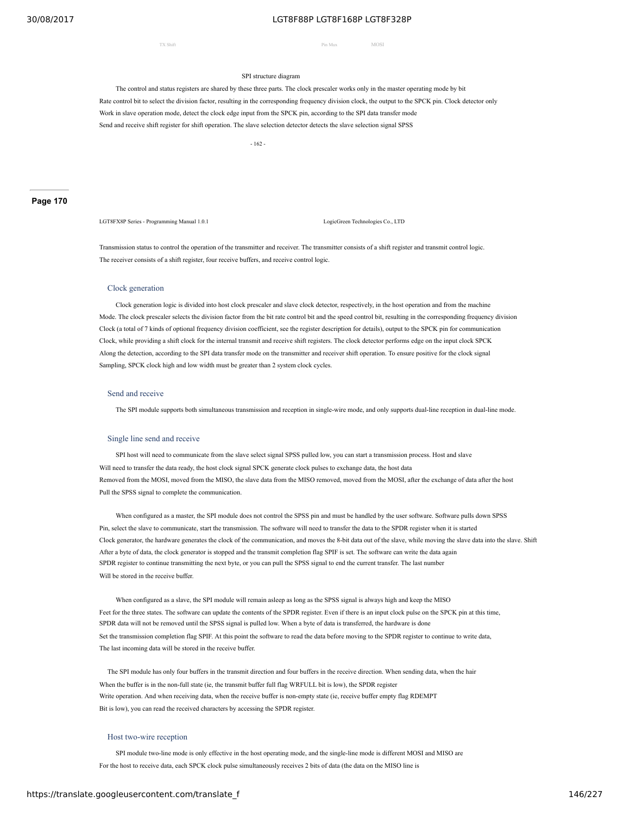TX Shift Pin Mux MOSI

### SPI structure diagram

The control and status registers are shared by these three parts. The clock prescaler works only in the master operating mode by bit Rate control bit to select the division factor, resulting in the corresponding frequency division clock, the output to the SPCK pin. Clock detector only Work in slave operation mode, detect the clock edge input from the SPCK pin, according to the SPI data transfer mode Send and receive shift register for shift operation. The slave selection detector detects the slave selection signal SPSS

- 162 -

LGT8FX8P Series - Programming Manual 1.0.1 LogicGreen Technologies Co., LTD

Transmission status to control the operation of the transmitter and receiver. The transmitter consists of a shift register and transmit control logic. The receiver consists of a shift register, four receive buffers, and receive control logic.

### Clock generation

Clock generation logic is divided into host clock prescaler and slave clock detector, respectively, in the host operation and from the machine Mode. The clock prescaler selects the division factor from the bit rate control bit and the speed control bit, resulting in the corresponding frequency division Clock (a total of 7 kinds of optional frequency division coefficient, see the register description for details), output to the SPCK pin for communication Clock, while providing a shift clock for the internal transmit and receive shift registers. The clock detector performs edge on the input clock SPCK Along the detection, according to the SPI data transfer mode on the transmitter and receiver shift operation. To ensure positive for the clock signal Sampling, SPCK clock high and low width must be greater than 2 system clock cycles.

#### Send and receive

The SPI module supports both simultaneous transmission and reception in single-wire mode, and only supports dual-line reception in dual-line mode.

### Single line send and receive

SPI host will need to communicate from the slave select signal SPSS pulled low, you can start a transmission process. Host and slave Will need to transfer the data ready, the host clock signal SPCK generate clock pulses to exchange data, the host data Removed from the MOSI, moved from the MISO, the slave data from the MISO removed, moved from the MOSI, after the exchange of data after the host Pull the SPSS signal to complete the communication.

When configured as a master, the SPI module does not control the SPSS pin and must be handled by the user software. Software pulls down SPSS Pin, select the slave to communicate, start the transmission. The software will need to transfer the data to the SPDR register when it is started Clock generator, the hardware generates the clock of the communication, and moves the 8-bit data out of the slave, while moving the slave data into the slave. Shift After a byte of data, the clock generator is stopped and the transmit completion flag SPIF is set. The software can write the data again SPDR register to continue transmitting the next byte, or you can pull the SPSS signal to end the current transfer. The last number Will be stored in the receive buffer.

When configured as a slave, the SPI module will remain asleep as long as the SPSS signal is always high and keep the MISO Feet for the three states. The software can update the contents of the SPDR register. Even if there is an input clock pulse on the SPCK pin at this time, SPDR data will not be removed until the SPSS signal is pulled low. When a byte of data is transferred, the hardware is done Set the transmission completion flag SPIF. At this point the software to read the data before moving to the SPDR register to continue to write data, The last incoming data will be stored in the receive buffer.

The SPI module has only four buffers in the transmit direction and four buffers in the receive direction. When sending data, when the hair When the buffer is in the non-full state (ie, the transmit buffer full flag WRFULL bit is low), the SPDR register Write operation. And when receiving data, when the receive buffer is non-empty state (ie, receive buffer empty flag RDEMPT Bit is low), you can read the received characters by accessing the SPDR register.

#### Host two-wire reception

SPI module two-line mode is only effective in the host operating mode, and the single-line mode is different MOSI and MISO are For the host to receive data, each SPCK clock pulse simultaneously receives 2 bits of data (the data on the MISO line is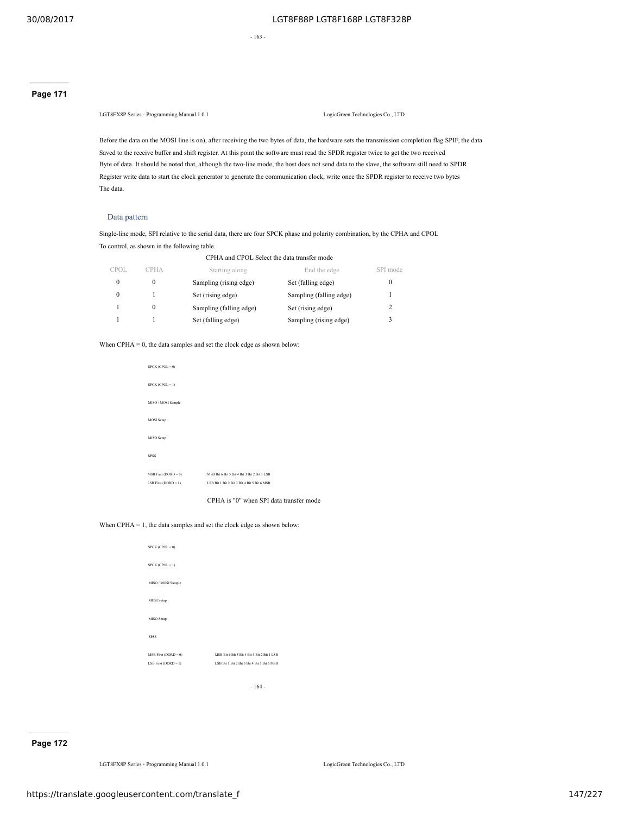- 163 -

## **Page 171**

LGT8FX8P Series - Programming Manual 1.0.1 LogicGreen Technologies Co., LTD

Before the data on the MOSI line is on), after receiving the two bytes of data, the hardware sets the transmission completion flag SPIF, the data Saved to the receive buffer and shift register. At this point the software must read the SPDR register twice to get the two received Byte of data. It should be noted that, although the two-line mode, the host does not send data to the slave, the software still need to SPDR Register write data to start the clock generator to generate the communication clock, write once the SPDR register to receive two bytes The data.

### Data pattern

Single-line mode, SPI relative to the serial data, there are four SPCK phase and polarity combination, by the CPHA and CPOL To control, as shown in the following table.

| CPHA and CPOL Select the data transfer mode |             |                         |                         |          |  |  |
|---------------------------------------------|-------------|-------------------------|-------------------------|----------|--|--|
| CPOL.                                       | <b>CPHA</b> | Starting along          | End the edge            | SPI mode |  |  |
| $\Omega$                                    | $\Omega$    | Sampling (rising edge)  | Set (falling edge)      | 0        |  |  |
|                                             |             | Set (rising edge)       | Sampling (falling edge) |          |  |  |
|                                             | $\theta$    | Sampling (falling edge) | Set (rising edge)       | 2        |  |  |
|                                             |             | Set (falling edge)      | Sampling (rising edge)  | 3        |  |  |

When CPHA  $= 0$ , the data samples and set the clock edge as shown below:

| $SPCK (CPOL = 0)$        |                                             |
|--------------------------|---------------------------------------------|
| $SPCK (CPOL = 1)$        |                                             |
| MISO / MOSI Sample       |                                             |
| <b>MOSI</b> Setup        |                                             |
| MISO Setup               |                                             |
| <b>SPSS</b>              |                                             |
| $MSB$ First (DORD = 0)   | MSB Rit 6 Bit 5 Bit 4 Bit 3 Bit 2 Bit 1 LSB |
| LSB First ( $DORD = 1$ ) | LSB Bit 1 Bit 2 Bit 3 Bit 4 Bit 5 Bit 6 MSB |
|                          |                                             |

CPHA is "0" when SPI data transfer mode

### When CPHA = 1, the data samples and set the clock edge as shown below:

| $SPCK (CPOL = 0)$        |                                             |
|--------------------------|---------------------------------------------|
| $SPCK (CPOL = 1)$        |                                             |
| MISO / MOSI Sample       |                                             |
| <b>MOSI</b> Setup        |                                             |
| MISO Setup               |                                             |
| <b>SPSS</b>              |                                             |
| $MSB First (DORD = 0)$   | MSB Rit 6 Bit 5 Bit 4 Bit 3 Bit 2 Bit 1 LSB |
| LSB First ( $DORD = 1$ ) | LSB Rit 1 Bit 2 Bit 3 Bit 4 Bit 5 Bit 6 MSB |
|                          |                                             |

- 164 -

## **Page 172**

LGT8FX8P Series - Programming Manual 1.0.1 LogicGreen Technologies Co., LTD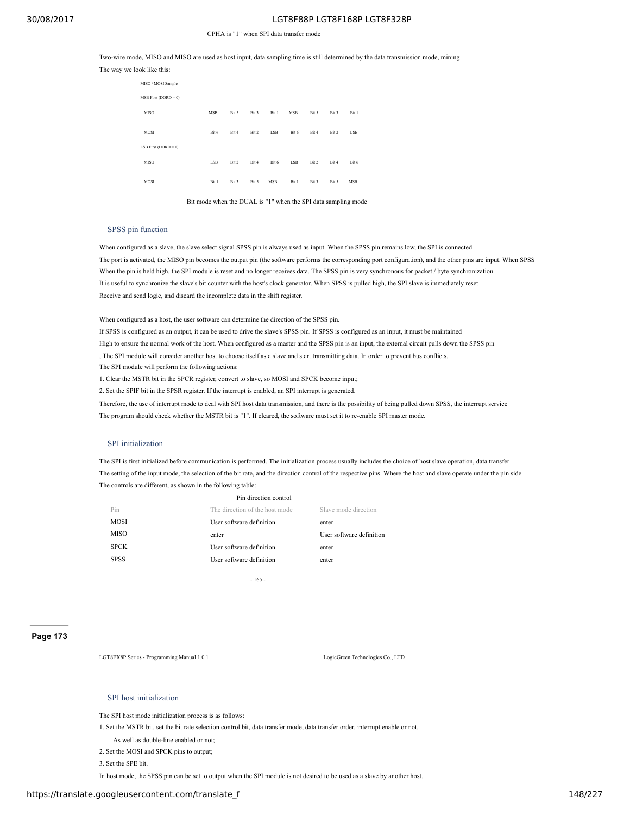### CPHA is "1" when SPI data transfer mode

Two-wire mode, MISO and MISO are used as host input, data sampling time is still determined by the data transmission mode, mining The way we look like this:

| MISO / MOSI Sample     |            |       |       |            |            |       |       |            |  |
|------------------------|------------|-------|-------|------------|------------|-------|-------|------------|--|
| $MSB$ First (DORD = 0) |            |       |       |            |            |       |       |            |  |
| <b>MISO</b>            | <b>MSB</b> | Bit 5 | Bit 3 | Bit 1      | <b>MSB</b> | Bit 5 | Bit 3 | Bit 1      |  |
| <b>MOSI</b>            | Bit 6      | Bit 4 | Bit 2 | <b>LSB</b> | Bit 6      | Bit 4 | Bit 2 | <b>LSB</b> |  |
| $LSB$ First (DORD = 1) |            |       |       |            |            |       |       |            |  |
| <b>MISO</b>            | <b>LSB</b> | Bit 2 | Bit 4 | Bit 6      | <b>LSB</b> | Bit 2 | Bit 4 | Bit 6      |  |
| <b>MOSI</b>            | Bit 1      | Bit 3 | Bit 5 | <b>MSB</b> | Bit 1      | Bit 3 | Bit 5 | <b>MSB</b> |  |

Bit mode when the DUAL is "1" when the SPI data sampling mode

### SPSS pin function

When configured as a slave, the slave select signal SPSS pin is always used as input. When the SPSS pin remains low, the SPI is connected The port is activated, the MISO pin becomes the output pin (the software performs the corresponding port configuration), and the other pins are input. When SPSS When the pin is held high, the SPI module is reset and no longer receives data. The SPSS pin is very synchronous for packet / byte synchronization It is useful to synchronize the slave's bit counter with the host's clock generator. When SPSS is pulled high, the SPI slave is immediately reset Receive and send logic, and discard the incomplete data in the shift register.

When configured as a host, the user software can determine the direction of the SPSS pin.

If SPSS is configured as an output, it can be used to drive the slave's SPSS pin. If SPSS is configured as an input, it must be maintained High to ensure the normal work of the host. When configured as a master and the SPSS pin is an input, the external circuit pulls down the SPSS pin , The SPI module will consider another host to choose itself as a slave and start transmitting data. In order to prevent bus conflicts, The SPI module will perform the following actions:

1. Clear the MSTR bit in the SPCR register, convert to slave, so MOSI and SPCK become input;

2. Set the SPIF bit in the SPSR register. If the interrupt is enabled, an SPI interrupt is generated.

Therefore, the use of interrupt mode to deal with SPI host data transmission, and there is the possibility of being pulled down SPSS, the interrupt service The program should check whether the MSTR bit is "1". If cleared, the software must set it to re-enable SPI master mode.

## SPI initialization

The SPI is first initialized before communication is performed. The initialization process usually includes the choice of host slave operation, data transfer The setting of the input mode, the selection of the bit rate, and the direction control of the respective pins. Where the host and slave operate under the pin side The controls are different, as shown in the following table:

|             | Pin direction control          |                          |
|-------------|--------------------------------|--------------------------|
| Pin         | The direction of the host mode | Slave mode direction     |
| <b>MOSI</b> | User software definition       | enter                    |
| MISO        | enter                          | User software definition |
| <b>SPCK</b> | User software definition       | enter                    |
| <b>SPSS</b> | User software definition       | enter                    |
|             |                                |                          |

- 165 -

**Page 173**

LGT8FX8P Series - Programming Manual 1.0.1 LogicGreen Technologies Co., LTD

### SPI host initialization

The SPI host mode initialization process is as follows:

1. Set the MSTR bit, set the bit rate selection control bit, data transfer mode, data transfer order, interrupt enable or not,

- As well as double-line enabled or not;
- 2. Set the MOSI and SPCK pins to output;

3. Set the SPE bit.

In host mode, the SPSS pin can be set to output when the SPI module is not desired to be used as a slave by another host.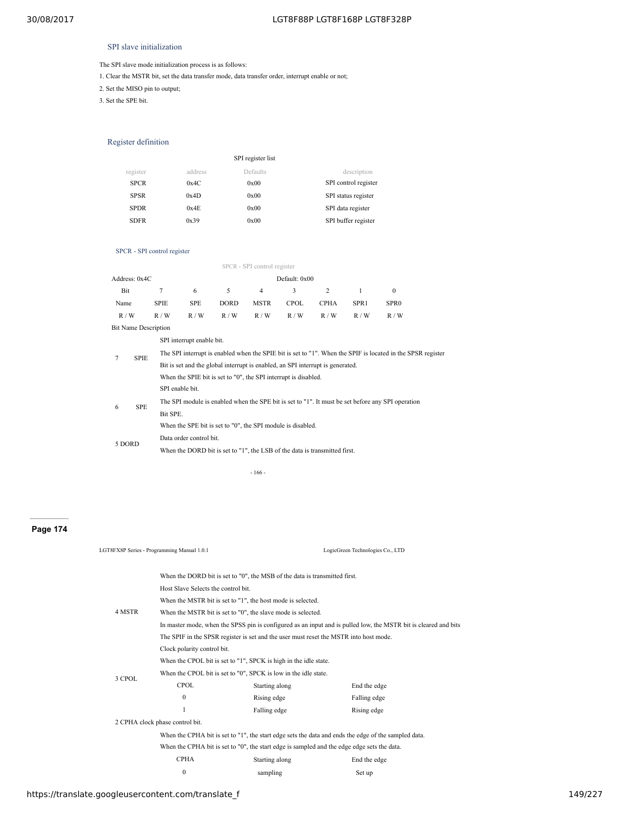## SPI slave initialization

The SPI slave mode initialization process is as follows:

1. Clear the MSTR bit, set the data transfer mode, data transfer order, interrupt enable or not;

2. Set the MISO pin to output;

3. Set the SPE bit.

## Register definition

|             |         | SPI register list |                      |
|-------------|---------|-------------------|----------------------|
| register    | address | Defaults          | description          |
| <b>SPCR</b> | 0x4C    | 0x00              | SPI control register |
| <b>SPSR</b> | 0x4D    | 0x00              | SPI status register  |
| <b>SPDR</b> | 0x4E    | 0x00              | SPI data register    |
| <b>SDFR</b> | 0x39    | 0x00              | SPI buffer register  |
|             |         |                   |                      |

## SPCR - SPI control register

|                             |             |             |                                                                                                             |             | SPCR - SPI control register |               |                |                  |                  |  |  |
|-----------------------------|-------------|-------------|-------------------------------------------------------------------------------------------------------------|-------------|-----------------------------|---------------|----------------|------------------|------------------|--|--|
| Address: 0x4C               |             |             |                                                                                                             |             |                             | Default: 0x00 |                |                  |                  |  |  |
| Bit                         |             | 7           | 6                                                                                                           | 5           | $\overline{4}$              | 3             | $\overline{2}$ | 1                | $\Omega$         |  |  |
| Name                        |             | <b>SPIE</b> | SPE                                                                                                         | <b>DORD</b> | <b>MSTR</b>                 | <b>CPOL</b>   | <b>CPHA</b>    | SPR <sub>1</sub> | SPR <sub>0</sub> |  |  |
| R/W                         |             | R/W         | R/W                                                                                                         | R/W         | R/W                         | R / W         | R/W            | R/W              | R/W              |  |  |
| <b>Bit Name Description</b> |             |             |                                                                                                             |             |                             |               |                |                  |                  |  |  |
|                             |             |             | SPI interrupt enable bit.                                                                                   |             |                             |               |                |                  |                  |  |  |
| 7                           | <b>SPIE</b> |             | The SPI interrupt is enabled when the SPIE bit is set to "1". When the SPIF is located in the SPSR register |             |                             |               |                |                  |                  |  |  |
|                             |             |             | Bit is set and the global interrupt is enabled, an SPI interrupt is generated.                              |             |                             |               |                |                  |                  |  |  |
|                             |             |             | When the SPIE bit is set to "0", the SPI interrupt is disabled.                                             |             |                             |               |                |                  |                  |  |  |
|                             |             |             | SPI enable bit.                                                                                             |             |                             |               |                |                  |                  |  |  |
| 6                           | <b>SPE</b>  |             | The SPI module is enabled when the SPE bit is set to "1". It must be set before any SPI operation           |             |                             |               |                |                  |                  |  |  |
|                             |             | Bit SPE.    |                                                                                                             |             |                             |               |                |                  |                  |  |  |
|                             |             |             | When the SPE bit is set to "0", the SPI module is disabled.                                                 |             |                             |               |                |                  |                  |  |  |
|                             |             |             | Data order control bit.                                                                                     |             |                             |               |                |                  |                  |  |  |
| 5 DORD                      |             |             | When the DORD bit is set to "1", the LSB of the data is transmitted first.                                  |             |                             |               |                |                  |                  |  |  |
|                             |             |             |                                                                                                             |             |                             |               |                |                  |                  |  |  |

- 166 -

## **Page 174**

|        | LGT8FX8P Series - Programming Manual 1.0.1                                            |                                                                                             | LogicGreen Technologies Co., LTD                                                                                |  |  |  |
|--------|---------------------------------------------------------------------------------------|---------------------------------------------------------------------------------------------|-----------------------------------------------------------------------------------------------------------------|--|--|--|
|        |                                                                                       | When the DORD bit is set to "0", the MSB of the data is transmitted first.                  |                                                                                                                 |  |  |  |
|        | Host Slave Selects the control bit.                                                   |                                                                                             |                                                                                                                 |  |  |  |
|        |                                                                                       | When the MSTR bit is set to "1", the host mode is selected.                                 |                                                                                                                 |  |  |  |
| 4 MSTR |                                                                                       | When the MSTR bit is set to "0", the slave mode is selected.                                |                                                                                                                 |  |  |  |
|        |                                                                                       |                                                                                             | In master mode, when the SPSS pin is configured as an input and is pulled low, the MSTR bit is cleared and bits |  |  |  |
|        | The SPIF in the SPSR register is set and the user must reset the MSTR into host mode. |                                                                                             |                                                                                                                 |  |  |  |
|        | Clock polarity control bit.                                                           |                                                                                             |                                                                                                                 |  |  |  |
|        | When the CPOL bit is set to "1", SPCK is high in the idle state.                      |                                                                                             |                                                                                                                 |  |  |  |
|        | When the CPOL bit is set to "0", SPCK is low in the idle state.                       |                                                                                             |                                                                                                                 |  |  |  |
| 3 CPOL | <b>CPOL</b>                                                                           | Starting along                                                                              | End the edge                                                                                                    |  |  |  |
|        | $\mathbf{0}$                                                                          | Rising edge                                                                                 | Falling edge                                                                                                    |  |  |  |
|        | 1                                                                                     | Falling edge                                                                                | Rising edge                                                                                                     |  |  |  |
|        | 2 CPHA clock phase control bit.                                                       |                                                                                             |                                                                                                                 |  |  |  |
|        |                                                                                       |                                                                                             | When the CPHA bit is set to "1", the start edge sets the data and ends the edge of the sampled data.            |  |  |  |
|        |                                                                                       | When the CPHA bit is set to "0", the start edge is sampled and the edge edge sets the data. |                                                                                                                 |  |  |  |
|        | <b>CPHA</b>                                                                           | Starting along                                                                              | End the edge                                                                                                    |  |  |  |
|        | $\mathbf{0}$                                                                          | sampling                                                                                    | Set up                                                                                                          |  |  |  |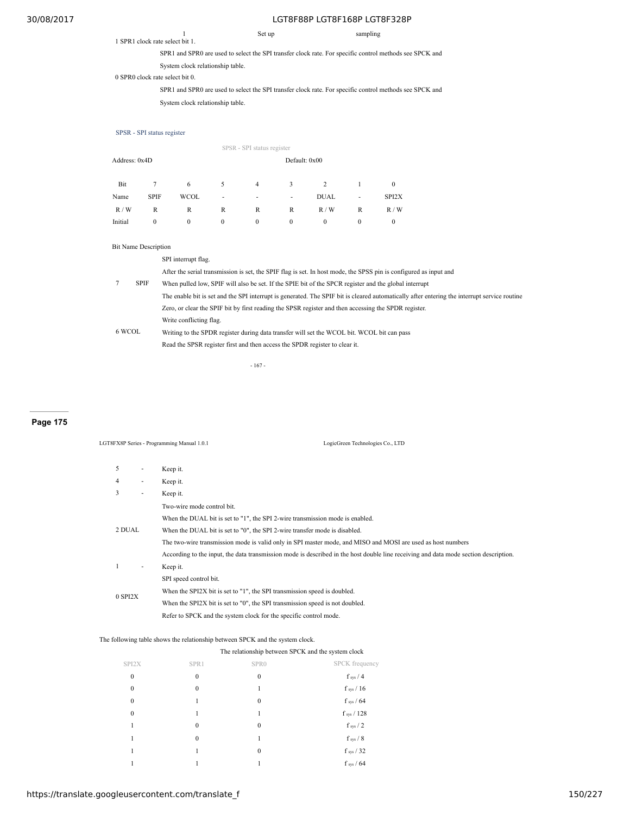## 1 SPR1 clock rate select bit 1.

1 Set up sampling

SPR1 and SPR0 are used to select the SPI transfer clock rate. For specific control methods see SPCK and

## System clock relationship table. 0 SPR0 clock rate select bit 0.

SPR1 and SPR0 are used to select the SPI transfer clock rate. For specific control methods see SPCK and System clock relationship table.

## SPSR - SPI status register

| Address: 0x4D |              | Default: 0x00 |              |              |                            |              |                  |
|---------------|--------------|---------------|--------------|--------------|----------------------------|--------------|------------------|
| 7             | 6            | 5             | 4            | 3            | $\overline{c}$             |              | $\boldsymbol{0}$ |
| <b>SPIF</b>   | <b>WCOL</b>  | ٠             | ٠            | ۰            | <b>DUAL</b>                | ٠            | SPI2X            |
| R             | R            | R             | R            | R            | R/W                        | R            | R/W              |
| $\mathbf{0}$  | $\mathbf{0}$ | $\mathbf{0}$  | $\mathbf{0}$ | $\mathbf{0}$ | $\mathbf{0}$               | $\mathbf{0}$ | $\mathbf{0}$     |
|               |              |               |              |              | SPSR - SPI status register |              |                  |

### Bit Name Description

|  | SPI interrupt flag. |  |
|--|---------------------|--|
|--|---------------------|--|

|        |             | After the serial transmission is set, the SPIF flag is set. In host mode, the SPSS pin is configured as input and                            |
|--------|-------------|----------------------------------------------------------------------------------------------------------------------------------------------|
|        | <b>SPIF</b> | When pulled low, SPIF will also be set. If the SPIE bit of the SPCR register and the global interrupt                                        |
|        |             | The enable bit is set and the SPI interrupt is generated. The SPIF bit is cleared automatically after entering the interrupt service routine |
|        |             | Zero, or clear the SPIF bit by first reading the SPSR register and then accessing the SPDR register.                                         |
| 6 WCOL |             | Write conflicting flag.                                                                                                                      |
|        |             | Writing to the SPDR register during data transfer will set the WCOL bit. WCOL bit can pass                                                   |
|        |             | Read the SPSR register first and then access the SPDR register to clear it.                                                                  |

- 167 -

## **Page 175**

## LGT8FX8P Series - Programming Manual 1.0.1 LogicGreen Technologies Co., LTD

| 5       | ٠ | Keep it.                                                                                                                             |  |  |  |  |  |
|---------|---|--------------------------------------------------------------------------------------------------------------------------------------|--|--|--|--|--|
| 4       | ٠ | Keep it.                                                                                                                             |  |  |  |  |  |
| 3       | ٠ | Keep it.                                                                                                                             |  |  |  |  |  |
|         |   | Two-wire mode control bit.                                                                                                           |  |  |  |  |  |
|         |   | When the DUAL bit is set to "1", the SPI 2-wire transmission mode is enabled.                                                        |  |  |  |  |  |
| 2 DUAL  |   | When the DUAL bit is set to "0", the SPI 2-wire transfer mode is disabled.                                                           |  |  |  |  |  |
|         |   | The two-wire transmission mode is valid only in SPI master mode, and MISO and MOSI are used as host numbers                          |  |  |  |  |  |
|         |   | According to the input, the data transmission mode is described in the host double line receiving and data mode section description. |  |  |  |  |  |
|         | ٠ | Keep it.                                                                                                                             |  |  |  |  |  |
|         |   | SPI speed control bit.                                                                                                               |  |  |  |  |  |
| 0 SPI2X |   | When the SPI2X bit is set to "1", the SPI transmission speed is doubled.                                                             |  |  |  |  |  |
|         |   | When the SPI2X bit is set to "0", the SPI transmission speed is not doubled.                                                         |  |  |  |  |  |
|         |   | Refer to SPCK and the system clock for the specific control mode.                                                                    |  |  |  |  |  |

## The following table shows the relationship between SPCK and the system clock.

## The relationship between SPCK and the system clock

| SPI2X            | SPR1         | SPR <sub>0</sub> | SPCK frequency    |
|------------------|--------------|------------------|-------------------|
| $\boldsymbol{0}$ | $\bf{0}$     | $\boldsymbol{0}$ | $f_{sys}$ / 4     |
| $\boldsymbol{0}$ | $\mathbf{0}$ | 1                | $f$ sys / $16$    |
| $\boldsymbol{0}$ | 1            | $\theta$         | $f$ sys / $64$    |
| $\boldsymbol{0}$ | 1            | 1                | $f_{sys}$ / $128$ |
| 1                | $\mathbf{0}$ | $\theta$         | $f_{sys}$ / 2     |
| 1                | $\mathbf{0}$ | 1                | $f$ sys / $8$     |
| 1                | 1            | $\theta$         | $f$ sys / 32      |
|                  |              |                  | $f$ sys / $64$    |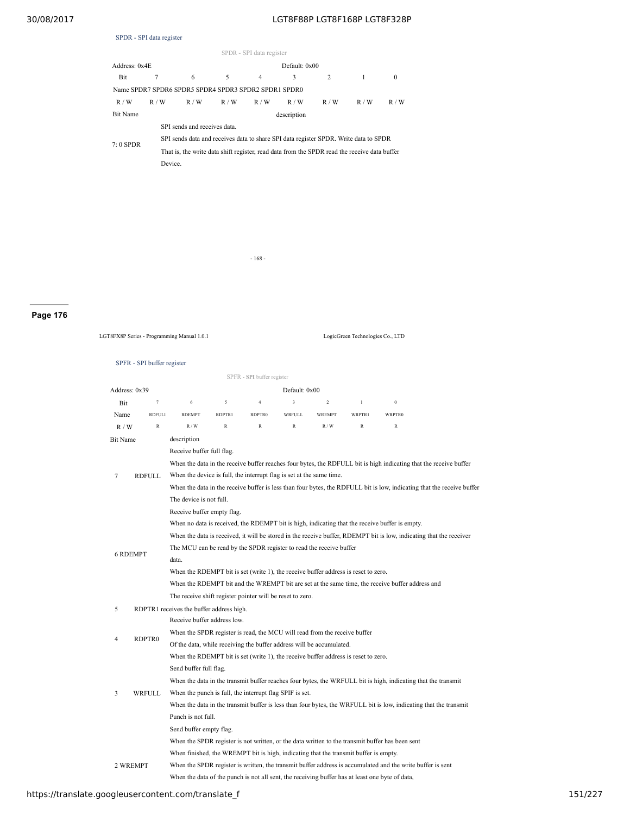|                 | SPDR - SPI data register |                                                                                              |     |                          |               |     |     |              |  |
|-----------------|--------------------------|----------------------------------------------------------------------------------------------|-----|--------------------------|---------------|-----|-----|--------------|--|
|                 |                          |                                                                                              |     | SPDR - SPI data register |               |     |     |              |  |
| Address: 0x4E   |                          |                                                                                              |     |                          | Default: 0x00 |     |     |              |  |
| Bit             | 7                        | 6                                                                                            | 5   | $\overline{4}$           | 3             | 2   | 1   | $\mathbf{0}$ |  |
|                 |                          | Name SPDR7 SPDR6 SPDR5 SPDR4 SPDR3 SPDR2 SPDR1 SPDR0                                         |     |                          |               |     |     |              |  |
| R/W             | R/W                      | R/W                                                                                          | R/W | R/W                      | R/W           | R/W | R/W | R/W          |  |
| <b>Bit Name</b> |                          |                                                                                              |     |                          | description   |     |     |              |  |
|                 |                          | SPI sends and receives data                                                                  |     |                          |               |     |     |              |  |
| $7:0$ SPDR      |                          | SPI sends data and receives data to share SPI data register SPDR. Write data to SPDR         |     |                          |               |     |     |              |  |
|                 |                          | That is, the write data shift register, read data from the SPDR read the receive data buffer |     |                          |               |     |     |              |  |
|                 | Device.                  |                                                                                              |     |                          |               |     |     |              |  |
|                 |                          |                                                                                              |     |                          |               |     |     |              |  |
|                 |                          |                                                                                              |     |                          |               |     |     |              |  |

- 168 -

# **Page 176**

LGT8FX8P Series - Programming Manual 1.0.1 LogicGreen Technologies Co., LTD

|                 |               |                                                                                                                     |              | SPFR - SPI buffer register |               |                |               |                                                                                                               |                                                                                                                        |  |  |
|-----------------|---------------|---------------------------------------------------------------------------------------------------------------------|--------------|----------------------------|---------------|----------------|---------------|---------------------------------------------------------------------------------------------------------------|------------------------------------------------------------------------------------------------------------------------|--|--|
| Address: 0x39   |               |                                                                                                                     |              |                            | Default: 0x00 |                |               |                                                                                                               |                                                                                                                        |  |  |
| Bit             | $\tau$        | 6                                                                                                                   | 5            | $\overline{4}$             | 3             | $\overline{2}$ | $\,$ $\,$     | $\boldsymbol{0}$                                                                                              |                                                                                                                        |  |  |
| Name            | <b>RDFULI</b> | <b>RDEMPT</b>                                                                                                       | RDPTR1       | RDPTR0                     | <b>WRFULL</b> | <b>WREMPT</b>  | <b>WRPTR1</b> | WRPTR0                                                                                                        |                                                                                                                        |  |  |
| R/W             | $\mathbb{R}$  | R/W                                                                                                                 | $\mathbb{R}$ | $\mathbb{R}$               | $\mathbb{R}$  | R/W            | $\mathbb{R}$  | $\,$ R                                                                                                        |                                                                                                                        |  |  |
| Bit Name        |               | description                                                                                                         |              |                            |               |                |               |                                                                                                               |                                                                                                                        |  |  |
|                 |               | Receive buffer full flag.                                                                                           |              |                            |               |                |               |                                                                                                               |                                                                                                                        |  |  |
|                 |               | When the data in the receive buffer reaches four bytes, the RDFULL bit is high indicating that the receive buffer   |              |                            |               |                |               |                                                                                                               |                                                                                                                        |  |  |
| 7               | <b>RDFULL</b> | When the device is full, the interrupt flag is set at the same time.                                                |              |                            |               |                |               |                                                                                                               |                                                                                                                        |  |  |
|                 |               |                                                                                                                     |              |                            |               |                |               |                                                                                                               | When the data in the receive buffer is less than four bytes, the RDFULL bit is low, indicating that the receive buffer |  |  |
|                 |               | The device is not full.                                                                                             |              |                            |               |                |               |                                                                                                               |                                                                                                                        |  |  |
|                 |               | Receive buffer empty flag.                                                                                          |              |                            |               |                |               |                                                                                                               |                                                                                                                        |  |  |
|                 |               |                                                                                                                     |              |                            |               |                |               | When no data is received, the RDEMPT bit is high, indicating that the receive buffer is empty.                |                                                                                                                        |  |  |
|                 |               | When the data is received, it will be stored in the receive buffer, RDEMPT bit is low, indicating that the receiver |              |                            |               |                |               |                                                                                                               |                                                                                                                        |  |  |
| <b>6 RDEMPT</b> |               | The MCU can be read by the SPDR register to read the receive buffer                                                 |              |                            |               |                |               |                                                                                                               |                                                                                                                        |  |  |
|                 |               | data.                                                                                                               |              |                            |               |                |               |                                                                                                               |                                                                                                                        |  |  |
|                 |               | When the RDEMPT bit is set (write 1), the receive buffer address is reset to zero.                                  |              |                            |               |                |               |                                                                                                               |                                                                                                                        |  |  |
|                 |               | When the RDEMPT bit and the WREMPT bit are set at the same time, the receive buffer address and                     |              |                            |               |                |               |                                                                                                               |                                                                                                                        |  |  |
|                 |               | The receive shift register pointer will be reset to zero.                                                           |              |                            |               |                |               |                                                                                                               |                                                                                                                        |  |  |
| 5               |               | RDPTR1 receives the buffer address high.                                                                            |              |                            |               |                |               |                                                                                                               |                                                                                                                        |  |  |
|                 |               | Receive buffer address low.                                                                                         |              |                            |               |                |               |                                                                                                               |                                                                                                                        |  |  |
| 4               | RDPTR0        | When the SPDR register is read, the MCU will read from the receive buffer                                           |              |                            |               |                |               |                                                                                                               |                                                                                                                        |  |  |
|                 |               | Of the data, while receiving the buffer address will be accumulated.                                                |              |                            |               |                |               |                                                                                                               |                                                                                                                        |  |  |
|                 |               | When the RDEMPT bit is set (write 1), the receive buffer address is reset to zero.                                  |              |                            |               |                |               |                                                                                                               |                                                                                                                        |  |  |
|                 |               | Send buffer full flag.                                                                                              |              |                            |               |                |               |                                                                                                               |                                                                                                                        |  |  |
|                 |               |                                                                                                                     |              |                            |               |                |               | When the data in the transmit buffer reaches four bytes, the WRFULL bit is high, indicating that the transmit |                                                                                                                        |  |  |
| 3               | <b>WRFULL</b> | When the punch is full, the interrupt flag SPIF is set.                                                             |              |                            |               |                |               |                                                                                                               |                                                                                                                        |  |  |
|                 |               |                                                                                                                     |              |                            |               |                |               |                                                                                                               | When the data in the transmit buffer is less than four bytes, the WRFULL bit is low, indicating that the transmit      |  |  |
|                 |               | Punch is not full.                                                                                                  |              |                            |               |                |               |                                                                                                               |                                                                                                                        |  |  |
|                 |               | Send buffer empty flag.                                                                                             |              |                            |               |                |               |                                                                                                               |                                                                                                                        |  |  |
|                 |               |                                                                                                                     |              |                            |               |                |               | When the SPDR register is not written, or the data written to the transmit buffer has been sent               |                                                                                                                        |  |  |
|                 |               | When finished, the WREMPT bit is high, indicating that the transmit buffer is empty.                                |              |                            |               |                |               |                                                                                                               |                                                                                                                        |  |  |
| 2 WREMPT        |               |                                                                                                                     |              |                            |               |                |               | When the SPDR register is written, the transmit buffer address is accumulated and the write buffer is sent    |                                                                                                                        |  |  |
|                 |               | When the data of the punch is not all sent, the receiving buffer has at least one byte of data,                     |              |                            |               |                |               |                                                                                                               |                                                                                                                        |  |  |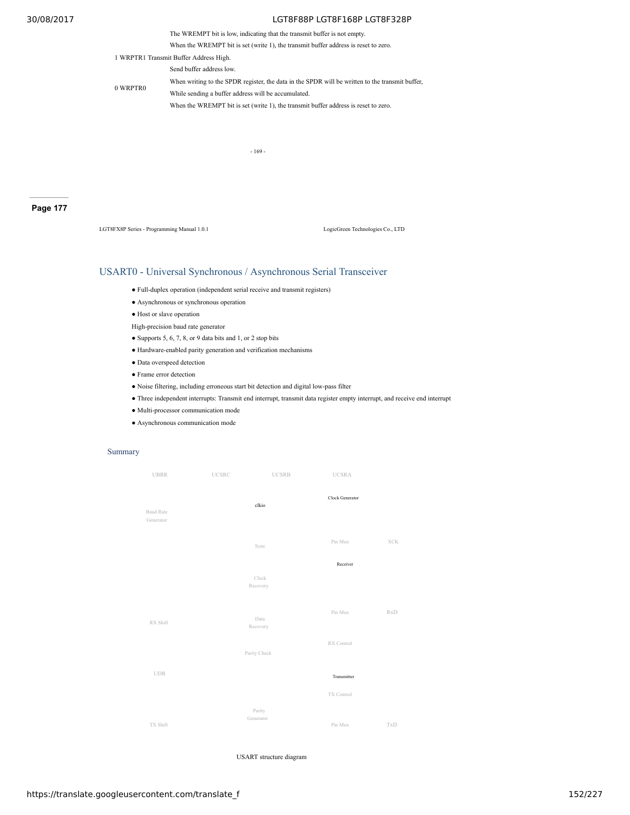The WREMPT bit is low, indicating that the transmit buffer is not empty.

When the WREMPT bit is set (write 1), the transmit buffer address is reset to zero.

1 WRPTR1 Transmit Buffer Address High.

Send buffer address low.

0 WRPTR0

When writing to the SPDR register, the data in the SPDR will be written to the transmit buffer, While sending a buffer address will be accumulated.

When the WREMPT bit is set (write 1), the transmit buffer address is reset to zero.

- 169 -

## **Page 177**

LGT8FX8P Series - Programming Manual 1.0.1 LogicGreen Technologies Co., LTD

## USART0 - Universal Synchronous / Asynchronous Serial Transceiver

- Full-duplex operation (independent serial receive and transmit registers)
- Asynchronous or synchronous operation
- Host or slave operation

High-precision baud rate generator

- Supports 5, 6, 7, 8, or 9 data bits and 1, or 2 stop bits
- Hardware-enabled parity generation and verification mechanisms
- Data overspeed detection
- Frame error detection
- Noise filtering, including erroneous start bit detection and digital low-pass filter
- Three independent interrupts: Transmit end interrupt, transmit data register empty interrupt, and receive end interrupt
- Multi-processor communication mode
- Asynchronous communication mode

### Summary



USART structure diagram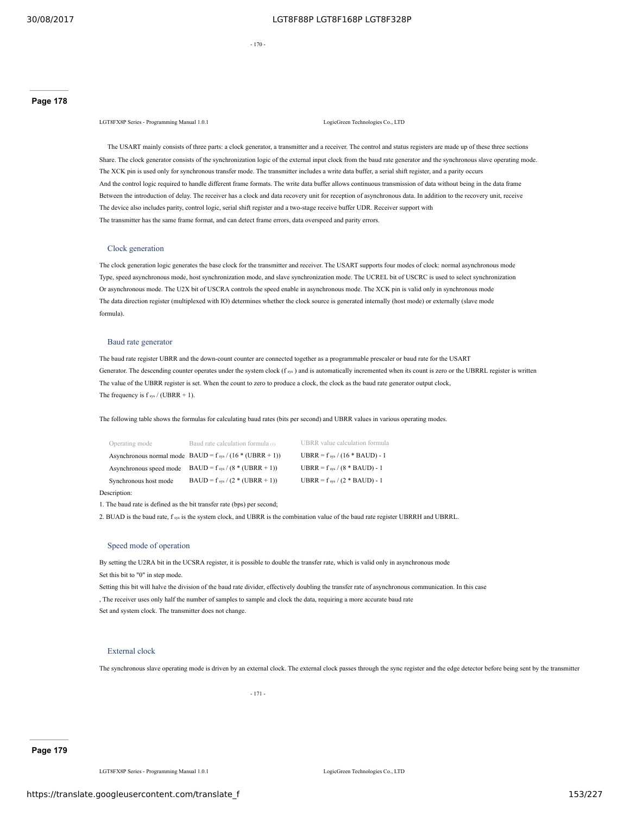$- 170$ 

LGT8FX8P Series - Programming Manual 1.0.1 LogicGreen Technologies Co., LTD

The USART mainly consists of three parts: a clock generator, a transmitter and a receiver. The control and status registers are made up of these three sections Share. The clock generator consists of the synchronization logic of the external input clock from the baud rate generator and the synchronous slave operating mode. The XCK pin is used only for synchronous transfer mode. The transmitter includes a write data buffer, a serial shift register, and a parity occurs And the control logic required to handle different frame formats. The write data buffer allows continuous transmission of data without being in the data frame Between the introduction of delay. The receiver has a clock and data recovery unit for reception of asynchronous data. In addition to the recovery unit, receive The device also includes parity, control logic, serial shift register and a two-stage receive buffer UDR. Receiver support with The transmitter has the same frame format, and can detect frame errors, data overspeed and parity errors.

## Clock generation

The clock generation logic generates the base clock for the transmitter and receiver. The USART supports four modes of clock: normal asynchronous mode Type, speed asynchronous mode, host synchronization mode, and slave synchronization mode. The UCREL bit of USCRC is used to select synchronization Or asynchronous mode. The U2X bit of USCRA controls the speed enable in asynchronous mode. The XCK pin is valid only in synchronous mode The data direction register (multiplexed with IO) determines whether the clock source is generated internally (host mode) or externally (slave mode formula).

### Baud rate generator

The baud rate register UBRR and the down-count counter are connected together as a programmable prescaler or baud rate for the USART Generator. The descending counter operates under the system clock  $(f_{\text{sys}})$  and is automatically incremented when its count is zero or the UBRRL register is written The value of the UBRR register is set. When the count to zero to produce a clock, the clock as the baud rate generator output clock, The frequency is  $f_{sys}$  / (UBRR + 1).

The following table shows the formulas for calculating baud rates (bits per second) and UBRR values in various operating modes.

| Operating mode          | Baud rate calculation formula (1)                             | UBRR value calculation formula      |
|-------------------------|---------------------------------------------------------------|-------------------------------------|
|                         | Asynchronous normal mode BAUD = $f_{sys}$ / (16 * (UBRR + 1)) | UBRR = $f_{sys}$ / (16 * BAUD) - 1  |
| Asynchronous speed mode | $BAUD = f_{sys} / (8 * (UBRR + 1))$                           | UBRR = $f_{sys}$ / (8 $*$ BAUD) - 1 |
| Synchronous host mode   | BAUD = $f_{sys}$ / (2 * (UBRR + 1))                           | UBRR = $f_{sys}$ / (2 * BAUD) - 1   |
|                         |                                                               |                                     |

Description:

1. The baud rate is defined as the bit transfer rate (bps) per second;

2. BUAD is the baud rate, f sys is the system clock, and UBRR is the combination value of the baud rate register UBRRH and UBRRL.

### Speed mode of operation

By setting the U2RA bit in the UCSRA register, it is possible to double the transfer rate, which is valid only in asynchronous mode Set this bit to "0" in step mode.

Setting this bit will halve the division of the baud rate divider, effectively doubling the transfer rate of asynchronous communication. In this case , The receiver uses only half the number of samples to sample and clock the data, requiring a more accurate baud rate Set and system clock. The transmitter does not change.

### External clock

The synchronous slave operating mode is driven by an external clock. The external clock passes through the sync register and the edge detector before being sent by the transmitter

- 171 -

LGT8FX8P Series - Programming Manual 1.0.1 LogicGreen Technologies Co., LTD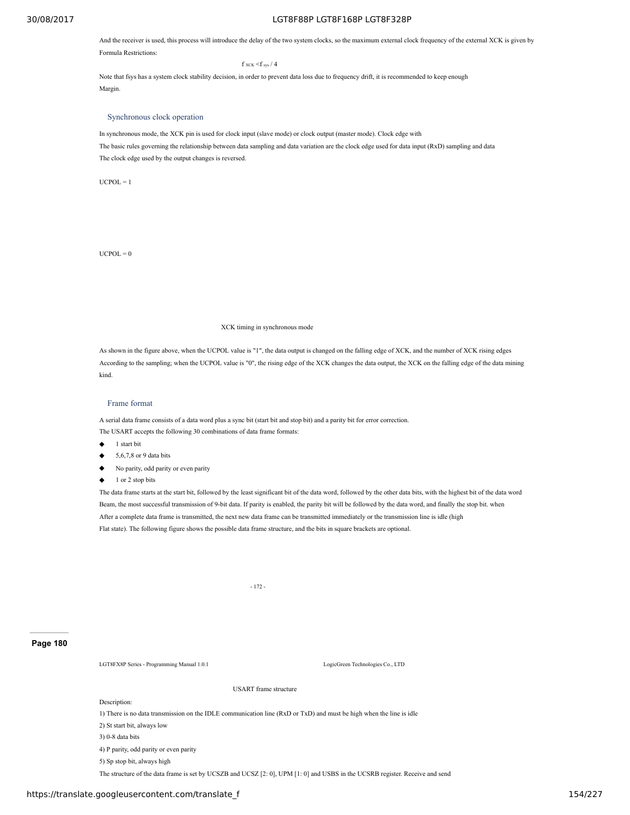And the receiver is used, this process will introduce the delay of the two system clocks, so the maximum external clock frequency of the external XCK is given by Formula Restrictions:

 $f$  xck  $\leq f$  sys / 4

Note that fsys has a system clock stability decision, in order to prevent data loss due to frequency drift, it is recommended to keep enough Margin.

### Synchronous clock operation

In synchronous mode, the XCK pin is used for clock input (slave mode) or clock output (master mode). Clock edge with The basic rules governing the relationship between data sampling and data variation are the clock edge used for data input (RxD) sampling and data The clock edge used by the output changes is reversed.

 $UCPOL = 1$ 

 $UCPOL = 0$ 

## XCK timing in synchronous mode

As shown in the figure above, when the UCPOL value is "1", the data output is changed on the falling edge of XCK, and the number of XCK rising edges According to the sampling; when the UCPOL value is "0", the rising edge of the XCK changes the data output, the XCK on the falling edge of the data mining kind.

## Frame format

A serial data frame consists of a data word plus a sync bit (start bit and stop bit) and a parity bit for error correction. The USART accepts the following 30 combinations of data frame formats:

- ◆ 1 start bit
- 5,6,7,8 or 9 data bits
- No parity, odd parity or even parity
- 1 or 2 stop bits

The data frame starts at the start bit, followed by the least significant bit of the data word, followed by the other data bits, with the highest bit of the data word Beam, the most successful transmission of 9-bit data. If parity is enabled, the parity bit will be followed by the data word, and finally the stop bit. when After a complete data frame is transmitted, the next new data frame can be transmitted immediately or the transmission line is idle (high Flat state). The following figure shows the possible data frame structure, and the bits in square brackets are optional.

- 172 -

### **Page 180**

LGT8FX8P Series - Programming Manual 1.0.1 LogicGreen Technologies Co., LTD

Description:

1) There is no data transmission on the IDLE communication line (RxD or TxD) and must be high when the line is idle

USART frame structure

- 2) St start bit, always low
- 3) 0-8 data bits

4) P parity, odd parity or even parity

5) Sp stop bit, always high

The structure of the data frame is set by UCSZB and UCSZ [2: 0], UPM [1: 0] and USBS in the UCSRB register. Receive and send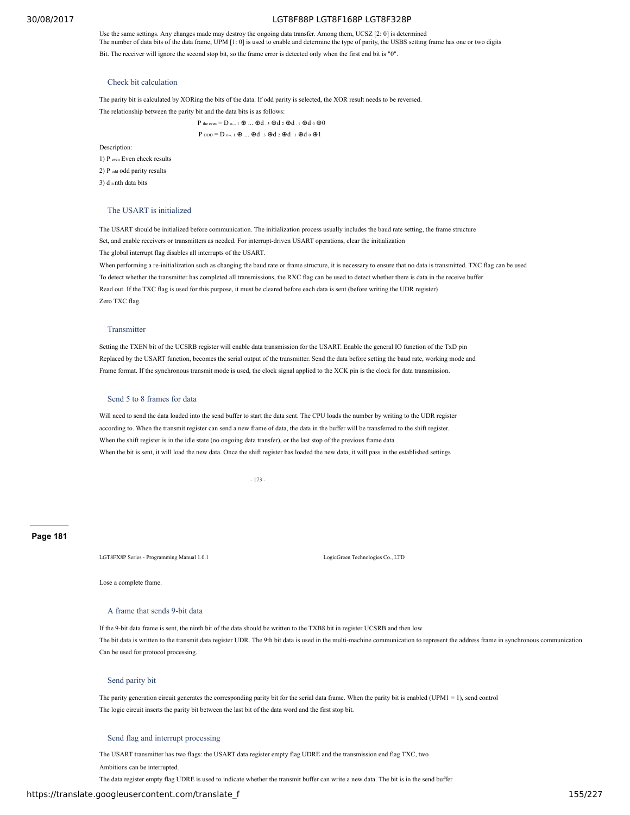Use the same settings. Any changes made may destroy the ongoing data transfer. Among them, UCSZ [2: 0] is determined The number of data bits of the data frame, UPM [1: 0] is used to enable and determine the type of parity, the USBS setting frame has one or two digits

Bit. The receiver will ignore the second stop bit, so the frame error is detected only when the first end bit is "0".

### Check bit calculation

The parity bit is calculated by XORing the bits of the data. If odd parity is selected, the XOR result needs to be reversed.

The relationship between the parity bit and the data bits is as follows:

P the even  $= D_{n-1} \oplus ... \oplus d_{n-1} \oplus d_2 \oplus d_{n-1} \oplus d_0 \oplus 0$  $P_{ODD} = D_{n-1} \oplus ... \oplus d_{3} \oplus d_{2} \oplus d_{1} \oplus d_{0} \oplus 1$ 

Description:

1) P even Even check results 2) P odd odd parity results 3) d n nth data bits

## The USART is initialized

The USART should be initialized before communication. The initialization process usually includes the baud rate setting, the frame structure Set, and enable receivers or transmitters as needed. For interrupt-driven USART operations, clear the initialization The global interrupt flag disables all interrupts of the USART.

When performing a re-initialization such as changing the baud rate or frame structure, it is necessary to ensure that no data is transmitted. TXC flag can be used To detect whether the transmitter has completed all transmissions, the RXC flag can be used to detect whether there is data in the receive buffer Read out. If the TXC flag is used for this purpose, it must be cleared before each data is sent (before writing the UDR register) Zero TXC flag.

### **Transmitter**

Setting the TXEN bit of the UCSRB register will enable data transmission for the USART. Enable the general IO function of the TxD pin Replaced by the USART function, becomes the serial output of the transmitter. Send the data before setting the baud rate, working mode and Frame format. If the synchronous transmit mode is used, the clock signal applied to the XCK pin is the clock for data transmission.

### Send 5 to 8 frames for data

Will need to send the data loaded into the send buffer to start the data sent. The CPU loads the number by writing to the UDR register according to. When the transmit register can send a new frame of data, the data in the buffer will be transferred to the shift register. When the shift register is in the idle state (no ongoing data transfer), or the last stop of the previous frame data When the bit is sent, it will load the new data. Once the shift register has loaded the new data, it will pass in the established settings

- 173 -

## **Page 181**

LGT8FX8P Series - Programming Manual 1.0.1 LogicGreen Technologies Co., LTD

Lose a complete frame.

A frame that sends 9-bit data

If the 9-bit data frame is sent, the ninth bit of the data should be written to the TXB8 bit in register UCSRB and then low The bit data is written to the transmit data register UDR. The 9th bit data is used in the multi-machine communication to represent the address frame in synchronous communication Can be used for protocol processing.

### Send parity bit

The parity generation circuit generates the corresponding parity bit for the serial data frame. When the parity bit is enabled (UPM1 = 1), send control The logic circuit inserts the parity bit between the last bit of the data word and the first stop bit.

### Send flag and interrupt processing

The USART transmitter has two flags: the USART data register empty flag UDRE and the transmission end flag TXC, two Ambitions can be interrupted.

The data register empty flag UDRE is used to indicate whether the transmit buffer can write a new data. The bit is in the send buffer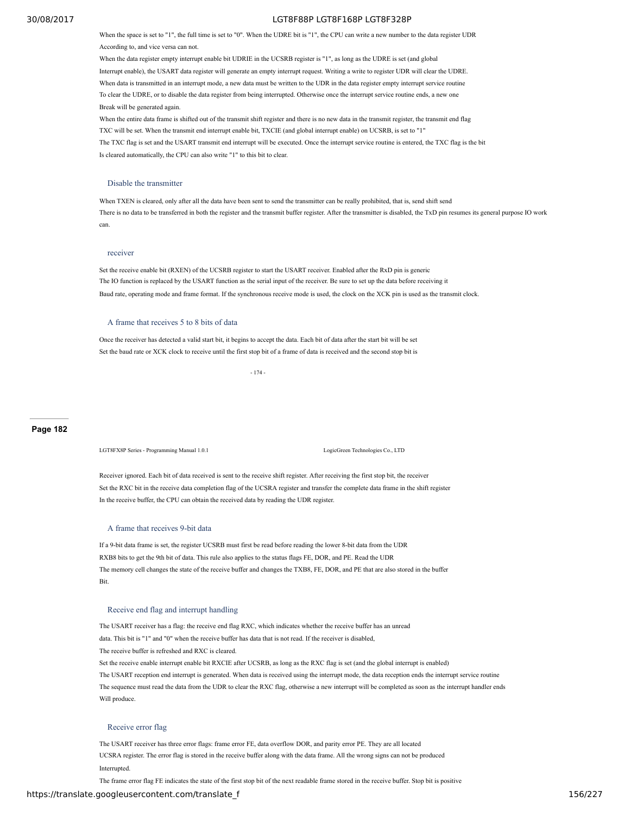When the space is set to "1", the full time is set to "0". When the UDRE bit is "1", the CPU can write a new number to the data register UDR According to, and vice versa can not.

When the data register empty interrupt enable bit UDRIE in the UCSRB register is "1", as long as the UDRE is set (and global Interrupt enable), the USART data register will generate an empty interrupt request. Writing a write to register UDR will clear the UDRE. When data is transmitted in an interrupt mode, a new data must be written to the UDR in the data register empty interrupt service routine To clear the UDRE, or to disable the data register from being interrupted. Otherwise once the interrupt service routine ends, a new one Break will be generated again.

When the entire data frame is shifted out of the transmit shift register and there is no new data in the transmit register, the transmit end flag TXC will be set. When the transmit end interrupt enable bit, TXCIE (and global interrupt enable) on UCSRB, is set to "1 The TXC flag is set and the USART transmit end interrupt will be executed. Once the interrupt service routine is entered, the TXC flag is the bit Is cleared automatically, the CPU can also write "1" to this bit to clear.

### Disable the transmitter

When TXEN is cleared, only after all the data have been sent to send the transmitter can be really prohibited, that is, send shift send There is no data to be transferred in both the register and the transmit buffer register. After the transmitter is disabled, the TxD pin resumes its general purpose IO work can.

### receiver

Set the receive enable bit (RXEN) of the UCSRB register to start the USART receiver. Enabled after the RxD pin is generic The IO function is replaced by the USART function as the serial input of the receiver. Be sure to set up the data before receiving it Baud rate, operating mode and frame format. If the synchronous receive mode is used, the clock on the XCK pin is used as the transmit clock.

### A frame that receives 5 to 8 bits of data

Once the receiver has detected a valid start bit, it begins to accept the data. Each bit of data after the start bit will be set Set the baud rate or XCK clock to receive until the first stop bit of a frame of data is received and the second stop bit is

- 174 -

### **Page 182**

LGT8FX8P Series - Programming Manual 1.0.1 LogicGreen Technologies Co., LTD

Receiver ignored. Each bit of data received is sent to the receive shift register. After receiving the first stop bit, the receiver Set the RXC bit in the receive data completion flag of the UCSRA register and transfer the complete data frame in the shift register In the receive buffer, the CPU can obtain the received data by reading the UDR register.

### A frame that receives 9-bit data

If a 9-bit data frame is set, the register UCSRB must first be read before reading the lower 8-bit data from the UDR RXB8 bits to get the 9th bit of data. This rule also applies to the status flags FE, DOR, and PE. Read the UDR The memory cell changes the state of the receive buffer and changes the TXB8, FE, DOR, and PE that are also stored in the buffer Bit.

### Receive end flag and interrupt handling

The USART receiver has a flag: the receive end flag RXC, which indicates whether the receive buffer has an unread data. This bit is "1" and "0" when the receive buffer has data that is not read. If the receiver is disabled, The receive buffer is refreshed and RXC is cleared. Set the receive enable interrupt enable bit RXCIE after UCSRB, as long as the RXC flag is set (and the global interrupt is enabled) The USART reception end interrupt is generated. When data is received using the interrupt mode, the data reception ends the interrupt service routine The sequence must read the data from the UDR to clear the RXC flag, otherwise a new interrupt will be completed as soon as the interrupt handler ends Will produce.

#### Receive error flag

The USART receiver has three error flags: frame error FE, data overflow DOR, and parity error PE. They are all located UCSRA register. The error flag is stored in the receive buffer along with the data frame. All the wrong signs can not be produced Interrupted.

The frame error flag FE indicates the state of the first stop bit of the next readable frame stored in the receive buffer. Stop bit is positive

## https://translate.googleusercontent.com/translate\_f 156/227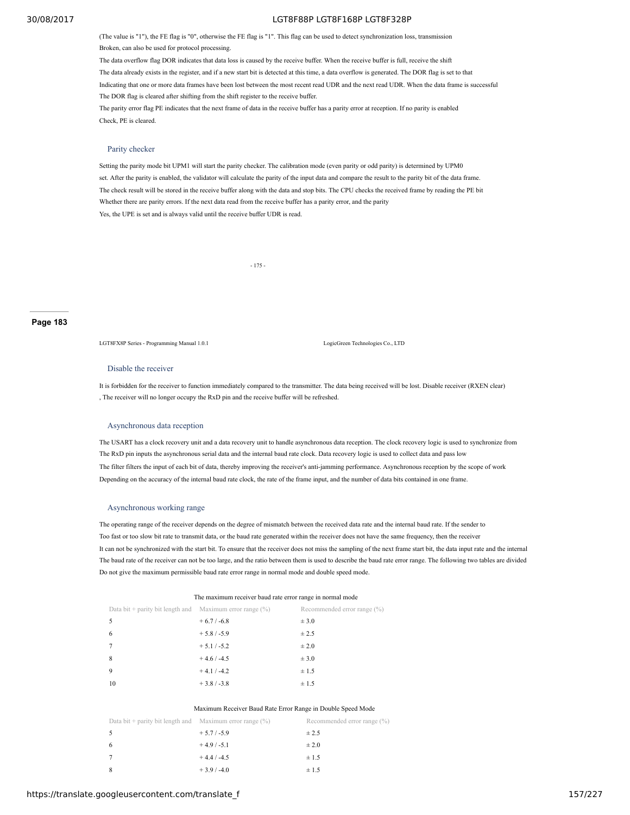(The value is "1"), the FE flag is "0", otherwise the FE flag is "1". This flag can be used to detect synchronization loss, transmission Broken, can also be used for protocol processing.

The data overflow flag DOR indicates that data loss is caused by the receive buffer. When the receive buffer is full, receive the shift The data already exists in the register, and if a new start bit is detected at this time, a data overflow is generated. The DOR flag is set to that Indicating that one or more data frames have been lost between the most recent read UDR and the next read UDR. When the data frame is successful The DOR flag is cleared after shifting from the shift register to the receive buffer. The parity error flag PE indicates that the next frame of data in the receive buffer has a parity error at reception. If no parity is enabled

Check, PE is cleared.

### Parity checker

Setting the parity mode bit UPM1 will start the parity checker. The calibration mode (even parity or odd parity) is determined by UPM0 set. After the parity is enabled, the validator will calculate the parity of the input data and compare the result to the parity bit of the data frame. The check result will be stored in the receive buffer along with the data and stop bits. The CPU checks the received frame by reading the PE bit Whether there are parity errors. If the next data read from the receive buffer has a parity error, and the parity Yes, the UPE is set and is always valid until the receive buffer UDR is read.

- 175 -

## **Page 183**

LGT8FX8P Series - Programming Manual 1.0.1 LogicGreen Technologies Co., LTD

#### Disable the receiver

It is forbidden for the receiver to function immediately compared to the transmitter. The data being received will be lost. Disable receiver (RXEN clear) , The receiver will no longer occupy the RxD pin and the receive buffer will be refreshed.

#### Asynchronous data reception

The USART has a clock recovery unit and a data recovery unit to handle asynchronous data reception. The clock recovery logic is used to synchronize from The RxD pin inputs the asynchronous serial data and the internal baud rate clock. Data recovery logic is used to collect data and pass low The filter filters the input of each bit of data, thereby improving the receiver's anti-jamming performance. Asynchronous reception by the scope of work Depending on the accuracy of the internal baud rate clock, the rate of the frame input, and the number of data bits contained in one frame.

### Asynchronous working range

The operating range of the receiver depends on the degree of mismatch between the received data rate and the internal baud rate. If the sender to Too fast or too slow bit rate to transmit data, or the baud rate generated within the receiver does not have the same frequency, then the receiver It can not be synchronized with the start bit. To ensure that the receiver does not miss the sampling of the next frame start bit, the data input rate and the internal The baud rate of the receiver can not be too large, and the ratio between them is used to describe the baud rate error range. The following two tables are divided Do not give the maximum permissible baud rate error range in normal mode and double speed mode.

| The maximum receiver baud rate error range in normal mode   |               |                                |  |  |  |  |
|-------------------------------------------------------------|---------------|--------------------------------|--|--|--|--|
| Data bit + parity bit length and Maximum error range $(\%)$ |               | Recommended error range $(\%)$ |  |  |  |  |
|                                                             | $+6.7 / -6.8$ | $\pm$ 3.0                      |  |  |  |  |
| 6                                                           | $+5.8/ -5.9$  | ± 2.5                          |  |  |  |  |
|                                                             | $+5.1 / -5.2$ | $\pm 2.0$                      |  |  |  |  |
| 8                                                           | $+4.6 / -4.5$ | ± 3.0                          |  |  |  |  |
| 9                                                           | $+4.1 / -4.2$ | $\pm 1.5$                      |  |  |  |  |
| 10                                                          | $+3.8/-3.8$   | $\pm 1.5$                      |  |  |  |  |

#### Maximum Receiver Baud Rate Error Range in Double Speed Mode

| Data bit + parity bit length and Maximum error range $(\%)$ |              | Recommended error range (%) |
|-------------------------------------------------------------|--------------|-----------------------------|
|                                                             | $+5.7/ -5.9$ | ± 2.5                       |
| - 6                                                         | $+4.9/ -5.1$ | $\pm 2.0$                   |
|                                                             | $+4.4/ -4.5$ | $\pm 1.5$                   |
| - 8                                                         | $+3.9/ -4.0$ | $\pm$ 1.5                   |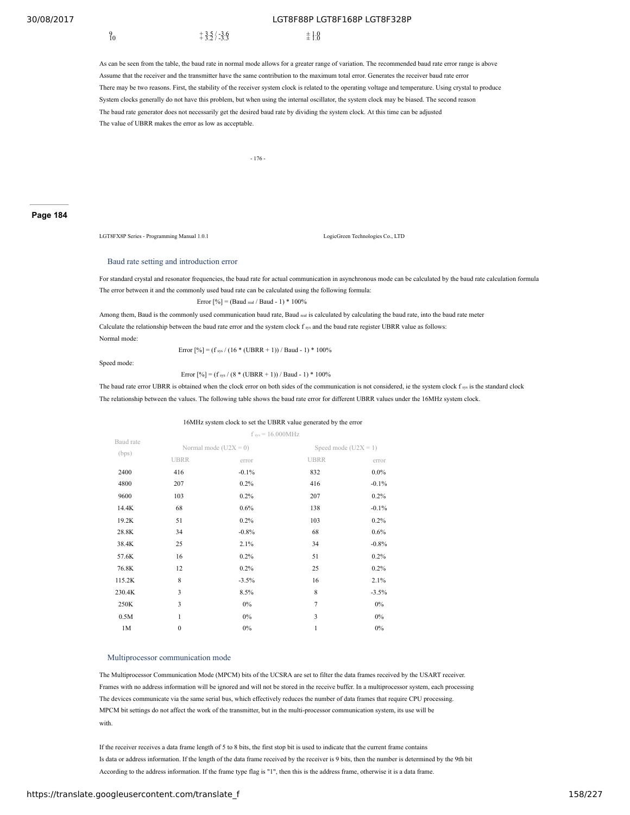$^{9}_{10}$   $^{+3.5/3.6}_{+3.5/3.3}$   $^{+1.0}_{\pm 1.0}$ 10  $+3.2 / -3.3$   $\pm 1.0$ 

As can be seen from the table, the baud rate in normal mode allows for a greater range of variation. The recommended baud rate error range is above Assume that the receiver and the transmitter have the same contribution to the maximum total error. Generates the receiver baud rate error There may be two reasons. First, the stability of the receiver system clock is related to the operating voltage and temperature. Using crystal to produce System clocks generally do not have this problem, but when using the internal oscillator, the system clock may be biased. The second reason The baud rate generator does not necessarily get the desired baud rate by dividing the system clock. At this time can be adjusted The value of UBRR makes the error as low as acceptable.

- 176 -

## **Page 184**

LGT8FX8P Series - Programming Manual 1.0.1 LogicGreen Technologies Co., LTD

### Baud rate setting and introduction error

For standard crystal and resonator frequencies, the baud rate for actual communication in asynchronous mode can be calculated by the baud rate calculation formula The error between it and the commonly used baud rate can be calculated using the following formula:

Error  $[%]$  = (Baud real / Baud - 1) \* 100%

Among them, Baud is the commonly used communication baud rate, Baud real is calculated by calculating the baud rate, into the baud rate meter Calculate the relationship between the baud rate error and the system clock  $f_{sys}$  and the baud rate register UBRR value as follows: Normal mode:

Speed mode:

## Error  $[%] = (f_{sys} / (16 * (UBRR + 1)) / Baud - 1) * 100%$

Error  $[%] = (f_{sys} / (8 * (UBRR + 1)) / Baud - 1) * 100%$ 

The baud rate error UBRR is obtained when the clock error on both sides of the communication is not considered, ie the system clock  $f_{\text{sys}}$  is the standard clock The relationship between the values. The following table shows the baud rate error for different UBRR values under the 16MHz system clock.

#### 16MHz system clock to set the UBRR value generated by the error

|                    | $f_{sys} = 16.000 \text{MHz}$ |                         |                        |         |  |  |  |
|--------------------|-------------------------------|-------------------------|------------------------|---------|--|--|--|
| Baud rate<br>(bps) |                               | Normal mode $(U2X = 0)$ | Speed mode $(U2X = 1)$ |         |  |  |  |
|                    | <b>UBRR</b>                   | error                   | <b>UBRR</b>            | error   |  |  |  |
| 2400               | 416                           | $-0.1%$                 | 832                    | $0.0\%$ |  |  |  |
| 4800               | 207                           | 0.2%                    | 416                    | $-0.1%$ |  |  |  |
| 9600               | 103                           | 0.2%                    | 207                    | 0.2%    |  |  |  |
| 14.4K              | 68                            | 0.6%                    | 138                    | $-0.1%$ |  |  |  |
| 19.2K              | 51                            | 0.2%                    | 103                    | 0.2%    |  |  |  |
| 28.8K              | 34                            | $-0.8%$                 | 68                     | $0.6\%$ |  |  |  |
| 38.4K              | 25                            | 2.1%                    | 34                     | $-0.8%$ |  |  |  |
| 57.6K              | 16                            | 0.2%                    | 51                     | 0.2%    |  |  |  |
| 76.8K              | 12                            | 0.2%                    | 25                     | 0.2%    |  |  |  |
| 115.2K             | 8                             | $-3.5%$                 | 16                     | 2.1%    |  |  |  |
| 230.4K             | 3                             | 8.5%                    | 8                      | $-3.5%$ |  |  |  |
| 250K               | 3                             | 0%                      | $\overline{7}$         | $0\%$   |  |  |  |
| 0.5M               | 1                             | 0%                      | 3                      | $0\%$   |  |  |  |
| 1M                 | $\mathbf{0}$                  | $0\%$                   | $\mathbf{1}$           | 0%      |  |  |  |

### Multiprocessor communication mode

The Multiprocessor Communication Mode (MPCM) bits of the UCSRA are set to filter the data frames received by the USART receiver. Frames with no address information will be ignored and will not be stored in the receive buffer. In a multiprocessor system, each processing The devices communicate via the same serial bus, which effectively reduces the number of data frames that require CPU processing. MPCM bit settings do not affect the work of the transmitter, but in the multi-processor communication system, its use will be with.

If the receiver receives a data frame length of 5 to 8 bits, the first stop bit is used to indicate that the current frame contains Is data or address information. If the length of the data frame received by the receiver is 9 bits, then the number is determined by the 9th bit According to the address information. If the frame type flag is "1", then this is the address frame, otherwise it is a data frame.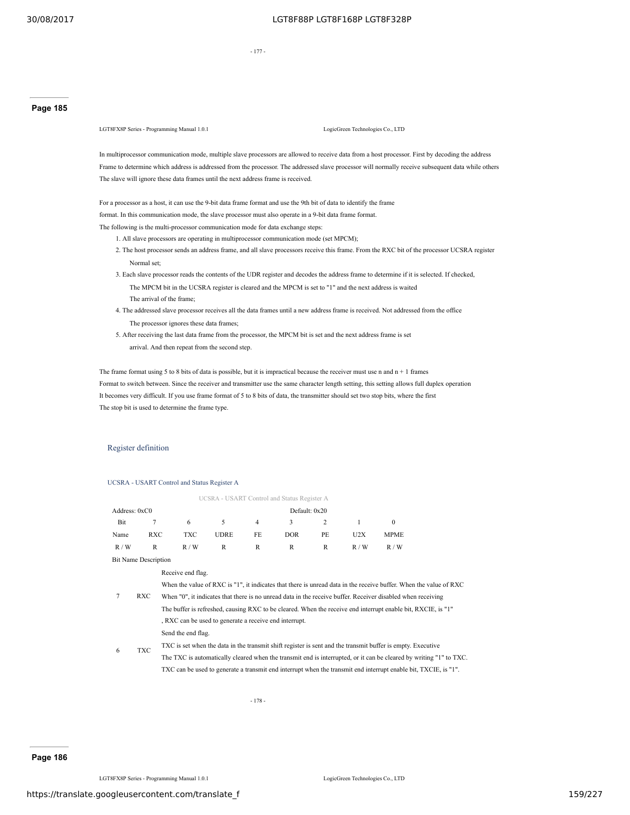- 177 -

## **Page 185**

LGT8FX8P Series - Programming Manual 1.0.1 LogicGreen Technologies Co., LTD

In multiprocessor communication mode, multiple slave processors are allowed to receive data from a host processor. First by decoding the address Frame to determine which address is addressed from the processor. The addressed slave processor will normally receive subsequent data while others The slave will ignore these data frames until the next address frame is received.

For a processor as a host, it can use the 9-bit data frame format and use the 9th bit of data to identify the frame format. In this communication mode, the slave processor must also operate in a 9-bit data frame format. The following is the multi-processor communication mode for data exchange steps:

1. All slave processors are operating in multiprocessor communication mode (set MPCM);

- 2. The host processor sends an address frame, and all slave processors receive this frame. From the RXC bit of the processor UCSRA register Normal set;
- 3. Each slave processor reads the contents of the UDR register and decodes the address frame to determine if it is selected. If checked, The MPCM bit in the UCSRA register is cleared and the MPCM is set to "1" and the next address is waited The arrival of the frame;
- 4. The addressed slave processor receives all the data frames until a new address frame is received. Not addressed from the office The processor ignores these data frames;
- 5. After receiving the last data frame from the processor, the MPCM bit is set and the next address frame is set arrival. And then repeat from the second step.

The frame format using 5 to 8 bits of data is possible, but it is impractical because the receiver must use n and  $n + 1$  frames Format to switch between. Since the receiver and transmitter use the same character length setting, this setting allows full duplex operation It becomes very difficult. If you use frame format of 5 to 8 bits of data, the transmitter should set two stop bits, where the first The stop bit is used to determine the frame type.

### Register definition

UCSRA - USART Control and Status Register A

|                             |                                                                                                              |                                                        |             |    | UCSRA - USART Control and Status Register A |    |     |                                                                                                                    |  |
|-----------------------------|--------------------------------------------------------------------------------------------------------------|--------------------------------------------------------|-------------|----|---------------------------------------------|----|-----|--------------------------------------------------------------------------------------------------------------------|--|
| Address: 0xC0               |                                                                                                              |                                                        |             |    | Default: 0x20                               |    |     |                                                                                                                    |  |
| Bit                         | 7                                                                                                            | 6                                                      | 5           | 4  | 3                                           | 2  | 1   | $\Omega$                                                                                                           |  |
| Name                        | <b>RXC</b>                                                                                                   | <b>TXC</b>                                             | <b>UDRE</b> | FE | <b>DOR</b>                                  | PE | U2X | <b>MPME</b>                                                                                                        |  |
| R/W                         | R                                                                                                            | R/W                                                    | R           | R  | R                                           | R  | R/W | R/W                                                                                                                |  |
| <b>Bit Name Description</b> |                                                                                                              |                                                        |             |    |                                             |    |     |                                                                                                                    |  |
|                             |                                                                                                              | Receive end flag.                                      |             |    |                                             |    |     |                                                                                                                    |  |
|                             |                                                                                                              |                                                        |             |    |                                             |    |     | When the value of RXC is "1", it indicates that there is unread data in the receive buffer. When the value of RXC  |  |
|                             | RXC                                                                                                          |                                                        |             |    |                                             |    |     | When "0", it indicates that there is no unread data in the receive buffer. Receiver disabled when receiving        |  |
|                             | The buffer is refreshed, causing RXC to be cleared. When the receive end interrupt enable bit, RXCIE, is "1" |                                                        |             |    |                                             |    |     |                                                                                                                    |  |
|                             |                                                                                                              | , RXC can be used to generate a receive end interrupt. |             |    |                                             |    |     |                                                                                                                    |  |
|                             |                                                                                                              | Send the end flag.                                     |             |    |                                             |    |     |                                                                                                                    |  |
|                             | <b>TXC</b>                                                                                                   |                                                        |             |    |                                             |    |     | TXC is set when the data in the transmit shift register is sent and the transmit buffer is empty. Executive        |  |
| 6                           |                                                                                                              |                                                        |             |    |                                             |    |     | The TXC is automatically cleared when the transmit end is interrupted, or it can be cleared by writing "1" to TXC. |  |

TXC can be used to generate a transmit end interrupt when the transmit end interrupt enable bit, TXCIE, is "1".

- 178 -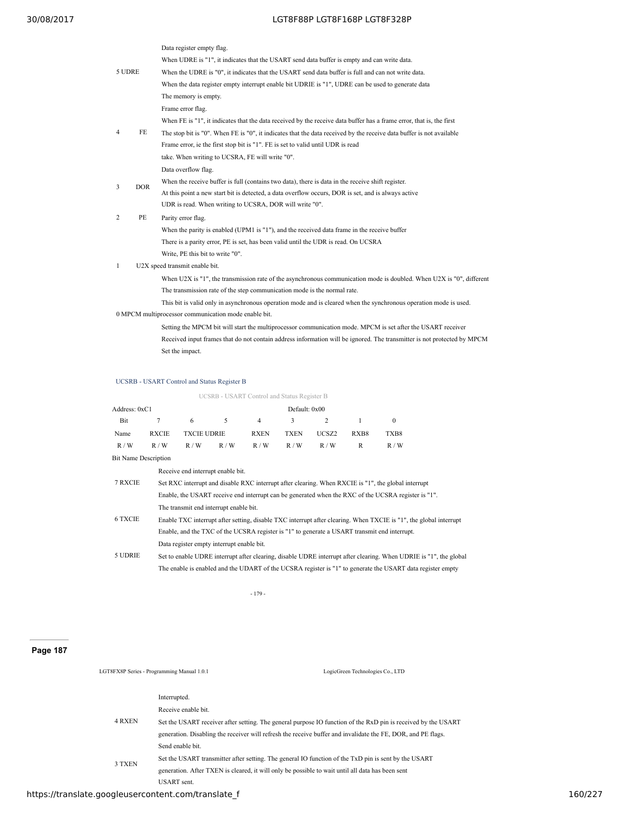|              |            | Data register empty flag.                                                                                            |  |  |  |  |  |
|--------------|------------|----------------------------------------------------------------------------------------------------------------------|--|--|--|--|--|
|              |            | When UDRE is "1", it indicates that the USART send data buffer is empty and can write data.                          |  |  |  |  |  |
| 5 UDRE       |            | When the UDRE is "0", it indicates that the USART send data buffer is full and can not write data.                   |  |  |  |  |  |
|              |            | When the data register empty interrupt enable bit UDRIE is "1", UDRE can be used to generate data                    |  |  |  |  |  |
|              |            | The memory is empty.                                                                                                 |  |  |  |  |  |
|              |            | Frame error flag.                                                                                                    |  |  |  |  |  |
|              |            | When FE is "1", it indicates that the data received by the receive data buffer has a frame error, that is, the first |  |  |  |  |  |
| 4            | FE         | The stop bit is "0". When FE is "0", it indicates that the data received by the receive data buffer is not available |  |  |  |  |  |
|              |            | Frame error, ie the first stop bit is "1". FE is set to valid until UDR is read                                      |  |  |  |  |  |
|              |            | take. When writing to UCSRA, FE will write "0".                                                                      |  |  |  |  |  |
|              |            | Data overflow flag.                                                                                                  |  |  |  |  |  |
|              |            | When the receive buffer is full (contains two data), there is data in the receive shift register.                    |  |  |  |  |  |
| 3            | <b>DOR</b> | At this point a new start bit is detected, a data overflow occurs, DOR is set, and is always active                  |  |  |  |  |  |
|              |            | UDR is read. When writing to UCSRA, DOR will write "0".                                                              |  |  |  |  |  |
| 2            | PE         | Parity error flag.                                                                                                   |  |  |  |  |  |
|              |            | When the parity is enabled (UPM1 is "1"), and the received data frame in the receive buffer                          |  |  |  |  |  |
|              |            | There is a parity error, PE is set, has been valid until the UDR is read. On UCSRA                                   |  |  |  |  |  |
|              |            | Write, PE this bit to write "0".                                                                                     |  |  |  |  |  |
| $\mathbf{1}$ |            | U2X speed transmit enable bit.                                                                                       |  |  |  |  |  |
|              |            | When U2X is "1", the transmission rate of the asynchronous communication mode is doubled. When U2X is "0", different |  |  |  |  |  |
|              |            | The transmission rate of the step communication mode is the normal rate.                                             |  |  |  |  |  |
|              |            | This bit is valid only in asynchronous operation mode and is cleared when the synchronous operation mode is used.    |  |  |  |  |  |
|              |            | 0 MPCM multiprocessor communication mode enable bit.                                                                 |  |  |  |  |  |
|              |            | Setting the MPCM bit will start the multiprocessor communication mode. MPCM is set after the USART receiver          |  |  |  |  |  |

Received input frames that do not contain address information will be ignored. The transmitter is not protected by MPCM Set the impact.

## UCSRB - USART Control and Status Register B

|                 | UCSRB - USART Control and Status Register B |                    |     |             |             |       |      |      |  |  |  |
|-----------------|---------------------------------------------|--------------------|-----|-------------|-------------|-------|------|------|--|--|--|
| Address: $0xC1$ | Default: 0x00                               |                    |     |             |             |       |      |      |  |  |  |
| Bit             | 7                                           | 6                  | 5.  | 4           | -3          | 2     |      |      |  |  |  |
| Name            | <b>RXCIE</b>                                | <b>TXCIE UDRIE</b> |     | <b>RXEN</b> | <b>TXEN</b> | UCSZ2 | RXB8 | TXB8 |  |  |  |
| R/W             | R/W                                         | R/W                | R/W | R/W         | R/W         | R/W   | R    | R/W  |  |  |  |

Bit Name Description

|                | Receive end interrupt enable bit.                                                                                 |
|----------------|-------------------------------------------------------------------------------------------------------------------|
| 7 RXCIE        | Set RXC interrupt and disable RXC interrupt after clearing. When RXCIE is "1", the global interrupt               |
|                | Enable, the USART receive end interrupt can be generated when the RXC of the UCSRA register is "1".               |
|                | The transmit end interrupt enable bit.                                                                            |
| <b>6 TXCIE</b> | Enable TXC interrupt after setting, disable TXC interrupt after clearing. When TXCIE is "1", the global interrupt |
|                | Enable, and the TXC of the UCSRA register is "1" to generate a USART transmit end interrupt.                      |
|                | Data register empty interrupt enable bit.                                                                         |
| 5 UDRIE        | Set to enable UDRE interrupt after clearing, disable UDRE interrupt after clearing. When UDRIE is "1", the global |
|                | The enable is enabled and the UDART of the UCSRA register is "1" to generate the USART data register empty        |

- 179 -

## **Page 187**

LGT8FX8P Series - Programming Manual 1.0.1 LogicGreen Technologies Co., LTD

|        | Interrupted.                                                                                                  |
|--------|---------------------------------------------------------------------------------------------------------------|
| 4 RXEN | Receive enable bit.                                                                                           |
|        | Set the USART receiver after setting. The general purpose IO function of the RxD pin is received by the USART |
|        | generation. Disabling the receiver will refresh the receive buffer and invalidate the FE, DOR, and PE flags.  |
| 3 TXEN | Send enable bit.                                                                                              |
|        | Set the USART transmitter after setting. The general IO function of the TxD pin is sent by the USART          |
|        | generation. After TXEN is cleared, it will only be possible to wait until all data has been sent              |
|        | <b>USART</b> sent.                                                                                            |

https://translate.googleusercontent.com/translate\_f 160/227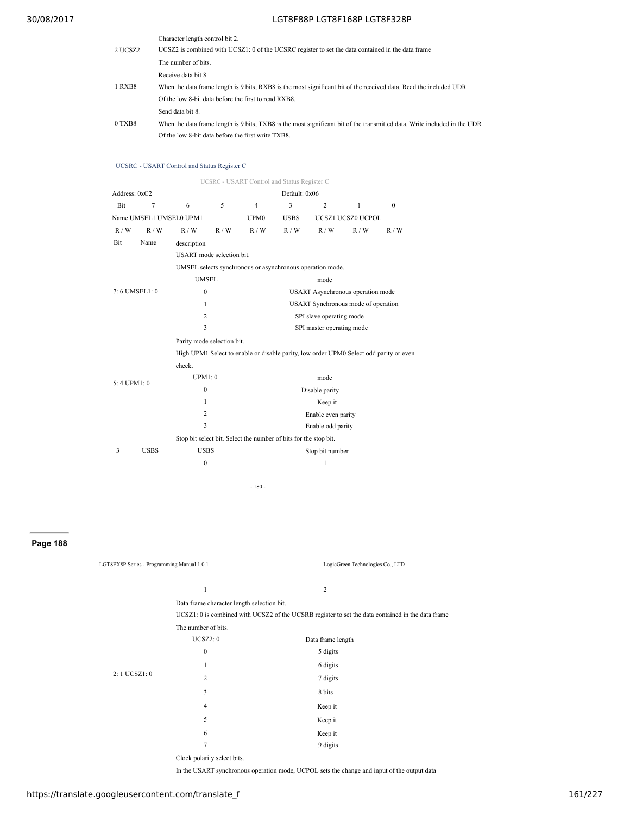|         | Character length control bit 2.                                                                                           |
|---------|---------------------------------------------------------------------------------------------------------------------------|
| 2 UCSZ2 | UCSZ2 is combined with UCSZ1: 0 of the UCSRC register to set the data contained in the data frame                         |
|         | The number of bits                                                                                                        |
| 1 RXB8  | Receive data bit 8                                                                                                        |
|         | When the data frame length is 9 bits, RXB8 is the most significant bit of the received data. Read the included UDR        |
|         | Of the low 8-bit data before the first to read RXB8.                                                                      |
| 0 TXB8  | Send data bit 8.                                                                                                          |
|         | When the data frame length is 9 bits, TXB8 is the most significant bit of the transmitted data. Write included in the UDR |
|         | Of the low 8-bit data before the first write TXB8.                                                                        |

## UCSRC - USART Control and Status Register C

|               | UCSRC - USART Control and Status Register C |                                                                                        |                                                                  |                                     |                                   |                    |                   |          |  |  |
|---------------|---------------------------------------------|----------------------------------------------------------------------------------------|------------------------------------------------------------------|-------------------------------------|-----------------------------------|--------------------|-------------------|----------|--|--|
| Address: 0xC2 |                                             |                                                                                        |                                                                  |                                     | Default: 0x06                     |                    |                   |          |  |  |
| <b>Bit</b>    | 7                                           | 6                                                                                      | 5                                                                | $\overline{4}$                      | 3                                 | $\overline{c}$     | $\mathbf{1}$      | $\Omega$ |  |  |
|               | Name UMSEL1 UMSEL0 UPM1                     |                                                                                        |                                                                  | UPM <sub>0</sub>                    | <b>USBS</b>                       |                    | UCSZ1 UCSZ0 UCPOL |          |  |  |
| R/W           | R/W                                         | R/W                                                                                    | R/W                                                              | R/W                                 | R/W                               | R/W                | R/W               | R/W      |  |  |
| Bit           | Name                                        | description                                                                            |                                                                  |                                     |                                   |                    |                   |          |  |  |
|               |                                             | USART mode selection bit.                                                              |                                                                  |                                     |                                   |                    |                   |          |  |  |
|               |                                             | UMSEL selects synchronous or asynchronous operation mode.                              |                                                                  |                                     |                                   |                    |                   |          |  |  |
|               |                                             | <b>UMSEL</b>                                                                           |                                                                  |                                     |                                   | mode               |                   |          |  |  |
| 7:6 UMSEL1:0  |                                             | $\mathbf{0}$                                                                           |                                                                  |                                     | USART Asynchronous operation mode |                    |                   |          |  |  |
|               |                                             | 1                                                                                      |                                                                  | USART Synchronous mode of operation |                                   |                    |                   |          |  |  |
|               |                                             | 2                                                                                      | SPI slave operating mode                                         |                                     |                                   |                    |                   |          |  |  |
|               |                                             | 3                                                                                      |                                                                  | SPI master operating mode           |                                   |                    |                   |          |  |  |
|               |                                             | Parity mode selection bit.                                                             |                                                                  |                                     |                                   |                    |                   |          |  |  |
|               |                                             | High UPM1 Select to enable or disable parity, low order UPM0 Select odd parity or even |                                                                  |                                     |                                   |                    |                   |          |  |  |
|               |                                             | check.                                                                                 |                                                                  |                                     |                                   |                    |                   |          |  |  |
| 5:4 UPM1:0    |                                             | UPM1:0                                                                                 |                                                                  |                                     |                                   | mode               |                   |          |  |  |
|               |                                             | $\mathbf{0}$                                                                           | Disable parity                                                   |                                     |                                   |                    |                   |          |  |  |
|               |                                             | 1                                                                                      |                                                                  | Keep it                             |                                   |                    |                   |          |  |  |
|               |                                             | $\overline{c}$                                                                         |                                                                  |                                     |                                   | Enable even parity |                   |          |  |  |
|               |                                             | 3                                                                                      |                                                                  | Enable odd parity                   |                                   |                    |                   |          |  |  |
|               |                                             |                                                                                        | Stop bit select bit. Select the number of bits for the stop bit. |                                     |                                   |                    |                   |          |  |  |
| 3             | <b>USBS</b>                                 | <b>USBS</b>                                                                            |                                                                  |                                     |                                   | Stop bit number    |                   |          |  |  |
|               |                                             | $\mathbf{0}$                                                                           |                                                                  |                                     |                                   | 1                  |                   |          |  |  |
|               |                                             |                                                                                        |                                                                  |                                     |                                   |                    |                   |          |  |  |

- 180 -

## **Page 188**

| LGT8FX8P Series - Programming Manual 1.0.1 |                                            | LogicGreen Technologies Co., LTD                                                                  |
|--------------------------------------------|--------------------------------------------|---------------------------------------------------------------------------------------------------|
|                                            | $\mathbf{1}$                               | 2                                                                                                 |
|                                            | Data frame character length selection bit. |                                                                                                   |
|                                            |                                            | UCSZ1: 0 is combined with UCSZ2 of the UCSRB register to set the data contained in the data frame |
|                                            | The number of bits.                        |                                                                                                   |
|                                            | UCSZ2:0                                    | Data frame length                                                                                 |
|                                            | $\mathbf{0}$                               | 5 digits                                                                                          |
|                                            | 1                                          | 6 digits                                                                                          |
| 2:1 UCSZ1:0                                | $\overline{2}$                             | 7 digits                                                                                          |
|                                            | 3                                          | 8 bits                                                                                            |
|                                            | $\overline{4}$                             | Keep it                                                                                           |
|                                            | 5                                          | Keep it                                                                                           |
|                                            | 6                                          | Keep it                                                                                           |
|                                            | $\overline{7}$                             | 9 digits                                                                                          |
|                                            | Clock polarity select bits.                |                                                                                                   |
|                                            |                                            | In the USART synchronous operation mode, UCPOL sets the change and input of the output data       |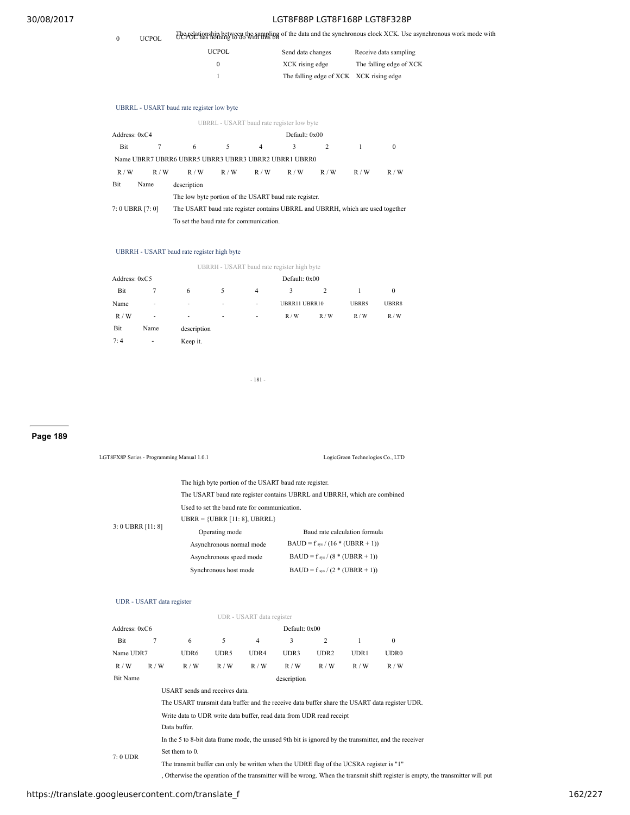0 UCPOL The relationship between the sampling of the data and the synchronous clock XCK. Use asynchronous work mode with UCPOL has nothing to do with this bit

| <b>UCPOL</b> | Send data changes                       | Receive data sampling   |
|--------------|-----------------------------------------|-------------------------|
|              | XCK rising edge                         | The falling edge of XCK |
|              | The falling edge of XCK XCK rising edge |                         |

## UBRRL - USART baud rate register low byte

| 6                                                    | 5   | $\overline{4}$ | 3   | 2                                      |                                                                                                                     | $\Omega$                                                                       |
|------------------------------------------------------|-----|----------------|-----|----------------------------------------|---------------------------------------------------------------------------------------------------------------------|--------------------------------------------------------------------------------|
| Name UBRR7 UBRR6 UBRR5 UBRR3 UBRR3 UBRR2 UBRR1 UBRR0 |     |                |     |                                        |                                                                                                                     |                                                                                |
| R/W                                                  | R/W | R/W            | R/W | R/W                                    | R/W                                                                                                                 | R/W                                                                            |
| description                                          |     |                |     |                                        |                                                                                                                     |                                                                                |
|                                                      |     |                |     |                                        |                                                                                                                     |                                                                                |
|                                                      |     |                |     |                                        |                                                                                                                     |                                                                                |
|                                                      |     |                |     |                                        |                                                                                                                     |                                                                                |
|                                                      |     |                |     | To set the baud rate for communication | UBRRL - USART baud rate register low byte<br>Default: 0x00<br>The low byte portion of the USART baud rate register. | The USART baud rate register contains UBRRL and UBRRH, which are used together |

## UBRRH - USART baud rate register high byte

|               |      |             |   |                          | UBRRH - USART baud rate register high byte |     |       |          |
|---------------|------|-------------|---|--------------------------|--------------------------------------------|-----|-------|----------|
| Address: 0xC5 |      |             |   |                          | Default: 0x00                              |     |       |          |
| Bit           |      | 6           | 5 | 4                        | 3                                          | 2   |       | $\bf{0}$ |
| Name          | ٠    | ٠           | ۰ | ٠                        | UBRR11 UBRR10                              |     | UBRR9 | UBRR8    |
| R/W           | ٠    | ٠           | ۰ | $\overline{\phantom{a}}$ | R/W                                        | R/W | R/W   | R/W      |
| Bit           | Name | description |   |                          |                                            |     |       |          |
| 7:4           | ٠    | Keep it.    |   |                          |                                            |     |       |          |

- 181 -

LGT8FX8P Series - Programming Manual 1.0.1 LogicGreen Technologies Co., LTD

## **Page 189**

|                   |                           |                                |                          |                                              | The high byte portion of the USART baud rate register.                                  |                                      |              |                                                                                                       |                                                                                                                               |  |
|-------------------|---------------------------|--------------------------------|--------------------------|----------------------------------------------|-----------------------------------------------------------------------------------------|--------------------------------------|--------------|-------------------------------------------------------------------------------------------------------|-------------------------------------------------------------------------------------------------------------------------------|--|
|                   |                           |                                |                          |                                              | The USART baud rate register contains UBRRL and UBRRH, which are combined               |                                      |              |                                                                                                       |                                                                                                                               |  |
|                   |                           |                                |                          | Used to set the baud rate for communication. |                                                                                         |                                      |              |                                                                                                       |                                                                                                                               |  |
|                   |                           |                                |                          | UBRR = {UBRR $[11:8]$ , UBRRL}               |                                                                                         |                                      |              |                                                                                                       |                                                                                                                               |  |
| 3: 0 UBRR [11: 8] |                           |                                | Operating mode           |                                              |                                                                                         | Baud rate calculation formula        |              |                                                                                                       |                                                                                                                               |  |
|                   |                           |                                | Asynchronous normal mode |                                              |                                                                                         | $BAUD = f_{sys} / (16 * (UBRR + 1))$ |              |                                                                                                       |                                                                                                                               |  |
|                   |                           |                                | Asynchronous speed mode  |                                              |                                                                                         | BAUD = $f_{sys}$ / (8 * (UBRR + 1))  |              |                                                                                                       |                                                                                                                               |  |
|                   |                           |                                | Synchronous host mode    |                                              |                                                                                         | $BAUD = f_{sys} / (2 * (UBRR + 1))$  |              |                                                                                                       |                                                                                                                               |  |
|                   |                           |                                |                          |                                              |                                                                                         |                                      |              |                                                                                                       |                                                                                                                               |  |
|                   |                           |                                |                          |                                              |                                                                                         |                                      |              |                                                                                                       |                                                                                                                               |  |
|                   | UDR - USART data register |                                |                          |                                              |                                                                                         |                                      |              |                                                                                                       |                                                                                                                               |  |
|                   |                           |                                |                          | UDR - USART data register                    |                                                                                         |                                      |              |                                                                                                       |                                                                                                                               |  |
| Address: 0xC6     |                           |                                |                          |                                              | Default: 0x00                                                                           |                                      |              |                                                                                                       |                                                                                                                               |  |
| Bit               | 7                         | 6                              | 5                        | $\overline{4}$                               | 3                                                                                       | 2                                    | $\mathbf{1}$ | $\mathbf{0}$                                                                                          |                                                                                                                               |  |
| Name UDR7         |                           | UDR6                           | UDR5                     | UDR4                                         | UDR3                                                                                    | UDR <sub>2</sub>                     | UDR1         | <b>UDR0</b>                                                                                           |                                                                                                                               |  |
| R/W               | R/W                       | R / W                          | R / W                    | R / W                                        | R / W                                                                                   | R / W                                | R / W        | R / W                                                                                                 |                                                                                                                               |  |
| <b>Bit Name</b>   |                           |                                |                          |                                              | description                                                                             |                                      |              |                                                                                                       |                                                                                                                               |  |
|                   |                           | USART sends and receives data. |                          |                                              |                                                                                         |                                      |              |                                                                                                       |                                                                                                                               |  |
|                   |                           |                                |                          |                                              |                                                                                         |                                      |              | The USART transmit data buffer and the receive data buffer share the USART data register UDR.         |                                                                                                                               |  |
|                   |                           |                                |                          |                                              | Write data to UDR write data buffer, read data from UDR read receipt                    |                                      |              |                                                                                                       |                                                                                                                               |  |
|                   |                           | Data buffer.                   |                          |                                              |                                                                                         |                                      |              |                                                                                                       |                                                                                                                               |  |
|                   |                           |                                |                          |                                              |                                                                                         |                                      |              | In the 5 to 8-bit data frame mode, the unused 9th bit is ignored by the transmitter, and the receiver |                                                                                                                               |  |
| $7:0$ UDR         |                           | Set them to 0.                 |                          |                                              |                                                                                         |                                      |              |                                                                                                       |                                                                                                                               |  |
|                   |                           |                                |                          |                                              | The transmit buffer can only be written when the UDRE flag of the UCSRA register is "1" |                                      |              |                                                                                                       |                                                                                                                               |  |
|                   |                           |                                |                          |                                              |                                                                                         |                                      |              |                                                                                                       | Otherwise the operation of the transmitter will be wrong. When the transmit shift register is empty, the transmitter will put |  |
|                   |                           |                                |                          |                                              |                                                                                         |                                      |              |                                                                                                       |                                                                                                                               |  |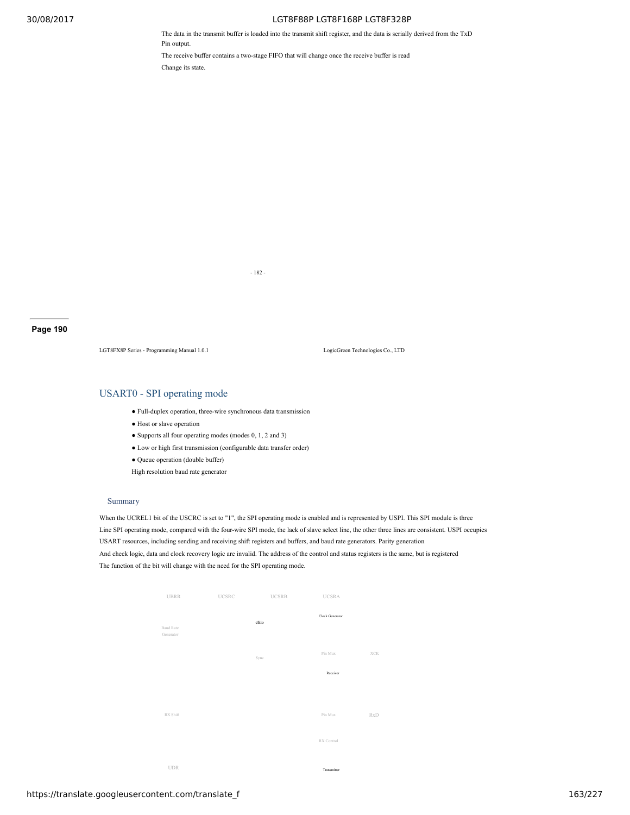The data in the transmit buffer is loaded into the transmit shift register, and the data is serially derived from the TxD Pin output.

The receive buffer contains a two-stage FIFO that will change once the receive buffer is read Change its state.

- 182 -

## **Page 190**

LGT8FX8P Series - Programming Manual 1.0.1 LogicGreen Technologies Co., LTD

## USART0 - SPI operating mode

- $\bullet$  Full-duplex operation, three-wire synchronous data transmission
- Host or slave operation
- Supports all four operating modes (modes 0, 1, 2 and 3)
- Low or high first transmission (configurable data transfer order)
- Queue operation (double buffer)

High resolution baud rate generator

#### Summary

When the UCREL1 bit of the USCRC is set to "1", the SPI operating mode is enabled and is represented by USPI. This SPI module is three Line SPI operating mode, compared with the four-wire SPI mode, the lack of slave select line, the other three lines are consistent. USPI occupies USART resources, including sending and receiving shift registers and buffers, and baud rate generators. Parity generation And check logic, data and clock recovery logic are invalid. The address of the control and status registers is the same, but is registered The function of the bit will change with the need for the SPI operating mode.

| <b>UBRR</b>            | <b>UCSRC</b> | <b>UCSRB</b> | <b>UCSRA</b>    |     |
|------------------------|--------------|--------------|-----------------|-----|
| Baud Rate<br>Generator |              | clkio        | Clock Generator |     |
|                        |              | Sync         | Pin Mux         | XCK |
|                        |              |              | Receiver        |     |
| RX Shift               |              |              | Pin Mux         | RxD |
|                        |              |              | RX Control      |     |
| <b>UDR</b>             |              |              | Teaconittae     |     |

Transmitter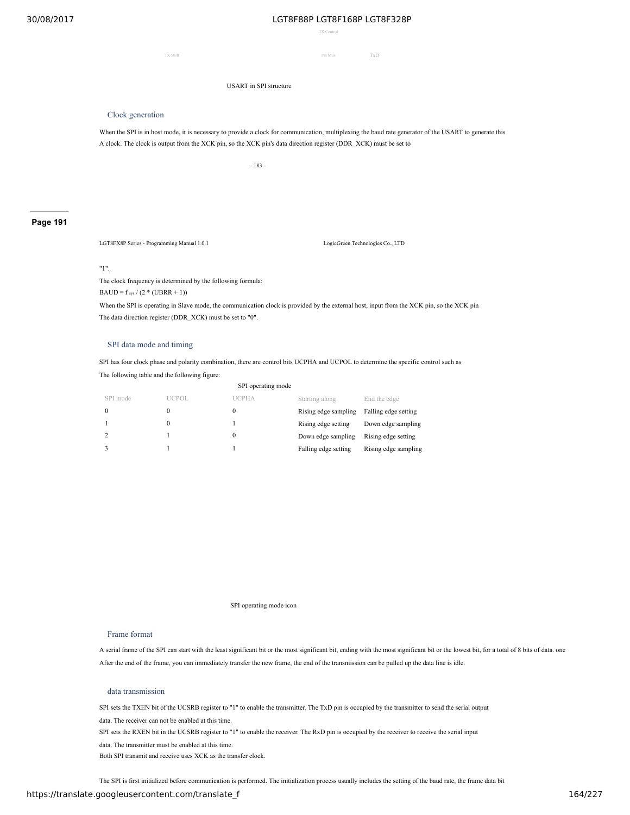TX Control

TX Shift **Pin Mux** TxD

USART in SPI structure

## Clock generation

When the SPI is in host mode, it is necessary to provide a clock for communication, multiplexing the baud rate generator of the USART to generate this A clock. The clock is output from the XCK pin, so the XCK pin's data direction register (DDR\_XCK) must be set to

- 183 -

## **Page 191**

LGT8FX8P Series - Programming Manual 1.0.1 LogicGreen Technologies Co., LTD

#### "1".

The clock frequency is determined by the following formula:

 $\text{BAUD} = \text{f}\, \text{sys} \,/\, (2 * (\text{UBRR} + 1))$ 

When the SPI is operating in Slave mode, the communication clock is provided by the external host, input from the XCK pin, so the XCK pin The data direction register (DDR\_XCK) must be set to "0".

### SPI data mode and timing

SPI has four clock phase and polarity combination, there are control bits UCPHA and UCPOL to determine the specific control such as

The following table and the following figure:

| SPI operating mode |         |              |                      |                      |  |
|--------------------|---------|--------------|----------------------|----------------------|--|
| SPI mode           | LICPOL. | <b>UCPHA</b> | Starting along       | End the edge         |  |
| $\theta$           |         |              | Rising edge sampling | Falling edge setting |  |
|                    |         |              | Rising edge setting  | Down edge sampling   |  |
| $\overline{2}$     |         |              | Down edge sampling   | Rising edge setting  |  |
|                    |         |              | Falling edge setting | Rising edge sampling |  |

SPI operating mode icon

### Frame format

A serial frame of the SPI can start with the least significant bit or the most significant bit, ending with the most significant bit or the lowest bit, for a total of 8 bits of data. one After the end of the frame, you can immediately transfer the new frame, the end of the transmission can be pulled up the data line is idle.

## data transmission

SPI sets the TXEN bit of the UCSRB register to "1" to enable the transmitter. The TxD pin is occupied by the transmitter to send the serial output

data. The receiver can not be enabled at this time.

SPI sets the RXEN bit in the UCSRB register to "1" to enable the receiver. The RxD pin is occupied by the receiver to receive the serial input

data. The transmitter must be enabled at this time.

Both SPI transmit and receive uses XCK as the transfer clock.

The SPI is first initialized before communication is performed. The initialization process usually includes the setting of the baud rate, the frame data bit

## https://translate.googleusercontent.com/translate\_f 164/227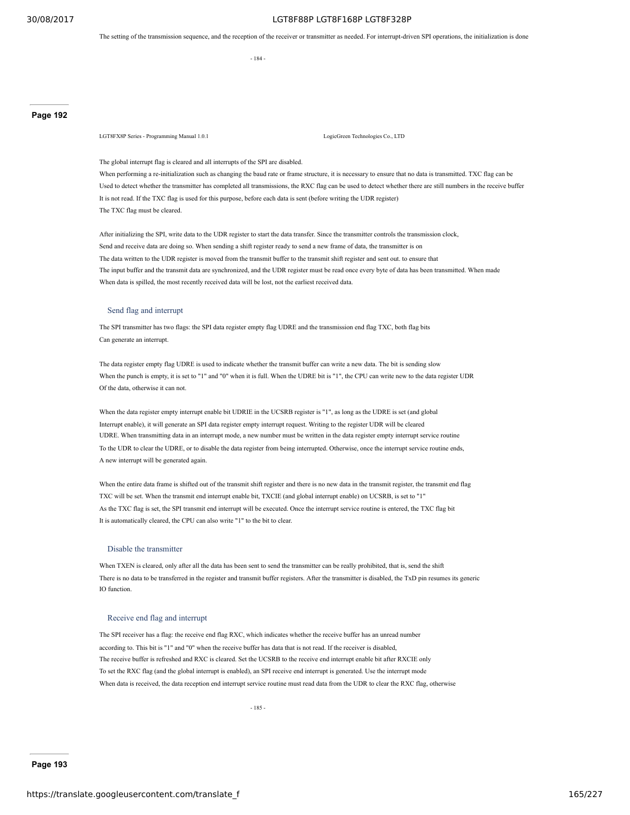The setting of the transmission sequence, and the reception of the receiver or transmitter as needed. For interrupt-driven SPI operations, the initialization is done

- 184 -

**Page 192**

LGT8FX8P Series - Programming Manual 1.0.1 LogicGreen Technologies Co., LTD

The global interrupt flag is cleared and all interrupts of the SPI are disabled.

When performing a re-initialization such as changing the baud rate or frame structure, it is necessary to ensure that no data is transmitted. TXC flag can be Used to detect whether the transmitter has completed all transmissions, the RXC flag can be used to detect whether there are still numbers in the receive buffer It is not read. If the TXC flag is used for this purpose, before each data is sent (before writing the UDR register) The TXC flag must be cleared.

After initializing the SPI, write data to the UDR register to start the data transfer. Since the transmitter controls the transmission clock, Send and receive data are doing so. When sending a shift register ready to send a new frame of data, the transmitter is on The data written to the UDR register is moved from the transmit buffer to the transmit shift register and sent out. to ensure that The input buffer and the transmit data are synchronized, and the UDR register must be read once every byte of data has been transmitted. When made When data is spilled, the most recently received data will be lost, not the earliest received data.

## Send flag and interrupt

The SPI transmitter has two flags: the SPI data register empty flag UDRE and the transmission end flag TXC, both flag bits Can generate an interrupt.

The data register empty flag UDRE is used to indicate whether the transmit buffer can write a new data. The bit is sending slow When the punch is empty, it is set to "1" and "0" when it is full. When the UDRE bit is "1", the CPU can write new to the data register UDR Of the data, otherwise it can not.

When the data register empty interrupt enable bit UDRIE in the UCSRB register is "1", as long as the UDRE is set (and global Interrupt enable), it will generate an SPI data register empty interrupt request. Writing to the register UDR will be cleared UDRE. When transmitting data in an interrupt mode, a new number must be written in the data register empty interrupt service routine To the UDR to clear the UDRE, or to disable the data register from being interrupted. Otherwise, once the interrupt service routine ends, A new interrupt will be generated again.

When the entire data frame is shifted out of the transmit shift register and there is no new data in the transmit register, the transmit end flag TXC will be set. When the transmit end interrupt enable bit, TXCIE (and global interrupt enable) on UCSRB, is set to "1" As the TXC flag is set, the SPI transmit end interrupt will be executed. Once the interrupt service routine is entered, the TXC flag bit It is automatically cleared, the CPU can also write "1" to the bit to clear.

### Disable the transmitter

When TXEN is cleared, only after all the data has been sent to send the transmitter can be really prohibited, that is, send the shift There is no data to be transferred in the register and transmit buffer registers. After the transmitter is disabled, the TxD pin resumes its generic IO function.

### Receive end flag and interrupt

The SPI receiver has a flag: the receive end flag RXC, which indicates whether the receive buffer has an unread number according to. This bit is "1" and "0" when the receive buffer has data that is not read. If the receiver is disabled, The receive buffer is refreshed and RXC is cleared. Set the UCSRB to the receive end interrupt enable bit after RXCIE only To set the RXC flag (and the global interrupt is enabled), an SPI receive end interrupt is generated. Use the interrupt mode When data is received, the data reception end interrupt service routine must read data from the UDR to clear the RXC flag, otherwise

**Page 193**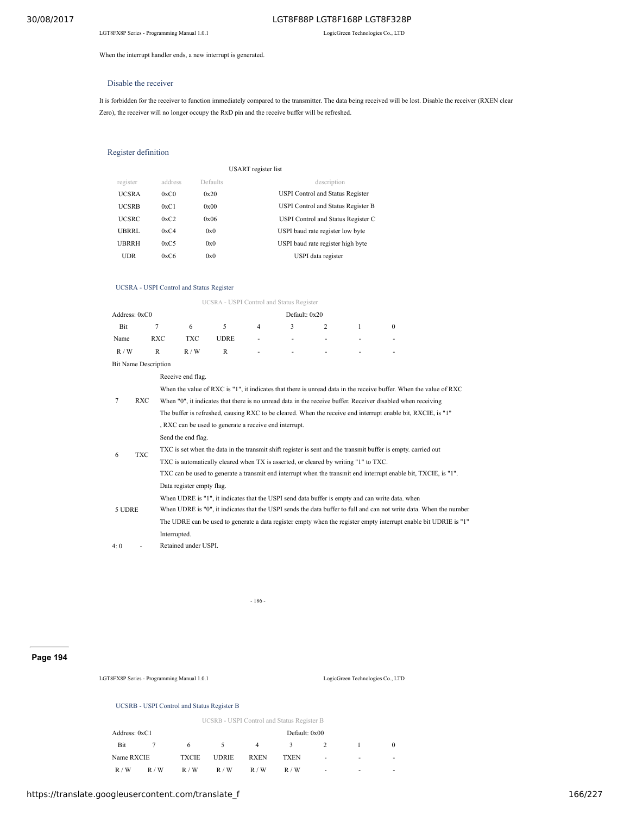When the interrupt handler ends, a new interrupt is generated.

### Disable the receiver

It is forbidden for the receiver to function immediately compared to the transmitter. The data being received will be lost. Disable the receiver (RXEN clear Zero), the receiver will no longer occupy the RxD pin and the receive buffer will be refreshed.

## Register definition

|              |         |          | USART register list                |
|--------------|---------|----------|------------------------------------|
| register     | address | Defaults | description                        |
| <b>UCSRA</b> | 0xC0    | 0x20     | USPI Control and Status Register   |
| <b>UCSRB</b> | 0xC1    | 0x00     | USPI Control and Status Register B |
| <b>UCSRC</b> | 0xC2    | 0x06     | USPI Control and Status Register C |
| UBRRL        | 0xC4    | 0x0      | USPI baud rate register low byte   |
| UBRRH        | 0xC5    | 0x0      | USPI baud rate register high byte  |
| UDR          | 0xC6    | 0x0      | USPI data register                 |

### UCSRA - USPI Control and Status Register

UCSRA - USPI Control and Status Register Address: 0xC0 Default: 0x20 Bit 7 6 5 4 3 2 1 0 Name RXC TXC UDRE - - - - - - - $R/W$  R  $R/W$  R - - - - - -Bit Name Description 7 RXC When "0", it indicates that there is no unread data in the receive buffer. Receiver disabled when receiving Receive end flag. When the value of RXC is "1", it indicates that there is unread data in the receive buffer. When the value of RXC The buffer is refreshed, causing RXC to be cleared. When the receive end interrupt enable bit, RXCIE, is "1" , RXC can be used to generate a receive end interrupt. 6 TXC Send the end flag. TXC is set when the data in the transmit shift register is sent and the transmit buffer is empty. carried out TXC is automatically cleared when TX is asserted, or cleared by writing "1" to TXC. TXC can be used to generate a transmit end interrupt when the transmit end interrupt enable bit, TXCIE, is "1". 5 UDRE Data register empty flag. When UDRE is "1", it indicates that the USPI send data buffer is empty and can write data. when When UDRE is "0", it indicates that the USPI sends the data buffer to full and can not write data. When the number The UDRE can be used to generate a data register empty when the register empty interrupt enable bit UDRIE is "1" Interrupted. 4: 0 - Retained under USPI.

- 186 -

## **Page 194**

LGT8FX8P Series - Programming Manual 1.0.1 LogicGreen Technologies Co., LTD

#### UCSRB - USPI Control and Status Register B

|   | UCSRB - USPI Control and Status Register B |               |             |              |              |             |               |  |  |
|---|--------------------------------------------|---------------|-------------|--------------|--------------|-------------|---------------|--|--|
|   |                                            | Default: 0x00 |             |              |              |             | Address: 0xC1 |  |  |
|   |                                            | $\mathcal{L}$ | 4           | 5.           | 6            | $7^{\circ}$ | Bit           |  |  |
| ۰ | ۰                                          | <b>TXEN</b>   | <b>RXEN</b> | <b>UDRIE</b> | <b>TXCIE</b> |             | Name RXCIE    |  |  |
| ۰ |                                            | R/W           | R/W         | R/W          | R/W          | R/W         | R/W           |  |  |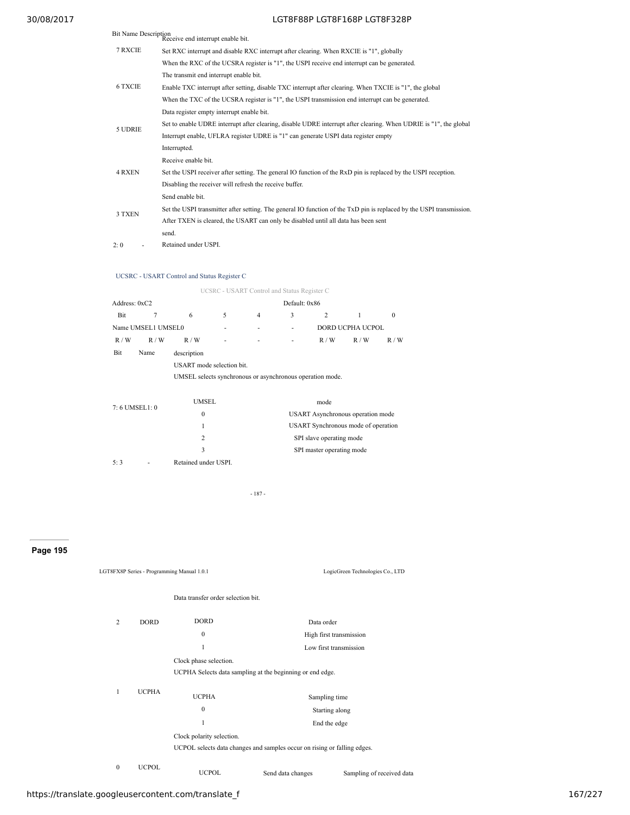| <b>Bit Name Description</b> | Receive end interrupt enable bit.                                                                                    |
|-----------------------------|----------------------------------------------------------------------------------------------------------------------|
| 7 RXCIE                     | Set RXC interrupt and disable RXC interrupt after clearing. When RXCIE is "1", globally                              |
|                             | When the RXC of the UCSRA register is "1", the USPI receive end interrupt can be generated.                          |
|                             | The transmit end interrupt enable bit.                                                                               |
| <b>6 TXCIE</b>              | Enable TXC interrupt after setting, disable TXC interrupt after clearing. When TXCIE is "1", the global              |
|                             | When the TXC of the UCSRA register is "1", the USPI transmission end interrupt can be generated.                     |
|                             | Data register empty interrupt enable bit.                                                                            |
| 5 UDRIE                     | Set to enable UDRE interrupt after clearing, disable UDRE interrupt after clearing. When UDRIE is "1", the global    |
|                             | Interrupt enable, UFLRA register UDRE is "1" can generate USPI data register empty                                   |
|                             | Interrupted.                                                                                                         |
|                             | Receive enable bit.                                                                                                  |
| <b>4 RXEN</b>               | Set the USPI receiver after setting. The general IO function of the RxD pin is replaced by the USPI reception.       |
|                             | Disabling the receiver will refresh the receive buffer.                                                              |
|                             | Send enable bit.                                                                                                     |
| 3 TXEN                      | Set the USPI transmitter after setting. The general IO function of the TxD pin is replaced by the USPI transmission. |
|                             | After TXEN is cleared, the USART can only be disabled until all data has been sent                                   |
|                             | send.                                                                                                                |
| 2:0                         | Retained under USPI.                                                                                                 |

## UCSRC - USART Control and Status Register C

|               |                    |                                                           |   | UCSRC - USART Control and Status Register C |               |     |                  |          |
|---------------|--------------------|-----------------------------------------------------------|---|---------------------------------------------|---------------|-----|------------------|----------|
| Address: 0xC2 |                    |                                                           |   |                                             | Default: 0x86 |     |                  |          |
| Bit           |                    | 6                                                         | 5 | 4                                           | 3             | 2   |                  | $\bf{0}$ |
|               | Name UMSEL1 UMSEL0 |                                                           |   |                                             | ٠             |     | DORD UCPHA UCPOL |          |
| R/W           | R/W                | R/W                                                       | ۰ | ٠                                           | ٠             | R/W | R/W              | R/W      |
| Bit           | Name               | description                                               |   |                                             |               |     |                  |          |
|               |                    | USART mode selection bit.                                 |   |                                             |               |     |                  |          |
|               |                    | UMSEL selects synchronous or asynchronous operation mode. |   |                                             |               |     |                  |          |
|               |                    |                                                           |   |                                             |               |     |                  |          |

| 7:6 UMSEL1:0 |   | UMSEL                | mode                                     |
|--------------|---|----------------------|------------------------------------------|
|              |   | $\Omega$             | <b>USART</b> Asynchronous operation mode |
|              |   |                      | USART Synchronous mode of operation      |
|              |   | 2                    | SPI slave operating mode                 |
|              |   |                      | SPI master operating mode                |
| 5.3          | ٠ | Retained under USPI. |                                          |

- 187 -

## **Page 195**

|              |              | LGT8FX8P Series - Programming Manual 1.0.1 |                                                                          | LogicGreen Technologies Co., LTD |
|--------------|--------------|--------------------------------------------|--------------------------------------------------------------------------|----------------------------------|
|              |              | Data transfer order selection bit.         |                                                                          |                                  |
| 2            | <b>DORD</b>  | <b>DORD</b>                                | Data order                                                               |                                  |
|              |              | $\mathbf{0}$                               |                                                                          | High first transmission          |
|              |              | 1                                          |                                                                          | Low first transmission           |
|              |              | Clock phase selection.                     |                                                                          |                                  |
|              |              |                                            | UCPHA Selects data sampling at the beginning or end edge.                |                                  |
| $\mathbf{1}$ | <b>UCPHA</b> | <b>UCPHA</b>                               | Sampling time                                                            |                                  |
|              |              | $\mathbf{0}$                               | Starting along                                                           |                                  |
|              |              | 1                                          | End the edge                                                             |                                  |
|              |              | Clock polarity selection.                  |                                                                          |                                  |
|              |              |                                            | UCPOL selects data changes and samples occur on rising or falling edges. |                                  |
| $\mathbf{0}$ | <b>UCPOL</b> | <b>UCPOL</b>                               | Send data changes                                                        | Sampling of received data        |

https://translate.googleusercontent.com/translate\_f 167/227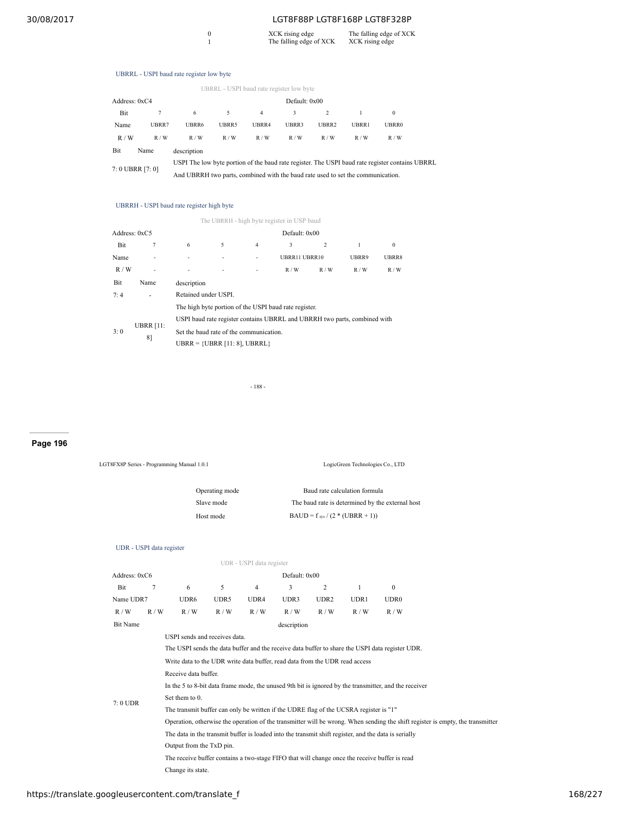# 0 XCK rising edge The falling edge of XCK<br>
1 The falling edge of XCK XCK rising edge

|                  | UBRRL - USPI baud rate register low byte |                                                                                                 |       |       |       |               |              |              |  |
|------------------|------------------------------------------|-------------------------------------------------------------------------------------------------|-------|-------|-------|---------------|--------------|--------------|--|
| Address: 0xC4    |                                          |                                                                                                 |       |       |       | Default: 0x00 |              |              |  |
| Bit              |                                          | 6                                                                                               | 5     | 4     | 3     |               |              | $\mathbf{0}$ |  |
| Name             | UBRR7                                    | UBRR6                                                                                           | UBRR5 | UBRR4 | UBRR3 | UBRR2         | <b>UBRR1</b> | <b>UBRR0</b> |  |
| R/W              | R/W                                      | R/W                                                                                             | R/W   | R/W   | R/W   | R/W           | R/W          | R/W          |  |
| Bit              | Name                                     | description                                                                                     |       |       |       |               |              |              |  |
| 7: 0 UBRR [7: 0] |                                          | USPI The low byte portion of the baud rate register. The USPI baud rate register contains UBRRL |       |       |       |               |              |              |  |
|                  |                                          | And UBRRH two parts, combined with the baud rate used to set the communication.                 |       |       |       |               |              |              |  |

## UBRRH - USPI baud rate register high byte

|               |                        |                                                                            |   |                          | The UBRRH - high byte register in USP baud                                                                                         |                |       |              |
|---------------|------------------------|----------------------------------------------------------------------------|---|--------------------------|------------------------------------------------------------------------------------------------------------------------------------|----------------|-------|--------------|
| Address: 0xC5 |                        |                                                                            |   |                          | Default: 0x00                                                                                                                      |                |       |              |
| Bit           | $\overline{7}$         | 6                                                                          | 5 | 4                        | 3                                                                                                                                  | $\overline{c}$ | 1     | $\mathbf{0}$ |
| Name          |                        |                                                                            |   |                          | UBRR11 UBRR10                                                                                                                      |                | UBRR9 | UBRR8        |
| R/W           | ٠                      |                                                                            |   | $\overline{\phantom{a}}$ | R/W                                                                                                                                | R/W            | R/W   | R/W          |
| Bit           | Name                   | description                                                                |   |                          |                                                                                                                                    |                |       |              |
| 7·4           |                        | Retained under USPI.                                                       |   |                          |                                                                                                                                    |                |       |              |
| 3:0           | <b>UBRR [11:</b><br>8] | Set the baud rate of the communication.<br>UBRR = $\{UBRR [11:8], UBRRL\}$ |   |                          | The high byte portion of the USPI baud rate register.<br>USPI baud rate register contains UBRRL and UBRRH two parts, combined with |                |       |              |

- 188 -

## **Page 196**

| LGT8FX8P Series - Programming Manual 1.0.1 |                          |                                                                                       |            |                          | LogicGreen Technologies Co., LTD    |                               |       |                                                                                                       |                                                                                                                                |
|--------------------------------------------|--------------------------|---------------------------------------------------------------------------------------|------------|--------------------------|-------------------------------------|-------------------------------|-------|-------------------------------------------------------------------------------------------------------|--------------------------------------------------------------------------------------------------------------------------------|
| Operating mode                             |                          |                                                                                       |            |                          |                                     | Baud rate calculation formula |       |                                                                                                       |                                                                                                                                |
|                                            |                          |                                                                                       | Slave mode |                          |                                     |                               |       | The baud rate is determined by the external host                                                      |                                                                                                                                |
|                                            |                          |                                                                                       | Host mode  |                          | BAUD = $f_{sys}$ / (2 * (UBRR + 1)) |                               |       |                                                                                                       |                                                                                                                                |
|                                            | UDR - USPI data register |                                                                                       |            |                          |                                     |                               |       |                                                                                                       |                                                                                                                                |
|                                            |                          |                                                                                       |            | UDR - USPI data register |                                     |                               |       |                                                                                                       |                                                                                                                                |
| Address: 0xC6                              |                          |                                                                                       |            |                          | Default: 0x00                       |                               |       |                                                                                                       |                                                                                                                                |
| Bit                                        | 7                        | 6                                                                                     | 5          | $\overline{4}$           | 3                                   | 2                             | 1     | $\mathbf{0}$                                                                                          |                                                                                                                                |
| Name UDR7                                  |                          | UDR6                                                                                  | UDR5       | UDR4                     | UDR3                                | UDR <sub>2</sub>              | UDR1  | UDR <sub>0</sub>                                                                                      |                                                                                                                                |
| R/W                                        | R/W                      | R / W                                                                                 | R / W      | R/W                      | R / W                               | R / W                         | R / W | R / W                                                                                                 |                                                                                                                                |
| <b>Bit Name</b>                            |                          |                                                                                       |            |                          | description                         |                               |       |                                                                                                       |                                                                                                                                |
|                                            |                          | USPI sends and receives data.                                                         |            |                          |                                     |                               |       |                                                                                                       |                                                                                                                                |
|                                            |                          |                                                                                       |            |                          |                                     |                               |       | The USPI sends the data buffer and the receive data buffer to share the USPI data register UDR.       |                                                                                                                                |
|                                            |                          | Write data to the UDR write data buffer, read data from the UDR read access           |            |                          |                                     |                               |       |                                                                                                       |                                                                                                                                |
|                                            |                          | Receive data buffer.                                                                  |            |                          |                                     |                               |       |                                                                                                       |                                                                                                                                |
|                                            |                          |                                                                                       |            |                          |                                     |                               |       | In the 5 to 8-bit data frame mode, the unused 9th bit is ignored by the transmitter, and the receiver |                                                                                                                                |
| $7:0$ UDR                                  |                          | Set them to 0.                                                                        |            |                          |                                     |                               |       |                                                                                                       |                                                                                                                                |
|                                            |                          | The transmit buffer can only be written if the UDRE flag of the UCSRA register is "1" |            |                          |                                     |                               |       |                                                                                                       |                                                                                                                                |
|                                            |                          |                                                                                       |            |                          |                                     |                               |       |                                                                                                       | Operation, otherwise the operation of the transmitter will be wrong. When sending the shift register is empty, the transmitter |
|                                            |                          |                                                                                       |            |                          |                                     |                               |       | The data in the transmit buffer is loaded into the transmit shift register, and the data is serially  |                                                                                                                                |
|                                            |                          | Output from the TxD pin.                                                              |            |                          |                                     |                               |       |                                                                                                       |                                                                                                                                |
|                                            |                          |                                                                                       |            |                          |                                     |                               |       | The receive buffer contains a two-stage FIFO that will change once the receive buffer is read         |                                                                                                                                |
|                                            |                          | Change its state.                                                                     |            |                          |                                     |                               |       |                                                                                                       |                                                                                                                                |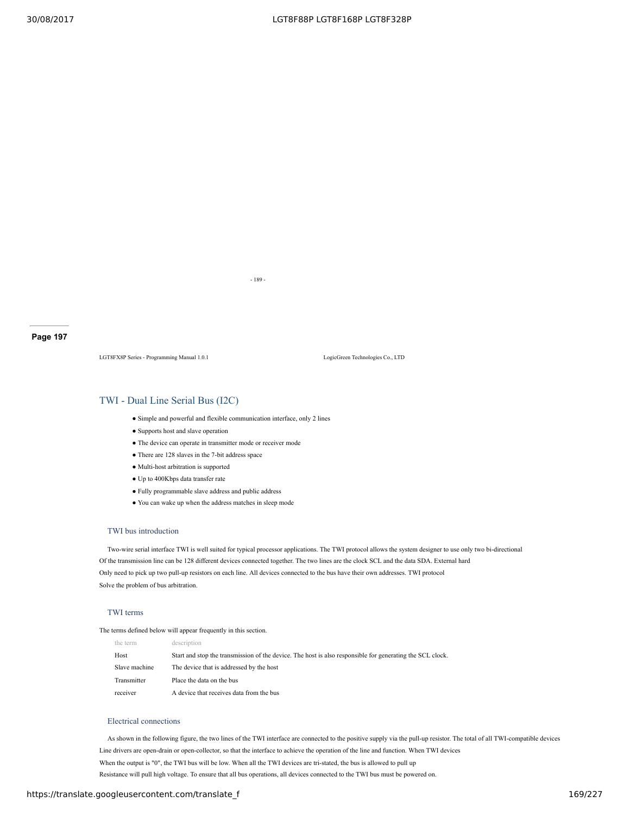- 189 -

LGT8FX8P Series - Programming Manual 1.0.1 LogicGreen Technologies Co., LTD

## TWI - Dual Line Serial Bus (I2C)

- Simple and powerful and flexible communication interface, only 2 lines
- Supports host and slave operation
- The device can operate in transmitter mode or receiver mode
- There are 128 slaves in the 7-bit address space
- Multi-host arbitration is supported
- Up to 400Kbps data transfer rate
- Fully programmable slave address and public address
- You can wake up when the address matches in sleep mode

## TWI bus introduction

Two-wire serial interface TWI is well suited for typical processor applications. The TWI protocol allows the system designer to use only two bi-directional Of the transmission line can be 128 different devices connected together. The two lines are the clock SCL and the data SDA. External hard Only need to pick up two pull-up resistors on each line. All devices connected to the bus have their own addresses. TWI protocol Solve the problem of bus arbitration.

## TWI terms

The terms defined below will appear frequently in this section.

| the term      | description                                                                                               |
|---------------|-----------------------------------------------------------------------------------------------------------|
| Host          | Start and stop the transmission of the device. The host is also responsible for generating the SCL clock. |
| Slave machine | The device that is addressed by the host                                                                  |
| Transmitter   | Place the data on the bus                                                                                 |
| receiver      | A device that receives data from the bus                                                                  |

## Electrical connections

As shown in the following figure, the two lines of the TWI interface are connected to the positive supply via the pull-up resistor. The total of all TWI-compatible devices Line drivers are open-drain or open-collector, so that the interface to achieve the operation of the line and function. When TWI devices When the output is "0", the TWI bus will be low. When all the TWI devices are tri-stated, the bus is allowed to pull up Resistance will pull high voltage. To ensure that all bus operations, all devices connected to the TWI bus must be powered on.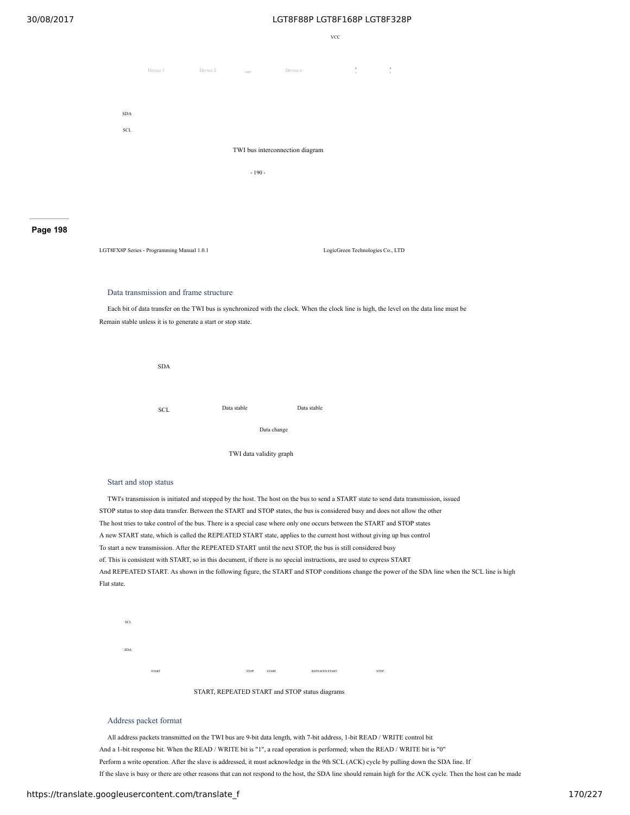VCC



## **Page 198**

LGT8FX8P Series - Programming Manual 1.0.1 LogicGreen Technologies Co., LTD

### Data transmission and frame structure

Each bit of data transfer on the TWI bus is synchronized with the clock. When the clock line is high, the level on the data line must be Remain stable unless it is to generate a start or stop state.



### Start and stop status

TWI's transmission is initiated and stopped by the host. The host on the bus to send a START state to send data transmission, issued STOP status to stop data transfer. Between the START and STOP states, the bus is considered busy and does not allow the other The host tries to take control of the bus. There is a special case where only one occurs between the START and STOP states A new START state, which is called the REPEATED START state, applies to the current host without giving up bus control To start a new transmission. After the REPEATED START until the next STOP, the bus is still considered busy of. This is consistent with START, so in this document, if there is no special instructions, are used to express START And REPEATED START. As shown in the following figure, the START and STOP conditions change the power of the SDA line when the SCL line is high Flat state.



START, REPEATED START and STOP status diagrams

## Address packet format

All address packets transmitted on the TWI bus are 9-bit data length, with 7-bit address, 1-bit READ / WRITE control bit And a 1-bit response bit. When the READ / WRITE bit is "1", a read operation is performed; when the READ / WRITE bit is "0" Perform a write operation. After the slave is addressed, it must acknowledge in the 9th SCL (ACK) cycle by pulling down the SDA line. If If the slave is busy or there are other reasons that can not respond to the host, the SDA line should remain high for the ACK cycle. Then the host can be made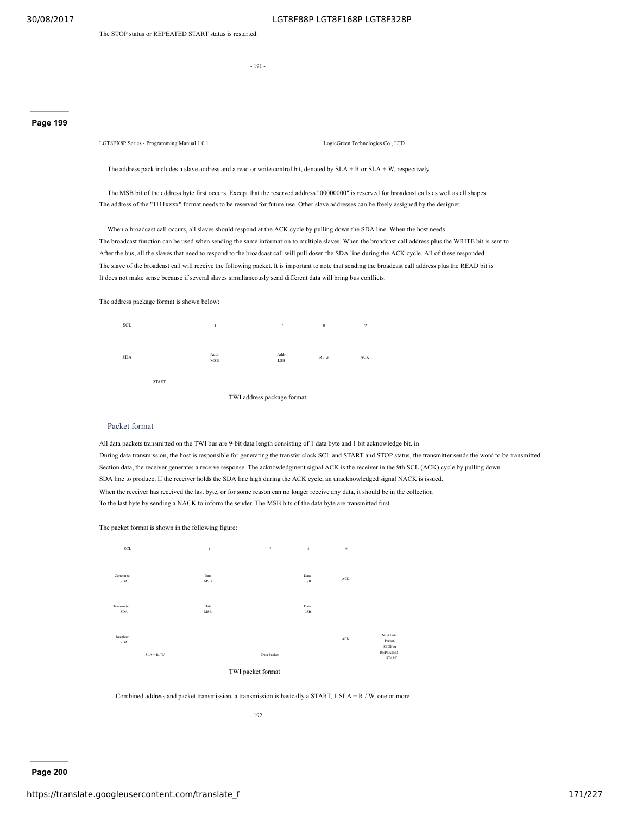The STOP status or REPEATED START status is restarted.

- 191 -

## **Page 199**

LGT8FX8P Series - Programming Manual 1.0.1 LogicGreen Technologies Co., LTD

The address pack includes a slave address and a read or write control bit, denoted by  $SLA + R$  or  $SLA + W$ , respectively.

The MSB bit of the address byte first occurs. Except that the reserved address "00000000" is reserved for broadcast calls as well as all shapes The address of the "1111xxxx" format needs to be reserved for future use. Other slave addresses can be freely assigned by the designer.

When a broadcast call occurs, all slaves should respond at the ACK cycle by pulling down the SDA line. When the host needs The broadcast function can be used when sending the same information to multiple slaves. When the broadcast call address plus the WRITE bit is sent to After the bus, all the slaves that need to respond to the broadcast call will pull down the SDA line during the ACK cycle. All of these responded The slave of the broadcast call will receive the following packet. It is important to note that sending the broadcast call address plus the READ bit is It does not make sense because if several slaves simultaneously send different data will bring bus conflicts.

The address package format is shown below:



### Packet format

All data packets transmitted on the TWI bus are 9-bit data length consisting of 1 data byte and 1 bit acknowledge bit. in During data transmission, the host is responsible for generating the transfer clock SCL and START and STOP status, the transmitter sends the word to be transmitted Section data, the receiver generates a receive response. The acknowledgment signal ACK is the receiver in the 9th SCL (ACK) cycle by pulling down SDA line to produce. If the receiver holds the SDA line high during the ACK cycle, an unacknowledged signal NACK is issued. When the receiver has received the last byte, or for some reason can no longer receive any data, it should be in the collection To the last byte by sending a NACK to inform the sender. The MSB bits of the data byte are transmitted first.

The packet format is shown in the following figure:



Combined address and packet transmission, a transmission is basically a START, 1 SLA + R / W, one or more

- 192 -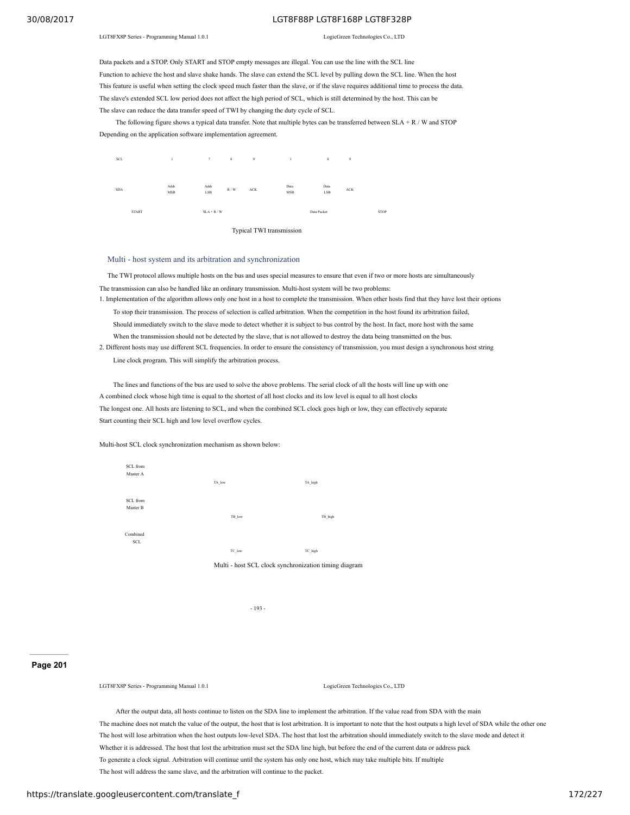LGT8FX8P Series - Programming Manual 1.0.1 LogicGreen Technologies Co., LTD

Data packets and a STOP. Only START and STOP empty messages are illegal. You can use the line with the SCL line Function to achieve the host and slave shake hands. The slave can extend the SCL level by pulling down the SCL line. When the host This feature is useful when setting the clock speed much faster than the slave, or if the slave requires additional time to process the data. The slave's extended SCL low period does not affect the high period of SCL, which is still determined by the host. This can be The slave can reduce the data transfer speed of TWI by changing the duty cycle of SCL.

The following figure shows a typical data transfer. Note that multiple bytes can be transferred between  $SLA + R / W$  and STOP Depending on the application software implementation agreement.



Multi - host system and its arbitration and synchronization

The TWI protocol allows multiple hosts on the bus and uses special measures to ensure that even if two or more hosts are simultaneously The transmission can also be handled like an ordinary transmission. Multi-host system will be two problems:

- 1. Implementation of the algorithm allows only one host in a host to complete the transmission. When other hosts find that they have lost their options To stop their transmission. The process of selection is called arbitration. When the competition in the host found its arbitration failed, Should immediately switch to the slave mode to detect whether it is subject to bus control by the host. In fact, more host with the same When the transmission should not be detected by the slave, that is not allowed to destroy the data being transmitted on the bus.
- 2. Different hosts may use different SCL frequencies. In order to ensure the consistency of transmission, you must design a synchronous host string Line clock program. This will simplify the arbitration process.

The lines and functions of the bus are used to solve the above problems. The serial clock of all the hosts will line up with one A combined clock whose high time is equal to the shortest of all host clocks and its low level is equal to all host clocks The longest one. All hosts are listening to SCL, and when the combined SCL clock goes high or low, they can effectively separate Start counting their SCL high and low level overflow cycles.

Multi-host SCL clock synchronization mechanism as shown below:



- 193 -

### **Page 201**

LGT8FX8P Series - Programming Manual 1.0.1 Logical Co., Ltd. LogicGreen Technologies Co., LTD.

After the output data, all hosts continue to listen on the SDA line to implement the arbitration. If the value read from SDA with the main The machine does not match the value of the output, the host that is lost arbitration. It is important to note that the host outputs a high level of SDA while the other one The host will lose arbitration when the host outputs low-level SDA. The host that lost the arbitration should immediately switch to the slave mode and detect it Whether it is addressed. The host that lost the arbitration must set the SDA line high, but before the end of the current data or address pack To generate a clock signal. Arbitration will continue until the system has only one host, which may take multiple bits. If multiple The host will address the same slave, and the arbitration will continue to the packet.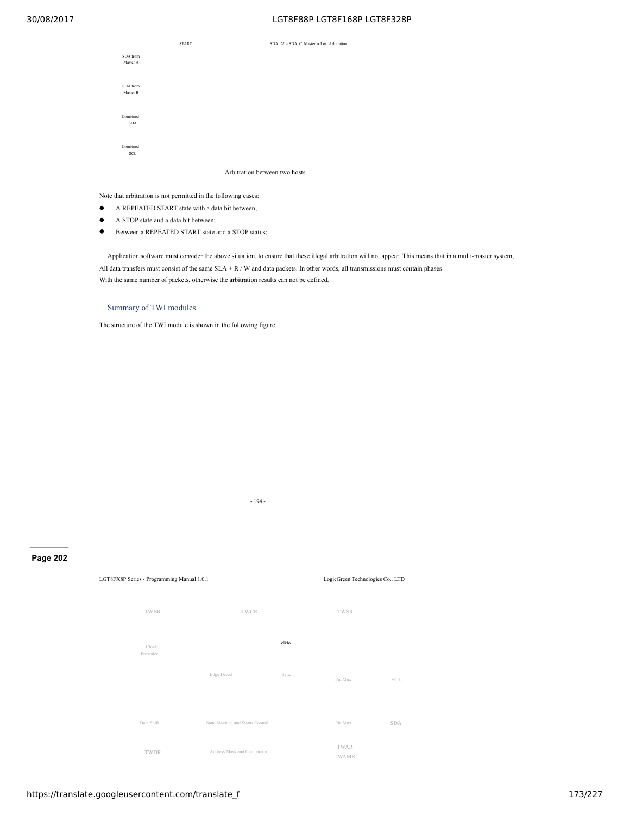

Arbitration between two hosts

Note that arbitration is not permitted in the following cases:

- ◆ A REPEATED START state with a data bit between;
- ◆ A STOP state and a data bit between;
- ◆ Between a REPEATED START state and a STOP status;

Application software must consider the above situation, to ensure that these illegal arbitration will not appear. This means that in a multi-master system, All data transfers must consist of the same SLA + R / W and data packets. In other words, all transmissions must contain phases With the same number of packets, otherwise the arbitration results can not be defined.

## Summary of TWI modules

The structure of the TWI module is shown in the following figure.

- 194 -

## **Page 202**

LGT8FX8P Series - Programming Manual 1.0.1 LogicGreen Technologies Co., LTD TWAR SCL SDA TWBR TWCR TWSR TWAMR Clock Prescaler Pin Mux Edge Detect clkio Sync Pin Mux TWDR Data Shift State Machine and Status Control Address Mask and Comparator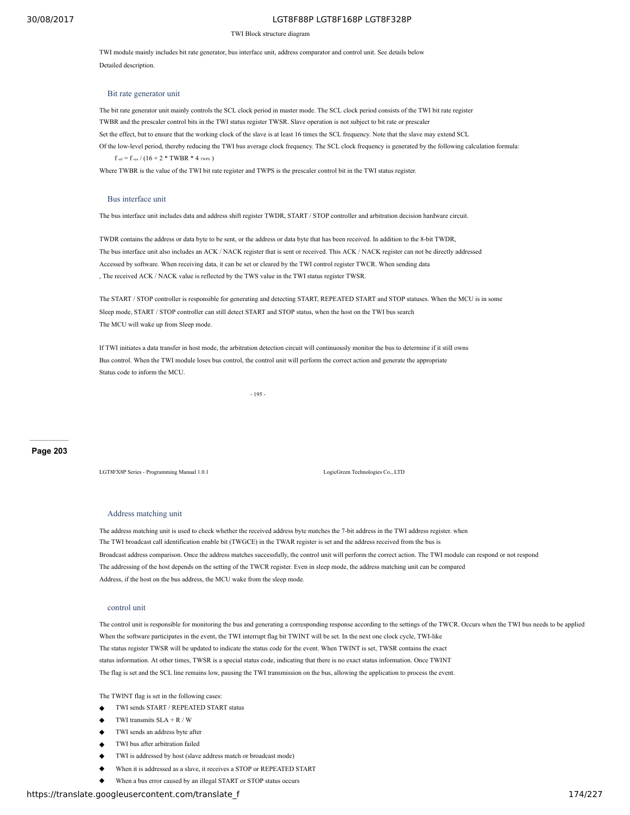#### TWI Block structure diagram

TWI module mainly includes bit rate generator, bus interface unit, address comparator and control unit. See details below Detailed description.

### Bit rate generator unit

The bit rate generator unit mainly controls the SCL clock period in master mode. The SCL clock period consists of the TWI bit rate register TWBR and the prescaler control bits in the TWI status register TWSR. Slave operation is not subject to bit rate or prescaler Set the effect, but to ensure that the working clock of the slave is at least 16 times the SCL frequency. Note that the slave may extend SCL Of the low-level period, thereby reducing the TWI bus average clock frequency. The SCL clock frequency is generated by the following calculation formula:  $f_{\text{sel}} = f_{\text{sys}} / (16 + 2 * \text{TWBR} * 4 \text{ twps})$ 

Where TWBR is the value of the TWI bit rate register and TWPS is the prescaler control bit in the TWI status register.

### Bus interface unit

The bus interface unit includes data and address shift register TWDR, START / STOP controller and arbitration decision hardware circuit.

TWDR contains the address or data byte to be sent, or the address or data byte that has been received. In addition to the 8-bit TWDR, The bus interface unit also includes an ACK / NACK register that is sent or received. This ACK / NACK register can not be directly addressed Accessed by software. When receiving data, it can be set or cleared by the TWI control register TWCR. When sending data , The received ACK / NACK value is reflected by the TWS value in the TWI status register TWSR.

The START / STOP controller is responsible for generating and detecting START, REPEATED START and STOP statuses. When the MCU is in some Sleep mode, START / STOP controller can still detect START and STOP status, when the host on the TWI bus search The MCU will wake up from Sleep mode.

If TWI initiates a data transfer in host mode, the arbitration detection circuit will continuously monitor the bus to determine if it still owns Bus control. When the TWI module loses bus control, the control unit will perform the correct action and generate the appropriate Status code to inform the MCU.

- 195 -

### **Page 203**

LGT8FX8P Series - Programming Manual 1.0.1 LogicGreen Technologies Co., LTD

### Address matching unit

The address matching unit is used to check whether the received address byte matches the 7-bit address in the TWI address register. when The TWI broadcast call identification enable bit (TWGCE) in the TWAR register is set and the address received from the bus is Broadcast address comparison. Once the address matches successfully, the control unit will perform the correct action. The TWI module can respond or not respond The addressing of the host depends on the setting of the TWCR register. Even in sleep mode, the address matching unit can be compared Address, if the host on the bus address, the MCU wake from the sleep mode.

#### control unit

The control unit is responsible for monitoring the bus and generating a corresponding response according to the settings of the TWCR. Occurs when the TWI bus needs to be applied When the software participates in the event, the TWI interrupt flag bit TWINT will be set. In the next one clock cycle, TWI-like The status register TWSR will be updated to indicate the status code for the event. When TWINT is set, TWSR contains the exact status information. At other times, TWSR is a special status code, indicating that there is no exact status information. Once TWINT The flag is set and the SCL line remains low, pausing the TWI transmission on the bus, allowing the application to process the event.

The TWINT flag is set in the following cases:

- TWI sends START / REPEATED START status
- TWI transmits  $SLA + R / W$
- TWI sends an address byte after
- TWI bus after arbitration failed
- TWI is addressed by host (slave address match or broadcast mode)
- When it is addressed as a slave, it receives a STOP or REPEATED START
- When a bus error caused by an illegal START or STOP status occurs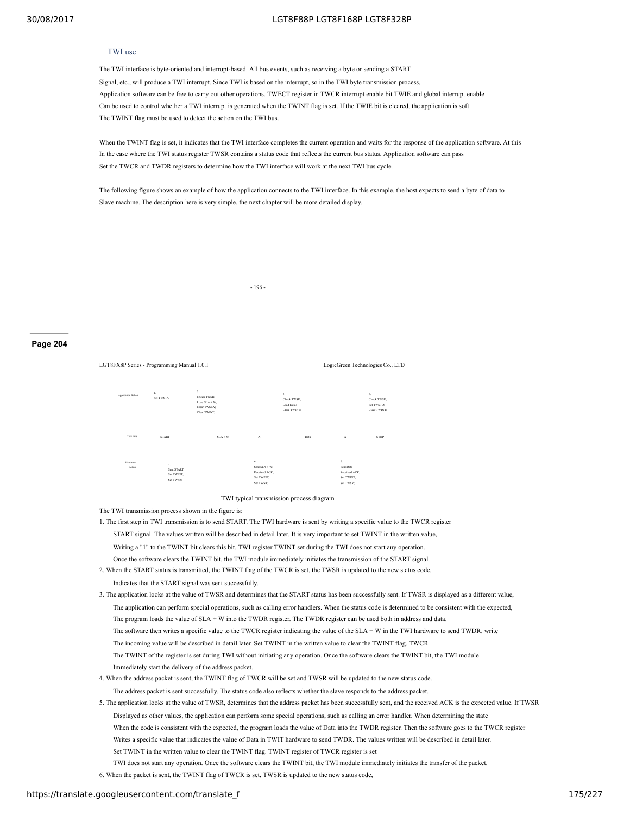## TWI use

The TWI interface is byte-oriented and interrupt-based. All bus events, such as receiving a byte or sending a START Signal, etc., will produce a TWI interrupt. Since TWI is based on the interrupt, so in the TWI byte transmission process, Application software can be free to carry out other operations. TWECT register in TWCR interrupt enable bit TWIE and global interrupt enable Can be used to control whether a TWI interrupt is generated when the TWINT flag is set. If the TWIE bit is cleared, the application is soft The TWINT flag must be used to detect the action on the TWI bus.

When the TWINT flag is set, it indicates that the TWI interface completes the current operation and waits for the response of the application software. At this In the case where the TWI status register TWSR contains a status code that reflects the current bus status. Application software can pass Set the TWCR and TWDR registers to determine how the TWI interface will work at the next TWI bus cycle.

The following figure shows an example of how the application connects to the TWI interface. In this example, the host expects to send a byte of data to Slave machine. The description here is very simple, the next chapter will be more detailed display.

- 196 -

## **Page 204**

LGT8FX8P Series - Programming Manual 1.0.1 LogicGreen Technologies Co., LTD TWI BUS START SLA + W A Data A STOP 1. Set TWSTA; Application Action Hardware Action 3. Check TWSR; Load SLA + W; Clear TWSTA; Clear TWINT; 5. Check TWSR; Load Data; Clear TWINT; 2. Sent START Set TWINT; Set TWSR; 4. Sent SLA + W; Received ACK; Set TWINT; Set TWSR; 6. Sent Data Received ACK; Set TWINT; Set TWSR; 7. Check TWSR; Set TWSTO; Clear TWINT;

#### TWI typical transmission process diagram

The TWI transmission process shown in the figure is:

1. The first step in TWI transmission is to send START. The TWI hardware is sent by writing a specific value to the TWCR register

START signal. The values written will be described in detail later. It is very important to set TWINT in the written value,

Writing a "1" to the TWINT bit clears this bit. TWI register TWINT set during the TWI does not start any operation.

- Once the software clears the TWINT bit, the TWI module immediately initiates the transmission of the START signal.
- 2. When the START status is transmitted, the TWINT flag of the TWCR is set, the TWSR is updated to the new status code,
- Indicates that the START signal was sent successfully.

3. The application looks at the value of TWSR and determines that the START status has been successfully sent. If TWSR is displayed as a different value,

- The application can perform special operations, such as calling error handlers. When the status code is determined to be consistent with the expected,
- The program loads the value of SLA + W into the TWDR register. The TWDR register can be used both in address and data.
- The software then writes a specific value to the TWCR register indicating the value of the SLA + W in the TWI hardware to send TWDR. write
- The incoming value will be described in detail later. Set TWINT in the written value to clear the TWINT flag. TWCR
- The TWINT of the register is set during TWI without initiating any operation. Once the software clears the TWINT bit, the TWI module Immediately start the delivery of the address packet.
- 4. When the address packet is sent, the TWINT flag of TWCR will be set and TWSR will be updated to the new status code.
- The address packet is sent successfully. The status code also reflects whether the slave responds to the address packet.

5. The application looks at the value of TWSR, determines that the address packet has been successfully sent, and the received ACK is the expected value. If TWSR Displayed as other values, the application can perform some special operations, such as calling an error handler. When determining the state When the code is consistent with the expected, the program loads the value of Data into the TWDR register. Then the software goes to the TWCR register Writes a specific value that indicates the value of Data in TWIT hardware to send TWDR. The values written will be described in detail later. Set TWINT in the written value to clear the TWINT flag. TWINT register of TWCR register is set TWI does not start any operation. Once the software clears the TWINT bit, the TWI module immediately initiates the transfer of the packet.

6. When the packet is sent, the TWINT flag of TWCR is set, TWSR is updated to the new status code,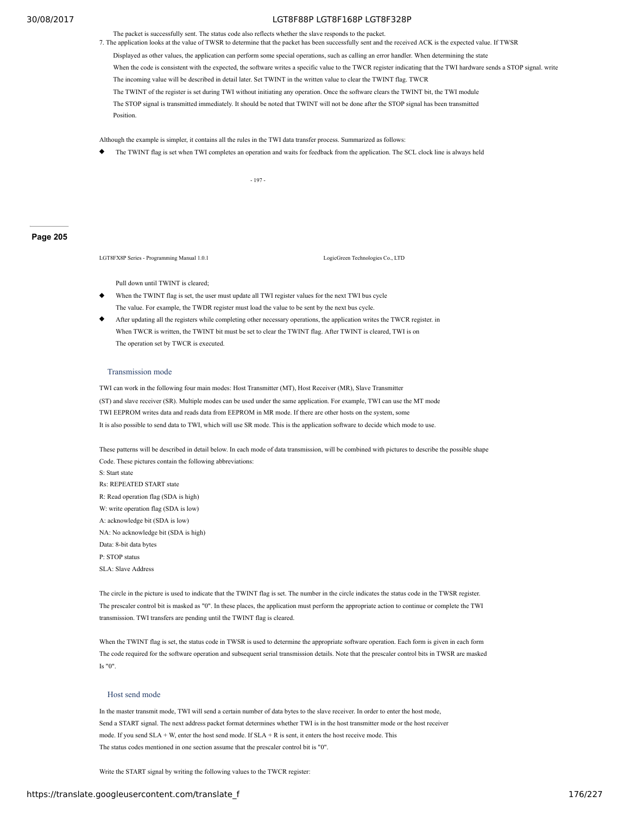The packet is successfully sent. The status code also reflects whether the slave responds to the packet.

- 7. The application looks at the value of TWSR to determine that the packet has been successfully sent and the received ACK is the expected value. If TWSR
	- Displayed as other values, the application can perform some special operations, such as calling an error handler. When determining the state
	- When the code is consistent with the expected, the software writes a specific value to the TWCR register indicating that the TWI hardware sends a STOP signal. write The incoming value will be described in detail later. Set TWINT in the written value to clear the TWINT flag. TWCR

The TWINT of the register is set during TWI without initiating any operation. Once the software clears the TWINT bit, the TWI module

The STOP signal is transmitted immediately. It should be noted that TWINT will not be done after the STOP signal has been transmitted **Position** 

Although the example is simpler, it contains all the rules in the TWI data transfer process. Summarized as follows:

The TWINT flag is set when TWI completes an operation and waits for feedback from the application. The SCL clock line is always held

- 197 -

### **Page 205**

LGT8FX8P Series - Programming Manual 1.0.1 LogicGreen Technologies Co., LTD

Pull down until TWINT is cleared;

- When the TWINT flag is set, the user must update all TWI register values for the next TWI bus cycle The value. For example, the TWDR register must load the value to be sent by the next bus cycle.
- After updating all the registers while completing other necessary operations, the application writes the TWCR register. in When TWCR is written, the TWINT bit must be set to clear the TWINT flag. After TWINT is cleared, TWI is on The operation set by TWCR is executed.

### Transmission mode

TWI can work in the following four main modes: Host Transmitter (MT), Host Receiver (MR), Slave Transmitter (ST) and slave receiver (SR). Multiple modes can be used under the same application. For example, TWI can use the MT mode TWI EEPROM writes data and reads data from EEPROM in MR mode. If there are other hosts on the system, some It is also possible to send data to TWI, which will use SR mode. This is the application software to decide which mode to use.

These patterns will be described in detail below. In each mode of data transmission, will be combined with pictures to describe the possible shape Code. These pictures contain the following abbreviations: S: Start state Rs: REPEATED START state R: Read operation flag (SDA is high) W: write operation flag (SDA is low) A: acknowledge bit (SDA is low)

NA: No acknowledge bit (SDA is high)

Data: 8-bit data bytes

P: STOP status

SLA: Slave Address

The circle in the picture is used to indicate that the TWINT flag is set. The number in the circle indicates the status code in the TWSR register. The prescaler control bit is masked as "0". In these places, the application must perform the appropriate action to continue or complete the TWI transmission. TWI transfers are pending until the TWINT flag is cleared.

When the TWINT flag is set, the status code in TWSR is used to determine the appropriate software operation. Each form is given in each form The code required for the software operation and subsequent serial transmission details. Note that the prescaler control bits in TWSR are masked Is "0".

### Host send mode

In the master transmit mode, TWI will send a certain number of data bytes to the slave receiver. In order to enter the host mode, Send a START signal. The next address packet format determines whether TWI is in the host transmitter mode or the host receiver mode. If you send SLA + W, enter the host send mode. If SLA + R is sent, it enters the host receive mode. This The status codes mentioned in one section assume that the prescaler control bit is "0".

Write the START signal by writing the following values to the TWCR register: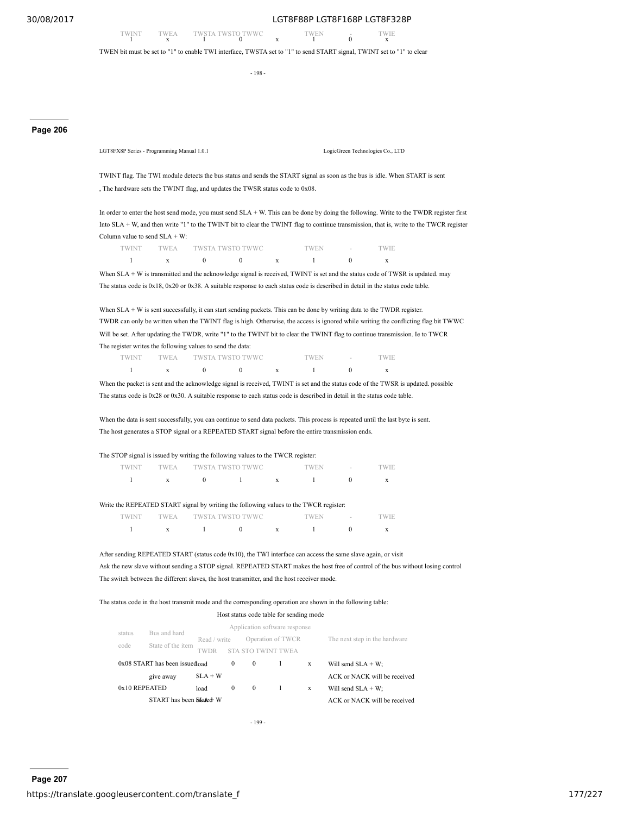TWINT TWEA TWSTA TWSTO TWWC TWEN - TWIE 1 x 1 0 x  $\frac{1}{x}$ 

TWEN bit must be set to "1" to enable TWI interface, TWSTA set to "1" to send START signal, TWINT set to "1" to clear

108

## **Page 206**

LGT8FX8P Series - Programming Manual 1.0.1 LogicGreen Technologies Co., LTD

TWINT flag. The TWI module detects the bus status and sends the START signal as soon as the bus is idle. When START is sent , The hardware sets the TWINT flag, and updates the TWSR status code to 0x08.

In order to enter the host send mode, you must send SLA + W. This can be done by doing the following. Write to the TWDR register first Into SLA + W, and then write "1" to the TWINT bit to clear the TWINT flag to continue transmission, that is, write to the TWCR register Column value to send SLA + W:

| <b>TWINT</b> |  | TWEA TWSTA TWSTO TWWC | <b>TWEN</b> | $\sim$ | "WIE |
|--------------|--|-----------------------|-------------|--------|------|
|              |  |                       |             |        |      |

When SLA + W is transmitted and the acknowledge signal is received, TWINT is set and the status code of TWSR is updated. may The status code is 0x18, 0x20 or 0x38. A suitable response to each status code is described in detail in the status code table.

When SLA + W is sent successfully, it can start sending packets. This can be done by writing data to the TWDR register. TWDR can only be written when the TWINT flag is high. Otherwise, the access is ignored while writing the conflicting flag bit TWWC Will be set. After updating the TWDR, write "1" to the TWINT bit to clear the TWINT flag to continue transmission. Ie to TWCR The register writes the following values to send the data:

| TWINT | TWEA TWSTA TWSTO TWWC |  | `WEN | <b>Contract Contract</b> | 'WIE |
|-------|-----------------------|--|------|--------------------------|------|
|       |                       |  |      |                          |      |

When the packet is sent and the acknowledge signal is received, TWINT is set and the status code of the TWSR is updated. possible The status code is 0x28 or 0x30. A suitable response to each status code is described in detail in the status code table.

When the data is sent successfully, you can continue to send data packets. This process is repeated until the last byte is sent. The host generates a STOP signal or a REPEATED START signal before the entire transmission ends.

### The STOP signal is issued by writing the following values to the TWCR register:

| TWINT | TWEA TWSTA TWSTO TWWC |  | TWEN | the company of the company | TWIE. |
|-------|-----------------------|--|------|----------------------------|-------|
|       |                       |  |      |                            |       |

Write the REPEATED START signal by writing the following values to the TWCR register:

| 'WINT |  | TWEA TWSTA TWSTO TWWC | 'WEN | <b>Section</b> | EW E |
|-------|--|-----------------------|------|----------------|------|
|       |  |                       |      |                |      |

After sending REPEATED START (status code 0x10), the TWI interface can access the same slave again, or visit Ask the new slave without sending a STOP signal. REPEATED START makes the host free of control of the bus without losing control The switch between the different slaves, the host transmitter, and the host receiver mode.

The status code in the host transmit mode and the corresponding operation are shown in the following table:

#### Host status code table for sending mode Bus and hard State of the item Application software response Read / write Operation of TWCR The next step in the hardware

| code                                | State of the item        | <b>TWDR</b> |          | <b>STA STO TWINT TWEA</b> |   |                              |
|-------------------------------------|--------------------------|-------------|----------|---------------------------|---|------------------------------|
| $0x08$ START has been issued $0a$ d |                          |             | $\Omega$ | $\bf{0}$                  | X | Will send $SLA + W$ ;        |
|                                     | give away                | $SLA + W$   |          |                           |   | ACK or NACK will be received |
| 0x10 REPEATED                       |                          | load        | $\theta$ | $\bf{0}$                  | X | Will send $SLA + W$ ;        |
|                                     | START has been Sskuled W |             |          |                           |   | ACK or NACK will be received |
|                                     |                          |             |          |                           |   |                              |

status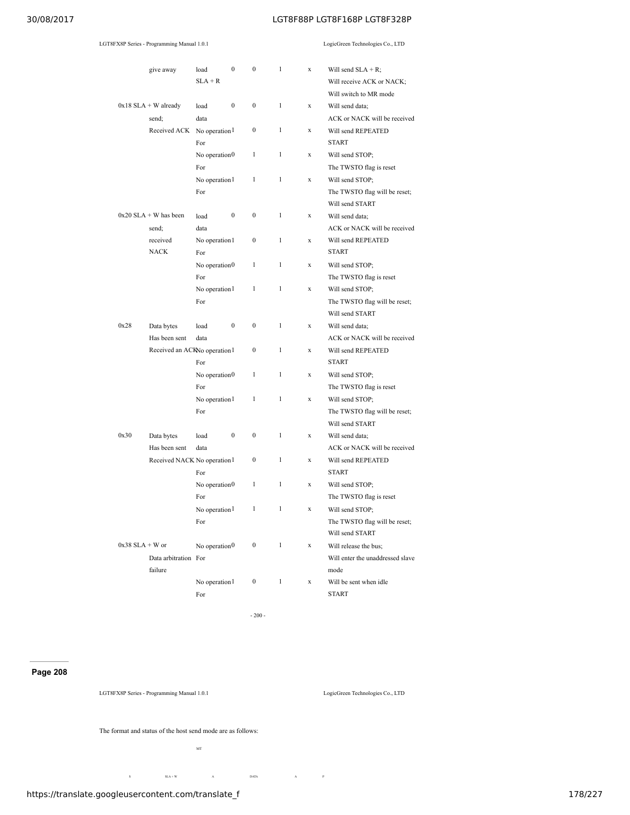|                   | LGT8FX8P Series - Programming Manual 1.0.1     |                                  |                  |                  |              |             | LogicGreen Technologies Co., LTD                                             |
|-------------------|------------------------------------------------|----------------------------------|------------------|------------------|--------------|-------------|------------------------------------------------------------------------------|
|                   | give away                                      | load<br>$SLA + R$                | $\boldsymbol{0}$ | $\mathbf{0}$     | $\mathbf{1}$ | $\mathbf x$ | Will send $SLA + R$ ;<br>Will receive ACK or NACK;<br>Will switch to MR mode |
|                   | $0x18$ SLA + W already                         | load                             | $\boldsymbol{0}$ | $\bf{0}$         | $\mathbf{1}$ | $\mathbf x$ | Will send data;                                                              |
|                   | send;<br>Received ACK No operation 1           | data<br>For                      |                  | $\boldsymbol{0}$ | $\mathbf{1}$ | $\mathbf x$ | ACK or NACK will be received<br>Will send REPEATED<br><b>START</b>           |
|                   |                                                | No operation <sub>0</sub><br>For |                  | $\mathbf{1}$     | $\mathbf{1}$ | $\mathbf x$ | Will send STOP;<br>The TWSTO flag is reset                                   |
|                   |                                                | No operation 1<br>For            |                  | $\mathbf{1}$     | $\mathbf{1}$ | $\mathbf x$ | Will send STOP;<br>The TWSTO flag will be reset;<br>Will send START          |
|                   | $0x20$ SLA + W has been<br>send;               | load<br>data                     | $\boldsymbol{0}$ | $\bf{0}$         | $\mathbf{1}$ | $\mathbf x$ | Will send data:<br>ACK or NACK will be received                              |
|                   | received<br><b>NACK</b>                        | No operation 1<br>For            |                  | $\boldsymbol{0}$ | $\mathbf{1}$ | $\mathbf x$ | Will send REPEATED<br><b>START</b>                                           |
|                   |                                                | No operation <sub>0</sub><br>For |                  | $\mathbf{1}$     | $\mathbf{1}$ | $\mathbf x$ | Will send STOP;<br>The TWSTO flag is reset                                   |
|                   |                                                | No operation 1<br>For            |                  | $\mathbf{1}$     | $\mathbf{1}$ | $\mathbf x$ | Will send STOP;<br>The TWSTO flag will be reset;<br>Will send START          |
| 0x28              | Data bytes                                     | load                             | $\boldsymbol{0}$ | $\mathbf{0}$     | $\mathbf{1}$ | $\mathbf x$ | Will send data;                                                              |
|                   | Has been sent<br>Received an ACKNo operation 1 | data<br>For                      |                  | $\bf{0}$         | $\mathbf{1}$ | $\mathbf x$ | ACK or NACK will be received<br>Will send REPEATED<br><b>START</b>           |
|                   |                                                | No operation <sub>0</sub><br>For |                  | $\mathbf{1}$     | $\mathbf{1}$ | $\mathbf x$ | Will send STOP;<br>The TWSTO flag is reset                                   |
|                   |                                                | No operation 1<br>For            |                  | $\mathbf{1}$     | $\mathbf{1}$ | $\mathbf x$ | Will send STOP;<br>The TWSTO flag will be reset;<br>Will send START          |
| 0x30              | Data bytes<br>Has been sent                    | load<br>data                     | $\boldsymbol{0}$ | $\boldsymbol{0}$ | $\mathbf{1}$ | $\mathbf x$ | Will send data;<br>ACK or NACK will be received                              |
|                   | Received NACK No operation 1                   | For                              |                  | $\bf{0}$         | $\mathbf{1}$ | $\mathbf x$ | Will send REPEATED<br><b>START</b>                                           |
|                   |                                                | No operation $0$<br>For          |                  | $\mathbf{1}$     | $\mathbf{1}$ | $\mathbf x$ | Will send STOP;<br>The TWSTO flag is reset                                   |
|                   |                                                | No operation <sup>1</sup><br>For |                  | $\mathbf{1}$     | $\mathbf{1}$ | X           | Will send STOP;<br>The TWSTO flag will be reset;<br>Will send START          |
| $0x38$ SLA + W or | Data arbitration For<br>failure                | No operation $0$                 |                  | $\boldsymbol{0}$ | $\mathbf{1}$ | $\mathbf x$ | Will release the bus;<br>Will enter the unaddressed slave<br>mode            |
|                   |                                                | No operation 1                   |                  | $\boldsymbol{0}$ | $\mathbf{1}$ | $\mathbf x$ | Will be sent when idle                                                       |
|                   |                                                | For                              |                  |                  |              |             | <b>START</b>                                                                 |

- 200 -

## **Page 208**

LGT8FX8P Series - Programming Manual 1.0.1 LogicGreen Technologies Co., LTD

The format and status of the host send mode are as follows:

MT

S  $SLA + W$  A DATA A P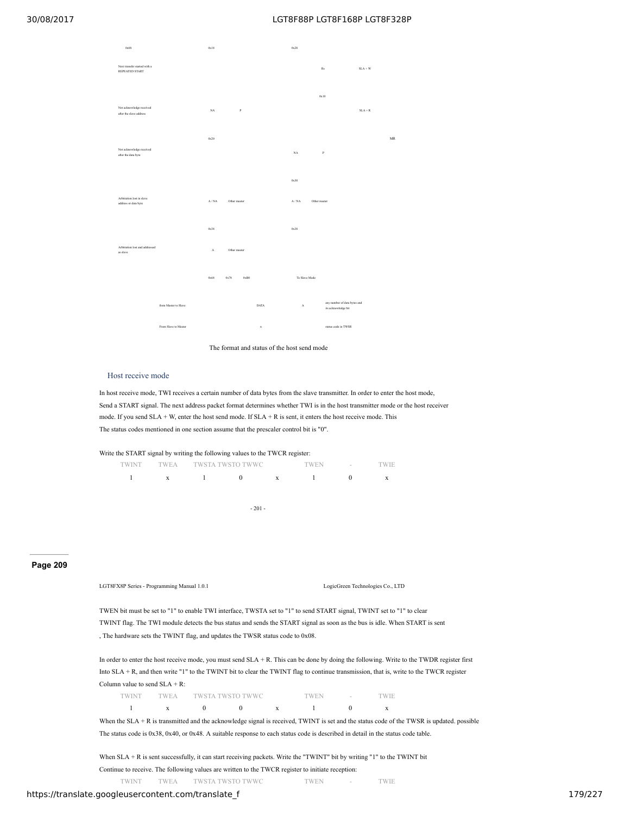| 0x08                                                |                      | 0x18        |              |            |             | 0x28          |                     |                                                     |           |                                   |
|-----------------------------------------------------|----------------------|-------------|--------------|------------|-------------|---------------|---------------------|-----------------------------------------------------|-----------|-----------------------------------|
| Next transfer started with a<br>REPEATED START      |                      |             |              |            |             |               | $\operatorname{Rs}$ |                                                     | $SLA + W$ |                                   |
| Not acknowledge received<br>after the slave address |                      | $_{\rm NA}$ |              | $_{\rm P}$ |             |               | 0x10                |                                                     | $SLA + R$ |                                   |
| Not acknowledge received<br>after the data byte     |                      | 0x20        |              |            |             | $_{\rm NA}$   | $\, {\bf p}$        |                                                     |           | $\ensuremath{\mathsf{MR}}\xspace$ |
| Arbitration lost in slave<br>address or data byte   |                      | A/NA        | Other master |            |             | 0x30<br>A/NA  | Other master        |                                                     |           |                                   |
|                                                     |                      | 0x38        |              |            |             | 0x38          |                     |                                                     |           |                                   |
| Arbitration lost and addressed<br>as slave          |                      | $\Lambda$   | Other master |            |             |               |                     |                                                     |           |                                   |
|                                                     |                      | 0x68        | 0x78         | 0xB0       |             | To Slave Mode |                     |                                                     |           |                                   |
|                                                     | from Master to Slave |             |              |            | DATA        | $\mathbf{A}$  |                     | any number of data bytes and<br>its acknowledge bit |           |                                   |
|                                                     | From Slave to Master |             |              |            | $\mathbf n$ |               |                     | status code in TWSR                                 |           |                                   |

The format and status of the host send mode

## Host receive mode

In host receive mode, TWI receives a certain number of data bytes from the slave transmitter. In order to enter the host mode, Send a START signal. The next address packet format determines whether TWI is in the host transmitter mode or the host receiver mode. If you send SLA + W, enter the host send mode. If SLA + R is sent, it enters the host receive mode. This The status codes mentioned in one section assume that the prescaler control bit is "0".

|  | TWINT TWEA TWSTA TWSTO TWWC                         |              | TWEN                          | $\mathcal{L}^{\mathcal{L}}(\mathcal{L}^{\mathcal{L}}(\mathcal{L}^{\mathcal{L}}(\mathcal{L}^{\mathcal{L}}(\mathcal{L}^{\mathcal{L}}(\mathcal{L}^{\mathcal{L}}(\mathcal{L}^{\mathcal{L}}(\mathcal{L}^{\mathcal{L}}(\mathcal{L}^{\mathcal{L}}(\mathcal{L}^{\mathcal{L}}(\mathcal{L}^{\mathcal{L}}(\mathcal{L}^{\mathcal{L}}(\mathcal{L}^{\mathcal{L}}(\mathcal{L}^{\mathcal{L}}(\mathcal{L}^{\mathcal{L}}(\mathcal{L}^{\mathcal{L}}(\mathcal{L}^{\mathcal{L$ | H. |
|--|-----------------------------------------------------|--------------|-------------------------------|-----------------------------------------------------------------------------------------------------------------------------------------------------------------------------------------------------------------------------------------------------------------------------------------------------------------------------------------------------------------------------------------------------------------------------------------------------------|----|
|  | $\mathbf{x} = \begin{bmatrix} 1 \\ 1 \end{bmatrix}$ | $\mathbf{0}$ | $\mathbf{x}$ and $\mathbf{1}$ | $\theta$                                                                                                                                                                                                                                                                                                                                                                                                                                                  | X  |
|  |                                                     |              |                               |                                                                                                                                                                                                                                                                                                                                                                                                                                                           |    |
|  |                                                     |              |                               |                                                                                                                                                                                                                                                                                                                                                                                                                                                           |    |
|  |                                                     | $-201 -$     |                               |                                                                                                                                                                                                                                                                                                                                                                                                                                                           |    |
|  |                                                     |              |                               |                                                                                                                                                                                                                                                                                                                                                                                                                                                           |    |

### **Page 209**

| LGT8FX8P Series - Programming Manual 1.0.1 |
|--------------------------------------------|
|                                            |

LogicGreen Technologies Co., LTD

TWEN bit must be set to "1" to enable TWI interface, TWSTA set to "1" to send START signal, TWINT set to "1" to clear TWINT flag. The TWI module detects the bus status and sends the START signal as soon as the bus is idle. When START is sent , The hardware sets the TWINT flag, and updates the TWSR status code to 0x08.

In order to enter the host receive mode, you must send SLA + R. This can be done by doing the following. Write to the TWDR register first Into  $SLA + R$ , and then write "1" to the TWINT bit to clear the TWINT flag to continue transmission, that is, write to the TWCR register Column value to send SLA + R:

| TWINT |  | TWEA TWSTA TWSTO TWWC | <b>TWEN</b> | the company of the com- | TWIE |
|-------|--|-----------------------|-------------|-------------------------|------|
|       |  |                       |             |                         |      |

When the SLA + R is transmitted and the acknowledge signal is received, TWINT is set and the status code of the TWSR is updated. possible The status code is 0x38, 0x40, or 0x48. A suitable response to each status code is described in detail in the status code table.

When SLA + R is sent successfully, it can start receiving packets. Write the "TWINT" bit by writing "1" to the TWINT bit Continue to receive. The following values are written to the TWCR register to initiate reception: TWINT TWEA TWSTA TWSTO TWWC TWEN - TWIE

https://translate.googleusercontent.com/translate\_f 179/227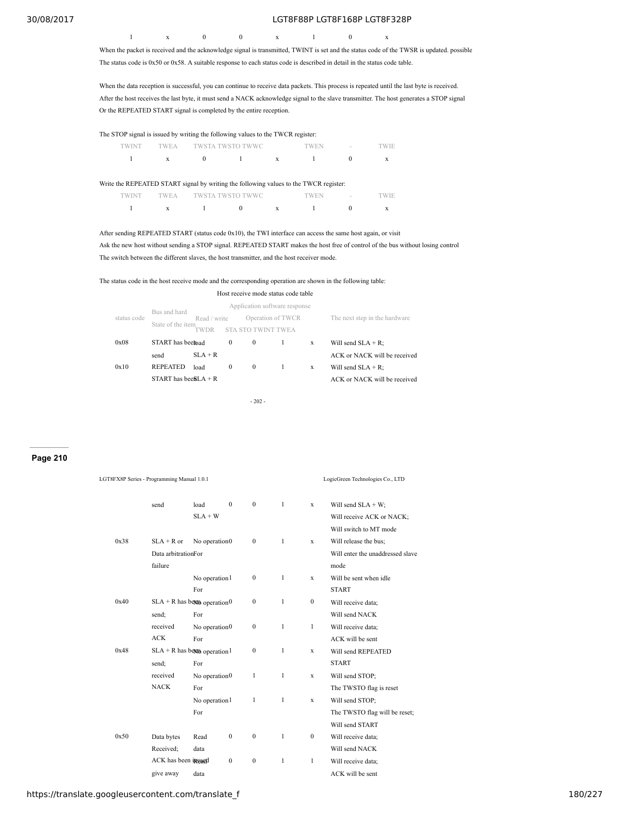1 x 0 0 x 1 0 x When the packet is received and the acknowledge signal is transmitted, TWINT is set and the status code of the TWSR is updated. possible

The status code is 0x50 or 0x58. A suitable response to each status code is described in detail in the status code table.

When the data reception is successful, you can continue to receive data packets. This process is repeated until the last byte is received. After the host receives the last byte, it must send a NACK acknowledge signal to the slave transmitter. The host generates a STOP signal Or the REPEATED START signal is completed by the entire reception.

| The STOP signal is issued by writing the following values to the TWCR register: |              |          |                                                                                       |   |      |        |       |  |  |  |
|---------------------------------------------------------------------------------|--------------|----------|---------------------------------------------------------------------------------------|---|------|--------|-------|--|--|--|
| twint                                                                           |              |          | TWSTA TWSTO TWWC                                                                      |   | TWEN | $\sim$ | TWIE. |  |  |  |
|                                                                                 | $\mathbf{x}$ | $\Omega$ |                                                                                       | X |      |        | X     |  |  |  |
|                                                                                 |              |          |                                                                                       |   |      |        |       |  |  |  |
|                                                                                 |              |          | Write the REPEATED START signal by writing the following values to the TWCR register: |   |      |        |       |  |  |  |
|                                                                                 | TWEA         |          | TWSTA TWSTO TWWC                                                                      |   | 'WEN | $\sim$ |       |  |  |  |

After sending REPEATED START (status code 0x10), the TWI interface can access the same host again, or visit Ask the new host without sending a STOP signal. REPEATED START makes the host free of control of the bus without losing control

1 x 1 0 x 1 0 x

The switch between the different slaves, the host transmitter, and the host receiver mode.

The status code in the host receive mode and the corresponding operation are shown in the following table:

|             |                                   |                      |              | Host receive mode status code table                 |                   |                              |                               |
|-------------|-----------------------------------|----------------------|--------------|-----------------------------------------------------|-------------------|------------------------------|-------------------------------|
| status code | Bus and hard<br>State of the item | Read / write<br>TWDR |              | Application software response<br>STA STO TWINT TWEA | Operation of TWCR |                              | The next step in the hardware |
| 0x08        | START has beethad                 |                      | $\mathbf{0}$ | $\bf{0}$                                            | 1                 | X                            | Will send $SLA + R$ ;         |
|             | send                              | $SLA + R$            |              |                                                     |                   |                              | ACK or NACK will be received  |
| 0x10        | <b>REPEATED</b>                   | load                 | $\mathbf{0}$ | $\mathbf{0}$                                        | 1                 | X                            | Will send $SLA + R$ ;         |
|             | START has been $A + R$            |                      |              |                                                     |                   | ACK or NACK will be received |                               |
|             |                                   |                      |              | $-202 -$                                            |                   |                              |                               |

LGT8FX8P Series - Programming Manual 1.0.1 LogicGreen Technologies Co., LTD

## **Page 210**

|      | send                                      | load                      | $\theta$     | $\mathbf{0}$     | $\mathbf{1}$ | X                | Will send $SLA + W$ ;            |
|------|-------------------------------------------|---------------------------|--------------|------------------|--------------|------------------|----------------------------------|
|      |                                           | $SLA + W$                 |              |                  |              |                  | Will receive ACK or NACK;        |
|      |                                           |                           |              |                  |              |                  | Will switch to MT mode           |
| 0x38 | $SLA + R$ or                              | No operation <sub>0</sub> |              | $\mathbf{0}$     | 1            | X                | Will release the bus;            |
|      | Data arbitrationFor                       |                           |              |                  |              |                  | Will enter the unaddressed slave |
|      | failure                                   |                           |              |                  |              |                  | mode                             |
|      |                                           | No operation 1            |              | $\mathbf{0}$     | $\mathbf{1}$ | X                | Will be sent when idle           |
|      |                                           | For                       |              |                  |              |                  | <b>START</b>                     |
| 0x40 | $SLA + R$ has been operation 0            |                           |              | $\boldsymbol{0}$ | $\mathbf{1}$ | $\boldsymbol{0}$ | Will receive data:               |
|      | send;                                     | For                       |              |                  |              |                  | Will send NACK                   |
|      | received                                  | No operation $0$          |              | $\boldsymbol{0}$ | $\mathbf{1}$ | 1                | Will receive data;               |
|      | <b>ACK</b>                                | For                       |              |                  |              |                  | ACK will be sent                 |
| 0x48 | $SLA + R$ has been operation <sup>1</sup> |                           |              | $\mathbf{0}$     | 1            | X                | Will send REPEATED               |
|      | send;                                     | For                       |              |                  |              |                  | <b>START</b>                     |
|      | received                                  | No operation <sub>0</sub> |              | $\mathbf{1}$     | $\mathbf{1}$ | X                | Will send STOP;                  |
|      | <b>NACK</b>                               | For                       |              |                  |              |                  | The TWSTO flag is reset          |
|      |                                           | No operation 1            |              | 1                | $\mathbf{1}$ | X                | Will send STOP:                  |
|      |                                           | For                       |              |                  |              |                  | The TWSTO flag will be reset;    |
|      |                                           |                           |              |                  |              |                  | Will send START                  |
| 0x50 | Data bytes                                | Read                      | $\mathbf{0}$ | $\boldsymbol{0}$ | $\mathbf{1}$ | $\mathbf{0}$     | Will receive data;               |
|      | Received:                                 | data                      |              |                  |              |                  | Will send NACK                   |
|      | ACK has been insured                      |                           | $\mathbf{0}$ | $\boldsymbol{0}$ | $\mathbf{1}$ | $\mathbf{1}$     | Will receive data;               |
|      | give away                                 | data                      |              |                  |              |                  | ACK will be sent                 |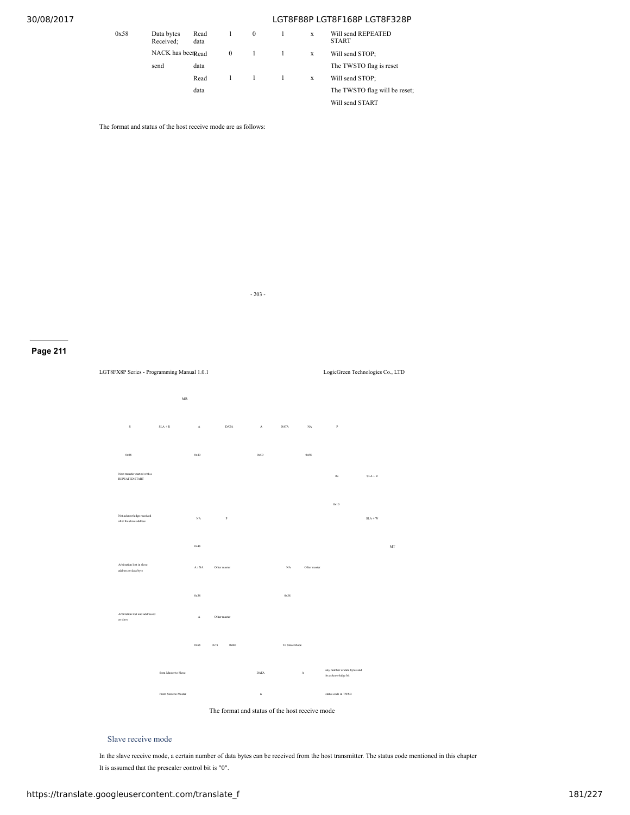| 0x58 | Data bytes<br>Received: | Read<br>data |          | $\bf{0}$ | X | Will send REPEATED<br><b>START</b> |
|------|-------------------------|--------------|----------|----------|---|------------------------------------|
|      | NACK has been Read      |              | $\bf{0}$ | -1       | X | Will send STOP:                    |
|      | send                    | data         |          |          |   | The TWSTO flag is res              |
|      |                         | Read         |          |          | X | Will send STOP:                    |
|      |                         | data         |          |          |   | The TWSTO flag will b              |
|      |                         |              |          |          |   | W511 cond CTADT                    |

The format and status of the host receive mode are as follows:



O flag is reset TOP;

O flag will be reset; Will send START

**Page 211**



- 203 -

Slave receive mode

In the slave receive mode, a certain number of data bytes can be received from the host transmitter. The status code mentioned in this chapter It is assumed that the prescaler control bit is "0".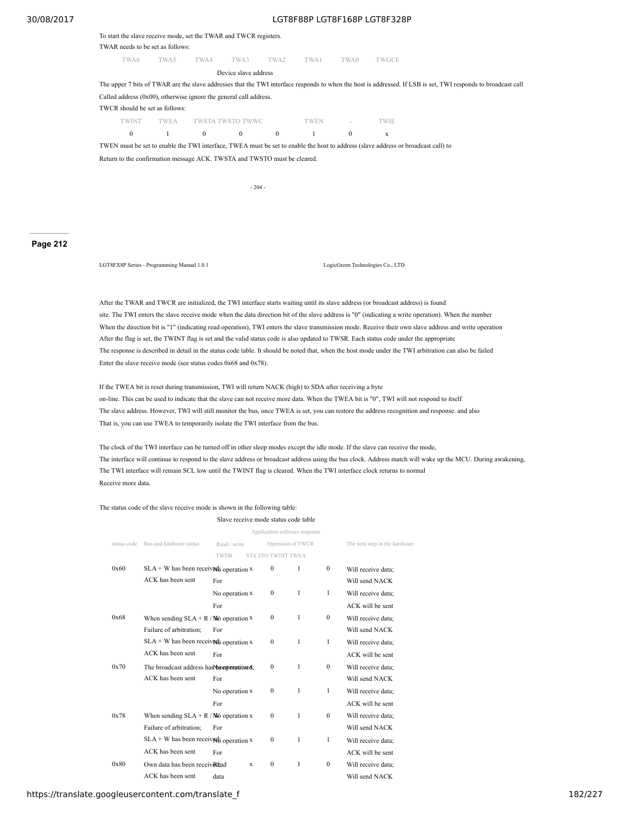| To start the slave receive mode, set the TWAR and TWCR registers. |  |  |
|-------------------------------------------------------------------|--|--|
|-------------------------------------------------------------------|--|--|

#### TWAR needs to be set as follows:

TWA6 TWA5 TWA4 TWA3 TWA2 TWA1 TWA0 TWGCE

Device slave address

The upper 7 bits of TWAR are the slave addresses that the TWI interface responds to when the host is addressed. If LSB is set, TWI responds to broadcast call Called address (0x00), otherwise ignore the general call address. TWCR should be set as follows: TWINT TWEA TWSTA TWSTO TWWC TWEN - TWIE

0 1 0 0 0 1 0 x

TWEN must be set to enable the TWI interface, TWEA must be set to enable the host to address (slave address or broadcast call) to

Return to the confirmation message ACK. TWSTA and TWSTO must be cleared.

- 204 -

### **Page 212**

LGT8FX8P Series - Programming Manual 1.0.1 LogicGreen Technologies Co., LTD

After the TWAR and TWCR are initialized, the TWI interface starts waiting until its slave address (or broadcast address) is found site. The TWI enters the slave receive mode when the data direction bit of the slave address is "0" (indicating a write operation). When the number When the direction bit is "1" (indicating read operation), TWI enters the slave transmission mode. Receive their own slave address and write operation After the flag is set, the TWINT flag is set and the valid status code is also updated to TWSR. Each status code under the appropriate The response is described in detail in the status code table. It should be noted that, when the host mode under the TWI arbitration can also be failed Enter the slave receive mode (see status codes 0x68 and 0x78).

If the TWEA bit is reset during transmission, TWI will return NACK (high) to SDA after receiving a byte on-line. This can be used to indicate that the slave can not receive more data. When the TWEA bit is "0", TWI will not respond to itself The slave address. However, TWI will still monitor the bus, once TWEA is set, you can restore the address recognition and response. and also That is, you can use TWEA to temporarily isolate the TWI interface from the bus.

The clock of the TWI interface can be turned off in other sleep modes except the idle mode. If the slave can receive the mode, The interface will continue to respond to the slave address or broadcast address using the bus clock. Address match will wake up the MCU. During awakening, The TWI interface will remain SCL low until the TWINT flag is cleared. When the TWI interface clock returns to normal Receive more data.

#### The status code of the slave receive mode is shown in the following table:

#### Slave receive mode status code table

|             |                                            |                |   | Application software response |   |              |                               |
|-------------|--------------------------------------------|----------------|---|-------------------------------|---|--------------|-------------------------------|
| status code | Bus and hardware status                    | Read / write   |   | Operation of TWCR             |   |              | The next step in the hardware |
|             |                                            | TWDR           |   | STA STO TWINT TWEA            |   |              |                               |
| 0x60        | $SLA + W$ has been received operation x    |                |   | $\Omega$                      | 1 | $\Omega$     | Will receive data;            |
|             | ACK has been sent                          | For            |   |                               |   |              | Will send NACK                |
|             |                                            | No operation x |   | $\mathbf{0}$                  | 1 | 1            | Will receive data;            |
|             |                                            | For            |   |                               |   |              | ACK will be sent              |
| 0x68        | When sending $SLA + R / W_0$ operation $X$ |                |   | $\mathbf{0}$                  | 1 | $\mathbf{0}$ | Will receive data;            |
|             | Failure of arbitration;                    | For            |   |                               |   |              | Will send NACK                |
|             | $SLA + W$ has been received operation x    |                |   | $\mathbf{0}$                  | 1 | 1            | Will receive data;            |
|             | ACK has been sent                          | For            |   |                               |   |              | ACK will be sent              |
| 0x70        | The broadcast address has he enperationed; |                |   | $\mathbf{0}$                  | 1 | $\mathbf{0}$ | Will receive data;            |
|             | ACK has been sent                          | For            |   |                               |   |              | Will send NACK                |
|             |                                            | No operation x |   | $\mathbf{0}$                  | 1 | 1            | Will receive data;            |
|             |                                            | For            |   |                               |   |              | ACK will be sent              |
| 0x78        | When sending $SLA + R / W_0$ operation x   |                |   | $\mathbf{0}$                  | 1 | $\mathbf{0}$ | Will receive data;            |
|             | Failure of arbitration:                    | For            |   |                               |   |              | Will send NACK                |
|             | $SLA + W$ has been received operation x    |                |   | $\mathbf{0}$                  | 1 | 1            | Will receive data;            |
|             | ACK has been sent                          | For            |   |                               |   |              | ACK will be sent              |
| 0x80        | Own data has been received                 |                | X | $\mathbf{0}$                  | 1 | $\mathbf{0}$ | Will receive data;            |
|             | ACK has been sent                          | data           |   |                               |   |              | Will send NACK                |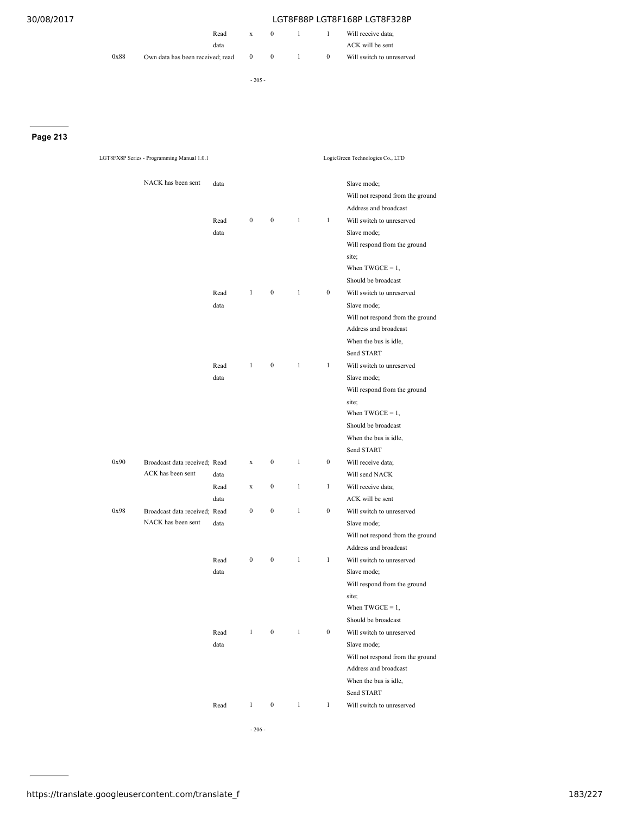|      |                                  | Read | $\mathbf{x}$ |          |          | Will receive data;        |
|------|----------------------------------|------|--------------|----------|----------|---------------------------|
|      |                                  | data |              |          |          | ACK will be sent          |
| 0x88 | Own data has been received: read |      | $\mathbf{0}$ | $\theta$ | $\theta$ | Will switch to unreserved |

- 205 -

**Page 213**

|      | LGT8FX8P Series - Programming Manual 1.0.1 |      |                  |                  |              |                  | LogicGreen Technologies Co., LTD                                         |
|------|--------------------------------------------|------|------------------|------------------|--------------|------------------|--------------------------------------------------------------------------|
|      | NACK has been sent                         | data |                  |                  |              |                  | Slave mode;<br>Will not respond from the ground<br>Address and broadcast |
|      |                                            | Read | $\bf{0}$         | $\boldsymbol{0}$ | $\mathbf{1}$ | $\mathbf{1}$     | Will switch to unreserved                                                |
|      |                                            | data |                  |                  |              |                  | Slave mode;                                                              |
|      |                                            |      |                  |                  |              |                  | Will respond from the ground                                             |
|      |                                            |      |                  |                  |              |                  | site;                                                                    |
|      |                                            |      |                  |                  |              |                  | When $TWGCE = 1$ ,                                                       |
|      |                                            |      |                  |                  |              |                  | Should be broadcast                                                      |
|      |                                            | Read | $\mathbf{1}$     | $\boldsymbol{0}$ | $\mathbf{1}$ | $\boldsymbol{0}$ | Will switch to unreserved                                                |
|      |                                            | data |                  |                  |              |                  | Slave mode;                                                              |
|      |                                            |      |                  |                  |              |                  | Will not respond from the ground                                         |
|      |                                            |      |                  |                  |              |                  | Address and broadcast                                                    |
|      |                                            |      |                  |                  |              |                  | When the bus is idle,                                                    |
|      |                                            |      |                  |                  |              |                  | Send START                                                               |
|      |                                            | Read | $\mathbf{1}$     | $\boldsymbol{0}$ | $\mathbf{1}$ | $\mathbf{1}$     | Will switch to unreserved                                                |
|      |                                            | data |                  |                  |              |                  | Slave mode;                                                              |
|      |                                            |      |                  |                  |              |                  | Will respond from the ground                                             |
|      |                                            |      |                  |                  |              |                  | site;                                                                    |
|      |                                            |      |                  |                  |              |                  | When $TWGCE = 1$ ,                                                       |
|      |                                            |      |                  |                  |              |                  | Should be broadcast                                                      |
|      |                                            |      |                  |                  |              |                  | When the bus is idle,                                                    |
|      |                                            |      |                  |                  |              |                  | Send START                                                               |
| 0x90 | Broadcast data received; Read              |      | $\mathbf x$      | $\boldsymbol{0}$ | $\mathbf{1}$ | $\boldsymbol{0}$ | Will receive data;                                                       |
|      | ACK has been sent                          | data |                  |                  |              |                  | Will send NACK                                                           |
|      |                                            | Read | $\mathbf x$      | $\boldsymbol{0}$ | 1            | $\mathbf{1}$     | Will receive data;                                                       |
|      |                                            | data |                  |                  |              |                  | ACK will be sent                                                         |
| 0x98 | Broadcast data received; Read              |      | $\boldsymbol{0}$ | $\boldsymbol{0}$ | $\mathbf{1}$ | $\boldsymbol{0}$ | Will switch to unreserved                                                |
|      | NACK has been sent                         | data |                  |                  |              |                  | Slave mode;                                                              |
|      |                                            |      |                  |                  |              |                  | Will not respond from the ground                                         |
|      |                                            |      |                  |                  |              |                  | Address and broadcast                                                    |
|      |                                            | Read | $\boldsymbol{0}$ | $\boldsymbol{0}$ | $\mathbf{1}$ | $\mathbf{1}$     | Will switch to unreserved                                                |
|      |                                            | data |                  |                  |              |                  | Slave mode;                                                              |
|      |                                            |      |                  |                  |              |                  | Will respond from the ground                                             |
|      |                                            |      |                  |                  |              |                  | site;                                                                    |
|      |                                            |      |                  |                  |              |                  | When $TWGCE = 1$ ,                                                       |
|      |                                            |      |                  |                  |              |                  | Should be broadcast                                                      |
|      |                                            | Read | $\mathbf{1}$     | $\boldsymbol{0}$ | $\mathbf{1}$ | $\boldsymbol{0}$ | Will switch to unreserved                                                |
|      |                                            | data |                  |                  |              |                  | Slave mode;                                                              |
|      |                                            |      |                  |                  |              |                  | Will not respond from the ground                                         |
|      |                                            |      |                  |                  |              |                  | Address and broadcast                                                    |
|      |                                            |      |                  |                  |              |                  | When the bus is idle,                                                    |
|      |                                            |      |                  |                  |              |                  | Send START                                                               |
|      |                                            | Read | $\mathbf{1}$     | $\boldsymbol{0}$ | $\mathbf{1}$ | $\mathbf{1}$     | Will switch to unreserved                                                |
|      |                                            |      |                  |                  |              |                  |                                                                          |

- 206 -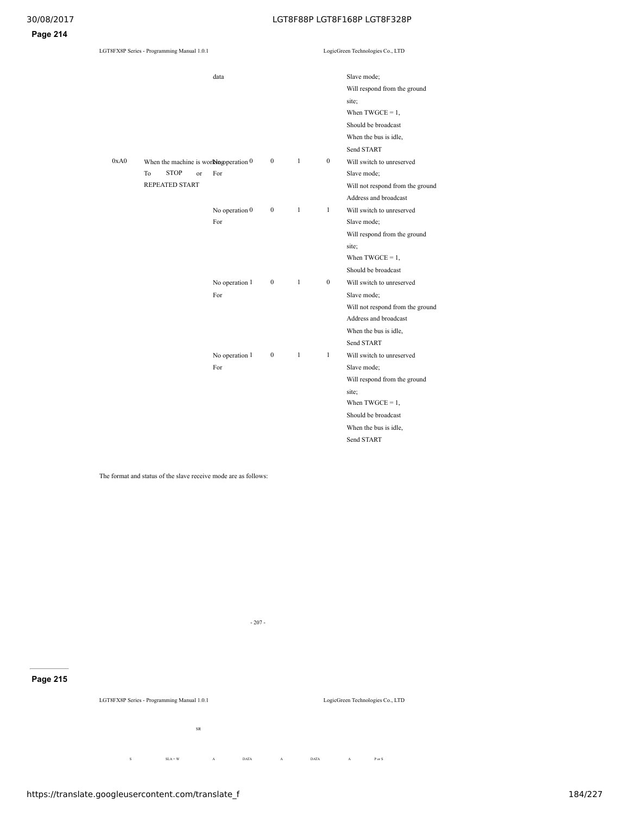| LGT8FX8P Series - Programming Manual 1.0.1 |                                                                                                        |                         | LogicGreen Technologies Co., LTD |              |                  |                                                                                                                                                                       |
|--------------------------------------------|--------------------------------------------------------------------------------------------------------|-------------------------|----------------------------------|--------------|------------------|-----------------------------------------------------------------------------------------------------------------------------------------------------------------------|
|                                            |                                                                                                        | data                    |                                  |              |                  | Slave mode;<br>Will respond from the ground<br>site;<br>When $TWGCE = 1$ ,<br>Should be broadcast<br>When the bus is idle,<br>Send START                              |
| 0xA0                                       | When the machine is wor $\mathbb{N}$ ngoperation 0<br><b>STOP</b><br>To<br>or<br><b>REPEATED START</b> | For                     | $\mathbf{0}$                     | $\mathbf{1}$ | $\mathbf{0}$     | Will switch to unreserved<br>Slave mode;<br>Will not respond from the ground<br>Address and broadcast                                                                 |
|                                            |                                                                                                        | No operation $0$<br>For | $\boldsymbol{0}$                 | $\mathbf{1}$ | $\mathbf{1}$     | Will switch to unreserved<br>Slave mode;<br>Will respond from the ground<br>site;<br>When $TWGCE = 1$ ,<br>Should be broadcast                                        |
|                                            |                                                                                                        | No operation 1<br>For   | $\boldsymbol{0}$                 | $\mathbf{1}$ | $\boldsymbol{0}$ | Will switch to unreserved<br>Slave mode;<br>Will not respond from the ground<br>Address and broadcast<br>When the bus is idle,<br>Send START                          |
|                                            |                                                                                                        | No operation 1<br>For   | $\mathbf{0}$                     | $\mathbf{1}$ | $\mathbf{1}$     | Will switch to unreserved<br>Slave mode;<br>Will respond from the ground<br>site;<br>When $TWGCE = 1$ ,<br>Should be broadcast<br>When the bus is idle,<br>Send START |

The format and status of the slave receive mode are as follows:

# **Page 215**

S SLA+W A DATA A DATA A Por S SR  $\begin{array}{ccc} \text{DATA} & \text{A} \end{array}$ 

- 207 -

LogicGreen Technologies Co., LTD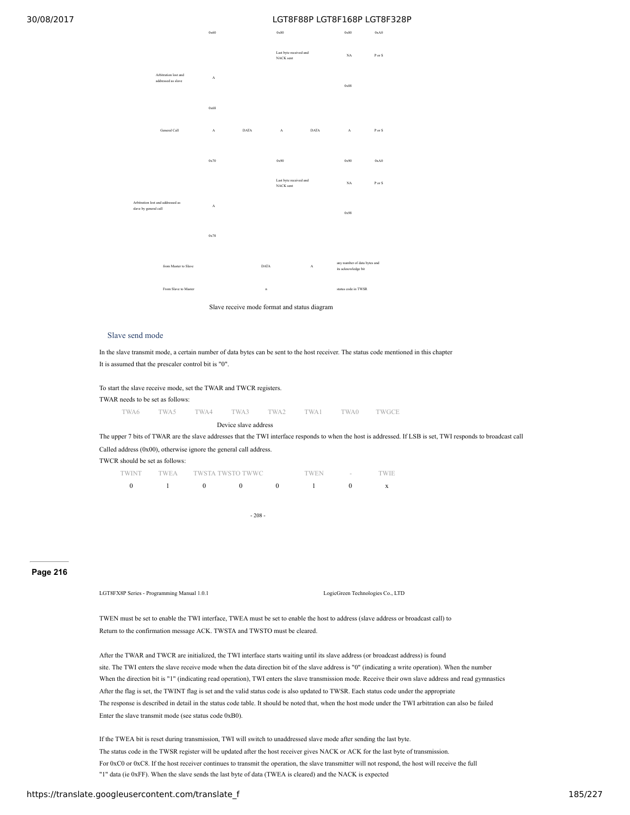0x60 0x80 0x80 0xA0



Slave receive mode format and status diagram

## Slave send mode

In the slave transmit mode, a certain number of data bytes can be sent to the host receiver. The status code mentioned in this chapter It is assumed that the prescaler control bit is "0".

To start the slave receive mode, set the TWAR and TWCR registers. TWAR needs to be set as follows: TWA6 TWA5 TWA4 TWA3 TWA2 TWA1 TWA0 TWGCE

Device slave address

The upper 7 bits of TWAR are the slave addresses that the TWI interface responds to when the host is addressed. If LSB is set, TWI responds to broadcast call Called address (0x00), otherwise ignore the general call address.

TWCR should be set as follows:

|  | TWINT TWEA TWSTA TWSTO TWWC | TWEN | the contract of the contract of | TWIE |
|--|-----------------------------|------|---------------------------------|------|
|  |                             |      |                                 |      |

- 208 -

### **Page 216**

LGT8FX8P Series - Programming Manual 1.0.1 LogicGreen Technologies Co., LTD

TWEN must be set to enable the TWI interface, TWEA must be set to enable the host to address (slave address or broadcast call) to Return to the confirmation message ACK. TWSTA and TWSTO must be cleared.

After the TWAR and TWCR are initialized, the TWI interface starts waiting until its slave address (or broadcast address) is found site. The TWI enters the slave receive mode when the data direction bit of the slave address is "0" (indicating a write operation). When the number When the direction bit is "1" (indicating read operation), TWI enters the slave transmission mode. Receive their own slave address and read gymnastics After the flag is set, the TWINT flag is set and the valid status code is also updated to TWSR. Each status code under the appropriate The response is described in detail in the status code table. It should be noted that, when the host mode under the TWI arbitration can also be failed Enter the slave transmit mode (see status code 0xB0).

If the TWEA bit is reset during transmission, TWI will switch to unaddressed slave mode after sending the last byte. The status code in the TWSR register will be updated after the host receiver gives NACK or ACK for the last byte of transmission. For 0xC0 or 0xC8. If the host receiver continues to transmit the operation, the slave transmitter will not respond, the host will receive the full "1" data (ie 0xFF). When the slave sends the last byte of data (TWEA is cleared) and the NACK is expected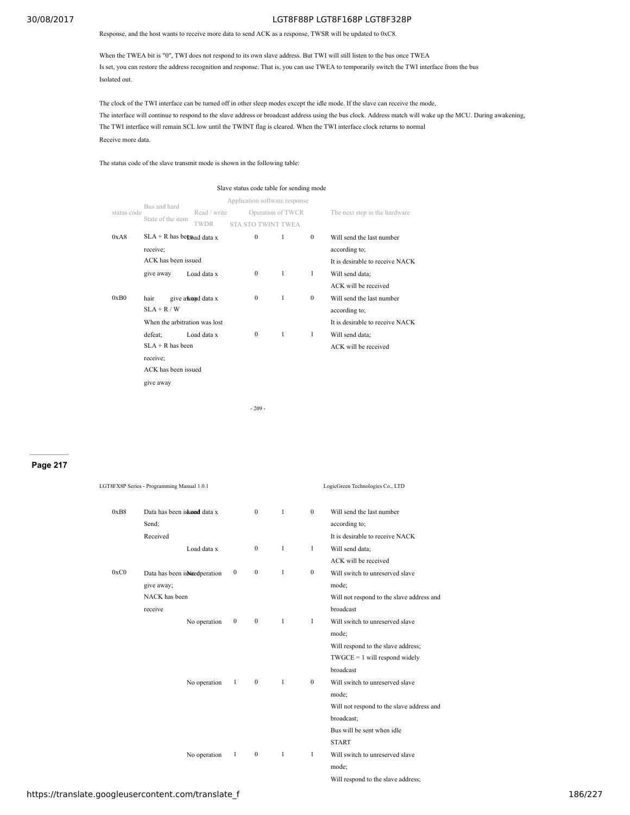### Response, and the host wants to receive more data to send ACK as a response, TWSR will be updated to 0xC8.

When the TWEA bit is "0", TWI does not respond to its own slave address. But TWI will still listen to the bus once TWEA Is set, you can restore the address recognition and response. That is, you can use TWEA to temporarily switch the TWI interface from the bus Isolated out.

The clock of the TWI interface can be turned off in other sleep modes except the idle mode. If the slave can receive the mode, The interface will continue to respond to the slave address or broadcast address using the bus clock. Address match will wake up the MCU. During awakening, The TWI interface will remain SCL low until the TWINT flag is cleared. When the TWI interface clock returns to normal Receive more data.

The status code of the slave transmit mode is shown in the following table:

|             |                               |                   | Slave status code table for sending mode |                   |              |                                 |
|-------------|-------------------------------|-------------------|------------------------------------------|-------------------|--------------|---------------------------------|
|             | Bus and hard                  |                   | Application software response            |                   |              |                                 |
| status code |                               | Read / write      |                                          | Operation of TWCR |              | The next step in the hardware   |
|             | State of the item             | <b>TWDR</b>       | STA STO TWINT TWEA                       |                   |              |                                 |
| 0xA8        | $SLA + R$ has been ad data x  |                   | $\Omega$                                 | 1                 | $\Omega$     | Will send the last number       |
|             | receive;                      |                   |                                          |                   |              | according to;                   |
|             | ACK has been issued           |                   |                                          |                   |              | It is desirable to receive NACK |
|             | Load data x<br>give away      |                   | $\Omega$                                 | -1                | 1            | Will send data;                 |
|             |                               |                   |                                          |                   |              | ACK will be received            |
| 0xB0        | hair                          | give awayd data x | $\mathbf{0}$                             | 1                 | $\mathbf{0}$ | Will send the last number       |
|             | $SLA + R / W$                 |                   |                                          |                   |              | according to;                   |
|             | When the arbitration was lost |                   |                                          |                   |              | It is desirable to receive NACK |
|             | defeat;                       | Load data x       | $\mathbf{0}$                             | $\mathbf{1}$      | 1            | Will send data;                 |
|             | $SLA + R$ has been            |                   |                                          |                   |              | ACK will be received            |
|             | receive:                      |                   |                                          |                   |              |                                 |
|             | ACK has been issued           |                   |                                          |                   |              |                                 |
|             | give away                     |                   |                                          |                   |              |                                 |
|             |                               |                   |                                          |                   |              |                                 |
|             |                               |                   | $-209-$                                  |                   |              |                                 |

# **Page 217**

|      | LGT8FX8P Series - Programming Manual 1.0.1 |              |              |              |              |                  | LogicGreen Technologies Co., LTD           |
|------|--------------------------------------------|--------------|--------------|--------------|--------------|------------------|--------------------------------------------|
| 0xB8 | Data has been is knad data x<br>Send;      |              |              | $\mathbf{0}$ | $\mathbf{1}$ | $\mathbf{0}$     | Will send the last number<br>according to; |
|      | Received                                   |              |              |              |              |                  | It is desirable to receive NACK            |
|      |                                            | Load data x  |              | $\mathbf{0}$ | $\mathbf{1}$ | 1                | Will send data;                            |
|      |                                            |              |              |              |              |                  | ACK will be received                       |
| 0xC0 | Data has been is Niced peration            |              | $\mathbf{0}$ | $\mathbf{0}$ | $\mathbf{1}$ | $\boldsymbol{0}$ | Will switch to unreserved slave            |
|      | give away;                                 |              |              |              |              |                  | mode;                                      |
|      | NACK has been                              |              |              |              |              |                  | Will not respond to the slave address and  |
|      | receive                                    |              |              |              |              |                  | broadcast                                  |
|      |                                            | No operation | $\mathbf{0}$ | $\mathbf{0}$ | $\mathbf{1}$ | 1                | Will switch to unreserved slave            |
|      |                                            |              |              |              |              |                  | mode;                                      |
|      |                                            |              |              |              |              |                  | Will respond to the slave address;         |
|      |                                            |              |              |              |              |                  | $TWGCE = 1$ will respond widely            |
|      |                                            |              |              |              |              |                  | broadcast                                  |
|      |                                            | No operation | $\mathbf{1}$ | $\mathbf{0}$ | $\mathbf{1}$ | $\bf{0}$         | Will switch to unreserved slave            |
|      |                                            |              |              |              |              |                  | mode;                                      |
|      |                                            |              |              |              |              |                  | Will not respond to the slave address and  |
|      |                                            |              |              |              |              |                  | broadcast;                                 |
|      |                                            |              |              |              |              |                  | Bus will be sent when idle                 |
|      |                                            |              |              |              |              |                  | <b>START</b>                               |
|      |                                            | No operation | 1            | $\mathbf{0}$ | 1            | 1                | Will switch to unreserved slave            |
|      |                                            |              |              |              |              |                  | mode;                                      |

Will respond to the slave address;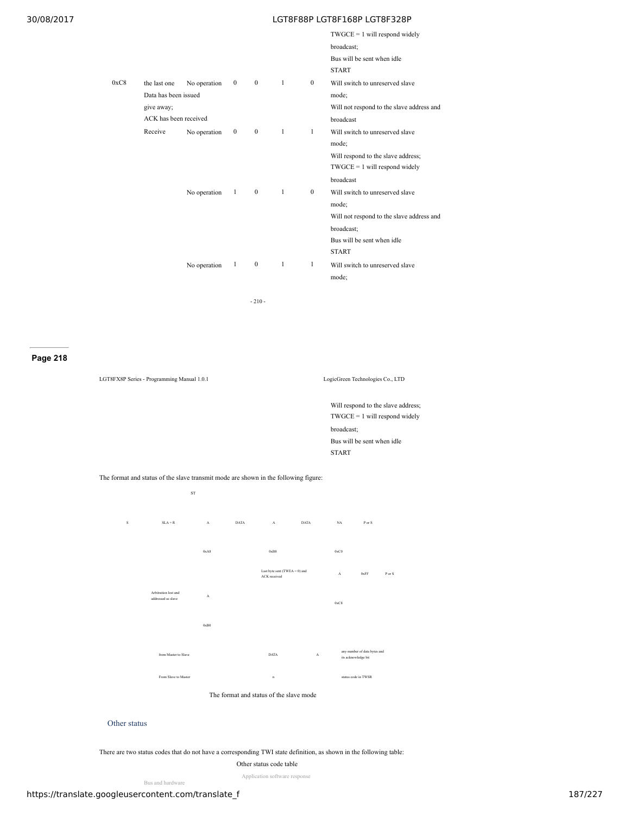|      |                       |              |              |                  |              |                  | $TWGCE = 1$ will respond widely            |
|------|-----------------------|--------------|--------------|------------------|--------------|------------------|--------------------------------------------|
|      |                       |              |              |                  |              |                  | broadcast;                                 |
|      |                       |              |              |                  |              |                  | Bus will be sent when idle<br><b>START</b> |
| 0xC8 | the last one          | No operation | $\mathbf{0}$ | $\mathbf{0}$     | $\mathbf{1}$ | $\mathbf{0}$     | Will switch to unreserved slave            |
|      | Data has been issued  |              |              |                  |              |                  | mode;                                      |
|      | give away;            |              |              |                  |              |                  | Will not respond to the slave address and  |
|      | ACK has been received |              |              |                  |              |                  | broadcast                                  |
|      | Receive               | No operation | $\mathbf{0}$ | $\mathbf{0}$     | $\mathbf{1}$ | $\mathbf{1}$     | Will switch to unreserved slave            |
|      |                       |              |              |                  |              |                  | mode;                                      |
|      |                       |              |              |                  |              |                  | Will respond to the slave address;         |
|      |                       |              |              |                  |              |                  | $TWGCE = 1$ will respond widely            |
|      |                       |              |              |                  |              |                  | broadcast                                  |
|      |                       | No operation | 1            | $\mathbf{0}$     | $\mathbf{1}$ | $\boldsymbol{0}$ | Will switch to unreserved slave            |
|      |                       |              |              |                  |              |                  | mode;                                      |
|      |                       |              |              |                  |              |                  | Will not respond to the slave address and  |
|      |                       |              |              |                  |              |                  | broadcast;                                 |
|      |                       |              |              |                  |              |                  | Bus will be sent when idle                 |
|      |                       |              |              |                  |              |                  | <b>START</b>                               |
|      |                       | No operation | $\mathbf{1}$ | $\boldsymbol{0}$ | $\mathbf{1}$ | $\mathbf{1}$     | Will switch to unreserved slave            |
|      |                       |              |              |                  |              |                  | mode;                                      |
|      |                       |              |              |                  |              |                  |                                            |
|      |                       |              |              | $-210-$          |              |                  |                                            |

**Page 218**

| LGT8FX8P Series - Programming Manual 1.0.1 | LogicGreen Technologies Co., LTD                                      |
|--------------------------------------------|-----------------------------------------------------------------------|
|                                            | Will respond to the slave address:<br>$TWGCE = 1$ will respond widely |
|                                            | المفسوم المستحققا                                                     |

broadcast; Bus will be sent when idle START

The format and status of the slave transmit mode are shown in the following figure:



## Other status

There are two status codes that do not have a corresponding TWI state definition, as shown in the following table:

Other status code table

Application software response

Bus and hardware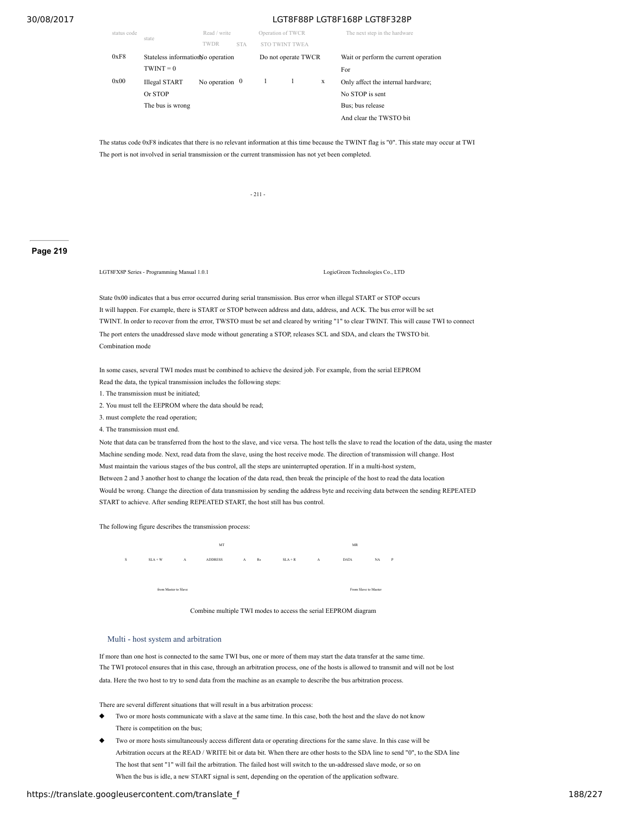| status code | state                              | Read / write          |            | Operation of TWCR |                     |   | The next step in the hardware         |
|-------------|------------------------------------|-----------------------|------------|-------------------|---------------------|---|---------------------------------------|
|             |                                    | <b>TWDR</b>           | <b>STA</b> |                   | 'WEA                |   |                                       |
| 0xF8        | Stateless information No operation |                       |            |                   | Do not operate TWCR |   | Wait or perform the current operation |
|             | $TWINT = 0$                        |                       |            |                   |                     |   | For                                   |
| 0x00        | <b>Illegal START</b>               | No operation $\theta$ |            | 1                 |                     | X | Only affect the internal hardware;    |
|             | Or STOP                            |                       |            |                   |                     |   | No STOP is sent                       |
|             | The bus is wrong                   |                       |            |                   |                     |   | Bus; bus release                      |
|             |                                    |                       |            |                   |                     |   | And clear the TWSTO bit               |

The status code 0xF8 indicates that there is no relevant information at this time because the TWINT flag is "0". This state may occur at TWI The port is not involved in serial transmission or the current transmission has not yet been completed.

- 211 -

# **Page 219**

LGT8FX8P Series - Programming Manual 1.0.1 LogicGreen Technologies Co., LTD

State 0x00 indicates that a bus error occurred during serial transmission. Bus error when illegal START or STOP occurs It will happen. For example, there is START or STOP between address and data, address, and ACK. The bus error will be set TWINT. In order to recover from the error, TWSTO must be set and cleared by writing "1" to clear TWINT. This will cause TWI to connect The port enters the unaddressed slave mode without generating a STOP, releases SCL and SDA, and clears the TWSTO bit. Combination mode

In some cases, several TWI modes must be combined to achieve the desired job. For example, from the serial EEPROM Read the data, the typical transmission includes the following steps:

- 1. The transmission must be initiated;
- 2. You must tell the EEPROM where the data should be read;
- 3. must complete the read operation;
- 4. The transmission must end.

Note that data can be transferred from the host to the slave, and vice versa. The host tells the slave to read the location of the data, using the master Machine sending mode. Next, read data from the slave, using the host receive mode. The direction of transmission will change. Host Must maintain the various stages of the bus control, all the steps are uninterrupted operation. If in a multi-host system, Between 2 and 3 another host to change the location of the data read, then break the principle of the host to read the data location Would be wrong. Change the direction of data transmission by sending the address byte and receiving data between the sending REPEATED START to achieve. After sending REPEATED START, the host still has bus control.

The following figure describes the transmission process:



Combine multiple TWI modes to access the serial EEPROM diagram

#### Multi - host system and arbitration

If more than one host is connected to the same TWI bus, one or more of them may start the data transfer at the same time. The TWI protocol ensures that in this case, through an arbitration process, one of the hosts is allowed to transmit and will not be lost data. Here the two host to try to send data from the machine as an example to describe the bus arbitration process.

There are several different situations that will result in a bus arbitration process:

- Two or more hosts communicate with a slave at the same time. In this case, both the host and the slave do not know There is competition on the bus;
- Two or more hosts simultaneously access different data or operating directions for the same slave. In this case will be Arbitration occurs at the READ / WRITE bit or data bit. When there are other hosts to the SDA line to send "0", to the SDA line The host that sent "1" will fail the arbitration. The failed host will switch to the un-addressed slave mode, or so on When the bus is idle, a new START signal is sent, depending on the operation of the application software.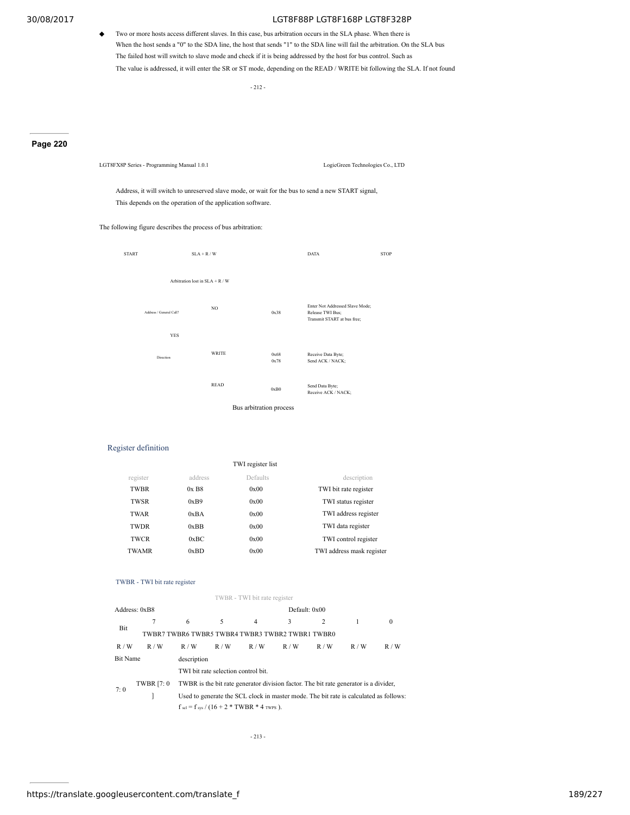◆ Two or more hosts access different slaves. In this case, bus arbitration occurs in the SLA phase. When there is When the host sends a "0" to the SDA line, the host that sends "1" to the SDA line will fail the arbitration. On the SLA bus The failed host will switch to slave mode and check if it is being addressed by the host for bus control. Such as The value is addressed, it will enter the SR or ST mode, depending on the READ / WRITE bit following the SLA. If not found

- 212 -

## **Page 220**

LGT8FX8P Series - Programming Manual 1.0.1 LogicGreen Technologies Co., LTD

Address, it will switch to unreserved slave mode, or wait for the bus to send a new START signal, This depends on the operation of the application software.

The following figure describes the process of bus arbitration:



# Register definition

| TWI register list |                     |          |                           |  |  |
|-------------------|---------------------|----------|---------------------------|--|--|
| register          | address             | Defaults | description               |  |  |
| <b>TWBR</b>       | $0x$ B <sub>8</sub> | 0x00     | TWI bit rate register     |  |  |
| <b>TWSR</b>       | 0xB9                | 0x00     | TWI status register       |  |  |
| TWAR              | 0xBA                | 0x00     | TWI address register      |  |  |
| <b>TWDR</b>       | 0xBB                | 0x00     | TWI data register         |  |  |
| <b>TWCR</b>       | 0xBC                | 0x00     | TWI control register      |  |  |
| TWAMR             | 0xBD                | 0x00     | TWI address mask register |  |  |

### TWBR - TWI bit rate register

|                                                        | TWBR - TWI bit rate register |     |                                                                                       |     |               |     |     |          |  |  |  |
|--------------------------------------------------------|------------------------------|-----|---------------------------------------------------------------------------------------|-----|---------------|-----|-----|----------|--|--|--|
|                                                        | Address: 0xB8                |     |                                                                                       |     | Default: 0x00 |     |     |          |  |  |  |
|                                                        |                              | 6   | 5                                                                                     | 4   | 3             | 2   |     | $\Omega$ |  |  |  |
| Bit<br>TWBR7 TWBR6 TWBR5 TWBR4 TWBR3 TWBR2 TWBR1 TWBR0 |                              |     |                                                                                       |     |               |     |     |          |  |  |  |
| R/W                                                    | R/W                          | R/W | R/W                                                                                   | R/W | R/W           | R/W | R/W | R/W      |  |  |  |
| <b>Bit Name</b><br>description                         |                              |     |                                                                                       |     |               |     |     |          |  |  |  |
|                                                        |                              |     | TWI bit rate selection control bit.                                                   |     |               |     |     |          |  |  |  |
|                                                        | <b>TWBR</b> [7: 0]           |     | TWBR is the bit rate generator division factor. The bit rate generator is a divider,  |     |               |     |     |          |  |  |  |
| 7:0                                                    |                              |     | Used to generate the SCL clock in master mode. The bit rate is calculated as follows: |     |               |     |     |          |  |  |  |
|                                                        |                              |     | $f_{\text{sel}} = f_{\text{sys}} / (16 + 2 * \text{TWBR} * 4 \text{ twps}).$          |     |               |     |     |          |  |  |  |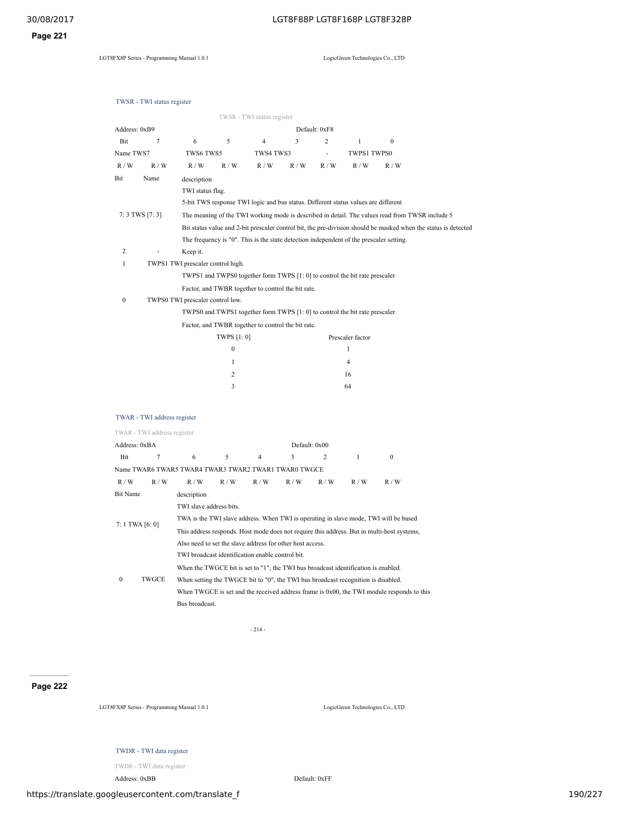**Page 221**

LGT8FX8P Series - Programming Manual 1.0.1 LogicGreen Technologies Co., LTD

|                  | TWSR - TWI status register  |                                                                                    |                                   |                            |                                                    |               |                                                                                         |                                                                                                 |                                                                                                                 |  |
|------------------|-----------------------------|------------------------------------------------------------------------------------|-----------------------------------|----------------------------|----------------------------------------------------|---------------|-----------------------------------------------------------------------------------------|-------------------------------------------------------------------------------------------------|-----------------------------------------------------------------------------------------------------------------|--|
|                  |                             |                                                                                    |                                   | TWSR - TWI status register |                                                    |               |                                                                                         |                                                                                                 |                                                                                                                 |  |
| Address: 0xB9    |                             |                                                                                    |                                   |                            |                                                    | Default: 0xF8 |                                                                                         |                                                                                                 |                                                                                                                 |  |
| Bit              | 7                           | 6                                                                                  | 5                                 | 4                          | 3                                                  | 2             | $\mathbf{1}$                                                                            | $\mathbf{0}$                                                                                    |                                                                                                                 |  |
| Name TWS7        |                             | TWS6 TWS5                                                                          |                                   | TWS4 TWS3                  |                                                    | ä,            | TWPS1 TWPS0                                                                             |                                                                                                 |                                                                                                                 |  |
| R/W              | R/W                         | R / W                                                                              | R/W                               | R/W                        | R/W                                                | R/W           | R/W                                                                                     | R/W                                                                                             |                                                                                                                 |  |
| Bit              | Name                        | description                                                                        |                                   |                            |                                                    |               |                                                                                         |                                                                                                 |                                                                                                                 |  |
|                  |                             | TWI status flag.                                                                   |                                   |                            |                                                    |               |                                                                                         |                                                                                                 |                                                                                                                 |  |
|                  |                             |                                                                                    |                                   |                            |                                                    |               | 5-bit TWS response TWI logic and bus status. Different status values are different      |                                                                                                 |                                                                                                                 |  |
|                  | $7:3$ TWS [7: 3]            |                                                                                    |                                   |                            |                                                    |               |                                                                                         | The meaning of the TWI working mode is described in detail. The values read from TWSR include 5 |                                                                                                                 |  |
|                  |                             |                                                                                    |                                   |                            |                                                    |               |                                                                                         |                                                                                                 | Bit status value and 2-bit prescaler control bit, the pre-division should be masked when the status is detected |  |
|                  |                             |                                                                                    |                                   |                            |                                                    |               | The frequency is "0". This is the state detection independent of the prescaler setting. |                                                                                                 |                                                                                                                 |  |
| 2                |                             | Keep it.                                                                           | TWPS1 TWI prescaler control high. |                            |                                                    |               |                                                                                         |                                                                                                 |                                                                                                                 |  |
| $\mathbf{1}$     |                             |                                                                                    |                                   |                            |                                                    |               |                                                                                         |                                                                                                 |                                                                                                                 |  |
|                  |                             |                                                                                    |                                   |                            |                                                    |               | TWPS1 and TWPS0 together form TWPS [1: 0] to control the bit rate prescaler             |                                                                                                 |                                                                                                                 |  |
| $\boldsymbol{0}$ |                             |                                                                                    |                                   |                            | Factor, and TWBR together to control the bit rate. |               |                                                                                         |                                                                                                 |                                                                                                                 |  |
|                  |                             | TWPS0 TWI prescaler control low.                                                   |                                   |                            |                                                    |               | TWPS0 and TWPS1 together form TWPS [1: 0] to control the bit rate prescaler             |                                                                                                 |                                                                                                                 |  |
|                  |                             |                                                                                    |                                   |                            | Factor, and TWBR together to control the bit rate. |               |                                                                                         |                                                                                                 |                                                                                                                 |  |
|                  |                             |                                                                                    | TWPS [1: 0]                       |                            |                                                    |               | Prescaler factor                                                                        |                                                                                                 |                                                                                                                 |  |
|                  |                             |                                                                                    | $\boldsymbol{0}$                  |                            |                                                    |               | $\mathbf{1}$                                                                            |                                                                                                 |                                                                                                                 |  |
|                  |                             |                                                                                    | $\mathbf{1}$                      |                            |                                                    |               | 4                                                                                       |                                                                                                 |                                                                                                                 |  |
|                  |                             |                                                                                    | 2                                 |                            |                                                    |               | 16                                                                                      |                                                                                                 |                                                                                                                 |  |
|                  |                             |                                                                                    | 3                                 |                            |                                                    |               | 64                                                                                      |                                                                                                 |                                                                                                                 |  |
|                  |                             |                                                                                    |                                   |                            |                                                    |               |                                                                                         |                                                                                                 |                                                                                                                 |  |
|                  |                             |                                                                                    |                                   |                            |                                                    |               |                                                                                         |                                                                                                 |                                                                                                                 |  |
|                  | TWAR - TWI address register |                                                                                    |                                   |                            |                                                    |               |                                                                                         |                                                                                                 |                                                                                                                 |  |
|                  | TWAR - TWI address register |                                                                                    |                                   |                            |                                                    |               |                                                                                         |                                                                                                 |                                                                                                                 |  |
| Address: 0xBA    |                             |                                                                                    |                                   |                            |                                                    | Default: 0x00 |                                                                                         |                                                                                                 |                                                                                                                 |  |
| Bit              | 7                           | 6                                                                                  | 5                                 | $\overline{4}$             | 3                                                  | 2             | $\mathbf{1}$                                                                            | $\boldsymbol{0}$                                                                                |                                                                                                                 |  |
|                  |                             | Name TWAR6 TWAR5 TWAR4 TWAR3 TWAR2 TWAR1 TWAR0 TWGCE                               |                                   |                            |                                                    |               |                                                                                         |                                                                                                 |                                                                                                                 |  |
| R / W            | R/W                         | R / W                                                                              | R / W                             | R/W                        | R/W                                                | R/W           | R/W                                                                                     | R/W                                                                                             |                                                                                                                 |  |
| <b>Bit Name</b>  |                             | description                                                                        |                                   |                            |                                                    |               |                                                                                         |                                                                                                 |                                                                                                                 |  |
|                  |                             | TWI slave address bits.                                                            |                                   |                            |                                                    |               |                                                                                         |                                                                                                 |                                                                                                                 |  |
| 7: 1 TWA [6: 0]  |                             |                                                                                    |                                   |                            |                                                    |               |                                                                                         | TWA is the TWI slave address. When TWI is operating in slave mode, TWI will be based            |                                                                                                                 |  |
|                  |                             |                                                                                    |                                   |                            |                                                    |               |                                                                                         | This address responds. Host mode does not require this address. But in multi-host systems,      |                                                                                                                 |  |
|                  |                             | Also need to set the slave address for other host access.                          |                                   |                            |                                                    |               |                                                                                         |                                                                                                 |                                                                                                                 |  |
|                  |                             | TWI broadcast identification enable control bit.                                   |                                   |                            |                                                    |               |                                                                                         |                                                                                                 |                                                                                                                 |  |
|                  |                             | When the TWGCE bit is set to "1", the TWI bus broadcast identification is enabled. |                                   |                            |                                                    |               |                                                                                         |                                                                                                 |                                                                                                                 |  |
| 0                | TWGCE                       | When setting the TWGCE bit to "0", the TWI bus broadcast recognition is disabled.  |                                   |                            |                                                    |               |                                                                                         |                                                                                                 |                                                                                                                 |  |
|                  |                             |                                                                                    |                                   |                            |                                                    |               |                                                                                         | When TWGCE is set and the received address frame is 0x00, the TWI module responds to this       |                                                                                                                 |  |
|                  |                             | Bus broadcast.                                                                     |                                   |                            |                                                    |               |                                                                                         |                                                                                                 |                                                                                                                 |  |
|                  |                             |                                                                                    |                                   |                            |                                                    |               |                                                                                         |                                                                                                 |                                                                                                                 |  |
|                  |                             |                                                                                    |                                   | $-214-$                    |                                                    |               |                                                                                         |                                                                                                 |                                                                                                                 |  |
|                  |                             |                                                                                    |                                   |                            |                                                    |               |                                                                                         |                                                                                                 |                                                                                                                 |  |

# **Page 222**

LGT8FX8P Series - Programming Manual 1.0.1 LogicGreen Technologies Co., LTD

# TWDR - TWI data register

TWDR - TWI data register

Address: 0xBB Default: 0xFF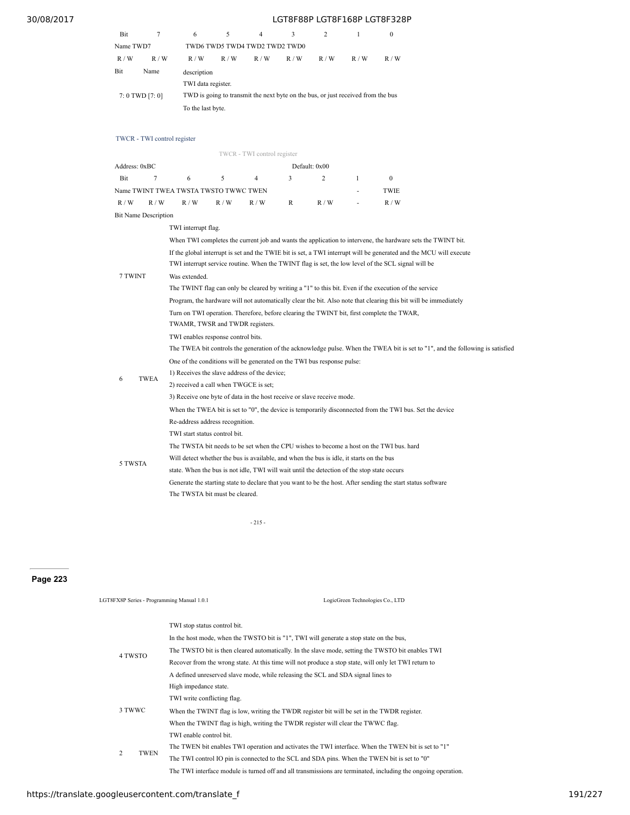| Bit             |      | 6                                                                                |     |                               |     |     |     |     |  |
|-----------------|------|----------------------------------------------------------------------------------|-----|-------------------------------|-----|-----|-----|-----|--|
| Name TWD7       |      |                                                                                  |     | TWD6 TWD5 TWD4 TWD2 TWD2 TWD0 |     |     |     |     |  |
| R/W             | R/W  | R/W                                                                              | R/W | R/W                           | R/W | R/W | R/W | R/W |  |
| Bit             | Name | description                                                                      |     |                               |     |     |     |     |  |
|                 |      | TWI data register.                                                               |     |                               |     |     |     |     |  |
| 7: 0 TWD [7: 0] |      | TWD is going to transmit the next byte on the bus, or just received from the bus |     |                               |     |     |     |     |  |
|                 |      | To the last byte.                                                                |     |                               |     |     |     |     |  |

### TWCR - TWI control register

|                             |             |                                                                                                                                                                                                                          |                                                                                                                              | TWCR - TWI control register |              |                                                                                             |                                                                                                                  |                                                                                                              |  |  |  |
|-----------------------------|-------------|--------------------------------------------------------------------------------------------------------------------------------------------------------------------------------------------------------------------------|------------------------------------------------------------------------------------------------------------------------------|-----------------------------|--------------|---------------------------------------------------------------------------------------------|------------------------------------------------------------------------------------------------------------------|--------------------------------------------------------------------------------------------------------------|--|--|--|
| Address: 0xBC               |             |                                                                                                                                                                                                                          |                                                                                                                              |                             |              | Default: 0x00                                                                               |                                                                                                                  |                                                                                                              |  |  |  |
| Bit                         | 7           | 6                                                                                                                                                                                                                        | 5                                                                                                                            | 4                           | 3            | $\overline{c}$                                                                              | $\mathbf{1}$                                                                                                     | $\boldsymbol{0}$                                                                                             |  |  |  |
|                             |             | Name TWINT TWEA TWSTA TWSTO TWWC TWEN                                                                                                                                                                                    |                                                                                                                              |                             |              |                                                                                             |                                                                                                                  | TWIE                                                                                                         |  |  |  |
| R/W                         | R/W         | R/W                                                                                                                                                                                                                      | R/W                                                                                                                          | R/W                         | $\mathbb{R}$ | R/W                                                                                         |                                                                                                                  | R/W                                                                                                          |  |  |  |
| <b>Bit Name Description</b> |             |                                                                                                                                                                                                                          |                                                                                                                              |                             |              |                                                                                             |                                                                                                                  |                                                                                                              |  |  |  |
|                             |             | TWI interrupt flag.                                                                                                                                                                                                      |                                                                                                                              |                             |              |                                                                                             |                                                                                                                  |                                                                                                              |  |  |  |
|                             |             |                                                                                                                                                                                                                          | When TWI completes the current job and wants the application to intervene, the hardware sets the TWINT bit.                  |                             |              |                                                                                             |                                                                                                                  |                                                                                                              |  |  |  |
| 7 TWINT                     |             | If the global interrupt is set and the TWIE bit is set, a TWI interrupt will be generated and the MCU will execute<br>TWI interrupt service routine. When the TWINT flag is set, the low level of the SCL signal will be |                                                                                                                              |                             |              |                                                                                             |                                                                                                                  |                                                                                                              |  |  |  |
|                             |             | Was extended.<br>The TWINT flag can only be cleared by writing a "1" to this bit. Even if the execution of the service                                                                                                   |                                                                                                                              |                             |              |                                                                                             |                                                                                                                  |                                                                                                              |  |  |  |
|                             |             |                                                                                                                                                                                                                          |                                                                                                                              |                             |              |                                                                                             | Program, the hardware will not automatically clear the bit. Also note that clearing this bit will be immediately |                                                                                                              |  |  |  |
|                             |             |                                                                                                                                                                                                                          | Turn on TWI operation. Therefore, before clearing the TWINT bit, first complete the TWAR,<br>TWAMR, TWSR and TWDR registers. |                             |              |                                                                                             |                                                                                                                  |                                                                                                              |  |  |  |
|                             |             | TWI enables response control bits.                                                                                                                                                                                       |                                                                                                                              |                             |              |                                                                                             |                                                                                                                  |                                                                                                              |  |  |  |
|                             |             | The TWEA bit controls the generation of the acknowledge pulse. When the TWEA bit is set to "1", and the following is satisfied                                                                                           |                                                                                                                              |                             |              |                                                                                             |                                                                                                                  |                                                                                                              |  |  |  |
|                             |             |                                                                                                                                                                                                                          | One of the conditions will be generated on the TWI bus response pulse:                                                       |                             |              |                                                                                             |                                                                                                                  |                                                                                                              |  |  |  |
| 6                           | <b>TWEA</b> |                                                                                                                                                                                                                          | 1) Receives the slave address of the device;                                                                                 |                             |              |                                                                                             |                                                                                                                  |                                                                                                              |  |  |  |
|                             |             | 2) received a call when TWGCE is set;                                                                                                                                                                                    |                                                                                                                              |                             |              |                                                                                             |                                                                                                                  |                                                                                                              |  |  |  |
|                             |             |                                                                                                                                                                                                                          |                                                                                                                              |                             |              | 3) Receive one byte of data in the host receive or slave receive mode.                      |                                                                                                                  |                                                                                                              |  |  |  |
|                             |             |                                                                                                                                                                                                                          | When the TWEA bit is set to "0", the device is temporarily disconnected from the TWI bus. Set the device                     |                             |              |                                                                                             |                                                                                                                  |                                                                                                              |  |  |  |
|                             |             | Re-address address recognition.                                                                                                                                                                                          |                                                                                                                              |                             |              |                                                                                             |                                                                                                                  |                                                                                                              |  |  |  |
|                             |             | TWI start status control bit.                                                                                                                                                                                            |                                                                                                                              |                             |              |                                                                                             |                                                                                                                  |                                                                                                              |  |  |  |
|                             |             |                                                                                                                                                                                                                          |                                                                                                                              |                             |              |                                                                                             |                                                                                                                  | The TWSTA bit needs to be set when the CPU wishes to become a host on the TWI bus. hard                      |  |  |  |
| 5 TWSTA                     |             |                                                                                                                                                                                                                          |                                                                                                                              |                             |              | Will detect whether the bus is available, and when the bus is idle, it starts on the bus    |                                                                                                                  |                                                                                                              |  |  |  |
|                             |             |                                                                                                                                                                                                                          |                                                                                                                              |                             |              | state. When the bus is not idle, TWI will wait until the detection of the stop state occurs |                                                                                                                  |                                                                                                              |  |  |  |
|                             |             |                                                                                                                                                                                                                          |                                                                                                                              |                             |              |                                                                                             |                                                                                                                  | Generate the starting state to declare that you want to be the host. After sending the start status software |  |  |  |
|                             |             | The TWSTA bit must be cleared.                                                                                                                                                                                           |                                                                                                                              |                             |              |                                                                                             |                                                                                                                  |                                                                                                              |  |  |  |

- 215 -

**Page 223**

| LGT8FX8P Series - Programming Manual 1.0.1 | LogicGreen Technologies Co., LTD                                                                              |  |  |  |  |  |
|--------------------------------------------|---------------------------------------------------------------------------------------------------------------|--|--|--|--|--|
|                                            | TWI stop status control bit.                                                                                  |  |  |  |  |  |
|                                            | In the host mode, when the TWSTO bit is "1", TWI will generate a stop state on the bus,                       |  |  |  |  |  |
| 4 TWSTO                                    | The TWSTO bit is then cleared automatically. In the slave mode, setting the TWSTO bit enables TWI             |  |  |  |  |  |
|                                            | Recover from the wrong state. At this time will not produce a stop state, will only let TWI return to         |  |  |  |  |  |
|                                            | A defined unreserved slave mode, while releasing the SCL and SDA signal lines to                              |  |  |  |  |  |
|                                            | High impedance state.                                                                                         |  |  |  |  |  |
|                                            | TWI write conflicting flag.                                                                                   |  |  |  |  |  |
| 3 TWWC                                     | When the TWINT flag is low, writing the TWDR register bit will be set in the TWDR register.                   |  |  |  |  |  |
|                                            | When the TWINT flag is high, writing the TWDR register will clear the TWWC flag.                              |  |  |  |  |  |
|                                            | TWI enable control bit.                                                                                       |  |  |  |  |  |
|                                            | The TWEN bit enables TWI operation and activates the TWI interface. When the TWEN bit is set to "1"           |  |  |  |  |  |
| 2<br><b>TWEN</b>                           | The TWI control IO pin is connected to the SCL and SDA pins. When the TWEN bit is set to "0"                  |  |  |  |  |  |
|                                            | The TWI interface module is turned off and all transmissions are terminated, including the ongoing operation. |  |  |  |  |  |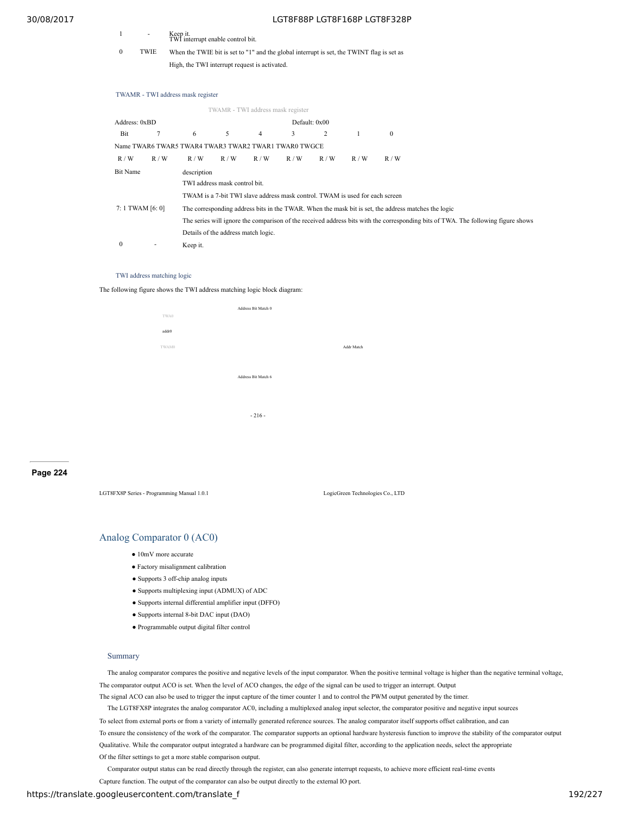- 1 Keep it. TWI interrupt enable control bit.
- 0 TWIE When the TWIE bit is set to "1" and the global interrupt is set, the TWINT flag is set as High, the TWI interrupt request is activated.

#### TWAMR - TWI address mask register

|                  |        |                                                      | TWAMR - TWI address mask register   |                |                                                                              |               |     |                                                                                                     |  |                                                                                                                                   |  |
|------------------|--------|------------------------------------------------------|-------------------------------------|----------------|------------------------------------------------------------------------------|---------------|-----|-----------------------------------------------------------------------------------------------------|--|-----------------------------------------------------------------------------------------------------------------------------------|--|
| Address: 0xBD    |        |                                                      |                                     |                |                                                                              | Default: 0x00 |     |                                                                                                     |  |                                                                                                                                   |  |
| Bit              | $\tau$ | 6                                                    | 5                                   | $\overline{4}$ | 3                                                                            | 2             | -1  | $\mathbf{0}$                                                                                        |  |                                                                                                                                   |  |
|                  |        | Name TWAR6 TWAR5 TWAR4 TWAR3 TWAR2 TWAR1 TWAR0 TWGCE |                                     |                |                                                                              |               |     |                                                                                                     |  |                                                                                                                                   |  |
| R/W              | R/W    | R/W                                                  | R/W                                 | R/W            | R/W                                                                          | R/W           | R/W | R/W                                                                                                 |  |                                                                                                                                   |  |
| Bit Name         |        |                                                      | description                         |                |                                                                              |               |     |                                                                                                     |  |                                                                                                                                   |  |
|                  |        |                                                      | TWI address mask control bit.       |                |                                                                              |               |     |                                                                                                     |  |                                                                                                                                   |  |
|                  |        |                                                      |                                     |                | TWAM is a 7-bit TWI slave address mask control. TWAM is used for each screen |               |     |                                                                                                     |  |                                                                                                                                   |  |
| 7: 1 TWAM [6: 0] |        |                                                      |                                     |                |                                                                              |               |     | The corresponding address bits in the TWAR. When the mask bit is set, the address matches the logic |  |                                                                                                                                   |  |
|                  |        |                                                      |                                     |                |                                                                              |               |     |                                                                                                     |  | The series will ignore the comparison of the received address bits with the corresponding bits of TWA. The following figure shows |  |
|                  |        |                                                      | Details of the address match logic. |                |                                                                              |               |     |                                                                                                     |  |                                                                                                                                   |  |
| $\Omega$         | ٠      | Keep it.                                             |                                     |                |                                                                              |               |     |                                                                                                     |  |                                                                                                                                   |  |

#### TWI address matching logic

The following figure shows the TWI address matching logic block diagram:

| TWA0  | Address Bit Match 0 |            |
|-------|---------------------|------------|
| addr0 |                     |            |
|       |                     |            |
| TWAM0 |                     | Addr Match |
|       |                     |            |
|       | Address Bit Match 6 |            |
|       |                     |            |
|       | $-216-$             |            |
|       |                     |            |
|       |                     |            |

**Page 224**

LGT8FX8P Series - Programming Manual 1.0.1

| LogicGreen Technologies Co., LTD |  |
|----------------------------------|--|

# Analog Comparator 0 (AC0)

- 10mV more accurate
- Factory misalignment calibration
- Supports 3 off-chip analog inputs
- $\bullet$  Supports multiplexing input (ADMUX) of ADC
- Supports internal differential amplifier input (DFFO)
- Supports internal 8-bit DAC input (DAO)
- Programmable output digital filter control

#### Summary

The analog comparator compares the positive and negative levels of the input comparator. When the positive terminal voltage is higher than the negative terminal voltage, The comparator output ACO is set. When the level of ACO changes, the edge of the signal can be used to trigger an interrupt. Output

The signal ACO can also be used to trigger the input capture of the timer counter 1 and to control the PWM output generated by the timer.

The LGT8FX8P integrates the analog comparator AC0, including a multiplexed analog input selector, the comparator positive and negative input sources

To select from external ports or from a variety of internally generated reference sources. The analog comparator itself supports offset calibration, and can

To ensure the consistency of the work of the comparator. The comparator supports an optional hardware hysteresis function to improve the stability of the comparator output

Qualitative. While the comparator output integrated a hardware can be programmed digital filter, according to the application needs, select the appropriate Of the filter settings to get a more stable comparison output.

Comparator output status can be read directly through the register, can also generate interrupt requests, to achieve more efficient real-time events

Capture function. The output of the comparator can also be output directly to the external IO port.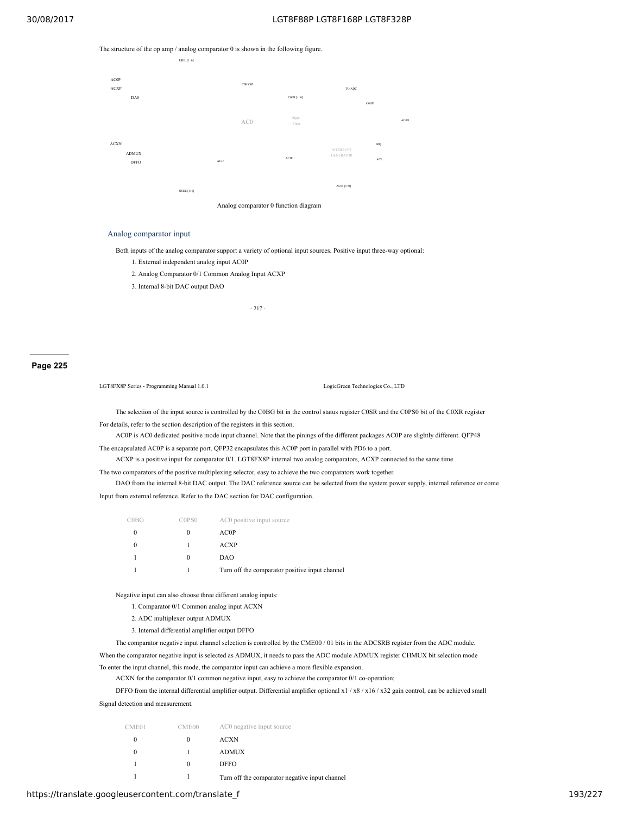The structure of the op amp / analog comparator 0 is shown in the following figure.



#### Analog comparator input

Both inputs of the analog comparator support a variety of optional input sources. Positive input three-way optional:

- 1. External independent analog input AC0P
- 2. Analog Comparator 0/1 Common Analog Input ACXP
- 3. Internal 8-bit DAC output DAO

- 217 -

**Page 225**

LGT8FX8P Series - Programming Manual 1.0.1 LogicGreen Technologies Co., LTD

The selection of the input source is controlled by the C0BG bit in the control status register C0SR and the C0PS0 bit of the C0XR register For details, refer to the section description of the registers in this section.

AC0P is AC0 dedicated positive mode input channel. Note that the pinings of the different packages AC0P are slightly different. QFP48

The encapsulated AC0P is a separate port. QFP32 encapsulates this AC0P port in parallel with PD6 to a port.

ACXP is a positive input for comparator 0/1. LGT8FX8P internal two analog comparators, ACXP connected to the same time

The two comparators of the positive multiplexing selector, easy to achieve the two comparators work together.

DAO from the internal 8-bit DAC output. The DAC reference source can be selected from the system power supply, internal reference or come Input from external reference. Refer to the DAC section for DAC configuration.

| COBG | C0PS0    | AC0 positive input source                      |
|------|----------|------------------------------------------------|
|      | $\theta$ | AC0P                                           |
|      |          | <b>ACXP</b>                                    |
|      | $\theta$ | DAO                                            |
|      |          | Turn off the comparator positive input channel |

Negative input can also choose three different analog inputs:

1. Comparator 0/1 Common analog input ACXN

2. ADC multiplexer output ADMUX

3. Internal differential amplifier output DFFO

The comparator negative input channel selection is controlled by the CME00 / 01 bits in the ADCSRB register from the ADC module.

When the comparator negative input is selected as ADMUX, it needs to pass the ADC module ADMUX register CHMUX bit selection mode To enter the input channel, this mode, the comparator input can achieve a more flexible expansion.

ACXN for the comparator 0/1 common negative input, easy to achieve the comparator 0/1 co-operation;

DFFO from the internal differential amplifier output. Differential amplifier optional x1 / x8 / x16 / x32 gain control, can be achieved small

Signal detection and measurement.

| CME <sub>01</sub> | CME00 | AC0 negative input source                      |
|-------------------|-------|------------------------------------------------|
|                   |       | <b>ACXN</b>                                    |
|                   |       | <b>ADMUX</b>                                   |
|                   |       | <b>DFFO</b>                                    |
|                   |       | Turn off the comparator negative input channel |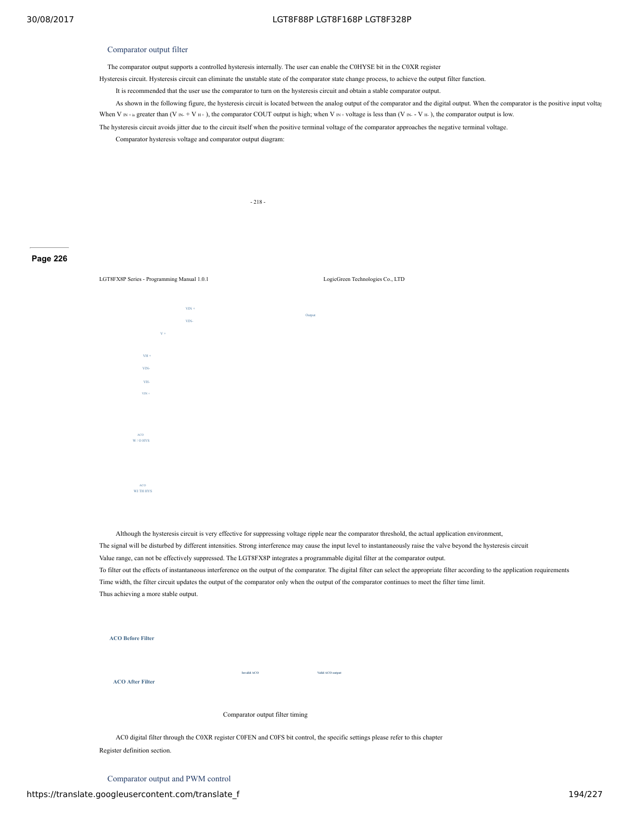### Comparator output filter

The comparator output supports a controlled hysteresis internally. The user can enable the C0HYSE bit in the C0XR register

Hysteresis circuit. Hysteresis circuit can eliminate the unstable state of the comparator state change process, to achieve the output filter function.

It is recommended that the user use the comparator to turn on the hysteresis circuit and obtain a stable comparator output.

As shown in the following figure, the hysteresis circuit is located between the analog output of the comparator and the digital output. When the comparator is the positive input voltage When V  $\text{IN} + \text{is greater than (V } \text{IN} + \text{V } \text{H} + \text{)}$ , the comparator COUT output is high; when V  $\text{IN} + \text{voltage}$  is less than (V  $\text{IN} - \text{V } \text{H}$ ), the comparator output is low.

The hysteresis circuit avoids jitter due to the circuit itself when the positive terminal voltage of the comparator approaches the negative terminal voltage.

Comparator hysteresis voltage and comparator output diagram:

- 218 -

#### **Page 226**



Although the hysteresis circuit is very effective for suppressing voltage ripple near the comparator threshold, the actual application environment, The signal will be disturbed by different intensities. Strong interference may cause the input level to instantaneously raise the valve beyond the hysteresis circuit Value range, can not be effectively suppressed. The LGT8FX8P integrates a programmable digital filter at the comparator output. To filter out the effects of instantaneous interference on the output of the comparator. The digital filter can select the appropriate filter according to the application requirements Time width, the filter circuit updates the output of the comparator only when the output of the comparator continues to meet the filter time limit. Thus achieving a more stable output.

| <b>ACO Before Filter</b> |                                 |                  |
|--------------------------|---------------------------------|------------------|
| <b>ACO After Filter</b>  | Invalid ACO                     | Valid ACO output |
|                          | Comparator output filter timing |                  |
|                          |                                 | ٠                |

AC0 digital filter through the C0XR register C0FEN and C0FS bit control, the specific settings please refer to this chapter Register definition section.

Comparator output and PWM control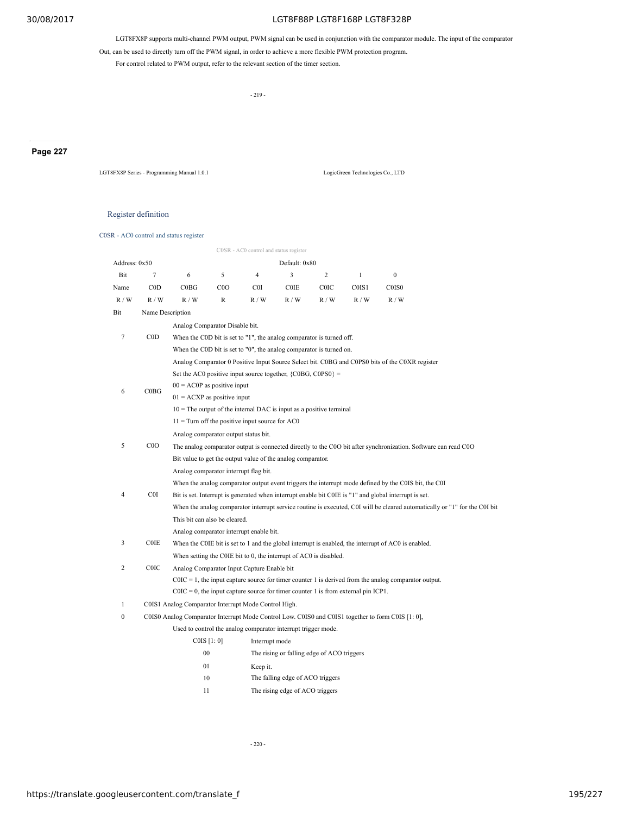LGT8FX8P supports multi-channel PWM output, PWM signal can be used in conjunction with the comparator module. The input of the comparator

Out, can be used to directly turn off the PWM signal, in order to achieve a more flexible PWM protection program.

For control related to PWM output, refer to the relevant section of the timer section.

- 219 -

# **Page 227**

LGT8FX8P Series - Programming Manual 1.0.1 LogicGreen Technologies Co., LTD

### Register definition

C0SR - AC0 control and status register

|               |                  |                                                                                                                |                                                                                                         | C0SR - AC0 control and status register                                               |                                  |                                            |              |                                                                                                       |                                                                                                                            |  |  |  |
|---------------|------------------|----------------------------------------------------------------------------------------------------------------|---------------------------------------------------------------------------------------------------------|--------------------------------------------------------------------------------------|----------------------------------|--------------------------------------------|--------------|-------------------------------------------------------------------------------------------------------|----------------------------------------------------------------------------------------------------------------------------|--|--|--|
| Address: 0x50 |                  |                                                                                                                |                                                                                                         |                                                                                      | Default: 0x80                    |                                            |              |                                                                                                       |                                                                                                                            |  |  |  |
| Bit           | $\overline{7}$   | 6                                                                                                              | 5                                                                                                       | $\overline{4}$                                                                       | 3                                | $\overline{2}$                             | $\mathbf{1}$ | $\mathbf{0}$                                                                                          |                                                                                                                            |  |  |  |
| Name          | $\rm{COD}$       | COBG                                                                                                           | C <sub>0</sub> O                                                                                        | C0I                                                                                  | <b>COIE</b>                      | <b>COIC</b>                                | C0IS1        | C0IS0                                                                                                 |                                                                                                                            |  |  |  |
| R/W           | R / W            | R / W                                                                                                          | $\mathbb{R}$                                                                                            | R / W                                                                                | R / W                            | R/W                                        | R / W        | R / W                                                                                                 |                                                                                                                            |  |  |  |
| Bit           | Name Description |                                                                                                                |                                                                                                         |                                                                                      |                                  |                                            |              |                                                                                                       |                                                                                                                            |  |  |  |
|               |                  | Analog Comparator Disable bit.                                                                                 |                                                                                                         |                                                                                      |                                  |                                            |              |                                                                                                       |                                                                                                                            |  |  |  |
| $\tau$        | $\rm{COD}$       |                                                                                                                |                                                                                                         | When the C0D bit is set to "1", the analog comparator is turned off.                 |                                  |                                            |              |                                                                                                       |                                                                                                                            |  |  |  |
|               |                  |                                                                                                                |                                                                                                         | When the C0D bit is set to "0", the analog comparator is turned on.                  |                                  |                                            |              |                                                                                                       |                                                                                                                            |  |  |  |
|               |                  |                                                                                                                |                                                                                                         |                                                                                      |                                  |                                            |              | Analog Comparator 0 Positive Input Source Select bit. C0BG and C0PS0 bits of the C0XR register        |                                                                                                                            |  |  |  |
|               |                  |                                                                                                                |                                                                                                         | Set the AC0 positive input source together, $\{COBG, COPS0\} =$                      |                                  |                                            |              |                                                                                                       |                                                                                                                            |  |  |  |
| 6             | COBG             | $00 = AC0P$ as positive input                                                                                  |                                                                                                         |                                                                                      |                                  |                                            |              |                                                                                                       |                                                                                                                            |  |  |  |
|               |                  | $01 = ACXP$ as positive input                                                                                  |                                                                                                         |                                                                                      |                                  |                                            |              |                                                                                                       |                                                                                                                            |  |  |  |
|               |                  | $10$ = The output of the internal DAC is input as a positive terminal                                          |                                                                                                         |                                                                                      |                                  |                                            |              |                                                                                                       |                                                                                                                            |  |  |  |
|               |                  | $11 =$ Turn off the positive input source for AC0                                                              |                                                                                                         |                                                                                      |                                  |                                            |              |                                                                                                       |                                                                                                                            |  |  |  |
|               |                  |                                                                                                                | Analog comparator output status bit.                                                                    |                                                                                      |                                  |                                            |              |                                                                                                       |                                                                                                                            |  |  |  |
| 5             | COO              | The analog comparator output is connected directly to the COO bit after synchronization. Software can read COO |                                                                                                         |                                                                                      |                                  |                                            |              |                                                                                                       |                                                                                                                            |  |  |  |
|               |                  |                                                                                                                |                                                                                                         | Bit value to get the output value of the analog comparator.                          |                                  |                                            |              |                                                                                                       |                                                                                                                            |  |  |  |
|               |                  |                                                                                                                | Analog comparator interrupt flag bit.                                                                   |                                                                                      |                                  |                                            |              |                                                                                                       |                                                                                                                            |  |  |  |
|               |                  |                                                                                                                |                                                                                                         |                                                                                      |                                  |                                            |              | When the analog comparator output event triggers the interrupt mode defined by the COIS bit, the COI  |                                                                                                                            |  |  |  |
| 4             | C0I              |                                                                                                                |                                                                                                         |                                                                                      |                                  |                                            |              | Bit is set. Interrupt is generated when interrupt enable bit COIE is "1" and global interrupt is set. |                                                                                                                            |  |  |  |
|               |                  |                                                                                                                |                                                                                                         |                                                                                      |                                  |                                            |              |                                                                                                       | When the analog comparator interrupt service routine is executed, C0I will be cleared automatically or "1" for the C0I bit |  |  |  |
|               |                  | This bit can also be cleared.                                                                                  |                                                                                                         |                                                                                      |                                  |                                            |              |                                                                                                       |                                                                                                                            |  |  |  |
|               |                  |                                                                                                                |                                                                                                         | Analog comparator interrupt enable bit.                                              |                                  |                                            |              |                                                                                                       |                                                                                                                            |  |  |  |
| 3             | <b>COIE</b>      |                                                                                                                |                                                                                                         |                                                                                      |                                  |                                            |              | When the COIE bit is set to 1 and the global interrupt is enabled, the interrupt of ACO is enabled.   |                                                                                                                            |  |  |  |
|               |                  |                                                                                                                |                                                                                                         | When setting the COIE bit to 0, the interrupt of AC0 is disabled.                    |                                  |                                            |              |                                                                                                       |                                                                                                                            |  |  |  |
| 2             | <b>COIC</b>      | Analog Comparator Input Capture Enable bit                                                                     |                                                                                                         |                                                                                      |                                  |                                            |              |                                                                                                       |                                                                                                                            |  |  |  |
|               |                  |                                                                                                                | $COIC = 1$ , the input capture source for timer counter 1 is derived from the analog comparator output. |                                                                                      |                                  |                                            |              |                                                                                                       |                                                                                                                            |  |  |  |
|               |                  |                                                                                                                |                                                                                                         | $COIC = 0$ , the input capture source for timer counter 1 is from external pin ICP1. |                                  |                                            |              |                                                                                                       |                                                                                                                            |  |  |  |
| $\mathbf{1}$  |                  | C0IS1 Analog Comparator Interrupt Mode Control High.                                                           |                                                                                                         |                                                                                      |                                  |                                            |              |                                                                                                       |                                                                                                                            |  |  |  |
| 0             |                  |                                                                                                                |                                                                                                         |                                                                                      |                                  |                                            |              | C0IS0 Analog Comparator Interrupt Mode Control Low. C0IS0 and C0IS1 together to form C0IS [1: 0],     |                                                                                                                            |  |  |  |
|               |                  |                                                                                                                |                                                                                                         | Used to control the analog comparator interrupt trigger mode.                        |                                  |                                            |              |                                                                                                       |                                                                                                                            |  |  |  |
|               |                  |                                                                                                                | COIS [1:0]                                                                                              | Interrupt mode                                                                       |                                  |                                            |              |                                                                                                       |                                                                                                                            |  |  |  |
|               |                  |                                                                                                                | $00\,$                                                                                                  |                                                                                      |                                  | The rising or falling edge of ACO triggers |              |                                                                                                       |                                                                                                                            |  |  |  |
|               |                  |                                                                                                                | 01                                                                                                      | Keep it.                                                                             |                                  |                                            |              |                                                                                                       |                                                                                                                            |  |  |  |
|               |                  |                                                                                                                | 10                                                                                                      |                                                                                      | The falling edge of ACO triggers |                                            |              |                                                                                                       |                                                                                                                            |  |  |  |
|               |                  | 11                                                                                                             |                                                                                                         |                                                                                      | The rising edge of ACO triggers  |                                            |              |                                                                                                       |                                                                                                                            |  |  |  |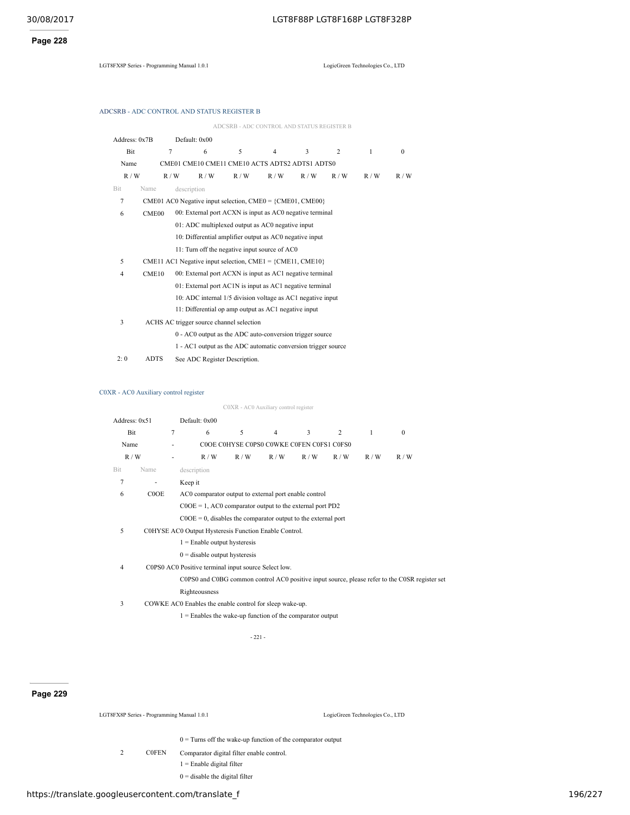**Page 228**

LGT8FX8P Series - Programming Manual 1.0.1 LogicGreen Technologies Co., LTD

|  | ADCSRB - ADC CONTROL AND STATUS REGISTER B |  |
|--|--------------------------------------------|--|
|  |                                            |  |

|                |                                                         |             |               |                                          | ADCSRB - ADC CONTROL AND STATUS REGISTER B                      |                         |     |     |          |  |
|----------------|---------------------------------------------------------|-------------|---------------|------------------------------------------|-----------------------------------------------------------------|-------------------------|-----|-----|----------|--|
| Address: 0x7B  |                                                         |             | Default: 0x00 |                                          |                                                                 |                         |     |     |          |  |
| Bit            |                                                         | 7           | 6             | 5                                        | $\overline{4}$                                                  | $\overline{\mathbf{3}}$ | 2   | 1   | $\Omega$ |  |
| Name           |                                                         |             |               |                                          | CME01 CME10 CME11 CME10 ACTS ADTS2 ADTS1 ADTS0                  |                         |     |     |          |  |
| R/W            |                                                         | R/W         | R/W           | R/W                                      | R/W                                                             | R/W                     | R/W | R/W | R/W      |  |
| Bit            | Name                                                    | description |               |                                          |                                                                 |                         |     |     |          |  |
| 7              |                                                         |             |               |                                          | $CME01$ AC0 Negative input selection, $CME0 = \{CME01, CME00\}$ |                         |     |     |          |  |
| 6              | CME <sub>00</sub>                                       |             |               |                                          | 00: External port ACXN is input as AC0 negative terminal        |                         |     |     |          |  |
|                |                                                         |             |               |                                          | 01: ADC multiplexed output as AC0 negative input                |                         |     |     |          |  |
|                | 10: Differential amplifier output as AC0 negative input |             |               |                                          |                                                                 |                         |     |     |          |  |
|                |                                                         |             |               |                                          | 11: Turn off the negative input source of AC0                   |                         |     |     |          |  |
| 5              |                                                         |             |               |                                          | CME11 AC1 Negative input selection, CME1 = $\{CME11, CME10\}$   |                         |     |     |          |  |
| $\overline{4}$ | CME <sub>10</sub>                                       |             |               |                                          | 00: External port ACXN is input as AC1 negative terminal        |                         |     |     |          |  |
|                |                                                         |             |               |                                          | 01: External port AC1N is input as AC1 negative terminal        |                         |     |     |          |  |
|                |                                                         |             |               |                                          | 10: ADC internal 1/5 division voltage as AC1 negative input     |                         |     |     |          |  |
|                |                                                         |             |               |                                          | 11: Differential op amp output as AC1 negative input            |                         |     |     |          |  |
| 3              |                                                         |             |               | ACHS AC trigger source channel selection |                                                                 |                         |     |     |          |  |
|                |                                                         |             |               |                                          | 0 - AC0 output as the ADC auto-conversion trigger source        |                         |     |     |          |  |
|                |                                                         |             |               |                                          | 1 - AC1 output as the ADC automatic conversion trigger source   |                         |     |     |          |  |
| 2:0            | <b>ADTS</b>                                             |             |               | See ADC Register Description.            |                                                                 |                         |     |     |          |  |

# C0XR - AC0 Auxiliary control register

|                                                             |                                     | Default: 0x00 |     |                                                                   |                                                      |                                                                                                                                                           |                                                                                                                                                                        |              |                                                                                                |
|-------------------------------------------------------------|-------------------------------------|---------------|-----|-------------------------------------------------------------------|------------------------------------------------------|-----------------------------------------------------------------------------------------------------------------------------------------------------------|------------------------------------------------------------------------------------------------------------------------------------------------------------------------|--------------|------------------------------------------------------------------------------------------------|
|                                                             | 7                                   | 6             | 5   | $\overline{4}$                                                    | 3                                                    | 2                                                                                                                                                         | $\mathbf{1}$                                                                                                                                                           | $\mathbf{0}$ |                                                                                                |
|                                                             |                                     |               |     |                                                                   |                                                      |                                                                                                                                                           |                                                                                                                                                                        |              |                                                                                                |
|                                                             | ٠                                   | R/W           | R/W | R/W                                                               | R / W                                                | R/W                                                                                                                                                       | R/W                                                                                                                                                                    | R/W          |                                                                                                |
| Name                                                        |                                     | description   |     |                                                                   |                                                      |                                                                                                                                                           |                                                                                                                                                                        |              |                                                                                                |
| $\overline{\phantom{a}}$                                    |                                     | Keep it       |     |                                                                   |                                                      |                                                                                                                                                           |                                                                                                                                                                        |              |                                                                                                |
| C0OE                                                        |                                     |               |     |                                                                   |                                                      |                                                                                                                                                           |                                                                                                                                                                        |              |                                                                                                |
| $COOE = 1$ , AC0 comparator output to the external port PD2 |                                     |               |     |                                                                   |                                                      |                                                                                                                                                           |                                                                                                                                                                        |              |                                                                                                |
|                                                             |                                     |               |     |                                                                   |                                                      |                                                                                                                                                           |                                                                                                                                                                        |              |                                                                                                |
|                                                             |                                     |               |     |                                                                   |                                                      |                                                                                                                                                           |                                                                                                                                                                        |              |                                                                                                |
|                                                             |                                     |               |     |                                                                   |                                                      |                                                                                                                                                           |                                                                                                                                                                        |              |                                                                                                |
|                                                             |                                     |               |     |                                                                   |                                                      |                                                                                                                                                           |                                                                                                                                                                        |              |                                                                                                |
|                                                             |                                     |               |     |                                                                   |                                                      |                                                                                                                                                           |                                                                                                                                                                        |              |                                                                                                |
|                                                             |                                     |               |     |                                                                   |                                                      |                                                                                                                                                           |                                                                                                                                                                        |              |                                                                                                |
|                                                             |                                     | Righteousness |     |                                                                   |                                                      |                                                                                                                                                           |                                                                                                                                                                        |              |                                                                                                |
|                                                             |                                     |               |     |                                                                   |                                                      |                                                                                                                                                           |                                                                                                                                                                        |              |                                                                                                |
|                                                             | Address: 0x51<br>Bit<br>Name<br>R/W |               |     | $1 =$ Enable output hysteresis<br>$0 =$ disable output hysteresis | C0PS0 AC0 Positive terminal input source Select low. | C0XR - AC0 Auxiliary control register<br>C0HYSE AC0 Output Hysteresis Function Enable Control.<br>COWKE AC0 Enables the enable control for sleep wake-up. | COOE COHYSE COPSO COWKE COFEN COFS1 COFS0<br>AC0 comparator output to external port enable control<br>$COOE = 0$ , disables the comparator output to the external port |              | COPSO and COBG common control ACO positive input source, please refer to the COSR register set |

1 = Enables the wake-up function of the comparator output

- 221 -

 $0 =$  Turns off the wake-up function of the comparator output

# **Page 229**

| LGT8FX8P Series - Programming Manual 1.0. |  |
|-------------------------------------------|--|
|-------------------------------------------|--|

LogicGreen Technologies Co., LTD

- - 2 C0FEN Comparator digital filter enable control.
		- $1 =$  Enable digital filter
		- $0 =$  disable the digital filter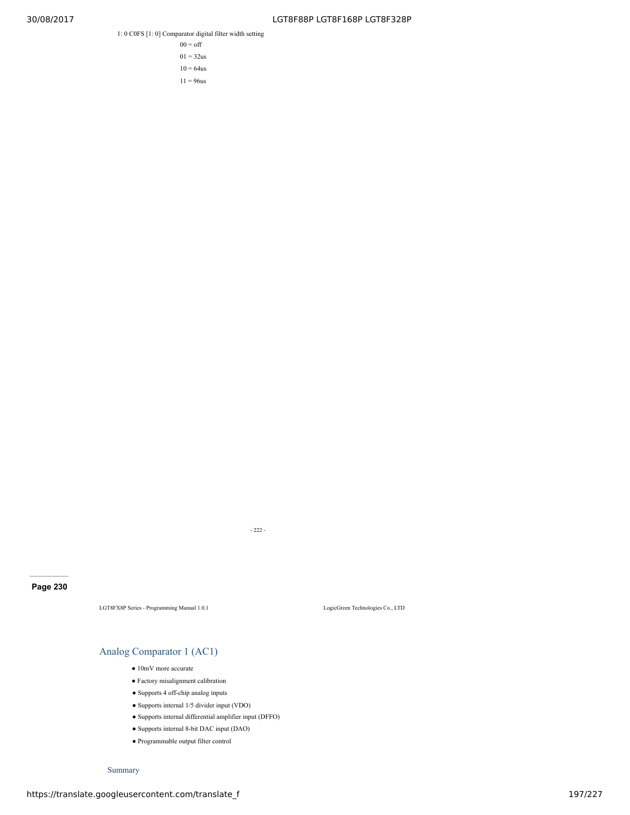1: 0 C0FS [1: 0] Comparator digital filter width setting

 $00 = \text{off}$  $01 = 32us$  $10 = 64$ us

 $11 = 96$ us

**Page 230**

LGT8FX8P Series - Programming Manual 1.0.1 LogicGreen Technologies Co., LTD

# Analog Comparator 1 (AC1)

- 10mV more accurate
- Factory misalignment calibration
- Supports 4 off-chip analog inputs
- Supports internal 1/5 divider input (VDO)
- Supports internal differential amplifier input (DFFO)

- 222 -

- Supports internal 8-bit DAC input (DAO)
- Programmable output filter control

Summary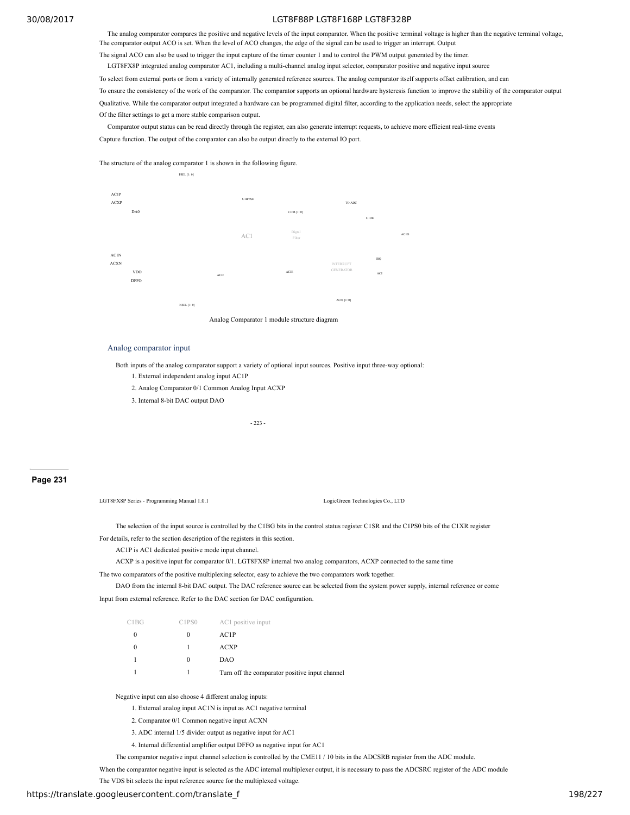The analog comparator compares the positive and negative levels of the input comparator. When the positive terminal voltage is higher than the negative terminal voltage, The comparator output ACO is set. When the level of ACO changes, the edge of the signal can be used to trigger an interrupt. Output

The signal ACO can also be used to trigger the input capture of the timer counter 1 and to control the PWM output generated by the timer.

LGT8FX8P integrated analog comparator AC1, including a multi-channel analog input selector, comparator positive and negative input source

To select from external ports or from a variety of internally generated reference sources. The analog comparator itself supports offset calibration, and can

To ensure the consistency of the work of the comparator. The comparator supports an optional hardware hysteresis function to improve the stability of the comparator output

Qualitative. While the comparator output integrated a hardware can be programmed digital filter, according to the application needs, select the appropriate Of the filter settings to get a more stable comparison output.

Comparator output status can be read directly through the register, can also generate interrupt requests, to achieve more efficient real-time events Capture function. The output of the comparator can also be output directly to the external IO port.

The structure of the analog comparator 1 is shown in the following figure.



Analog Comparator 1 module structure diagram

#### Analog comparator input

Both inputs of the analog comparator support a variety of optional input sources. Positive input three-way optional:

- 1. External independent analog input AC1P
- 2. Analog Comparator 0/1 Common Analog Input ACXP
- 3. Internal 8-bit DAC output DAO

- 223 -

# **Page 231**

LGT8FX8P Series - Programming Manual 1.0.1 LogicGreen Technologies Co., LTD

The selection of the input source is controlled by the C1BG bits in the control status register C1SR and the C1PS0 bits of the C1XR register

For details, refer to the section description of the registers in this section.

AC1P is AC1 dedicated positive mode input channel.

ACXP is a positive input for comparator 0/1. LGT8FX8P internal two analog comparators, ACXP connected to the same time

The two comparators of the positive multiplexing selector, easy to achieve the two comparators work together.

DAO from the internal 8-bit DAC output. The DAC reference source can be selected from the system power supply, internal reference or come

Input from external reference. Refer to the DAC section for DAC configuration.

| C1BG | C1PS0 | AC1 positive input                             |
|------|-------|------------------------------------------------|
|      |       | AC1P                                           |
|      |       | ACXP                                           |
|      | 0     | DAO                                            |
|      |       | Turn off the comparator positive input channel |

Negative input can also choose 4 different analog inputs:

- 1. External analog input AC1N is input as AC1 negative terminal
- 2. Comparator 0/1 Common negative input ACXN

3. ADC internal 1/5 divider output as negative input for AC1

4. Internal differential amplifier output DFFO as negative input for AC1

The comparator negative input channel selection is controlled by the CME11 / 10 bits in the ADCSRB register from the ADC module.

When the comparator negative input is selected as the ADC internal multiplexer output, it is necessary to pass the ADCSRC register of the ADC module

The VDS bit selects the input reference source for the multiplexed voltage.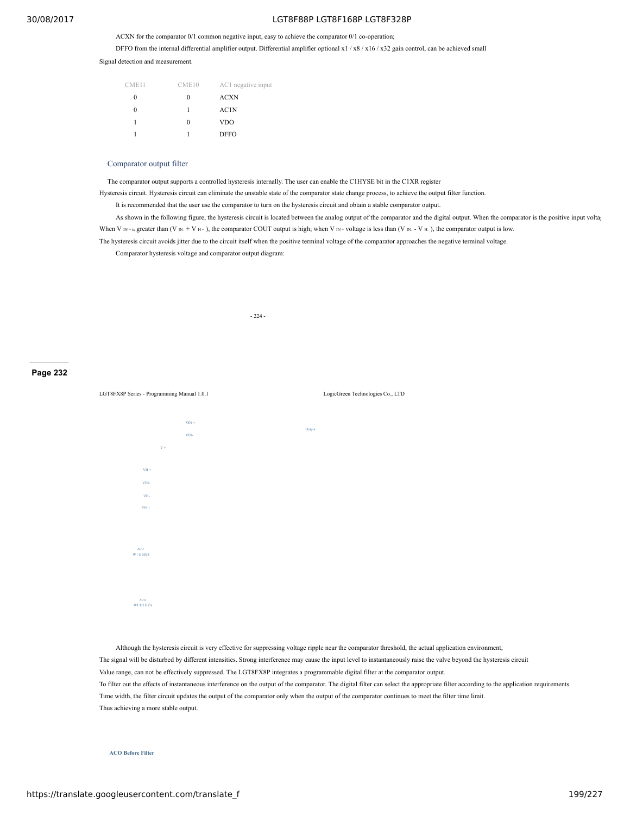ACXN for the comparator 0/1 common negative input, easy to achieve the comparator 0/1 co-operation;

DFFO from the internal differential amplifier output. Differential amplifier optional x1 / x8 / x16 / x32 gain control, can be achieved small

Signal detection and measurement.

| CME11 | CME10 | AC1 negative input |
|-------|-------|--------------------|
| 0     | 0     | <b>ACXN</b>        |
| 0     | 1     | AC1N               |
|       | 0     | VDO                |
|       |       | DFFO               |

#### Comparator output filter

The comparator output supports a controlled hysteresis internally. The user can enable the C1HYSE bit in the C1XR register

Hysteresis circuit. Hysteresis circuit can eliminate the unstable state of the comparator state change process, to achieve the output filter function.

It is recommended that the user use the comparator to turn on the hysteresis circuit and obtain a stable comparator output.

As shown in the following figure, the hysteresis circuit is located between the analog output of the comparator and the digital output. When the comparator is the positive input voltage When V  $\rm N_{H+is}$  greater than (V  $\rm N_{H} + V$  H + ), the comparator COUT output is high; when V  $\rm N_{H} + voltage$  is less than (V  $\rm N_{H} - V$  H ), the comparator output is low.

The hysteresis circuit avoids jitter due to the circuit itself when the positive terminal voltage of the comparator approaches the negative terminal voltage.

Comparator hysteresis voltage and comparator output diagram:

- 224 -

#### **Page 232**

LGT8FX8P Series - Programming Manual 1.0.1 LogicGreen Technologies Co., LTD  $VIN +$ VIN-Output  $V +$ VH + VIN-VH- $VIN +$ ACO W / O HYS ACO WI TH HYS

Although the hysteresis circuit is very effective for suppressing voltage ripple near the comparator threshold, the actual application environment, The signal will be disturbed by different intensities. Strong interference may cause the input level to instantaneously raise the valve beyond the hysteresis circuit Value range, can not be effectively suppressed. The LGT8FX8P integrates a programmable digital filter at the comparator output. To filter out the effects of instantaneous interference on the output of the comparator. The digital filter can select the appropriate filter according to the application requirements Time width, the filter circuit updates the output of the comparator only when the output of the comparator continues to meet the filter time limit. Thus achieving a more stable output.

**ACO Before Filter**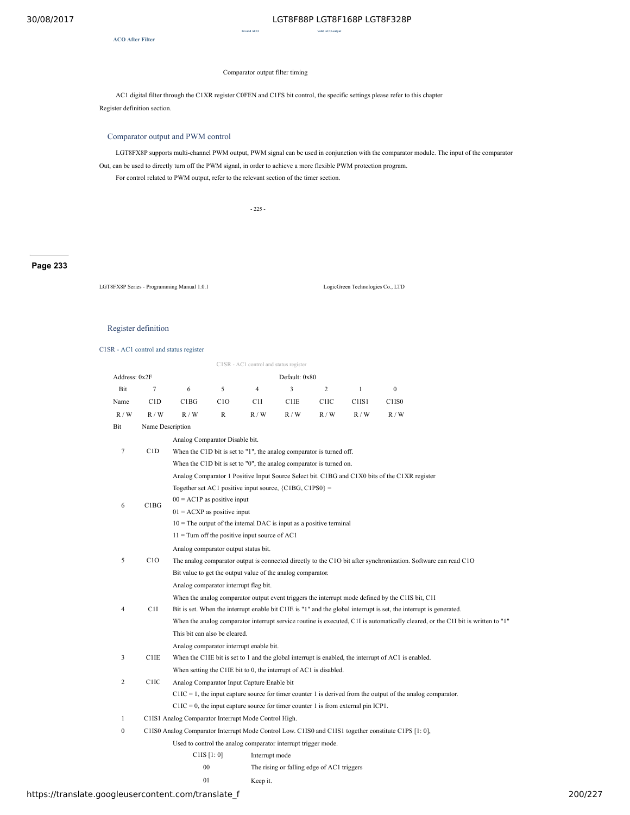**Invalid ACO Valid ACO output**

**ACO After Filter**

### Comparator output filter timing

AC1 digital filter through the C1XR register C0FEN and C1FS bit control, the specific settings please refer to this chapter Register definition section.

# Comparator output and PWM control

LGT8FX8P supports multi-channel PWM output, PWM signal can be used in conjunction with the comparator module. The input of the comparator

Out, can be used to directly turn off the PWM signal, in order to achieve a more flexible PWM protection program. For control related to PWM output, refer to the relevant section of the timer section.

- 225 -

**Page 233**

LGT8FX8P Series - Programming Manual 1.0.1 LogicGreen Technologies Co., LTD

# Register definition

C1SR - AC1 control and status register

 $C1SD = AC1$  control and s

|                  |                   |                                                                                      |                                                                                                                                                        | CT5R - ACT control and status register |                                            |                  |              |                                                                                                                                  |  |  |  |
|------------------|-------------------|--------------------------------------------------------------------------------------|--------------------------------------------------------------------------------------------------------------------------------------------------------|----------------------------------------|--------------------------------------------|------------------|--------------|----------------------------------------------------------------------------------------------------------------------------------|--|--|--|
| Address: 0x2F    |                   |                                                                                      |                                                                                                                                                        |                                        | Default: 0x80                              |                  |              |                                                                                                                                  |  |  |  |
| Bit              | $\tau$            | 6                                                                                    | 5                                                                                                                                                      | 4                                      | 3                                          | $\overline{2}$   | $\mathbf{1}$ | $\boldsymbol{0}$                                                                                                                 |  |  |  |
| Name             | C1D               | C1BG                                                                                 | C1O                                                                                                                                                    | C1I                                    | C1IE                                       | C <sub>1IC</sub> | C1IS1        | C <sub>1</sub> IS <sub>0</sub>                                                                                                   |  |  |  |
| R/W              | R/W               | R/W                                                                                  | $\mathbb{R}$                                                                                                                                           | R/W                                    | R/W                                        | R/W              | R/W          | R/W                                                                                                                              |  |  |  |
| Bit              | Name Description  |                                                                                      |                                                                                                                                                        |                                        |                                            |                  |              |                                                                                                                                  |  |  |  |
|                  |                   | Analog Comparator Disable bit.                                                       |                                                                                                                                                        |                                        |                                            |                  |              |                                                                                                                                  |  |  |  |
| 7                | C1D               | When the C1D bit is set to "1", the analog comparator is turned off.                 |                                                                                                                                                        |                                        |                                            |                  |              |                                                                                                                                  |  |  |  |
|                  |                   | When the C1D bit is set to "0", the analog comparator is turned on.                  |                                                                                                                                                        |                                        |                                            |                  |              |                                                                                                                                  |  |  |  |
|                  |                   |                                                                                      |                                                                                                                                                        |                                        |                                            |                  |              | Analog Comparator 1 Positive Input Source Select bit. C1BG and C1X0 bits of the C1XR register                                    |  |  |  |
|                  |                   | Together set AC1 positive input source, ${C1BG, C1PS0} =$                            |                                                                                                                                                        |                                        |                                            |                  |              |                                                                                                                                  |  |  |  |
| 6                | C1BG              | $00 = AC1P$ as positive input                                                        |                                                                                                                                                        |                                        |                                            |                  |              |                                                                                                                                  |  |  |  |
|                  |                   | $01 = ACXP$ as positive input                                                        |                                                                                                                                                        |                                        |                                            |                  |              |                                                                                                                                  |  |  |  |
|                  |                   | $10$ = The output of the internal DAC is input as a positive terminal                |                                                                                                                                                        |                                        |                                            |                  |              |                                                                                                                                  |  |  |  |
|                  |                   | $11 =$ Turn off the positive input source of AC1                                     |                                                                                                                                                        |                                        |                                            |                  |              |                                                                                                                                  |  |  |  |
|                  |                   |                                                                                      | Analog comparator output status bit.<br>The analog comparator output is connected directly to the C1O bit after synchronization. Software can read C1O |                                        |                                            |                  |              |                                                                                                                                  |  |  |  |
| 5                | C1O               |                                                                                      |                                                                                                                                                        |                                        |                                            |                  |              |                                                                                                                                  |  |  |  |
|                  |                   | Bit value to get the output value of the analog comparator.                          |                                                                                                                                                        |                                        |                                            |                  |              |                                                                                                                                  |  |  |  |
|                  |                   | Analog comparator interrupt flag bit.                                                |                                                                                                                                                        |                                        |                                            |                  |              |                                                                                                                                  |  |  |  |
|                  |                   |                                                                                      |                                                                                                                                                        |                                        |                                            |                  |              | When the analog comparator output event triggers the interrupt mode defined by the C1IS bit, C1I                                 |  |  |  |
| 4                | C <sub>1</sub> I  |                                                                                      |                                                                                                                                                        |                                        |                                            |                  |              | Bit is set. When the interrupt enable bit C1IE is "1" and the global interrupt is set, the interrupt is generated.               |  |  |  |
|                  |                   |                                                                                      |                                                                                                                                                        |                                        |                                            |                  |              | When the analog comparator interrupt service routine is executed, C1I is automatically cleared, or the C1I bit is written to "1" |  |  |  |
|                  |                   | This bit can also be cleared.                                                        |                                                                                                                                                        |                                        |                                            |                  |              |                                                                                                                                  |  |  |  |
|                  |                   | Analog comparator interrupt enable bit.                                              |                                                                                                                                                        |                                        |                                            |                  |              |                                                                                                                                  |  |  |  |
| 3                | C1IE              |                                                                                      |                                                                                                                                                        |                                        |                                            |                  |              | When the C1IE bit is set to 1 and the global interrupt is enabled, the interrupt of AC1 is enabled.                              |  |  |  |
| 2                | C <sub>1</sub> IC |                                                                                      | When setting the C1IE bit to 0, the interrupt of AC1 is disabled.                                                                                      |                                        |                                            |                  |              |                                                                                                                                  |  |  |  |
|                  |                   | Analog Comparator Input Capture Enable bit                                           |                                                                                                                                                        |                                        |                                            |                  |              | $C1IC = 1$ , the input capture source for timer counter 1 is derived from the output of the analog comparator.                   |  |  |  |
|                  |                   | $C1IC = 0$ , the input capture source for timer counter 1 is from external pin ICP1. |                                                                                                                                                        |                                        |                                            |                  |              |                                                                                                                                  |  |  |  |
| $\mathbf{1}$     |                   | C1IS1 Analog Comparator Interrupt Mode Control High.                                 |                                                                                                                                                        |                                        |                                            |                  |              |                                                                                                                                  |  |  |  |
| $\boldsymbol{0}$ |                   |                                                                                      |                                                                                                                                                        |                                        |                                            |                  |              | C1IS0 Analog Comparator Interrupt Mode Control Low. C1IS0 and C1IS1 together constitute C1PS [1: 0],                             |  |  |  |
|                  |                   | Used to control the analog comparator interrupt trigger mode.                        |                                                                                                                                                        |                                        |                                            |                  |              |                                                                                                                                  |  |  |  |
|                  |                   |                                                                                      | C1IS [1:0]                                                                                                                                             | Interrupt mode                         |                                            |                  |              |                                                                                                                                  |  |  |  |
|                  |                   |                                                                                      | $00\,$                                                                                                                                                 |                                        | The rising or falling edge of AC1 triggers |                  |              |                                                                                                                                  |  |  |  |
|                  |                   | 01                                                                                   |                                                                                                                                                        | Keep it.                               |                                            |                  |              |                                                                                                                                  |  |  |  |
|                  |                   |                                                                                      |                                                                                                                                                        |                                        |                                            |                  |              |                                                                                                                                  |  |  |  |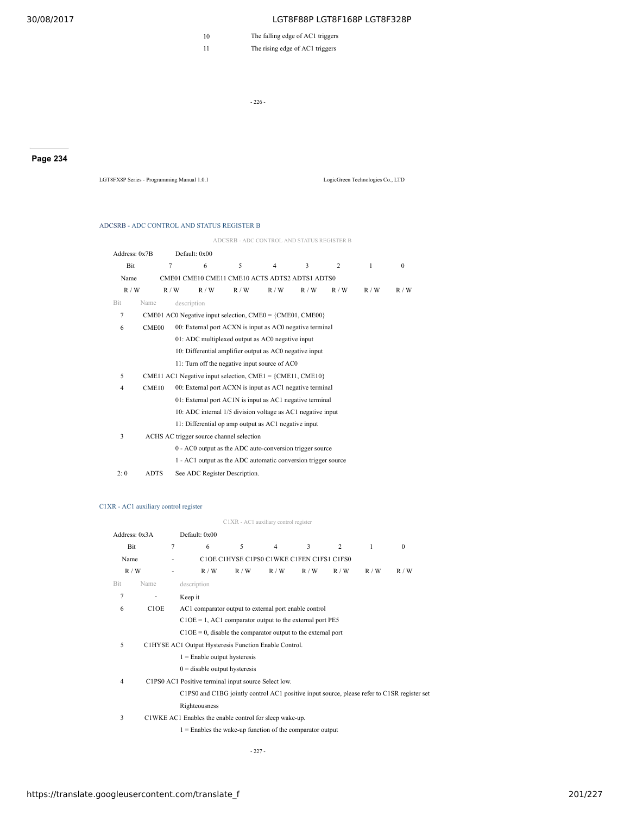10 The falling edge of AC1 triggers

11 The rising edge of AC1 triggers

- 226 -

**Page 234**

LGT8FX8P Series - Programming Manual 1.0.1 LogicGreen Technologies Co., LTD

#### ADCSRB - ADC CONTROL AND STATUS REGISTER B

ADCSRB - ADC CONTROL AND STATUS REGISTER B

| Address: 0x7B  |                   | Default: 0x00 |                                                         |                                          |                                                               |     |     |              |          |  |
|----------------|-------------------|---------------|---------------------------------------------------------|------------------------------------------|---------------------------------------------------------------|-----|-----|--------------|----------|--|
| Bit            |                   | 7             | 6                                                       | 5                                        | $\overline{4}$                                                | 3   | 2   | $\mathbf{1}$ | $\Omega$ |  |
| Name           |                   |               |                                                         |                                          | CME01 CME10 CME11 CME10 ACTS ADTS2 ADTS1 ADTS0                |     |     |              |          |  |
| R/W            |                   | R/W           | R/W                                                     | R/W                                      | R/W                                                           | R/W | R/W | R/W          | R/W      |  |
| <b>Bit</b>     | Name              | description   |                                                         |                                          |                                                               |     |     |              |          |  |
| 7              |                   |               |                                                         |                                          | CME01 AC0 Negative input selection, $CME0 = \{CME01, CME00\}$ |     |     |              |          |  |
| 6              | CME <sub>00</sub> |               |                                                         |                                          | 00: External port ACXN is input as AC0 negative terminal      |     |     |              |          |  |
|                |                   |               | 01: ADC multiplexed output as AC0 negative input        |                                          |                                                               |     |     |              |          |  |
|                |                   |               | 10: Differential amplifier output as AC0 negative input |                                          |                                                               |     |     |              |          |  |
|                |                   |               |                                                         |                                          | 11: Turn off the negative input source of AC0                 |     |     |              |          |  |
| 5              |                   |               |                                                         |                                          | CME11 AC1 Negative input selection, CME1 = $\{CME11, CME10\}$ |     |     |              |          |  |
| $\overline{4}$ | CME10             |               |                                                         |                                          | 00: External port ACXN is input as AC1 negative terminal      |     |     |              |          |  |
|                |                   |               |                                                         |                                          | 01: External port AC1N is input as AC1 negative terminal      |     |     |              |          |  |
|                |                   |               |                                                         |                                          | 10: ADC internal 1/5 division voltage as AC1 negative input   |     |     |              |          |  |
|                |                   |               |                                                         |                                          | 11: Differential op amp output as AC1 negative input          |     |     |              |          |  |
| 3              |                   |               |                                                         | ACHS AC trigger source channel selection |                                                               |     |     |              |          |  |
|                |                   |               |                                                         |                                          | 0 - AC0 output as the ADC auto-conversion trigger source      |     |     |              |          |  |
|                |                   |               |                                                         |                                          | 1 - AC1 output as the ADC automatic conversion trigger source |     |     |              |          |  |
| 2:0            | <b>ADTS</b>       |               |                                                         | See ADC Register Description.            |                                                               |     |     |              |          |  |

### C1XR - AC1 auxiliary control register

C1XR - AC1 auxiliary control register

|                | Address: 0x3A                 |                | Default: 0x00                                                                               |     |                                           |     |       |     |              |
|----------------|-------------------------------|----------------|---------------------------------------------------------------------------------------------|-----|-------------------------------------------|-----|-------|-----|--------------|
|                | Bit                           | $\overline{7}$ | 6                                                                                           | 5   | $\overline{4}$                            | 3   | 2     | 1   | $\mathbf{0}$ |
| Name           |                               |                |                                                                                             |     | C1OE C1HYSE C1PS0 C1WKE C1FEN C1FS1 C1FS0 |     |       |     |              |
|                | R/W                           |                | R/W                                                                                         | R/W | R/W                                       | R/W | R / W | R/W | R/W          |
| <b>Bit</b>     | Name                          |                | description                                                                                 |     |                                           |     |       |     |              |
| 7              |                               |                | Keep it                                                                                     |     |                                           |     |       |     |              |
| 6              | C <sub>1</sub> O <sub>E</sub> |                | AC1 comparator output to external port enable control                                       |     |                                           |     |       |     |              |
|                |                               |                | $C1OE = 1$ , AC1 comparator output to the external port PE5                                 |     |                                           |     |       |     |              |
|                |                               |                | $C1OE = 0$ , disable the comparator output to the external port                             |     |                                           |     |       |     |              |
| 5              |                               |                | C1HYSE AC1 Output Hysteresis Function Enable Control.                                       |     |                                           |     |       |     |              |
|                |                               |                | $1 =$ Enable output hysteresis                                                              |     |                                           |     |       |     |              |
|                |                               |                | $0 =$ disable output hysteresis                                                             |     |                                           |     |       |     |              |
| $\overline{4}$ |                               |                | C1PS0 AC1 Positive terminal input source Select low.                                        |     |                                           |     |       |     |              |
|                |                               |                | C1PS0 and C1BG jointly control AC1 positive input source, please refer to C1SR register set |     |                                           |     |       |     |              |
|                |                               |                | Righteousness                                                                               |     |                                           |     |       |     |              |
| 3              |                               |                | C1WKE AC1 Enables the enable control for sleep wake-up.                                     |     |                                           |     |       |     |              |
|                |                               |                | $1 =$ Enables the wake-up function of the comparator output                                 |     |                                           |     |       |     |              |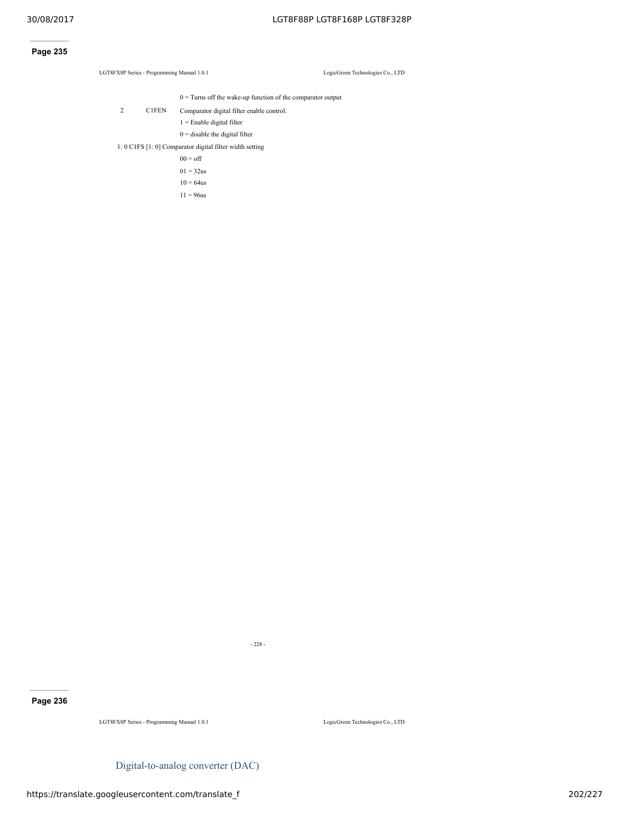# **Page 235**

LGT8FX8P Series - Programming Manual 1.0.1 LogicGreen Technologies Co., LTD

 $0 =$  Turns off the wake-up function of the comparator output

2 C1FEN Comparator digital filter enable control.

1 = Enable digital filter

 $0 =$  disable the digital filter

1: 0 C1FS [1: 0] Comparator digital filter width setting

 $00 = \text{off}$ 

 $01 = 32us$ 

 $10 = 64$ us

 $11 = 96$ us

**Page 236**

LGT8FX8P Series - Programming Manual 1.0.1 LogicGreen Technologies Co., LTD

Digital-to-analog converter (DAC)

- 228 -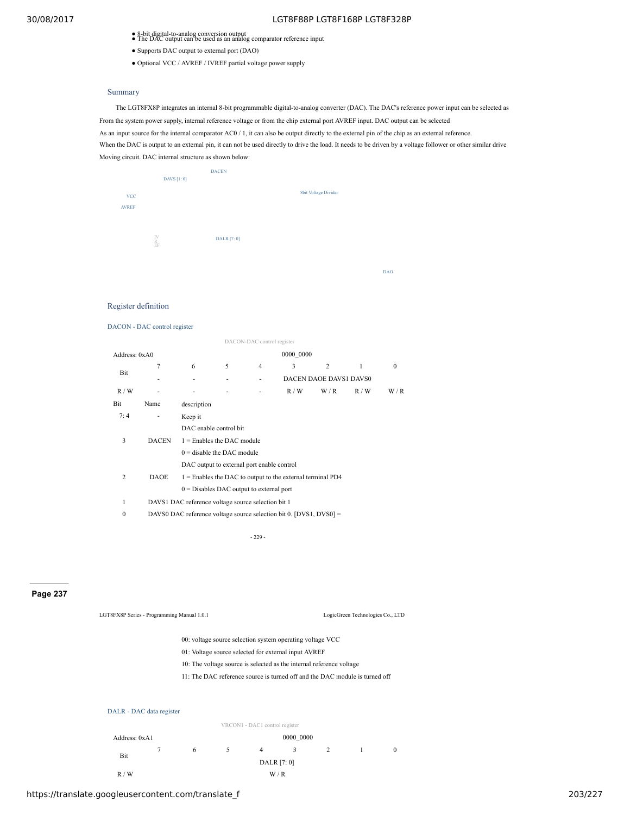- 8-bit digital-to-analog conversion output<br>● The DAC output can be used as an analog comparator reference input
- Supports DAC output to external port (DAO)
- Optional VCC / AVREF / IVREF partial voltage power supply

### Summary

The LGT8FX8P integrates an internal 8-bit programmable digital-to-analog converter (DAC). The DAC's reference power input can be selected as From the system power supply, internal reference voltage or from the chip external port AVREF input. DAC output can be selected As an input source for the internal comparator AC0 / 1, it can also be output directly to the external pin of the chip as an external reference. When the DAC is output to an external pin, it can not be used directly to drive the load. It needs to be driven by a voltage follower or other similar drive Moving circuit. DAC internal structure as shown below:

|                           | DAVS [1:0]    | <b>DACEN</b> |                      |            |
|---------------------------|---------------|--------------|----------------------|------------|
| $\ensuremath{\text{vcc}}$ |               |              | 8bit Voltage Divider |            |
| <b>AVREF</b>              |               |              |                      |            |
|                           |               |              |                      |            |
|                           | IV<br>R<br>EF | DALR [7: 0]  |                      |            |
|                           |               |              |                      |            |
|                           |               |              |                      | <b>DAO</b> |

# Register definition

#### DACON - DAC control register

|                 |                                            |                                                                    |                        | DACON-DAC control register |           |                |     |          |  |  |  |  |  |
|-----------------|--------------------------------------------|--------------------------------------------------------------------|------------------------|----------------------------|-----------|----------------|-----|----------|--|--|--|--|--|
| Address: $0xA0$ |                                            |                                                                    |                        |                            | 0000 0000 |                |     |          |  |  |  |  |  |
|                 | 7                                          | 6                                                                  | 5                      | $\overline{4}$             | 3         | $\overline{c}$ | 1   | $\Omega$ |  |  |  |  |  |
| Bit             |                                            |                                                                    | DACEN DAOE DAVS1 DAVS0 |                            |           |                |     |          |  |  |  |  |  |
| R/W             |                                            |                                                                    |                        |                            | R/W       | W/R            | R/W | W/R      |  |  |  |  |  |
| Bit             | Name                                       | description                                                        |                        |                            |           |                |     |          |  |  |  |  |  |
| 7:4             |                                            | Keep it                                                            |                        |                            |           |                |     |          |  |  |  |  |  |
|                 | <b>DACEN</b>                               | DAC enable control bit                                             |                        |                            |           |                |     |          |  |  |  |  |  |
| 3               |                                            | $1 =$ Enables the DAC module                                       |                        |                            |           |                |     |          |  |  |  |  |  |
|                 |                                            | $0 =$ disable the DAC module                                       |                        |                            |           |                |     |          |  |  |  |  |  |
|                 | DAC output to external port enable control |                                                                    |                        |                            |           |                |     |          |  |  |  |  |  |
| 2               | <b>DAOE</b>                                | $1 =$ Enables the DAC to output to the external terminal PD4       |                        |                            |           |                |     |          |  |  |  |  |  |
|                 |                                            | $0 =$ Disables DAC output to external port                         |                        |                            |           |                |     |          |  |  |  |  |  |
| 1               |                                            | DAVS1 DAC reference voltage source selection bit 1                 |                        |                            |           |                |     |          |  |  |  |  |  |
| 0               |                                            | DAVS0 DAC reference voltage source selection bit 0. [DVS1, DVS0] = |                        |                            |           |                |     |          |  |  |  |  |  |

- 229 -

# **Page 237**

| LGT8FX8P Series - Programming Manual 1.0.1 | LogicGreen Technologies Co., LTD |
|--------------------------------------------|----------------------------------|

- 00: voltage source selection system operating voltage VCC
- 01: Voltage source selected for external input AVREF
- 10: The voltage source is selected as the internal reference voltage
- 11: The DAC reference source is turned off and the DAC module is turned off



|               |        |             |  | VRCON1 - DAC1 control register |           |  |  |          |  |  |  |
|---------------|--------|-------------|--|--------------------------------|-----------|--|--|----------|--|--|--|
| Address: 0xA1 |        |             |  |                                | 0000 0000 |  |  |          |  |  |  |
| Bit           | $\tau$ | 6           |  | 4                              | 3         |  |  | $\theta$ |  |  |  |
|               |        | DALR [7: 0] |  |                                |           |  |  |          |  |  |  |
| R/W           |        |             |  |                                | W/R       |  |  |          |  |  |  |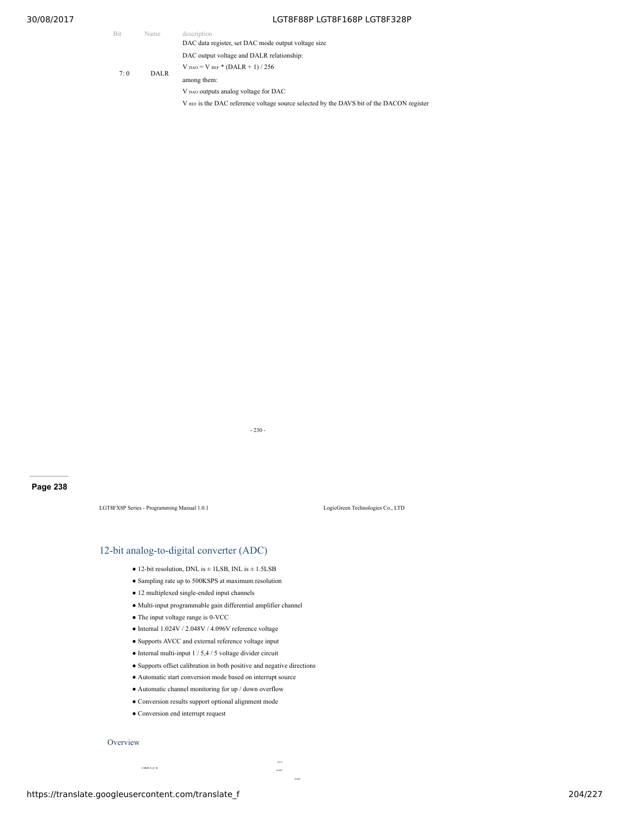| <b>Bit</b> | Name        | description                                                                              |
|------------|-------------|------------------------------------------------------------------------------------------|
|            |             | DAC data register, set DAC mode output voltage size                                      |
|            |             | DAC output voltage and DALR relationship:                                                |
| 7:0        | <b>DALR</b> | $V_{DAO} = V_{REF} * (DALR + 1) / 256$                                                   |
|            |             | among them:                                                                              |
|            |             | V DAO outputs analog voltage for DAC                                                     |
|            |             | V REF is the DAC reference voltage source selected by the DAVS bit of the DACON register |

- 230 -

# **Page 238**

LGT8FX8P Series - Programming Manual 1.0.1 LogicGreen Technologies Co., LTD

# 12-bit analog-to-digital converter (ADC)

- 12-bit resolution, DNL is  $\pm$  1LSB, INL is  $\pm$  1.5LSB
- Sampling rate up to 500KSPS at maximum resolution
- 12 multiplexed single-ended input channels
- Multi-input programmable gain differential amplifier channel
- The input voltage range is 0-VCC
- $\bullet$ Internal 1.024V / 2.048V / 4.096V reference voltage
- Supports AVCC and external reference voltage input
- $\bullet$  Internal multi-input 1 / 5,4 / 5 voltage divider circuit
- Supports offset calibration in both positive and negative directions
- Automatic start conversion mode based on interrupt source
- Automatic channel monitoring for up / down overflow
- Conversion results support optional alignment mode
- Conversion end interrupt request

#### **Overview**

CHMUX [4: 0]

AVREF AVCC

IVREF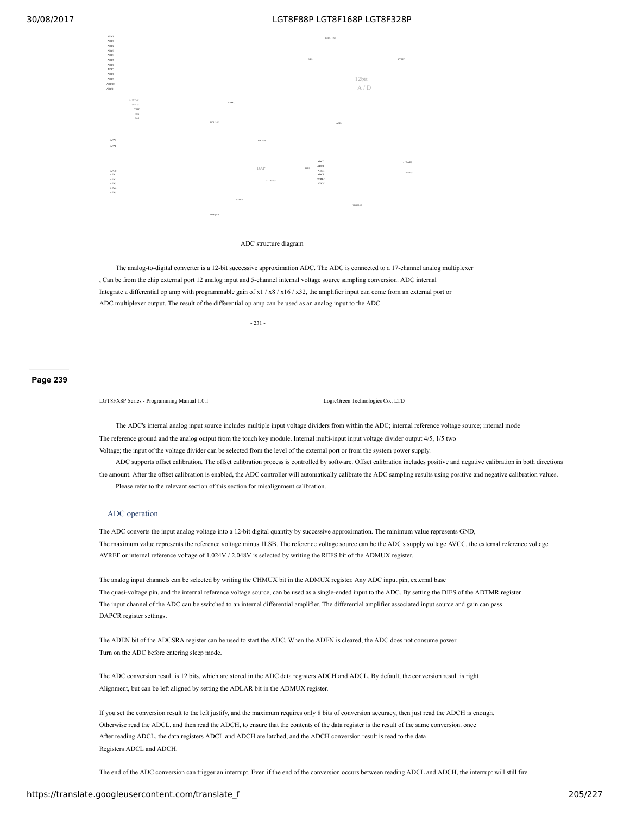

#### ADC structure diagram

The analog-to-digital converter is a 12-bit successive approximation ADC. The ADC is connected to a 17-channel analog multiplexer , Can be from the chip external port 12 analog input and 5-channel internal voltage source sampling conversion. ADC internal Integrate a differential op amp with programmable gain of  $x1/x8/x16/x32$ , the amplifier input can come from an external port or ADC multiplexer output. The result of the differential op amp can be used as an analog input to the ADC.

- 231 -

### **Page 239**

LGT8FX8P Series - Programming Manual 1.0.1 LogicGreen Technologies Co., LTD

The ADC's internal analog input source includes multiple input voltage dividers from within the ADC; internal reference voltage source; internal mode The reference ground and the analog output from the touch key module. Internal multi-input input voltage divider output 4/5, 1/5 two Voltage; the input of the voltage divider can be selected from the level of the external port or from the system power supply.

ADC supports offset calibration. The offset calibration process is controlled by software. Offset calibration includes positive and negative calibration in both directions the amount. After the offset calibration is enabled, the ADC controller will automatically calibrate the ADC sampling results using positive and negative calibration values. Please refer to the relevant section of this section for misalignment calibration.

#### ADC operation

The ADC converts the input analog voltage into a 12-bit digital quantity by successive approximation. The minimum value represents GND, The maximum value represents the reference voltage minus 1LSB. The reference voltage source can be the ADC's supply voltage AVCC, the external reference voltage AVREF or internal reference voltage of 1.024V / 2.048V is selected by writing the REFS bit of the ADMUX register.

The analog input channels can be selected by writing the CHMUX bit in the ADMUX register. Any ADC input pin, external base The quasi-voltage pin, and the internal reference voltage source, can be used as a single-ended input to the ADC. By setting the DIFS of the ADTMR register The input channel of the ADC can be switched to an internal differential amplifier. The differential amplifier associated input source and gain can pass DAPCR register settings.

The ADEN bit of the ADCSRA register can be used to start the ADC. When the ADEN is cleared, the ADC does not consume power. Turn on the ADC before entering sleep mode.

The ADC conversion result is 12 bits, which are stored in the ADC data registers ADCH and ADCL. By default, the conversion result is right Alignment, but can be left aligned by setting the ADLAR bit in the ADMUX register.

If you set the conversion result to the left justify, and the maximum requires only 8 bits of conversion accuracy, then just read the ADCH is enough. Otherwise read the ADCL, and then read the ADCH, to ensure that the contents of the data register is the result of the same conversion. once After reading ADCL, the data registers ADCL and ADCH are latched, and the ADCH conversion result is read to the data Registers ADCL and ADCH.

The end of the ADC conversion can trigger an interrupt. Even if the end of the conversion occurs between reading ADCL and ADCH, the interrupt will still fire.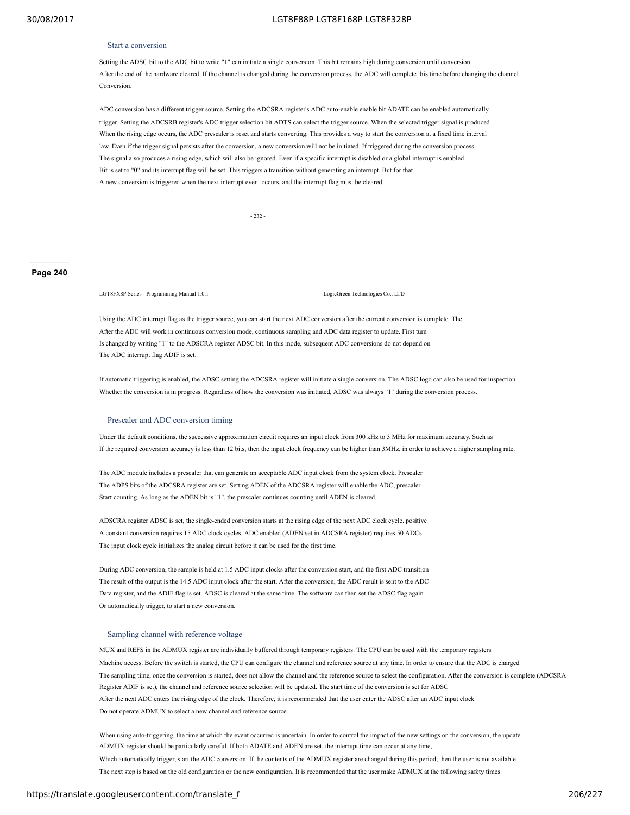#### Start a conversion

Setting the ADSC bit to the ADC bit to write "1" can initiate a single conversion. This bit remains high during conversion until conversion After the end of the hardware cleared. If the channel is changed during the conversion process, the ADC will complete this time before changing the channel **Conversion** 

ADC conversion has a different trigger source. Setting the ADCSRA register's ADC auto-enable enable bit ADATE can be enabled automatically trigger. Setting the ADCSRB register's ADC trigger selection bit ADTS can select the trigger source. When the selected trigger signal is produced When the rising edge occurs, the ADC prescaler is reset and starts converting. This provides a way to start the conversion at a fixed time interval law. Even if the trigger signal persists after the conversion, a new conversion will not be initiated. If triggered during the conversion process The signal also produces a rising edge, which will also be ignored. Even if a specific interrupt is disabled or a global interrupt is enabled Bit is set to "0" and its interrupt flag will be set. This triggers a transition without generating an interrupt. But for that A new conversion is triggered when the next interrupt event occurs, and the interrupt flag must be cleared.

- 232 -

#### **Page 240**

LGT8FX8P Series - Programming Manual 1.0.1 LogicGreen Technologies Co., LTD

Using the ADC interrupt flag as the trigger source, you can start the next ADC conversion after the current conversion is complete. The After the ADC will work in continuous conversion mode, continuous sampling and ADC data register to update. First turn Is changed by writing "1" to the ADSCRA register ADSC bit. In this mode, subsequent ADC conversions do not depend on The ADC interrupt flag ADIF is set.

If automatic triggering is enabled, the ADSC setting the ADCSRA register will initiate a single conversion. The ADSC logo can also be used for inspection Whether the conversion is in progress. Regardless of how the conversion was initiated, ADSC was always "1" during the conversion process.

#### Prescaler and ADC conversion timing

Under the default conditions, the successive approximation circuit requires an input clock from 300 kHz to 3 MHz for maximum accuracy. Such as If the required conversion accuracy is less than 12 bits, then the input clock frequency can be higher than 3MHz, in order to achieve a higher sampling rate.

The ADC module includes a prescaler that can generate an acceptable ADC input clock from the system clock. Prescaler The ADPS bits of the ADCSRA register are set. Setting ADEN of the ADCSRA register will enable the ADC, prescaler Start counting. As long as the ADEN bit is "1", the prescaler continues counting until ADEN is cleared.

ADSCRA register ADSC is set, the single-ended conversion starts at the rising edge of the next ADC clock cycle. positive A constant conversion requires 15 ADC clock cycles. ADC enabled (ADEN set in ADCSRA register) requires 50 ADCs The input clock cycle initializes the analog circuit before it can be used for the first time.

During ADC conversion, the sample is held at 1.5 ADC input clocks after the conversion start, and the first ADC transition The result of the output is the 14.5 ADC input clock after the start. After the conversion, the ADC result is sent to the ADC Data register, and the ADIF flag is set. ADSC is cleared at the same time. The software can then set the ADSC flag again Or automatically trigger, to start a new conversion.

#### Sampling channel with reference voltage

MUX and REFS in the ADMUX register are individually buffered through temporary registers. The CPU can be used with the temporary registers Machine access. Before the switch is started, the CPU can configure the channel and reference source at any time. In order to ensure that the ADC is charged The sampling time, once the conversion is started, does not allow the channel and the reference source to select the configuration. After the conversion is complete (ADCSRA Register ADIF is set), the channel and reference source selection will be updated. The start time of the conversion is set for ADSC After the next ADC enters the rising edge of the clock. Therefore, it is recommended that the user enter the ADSC after an ADC input clock Do not operate ADMUX to select a new channel and reference source.

When using auto-triggering, the time at which the event occurred is uncertain. In order to control the impact of the new settings on the conversion, the update ADMUX register should be particularly careful. If both ADATE and ADEN are set, the interrupt time can occur at any time, Which automatically trigger, start the ADC conversion. If the contents of the ADMUX register are changed during this period, then the user is not available The next step is based on the old configuration or the new configuration. It is recommended that the user make ADMUX at the following safety times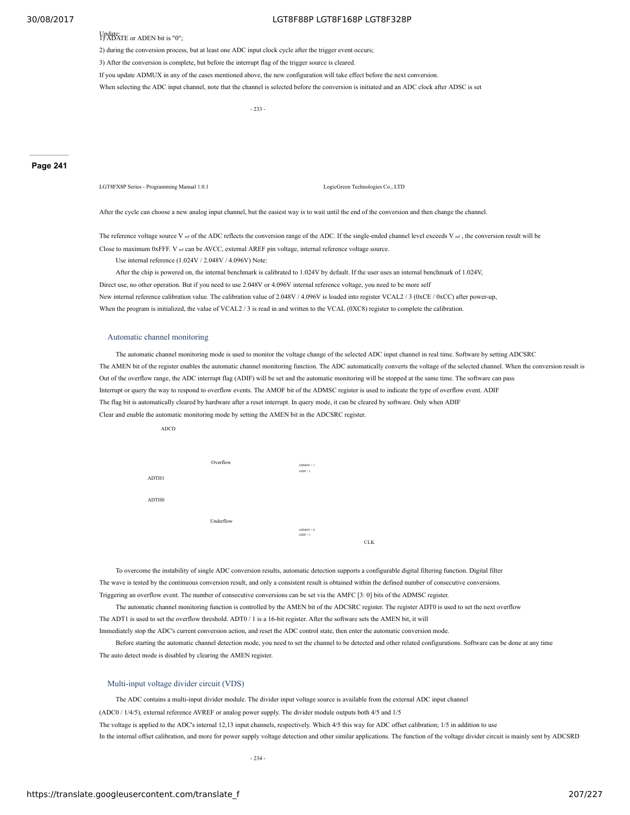Update: 1) ADATE or ADEN bit is "0";

2) during the conversion process, but at least one ADC input clock cycle after the trigger event occurs;

3) After the conversion is complete, but before the interrupt flag of the trigger source is cleared.

If you update ADMUX in any of the cases mentioned above, the new configuration will take effect before the next conversion.

When selecting the ADC input channel, note that the channel is selected before the conversion is initiated and an ADC clock after ADSC is set

- 233 -

#### **Page 241**

LGT8FX8P Series - Programming Manual 1.0.1 LogicGreen Technologies Co., LTD

After the cycle can choose a new analog input channel, but the easiest way is to wait until the end of the conversion and then change the channel.

The reference voltage source V ref of the ADC reflects the conversion range of the ADC. If the single-ended channel level exceeds V ref, the conversion result will be Close to maximum 0xFFF. V ref can be AVCC, external AREF pin voltage, internal reference voltage source.

Use internal reference (1.024V / 2.048V / 4.096V) Note:

After the chip is powered on, the internal benchmark is calibrated to 1.024V by default. If the user uses an internal benchmark of 1.024V, Direct use, no other operation. But if you need to use 2.048V or 4.096V internal reference voltage, you need to be more self New internal reference calibration value. The calibration value of 2.048V / 4.096V is loaded into register VCAL2 / 3 (0xCE / 0xCC) after power-up, When the program is initialized, the value of VCAL2 / 3 is read in and written to the VCAL (0XC8) register to complete the calibration.

#### Automatic channel monitoring

The automatic channel monitoring mode is used to monitor the voltage change of the selected ADC input channel in real time. Software by setting ADCSRC The AMEN bit of the register enables the automatic channel monitoring function. The ADC automatically converts the voltage of the selected channel. When the conversion result is Out of the overflow range, the ADC interrupt flag (ADIF) will be set and the automatic monitoring will be stopped at the same time. The software can pass Interrupt or query the way to respond to overflow events. The AMOF bit of the ADMSC register is used to indicate the type of overflow event. ADIF The flag bit is automatically cleared by hardware after a reset interrupt. In query mode, it can be cleared by software. Only when ADIF Clear and enable the automatic monitoring mode by setting the AMEN bit in the ADCSRC register.



To overcome the instability of single ADC conversion results, automatic detection supports a configurable digital filtering function. Digital filter The wave is tested by the continuous conversion result, and only a consistent result is obtained within the defined number of consecutive conversions. Triggering an overflow event. The number of consecutive conversions can be set via the AMFC [3: 0] bits of the ADMSC register.

The automatic channel monitoring function is controlled by the AMEN bit of the ADCSRC register. The register ADT0 is used to set the next overflow The ADT1 is used to set the overflow threshold. ADT0 / 1 is a 16-bit register. After the software sets the AMEN bit, it will

Immediately stop the ADC's current conversion action, and reset the ADC control state, then enter the automatic conversion mode.

Before starting the automatic channel detection mode, you need to set the channel to be detected and other related configurations. Software can be done at any time The auto detect mode is disabled by clearing the AMEN register.

#### Multi-input voltage divider circuit (VDS)

The ADC contains a multi-input divider module. The divider input voltage source is available from the external ADC input channel (ADC0 / 1/4/5), external reference AVREF or analog power supply. The divider module outputs both 4/5 and 1/5 The voltage is applied to the ADC's internal 12,13 input channels, respectively. Which 4/5 this way for ADC offset calibration; 1/5 in addition to use In the internal offset calibration, and more for power supply voltage detection and other similar applications. The function of the voltage divider circuit is mainly sent by ADCSRD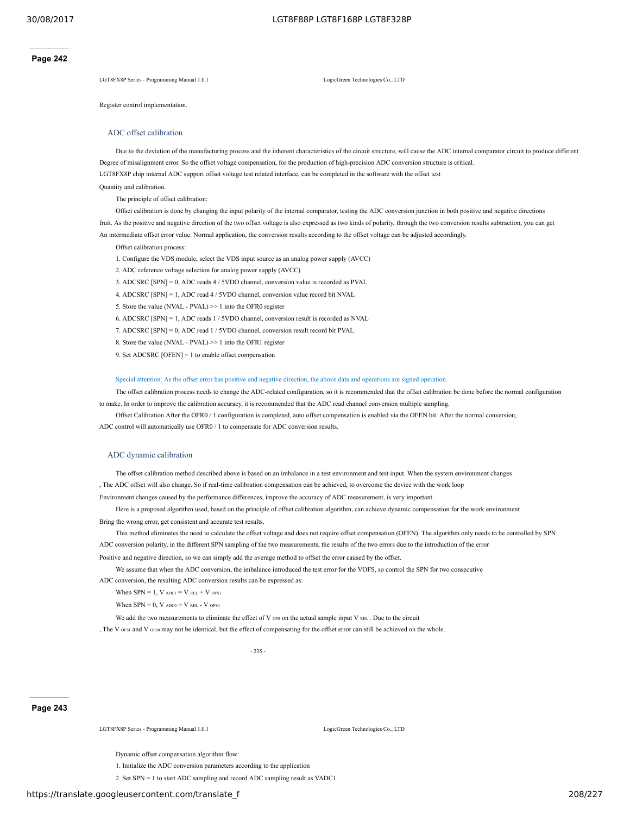LGT8FX8P Series - Programming Manual 1.0.1 LogicGreen Technologies Co., LTD

Register control implementation.

#### ADC offset calibration

Due to the deviation of the manufacturing process and the inherent characteristics of the circuit structure, will cause the ADC internal comparator circuit to produce different Degree of misalignment error. So the offset voltage compensation, for the production of high-precision ADC conversion structure is critical. LGT8FX8P chip internal ADC support offset voltage test related interface, can be completed in the software with the offset test Quantity and calibration.

The principle of offset calibration:

Offset calibration is done by changing the input polarity of the internal comparator, testing the ADC conversion junction in both positive and negative directions fruit. As the positive and negative direction of the two offset voltage is also expressed as two kinds of polarity, through the two conversion results subtraction, you can get An intermediate offset error value. Normal application, the conversion results according to the offset voltage can be adjusted accordingly.

Offset calibration process:

- 1. Configure the VDS module, select the VDS input source as an analog power supply (AVCC)
- 2. ADC reference voltage selection for analog power supply (AVCC)
- 3. ADCSRC [SPN] = 0, ADC reads 4 / 5VDO channel, conversion value is recorded as PVAL
- 4. ADCSRC [SPN] = 1, ADC read 4 / 5VDO channel, conversion value record bit NVAL
- 5. Store the value (NVAL PVAL) >> 1 into the OFR0 register
- 6. ADCSRC [SPN] = 1, ADC reads 1 / 5VDO channel, conversion result is recorded as NVAL
- 7. ADCSRC [SPN] = 0, ADC read 1 / 5VDO channel, conversion result record bit PVAL
- 8. Store the value (NVAL PVAL) >> 1 into the OFR1 register
- 9. Set ADCSRC [OFEN] = 1 to enable offset compensation

#### Special attention: As the offset error has positive and negative direction, the above data and operations are signed operation.

The offset calibration process needs to change the ADC-related configuration, so it is recommended that the offset calibration be done before the normal configuration to make. In order to improve the calibration accuracy, it is recommended that the ADC read channel conversion multiple sampling.

Offset Calibration After the OFR0 / 1 configuration is completed, auto offset compensation is enabled via the OFEN bit. After the normal conversion, ADC control will automatically use OFR0 / 1 to compensate for ADC conversion results.

#### ADC dynamic calibration

The offset calibration method described above is based on an imbalance in a test environment and test input. When the system environment changes

The ADC offset will also change. So if real-time calibration compensation can be achieved, to overcome the device with the work loop

Environment changes caused by the performance differences, improve the accuracy of ADC measurement, is very important.

Here is a proposed algorithm used, based on the principle of offset calibration algorithm, can achieve dynamic compensation for the work environment Bring the wrong error, get consistent and accurate test results.

This method eliminates the need to calculate the offset voltage and does not require offset compensation (OFEN). The algorithm only needs to be controlled by SPN ADC conversion polarity, in the different SPN sampling of the two measurements, the results of the two errors due to the introduction of the error

Positive and negative direction, so we can simply add the average method to offset the error caused by the offset.

We assume that when the ADC conversion, the imbalance introduced the test error for the VOFS, so control the SPN for two consecutive ADC conversion, the resulting ADC conversion results can be expressed as:

When  $SPN = 1$ ,  $V$  adc1 =  $V$  REL +  $V$  of S1

When  $SPN = 0$ ,  $V$   $_{ADC0} = V$   $_{REL}$  -  $V$   $_{OFS0}$ 

We add the two measurements to eliminate the effect of V ors on the actual sample input V REL. Due to the circuit

, The V orsi and V orso may not be identical, but the effect of compensating for the offset error can still be achieved on the whole.

- 235 -

#### **Page 243**

LGT8FX8P Series - Programming Manual 1.0.1 LogicGreen Technologies Co., LTD

Dynamic offset compensation algorithm flow:

1. Initialize the ADC conversion parameters according to the application

2. Set SPN = 1 to start ADC sampling and record ADC sampling result as VADC1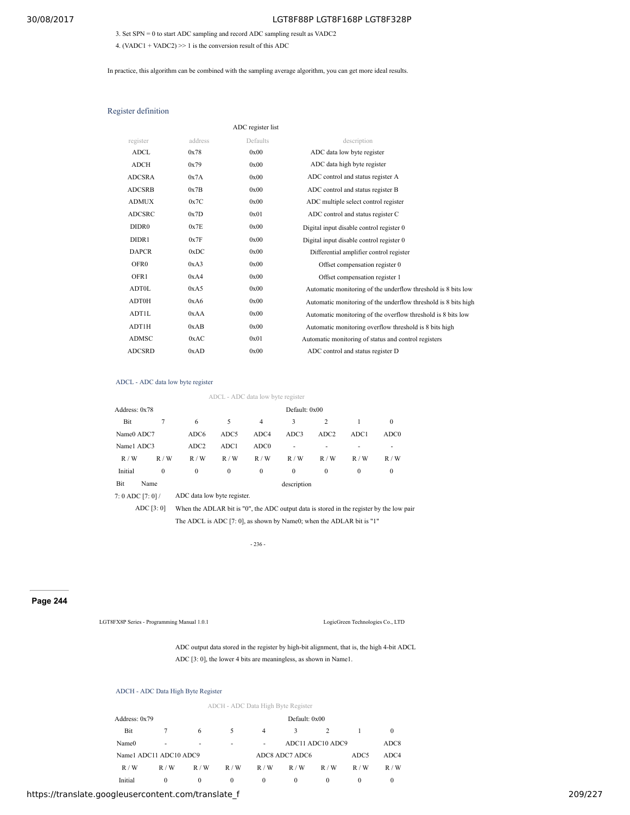3. Set SPN = 0 to start ADC sampling and record ADC sampling result as VADC2

4. (VADC1 + VADC2)  $\gg$  1 is the conversion result of this ADC

In practice, this algorithm can be combined with the sampling average algorithm, you can get more ideal results.

#### Register definition

|                   |         | ADC register list |                                                                |
|-------------------|---------|-------------------|----------------------------------------------------------------|
| register          | address | Defaults          | description                                                    |
| <b>ADCL</b>       | 0x78    | 0x00              | ADC data low byte register                                     |
| <b>ADCH</b>       | 0x79    | 0x00              | ADC data high byte register                                    |
| <b>ADCSRA</b>     | 0x7A    | 0x00              | ADC control and status register A                              |
| <b>ADCSRB</b>     | 0x7B    | 0x00              | ADC control and status register B                              |
| <b>ADMUX</b>      | 0x7C    | 0x00              | ADC multiple select control register                           |
| <b>ADCSRC</b>     | 0x7D    | 0x01              | ADC control and status register C                              |
| DIDR <sub>0</sub> | 0x7E    | 0x00              | Digital input disable control register 0                       |
| DIDR1             | 0x7F    | 0x00              | Digital input disable control register 0                       |
| <b>DAPCR</b>      | 0xDC    | 0x00              | Differential amplifier control register                        |
| OFR <sub>0</sub>  | 0xA3    | 0x00              | Offset compensation register 0                                 |
| OFR1              | 0xA4    | 0x00              | Offset compensation register 1                                 |
| <b>ADT0L</b>      | 0xA5    | 0x00              | Automatic monitoring of the underflow threshold is 8 bits low  |
| <b>ADT0H</b>      | 0xA6    | 0x00              | Automatic monitoring of the underflow threshold is 8 bits high |
| ADT1L             | 0xAA    | 0x00              | Automatic monitoring of the overflow threshold is 8 bits low   |
| ADT1H             | 0xAB    | 0x00              | Automatic monitoring overflow threshold is 8 bits high         |
| <b>ADMSC</b>      | 0xAC    | 0x01              | Automatic monitoring of status and control registers           |
| <b>ADCSRD</b>     | 0xAD    | 0x00              | ADC control and status register D                              |

#### ADCL - ADC data low byte register

ADCL - ADC data low byte register Address: 0x78 Default: 0x00 Bit 7 6 5 4 3 2 1 0 Name0 ADC7 ADC6 ADC5 ADC4 ADC3 ADC2 ADC1 ADC0 Name1 ADC3 ADC2 ADC1 ADC0 - - - - - -R / W R / W R / W R / W R / W R / W R / W R / W R / W Initial 0 0 0 0 0 0 0 0 0 Bit Name description 7: 0 ADC [7: 0] / ADC data low byte register.

ADC [3: 0] When the ADLAR bit is "0", the ADC output data is stored in the register by the low pair

The ADCL is ADC [7: 0], as shown by Name0; when the ADLAR bit is "1"

- 236 -

# **Page 244**

LGT8FX8P Series - Programming Manual 1.0.1 LogicGreen Technologies Co., LTD

ADC output data stored in the register by high-bit alignment, that is, the high 4-bit ADCL ADC [3: 0], the lower 4 bits are meaningless, as shown in Name1.

# ADCH - ADC Data High Byte Register

|                        |               |          |              |          | ADCH - ADC Data High Byte Register |                  |      |                  |
|------------------------|---------------|----------|--------------|----------|------------------------------------|------------------|------|------------------|
| Address: 0x79          | Default: 0x00 |          |              |          |                                    |                  |      |                  |
| Bit                    |               | 6        | 5            | 4        | 3                                  | 2                |      | $\Omega$         |
| Name <sub>0</sub>      | ۰             | ٠        | ۰            | ٠        |                                    | ADC11 ADC10 ADC9 |      | ADC <sub>8</sub> |
| Name1 ADC11 ADC10 ADC9 |               |          |              |          | ADC8 ADC7 ADC6                     |                  | ADC5 | ADC4             |
| R/W                    | R/W           | R/W      | R/W          | R/W      | R/W                                | R/W              | R/W  | R/W              |
| Initial                | $\Omega$      | $\Omega$ | $\mathbf{0}$ | $\theta$ | $\mathbf{0}$                       | $\Omega$         | 0    | $\bf{0}$         |

https://translate.googleusercontent.com/translate\_f 209/227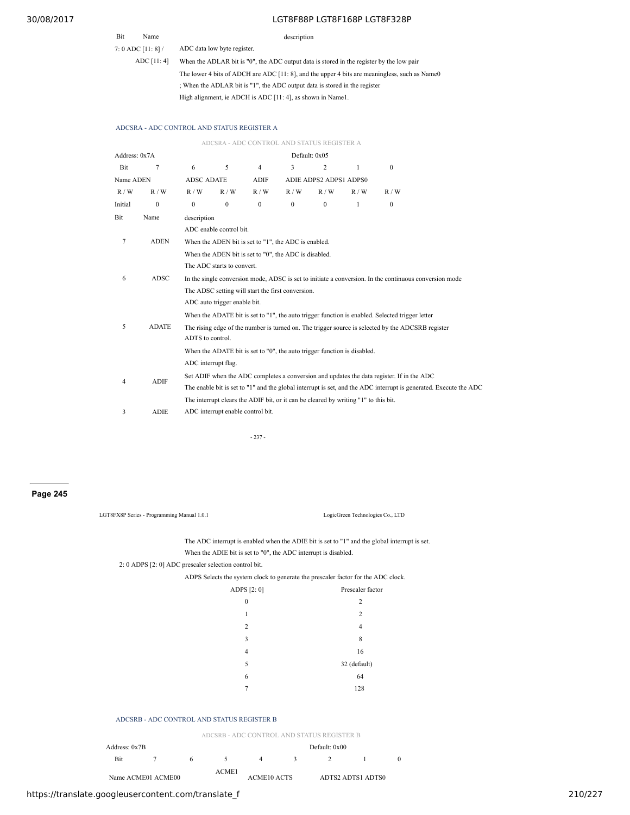# Bit Name description

7: 0 ADC [11: 8] /

ADC [11: 4] When the ADLAR bit is "0", the ADC output data is stored in the register by the low pair The lower 4 bits of ADCH are ADC [11: 8], and the upper 4 bits are meaningless, such as Name0 ; When the ADLAR bit is "1", the ADC output data is stored in the register High alignment, ie ADCH is ADC [11: 4], as shown in Name1.

## ADCSRA - ADC CONTROL AND STATUS REGISTER A

ADC data low byte register.

|               |              |                                                                                                   | ADCSRA - ADC CONTROL AND STATUS REGISTER A            |                |          |                        |                                                                                     |                                                                                                                   |  |  |  |
|---------------|--------------|---------------------------------------------------------------------------------------------------|-------------------------------------------------------|----------------|----------|------------------------|-------------------------------------------------------------------------------------|-------------------------------------------------------------------------------------------------------------------|--|--|--|
| Address: 0x7A |              | Default: 0x05                                                                                     |                                                       |                |          |                        |                                                                                     |                                                                                                                   |  |  |  |
| Bit           | 7            | 6                                                                                                 | 5                                                     | $\overline{4}$ | 3        | $\overline{2}$         | $\mathbf{1}$                                                                        | $\Omega$                                                                                                          |  |  |  |
| Name ADEN     |              | <b>ADSC ADATE</b>                                                                                 |                                                       | <b>ADIF</b>    |          | ADIE ADPS2 ADPS1 ADPS0 |                                                                                     |                                                                                                                   |  |  |  |
| R/W           | R/W          | R/W                                                                                               | R/W                                                   | R/W            | R/W      | R/W                    | R/W                                                                                 | R/W                                                                                                               |  |  |  |
| Initial       | $\mathbf{0}$ | $\mathbf{0}$                                                                                      | $\mathbf{0}$                                          | $\mathbf{0}$   | $\theta$ | $\mathbf{0}$           | 1                                                                                   | $\mathbf{0}$                                                                                                      |  |  |  |
| Bit           | Name         | description                                                                                       |                                                       |                |          |                        |                                                                                     |                                                                                                                   |  |  |  |
|               |              |                                                                                                   | ADC enable control bit.                               |                |          |                        |                                                                                     |                                                                                                                   |  |  |  |
| 7             | <b>ADEN</b>  |                                                                                                   | When the ADEN bit is set to "1", the ADC is enabled.  |                |          |                        |                                                                                     |                                                                                                                   |  |  |  |
|               |              |                                                                                                   | When the ADEN bit is set to "0", the ADC is disabled. |                |          |                        |                                                                                     |                                                                                                                   |  |  |  |
|               |              |                                                                                                   | The ADC starts to convert.                            |                |          |                        |                                                                                     |                                                                                                                   |  |  |  |
| 6             | ADSC         |                                                                                                   |                                                       |                |          |                        |                                                                                     | In the single conversion mode, ADSC is set to initiate a conversion. In the continuous conversion mode            |  |  |  |
|               |              | The ADSC setting will start the first conversion.                                                 |                                                       |                |          |                        |                                                                                     |                                                                                                                   |  |  |  |
|               |              | ADC auto trigger enable bit.                                                                      |                                                       |                |          |                        |                                                                                     |                                                                                                                   |  |  |  |
|               |              | When the ADATE bit is set to "1", the auto trigger function is enabled. Selected trigger letter   |                                                       |                |          |                        |                                                                                     |                                                                                                                   |  |  |  |
| 5             | <b>ADATE</b> | The rising edge of the number is turned on. The trigger source is selected by the ADCSRB register |                                                       |                |          |                        |                                                                                     |                                                                                                                   |  |  |  |
|               |              | ADTS to control.                                                                                  |                                                       |                |          |                        |                                                                                     |                                                                                                                   |  |  |  |
|               |              | When the ADATE bit is set to "0", the auto trigger function is disabled.                          |                                                       |                |          |                        |                                                                                     |                                                                                                                   |  |  |  |
|               |              | ADC interrupt flag.                                                                               |                                                       |                |          |                        |                                                                                     |                                                                                                                   |  |  |  |
| 4             | <b>ADIF</b>  | Set ADIF when the ADC completes a conversion and updates the data register. If in the ADC         |                                                       |                |          |                        |                                                                                     |                                                                                                                   |  |  |  |
|               |              |                                                                                                   |                                                       |                |          |                        |                                                                                     | The enable bit is set to "1" and the global interrupt is set, and the ADC interrupt is generated. Execute the ADC |  |  |  |
|               |              |                                                                                                   |                                                       |                |          |                        | The interrupt clears the ADIF bit, or it can be cleared by writing "1" to this bit. |                                                                                                                   |  |  |  |
| 3             | <b>ADIE</b>  |                                                                                                   | ADC interrupt enable control bit.                     |                |          |                        |                                                                                     |                                                                                                                   |  |  |  |
|               |              |                                                                                                   |                                                       |                |          |                        |                                                                                     |                                                                                                                   |  |  |  |

- 237 -

**Page 245**

| LGT8FX8P Series - Programming Manual 1.0.1            | LogicGreen Technologies Co., LTD                                                              |
|-------------------------------------------------------|-----------------------------------------------------------------------------------------------|
|                                                       | The ADC interrupt is enabled when the ADIE bit is set to "1" and the global interrupt is set. |
|                                                       | When the ADIE bit is set to "0", the ADC interrupt is disabled.                               |
| 2: 0 ADPS [2: 0] ADC prescaler selection control bit. |                                                                                               |
|                                                       | ADPS Selects the system clock to generate the prescaler factor for the ADC clock.             |
| ADPS $[2:0]$                                          | Prescaler factor                                                                              |
| $\mathbf{0}$                                          | 2                                                                                             |
| 1                                                     | 2                                                                                             |
| $\overline{c}$                                        | 4                                                                                             |
| 3                                                     | 8                                                                                             |
| 4                                                     | 16                                                                                            |
| 5                                                     | 32 (default)                                                                                  |
| 6                                                     | 64                                                                                            |
| 7                                                     | 128                                                                                           |
|                                                       |                                                                                               |
| ADCSRB - ADC CONTROL AND STATUS REGISTER B            |                                                                                               |

# ADCSI

|               |                    | ADCSRB - ADC CONTROL AND STATUS REGISTER B |       |                    |        |               |                   |  |  |  |
|---------------|--------------------|--------------------------------------------|-------|--------------------|--------|---------------|-------------------|--|--|--|
| Address: 0x7B |                    |                                            |       |                    |        | Default: 0x00 |                   |  |  |  |
| <b>Bit</b>    |                    |                                            |       |                    | $\sim$ |               |                   |  |  |  |
|               | Name ACME01 ACME00 |                                            | ACME1 | <b>ACME10 ACTS</b> |        |               | ADTS2 ADTS1 ADTS0 |  |  |  |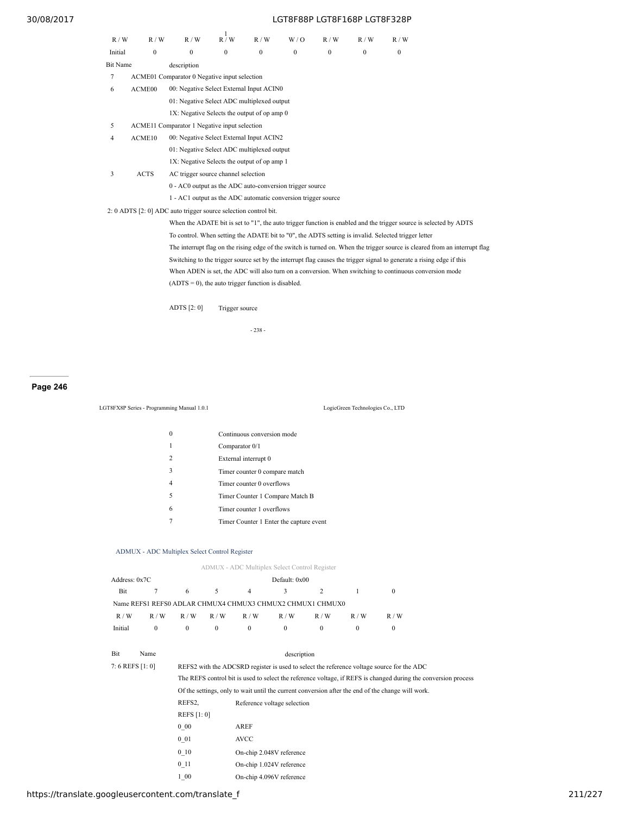| R/W             | R/W                | R/W                                                             | $\mathbf{1}$<br>R / W | R/W          | W/O      | R/W          | R/W          | R/W                                                                                                                   |                                                                                                                             |
|-----------------|--------------------|-----------------------------------------------------------------|-----------------------|--------------|----------|--------------|--------------|-----------------------------------------------------------------------------------------------------------------------|-----------------------------------------------------------------------------------------------------------------------------|
| Initial         | $\mathbf{0}$       | $\mathbf{0}$                                                    | $\mathbf{0}$          | $\mathbf{0}$ | $\Omega$ | $\mathbf{0}$ | $\mathbf{0}$ | $\mathbf{0}$                                                                                                          |                                                                                                                             |
| <b>Bit Name</b> |                    | description                                                     |                       |              |          |              |              |                                                                                                                       |                                                                                                                             |
| 7               |                    | ACME01 Comparator 0 Negative input selection                    |                       |              |          |              |              |                                                                                                                       |                                                                                                                             |
| 6               | ACME <sub>00</sub> | 00: Negative Select External Input ACIN0                        |                       |              |          |              |              |                                                                                                                       |                                                                                                                             |
|                 |                    | 01: Negative Select ADC multiplexed output                      |                       |              |          |              |              |                                                                                                                       |                                                                                                                             |
|                 |                    | 1X: Negative Selects the output of op amp 0                     |                       |              |          |              |              |                                                                                                                       |                                                                                                                             |
| 5               |                    | ACME11 Comparator 1 Negative input selection                    |                       |              |          |              |              |                                                                                                                       |                                                                                                                             |
| 4               | ACME10             | 00: Negative Select External Input ACIN2                        |                       |              |          |              |              |                                                                                                                       |                                                                                                                             |
|                 |                    | 01: Negative Select ADC multiplexed output                      |                       |              |          |              |              |                                                                                                                       |                                                                                                                             |
|                 |                    | 1X: Negative Selects the output of op amp 1                     |                       |              |          |              |              |                                                                                                                       |                                                                                                                             |
| 3               | <b>ACTS</b>        | AC trigger source channel selection                             |                       |              |          |              |              |                                                                                                                       |                                                                                                                             |
|                 |                    | 0 - AC0 output as the ADC auto-conversion trigger source        |                       |              |          |              |              |                                                                                                                       |                                                                                                                             |
|                 |                    | 1 - AC1 output as the ADC automatic conversion trigger source   |                       |              |          |              |              |                                                                                                                       |                                                                                                                             |
|                 |                    | 2: 0 ADTS [2: 0] ADC auto trigger source selection control bit. |                       |              |          |              |              |                                                                                                                       |                                                                                                                             |
|                 |                    |                                                                 |                       |              |          |              |              |                                                                                                                       | When the ADATE bit is set to "1", the auto trigger function is enabled and the trigger source is selected by ADTS           |
|                 |                    |                                                                 |                       |              |          |              |              | To control. When setting the ADATE bit to "0", the ADTS setting is invalid. Selected trigger letter                   |                                                                                                                             |
|                 |                    |                                                                 |                       |              |          |              |              |                                                                                                                       | The interrupt flag on the rising edge of the switch is turned on. When the trigger source is cleared from an interrupt flag |
|                 |                    |                                                                 |                       |              |          |              |              | Switching to the trigger source set by the interrupt flag causes the trigger signal to generate a rising edge if this |                                                                                                                             |
|                 |                    |                                                                 |                       |              |          |              |              | When ADEN is set, the ADC will also turn on a conversion. When switching to continuous conversion mode                |                                                                                                                             |
|                 |                    | $(ADTS = 0)$ , the auto trigger function is disabled.           |                       |              |          |              |              |                                                                                                                       |                                                                                                                             |
|                 |                    |                                                                 |                       |              |          |              |              |                                                                                                                       |                                                                                                                             |

ADTS [2: 0] Trigger source

- 238 -

# **Page 246**

# LGT8FX8P Series - Programming Manual 1.0.1 LogicGreen Technologies Co., LTD

|               | Continuous conversion mode              |
|---------------|-----------------------------------------|
|               | Comparator 0/1                          |
| $\mathcal{D}$ | External interrupt 0                    |
| $\mathbf{3}$  | Timer counter 0 compare match           |
|               | Timer counter 0 overflows               |
| 5             | Timer Counter 1 Compare Match B         |
| 6             | Timer counter 1 overflows               |
|               | Timer Counter 1 Enter the capture event |
|               |                                         |

#### ADMUX - ADC Multiplex Select Control Register

|                  |              |              |              |              | ADMUX - ADC Multiplex Select Control Register             |     |              |                                                                                           |  |
|------------------|--------------|--------------|--------------|--------------|-----------------------------------------------------------|-----|--------------|-------------------------------------------------------------------------------------------|--|
| Address: 0x7C    |              |              |              |              | Default: 0x00                                             |     |              |                                                                                           |  |
| Bit              |              | 6            | 5            | 4            | 3                                                         |     |              | $\mathbf{0}$                                                                              |  |
|                  |              |              |              |              | Name REFS1 REFS0 ADLAR CHMUX4 CHMUX3 CHMUX2 CHMUX1 CHMUX0 |     |              |                                                                                           |  |
| R/W              | R/W          | R/W          | R/W          | R/W          | R/W                                                       | R/W | R/W          | R/W                                                                                       |  |
| Initial          | $\mathbf{0}$ | $\mathbf{0}$ | $\mathbf{0}$ | $\mathbf{0}$ | $\mathbf{0}$                                              | 0   | $\mathbf{0}$ | $\mathbf{0}$                                                                              |  |
| <b>Bit</b>       | Name         |              |              |              | description                                               |     |              |                                                                                           |  |
| 7: 6 REFS [1: 0] |              |              |              |              |                                                           |     |              | REFS2 with the ADCSRD register is used to select the reference voltage source for the ADC |  |

|                   | $\frac{1}{2}$ , $\frac{1}{2}$ , $\frac{1}{2}$ , $\frac{1}{2}$ , $\frac{1}{2}$ , $\frac{1}{2}$ , $\frac{1}{2}$ , $\frac{1}{2}$ , $\frac{1}{2}$ , $\frac{1}{2}$ , $\frac{1}{2}$ , $\frac{1}{2}$ , $\frac{1}{2}$ , $\frac{1}{2}$ , $\frac{1}{2}$ , $\frac{1}{2}$ , $\frac{1}{2}$ , $\frac{1}{2}$ , $\frac{1$ |  |  |  |  |  |
|-------------------|-----------------------------------------------------------------------------------------------------------------------------------------------------------------------------------------------------------------------------------------------------------------------------------------------------------|--|--|--|--|--|
|                   | The REFS control bit is used to select the reference voltage, if REFS is changed during the conversion process                                                                                                                                                                                            |  |  |  |  |  |
|                   | Of the settings, only to wait until the current conversion after the end of the change will work.                                                                                                                                                                                                         |  |  |  |  |  |
| REFS2.            | Reference voltage selection                                                                                                                                                                                                                                                                               |  |  |  |  |  |
| <b>REFS</b> [1:0] |                                                                                                                                                                                                                                                                                                           |  |  |  |  |  |
| $0\,00$           | AREF                                                                                                                                                                                                                                                                                                      |  |  |  |  |  |
| $0\,01$           | <b>AVCC</b>                                                                                                                                                                                                                                                                                               |  |  |  |  |  |
| $0\quad10$        | On-chip 2.048V reference                                                                                                                                                                                                                                                                                  |  |  |  |  |  |
| 011               | On-chip 1.024V reference                                                                                                                                                                                                                                                                                  |  |  |  |  |  |
| 1 00              | On-chip 4.096V reference                                                                                                                                                                                                                                                                                  |  |  |  |  |  |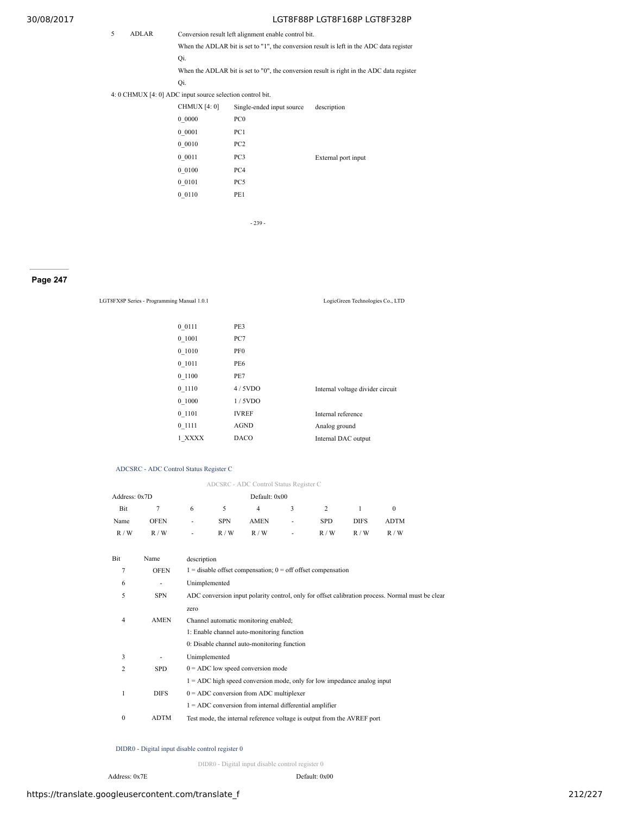5 ADLAR Conversion result left alignment enable control bit.

When the ADLAR bit is set to "1", the conversion result is left in the ADC data register Qi.

When the ADLAR bit is set to "0", the conversion result is right in the ADC data register

Qi.

4: 0 CHMUX [4: 0] ADC input source selection control bit.

| <b>CHMUX</b> [4: 0] | Single-ended input source | description         |
|---------------------|---------------------------|---------------------|
| 0 0000              | PC <sub>0</sub>           |                     |
| 0 0001              | PC1                       |                     |
| 00010               | PC <sub>2</sub>           |                     |
| 0 0011              | PC3                       | External port input |
| 0 0100              | PC <sub>4</sub>           |                     |
| 0 0 1 0 1           | PC5                       |                     |
| 0 0110              | PE1                       |                     |
|                     |                           |                     |

- 239 -

# **Page 247**

LGT8FX8P Series - Programming Manual 1.0.1 LogicGreen Technologies Co., LTD

| 0 0 1 1 1 | PE3             |                                  |
|-----------|-----------------|----------------------------------|
| 0 1001    | PC7             |                                  |
| 0 1010    | PF <sub>0</sub> |                                  |
| 0 1011    | PE6             |                                  |
| 0 1100    | PE7             |                                  |
| 0 1110    | 4/5VDO          | Internal voltage divider circuit |
| 0 1000    | 1/5VDO          |                                  |
| 0 1101    | <b>IVREF</b>    | Internal reference               |
| 0 1111    | <b>AGND</b>     | Analog ground                    |
| 1 XXXX    | <b>DACO</b>     | Internal DAC output              |
|           |                 |                                  |

# ADCSRC - ADC Control Status Register C

| ADCSRC - ADC Control Status Register C |  |  |  |
|----------------------------------------|--|--|--|
|                                        |  |  |  |

| Address: 0x7D |             |        |            | Default: 0x00 |        |            |      |             |  |  |  |
|---------------|-------------|--------|------------|---------------|--------|------------|------|-------------|--|--|--|
| Bit           |             | 6      | $\sim$     | 4             | $\sim$ |            |      |             |  |  |  |
| Name          | <b>OFEN</b> | $\sim$ | <b>SPN</b> | <b>AMEN</b>   | $\sim$ | <b>SPD</b> | DIFS | <b>ADTM</b> |  |  |  |
| R/W           | R/W         | $\sim$ | R/W        | R/W           | $\sim$ | R/W        | R/W  | R/W         |  |  |  |

| Bit            | Name        | description                                                                                      |
|----------------|-------------|--------------------------------------------------------------------------------------------------|
| 7              | <b>OFEN</b> | $1 =$ disable offset compensation; $0 =$ off offset compensation                                 |
| 6              |             | Unimplemented                                                                                    |
| 5              | <b>SPN</b>  | ADC conversion input polarity control, only for offset calibration process. Normal must be clear |
|                |             | zero                                                                                             |
| 4              | <b>AMEN</b> | Channel automatic monitoring enabled;                                                            |
|                |             | 1: Enable channel auto-monitoring function                                                       |
|                |             | 0. Disable channel auto-monitoring function                                                      |
| 3              |             | Unimplemented                                                                                    |
| $\overline{c}$ | SPD         | $0 = ADC$ low speed conversion mode                                                              |
|                |             | $1 = ADC$ high speed conversion mode, only for low impedance analog input                        |
|                | <b>DIFS</b> | $0 = ADC$ conversion from ADC multiplexer                                                        |
|                |             | $1 = ADC$ conversion from internal differential amplifier                                        |
| $\mathbf{0}$   | <b>ADTM</b> | Test mode, the internal reference voltage is output from the AVREF port                          |
|                |             |                                                                                                  |

# DIDR0 - Digital input disable control register 0

DIDR0 - Digital input disable control register 0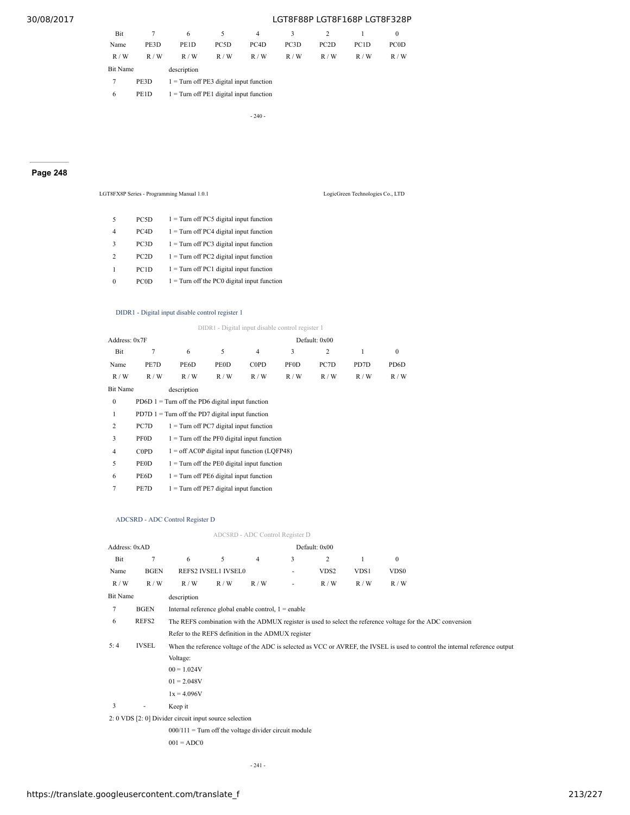| Bit      |      | 6                                         | 5.   | 4                 | 3                 |      |                   | 0    |
|----------|------|-------------------------------------------|------|-------------------|-------------------|------|-------------------|------|
| Name     | PE3D | PE1D                                      | PC5D | PC <sub>4</sub> D | PC <sub>3</sub> D | PC2D | PC <sub>1</sub> D | PC0D |
| R/W      | R/W  | R/W                                       | R/W  | R/W               | R/W               | R/W  | R/W               | R/W  |
| Bit Name |      | description                               |      |                   |                   |      |                   |      |
|          | PE3D | $1 =$ Turn off PE3 digital input function |      |                   |                   |      |                   |      |
| 6        | PE1D | $1 =$ Turn off PE1 digital input function |      |                   |                   |      |                   |      |

- 240 -

# **Page 248**

|              |                   | LGT8FX8P Series - Programming Manual 1.0.1    | LogicGreen Technologies Co., LTD |
|--------------|-------------------|-----------------------------------------------|----------------------------------|
| 5            | PC5D              | $1 =$ Turn off PC5 digital input function     |                                  |
| 4            | PC4D              | $1 =$ Turn off PC4 digital input function     |                                  |
| 3            | PC3D              | $1 =$ Turn off PC3 digital input function     |                                  |
| 2            | PC <sub>2</sub> D | $1 =$ Turn off PC2 digital input function     |                                  |
|              | PC <sub>1</sub> D | $1 =$ Turn off PC1 digital input function     |                                  |
| $\mathbf{0}$ | PC <sub>0</sub> D | $1 =$ Turn off the PC0 digital input function |                                  |

## DIDR1 - Digital input disable control register 1

DIDR1 - Digital input disable control register 1

| Address: 0x7F   |             |                                                    |             |                |             | Default: 0x00 |      |                   |
|-----------------|-------------|----------------------------------------------------|-------------|----------------|-------------|---------------|------|-------------------|
| Bit             | 7           | 6                                                  | 5           | $\overline{4}$ | 3           | 2             | 1    | $\mathbf{0}$      |
| Name            | PE7D        | PE <sub>6</sub> D                                  | <b>PEOD</b> | <b>COPD</b>    | <b>PF0D</b> | PC7D          | PD7D | PD <sub>6</sub> D |
| R/W             | R/W         | R/W                                                | R/W         | R/W            | R/W         | R/W           | R/W  | R / W             |
| <b>Bit Name</b> |             | description                                        |             |                |             |               |      |                   |
| $\mathbf{0}$    |             | PD6D $1 =$ Turn off the PD6 digital input function |             |                |             |               |      |                   |
| 1               |             | $PD7D 1 = Turn$ off the PD7 digital input function |             |                |             |               |      |                   |
| 2               | PC7D        | $1 =$ Turn off PC7 digital input function          |             |                |             |               |      |                   |
| 3               | <b>PF0D</b> | $1 =$ Turn off the PF0 digital input function      |             |                |             |               |      |                   |
| $\overline{4}$  | <b>COPD</b> | $1 =$ off AC0P digital input function (LQFP48)     |             |                |             |               |      |                   |
| 5               | <b>PEOD</b> | $1 =$ Turn off the PE0 digital input function      |             |                |             |               |      |                   |
| 6               | PE6D        | $1 =$ Turn off PE6 digital input function          |             |                |             |               |      |                   |
| 7               | PE7D        | $1 =$ Turn off PE7 digital input function          |             |                |             |               |      |                   |

#### ADCSRD - ADC Control Register D

# ADCSRD - ADC Control Register D

| Address: 0xAD |                |                                                         |                     |                |   | Default: 0x00    |      |                                                                                                                               |  |  |
|---------------|----------------|---------------------------------------------------------|---------------------|----------------|---|------------------|------|-------------------------------------------------------------------------------------------------------------------------------|--|--|
| Bit           | $\overline{7}$ | 6                                                       | 5                   | $\overline{4}$ | 3 | 2                | 1    | $\mathbf{0}$                                                                                                                  |  |  |
| Name          | <b>BGEN</b>    |                                                         | REFS2 IVSEL1 IVSEL0 |                |   | VDS <sub>2</sub> | VDS1 | VDS <sub>0</sub>                                                                                                              |  |  |
| R/W           | R/W            | R/W                                                     | R/W                 | R/W            |   | R/W              | R/W  | R/W                                                                                                                           |  |  |
| Bit Name      |                | description                                             |                     |                |   |                  |      |                                                                                                                               |  |  |
| 7             | <b>BGEN</b>    | Internal reference global enable control, $1 =$ enable  |                     |                |   |                  |      |                                                                                                                               |  |  |
| 6             | REFS2          |                                                         |                     |                |   |                  |      | The REFS combination with the ADMUX register is used to select the reference voltage for the ADC conversion                   |  |  |
|               |                | Refer to the REFS definition in the ADMUX register      |                     |                |   |                  |      |                                                                                                                               |  |  |
| 5:4           | <b>IVSEL</b>   |                                                         |                     |                |   |                  |      | When the reference voltage of the ADC is selected as VCC or AVREF, the IVSEL is used to control the internal reference output |  |  |
|               |                | Voltage:                                                |                     |                |   |                  |      |                                                                                                                               |  |  |
|               |                | $00 = 1.024V$                                           |                     |                |   |                  |      |                                                                                                                               |  |  |
|               |                | $01 = 2.048V$                                           |                     |                |   |                  |      |                                                                                                                               |  |  |
|               |                | $1x = 4.096V$                                           |                     |                |   |                  |      |                                                                                                                               |  |  |
| 3             | ٠              | Keep it                                                 |                     |                |   |                  |      |                                                                                                                               |  |  |
|               |                | 2: 0 VDS [2: 0] Divider circuit input source selection  |                     |                |   |                  |      |                                                                                                                               |  |  |
|               |                | $000/111$ = Turn off the voltage divider circuit module |                     |                |   |                  |      |                                                                                                                               |  |  |
|               |                | $001 = ADC0$                                            |                     |                |   |                  |      |                                                                                                                               |  |  |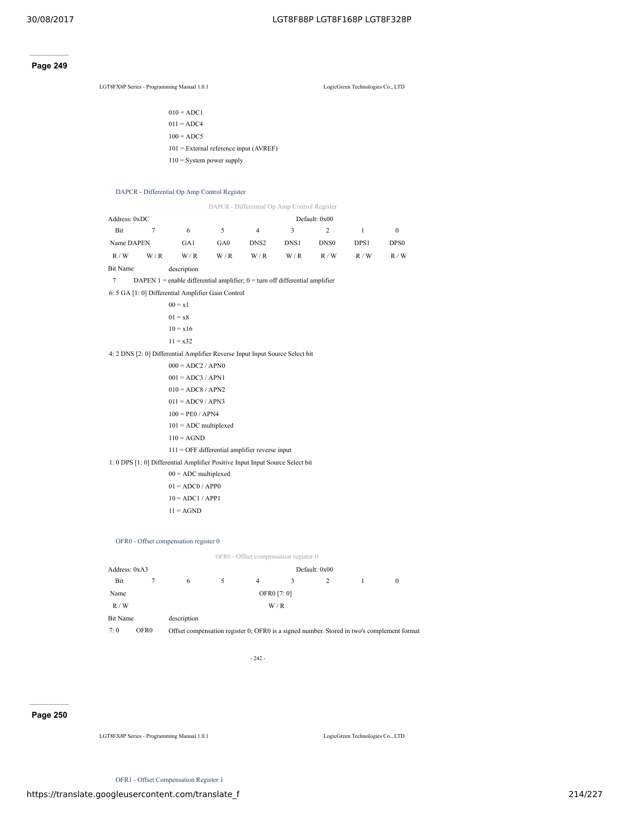# **Page 249**

LGT8FX8P Series - Programming Manual 1.0.1 LogicGreen Technologies Co., LTD

| $010 = ADC1$                             |
|------------------------------------------|
| $011 = ADC4$                             |
| $100 = ADC5$                             |
| $101$ = External reference input (AVREF) |
| $110$ = System power supply              |

## DAPCR - Differential Op Amp Control Register

|                 |     |                                                                                  |     |                  | DAPCR - Differential Op Amp Control Register |                  |       |                  |
|-----------------|-----|----------------------------------------------------------------------------------|-----|------------------|----------------------------------------------|------------------|-------|------------------|
| Address: 0xDC   |     |                                                                                  |     |                  |                                              | Default: 0x00    |       |                  |
| Bit             | 7   | 6                                                                                | 5   | 4                | 3                                            | $\overline{2}$   | 1     | $\mathbf{0}$     |
| Name DAPEN      |     | GA1                                                                              | GA0 | DNS <sub>2</sub> | DNS1                                         | DNS <sub>0</sub> | DPS1  | DPS <sub>0</sub> |
| R/W             | W/R | W/R                                                                              | W/R | W/R              | W/R                                          | R / W            | R / W | R / W            |
| <b>Bit Name</b> |     | description                                                                      |     |                  |                                              |                  |       |                  |
| 7               |     | DAPEN $1$ = enable differential amplifier; $0$ = turn off differential amplifier |     |                  |                                              |                  |       |                  |
|                 |     | 6: 5 GA [1: 0] Differential Amplifier Gain Control                               |     |                  |                                              |                  |       |                  |
|                 |     | $00 = x1$                                                                        |     |                  |                                              |                  |       |                  |
|                 |     | $01 = x8$                                                                        |     |                  |                                              |                  |       |                  |
|                 |     | $10 = x16$                                                                       |     |                  |                                              |                  |       |                  |
|                 |     | $11 = x32$                                                                       |     |                  |                                              |                  |       |                  |
|                 |     | 4: 2 DNS [2: 0] Differential Amplifier Reverse Input Input Source Select bit     |     |                  |                                              |                  |       |                  |
|                 |     | $000 = ADC2 / APN0$                                                              |     |                  |                                              |                  |       |                  |
|                 |     | $001 = ADC3 / APN1$                                                              |     |                  |                                              |                  |       |                  |
|                 |     | $010 = ADC8 / APN2$                                                              |     |                  |                                              |                  |       |                  |
|                 |     | $011 = ADC9 / APN3$                                                              |     |                  |                                              |                  |       |                  |
|                 |     | $100 = PEO / APN4$                                                               |     |                  |                                              |                  |       |                  |
|                 |     | $101 = ADC$ multiplexed                                                          |     |                  |                                              |                  |       |                  |
|                 |     | $110 = AGND$                                                                     |     |                  |                                              |                  |       |                  |
|                 |     | $111 =$ OFF differential amplifier reverse input                                 |     |                  |                                              |                  |       |                  |
|                 |     | 1: 0 DPS [1: 0] Differential Amplifier Positive Input Input Source Select bit    |     |                  |                                              |                  |       |                  |
|                 |     | $00 = ADC$ multiplexed                                                           |     |                  |                                              |                  |       |                  |
|                 |     | $01 = ADC0 / APP0$                                                               |     |                  |                                              |                  |       |                  |
|                 |     | $10 = ADC1 / APP1$                                                               |     |                  |                                              |                  |       |                  |
|                 |     | $11 = AGND$                                                                      |     |                  |                                              |                  |       |                  |

### OFR0 - Offset compensation register 0

|                 |             |             | OFR0 - Offset compensation register 0 |   |  |  |          |  |  |  |
|-----------------|-------------|-------------|---------------------------------------|---|--|--|----------|--|--|--|
| Address: 0xA3   |             |             | Default: 0x00                         |   |  |  |          |  |  |  |
| Bit             | 6           |             | 4                                     | 3 |  |  | $\Omega$ |  |  |  |
| Name            |             | OFR0 [7: 0] |                                       |   |  |  |          |  |  |  |
| R/W             |             | W/R         |                                       |   |  |  |          |  |  |  |
| <b>Bit Name</b> | description |             |                                       |   |  |  |          |  |  |  |

- 242 -

7: 0 OFR0 Offset compensation register 0; OFR0 is a signed number. Stored in two's complement format

**Page 250**

LGT8FX8P Series - Programming Manual 1.0.1 LogicGreen Technologies Co., LTD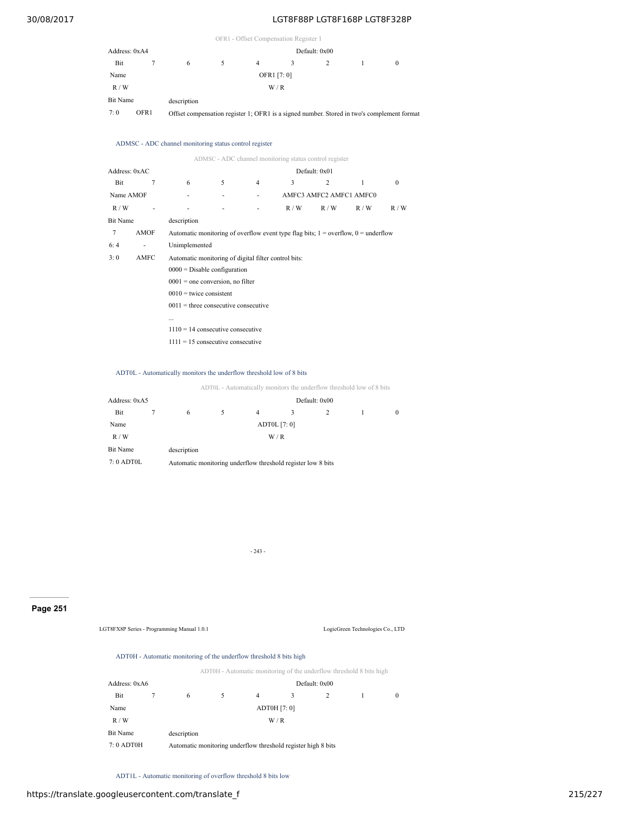|                 |      |             |                                                                                            | OFR1 - Offset Compensation Register 1 |  |  |  |   |  |  |  |  |
|-----------------|------|-------------|--------------------------------------------------------------------------------------------|---------------------------------------|--|--|--|---|--|--|--|--|
| Address: 0xA4   |      |             |                                                                                            | Default: 0x00                         |  |  |  |   |  |  |  |  |
| Bit             |      | 6           |                                                                                            | 4                                     |  |  |  | 0 |  |  |  |  |
| Name            |      |             | OFR1 [7: 0]                                                                                |                                       |  |  |  |   |  |  |  |  |
| R/W             |      |             | W/R                                                                                        |                                       |  |  |  |   |  |  |  |  |
| <b>Bit Name</b> |      | description |                                                                                            |                                       |  |  |  |   |  |  |  |  |
| 7:0             | OFR1 |             | Offset compensation register 1; OFR1 is a signed number. Stored in two's complement format |                                       |  |  |  |   |  |  |  |  |

#### ADMSC - ADC channel monitoring status control register

|               |             |                                                      |   |   | ADMSC - ADC channel monitoring status control register                                 |                         |     |          |  |  |  |
|---------------|-------------|------------------------------------------------------|---|---|----------------------------------------------------------------------------------------|-------------------------|-----|----------|--|--|--|
| Address: 0xAC |             |                                                      |   |   |                                                                                        | Default: 0x01           |     |          |  |  |  |
| Bit           | 7           | 6                                                    | 5 | 4 | 3                                                                                      | 2                       | 1   | $\Omega$ |  |  |  |
| Name AMOF     |             |                                                      |   |   |                                                                                        | AMFC3 AMFC2 AMFC1 AMFC0 |     |          |  |  |  |
| R/W           |             |                                                      |   |   | R/W                                                                                    | R/W                     | R/W | R / W    |  |  |  |
| Bit Name      |             | description                                          |   |   |                                                                                        |                         |     |          |  |  |  |
| 7             | <b>AMOF</b> |                                                      |   |   | Automatic monitoring of overflow event type flag bits; $1 =$ overflow, $0 =$ underflow |                         |     |          |  |  |  |
| 6:4           |             | Unimplemented                                        |   |   |                                                                                        |                         |     |          |  |  |  |
| 3:0           | AMFC        | Automatic monitoring of digital filter control bits: |   |   |                                                                                        |                         |     |          |  |  |  |
|               |             | $0000 =$ Disable configuration                       |   |   |                                                                                        |                         |     |          |  |  |  |
|               |             | $0001$ = one conversion, no filter                   |   |   |                                                                                        |                         |     |          |  |  |  |
|               |             | $0010$ = twice consistent                            |   |   |                                                                                        |                         |     |          |  |  |  |
|               |             | $0011$ = three consecutive consecutive               |   |   |                                                                                        |                         |     |          |  |  |  |
|               |             |                                                      |   |   |                                                                                        |                         |     |          |  |  |  |
|               |             | $1110 = 14$ consecutive consecutive                  |   |   |                                                                                        |                         |     |          |  |  |  |
|               |             | $1111 = 15$ consecutive consecutive                  |   |   |                                                                                        |                         |     |          |  |  |  |

### ADT0L - Automatically monitors the underflow threshold low of 8 bits

ADT0L - Automatically monitors the underflow threshold low of 8 bits

| Address: 0xA5 |                                                              | Default: 0x00 |                |   |  |  |          |  |  |  |  |
|---------------|--------------------------------------------------------------|---------------|----------------|---|--|--|----------|--|--|--|--|
| Bit           | 6                                                            | 5.            | $\overline{4}$ | 3 |  |  | $\Omega$ |  |  |  |  |
| Name          |                                                              | ADT0L [7: 0]  |                |   |  |  |          |  |  |  |  |
| R/W           |                                                              | W/R           |                |   |  |  |          |  |  |  |  |
| Bit Name      | description                                                  |               |                |   |  |  |          |  |  |  |  |
| $7:0$ ADT0L   | Automatic monitoring underflow threshold register low 8 bits |               |                |   |  |  |          |  |  |  |  |

- 243 -

# **Page 251**

LGT8FX8P Series - Programming Manual 1.0.1 LogicGreen Technologies Co., LTD

# ADT0H - Automatic monitoring of the underflow threshold 8 bits high

| ADT0H - Automatic monitoring of the underflow threshold 8 bits high |  |  |
|---------------------------------------------------------------------|--|--|
|                                                                     |  |  |

| Address: 0xA6 |                                                               | Default: 0x00 |   |              |   |  |          |  |  |
|---------------|---------------------------------------------------------------|---------------|---|--------------|---|--|----------|--|--|
| Bit           | 6                                                             | 5             | 4 | 3            | 2 |  | $\Omega$ |  |  |
| Name          |                                                               |               |   | ADT0H [7: 0] |   |  |          |  |  |
| R/W           |                                                               |               |   | W/R          |   |  |          |  |  |
| Bit Name      | description                                                   |               |   |              |   |  |          |  |  |
| $7:0$ ADT0H   | Automatic monitoring underflow threshold register high 8 bits |               |   |              |   |  |          |  |  |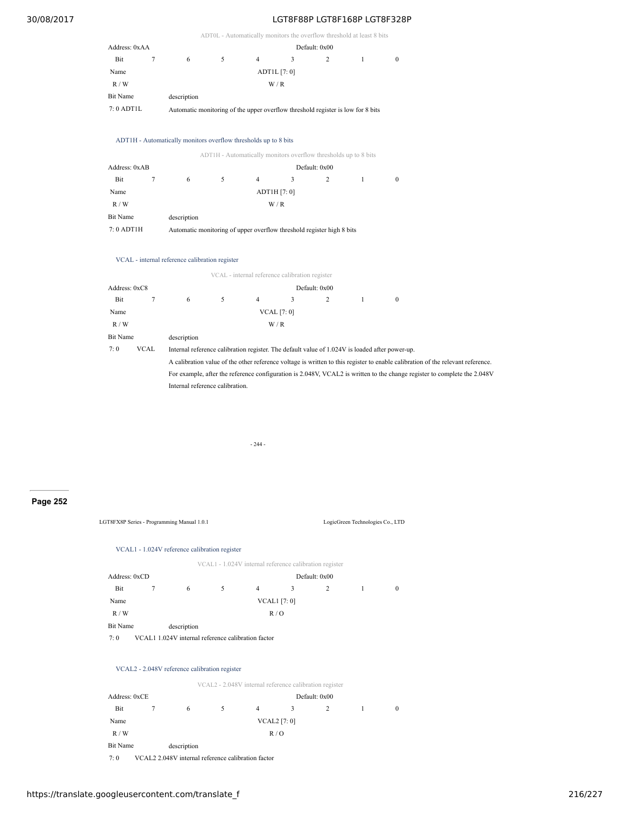|                 |                |                                                                                                |              |                |                                                |                                                                 | ADT0L - Automatically monitors the overflow threshold at least 8 bits |                                                                                                                                 |  |  |  |  |  |
|-----------------|----------------|------------------------------------------------------------------------------------------------|--------------|----------------|------------------------------------------------|-----------------------------------------------------------------|-----------------------------------------------------------------------|---------------------------------------------------------------------------------------------------------------------------------|--|--|--|--|--|
| Address: 0xAA   |                |                                                                                                |              |                |                                                | Default: 0x00                                                   |                                                                       |                                                                                                                                 |  |  |  |  |  |
| Bit             | $\overline{7}$ | 6                                                                                              | 5            | $\overline{4}$ | 3                                              | 2                                                               | 1                                                                     | $\mathbf{0}$                                                                                                                    |  |  |  |  |  |
| Name            |                |                                                                                                |              |                | ADT1L [7: 0]                                   |                                                                 |                                                                       |                                                                                                                                 |  |  |  |  |  |
| R / W           |                |                                                                                                |              |                | W/R                                            |                                                                 |                                                                       |                                                                                                                                 |  |  |  |  |  |
| <b>Bit Name</b> |                | description                                                                                    |              |                |                                                |                                                                 |                                                                       |                                                                                                                                 |  |  |  |  |  |
| 7:0 ADT1L       |                | Automatic monitoring of the upper overflow threshold register is low for 8 bits                |              |                |                                                |                                                                 |                                                                       |                                                                                                                                 |  |  |  |  |  |
|                 |                | ADT1H - Automatically monitors overflow thresholds up to 8 bits                                |              |                |                                                |                                                                 |                                                                       |                                                                                                                                 |  |  |  |  |  |
|                 |                |                                                                                                |              |                |                                                | ADT1H - Automatically monitors overflow thresholds up to 8 bits |                                                                       |                                                                                                                                 |  |  |  |  |  |
| Address: 0xAB   |                |                                                                                                |              |                | Default: 0x00                                  |                                                                 |                                                                       |                                                                                                                                 |  |  |  |  |  |
| Bit             | $\tau$         | 6                                                                                              | 5            | $\overline{4}$ | 3                                              | 2                                                               | $\mathbf{1}$                                                          | $\boldsymbol{0}$                                                                                                                |  |  |  |  |  |
| Name            |                |                                                                                                | ADT1H [7: 0] |                |                                                |                                                                 |                                                                       |                                                                                                                                 |  |  |  |  |  |
| R / W           |                |                                                                                                |              |                | W/R                                            |                                                                 |                                                                       |                                                                                                                                 |  |  |  |  |  |
| <b>Bit Name</b> |                | description                                                                                    |              |                |                                                |                                                                 |                                                                       |                                                                                                                                 |  |  |  |  |  |
| 7:0 ADT1H       |                | Automatic monitoring of upper overflow threshold register high 8 bits                          |              |                |                                                |                                                                 |                                                                       |                                                                                                                                 |  |  |  |  |  |
|                 |                | VCAL - internal reference calibration register                                                 |              |                |                                                |                                                                 |                                                                       |                                                                                                                                 |  |  |  |  |  |
|                 |                |                                                                                                |              |                | VCAL - internal reference calibration register |                                                                 |                                                                       |                                                                                                                                 |  |  |  |  |  |
| Address: 0xC8   |                |                                                                                                |              |                |                                                | Default: 0x00                                                   |                                                                       |                                                                                                                                 |  |  |  |  |  |
| Bit             | $\tau$         | 6                                                                                              | 5            | $\overline{4}$ | 3                                              | $\overline{c}$                                                  | $\mathbf{1}$                                                          | $\boldsymbol{0}$                                                                                                                |  |  |  |  |  |
| Name            |                |                                                                                                |              |                | <b>VCAL</b> [7: 0]                             |                                                                 |                                                                       |                                                                                                                                 |  |  |  |  |  |
| R/W             |                |                                                                                                |              |                | W/R                                            |                                                                 |                                                                       |                                                                                                                                 |  |  |  |  |  |
| <b>Bit Name</b> |                | description                                                                                    |              |                |                                                |                                                                 |                                                                       |                                                                                                                                 |  |  |  |  |  |
| 7:0             | <b>VCAL</b>    | Internal reference calibration register. The default value of 1.024V is loaded after power-up. |              |                |                                                |                                                                 |                                                                       |                                                                                                                                 |  |  |  |  |  |
|                 |                |                                                                                                |              |                |                                                |                                                                 |                                                                       | A calibration value of the other reference voltage is written to this register to enable calibration of the relevant reference. |  |  |  |  |  |
|                 |                |                                                                                                |              |                |                                                |                                                                 |                                                                       | For example, after the reference configuration is 2.048V, VCAL2 is written to the change register to complete the 2.048V        |  |  |  |  |  |

Internal reference calibration.

- 244 -

# **Page 252**

LGT8FX8P Series - Programming Manual 1.0.1 LogicGreen Technologies Co., LTD

## VCAL1 - 1.024V reference calibration register

|                 |                                                    |    | VCAL1 - 1.024V internal reference calibration register |                     |   |  |          |  |  |
|-----------------|----------------------------------------------------|----|--------------------------------------------------------|---------------------|---|--|----------|--|--|
| Address: 0xCD   |                                                    |    | Default: 0x00                                          |                     |   |  |          |  |  |
| Bit             | 6                                                  | 5. | 4                                                      | 3                   | 2 |  | $\bf{0}$ |  |  |
| Name            |                                                    |    |                                                        | <b>VCAL1</b> [7: 0] |   |  |          |  |  |
| R/W             |                                                    |    |                                                        | R/O                 |   |  |          |  |  |
| <b>Bit Name</b> | description                                        |    |                                                        |                     |   |  |          |  |  |
| 7:0             | VCAL1 1.024V internal reference calibration factor |    |                                                        |                     |   |  |          |  |  |

### VCAL2 - 2.048V reference calibration register

|                 |                                                    | VCAL2 - 2.048V internal reference calibration register |   |                     |               |  |          |  |  |  |  |  |
|-----------------|----------------------------------------------------|--------------------------------------------------------|---|---------------------|---------------|--|----------|--|--|--|--|--|
| Address: 0xCE   |                                                    |                                                        |   |                     | Default: 0x00 |  |          |  |  |  |  |  |
| Bit             | 6                                                  | 5.                                                     | 4 | 3                   | 2             |  | $\Omega$ |  |  |  |  |  |
| Name            |                                                    |                                                        |   | <b>VCAL2</b> [7: 0] |               |  |          |  |  |  |  |  |
| R/W             |                                                    |                                                        |   | R/O                 |               |  |          |  |  |  |  |  |
| <b>Bit Name</b> | description                                        |                                                        |   |                     |               |  |          |  |  |  |  |  |
| 7:0             | VCAL2 2.048V internal reference calibration factor |                                                        |   |                     |               |  |          |  |  |  |  |  |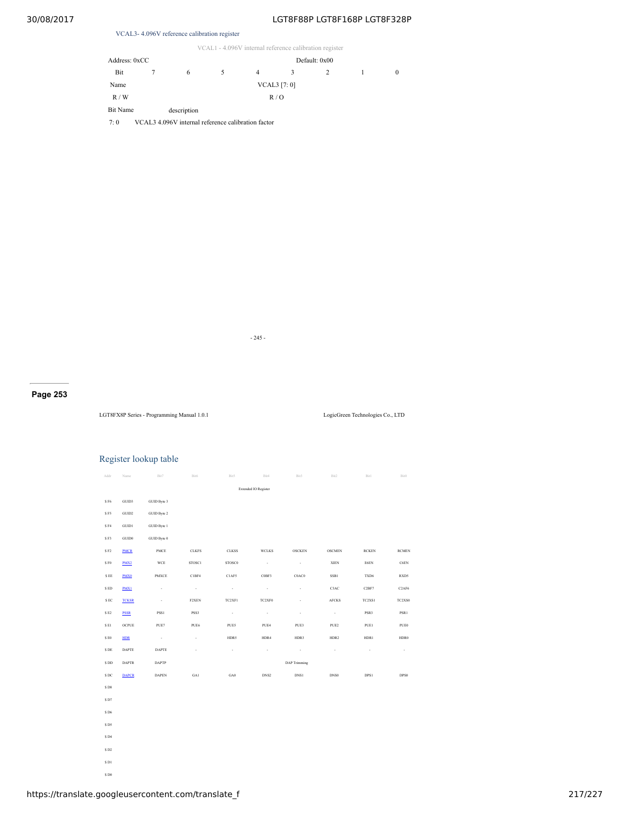## VCAL3- 4.096V reference calibration register

|  |  |  | VCAL1 - 4.096V internal reference calibration register |
|--|--|--|--------------------------------------------------------|
|--|--|--|--------------------------------------------------------|

| Address: 0xCC |                                                    |    | Default: 0x00 |              |                |  |          |  |
|---------------|----------------------------------------------------|----|---------------|--------------|----------------|--|----------|--|
| Bit           | 6                                                  | 5. | 4             | 3            | $\overline{c}$ |  | $\theta$ |  |
| Name          |                                                    |    |               | VCAL3 [7: 0] |                |  |          |  |
| R/W           |                                                    |    |               | R/O          |                |  |          |  |
| Bit Name      | description                                        |    |               |              |                |  |          |  |
| 7:0           | VCAL3 4.096V internal reference calibration factor |    |               |              |                |  |          |  |

- 245 -

**Page 253**

LGT8FX8P Series - Programming Manual 1.0.1 LogicGreen Technologies Co., LTD

## Register lookup table

| Addr               | Name                   | Bit7                     | Bit6                     | Bit5              | Bit4                        | Bit3                     | Bit2             | Bit1         | Bit0             |
|--------------------|------------------------|--------------------------|--------------------------|-------------------|-----------------------------|--------------------------|------------------|--------------|------------------|
|                    |                        |                          |                          |                   |                             |                          |                  |              |                  |
|                    |                        |                          |                          |                   | <b>Extended IO Register</b> |                          |                  |              |                  |
| \$F6               | GUID3                  | GUID Byte 3              |                          |                   |                             |                          |                  |              |                  |
| \$F5               | $\rm GUID2$            | GUID Byte 2              |                          |                   |                             |                          |                  |              |                  |
| \$F4               | $\rm GUD1$             | GUID Byte 1              |                          |                   |                             |                          |                  |              |                  |
| \$F3               | $\mathrm{GUID0}$       | GUID Byte 0              |                          |                   |                             |                          |                  |              |                  |
| \$F2               | <b>PMCR</b>            | PMCE                     | <b>CLKFS</b>             | <b>CLKSS</b>      | <b>WCLKS</b>                | <b>OSCKEN</b>            | <b>OSCMEN</b>    | <b>RCKEN</b> | <b>RCMEN</b>     |
| \$F0               | PMX2                   | WCE                      | STOSC1                   | STOSC0            | ٠                           | $\cdot$                  | <b>XIEN</b>      | E6EN         | C6EN             |
| $\$$ EE            | <b>PMX0</b>            | PMXCE                    | C1BF4                    | C1AF5             | COBF3                       | C0AC0                    | SSB1             | TXD6         | RXD5             |
| \$ ED              | PMX1                   | $\cdot$                  | $\overline{\phantom{a}}$ | $\cdot$           | ٠                           | $\overline{\phantom{a}}$ | C3AC             | C2BF7        | C2AF6            |
| \$ EC              | <b>TCKSR</b>           | $\overline{\phantom{a}}$ | F2XEN                    | TC2XF1            | TC2XF0                      | ٠                        | <b>AFCKS</b>     | TC2XS1       | TC2XS0           |
| $S$ $E2$           | <b>PSSR</b>            | PSS1                     | PSS <sub>3</sub>         | $\cdot$           | $\overline{\phantom{a}}$    | $\cdot$                  | $\cdot$          | PSR3         | PSR1             |
| \$E1               | $\operatorname{OCPUE}$ | PUE7                     | PUE6                     | PUE5              | PUE4                        | PUE3                     | PUE <sub>2</sub> | PUE1         | PUE <sub>0</sub> |
| \$E0               | <b>HDR</b>             | $\cdot$                  | ä,                       | HDR5              | HDR4                        | HDR3                     | HDR2             | HDR1         | HDR0             |
| $\$$ DE            | <b>DAPTE</b>           | <b>DAPTE</b>             | i,                       | $\cdot$           | ×,                          | $\cdot$                  | à,               | ×,           | ×.               |
| \$DD               | <b>DAPTR</b>           | <b>DAPTP</b>             |                          |                   |                             | <b>DAP</b> Trimming      |                  |              |                  |
| \$ DC              | <b>DAPCR</b>           | <b>DAPEN</b>             | GA1                      | $_{\mathrm{GAO}}$ | DNS <sub>2</sub>            | DNS1                     | DNS0             | DPS1         | DPS0             |
| \$D8               |                        |                          |                          |                   |                             |                          |                  |              |                  |
| \$D7               |                        |                          |                          |                   |                             |                          |                  |              |                  |
| $\$$ D6            |                        |                          |                          |                   |                             |                          |                  |              |                  |
| \$D5               |                        |                          |                          |                   |                             |                          |                  |              |                  |
| \$D4               |                        |                          |                          |                   |                             |                          |                  |              |                  |
| $S$ D <sub>2</sub> |                        |                          |                          |                   |                             |                          |                  |              |                  |
| \$D1               |                        |                          |                          |                   |                             |                          |                  |              |                  |

 $\$$  D0  $\,$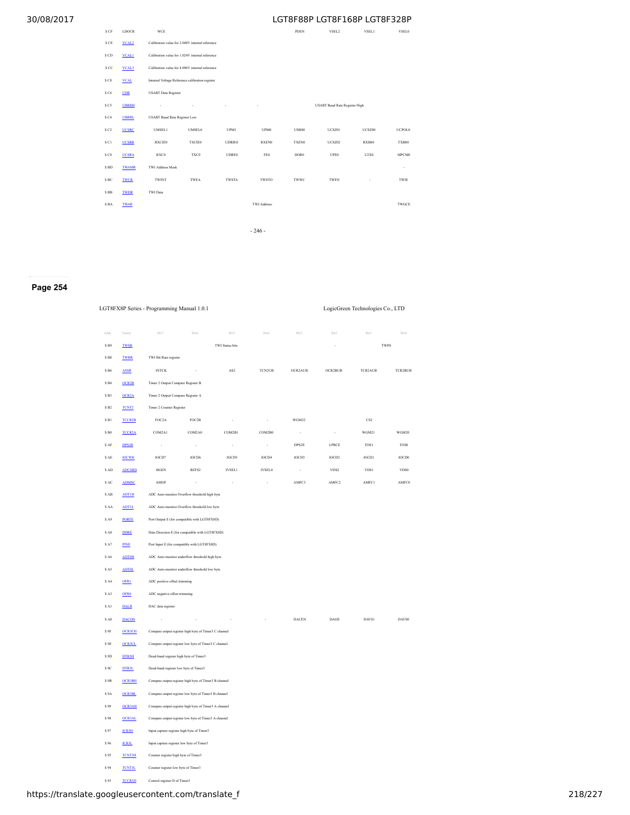| \$ CF             | <b>LDOCR</b>      | WCE                                 |                                                 |               |                    | <b>PDEN</b>      | VSEL2                                | VSEL1        | VSEL0        |  |
|-------------------|-------------------|-------------------------------------|-------------------------------------------------|---------------|--------------------|------------------|--------------------------------------|--------------|--------------|--|
| \$ CE             | VCAL <sub>2</sub> |                                     | Calibration value for 2.048V internal reference |               |                    |                  |                                      |              |              |  |
| \$ CD             | <b>VCAL1</b>      |                                     | Calibration value for 1.024V internal reference |               |                    |                  |                                      |              |              |  |
| s cc              | VCAL <sub>3</sub> |                                     | Calibration value for 4.096V internal reference |               |                    |                  |                                      |              |              |  |
| S C8              | <b>VCAL</b>       |                                     | Internal Voltage Reference calibration register |               |                    |                  |                                      |              |              |  |
| S C6              | UDR               |                                     | <b>USART</b> Data Register                      |               |                    |                  |                                      |              |              |  |
| \$ C5             | <b>UBRRH</b>      |                                     | i,                                              | ×             | ×                  |                  | <b>USART Baud Rate Register High</b> |              |              |  |
| \$C4              | <b>UBRRL</b>      | <b>USART Baud Rate Register Low</b> |                                                 |               |                    |                  |                                      |              |              |  |
| \$C2              | <b>UCSRC</b>      | <b>UMSEL1</b>                       | <b>UMSEL0</b>                                   | UPM1          | UPM0               | <b>USBS0</b>     | UCSZ01                               | UCSZ00       | UCPOL0       |  |
| \$ C1             | <b>UCSRB</b>      | RXCIE0                              | TXCIE0                                          | <b>UDRIE0</b> | RXEN0              | <b>TXEN0</b>     | UCSZ02                               | <b>RXB80</b> | <b>TXB80</b> |  |
| \$ CO             | <b>UCSRA</b>      | RXC0                                | TXC0                                            | <b>UDRE0</b>  | FE0                | DOR <sub>0</sub> | <b>UPE0</b>                          | U2X0         | MPCM0        |  |
| \$BD              | <b>TWAMR</b>      | TWI Address Mask                    |                                                 |               |                    |                  |                                      |              | $\cdot$      |  |
| $S$ $B\mathrm{C}$ | <b>TWCR</b>       | <b>TWINT</b>                        | TWEA                                            | TWSTA         | <b>TWSTO</b>       | TWWC             | <b>TWEN</b>                          | ٠            | TWIE         |  |
| $\mathbb S$ BB    | <b>TWDR</b>       | TWI Data                            |                                                 |               |                    |                  |                                      |              |              |  |
| \$BA              | <b>TWAR</b>       |                                     |                                                 |               | <b>TWI Address</b> |                  |                                      |              | TWGCE        |  |
|                   |                   |                                     |                                                 |               |                    |                  |                                      |              |              |  |
|                   |                   |                                     |                                                 |               | $-246-$            |                  |                                      |              |              |  |

## **Page 254**

#### LGT8FX8P Series - Programming Manual 1.0.1 LogicGreen Technologies Co., LTD

| Addr                 | Name               | Bit7                                   | Bit6                                                  | Bit5                   | Bit4          | Bit3         | Bit2              | Bit1            | Bit0                   |
|----------------------|--------------------|----------------------------------------|-------------------------------------------------------|------------------------|---------------|--------------|-------------------|-----------------|------------------------|
| \$B9                 | <b>TWSR</b>        |                                        |                                                       | <b>TWI Status bits</b> |               |              |                   | <b>TWPS</b>     |                        |
| \$B8                 | <b>TWBR</b>        | TWI Bit Rate register                  |                                                       |                        |               |              |                   |                 |                        |
| $\$$ B6 $\,$         | <b>ASSR</b>        | <b>INTCK</b>                           | ×                                                     | AS2                    | <b>TCN2UB</b> | OCR2AUB      | OCR2BUB           | TCR2AUB         | <b>TCR2BUB</b>         |
| $\$$ B4 $\,$         | OCR2B              | Timer 2 Output Compare Register B      |                                                       |                        |               |              |                   |                 |                        |
| SB3                  | OCR <sub>2</sub> A | Timer 2 Output Compare Register A      |                                                       |                        |               |              |                   |                 |                        |
| $\sqrt{\text{S}}$ B2 | TCNT <sub>2</sub>  | Timer 2 Counter Register               |                                                       |                        |               |              |                   |                 |                        |
| $\$$ B1 $\,$         | <b>TCCR2B</b>      | FOC2A                                  | FOC2B                                                 | ł.                     | ×.            | WGM22        |                   | CS <sub>2</sub> |                        |
| $\$$ B0 $\,$         | <b>TCCR2A</b>      | COM2A1                                 | COM2A0                                                | COM2B1                 | COM2B0        | ÷.           | ÷.                | WGM21           | WGM20                  |
| $\sqrt{\text{S AF}}$ | DPS2R              | $\epsilon$                             | ł.                                                    | ÷.                     | ×.            | DPS2E        | LPRCE             | TOS1            | TOS0                   |
| \$AE                 | <b>IOCWK</b>       | IOCD7                                  | IOCD6                                                 | IOCD5                  | IOCD4         | IOCD3        | IOCD2             | IOCD1           | $IOCD0$                |
| \$AD                 | <b>ADCSRD</b>      | $_{\rm BGEN}$                          | REFS2                                                 | <b>IVSEL1</b>          | <b>IVSEL0</b> | ä,           | VDS2              | VDS1            | VDS0                   |
| \$ AC                | <b>ADMSC</b>       | $\operatorname{AMOF}$                  | i,                                                    |                        | ż             | AMFC3        | AMFC <sub>2</sub> | AMFC1           | $\operatorname{AMFC0}$ |
| \$AB                 | <b>ADT1H</b>       |                                        | ADC Auto-monitor Overflow threshold high byte         |                        |               |              |                   |                 |                        |
| \$ AA                | <b>ADTIL</b>       |                                        | ADC Auto-monitor Overflow threshold low byte          |                        |               |              |                   |                 |                        |
| \$A9                 | <b>PORTE</b>       |                                        | Port Output E (for compatible with LGT8FX8D)          |                        |               |              |                   |                 |                        |
| SA8                  | <b>DDRE</b>        |                                        | Data Direction E (for compatible with LGT8FX8D)       |                        |               |              |                   |                 |                        |
| \$A7                 | PINE               |                                        | Port Input E (for compatible with LGT8FX8D)           |                        |               |              |                   |                 |                        |
| <b>SA6</b>           | <b>ADTOH</b>       |                                        | ADC Auto-monitor underflow threshold high byte        |                        |               |              |                   |                 |                        |
| \$A5                 | <b>ADTOL</b>       |                                        | ADC Auto-monitor underflow threshold low byte         |                        |               |              |                   |                 |                        |
| SA4                  | OFR <sub>1</sub>   | ADC positive offset trimming           |                                                       |                        |               |              |                   |                 |                        |
| \$A3                 | <b>OFRO</b>        | ADC negative offset trimming           |                                                       |                        |               |              |                   |                 |                        |
| \$A1                 | <b>DALR</b>        | DAC data register                      |                                                       |                        |               |              |                   |                 |                        |
| \$ A0                | <b>DACON</b>       | à,                                     |                                                       |                        |               | <b>DACEN</b> | <b>DAOE</b>       | DAVS1           | DAVS0                  |
| \$9F                 | <b>OCR3CH</b>      |                                        | Compare output register high byte of Timer3 C channel |                        |               |              |                   |                 |                        |
| $\$$ 9E              | <b>OCR3CL</b>      |                                        | Compare output register low byte of Timer3 C channel  |                        |               |              |                   |                 |                        |
| \$9D                 | DTR3H              | Dead-band register high byte of Timer3 |                                                       |                        |               |              |                   |                 |                        |
| \$9C                 | DTR3L              | Dead-band register low byte of Timer3  |                                                       |                        |               |              |                   |                 |                        |
| $S$ 9 $B$            | <b>OCR3BH</b>      |                                        | Compare output register high byte of Timer3 B channel |                        |               |              |                   |                 |                        |
| \$9A                 | <b>OCR3BL</b>      |                                        | Compare output register low byte of Timer3 B channel  |                        |               |              |                   |                 |                        |
| \$99                 | <b>OCR3AH</b>      |                                        | Compare output register high byte of Timer3 A channel |                        |               |              |                   |                 |                        |
| $\sqrt{5}$ 98        | OCR3AL             |                                        | Compare output register low byte of Timer3 A channel  |                        |               |              |                   |                 |                        |
| \$97                 | <b>ICR3H</b>       |                                        | Input capture register high byte of Timer3            |                        |               |              |                   |                 |                        |
| \$96                 | <b>ICR3L</b>       |                                        | Input capture register low byte of Timer3             |                        |               |              |                   |                 |                        |
| \$95                 | <b>TCNT3H</b>      | Counter register high byte of Timer3   |                                                       |                        |               |              |                   |                 |                        |
| \$94                 | <b>TCNT3L</b>      | Counter register low byte of Timer3    |                                                       |                        |               |              |                   |                 |                        |
| \$93                 | <b>TCCR3D</b>      | Control register D of Timer3           |                                                       |                        |               |              |                   |                 |                        |

## https://translate.googleusercontent.com/translate\_f 218/227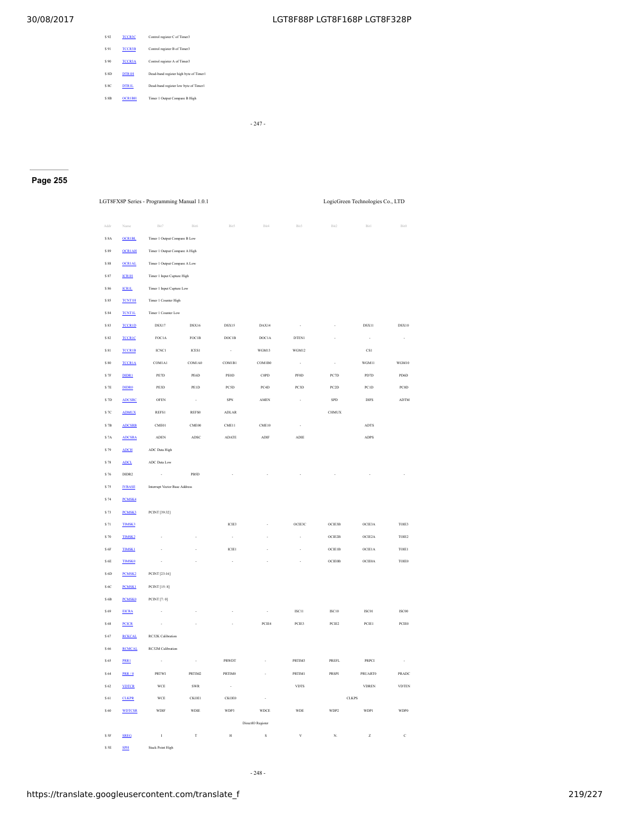| \$92     | <b>TCCR3C</b> | Control register C of Timer3           |
|----------|---------------|----------------------------------------|
| \$91     | <b>TCCR3B</b> | Control register B of Timer3           |
| \$90     | <b>TCCR3A</b> | Control register A of Timer3           |
| SSD      | <b>DTRIH</b>  | Dead-band register high byte of Timer1 |
| SSC      | <b>DTRIL</b>  | Dead-band register low byte of Timer1  |
| $S$ $SR$ | <b>OCRIBH</b> | Timer 1 Output Compare B High          |
|          |               |                                        |

- 247 -

## **Page 255**

LGT8FX8P Series - Programming Manual 1.0.1 LogicGreen Technologies Co., LTD

| Addr          | Name               | Bit7                          | Bit6         | Bit5         | Bit4              | Bit3              | Bit2                     | Bit1                | Bit0         |
|---------------|--------------------|-------------------------------|--------------|--------------|-------------------|-------------------|--------------------------|---------------------|--------------|
| $S$ 8A        | <b>OCRIBL</b>      | Timer 1 Output Compare B Low  |              |              |                   |                   |                          |                     |              |
| $\$$ 89       | <b>OCRIAH</b>      | Timer 1 Output Compare A High |              |              |                   |                   |                          |                     |              |
| $\sqrt{s}$ 88 | <b>OCRIAL</b>      | Timer 1 Output Compare A Low  |              |              |                   |                   |                          |                     |              |
| \$87          | <b>ICRIH</b>       | Timer 1 Input Capture High    |              |              |                   |                   |                          |                     |              |
| \$86          | <b>ICRIL</b>       | Timer 1 Input Capture Low     |              |              |                   |                   |                          |                     |              |
| $\sqrt{S}$ 85 | <b>TCNT1H</b>      | Timer 1 Counter High          |              |              |                   |                   |                          |                     |              |
| $\$$ 84       | <b>TCNT1L</b>      | Timer 1 Counter Low           |              |              |                   |                   |                          |                     |              |
| \$83          | <b>TCCR1D</b>      | DSX17                         | <b>DSX16</b> | DSX15        | DAX14             | ÷.                |                          | DSX11               | <b>DSX10</b> |
| \$82          | <b>TCCR1C</b>      | FOC1A                         | FOC1B        | DOC1B        | DOC1A             | DTEN1             |                          | ÷.                  | ÷.           |
| $\$$ 81       | <b>TCCR1B</b>      | $_{\rm ICNC1}$                | ICES1        | $\sim$       | WGM13             | WGM12             |                          | $_{\rm CS1}$        |              |
| \$80          | <b>TCCR1A</b>      | COM1A1                        | COM1A0       | COM1B1       | COM1B0            | à,                | $\overline{\phantom{a}}$ | WGM11               | WGM10        |
| $S$ 7F        | DIDR1              | PE7D                          | PE6D         | PEOD         | COPD              | <b>PF0D</b>       | PC7D                     | PD7D                | PD6D         |
| \$7E          | <b>DIDRO</b>       | PE3D                          | PE1D         | <b>PCSD</b>  | PC4D              | PC3D              | PC <sub>2</sub> D        | PC1D                | PC0D         |
| $S$ $7D$      | <b>ADCSRC</b>      | <b>OFEN</b>                   | $\sim$       | SPN          | <b>AMEN</b>       | ×                 | <b>SPD</b>               | <b>DIFS</b>         | <b>ADTM</b>  |
| \$7C          | <b>ADMUX</b>       | REFS1                         | REFS0        | <b>ADLAR</b> |                   |                   | <b>CHMUX</b>             |                     |              |
| $S$ 7B        | <b>ADCSRB</b>      | CME01                         | CME00        | CME11        | CME10             | ×                 |                          | <b>ADTS</b>         |              |
| \$7A          | <b>ADCSRA</b>      | <b>ADEN</b>                   | <b>ADSC</b>  | <b>ADATE</b> | ADIF              | <b>ADIE</b>       |                          | <b>ADPS</b>         |              |
| \$79          | <b>ADCH</b>        | ADC Data High                 |              |              |                   |                   |                          |                     |              |
| \$78          | <b>ADCL</b>        | ADC Data Low                  |              |              |                   |                   |                          |                     |              |
| \$76          | DIDR2              | $\cdot$                       | PBSD         |              |                   |                   |                          |                     |              |
| \$75          | <b>IVBASE</b>      | Interrupt Vector Base Address |              |              |                   |                   |                          |                     |              |
| \$74          | <b>PCMSK4</b>      |                               |              |              |                   |                   |                          |                     |              |
| \$73          | <b>PCMSK3</b>      | PCINT [39:32]                 |              |              |                   |                   |                          |                     |              |
| \$71          | TIMSK3             |                               |              | ICIE3        |                   | OCIE3C            | OCIE3B                   | OCIE3A              | TOIE3        |
| \$70          | TIMSK <sub>2</sub> |                               |              | ÷,           |                   | i,                | OCIE2B                   | OCIE <sub>2</sub> A | TOIE2        |
| $\$$ 6F       | <b>TIMSK1</b>      |                               |              | ICIE1        |                   | i,                | <b>OCIE1B</b>            | <b>OCIE1A</b>       | TOIE1        |
| $\$$ 6E       | <b>TIMSK0</b>      |                               |              |              |                   |                   | <b>OCIE0B</b>            | OCIE0A              | TOIE0        |
| $\$$ 6D       | PCMSK <sub>2</sub> | PCINT [23:16]                 |              |              |                   |                   |                          |                     |              |
| \$6C          | <b>PCMSK1</b>      | PCINT [15:8]                  |              |              |                   |                   |                          |                     |              |
| $\$$ 6B       | <b>PCMSK0</b>      | PCINT [7:0]                   |              |              |                   |                   |                          |                     |              |
| $\$$ 69       | <b>EICRA</b>       |                               |              |              |                   | ISC <sub>11</sub> | ISC <sub>10</sub>        | ISC01               | ISC00        |
| $\sqrt{5}$ 68 | <b>PCICR</b>       |                               |              |              | PCIE4             | PCIE3             | PCIE <sub>2</sub>        | PCIE1               | PCIE0        |
| $\$$ 67       | <b>RCKCAL</b>      | RC32K Calibration             |              |              |                   |                   |                          |                     |              |
| \$66          | <b>RCMCAL</b>      | RC32M Calibration             |              |              |                   |                   |                          |                     |              |
| \$65          | PRR1               | ×                             | $\sim$       | PRWDT        |                   | PRTIM3            | <b>PREFL</b>             | <b>PRPCI</b>        | ÷.           |
| $\$$ 64       | PRR/0              | PRTWI                         | PRTIM2       | PRTIM0       | t                 | PRTIM1            | PRSPI                    | <b>PRUART0</b>      | PRADC        |
| \$62          | <b>VDTCR</b>       | WCE                           | SWR          | $\sim$       |                   | <b>VDTS</b>       |                          | <b>VDREN</b>        | <b>VDTEN</b> |
| \$61          | <b>CLKPR</b>       | <b>WCE</b>                    | CKOE1        | CKOE0        | ÷.                |                   |                          | <b>CLKPS</b>        |              |
| \$60          | <b>WDTCSR</b>      | <b>WDIF</b>                   | <b>WDIE</b>  | WDP3         | <b>WDCE</b>       | <b>WDE</b>        | WDP2                     | WDP1                | WDP0         |
|               |                    |                               |              |              | DirectIO Register |                   |                          |                     |              |
| \$ SF         | <b>SREG</b>        | $\mathbf{I}$                  | T            | $_{\rm H}$   | $\rm s$           | $\mathbf{V}$      | N.                       | $\overline{z}$      | $\mathbf{c}$ |
| \$ SE         | <b>SPH</b>         | <b>Stack Point High</b>       |              |              |                   |                   |                          |                     |              |

- 248 -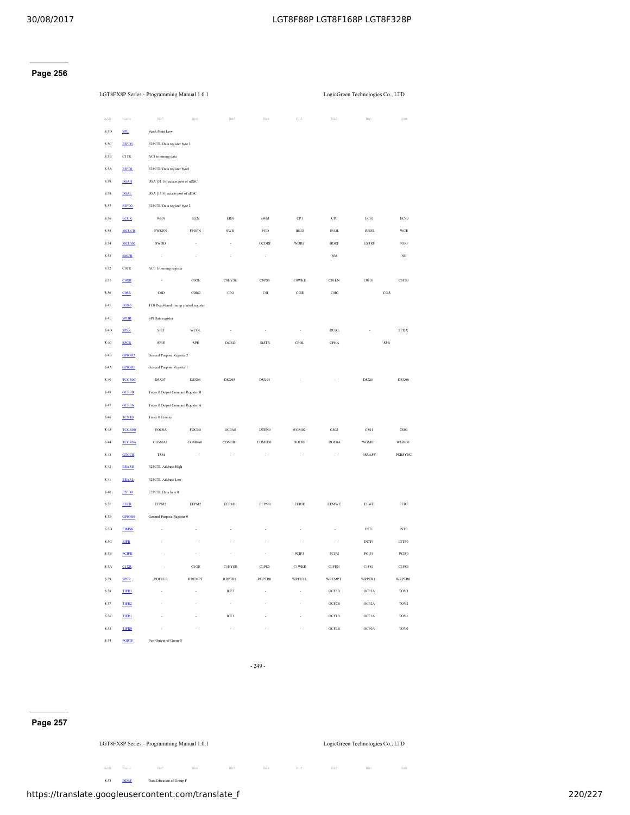## **Page 256**

|                | LGT8FX8P Series - Programming Manual 1.0.1 |                                       |                          |               |                                | LogicGreen Technologies Co., LTD |                 |                    |                               |
|----------------|--------------------------------------------|---------------------------------------|--------------------------|---------------|--------------------------------|----------------------------------|-----------------|--------------------|-------------------------------|
| Addr           | Name                                       | Bit7                                  | Bit6                     | Bit5          | Bit4                           | Bit3                             | Bit2            | Bit1               | Bit0                          |
| \$5D           | <b>SPL</b>                                 | <b>Stack Point Low</b>                |                          |               |                                |                                  |                 |                    |                               |
| \$5C           | E2PD3                                      | E2PCTL Data register byte 3           |                          |               |                                |                                  |                 |                    |                               |
| \$5B           | <b>C1TR</b>                                | AC1 trimming data                     |                          |               |                                |                                  |                 |                    |                               |
| \$ 5A          | E2PD1                                      | E2PCTL Data register byte1            |                          |               |                                |                                  |                 |                    |                               |
| \$59           | <b>DSAH</b>                                | DSA [31:16] access port of uDSC       |                          |               |                                |                                  |                 |                    |                               |
| \$58           | <b>DSAL</b>                                | DSA [15: 0] access port of uDSC       |                          |               |                                |                                  |                 |                    |                               |
| \$57           | E2PD <sub>2</sub>                          | E2PCTL Data register byte 2           |                          |               |                                |                                  |                 |                    |                               |
| \$56           | <b>ECCR</b>                                | <b>WEN</b>                            | EEN                      | ERN           | <b>SWM</b>                     | CP1                              | CP <sub>0</sub> | ECS1               | ECS0                          |
| \$55           | <b>MCUCR</b>                               | <b>FWKEN</b>                          | <b>FPDEN</b>             | SWR           | PUD                            | <b>IRLD</b>                      | IFAIL           | <b>IVSEL</b>       | <b>WCE</b>                    |
| <b>S 54</b>    | <b>MCUSR</b>                               | SWDD                                  |                          | ł,            | <b>OCDRF</b>                   | <b>WDRF</b>                      | <b>BORF</b>     | <b>EXTRF</b>       | PORF                          |
| \$53           | <b>SMCR</b>                                |                                       |                          |               |                                |                                  | SM              |                    | $\rm SE$                      |
| \$52           | COTR                                       | AC0 Trimming register                 |                          |               |                                |                                  |                 |                    |                               |
| $S51$          | <b>COXR</b>                                |                                       | COOE                     | <b>COHYSE</b> | C0PS0                          | <b>COWKE</b>                     | COFEN           | C0FS1              | C0FS0                         |
| \$50           | <b>COSR</b>                                | COD                                   | $\rm COBG$               | $_{\rm COO}$  | C <sub>0</sub> I               | $\rm COIE$                       | COIC            | C <sub>0</sub> IS  |                               |
| $\$$ 4F        | DTR0                                       | TC0 Dead-band timing control register |                          |               |                                |                                  |                 |                    |                               |
| $\$$ 4E        | <b>SPDR</b>                                | SPI Data register                     |                          |               |                                |                                  |                 |                    |                               |
| \$4D           | <b>SPSR</b>                                | <b>SPIF</b>                           | WCOL                     | i,            | i,                             | i,                               | DUAL            |                    | SPI2X                         |
| \$4C           | <b>SPCR</b>                                | SPIE                                  | ${\rm SPE}$              | DORD          | $\operatorname{\mathsf{MSTR}}$ | <b>CPOL</b>                      | CPHA            | ${\rm SPR}$        |                               |
| $\$$ 4B        | GPIOR <sub>2</sub>                         | General Purpose Register 2            |                          |               |                                |                                  |                 |                    |                               |
| \$4A           | <b>GPIOR1</b>                              | General Purpose Register 1            |                          |               |                                |                                  |                 |                    |                               |
| \$49           | <b>TCCROC</b>                              | DSX07                                 | DSX06                    | DSX05         | DSX04                          |                                  |                 | DSX01              | DSX00                         |
| \$48           | <b>OCR0B</b>                               | Timer 0 Output Compare Register B     |                          |               |                                |                                  |                 |                    |                               |
| \$47           | <b>OCROA</b>                               | Timer 0 Output Compare Register A     |                          |               |                                |                                  |                 |                    |                               |
| \$46           | <b>TCNTO</b>                               | Timer 0 Counter                       |                          |               |                                |                                  |                 |                    |                               |
| \$45           | <b>TCCR0B</b>                              | FOC0A                                 | FOC0B                    | OC0AS         | DTEN0                          | WGM02                            | CS02            | CS01               | CS00                          |
| \$44           | <b>TCCR0A</b>                              | COM0A1                                | COM0A0                   | COM0B1        | COM0B0                         | DOC0B                            | DOC0A           | WGM01              | WGM00                         |
| \$43           | <b>GTCCR</b>                               | <b>TSM</b>                            |                          |               |                                |                                  | ł,              | PSRASY             | <b>PSRSYNC</b>                |
| \$42           | <b>EEARH</b>                               | E2PCTL Address High                   |                          |               |                                |                                  |                 |                    |                               |
| $\$$ 41        | <b>EEARL</b>                               | E2PCTL Address Low                    |                          |               |                                |                                  |                 |                    |                               |
| $\$$ 40 $\,$   | E2PD0                                      | E2PCTL Data byte 0                    |                          |               |                                |                                  |                 |                    |                               |
| $\sqrt{S}$ 3F  | <b>EECR</b>                                | EEPM2                                 | EEPM2                    | EEPM1         | EEPM0                          | EERIE                            | <b>EEMWE</b>    | <b>EEWE</b>        | EERE                          |
| \$3E           | <b>GPIORO</b>                              | General Purpose Register 0            |                          |               |                                |                                  |                 |                    |                               |
| $\$$ 3D        | <b>EIMSK</b>                               |                                       |                          |               |                                |                                  |                 | INT1               | $\ensuremath{\text{INT0}}$    |
| \$3C           | <b>EIFR</b>                                |                                       |                          |               |                                |                                  |                 | <b>INTF1</b>       | $\ensuremath{\mathsf{INTF0}}$ |
| $\mathbb S$ 3B | <b>PCIFR</b>                               |                                       | $\cdot$                  | i,            | $\cdot$                        | PCIF3                            | PCIF2           | PCIF1              | $PC$                          |
| \$3A           | <b>CIXR</b>                                | ٠                                     | $\rm C1OE$               | <b>C1HYSE</b> | C1PS0                          | <b>C1WKE</b>                     | C1FFN           | C1FS1              | C1FS0                         |
| \$39           | <b>SPFR</b>                                | <b>RDFULL</b>                         | <b>RDEMPT</b>            | RDPTR1        | RDPTR0                         | <b>WRFULL</b>                    | <b>WREMPT</b>   | WRPTR1             | <b>WRPTR0</b>                 |
| \$38           | TIFR3                                      | ×,                                    | $\overline{\phantom{a}}$ | ICF3          | $\overline{\phantom{a}}$       | ٠                                | OCF3B           | OCF3A              | TOV3                          |
| \$37           | TIFR <sub>2</sub>                          |                                       |                          | $\cdot$       |                                | $\overline{\phantom{a}}$         | OCF2B           | OCF <sub>2</sub> A | TOV <sub>2</sub>              |
| \$36           | <b>TIFR1</b>                               |                                       |                          | ICF1          |                                |                                  | OCF1B           | OCF1A              | TOV1                          |
| \$35           | <b>TIFR0</b>                               | i,                                    |                          | $\cdot$       | í,                             | i,                               | <b>OCF0B</b>    | OCF0A              | TOV <sub>0</sub>              |

- 249 -

## **Page 257**

LGT8FX8P Series - Programming Manual 1.0.1 LogicGreen Technologies Co., LTD

**S 34** [PORTF](#page-72-0) Port Output of Group F

Addr Name Bit7 Bit6 Bit5 Bit4 Bit3 Bit2 Bit1 Bit0 **533** [DDRF](#page-72-0) Data Direction of Group F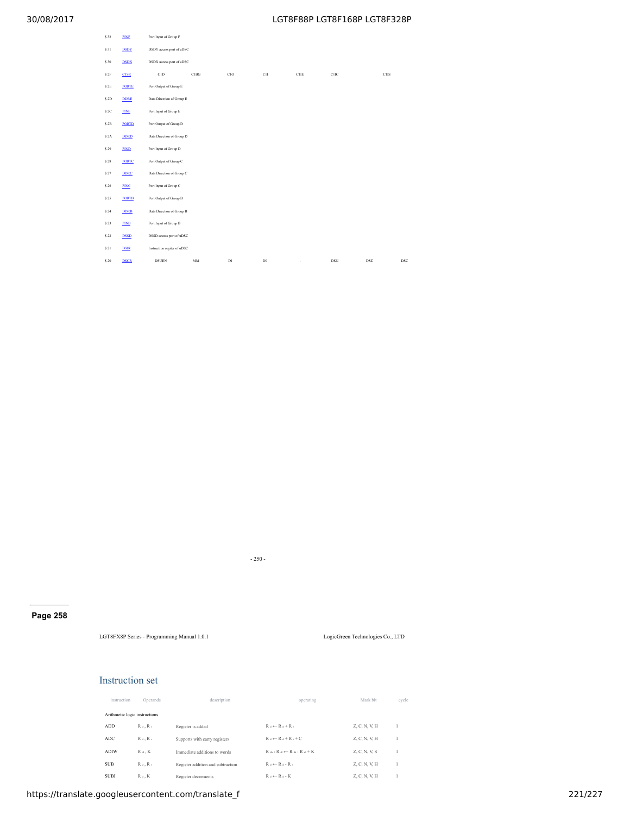| \$32    | <b>PINE</b>  | Port Input of Group F       |      |     |               |                          |            |            |     |  |
|---------|--------------|-----------------------------|------|-----|---------------|--------------------------|------------|------------|-----|--|
| \$31    | <b>DSDY</b>  | DSDY access port of uDSC    |      |     |               |                          |            |            |     |  |
| \$30    | <b>DSDX</b>  | DSDX access port of uDSC    |      |     |               |                          |            |            |     |  |
| \$2F    | CISE         | C1D                         | C1BG | C1O | C1I           | C1IE                     | C1IC       | C1IS       |     |  |
| \$2E    | <b>PORTE</b> | Port Output of Group E      |      |     |               |                          |            |            |     |  |
| \$2D    | <b>DDRE</b>  | Data Direction of Group E   |      |     |               |                          |            |            |     |  |
| \$2C    | <b>PINE</b>  | Port Input of Group E       |      |     |               |                          |            |            |     |  |
| $\$$ 2B | <b>PORTD</b> | Port Output of Group D      |      |     |               |                          |            |            |     |  |
| \$2A    | DDRD         | Data Direction of Group D   |      |     |               |                          |            |            |     |  |
| \$29    | PIND         | Port Input of Group D       |      |     |               |                          |            |            |     |  |
| $\$$ 28 | <b>PORTC</b> | Port Output of Group C      |      |     |               |                          |            |            |     |  |
| \$27    | <b>DDRC</b>  | Data Direction of Group C   |      |     |               |                          |            |            |     |  |
| \$26    | PINC         | Port Input of Group C       |      |     |               |                          |            |            |     |  |
| \$25    | <b>PORTB</b> | Port Output of Group B      |      |     |               |                          |            |            |     |  |
| \$24    | <b>DDRB</b>  | Data Direction of Group B   |      |     |               |                          |            |            |     |  |
| \$23    | <b>PINB</b>  | Port Input of Group B       |      |     |               |                          |            |            |     |  |
| \$22    | <b>DSSD</b>  | DSSD access port of uDSC    |      |     |               |                          |            |            |     |  |
| \$21    | <b>DSIR</b>  | Instruction regiter of uDSC |      |     |               |                          |            |            |     |  |
| \$20    | <b>DSCR</b>  | <b>DSUEN</b>                | MM   | D1  | $\mathbb{D}0$ | $\overline{\phantom{a}}$ | <b>DSN</b> | <b>DSZ</b> | DSC |  |

- 250 -

## **Page 258**

LGT8FX8P Series - Programming Manual 1.0.1 LogicGreen Technologies Co., LTD

## Instruction set

| instruction | Operands                      | description                       | operating                      | Mark bit      | cycle |
|-------------|-------------------------------|-----------------------------------|--------------------------------|---------------|-------|
|             | Arithmetic logic instructions |                                   |                                |               |       |
| ADD         | $R_d$ . $R_t$                 | Register is added                 | $R_d \leftarrow R_d + R_t$     | Z, C, N, V, H |       |
| ADC         | $R_d$ , $R_t$                 | Supports with carry registers     | $R_A \leftarrow R_A + R_A + C$ | Z, C, N, V, H |       |
| <b>ADIW</b> | $R_d$ . $K$                   | Immediate additions to words      | $R = R + R = R + R + K$        | Z, C, N, V, S |       |
| <b>SUB</b>  | $R_d$ , $R_t$                 | Register addition and subtraction | $R_A \leftarrow R_A - R_A$     | Z, C, N, V, H |       |
| <b>SUBI</b> | $R_d$ , $K$                   | Register decrements               | $R_A \leftarrow R_A - K$       | Z, C, N, V, H |       |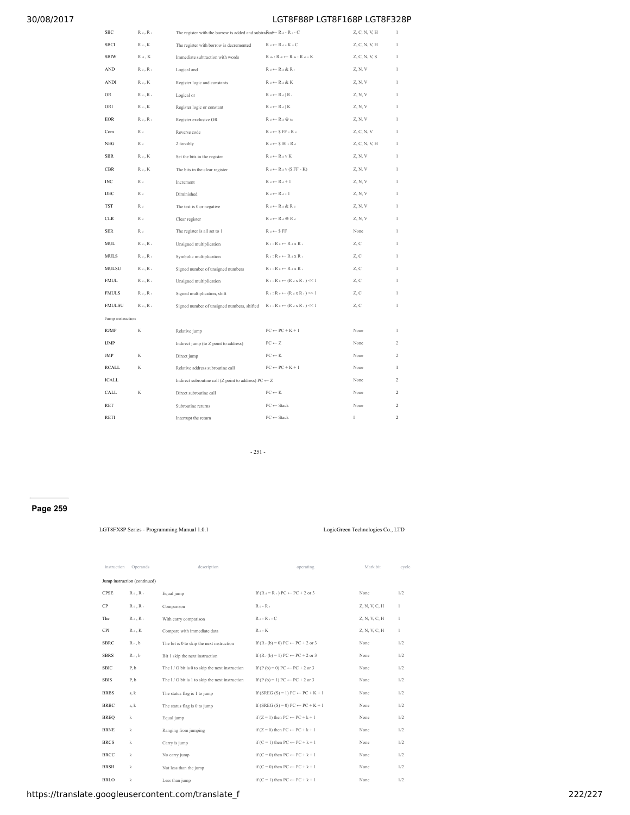| SBC              | $R_d$ , $R_t$           | The register with the borrow is added and subtradined E $R$ a - R $\cdot$ - C |                                                                                        | Z, C, N, V, H | $\,$ I         |
|------------------|-------------------------|-------------------------------------------------------------------------------|----------------------------------------------------------------------------------------|---------------|----------------|
| <b>SBCI</b>      | $R_d$ , $K$             | The register with borrow is decremented                                       | $R_d \leftarrow R_d$ - K - C                                                           | Z, C, N, V, H | 1              |
| <b>SBIW</b>      | $R$ a $, K$             | Immediate subtraction with words                                              | $R$ as : $R$ at $\leftarrow$ $R$ as : $R$ at $-K$                                      | Z, C, N, V, S | 1              |
| AND              | $R_d$ , $R_t$           | Logical and                                                                   | $\mathbb{R}$ $\circ$ $\leftarrow$ $\mathbb{R}$ $\circ$ & $\mathbb{R}$ .                | Z, N, V       | $\mathbf{1}$   |
| <b>ANDI</b>      | $R_d, K$                | Register logic and constants                                                  | $R_d \leftarrow R_d \& K$                                                              | Z, N, V       | $\mathbf{I}$   |
| OR               | $R_d$ , $R_t$           | Logical or                                                                    | $\mathbb{R}$ $\circ$ $\leftarrow$ $\mathbb{R}$ $\circ$ $\mid$ $\mathbb{R}$ $\circ$     | Z, N, V       | 1              |
| ORI              | $R_d$ , $K$             | Register logic or constant                                                    | $\mathbb{R}$ $_{\text{d}}$ $\leftarrow$ $\mathbb{R}$ $_{\text{d}}$ $\mid$ $\mathbb{K}$ | Z, N, V       | $\mathbf{1}$   |
| <b>EOR</b>       | $R_d$ , $R_t$           | Register exclusive OR                                                         | $\mathbb{R}$ d $\leftarrow$ $\mathbb{R}$ d $\oplus$ $\mathbb{R}$ :                     | Z, N, V       | 1              |
| Com              | $\mathbb{R}$ $_{\rm d}$ | Reverse code                                                                  | $R_d \leftarrow$ \$ FF - $R_d$                                                         | Z, C, N, V    | 1              |
| NEG              | $R_d$                   | 2 forcibly                                                                    | $R_d \leftarrow $00 - R_d$                                                             | Z, C, N, V, H | $\,$ I         |
| <b>SBR</b>       | $R_d, K$                | Set the bits in the register                                                  | $R_d \leftarrow R_d v K$                                                               | Z, N, V       | $\mathbf{I}$   |
| <b>CBR</b>       | $R_d, K$                | The bits in the clear register                                                | $R_d \leftarrow R_d v (S FF - K)$                                                      | Z, N, V       | $\mathbf{I}$   |
| <b>INC</b>       | R <sub>d</sub>          | Increment                                                                     | $R_d \leftarrow R_d + 1$                                                               | Z, N, V       | $\mathbf{I}$   |
| DEC              | $R_d$                   | Diminished                                                                    | $R_d \leftarrow R_d - 1$                                                               | Z, N, V       | 1              |
| <b>TST</b>       | $R_d$                   | The test is 0 or negative                                                     | $R_d \leftarrow R_d \& R_d$                                                            | Z, N, V       | $\mathbf{1}$   |
| ${\rm CLR}$      | R <sub>d</sub>          | Clear register                                                                | $R_d \leftarrow R_d \oplus R_d$                                                        | Z, N, V       | $\mathbf{I}$   |
| <b>SER</b>       | $R_d$                   | The register is all set to 1                                                  | $R_d \leftarrow$ \$FF                                                                  | None          | 1              |
| <b>MUL</b>       | $R_d$ , $R_t$           | Unsigned multiplication                                                       | $R : : R \circ \leftarrow R \circ x R$                                                 | Z, C          | $\mathbf{I}$   |
| <b>MULS</b>      | $R_d$ , $R_t$           | Symbolic multiplication                                                       | $R : : R \circ \leftarrow R \circ x R$                                                 | Z, C          | 1              |
| <b>MULSU</b>     | $R_d$ , $R_t$           | Signed number of unsigned numbers                                             | $R_1$ : $R_0 \leftarrow R_4 x R_1$                                                     | Z, C          | 1              |
| <b>FMUL</b>      | $R_d$ , $R_t$           | Unsigned multiplication                                                       | $R_1$ : $R_0 \leftarrow (R_d x R_t) \ll 1$                                             | Z, C          | $\mathbf{I}$   |
| <b>FMULS</b>     | $R_d$ , $R_t$           | Signed multiplication, shift                                                  | $R : R \circ \leftarrow (R \circ x R \cdot ) \leq 1$                                   | Z, C          | $\mathbf{I}$   |
| <b>FMULSU</b>    | $R_d$ , $R_t$           | Signed number of unsigned numbers, shifted                                    | $R :: R \circ \leftarrow (R \circ x R \cdot ) \ll 1$                                   | Z, C          | 1              |
| Jump instruction |                         |                                                                               |                                                                                        |               |                |
| <b>RJMP</b>      | K                       | Relative jump                                                                 | $PC \leftarrow PC + K + 1$                                                             | None          | $\mathbf{1}$   |
| <b>IJMP</b>      |                         | Indirect jump (to Z point to address)                                         | $PC \leftarrow Z$                                                                      | None          | $\overline{c}$ |
| JMP              | K                       | Direct jump                                                                   | ${\rm PC} \leftarrow {\rm K}$                                                          | None          | $\overline{2}$ |
| RCALL            | K                       | Relative address subroutine call                                              | $PC \leftarrow PC + K + 1$                                                             | None          | $\mathbf{1}$   |
| ICALL            |                         | Indirect subroutine call (Z point to address) $PC \leftarrow Z$               |                                                                                        | None          | $\overline{c}$ |
| CALL             | K                       | Direct subroutine call                                                        | $PC \leftarrow K$                                                                      | None          | $\overline{c}$ |
| <b>RET</b>       |                         | Subroutine returns                                                            | $PC \leftarrow Stack$                                                                  | None          | $\overline{2}$ |
| RETI             |                         | Interrupt the return                                                          | $PC \leftarrow Stack$                                                                  | I             | $\overline{c}$ |

- 251 -

## **Page 259**

LGT8FX8P Series - Programming Manual 1.0.1 LogicGreen Technologies Co., LTD

| instruction | Operands                     | description                                     | operating                                        | Mark bit      | cycle        |
|-------------|------------------------------|-------------------------------------------------|--------------------------------------------------|---------------|--------------|
|             | Jump instruction (continued) |                                                 |                                                  |               |              |
| CPSE        | $R_d$ , $R_r$                | Equal jump                                      | If $(R_d = R_t) PC \leftarrow PC + 2$ or 3       | None          | 1/2          |
| CP          | $R_d$ , $R_r$                | Comparison                                      | $R_d - R_r$                                      | Z, N, V, C, H | 1            |
| The         | $R_d$ , $R_r$                | With carry comparison                           | $R_d - R_t - C$                                  | Z, N, V, C, H | 1            |
| <b>CPI</b>  | $R_d$ , $K$                  | Compare with immediate data                     | $R_d$ - $K$                                      | Z, N, V, C, H | $\mathbf{1}$ |
| <b>SBRC</b> | $Rr$ , $b$                   | The bit is 0 to skip the next instruction       | If $(R \cdot (b) = 0) PC \leftarrow PC + 2$ or 3 | None          | 1/2          |
| <b>SBRS</b> | $Rr$ , $b$                   | Bit 1 skip the next instruction                 | If $(R \cdot (b) = 1) PC \leftarrow PC + 2$ or 3 | None          | 1/2          |
| <b>SBIC</b> | P, b                         | The I / O bit is 0 to skip the next instruction | If $(P (b) = 0) PC \leftarrow PC + 2$ or 3       | None          | 1/2          |
| <b>SBIS</b> | P, b                         | The I / O bit is 1 to skip the next instruction | If $(P(b) = 1) PC \leftarrow PC + 2$ or 3        | None          | 1/2          |
| <b>BRBS</b> | s, k                         | The status flag is 1 to jump                    | If (SREG $(S) = 1$ ) PC $\leftarrow$ PC + K + 1  | None          | 1/2          |
| <b>BRBC</b> | s, k                         | The status flag is 0 to jump                    | If (SREG $(S) = 0$ ) PC $\leftarrow$ PC + K + 1  | None          | 1/2          |
| <b>BREQ</b> | $\mathbf k$                  | Equal jump                                      | if $(Z = 1)$ then $PC \leftarrow PC + k + 1$     | None          | 1/2          |
| <b>BRNE</b> | $\mathbf k$                  | Ranging from jumping                            | if $(Z = 0)$ then $PC \leftarrow PC + k + 1$     | None          | 1/2          |
| <b>BRCS</b> | $\mathbf k$                  | Carry is jump                                   | if $(C = 1)$ then $PC \leftarrow PC + k + 1$     | None          | 1/2          |
| <b>BRCC</b> | k                            | No carry jump                                   | if $(C = 0)$ then $PC \leftarrow PC + k + 1$     | None          | 1/2          |
| <b>BRSH</b> | k                            | Not less than the jump                          | if $(C = 0)$ then $PC \leftarrow PC + k + 1$     | None          | 1/2          |
| <b>BRLO</b> | $\mathbf k$                  | Less than jump                                  | if $(C = 1)$ then $PC \leftarrow PC + k + 1$     | None          | 1/2          |

https://translate.googleusercontent.com/translate\_f 222/227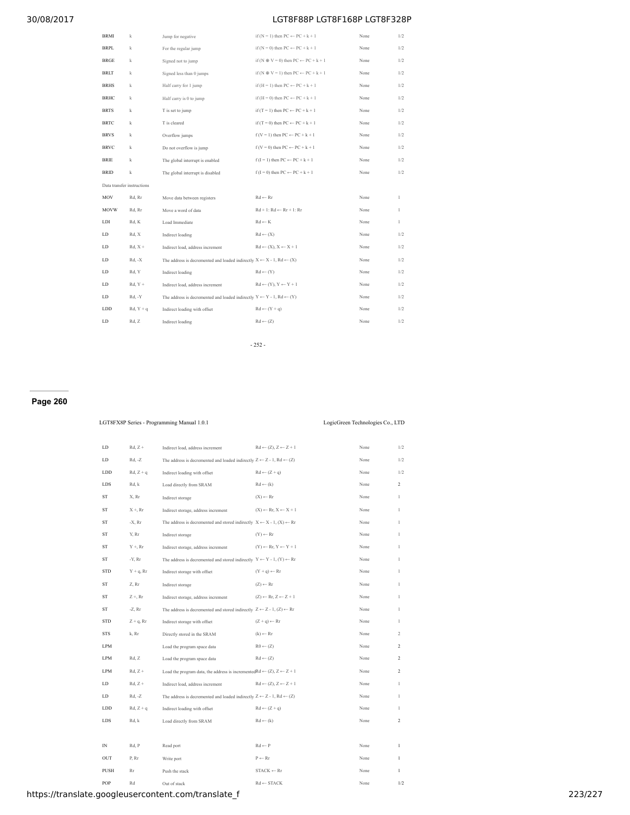| BRMI                       | k           | Jump for negative                                                                           | if $(N = 1)$ then $PC \leftarrow PC + k + 1$          | None | 1/2          |
|----------------------------|-------------|---------------------------------------------------------------------------------------------|-------------------------------------------------------|------|--------------|
| BRPL                       | $\mathbf k$ | For the regular jump                                                                        | if $(N = 0)$ then $PC \leftarrow PC + k + 1$          | None | 1/2          |
| <b>BRGE</b>                | k           | Signed not to jump                                                                          | if (N $\oplus$ V = 0) then PC $\leftarrow$ PC + k + 1 | None | 1/2          |
| <b>BRLT</b>                | $\mathbf k$ | Signed less than 0 jumps                                                                    | if (N $\oplus$ V = 1) then PC $\leftarrow$ PC + k + 1 | None | 1/2          |
| <b>BRHS</b>                | k           | Half carry for 1 jump                                                                       | if $(H = 1)$ then $PC \leftarrow PC + k + 1$          | None | 1/2          |
| <b>BRHC</b>                | $\mathbf k$ | Half carry is 0 to jump                                                                     | if $(H = 0)$ then $PC \leftarrow PC + k + 1$          | None | 1/2          |
| <b>BRTS</b>                | k           | T is set to jump                                                                            | if $(T = 1)$ then $PC \leftarrow PC + k + 1$          | None | 1/2          |
| <b>BRTC</b>                | k           | T is cleared                                                                                | if $(T = 0)$ then $PC \leftarrow PC + k + 1$          | None | 1/2          |
| <b>BRVS</b>                | k           | Overflow jumps                                                                              | $f(V = 1)$ then $PC \leftarrow PC + k + 1$            | None | 1/2          |
| <b>BRVC</b>                | k           | Do not overflow is jump                                                                     | $f(V = 0)$ then $PC \leftarrow PC + k + 1$            | None | 1/2          |
| BRIE                       | $\mathbf k$ | The global interrupt is enabled                                                             | $f(I = 1)$ then $PC \leftarrow PC + k + 1$            | None | 1/2          |
| <b>BRID</b>                | k           | The global interrupt is disabled                                                            | $f(I = 0)$ then $PC \leftarrow PC + k + 1$            | None | 1/2          |
| Data transfer instructions |             |                                                                                             |                                                       |      |              |
| MOV                        | Rd, Rr      | Move data between registers                                                                 | $Rd \leftarrow Rr$                                    | None | 1            |
| <b>MOVW</b>                | Rd, Rr      | Move a word of data                                                                         | $Rd + 1$ : $Rd \leftarrow Rr + 1$ : $Rr$              | None | $\mathbf{1}$ |
| LDI                        | Rd, K       | Load Immediate                                                                              | $Rd \leftarrow K$                                     | None | 1            |
| LD                         | Rd, X       | Indirect loading                                                                            | $Rd \leftarrow (X)$                                   | None | 1/2          |
| LD                         | $Rd, X +$   | Indirect load, address increment                                                            | $Rd \leftarrow (X), X \leftarrow X + 1$               | None | 1/2          |
| LD                         | $Rd, -X$    | The address is decremented and loaded indirectly $X \leftarrow X - 1$ , $Rd \leftarrow (X)$ |                                                       | None | 1/2          |
| LD                         | Rd, Y       | Indirect loading                                                                            | $Rd \leftarrow (Y)$                                   | None | 1/2          |
| LD                         | $Rd, Y +$   | Indirect load, address increment                                                            | $Rd \leftarrow (Y), Y \leftarrow Y + 1$               | None | 1/2          |
| LD                         | Rd, -Y      | The address is decremented and loaded indirectly $Y \leftarrow Y - 1$ , $Rd \leftarrow (Y)$ |                                                       | None | 1/2          |
| LDD                        | $Rd, Y + q$ | Indirect loading with offset                                                                | $Rd \leftarrow (Y + q)$                               | None | 1/2          |
| LD                         | Rd, Z       | Indirect loading                                                                            | $Rd \leftarrow (Z)$                                   | None | 1/2          |
|                            |             |                                                                                             |                                                       |      |              |

- 252 -

# **Page 260**

| LGT8FX8P Series - Programming Manual 1.0.1 |              |                                                                                                      | LogicGreen Technologies Co., LTD                        |      |                |
|--------------------------------------------|--------------|------------------------------------------------------------------------------------------------------|---------------------------------------------------------|------|----------------|
|                                            |              |                                                                                                      |                                                         |      |                |
| LD                                         | $Rd, Z +$    | Indirect load, address increment                                                                     | $Rd \leftarrow (Z), Z \leftarrow Z + 1$                 | None | 1/2            |
| ${\rm LD}$                                 | Rd, -Z       | The address is decremented and loaded indirectly $Z \leftarrow Z - 1$ , Rd $\leftarrow (Z)$          |                                                         | None | 1/2            |
| LDD                                        | $Rd, Z + q$  | Indirect loading with offset                                                                         | $Rd \leftarrow (Z + q)$                                 | None | 1/2            |
| LDS                                        | Rd, k        | Load directly from SRAM                                                                              | $Rd \leftarrow (k)$                                     | None | $\overline{c}$ |
| ${\rm ST}$                                 | X, Rr        | Indirect storage                                                                                     | $(X) \leftarrow Rr$                                     | None | 1              |
| <b>ST</b>                                  | $X + Rr$     | Indirect storage, address increment                                                                  | $(X) \leftarrow \mathbb{R}r, X \leftarrow X + 1$        | None | 1              |
| ST                                         | $-X$ , $Rr$  | The address is decremented and stored indirectly $X \leftarrow X - 1$ , $(X) \leftarrow \mathbb{R}r$ |                                                         | None | 1              |
| ${\rm ST}$                                 | Y, Rr        | Indirect storage                                                                                     | $(Y) \leftarrow Rr$                                     | None | $\mathbf{1}$   |
| ${\rm ST}$                                 | $Y + Rr$     | Indirect storage, address increment                                                                  | $(Y) \leftarrow Rr, Y \leftarrow Y + 1$                 | None | 1              |
| ${\rm ST}$                                 | -Y, Rr       | The address is decremented and stored indirectly $Y \leftarrow Y - 1$ , $(Y) \leftarrow Rr$          |                                                         | None | $\mathbf{1}$   |
| <b>STD</b>                                 | $Y + q$ , Rr | Indirect storage with offset                                                                         | $(Y + q) \leftarrow Rr$                                 | None | 1              |
| ${\rm ST}$                                 | Z, Rr        | Indirect storage                                                                                     | $(Z) \leftarrow Rr$                                     | None | $\mathbf{1}$   |
| ${\rm ST}$                                 | $Z + Rr$     | Indirect storage, address increment                                                                  | $(Z) \leftarrow \operatorname{Rr}_1 Z \leftarrow Z + 1$ | None | $\mathbf{1}$   |
| $^{\rm ST}$                                | $-Z$ , $Rr$  | The address is decremented and stored indirectly $Z \leftarrow Z - 1$ , $(Z) \leftarrow Rr$          |                                                         | None | $\mathbf{1}$   |
| <b>STD</b>                                 | $Z + q$ , Rr | Indirect storage with offset                                                                         | $(Z + q) \leftarrow Rr$                                 | None | 1              |
| <b>STS</b>                                 | k, Rr        | Directly stored in the SRAM                                                                          | $(k) \leftarrow Rr$                                     | None | 2              |
| <b>LPM</b>                                 |              | Load the program space data                                                                          | $R0 \leftarrow (Z)$                                     | None | $\overline{c}$ |
| <b>LPM</b>                                 | Rd, Z        | Load the program space data                                                                          | $Rd \leftarrow (Z)$                                     | None | $\overline{c}$ |
| LPM                                        | $Rd, Z +$    | Load the program data, the address is incremented Rd $\leftarrow$ (Z), $Z \leftarrow Z + 1$          |                                                         | None | $\overline{c}$ |
| LD.                                        | $Rd, Z +$    | Indirect load, address increment                                                                     | $Rd \leftarrow (Z), Z \leftarrow Z + 1$                 | None | $\mathbf{1}$   |
| LD                                         | Rd, -Z       | The address is decremented and loaded indirectly $Z \leftarrow Z - 1$ , $Rd \leftarrow (Z)$          |                                                         | None | $\mathbf{1}$   |
| LDD                                        | $Rd, Z + q$  | Indirect loading with offset                                                                         | $Rd \leftarrow (Z + q)$                                 | None | $\mathbf{1}$   |
| LDS                                        | Rd, k        | Load directly from SRAM                                                                              | $Rd \leftarrow (k)$                                     | None | $\,2$          |
|                                            |              |                                                                                                      |                                                         |      |                |
| IN                                         | Rd, P        | Read port                                                                                            | $Rd \leftarrow P$                                       | None | 1              |
| OUT                                        | P, Rr        | Write port                                                                                           | $P \leftarrow Rr$                                       | None | $\,$ $\,$      |
| PUSH                                       | Rr           | Push the stack                                                                                       | $STACK \leftarrow Rr$                                   | None | $\mathbf{1}$   |
| POP                                        | Rd           | Out of stack                                                                                         | $Rd \leftarrow$ STACK                                   | None | 1/2            |

## https://translate.googleusercontent.com/translate\_f 223/227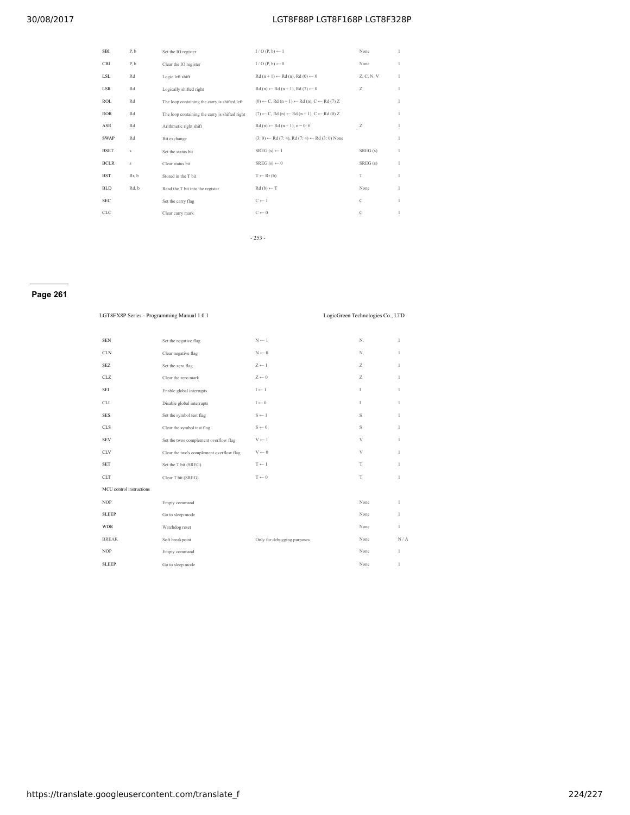| <b>SBI</b>  | P, b  | Set the IO register                            | $I/O(P, b) \leftarrow I$                                                          | None          | 1 |
|-------------|-------|------------------------------------------------|-----------------------------------------------------------------------------------|---------------|---|
| <b>CBI</b>  | P, b  | Clear the IO register                          | $I/O(P, b) \leftarrow 0$                                                          | None          | 1 |
| LSL         | Rd    | Logic left shift                               | $Rd(n + 1) \leftarrow Rd(n), Rd(0) \leftarrow 0$                                  | Z, C, N, V    | 1 |
| <b>LSR</b>  | Rd    | Logically shifted right                        | $Rd(n) \leftarrow Rd(n + 1), Rd(7) \leftarrow 0$                                  | Z             | 1 |
| <b>ROL</b>  | Rd    | The loop containing the carry is shifted left  | $(0) \leftarrow C$ , Rd $(n + 1) \leftarrow$ Rd $(n)$ , $C \leftarrow$ Rd $(7)$ Z |               | 1 |
| <b>ROR</b>  | Rd    | The loop containing the carry is shifted right | $(7) \leftarrow C$ . Rd (n) $\leftarrow$ Rd (n + 1). $C \leftarrow$ Rd (0) Z      |               | 1 |
| ASR         | Rd    | Arithmetic right shift                         | $Rd(n) \leftarrow Rd(n + 1), n = 0; 6$                                            | Z             | 1 |
| <b>SWAP</b> | Rd    | Bit exchange                                   | $(3:0) \leftarrow Rd$ (7:4), Rd (7:4) $\leftarrow Rd$ (3:0) None                  |               | 1 |
| <b>BSET</b> | S     | Set the status bit                             | $SREG(s) \leftarrow 1$                                                            | SREG(s)       | 1 |
| <b>BCLR</b> | S     | Clear status bit                               | $SREG(s) \leftarrow 0$                                                            | SREG(s)       | 1 |
| <b>BST</b>  | Rr, b | Stored in the T bit                            | $T \leftarrow Rr(b)$                                                              | T             | 1 |
| <b>BLD</b>  | Rd, b | Read the T bit into the register               | $Rd(b) \leftarrow T$                                                              | None          | 1 |
| <b>SEC</b>  |       | Set the carry flag                             | $C \leftarrow 1$                                                                  | $\mathcal{C}$ | 1 |
| <b>CLC</b>  |       | Clear carry mark                               | $C \leftarrow 0$                                                                  | С             | 1 |
|             |       |                                                |                                                                                   |               |   |

- 253 -

## **Page 261**

| LGT8FX8P Series - Programming Manual 1.0.1 |                                          |                                    | LogicGreen Technologies Co., LTD |              |
|--------------------------------------------|------------------------------------------|------------------------------------|----------------------------------|--------------|
| <b>SEN</b>                                 | Set the negative flag                    | $\mathcal{N} \leftarrow 1$         | N.                               | 1            |
| CLN                                        | Clear negative flag                      | $\mathcal{N} \leftarrow 0$         | N.                               | 1            |
| <b>SEZ</b>                                 | Set the zero flag                        | $Z \leftarrow 1$                   | Z                                | 1            |
| CLZ                                        | Clear the zero mark                      | $Z \leftarrow 0$                   | Z                                | 1            |
| SEI                                        | Enable global interrupts                 | $\mathrm{I}\leftarrow\mathrm{I}$   | $\mathbf{I}$                     | 1            |
| <b>CLI</b>                                 | Disable global interrupts                | $\mathbf{I}\leftarrow\mathbf{0}$   | L                                | 1            |
| <b>SES</b>                                 | Set the symbol test flag                 | $S \leftarrow 1$                   | S                                | 1            |
| CLS                                        | Clear the symbol test flag               | $\mathbf{S} \leftarrow \mathbf{0}$ | S                                | 1            |
| <b>SEV</b>                                 | Set the twos complement overflow flag    | $V \leftarrow 1$                   | $\mathbf{V}$                     | $\mathbf{1}$ |
| CLV                                        | Clear the two's complement overflow flag | $\mathbf{V} \leftarrow 0$          | $\mathbf{V}$                     | 1            |
| <b>SET</b>                                 | Set the T bit (SREG)                     | $T \leftarrow 1$                   | T                                | 1            |
| <b>CLT</b>                                 | Clear T bit (SREG)                       | $T \leftarrow 0$                   | T                                | 1            |
| MCU control instructions                   |                                          |                                    |                                  |              |
| <b>NOP</b>                                 | Empty command                            |                                    | None                             | 1            |
| <b>SLEEP</b>                               | Go to sleep mode                         |                                    | None                             | 1            |
| <b>WDR</b>                                 | Watchdog reset                           |                                    | None                             | 1            |
| <b>BREAK</b>                               | Soft breakpoint                          | Only for debugging purposes        | None                             | N/A          |
| <b>NOP</b>                                 | Empty command                            |                                    | None                             | 1            |
| <b>SLEEP</b>                               | Go to sleep mode                         |                                    | None                             | 1            |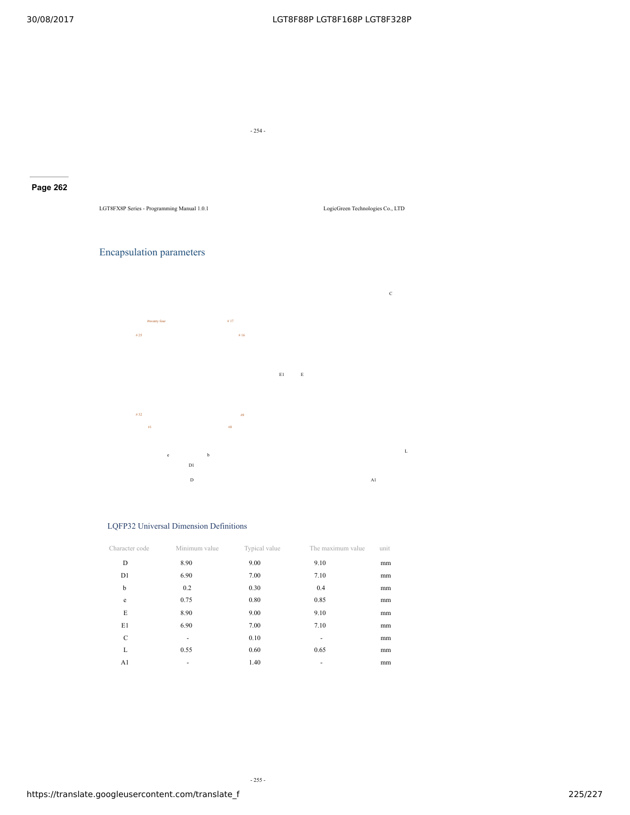- 254 -

## **Page 262**

LGT8FX8P Series - Programming Manual 1.0.1 LogicGreen Technologies Co., LTD

## Encapsulation parameters



## LQFP32 Universal Dimension Definitions

| Character code | Minimum value | Typical value | The maximum value | unit |
|----------------|---------------|---------------|-------------------|------|
| D              | 8.90          | 9.00          | 9.10              | mm   |
| D1             | 6.90          | 7.00          | 7.10              | mm   |
| b              | 0.2           | 0.30          | 0.4               | mm   |
| e              | 0.75          | 0.80          | 0.85              | mm   |
| E              | 8.90          | 9.00          | 9.10              | mm   |
| E1             | 6.90          | 7.00          | 7.10              | mm   |
| C              | ٠             | 0.10          |                   | mm   |
| L              | 0.55          | 0.60          | 0.65              | mm   |
| A1             | ۰             | 1.40          | ۰                 | mm   |

- 255 -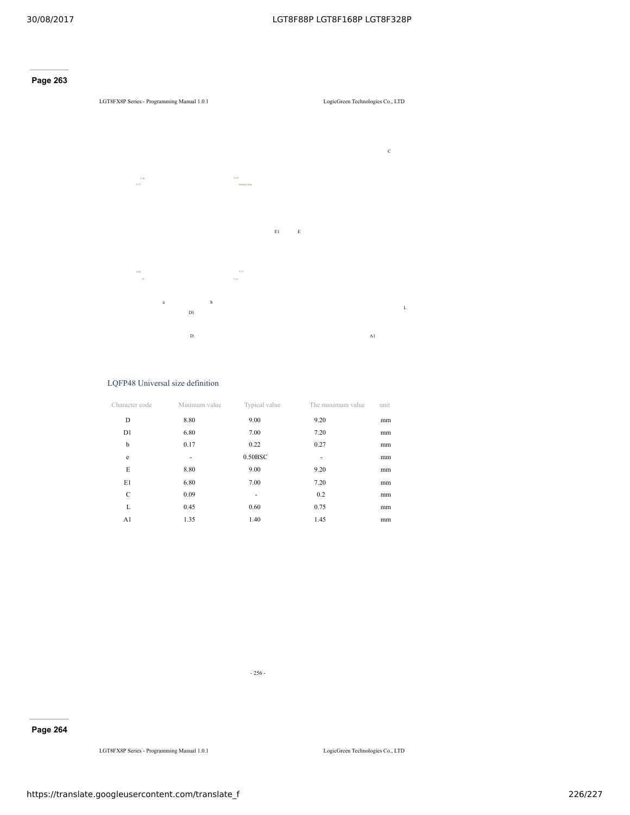## **Page 263**

## LGT8FX8P Series - Programming Manual 1.0.1 LogicGreen Technologies Co., LTD



#### LQFP48 Universal size definition

| Character code | Minimum value | Typical value | The maximum value | unit |
|----------------|---------------|---------------|-------------------|------|
| D              | 8.80          | 9.00          | 9.20              | mm   |
| D1             | 6.80          | 7.00          | 7.20              | mm   |
| b              | 0.17          | 0.22          | 0.27              | mm   |
| e              | ٠             | 0.50BSC       |                   | mm   |
| E              | 8.80          | 9.00          | 9.20              | mm   |
| E1             | 6.80          | 7.00          | 7.20              | mm   |
| C              | 0.09          | ۰             | 0.2               | mm   |
| L              | 0.45          | 0.60          | 0.75              | mm   |
| A1             | 1.35          | 1.40          | 1.45              | mm   |

- 256 -

## **Page 264**

LGT8FX8P Series - Programming Manual 1.0.1 LogicGreen Technologies Co., LTD